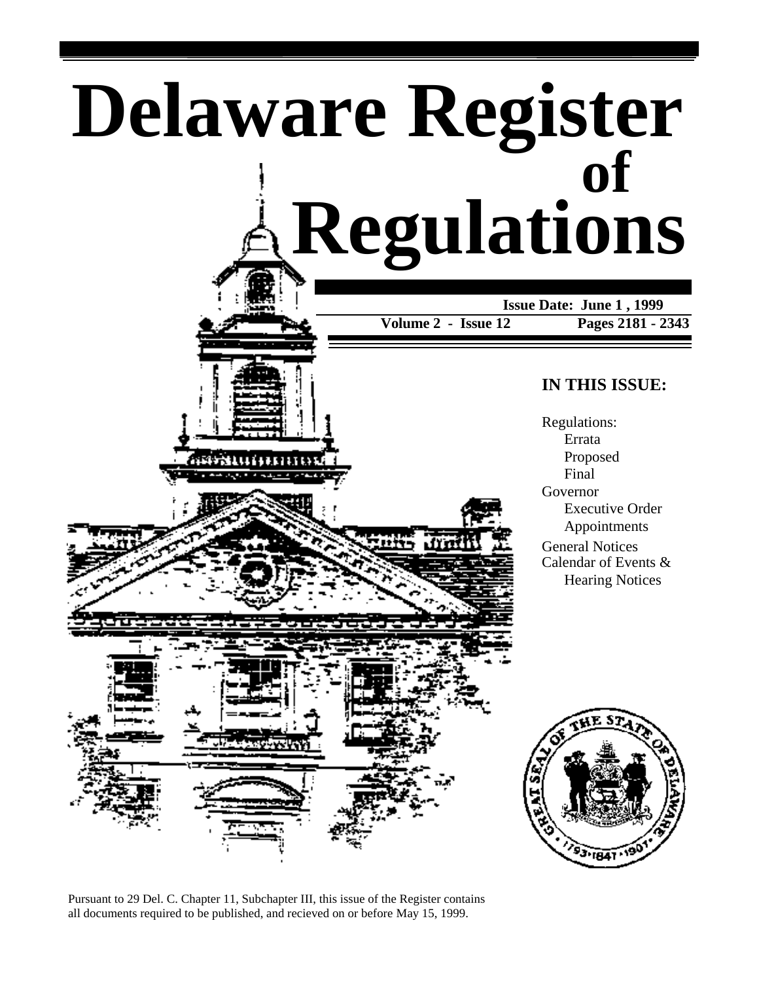

Pursuant to 29 Del. C. Chapter 11, Subchapter III, this issue of the Register contains all documents required to be published, and recieved on or before May 15, 1999.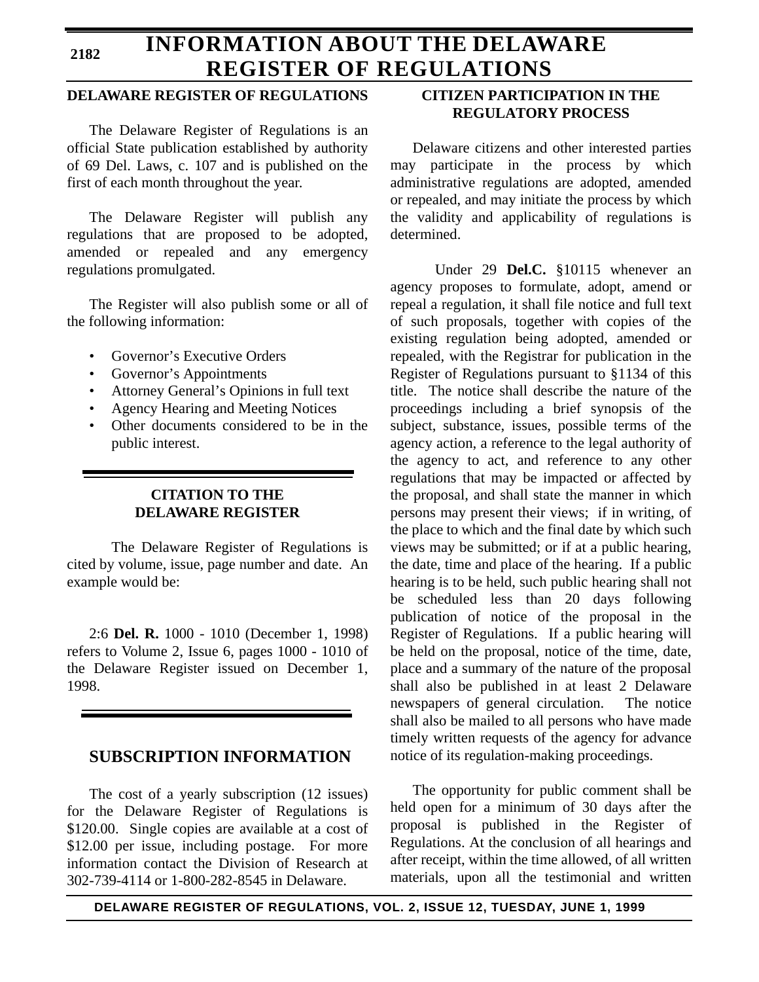### **2182**

# **INFORMATION ABOUT THE DELAWARE REGISTER OF REGULATIONS**

## **DELAWARE REGISTER OF REGULATIONS**

The Delaware Register of Regulations is an official State publication established by authority of 69 Del. Laws, c. 107 and is published on the first of each month throughout the year.

The Delaware Register will publish any regulations that are proposed to be adopted, amended or repealed and any emergency regulations promulgated.

The Register will also publish some or all of the following information:

- Governor's Executive Orders
- Governor's Appointments
- Attorney General's Opinions in full text
- Agency Hearing and Meeting Notices
- Other documents considered to be in the public interest.

## **CITATION TO THE DELAWARE REGISTER**

The Delaware Register of Regulations is cited by volume, issue, page number and date. An example would be:

2:6 **Del. R.** 1000 - 1010 (December 1, 1998) refers to Volume 2, Issue 6, pages 1000 - 1010 of the Delaware Register issued on December 1, 1998.

## **SUBSCRIPTION INFORMATION**

The cost of a yearly subscription (12 issues) for the Delaware Register of Regulations is \$120.00. Single copies are available at a cost of \$12.00 per issue, including postage. For more information contact the Division of Research at 302-739-4114 or 1-800-282-8545 in Delaware.

## **CITIZEN PARTICIPATION IN THE REGULATORY PROCESS**

Delaware citizens and other interested parties may participate in the process by which administrative regulations are adopted, amended or repealed, and may initiate the process by which the validity and applicability of regulations is determined.

Under 29 **Del.C.** §10115 whenever an agency proposes to formulate, adopt, amend or repeal a regulation, it shall file notice and full text of such proposals, together with copies of the existing regulation being adopted, amended or repealed, with the Registrar for publication in the Register of Regulations pursuant to §1134 of this title. The notice shall describe the nature of the proceedings including a brief synopsis of the subject, substance, issues, possible terms of the agency action, a reference to the legal authority of the agency to act, and reference to any other regulations that may be impacted or affected by the proposal, and shall state the manner in which persons may present their views; if in writing, of the place to which and the final date by which such views may be submitted; or if at a public hearing, the date, time and place of the hearing. If a public hearing is to be held, such public hearing shall not be scheduled less than 20 days following publication of notice of the proposal in the Register of Regulations. If a public hearing will be held on the proposal, notice of the time, date, place and a summary of the nature of the proposal shall also be published in at least 2 Delaware newspapers of general circulation. The notice shall also be mailed to all persons who have made timely written requests of the agency for advance notice of its regulation-making proceedings.

The opportunity for public comment shall be held open for a minimum of 30 days after the proposal is published in the Register of Regulations. At the conclusion of all hearings and after receipt, within the time allowed, of all written materials, upon all the testimonial and written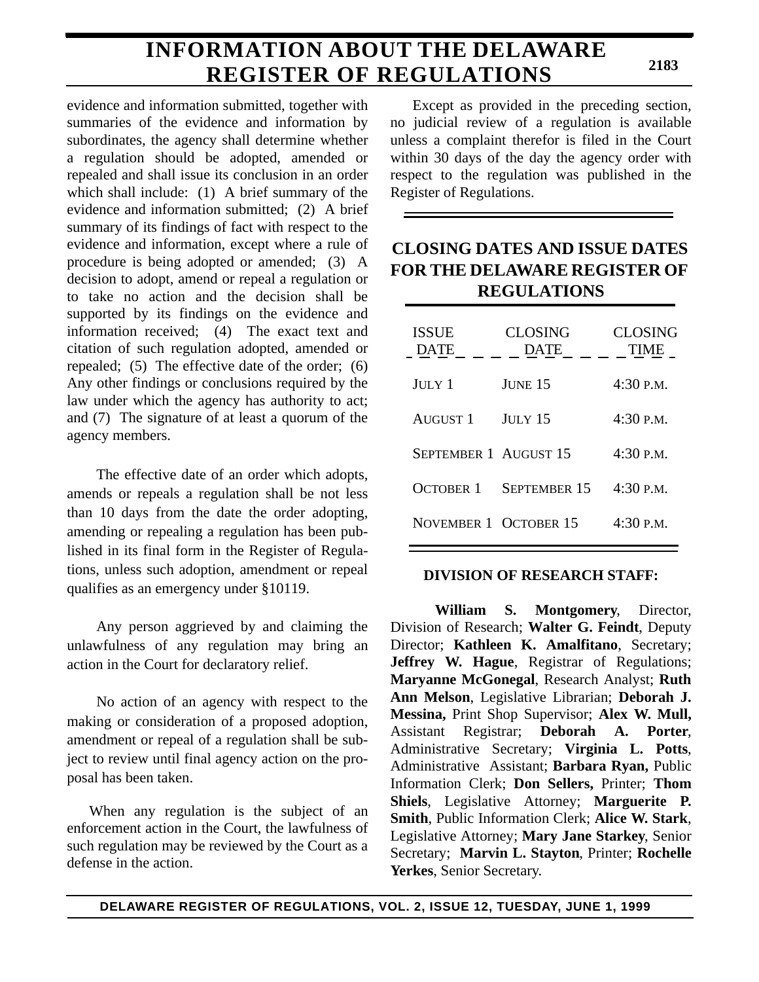# **INFORMATION ABOUT THE DELAWARE REGISTER OF REGULATIONS**

evidence and information submitted, together with summaries of the evidence and information by subordinates, the agency shall determine whether a regulation should be adopted, amended or repealed and shall issue its conclusion in an order which shall include: (1) A brief summary of the evidence and information submitted; (2) A brief summary of its findings of fact with respect to the evidence and information, except where a rule of procedure is being adopted or amended; (3) A decision to adopt, amend or repeal a regulation or to take no action and the decision shall be supported by its findings on the evidence and information received; (4) The exact text and citation of such regulation adopted, amended or repealed; (5) The effective date of the order; (6) Any other findings or conclusions required by the law under which the agency has authority to act; and (7) The signature of at least a quorum of the agency members.

The effective date of an order which adopts, amends or repeals a regulation shall be not less than 10 days from the date the order adopting, amending or repealing a regulation has been published in its final form in the Register of Regulations, unless such adoption, amendment or repeal qualifies as an emergency under §10119.

Any person aggrieved by and claiming the unlawfulness of any regulation may bring an action in the Court for declaratory relief.

No action of an agency with respect to the making or consideration of a proposed adoption, amendment or repeal of a regulation shall be subject to review until final agency action on the proposal has been taken.

When any regulation is the subject of an enforcement action in the Court, the lawfulness of such regulation may be reviewed by the Court as a defense in the action.

Except as provided in the preceding section, no judicial review of a regulation is available unless a complaint therefor is filed in the Court within 30 days of the day the agency order with respect to the regulation was published in the Register of Regulations.

# **CLOSING DATES AND ISSUE DATES FOR THE DELAWARE REGISTER OF REGULATIONS**

| <b>ISSUE</b><br><b>DATE</b> | <b>CLOSING</b><br><b>DATE</b> | <b>CLOSING</b><br><b>TIME</b> |
|-----------------------------|-------------------------------|-------------------------------|
| JULY 1                      | JUNE 15                       | $4:30$ P.M.                   |
| <b>AUGUST 1</b>             | <b>JULY 15</b>                | 4:30 P.M.                     |
| SEPTEMBER 1 AUGUST 15       |                               | $4:30$ P.M.                   |
| <b>OCTOBER 1</b>            | <b>SEPTEMBER 15</b>           | 4:30 P.M.                     |
| NOVEMBER 1 OCTOBER 15       |                               | 4:30 P.M.                     |

## **DIVISION OF RESEARCH STAFF:**

**William S. Montgomery**, Director, Division of Research; **Walter G. Feindt**, Deputy Director; **Kathleen K. Amalfitano**, Secretary; **Jeffrey W. Hague**, Registrar of Regulations; **Maryanne McGonegal**, Research Analyst; **Ruth Ann Melson**, Legislative Librarian; **Deborah J. Messina,** Print Shop Supervisor; **Alex W. Mull,** Assistant Registrar; **Deborah A. Porter**, Administrative Secretary; **Virginia L. Potts**, Administrative Assistant; **Barbara Ryan,** Public Information Clerk; **Don Sellers,** Printer; **Thom Shiels**, Legislative Attorney; **Marguerite P. Smith**, Public Information Clerk; **Alice W. Stark**, Legislative Attorney; **Mary Jane Starkey**, Senior Secretary; **Marvin L. Stayton**, Printer; **Rochelle Yerkes**, Senior Secretary.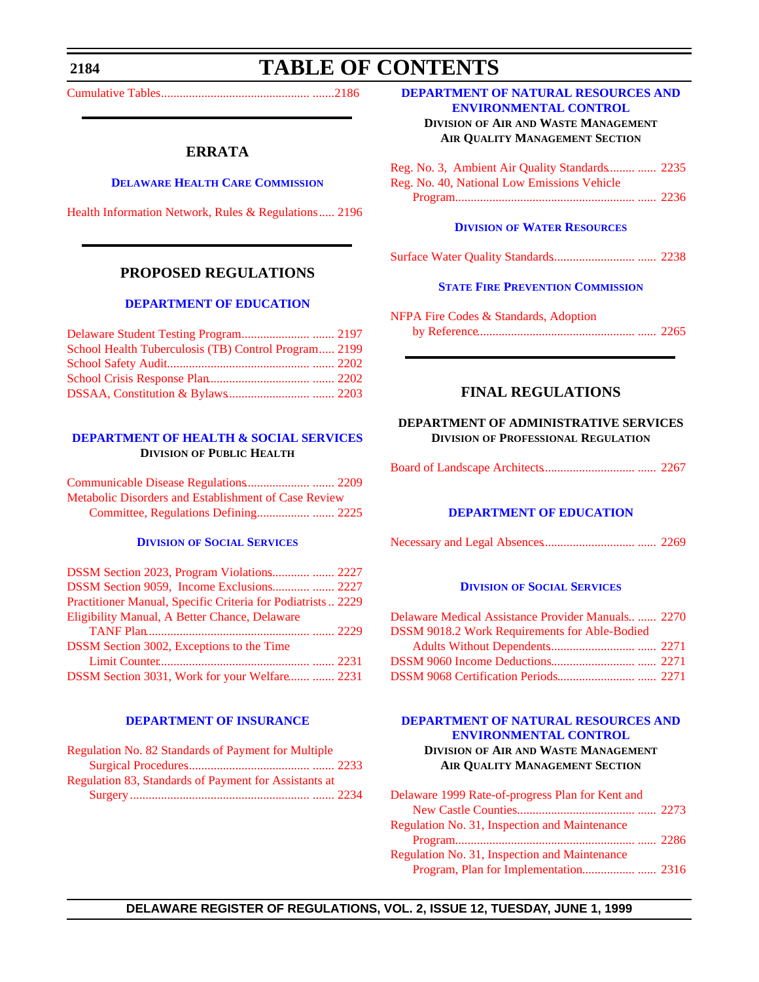<span id="page-3-0"></span>**2184**

# **TABLE OF CONTENTS**

[Cumulative Tables ................................................ .......2186](#page-5-0)

## **ERRATA**

#### **[DELAWARE HEALTH CARE COMMISSION](http://www.state.de.us/dhcc/index.htm)**

[Health Information Network, Rules & Regulations..... 2196](#page-15-0)

## **PROPOSED REGULATIONS**

#### **[DEPARTMENT OF EDUCATION](http://www.doe.state.de.us/)**

| School Health Tuberculosis (TB) Control Program 2199 |  |
|------------------------------------------------------|--|
|                                                      |  |
|                                                      |  |
|                                                      |  |

### **[DEPARTMENT OF HEALTH & SOCIAL SERVICES](http://www.state.de.us/dhss/irm/dhss.htm) DIVISION OF PUBLIC HEALTH**

| Metabolic Disorders and Establishment of Case Review |  |
|------------------------------------------------------|--|
|                                                      |  |

#### **DIVISION [OF SOCIAL SERVICES](http://www.state.de.us/dhss/irm/dhss.htm)**

| DSSM Section 9059, Income Exclusions  2227                  |  |
|-------------------------------------------------------------|--|
| Practitioner Manual, Specific Criteria for Podiatrists 2229 |  |
| Eligibility Manual, A Better Chance, Delaware               |  |
|                                                             |  |
| DSSM Section 3002, Exceptions to the Time                   |  |
|                                                             |  |
| DSSM Section 3031, Work for your Welfare  2231              |  |

#### **[DEPARTMENT OF INSURANCE](http://www.state.de.us/inscom/)**

| Regulation No. 82 Standards of Payment for Multiple   |  |
|-------------------------------------------------------|--|
|                                                       |  |
| Regulation 83, Standards of Payment for Assistants at |  |
|                                                       |  |

#### **[DEPARTMENT OF NATURAL RESOURCES AND](http://www.dnrec.state.de.us/http://www.dnrec.state.de.us/)  ENVIRONMENTAL CONTROL**

**DIVISION OF AIR AND WASTE MANAGEMENT AIR QUALITY MANAGEMENT SECTION**

| Reg. No. 3, Ambient Air Quality Standards  2235 |  |
|-------------------------------------------------|--|
| Reg. No. 40, National Low Emissions Vehicle     |  |
|                                                 |  |

#### **DIVISION [OF WATER RESOURCES](http://www.dnrec.state.de.us/)**

|--|--|--|--|--|--|--|--|

### **[STATE FIRE PREVENTION COMMISSION](http://www.state.de.us/dvfa/html/commission.html)**

| NFPA Fire Codes & Standards, Adoption |  |
|---------------------------------------|--|
|                                       |  |

## **FINAL REGULATIONS**

### **DEPARTMENT OF ADMINISTRATIVE SERVICES DIVISION OF PROFESSIONAL REGULATION**

|--|--|--|

#### **[DEPARTMENT OF EDUCATION](http://www.doe.state.de.us/)**

|--|--|--|--|

#### **DIVISION [OF SOCIAL SERVICES](http://www.state.de.us/dhss/irm/dhss.htm)**

| Delaware Medical Assistance Provider Manuals 2270 |  |
|---------------------------------------------------|--|
| DSSM 9018.2 Work Requirements for Able-Bodied     |  |
|                                                   |  |
|                                                   |  |
|                                                   |  |

### **[DEPARTMENT OF NATURAL RESOURCES AND](http://www.dnrec.state.de.us/) ENVIRONMENTAL CONTROL DIVISION OF AIR AND WASTE MANAGEMENT AIR QUALITY MANAGEMENT SECTION**

| Delaware 1999 Rate-of-progress Plan for Kent and |  |
|--------------------------------------------------|--|
|                                                  |  |
| Regulation No. 31, Inspection and Maintenance    |  |
|                                                  |  |
| Regulation No. 31, Inspection and Maintenance    |  |
|                                                  |  |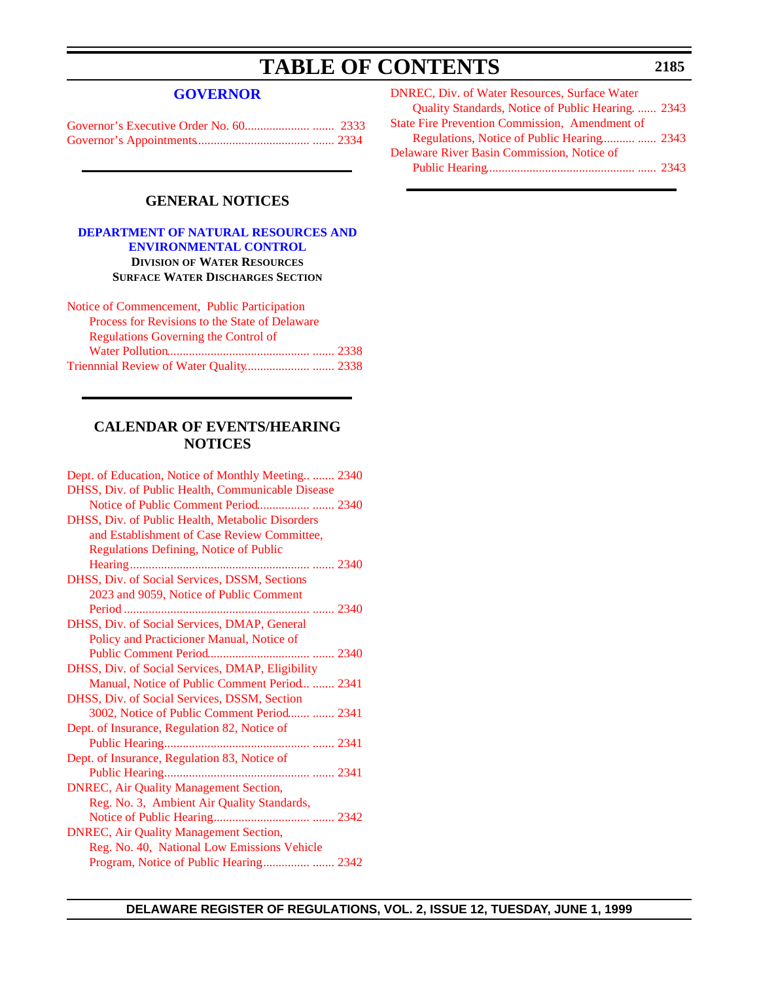# **TABLE OF CONTENTS**

## **[GOVERNOR](http://www.state.de.us/governor/index.htm)**

## **GENERAL NOTICES**

### **[DEPARTMENT OF NATURAL RESOURCES AND](http://www.dnrec.state.de.us/) ENVIRONMENTAL CONTROL DIVISION OF WATER RESOURCES SURFACE WATER DISCHARGES SECTION**

| Notice of Commencement, Public Participation   |  |
|------------------------------------------------|--|
| Process for Revisions to the State of Delaware |  |
| Regulations Governing the Control of           |  |
|                                                |  |
|                                                |  |

## **CALENDAR OF EVENTS/HEARING NOTICES**

| Dept. of Education, Notice of Monthly Meeting 2340 |  |
|----------------------------------------------------|--|
| DHSS, Div. of Public Health, Communicable Disease  |  |
| Notice of Public Comment Period 2340               |  |
| DHSS, Div. of Public Health, Metabolic Disorders   |  |
| and Establishment of Case Review Committee,        |  |
| <b>Regulations Defining, Notice of Public</b>      |  |
|                                                    |  |
| DHSS, Div. of Social Services, DSSM, Sections      |  |
| 2023 and 9059, Notice of Public Comment            |  |
|                                                    |  |
| DHSS, Div. of Social Services, DMAP, General       |  |
| Policy and Practicioner Manual, Notice of          |  |
|                                                    |  |
| DHSS, Div. of Social Services, DMAP, Eligibility   |  |
| Manual, Notice of Public Comment Period  2341      |  |
| DHSS, Div. of Social Services, DSSM, Section       |  |
| 3002, Notice of Public Comment Period  2341        |  |
| Dept. of Insurance, Regulation 82, Notice of       |  |
|                                                    |  |
| Dept. of Insurance, Regulation 83, Notice of       |  |
|                                                    |  |
| <b>DNREC, Air Quality Management Section,</b>      |  |
| Reg. No. 3, Ambient Air Quality Standards,         |  |
|                                                    |  |
| <b>DNREC, Air Quality Management Section,</b>      |  |
| Reg. No. 40, National Low Emissions Vehicle        |  |
|                                                    |  |
|                                                    |  |

| <b>DNREC, Div. of Water Resources, Surface Water</b>  |  |
|-------------------------------------------------------|--|
| Quality Standards, Notice of Public Hearing.  2343    |  |
| <b>State Fire Prevention Commission, Amendment of</b> |  |
|                                                       |  |
| Delaware River Basin Commission, Notice of            |  |
|                                                       |  |
|                                                       |  |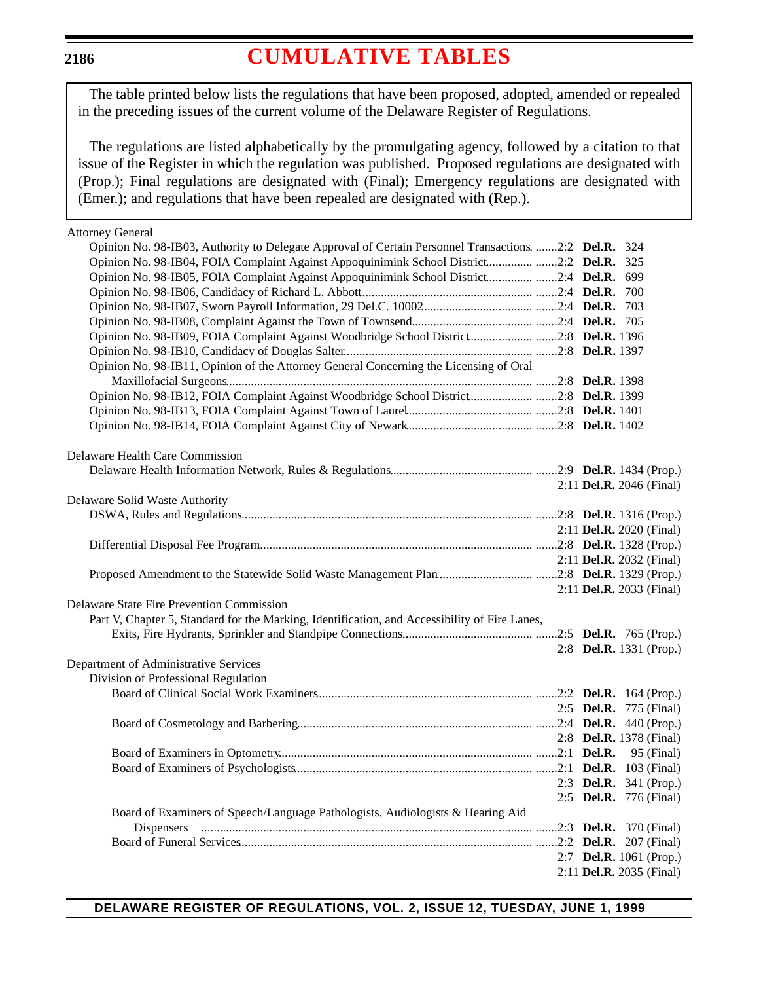## <span id="page-5-0"></span>**2186**

# **[CUMULATIVE TABLES](#page-3-0)**

The table printed below lists the regulations that have been proposed, adopted, amended or repealed in the preceding issues of the current volume of the Delaware Register of Regulations.

The regulations are listed alphabetically by the promulgating agency, followed by a citation to that issue of the Register in which the regulation was published. Proposed regulations are designated with (Prop.); Final regulations are designated with (Final); Emergency regulations are designated with (Emer.); and regulations that have been repealed are designated with (Rep.).

| <b>Attorney General</b>                                                                               |                                 |
|-------------------------------------------------------------------------------------------------------|---------------------------------|
| Opinion No. 98-IB03, Authority to Delegate Approval of Certain Personnel Transactions. 2:2 Del.R. 324 |                                 |
| Opinion No. 98-IB04, FOIA Complaint Against Appoquinimink School District2:2 Del.R. 325               |                                 |
| Opinion No. 98-IB05, FOIA Complaint Against Appoquinimink School District 2:4 Del.R. 699              |                                 |
|                                                                                                       |                                 |
|                                                                                                       |                                 |
|                                                                                                       |                                 |
| Opinion No. 98-IB09, FOIA Complaint Against Woodbridge School District2:8 Del.R. 1396                 |                                 |
|                                                                                                       |                                 |
| Opinion No. 98-IB11, Opinion of the Attorney General Concerning the Licensing of Oral                 |                                 |
|                                                                                                       |                                 |
| Opinion No. 98-IB12, FOIA Complaint Against Woodbridge School District2:8 Del.R. 1399                 |                                 |
|                                                                                                       |                                 |
|                                                                                                       |                                 |
|                                                                                                       |                                 |
| Delaware Health Care Commission                                                                       |                                 |
|                                                                                                       |                                 |
|                                                                                                       | 2:11 Del.R. 2046 (Final)        |
| Delaware Solid Waste Authority                                                                        |                                 |
|                                                                                                       |                                 |
|                                                                                                       | 2:11 Del.R. 2020 (Final)        |
|                                                                                                       |                                 |
|                                                                                                       | 2:11 <b>Del.R.</b> 2032 (Final) |
|                                                                                                       |                                 |
|                                                                                                       | 2:11 Del.R. 2033 (Final)        |
| Delaware State Fire Prevention Commission                                                             |                                 |
| Part V, Chapter 5, Standard for the Marking, Identification, and Accessibility of Fire Lanes,         |                                 |
|                                                                                                       |                                 |
|                                                                                                       | 2:8 <b>Del.R.</b> 1331 (Prop.)  |
| Department of Administrative Services                                                                 |                                 |
| Division of Professional Regulation                                                                   |                                 |
|                                                                                                       |                                 |
|                                                                                                       | 2:5 <b>Del.R.</b> 775 (Final)   |
|                                                                                                       |                                 |
|                                                                                                       | 2:8 <b>Del.R.</b> 1378 (Final)  |
|                                                                                                       |                                 |
|                                                                                                       |                                 |
| 2:3 <b>Del.R.</b> 341 (Prop.)                                                                         |                                 |
|                                                                                                       | 2:5 <b>Del.R.</b> 776 (Final)   |
| Board of Examiners of Speech/Language Pathologists, Audiologists & Hearing Aid                        |                                 |
| Dispensers                                                                                            |                                 |
|                                                                                                       |                                 |
|                                                                                                       | 2:7 Del.R. 1061 (Prop.)         |
|                                                                                                       | 2:11 Del.R. 2035 (Final)        |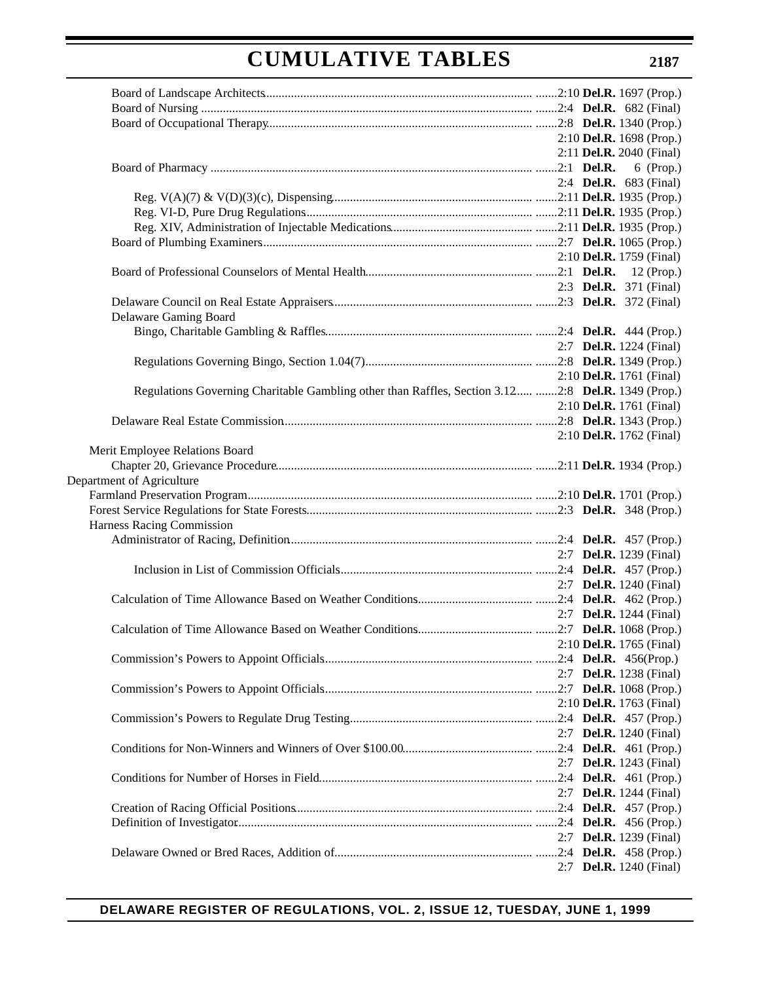|                                                                                                    |                                   | 2:10 Del.R. 1698 (Prop.)        |
|----------------------------------------------------------------------------------------------------|-----------------------------------|---------------------------------|
|                                                                                                    |                                   | 2:11 Del.R. 2040 (Final)        |
|                                                                                                    |                                   | $6$ (Prop.)                     |
|                                                                                                    |                                   | 2:4 <b>Del.R.</b> 683 (Final)   |
|                                                                                                    |                                   |                                 |
|                                                                                                    |                                   |                                 |
|                                                                                                    |                                   |                                 |
|                                                                                                    |                                   |                                 |
|                                                                                                    |                                   | 2:10 <b>Del.R.</b> 1759 (Final) |
|                                                                                                    |                                   |                                 |
|                                                                                                    |                                   |                                 |
|                                                                                                    |                                   | 2:3 Del.R. 371 (Final)          |
|                                                                                                    |                                   |                                 |
| Delaware Gaming Board                                                                              |                                   |                                 |
|                                                                                                    |                                   |                                 |
|                                                                                                    |                                   | 2:7 <b>Del.R.</b> 1224 (Final)  |
|                                                                                                    |                                   |                                 |
|                                                                                                    |                                   | 2:10 Del.R. 1761 (Final)        |
| Regulations Governing Charitable Gambling other than Raffles, Section 3.12 2:8 Del.R. 1349 (Prop.) |                                   |                                 |
|                                                                                                    |                                   | 2:10 Del.R. 1761 (Final)        |
|                                                                                                    |                                   |                                 |
|                                                                                                    |                                   | 2:10 Del.R. 1762 (Final)        |
| Merit Employee Relations Board                                                                     |                                   |                                 |
|                                                                                                    |                                   |                                 |
| Department of Agriculture                                                                          |                                   |                                 |
|                                                                                                    |                                   |                                 |
|                                                                                                    |                                   |                                 |
| Harness Racing Commission                                                                          |                                   |                                 |
|                                                                                                    |                                   |                                 |
|                                                                                                    |                                   | 2:7 <b>Del.R.</b> 1239 (Final)  |
|                                                                                                    |                                   |                                 |
|                                                                                                    |                                   | 2:7 <b>Del.R.</b> 1240 (Final)  |
|                                                                                                    |                                   |                                 |
|                                                                                                    |                                   | 2:7 <b>Del.R.</b> 1244 (Final)  |
|                                                                                                    |                                   |                                 |
|                                                                                                    | $2:10$ <b>Del.R.</b> 1765 (Final) |                                 |
|                                                                                                    |                                   |                                 |
|                                                                                                    |                                   | 2:7 <b>Del.R.</b> 1238 (Final)  |
|                                                                                                    |                                   |                                 |
|                                                                                                    |                                   |                                 |
|                                                                                                    |                                   | 2:10 Del.R. 1763 (Final)        |
|                                                                                                    |                                   |                                 |
|                                                                                                    |                                   | 2:7 Del.R. 1240 (Final)         |
|                                                                                                    |                                   |                                 |
|                                                                                                    |                                   | 2:7 <b>Del.R.</b> 1243 (Final)  |
|                                                                                                    |                                   |                                 |
|                                                                                                    |                                   | 2:7 Del.R. 1244 (Final)         |
|                                                                                                    |                                   |                                 |
|                                                                                                    |                                   |                                 |
|                                                                                                    |                                   | 2:7 Del.R. 1239 (Final)         |
|                                                                                                    |                                   |                                 |
|                                                                                                    |                                   | 2:7 Del.R. 1240 (Final)         |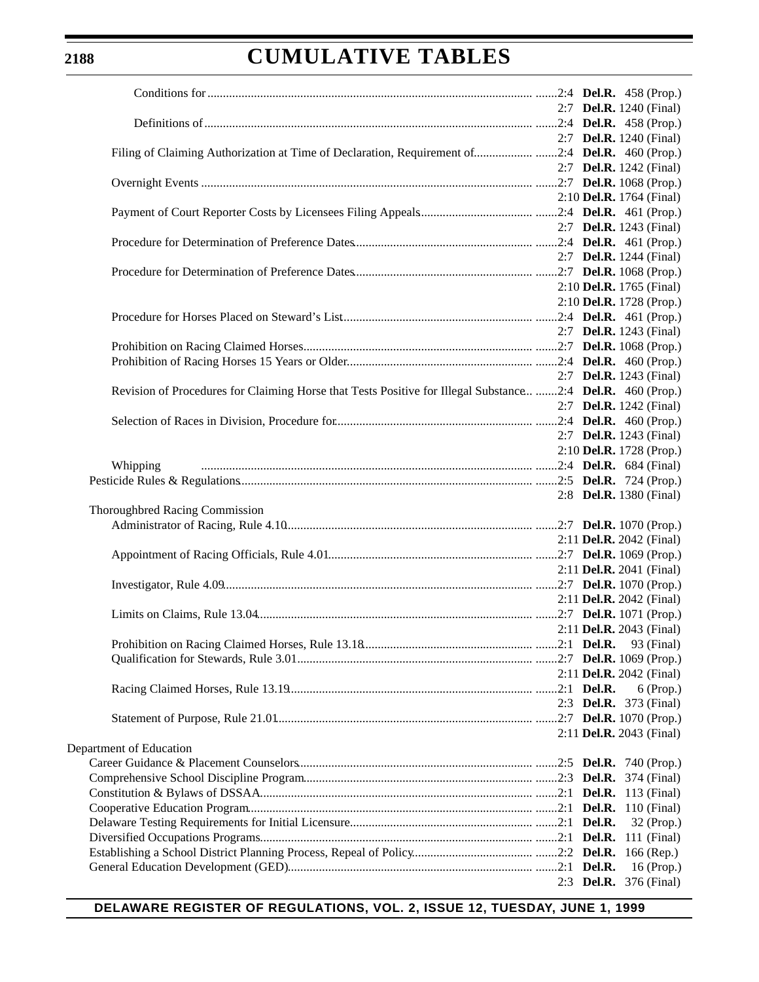|                                                                                                                                                           | 2:7 <b>Del.R.</b> 1240 (Final)               |
|-----------------------------------------------------------------------------------------------------------------------------------------------------------|----------------------------------------------|
|                                                                                                                                                           |                                              |
|                                                                                                                                                           | 2:7 <b>Del.R.</b> 1240 (Final)               |
| Filing of Claiming Authorization at Time of Declaration, Requirement of2:4 Del.R. 460 (Prop.)                                                             |                                              |
|                                                                                                                                                           | 2:7 <b>Del.R.</b> 1242 (Final)               |
|                                                                                                                                                           |                                              |
|                                                                                                                                                           | 2:10 Del.R. 1764 (Final)                     |
|                                                                                                                                                           |                                              |
|                                                                                                                                                           | 2:7 <b>Del.R.</b> 1243 (Final)               |
|                                                                                                                                                           |                                              |
|                                                                                                                                                           | 2:7 <b>Del.R.</b> 1244 (Final)               |
|                                                                                                                                                           |                                              |
|                                                                                                                                                           | 2:10 Del.R. 1765 (Final)                     |
|                                                                                                                                                           |                                              |
|                                                                                                                                                           | 2:10 Del.R. 1728 (Prop.)                     |
|                                                                                                                                                           |                                              |
|                                                                                                                                                           | 2:7 <b>Del.R.</b> 1243 (Final)               |
|                                                                                                                                                           |                                              |
|                                                                                                                                                           |                                              |
|                                                                                                                                                           | 2:7 <b>Del.R.</b> 1243 (Final)               |
| Revision of Procedures for Claiming Horse that Tests Positive for Illegal Substance  2:4 Del.R. 460 (Prop.)                                               |                                              |
|                                                                                                                                                           | 2:7 <b>Del.R.</b> 1242 (Final)               |
| 2: Det.K. 1242 (Final)<br>Selection of Races in Division, Procedure for <i>Selection</i> of Races in Division, Procedure for <i>Selection Communition</i> |                                              |
|                                                                                                                                                           | 2:7 Del.R. 1243 (Final)                      |
|                                                                                                                                                           | 2:10 Del.R. 1728 (Prop.)                     |
| Whipping                                                                                                                                                  |                                              |
|                                                                                                                                                           |                                              |
|                                                                                                                                                           | 2:8 Del.R. 1380 (Final)                      |
| Thoroughbred Racing Commission                                                                                                                            |                                              |
|                                                                                                                                                           |                                              |
|                                                                                                                                                           | 2:11 Del.R. 2042 (Final)                     |
|                                                                                                                                                           |                                              |
|                                                                                                                                                           | 2:11 Del.R. 2041 (Final)                     |
|                                                                                                                                                           |                                              |
|                                                                                                                                                           | 2:11 Del.R. 2042 (Final)                     |
|                                                                                                                                                           |                                              |
|                                                                                                                                                           | 2:11 Del.R. 2043 (Final)                     |
|                                                                                                                                                           |                                              |
|                                                                                                                                                           |                                              |
|                                                                                                                                                           | 2:11 <b>Del.R.</b> 2042 (Final)              |
|                                                                                                                                                           |                                              |
|                                                                                                                                                           | $6$ (Prop.)<br>2:3 <b>Del.R.</b> 373 (Final) |
|                                                                                                                                                           |                                              |
|                                                                                                                                                           |                                              |
|                                                                                                                                                           | 2:11 Del.R. 2043 (Final)                     |
| Department of Education                                                                                                                                   |                                              |
|                                                                                                                                                           |                                              |
|                                                                                                                                                           |                                              |
|                                                                                                                                                           |                                              |
|                                                                                                                                                           |                                              |
|                                                                                                                                                           | 32 (Prop.)                                   |
|                                                                                                                                                           |                                              |
|                                                                                                                                                           |                                              |
|                                                                                                                                                           | 16 (Prop.)                                   |
|                                                                                                                                                           | 2:3 <b>Del.R.</b> 376 (Final)                |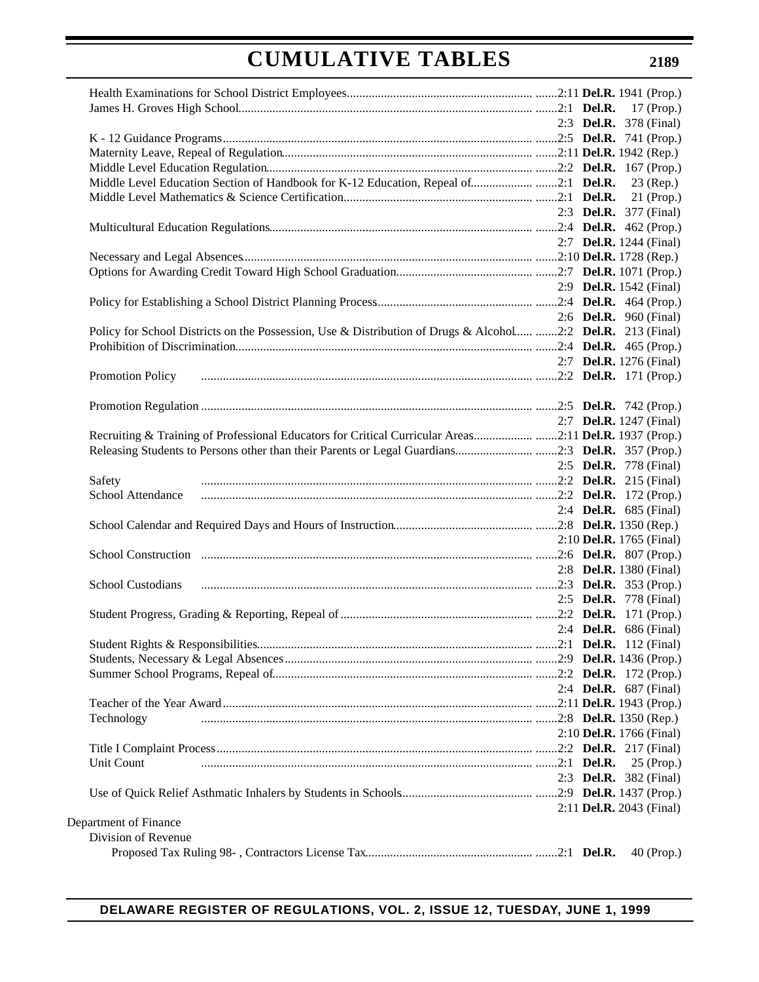|                                                                                                             | 2:3 <b>Del.R.</b> 378 (Final)  |              |
|-------------------------------------------------------------------------------------------------------------|--------------------------------|--------------|
|                                                                                                             |                                |              |
|                                                                                                             |                                |              |
|                                                                                                             |                                |              |
| Middle Level Education Section of Handbook for K-12 Education, Repeal of2:1 Del.R.                          |                                | 23 (Rep.)    |
|                                                                                                             |                                |              |
|                                                                                                             | 2:3 <b>Del.R.</b> 377 (Final)  |              |
|                                                                                                             |                                |              |
|                                                                                                             | 2:7 <b>Del.R.</b> 1244 (Final) |              |
|                                                                                                             |                                |              |
|                                                                                                             |                                |              |
|                                                                                                             | 2:9 <b>Del.R.</b> 1542 (Final) |              |
|                                                                                                             |                                |              |
|                                                                                                             | 2:6 <b>Del.R.</b> 960 (Final)  |              |
| Policy for School Districts on the Possession, Use & Distribution of Drugs & Alcohol 2:2 Del.R. 213 (Final) |                                |              |
|                                                                                                             |                                |              |
|                                                                                                             | 2:7 <b>Del.R.</b> 1276 (Final) |              |
|                                                                                                             |                                |              |
| Promotion Policy                                                                                            |                                |              |
|                                                                                                             |                                |              |
|                                                                                                             |                                |              |
|                                                                                                             | 2:7 <b>Del.R.</b> 1247 (Final) |              |
| Recruiting & Training of Professional Educators for Critical Curricular Areas2:11 Del.R. 1937 (Prop.)       |                                |              |
|                                                                                                             |                                |              |
|                                                                                                             | 2:5 <b>Del.R.</b> 778 (Final)  |              |
| Safety                                                                                                      |                                |              |
| School Attendance                                                                                           |                                |              |
|                                                                                                             | 2:4 <b>Del.R.</b> 685 (Final)  |              |
|                                                                                                             |                                |              |
|                                                                                                             | 2:10 Del.R. 1765 (Final)       |              |
|                                                                                                             |                                |              |
|                                                                                                             | 2:8 Del.R. 1380 (Final)        |              |
| School Custodians                                                                                           |                                |              |
|                                                                                                             | 2:5 <b>Del.R.</b> 778 (Final)  |              |
|                                                                                                             |                                |              |
|                                                                                                             | 2:4 Del.R. 686 (Final)         |              |
|                                                                                                             |                                |              |
|                                                                                                             |                                |              |
|                                                                                                             |                                |              |
|                                                                                                             | 2:4 <b>Del.R.</b> 687 (Final)  |              |
|                                                                                                             |                                |              |
|                                                                                                             |                                |              |
| Technology                                                                                                  |                                |              |
|                                                                                                             | 2:10 Del.R. 1766 (Final)       |              |
|                                                                                                             |                                |              |
| Unit Count                                                                                                  |                                | $25$ (Prop.) |
|                                                                                                             | 2:3 Del.R. 382 (Final)         |              |
|                                                                                                             |                                |              |
|                                                                                                             | 2:11 Del.R. 2043 (Final)       |              |
| Department of Finance                                                                                       |                                |              |
| Division of Revenue                                                                                         |                                |              |
|                                                                                                             |                                | 40 (Prop.)   |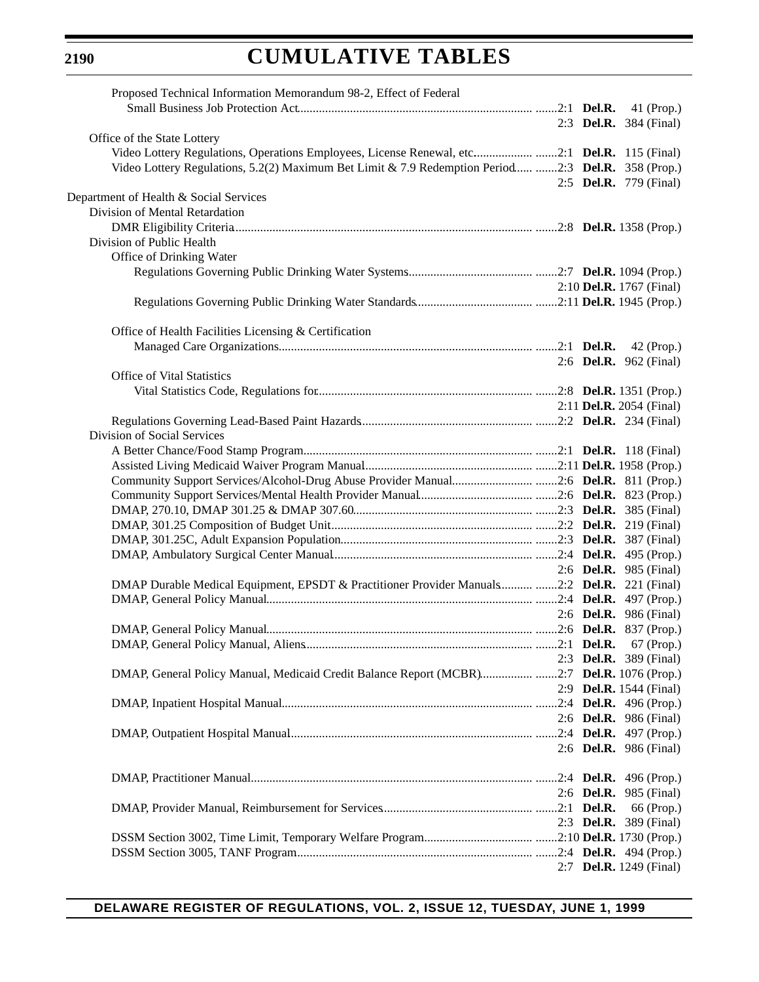| Proposed Technical Information Memorandum 98-2, Effect of Federal                                                                                                                         |                                 |            |
|-------------------------------------------------------------------------------------------------------------------------------------------------------------------------------------------|---------------------------------|------------|
|                                                                                                                                                                                           |                                 |            |
|                                                                                                                                                                                           | 2:3 <b>Del.R.</b> 384 (Final)   |            |
| Office of the State Lottery                                                                                                                                                               |                                 |            |
| Video Lottery Regulations, Operations Employees, License Renewal, etc2:1 Del.R. 115 (Final)                                                                                               |                                 |            |
| Video Lottery Regulations, 5.2(2) Maximum Bet Limit & 7.9 Redemption Period 2:3 Del.R. 358 (Prop.)                                                                                        |                                 |            |
|                                                                                                                                                                                           | 2:5 <b>Del.R.</b> 779 (Final)   |            |
| Department of Health & Social Services                                                                                                                                                    |                                 |            |
| Division of Mental Retardation                                                                                                                                                            |                                 |            |
|                                                                                                                                                                                           |                                 |            |
| Division of Public Health                                                                                                                                                                 |                                 |            |
| Office of Drinking Water                                                                                                                                                                  |                                 |            |
|                                                                                                                                                                                           |                                 |            |
|                                                                                                                                                                                           |                                 |            |
|                                                                                                                                                                                           | 2:10 Del.R. 1767 (Final)        |            |
|                                                                                                                                                                                           |                                 |            |
|                                                                                                                                                                                           |                                 |            |
| Office of Health Facilities Licensing & Certification                                                                                                                                     |                                 |            |
|                                                                                                                                                                                           |                                 |            |
|                                                                                                                                                                                           | 2:6 <b>Del.R.</b> 962 (Final)   |            |
| Office of Vital Statistics                                                                                                                                                                |                                 |            |
| Vital Statistics Code, Regulations for <i>manufacture contraction</i> and the contract of the Statistics Code, Regulations for <i>manufacture contraction</i> and 2:8 Del.R. 1351 (Prop.) |                                 |            |
|                                                                                                                                                                                           | 2:11 <b>Del.R.</b> 2054 (Final) |            |
|                                                                                                                                                                                           |                                 |            |
| Division of Social Services                                                                                                                                                               |                                 |            |
|                                                                                                                                                                                           |                                 |            |
|                                                                                                                                                                                           |                                 |            |
| Community Support Services/Alcohol-Drug Abuse Provider Manual2:6 Del.R. 811 (Prop.)                                                                                                       |                                 |            |
|                                                                                                                                                                                           |                                 |            |
|                                                                                                                                                                                           |                                 |            |
|                                                                                                                                                                                           |                                 |            |
|                                                                                                                                                                                           |                                 |            |
|                                                                                                                                                                                           |                                 |            |
|                                                                                                                                                                                           |                                 |            |
|                                                                                                                                                                                           | 2:6 <b>Del.R.</b> 985 (Final)   |            |
| DMAP Durable Medical Equipment, EPSDT & Practitioner Provider Manuals 2:2 Del.R. 221 (Final)                                                                                              |                                 |            |
|                                                                                                                                                                                           |                                 |            |
|                                                                                                                                                                                           | 2:6 <b>Del.R.</b> 986 (Final)   |            |
|                                                                                                                                                                                           |                                 |            |
|                                                                                                                                                                                           |                                 |            |
|                                                                                                                                                                                           | 2:3 <b>Del.R.</b> 389 (Final)   |            |
| DMAP, General Policy Manual, Medicaid Credit Balance Report (MCBR)2:7 Del.R. 1076 (Prop.)                                                                                                 |                                 |            |
|                                                                                                                                                                                           | 2:9 <b>Del.R.</b> 1544 (Final)  |            |
|                                                                                                                                                                                           |                                 |            |
|                                                                                                                                                                                           | 2:6 Del.R. 986 (Final)          |            |
|                                                                                                                                                                                           |                                 |            |
|                                                                                                                                                                                           | 2:6 <b>Del.R.</b> 986 (Final)   |            |
|                                                                                                                                                                                           |                                 |            |
|                                                                                                                                                                                           |                                 |            |
|                                                                                                                                                                                           | 2:6 <b>Del.R.</b> 985 (Final)   |            |
|                                                                                                                                                                                           |                                 | 66 (Prop.) |
|                                                                                                                                                                                           | 2:3 <b>Del.R.</b> 389 (Final)   |            |
|                                                                                                                                                                                           |                                 |            |
|                                                                                                                                                                                           |                                 |            |
|                                                                                                                                                                                           |                                 |            |
|                                                                                                                                                                                           | 2:7 Del.R. 1249 (Final)         |            |

# **DELAWARE REGISTER OF REGULATIONS, VOL. 2, ISSUE 12, TUESDAY, JUNE 1, 1999**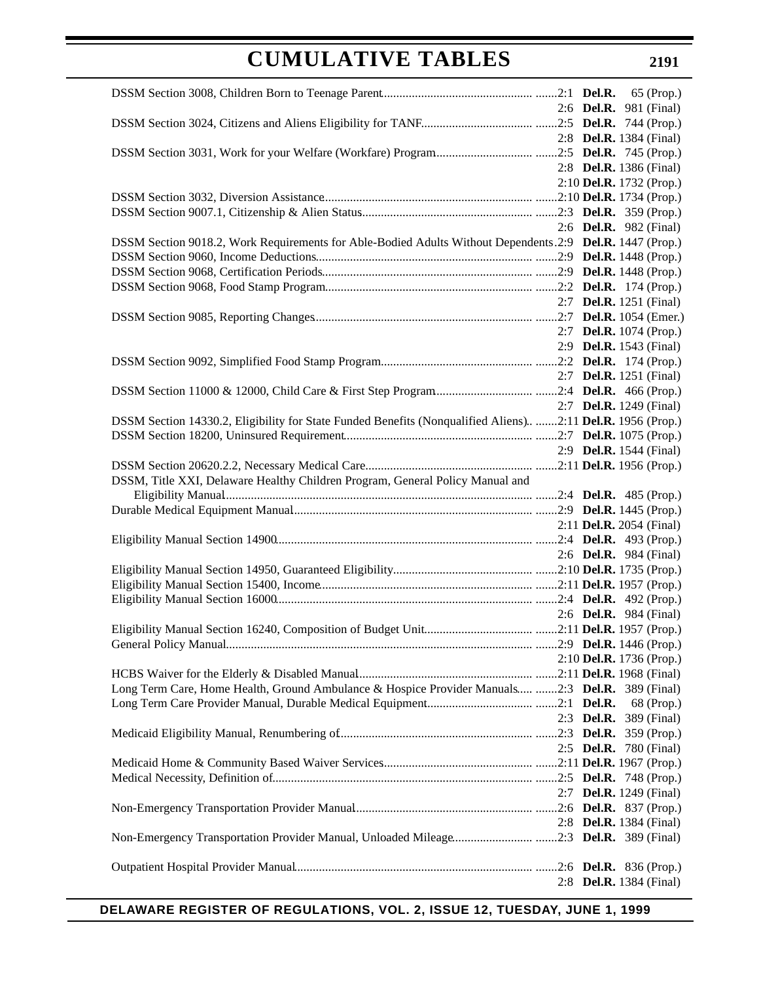|                                                                                                            | 2:6 <b>Del.R.</b> 981 (Final)  |            |
|------------------------------------------------------------------------------------------------------------|--------------------------------|------------|
|                                                                                                            |                                |            |
|                                                                                                            | 2:8 Del.R. 1384 (Final)        |            |
|                                                                                                            |                                |            |
|                                                                                                            | 2:8 Del.R. 1386 (Final)        |            |
|                                                                                                            | 2:10 Del.R. 1732 (Prop.)       |            |
|                                                                                                            |                                |            |
|                                                                                                            |                                |            |
|                                                                                                            | 2:6 <b>Del.R.</b> 982 (Final)  |            |
| DSSM Section 9018.2, Work Requirements for Able-Bodied Adults Without Dependents.2:9 Del.R. 1447 (Prop.)   |                                |            |
|                                                                                                            |                                |            |
|                                                                                                            |                                |            |
|                                                                                                            |                                |            |
|                                                                                                            | 2:7 <b>Del.R.</b> 1251 (Final) |            |
|                                                                                                            |                                |            |
|                                                                                                            | 2:7 Del.R. 1074 (Prop.)        |            |
|                                                                                                            | 2:9 Del.R. 1543 (Final)        |            |
|                                                                                                            |                                |            |
|                                                                                                            | 2:7 <b>Del.R.</b> 1251 (Final) |            |
|                                                                                                            |                                |            |
|                                                                                                            | 2:7 <b>Del.R.</b> 1249 (Final) |            |
| DSSM Section 14330.2, Eligibility for State Funded Benefits (Nonqualified Aliens) 2:11 Del.R. 1956 (Prop.) |                                |            |
|                                                                                                            |                                |            |
|                                                                                                            | 2:9 <b>Del.R.</b> 1544 (Final) |            |
|                                                                                                            |                                |            |
| DSSM, Title XXI, Delaware Healthy Children Program, General Policy Manual and                              |                                |            |
|                                                                                                            |                                |            |
|                                                                                                            |                                |            |
|                                                                                                            | 2:11 Del.R. 2054 (Final)       |            |
|                                                                                                            | 2:6 <b>Del.R.</b> 984 (Final)  |            |
|                                                                                                            |                                |            |
|                                                                                                            |                                |            |
|                                                                                                            |                                |            |
|                                                                                                            | 2:6 <b>Del.R.</b> 984 (Final)  |            |
|                                                                                                            |                                |            |
|                                                                                                            |                                |            |
|                                                                                                            | 2:10 Del.R. 1736 (Prop.)       |            |
|                                                                                                            |                                |            |
| Long Term Care, Home Health, Ground Ambulance & Hospice Provider Manuals 2:3 Del.R. 389 (Final)            |                                |            |
|                                                                                                            |                                | 68 (Prop.) |
|                                                                                                            | 2:3 Del.R. 389 (Final)         |            |
|                                                                                                            |                                |            |
|                                                                                                            | 2:5 <b>Del.R.</b> 780 (Final)  |            |
|                                                                                                            |                                |            |
|                                                                                                            |                                |            |
|                                                                                                            | 2:7 <b>Del.R.</b> 1249 (Final) |            |
|                                                                                                            |                                |            |
|                                                                                                            | 2:8 <b>Del.R.</b> 1384 (Final) |            |
| Non-Emergency Transportation Provider Manual, Unloaded Mileage2:3 Del.R. 389 (Final)                       |                                |            |
|                                                                                                            |                                |            |
|                                                                                                            |                                |            |
|                                                                                                            | 2:8 <b>Del.R.</b> 1384 (Final) |            |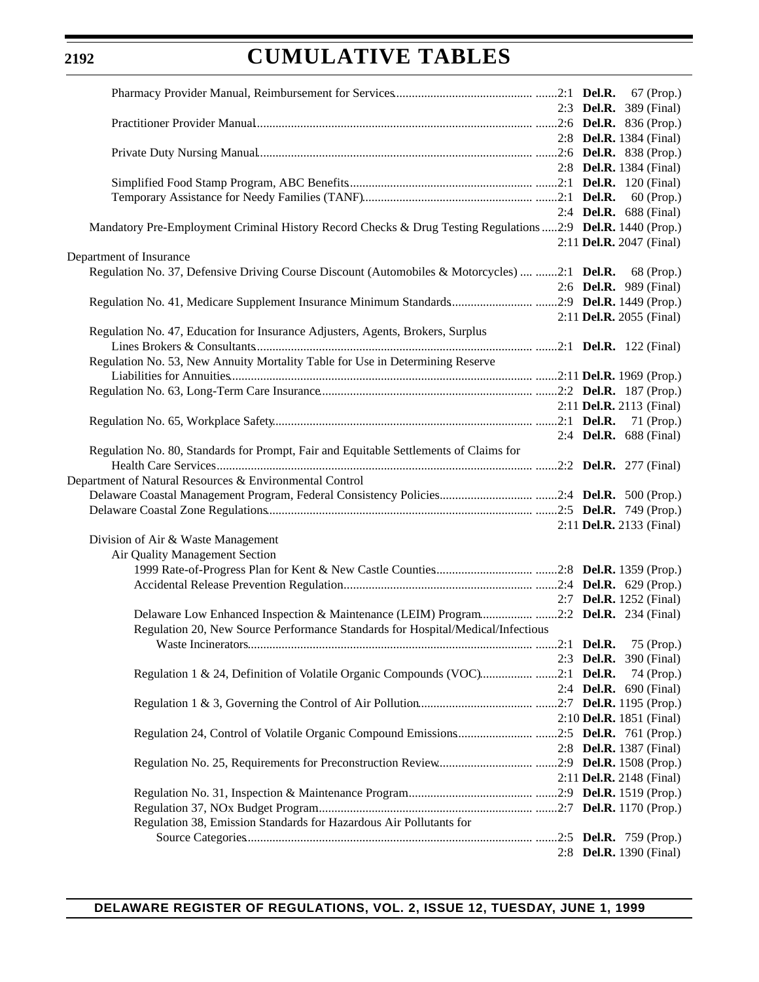## **2192**

# **CUMULATIVE TABLES**

|                                                                                                                                                                        | 2:3 <b>Del.R.</b> 389 (Final)  |
|------------------------------------------------------------------------------------------------------------------------------------------------------------------------|--------------------------------|
|                                                                                                                                                                        |                                |
|                                                                                                                                                                        | 2:8 <b>Del.R.</b> 1384 (Final) |
|                                                                                                                                                                        |                                |
|                                                                                                                                                                        | 2:8 <b>Del.R.</b> 1384 (Final) |
|                                                                                                                                                                        |                                |
|                                                                                                                                                                        |                                |
|                                                                                                                                                                        | 2:4 <b>Del.R.</b> 688 (Final)  |
| Mandatory Pre-Employment Criminal History Record Checks & Drug Testing Regulations 2:9 Del.R. 1440 (Prop.)                                                             |                                |
|                                                                                                                                                                        | 2:11 Del.R. 2047 (Final)       |
| Department of Insurance                                                                                                                                                |                                |
| Regulation No. 37, Defensive Driving Course Discount (Automobiles & Motorcycles)  2:1 Del.R. 68 (Prop.)                                                                |                                |
|                                                                                                                                                                        | 2:6 <b>Del.R.</b> 989 (Final)  |
|                                                                                                                                                                        | 2:11 Del.R. 2055 (Final)       |
| Regulation No. 47, Education for Insurance Adjusters, Agents, Brokers, Surplus                                                                                         |                                |
|                                                                                                                                                                        |                                |
| Regulation No. 53, New Annuity Mortality Table for Use in Determining Reserve                                                                                          |                                |
|                                                                                                                                                                        |                                |
|                                                                                                                                                                        |                                |
|                                                                                                                                                                        | 2:11 Del.R. 2113 (Final)       |
|                                                                                                                                                                        |                                |
|                                                                                                                                                                        | 2:4 Del.R. 688 (Final)         |
| Regulation No. 80, Standards for Prompt, Fair and Equitable Settlements of Claims for                                                                                  |                                |
|                                                                                                                                                                        |                                |
| Department of Natural Resources & Environmental Control                                                                                                                |                                |
|                                                                                                                                                                        |                                |
|                                                                                                                                                                        |                                |
|                                                                                                                                                                        | 2:11 Del.R. 2133 (Final)       |
| Division of Air & Waste Management                                                                                                                                     |                                |
| Air Quality Management Section                                                                                                                                         |                                |
|                                                                                                                                                                        |                                |
|                                                                                                                                                                        |                                |
|                                                                                                                                                                        | 2:7 <b>Del.R.</b> 1252 (Final) |
| Delaware Low Enhanced Inspection & Maintenance (LEIM) Program2:2 Del.R. 234 (Final)<br>Regulation 20, New Source Performance Standards for Hospital/Medical/Infectious |                                |
|                                                                                                                                                                        | 75 (Prop.)                     |
|                                                                                                                                                                        | 2:3 <b>Del.R.</b> 390 (Final)  |
| Regulation 1 & 24, Definition of Volatile Organic Compounds (VOC)2:1 Del.R.                                                                                            | 74 (Prop.)                     |
|                                                                                                                                                                        | 2:4 <b>Del.R.</b> 690 (Final)  |
|                                                                                                                                                                        |                                |
|                                                                                                                                                                        | 2:10 Del.R. 1851 (Final)       |
|                                                                                                                                                                        |                                |
|                                                                                                                                                                        | 2:8 <b>Del.R.</b> 1387 (Final) |
|                                                                                                                                                                        |                                |
|                                                                                                                                                                        | 2:11 Del.R. 2148 (Final)       |
|                                                                                                                                                                        |                                |
|                                                                                                                                                                        |                                |
| Regulation 38, Emission Standards for Hazardous Air Pollutants for                                                                                                     |                                |
|                                                                                                                                                                        |                                |
|                                                                                                                                                                        | 2:8 <b>Del.R.</b> 1390 (Final) |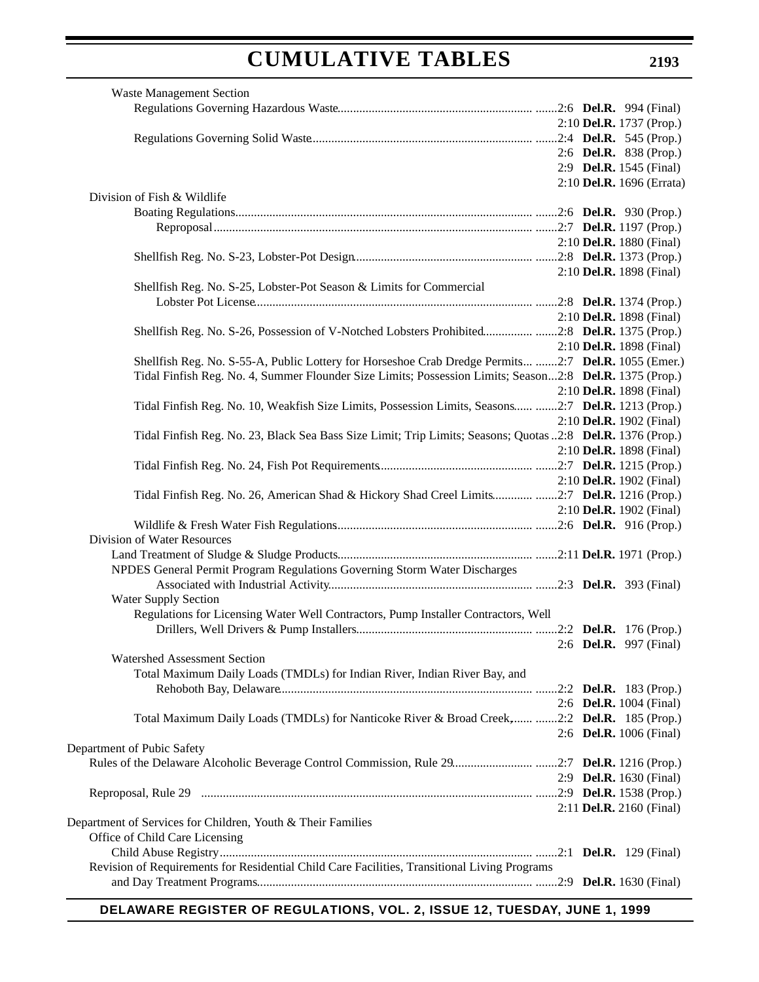| <b>Waste Management Section</b>                                                                            |                          |                                |
|------------------------------------------------------------------------------------------------------------|--------------------------|--------------------------------|
|                                                                                                            |                          |                                |
|                                                                                                            |                          | 2:10 Del.R. 1737 (Prop.)       |
|                                                                                                            |                          |                                |
|                                                                                                            |                          | 2:6 Del.R. 838 (Prop.)         |
|                                                                                                            |                          | 2:9 <b>Del.R.</b> 1545 (Final) |
|                                                                                                            |                          | 2:10 Del.R. 1696 (Errata)      |
| Division of Fish & Wildlife                                                                                |                          |                                |
|                                                                                                            |                          |                                |
|                                                                                                            |                          |                                |
|                                                                                                            | 2:10 Del.R. 1880 (Final) |                                |
|                                                                                                            |                          |                                |
|                                                                                                            | 2:10 Del.R. 1898 (Final) |                                |
| Shellfish Reg. No. S-25, Lobster-Pot Season & Limits for Commercial                                        |                          |                                |
|                                                                                                            |                          |                                |
|                                                                                                            | 2:10 Del.R. 1898 (Final) |                                |
| Shellfish Reg. No. S-26, Possession of V-Notched Lobsters Prohibited2:8 Del.R. 1375 (Prop.)                |                          |                                |
|                                                                                                            | 2:10 Del.R. 1898 (Final) |                                |
| Shellfish Reg. No. S-55-A, Public Lottery for Horseshoe Crab Dredge Permits 2:7 Del.R. 1055 (Emer.)        |                          |                                |
| Tidal Finfish Reg. No. 4, Summer Flounder Size Limits; Possession Limits; Season2:8 Del.R. 1375 (Prop.)    |                          |                                |
|                                                                                                            | 2:10 Del.R. 1898 (Final) |                                |
| Tidal Finfish Reg. No. 10, Weakfish Size Limits, Possession Limits, Seasons 2:7 Del.R. 1213 (Prop.)        |                          |                                |
|                                                                                                            | 2:10 Del.R. 1902 (Final) |                                |
| Tidal Finfish Reg. No. 23, Black Sea Bass Size Limit; Trip Limits; Seasons; Quotas 2:8 Del.R. 1376 (Prop.) |                          |                                |
|                                                                                                            | 2:10 Del.R. 1898 (Final) |                                |
|                                                                                                            |                          |                                |
|                                                                                                            | 2:10 Del.R. 1902 (Final) |                                |
| Tidal Finfish Reg. No. 26, American Shad & Hickory Shad Creel Limits 2:7 Del.R. 1216 (Prop.)               |                          |                                |
|                                                                                                            | 2:10 Del.R. 1902 (Final) |                                |
|                                                                                                            |                          |                                |
| Division of Water Resources                                                                                |                          |                                |
|                                                                                                            |                          |                                |
| NPDES General Permit Program Regulations Governing Storm Water Discharges                                  |                          |                                |
|                                                                                                            |                          |                                |
| <b>Water Supply Section</b>                                                                                |                          |                                |
| Regulations for Licensing Water Well Contractors, Pump Installer Contractors, Well                         |                          |                                |
|                                                                                                            |                          |                                |
| 2:6 <b>Del.R.</b> 997 (Final)                                                                              |                          |                                |
| Watershed Assessment Section                                                                               |                          |                                |
| Total Maximum Daily Loads (TMDLs) for Indian River, Indian River Bay, and                                  |                          |                                |
|                                                                                                            |                          |                                |
|                                                                                                            | 2:6 Del.R. 1004 (Final)  |                                |
| Total Maximum Daily Loads (TMDLs) for Nanticoke River & Broad Creek, 2:2 Del.R. 185 (Prop.)                |                          |                                |
|                                                                                                            | 2:6 Del.R. 1006 (Final)  |                                |
| Department of Pubic Safety                                                                                 |                          |                                |
|                                                                                                            |                          |                                |
|                                                                                                            |                          |                                |
|                                                                                                            | 2:9 Del.R. 1630 (Final)  |                                |
|                                                                                                            |                          |                                |
|                                                                                                            | 2:11 Del.R. 2160 (Final) |                                |
| Department of Services for Children, Youth & Their Families                                                |                          |                                |
| Office of Child Care Licensing                                                                             |                          |                                |
|                                                                                                            |                          |                                |
| Revision of Requirements for Residential Child Care Facilities, Transitional Living Programs               |                          |                                |
|                                                                                                            |                          |                                |
|                                                                                                            |                          |                                |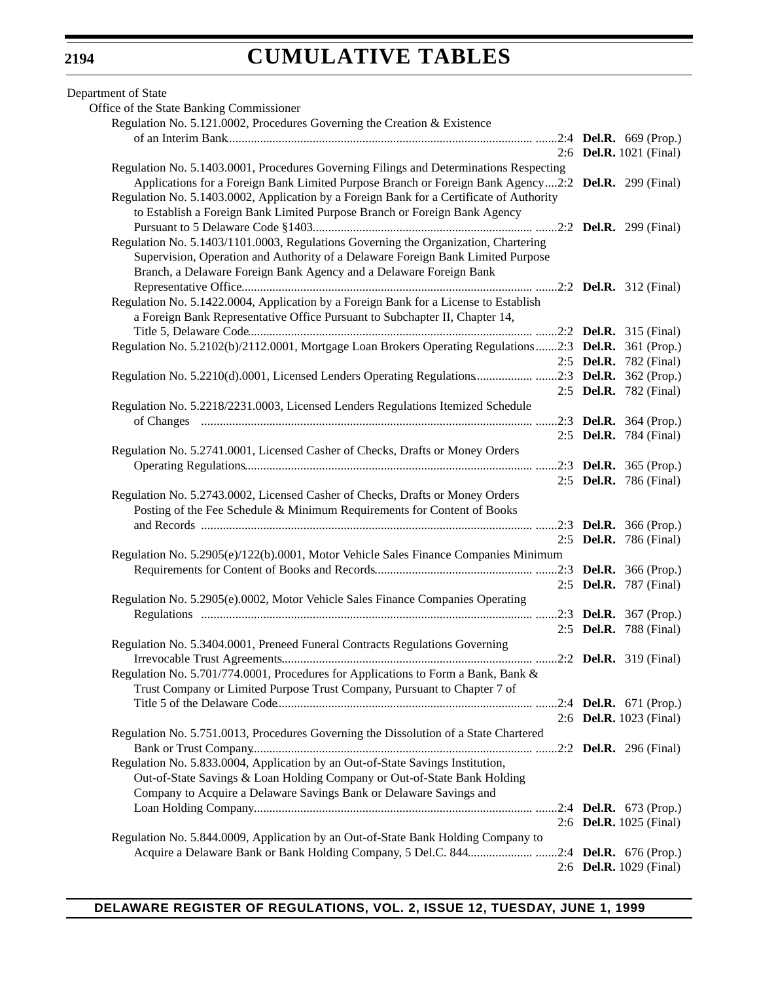| Department of State                                                                                   |                               |
|-------------------------------------------------------------------------------------------------------|-------------------------------|
| Office of the State Banking Commissioner                                                              |                               |
| Regulation No. 5.121.0002, Procedures Governing the Creation & Existence                              |                               |
|                                                                                                       |                               |
|                                                                                                       | 2:6 Del.R. 1021 (Final)       |
| Regulation No. 5.1403.0001, Procedures Governing Filings and Determinations Respecting                |                               |
| Applications for a Foreign Bank Limited Purpose Branch or Foreign Bank Agency2:2 Del.R. 299 (Final)   |                               |
| Regulation No. 5.1403.0002, Application by a Foreign Bank for a Certificate of Authority              |                               |
| to Establish a Foreign Bank Limited Purpose Branch or Foreign Bank Agency                             |                               |
|                                                                                                       |                               |
| Regulation No. 5.1403/1101.0003, Regulations Governing the Organization, Chartering                   |                               |
| Supervision, Operation and Authority of a Delaware Foreign Bank Limited Purpose                       |                               |
| Branch, a Delaware Foreign Bank Agency and a Delaware Foreign Bank                                    |                               |
|                                                                                                       |                               |
| Regulation No. 5.1422.0004, Application by a Foreign Bank for a License to Establish                  |                               |
| a Foreign Bank Representative Office Pursuant to Subchapter II, Chapter 14,                           |                               |
|                                                                                                       |                               |
| Regulation No. 5.2102(b)/2112.0001, Mortgage Loan Brokers Operating Regulations2:3 Del.R. 361 (Prop.) |                               |
|                                                                                                       | 2:5 <b>Del.R.</b> 782 (Final) |
| Regulation No. 5.2210(d).0001, Licensed Lenders Operating Regulations2:3 Del.R. 362 (Prop.)           |                               |
|                                                                                                       |                               |
|                                                                                                       | 2:5 Del.R. 782 (Final)        |
| Regulation No. 5.2218/2231.0003, Licensed Lenders Regulations Itemized Schedule                       |                               |
|                                                                                                       |                               |
|                                                                                                       | 2:5 <b>Del.R.</b> 784 (Final) |
| Regulation No. 5.2741.0001, Licensed Casher of Checks, Drafts or Money Orders                         |                               |
|                                                                                                       |                               |
|                                                                                                       | 2:5 Del.R. 786 (Final)        |
| Regulation No. 5.2743.0002, Licensed Casher of Checks, Drafts or Money Orders                         |                               |
| Posting of the Fee Schedule & Minimum Requirements for Content of Books                               |                               |
|                                                                                                       |                               |
|                                                                                                       | 2:5 Del.R. 786 (Final)        |
| Regulation No. 5.2905(e)/122(b).0001, Motor Vehicle Sales Finance Companies Minimum                   |                               |
|                                                                                                       |                               |
|                                                                                                       | 2:5 Del.R. 787 (Final)        |
| Regulation No. 5.2905(e).0002, Motor Vehicle Sales Finance Companies Operating                        |                               |
|                                                                                                       | 2:3 <b>Del.R.</b> 367 (Prop.) |
|                                                                                                       | 2:5 Del.R. 788 (Final)        |
| Regulation No. 5.3404.0001, Preneed Funeral Contracts Regulations Governing                           |                               |
|                                                                                                       |                               |
| Regulation No. 5.701/774.0001, Procedures for Applications to Form a Bank, Bank &                     |                               |
| Trust Company or Limited Purpose Trust Company, Pursuant to Chapter 7 of                              |                               |
|                                                                                                       |                               |
|                                                                                                       | 2:6 Del.R. 1023 (Final)       |
| Regulation No. 5.751.0013, Procedures Governing the Dissolution of a State Chartered                  |                               |
|                                                                                                       |                               |
| Regulation No. 5.833.0004, Application by an Out-of-State Savings Institution,                        |                               |
| Out-of-State Savings & Loan Holding Company or Out-of-State Bank Holding                              |                               |
| Company to Acquire a Delaware Savings Bank or Delaware Savings and                                    |                               |
|                                                                                                       |                               |
|                                                                                                       | 2:6 Del.R. 1025 (Final)       |
| Regulation No. 5.844.0009, Application by an Out-of-State Bank Holding Company to                     |                               |
| Acquire a Delaware Bank or Bank Holding Company, 5 Del.C. 8442:4 Del.R. 676 (Prop.)                   |                               |
|                                                                                                       | 2:6 Del.R. 1029 (Final)       |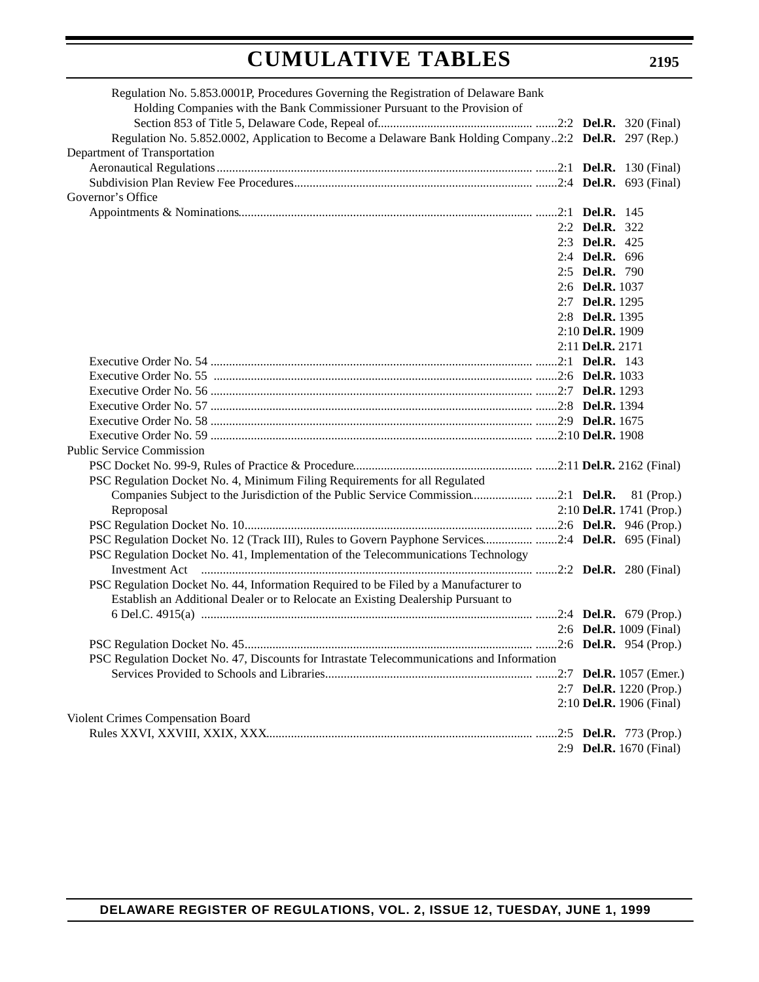| Regulation No. 5.853.0001P, Procedures Governing the Registration of Delaware Bank                    |                  |                                |
|-------------------------------------------------------------------------------------------------------|------------------|--------------------------------|
| Holding Companies with the Bank Commissioner Pursuant to the Provision of                             |                  |                                |
|                                                                                                       |                  |                                |
| Regulation No. 5.852.0002, Application to Become a Delaware Bank Holding Company2:2 Del.R. 297 (Rep.) |                  |                                |
| Department of Transportation                                                                          |                  |                                |
|                                                                                                       |                  |                                |
|                                                                                                       |                  |                                |
| Governor's Office                                                                                     |                  |                                |
|                                                                                                       |                  |                                |
|                                                                                                       | 2:2 Del.R. 322   |                                |
|                                                                                                       | 2:3 Del.R. 425   |                                |
|                                                                                                       | 2:4 Del.R. 696   |                                |
|                                                                                                       | 2:5 Del.R. 790   |                                |
|                                                                                                       | 2:6 Del.R. 1037  |                                |
|                                                                                                       | 2:7 Del.R. 1295  |                                |
|                                                                                                       | 2:8 Del.R. 1395  |                                |
|                                                                                                       | 2:10 Del.R. 1909 |                                |
|                                                                                                       | 2:11 Del.R. 2171 |                                |
|                                                                                                       |                  |                                |
|                                                                                                       |                  |                                |
|                                                                                                       |                  |                                |
|                                                                                                       |                  |                                |
|                                                                                                       |                  |                                |
|                                                                                                       |                  |                                |
| <b>Public Service Commission</b>                                                                      |                  |                                |
|                                                                                                       |                  |                                |
| PSC Regulation Docket No. 4, Minimum Filing Requirements for all Regulated                            |                  |                                |
| Companies Subject to the Jurisdiction of the Public Service Commission2:1 Del.R. 81 (Prop.)           |                  |                                |
| Reproposal                                                                                            |                  | 2:10 Del.R. 1741 (Prop.)       |
|                                                                                                       |                  |                                |
| PSC Regulation Docket No. 12 (Track III), Rules to Govern Payphone Services2:4 Del.R. 695 (Final)     |                  |                                |
| PSC Regulation Docket No. 41, Implementation of the Telecommunications Technology                     |                  |                                |
|                                                                                                       |                  |                                |
| PSC Regulation Docket No. 44, Information Required to be Filed by a Manufacturer to                   |                  |                                |
| Establish an Additional Dealer or to Relocate an Existing Dealership Pursuant to                      |                  |                                |
|                                                                                                       |                  |                                |
|                                                                                                       |                  | 2:6 <b>Del.R.</b> 1009 (Final) |
|                                                                                                       |                  |                                |
| PSC Regulation Docket No. 47, Discounts for Intrastate Telecommunications and Information             |                  |                                |
|                                                                                                       |                  |                                |
|                                                                                                       |                  | 2:7 Del.R. 1220 (Prop.)        |
|                                                                                                       |                  | 2:10 Del.R. 1906 (Final)       |
| Violent Crimes Compensation Board                                                                     |                  |                                |
|                                                                                                       |                  |                                |
|                                                                                                       |                  | 2:9 Del.R. 1670 (Final)        |
|                                                                                                       |                  |                                |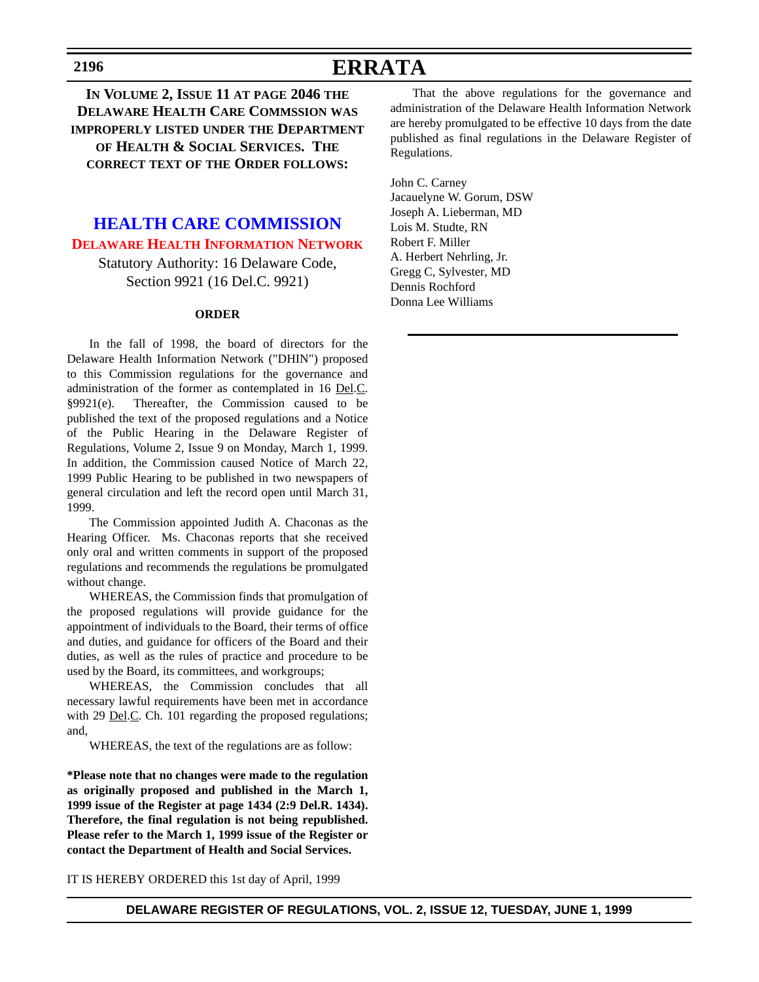# **ERRATA**

<span id="page-15-0"></span>**IN VOLUME 2, ISSUE 11 AT PAGE 2046 THE DELAWARE HEALTH CARE COMMSSION WAS IMPROPERLY LISTED UNDER THE DEPARTMENT OF HEALTH & SOCIAL SERVICES. THE CORRECT TEXT OF THE ORDER FOLLOWS:**

# **[HEALTH CARE COMMISSION](http://www.state.de.us/dhcc/index.htm) [DELAWARE HEALTH INFORMATION NETWORK](#page-3-0)**

Statutory Authority: 16 Delaware Code, Section 9921 (16 Del.C. 9921)

#### **ORDER**

In the fall of 1998, the board of directors for the Delaware Health Information Network ("DHIN") proposed to this Commission regulations for the governance and administration of the former as contemplated in 16 Del.C. §9921(e). Thereafter, the Commission caused to be published the text of the proposed regulations and a Notice of the Public Hearing in the Delaware Register of Regulations, Volume 2, Issue 9 on Monday, March 1, 1999. In addition, the Commission caused Notice of March 22, 1999 Public Hearing to be published in two newspapers of general circulation and left the record open until March 31, 1999.

The Commission appointed Judith A. Chaconas as the Hearing Officer. Ms. Chaconas reports that she received only oral and written comments in support of the proposed regulations and recommends the regulations be promulgated without change.

WHEREAS, the Commission finds that promulgation of the proposed regulations will provide guidance for the appointment of individuals to the Board, their terms of office and duties, and guidance for officers of the Board and their duties, as well as the rules of practice and procedure to be used by the Board, its committees, and workgroups;

WHEREAS, the Commission concludes that all necessary lawful requirements have been met in accordance with 29 <u>Del</u>.C. Ch. 101 regarding the proposed regulations; and,

WHEREAS, the text of the regulations are as follow:

**\*Please note that no changes were made to the regulation as originally proposed and published in the March 1, 1999 issue of the Register at page 1434 (2:9 Del.R. 1434). Therefore, the final regulation is not being republished. Please refer to the March 1, 1999 issue of the Register or contact the Department of Health and Social Services.**

IT IS HEREBY ORDERED this 1st day of April, 1999

That the above regulations for the governance and administration of the Delaware Health Information Network are hereby promulgated to be effective 10 days from the date published as final regulations in the Delaware Register of Regulations.

John C. Carney Jacauelyne W. Gorum, DSW Joseph A. Lieberman, MD Lois M. Studte, RN Robert F. Miller A. Herbert Nehrling, Jr. Gregg C, Sylvester, MD Dennis Rochford Donna Lee Williams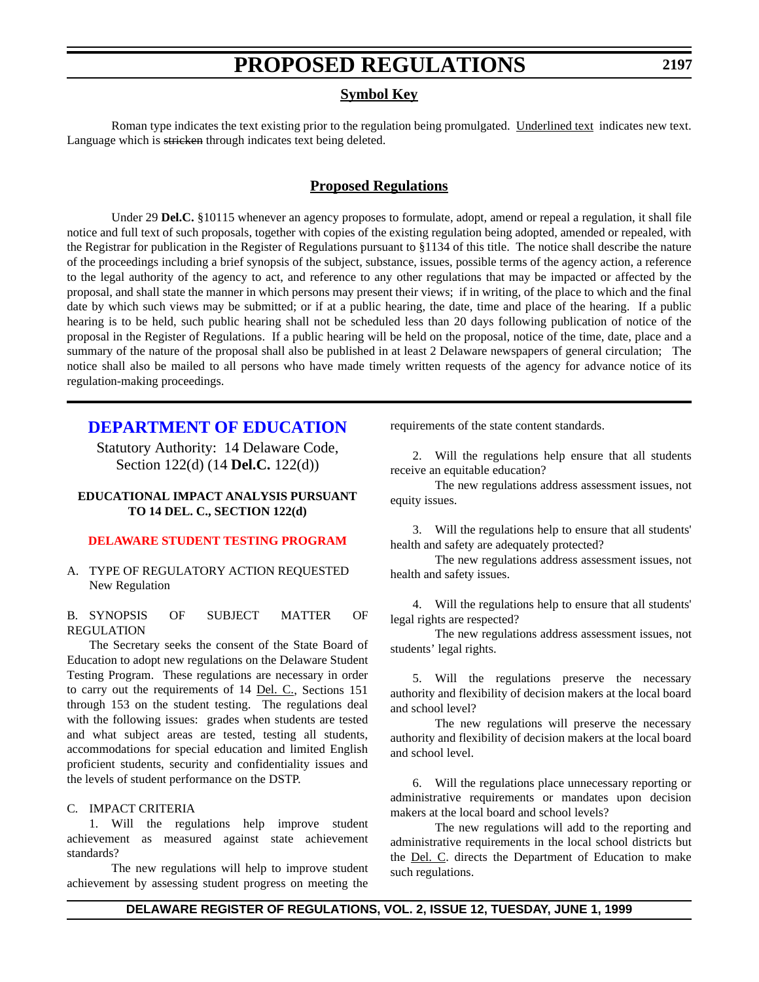### **Symbol Key**

<span id="page-16-0"></span>Roman type indicates the text existing prior to the regulation being promulgated. Underlined text indicates new text. Language which is stricken through indicates text being deleted.

### **Proposed Regulations**

Under 29 **Del.C.** §10115 whenever an agency proposes to formulate, adopt, amend or repeal a regulation, it shall file notice and full text of such proposals, together with copies of the existing regulation being adopted, amended or repealed, with the Registrar for publication in the Register of Regulations pursuant to §1134 of this title. The notice shall describe the nature of the proceedings including a brief synopsis of the subject, substance, issues, possible terms of the agency action, a reference to the legal authority of the agency to act, and reference to any other regulations that may be impacted or affected by the proposal, and shall state the manner in which persons may present their views; if in writing, of the place to which and the final date by which such views may be submitted; or if at a public hearing, the date, time and place of the hearing. If a public hearing is to be held, such public hearing shall not be scheduled less than 20 days following publication of notice of the proposal in the Register of Regulations. If a public hearing will be held on the proposal, notice of the time, date, place and a summary of the nature of the proposal shall also be published in at least 2 Delaware newspapers of general circulation; The notice shall also be mailed to all persons who have made timely written requests of the agency for advance notice of its regulation-making proceedings.

## **[DEPARTMENT OF EDUCATION](http://www.doe.state.de.us/)**

Statutory Authority: 14 Delaware Code, Section 122(d) (14 **Del.C.** 122(d))

### **EDUCATIONAL IMPACT ANALYSIS PURSUANT TO 14 DEL. C., SECTION 122(d)**

### **[DELAWARE STUDENT TESTING PROGRAM](#page-3-0)**

A. TYPE OF REGULATORY ACTION REQUESTED New Regulation

#### B. SYNOPSIS OF SUBJECT MATTER OF REGULATION

The Secretary seeks the consent of the State Board of Education to adopt new regulations on the Delaware Student Testing Program. These regulations are necessary in order to carry out the requirements of 14 Del. C., Sections 151 through 153 on the student testing. The regulations deal with the following issues: grades when students are tested and what subject areas are tested, testing all students, accommodations for special education and limited English proficient students, security and confidentiality issues and the levels of student performance on the DSTP.

#### C. IMPACT CRITERIA

1. Will the regulations help improve student achievement as measured against state achievement standards?

The new regulations will help to improve student achievement by assessing student progress on meeting the requirements of the state content standards.

2. Will the regulations help ensure that all students receive an equitable education?

The new regulations address assessment issues, not equity issues.

3. Will the regulations help to ensure that all students' health and safety are adequately protected?

The new regulations address assessment issues, not health and safety issues.

4. Will the regulations help to ensure that all students' legal rights are respected?

The new regulations address assessment issues, not students' legal rights.

5. Will the regulations preserve the necessary authority and flexibility of decision makers at the local board and school level?

The new regulations will preserve the necessary authority and flexibility of decision makers at the local board and school level.

6. Will the regulations place unnecessary reporting or administrative requirements or mandates upon decision makers at the local board and school levels?

The new regulations will add to the reporting and administrative requirements in the local school districts but the Del. C. directs the Department of Education to make such regulations.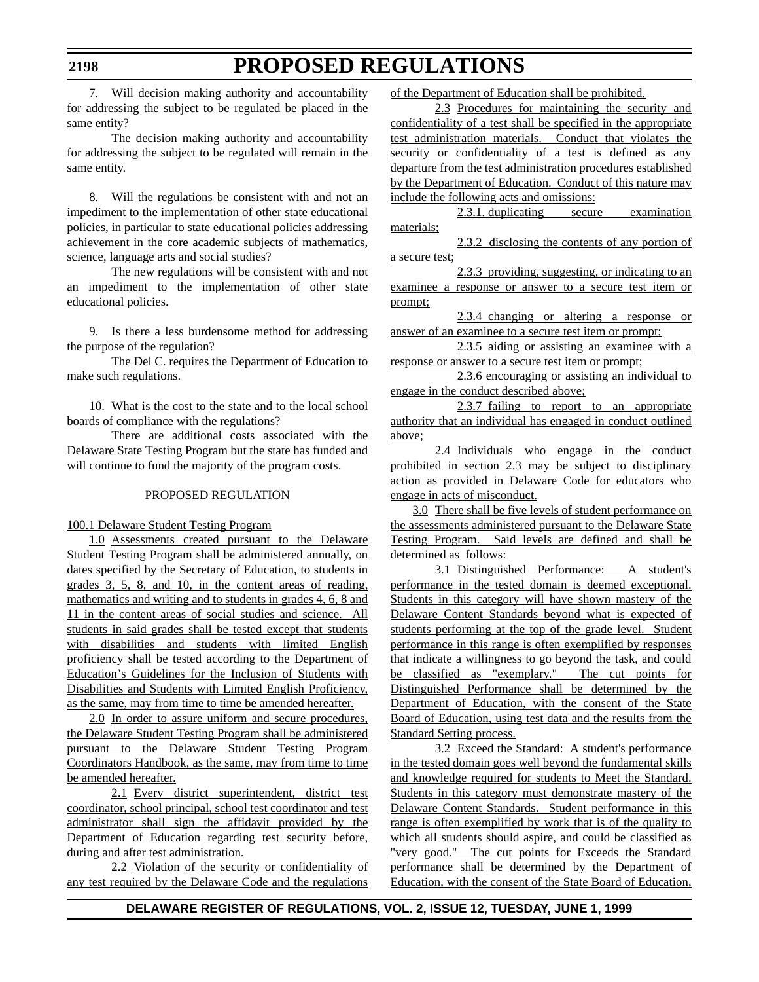7. Will decision making authority and accountability for addressing the subject to be regulated be placed in the same entity?

The decision making authority and accountability for addressing the subject to be regulated will remain in the same entity.

8. Will the regulations be consistent with and not an impediment to the implementation of other state educational policies, in particular to state educational policies addressing achievement in the core academic subjects of mathematics, science, language arts and social studies?

The new regulations will be consistent with and not an impediment to the implementation of other state educational policies.

9. Is there a less burdensome method for addressing the purpose of the regulation?

The **Del C**. requires the Department of Education to make such regulations.

10. What is the cost to the state and to the local school boards of compliance with the regulations?

There are additional costs associated with the Delaware State Testing Program but the state has funded and will continue to fund the majority of the program costs.

### PROPOSED REGULATION

### 100.1 Delaware Student Testing Program

1.0 Assessments created pursuant to the Delaware Student Testing Program shall be administered annually, on dates specified by the Secretary of Education, to students in grades 3, 5, 8, and 10, in the content areas of reading, mathematics and writing and to students in grades 4, 6, 8 and 11 in the content areas of social studies and science. All students in said grades shall be tested except that students with disabilities and students with limited English proficiency shall be tested according to the Department of Education's Guidelines for the Inclusion of Students with Disabilities and Students with Limited English Proficiency, as the same, may from time to time be amended hereafter.

2.0 In order to assure uniform and secure procedures, the Delaware Student Testing Program shall be administered pursuant to the Delaware Student Testing Program Coordinators Handbook, as the same, may from time to time be amended hereafter.

2.1 Every district superintendent, district test coordinator, school principal, school test coordinator and test administrator shall sign the affidavit provided by the Department of Education regarding test security before, during and after test administration.

2.2 Violation of the security or confidentiality of any test required by the Delaware Code and the regulations of the Department of Education shall be prohibited.

2.3 Procedures for maintaining the security and confidentiality of a test shall be specified in the appropriate test administration materials. Conduct that violates the security or confidentiality of a test is defined as any departure from the test administration procedures established by the Department of Education. Conduct of this nature may include the following acts and omissions:

2.3.1. duplicating secure examination materials;

2.3.2 disclosing the contents of any portion of a secure test;

2.3.3 providing, suggesting, or indicating to an examinee a response or answer to a secure test item or prompt;

2.3.4 changing or altering a response or answer of an examinee to a secure test item or prompt;

2.3.5 aiding or assisting an examinee with a response or answer to a secure test item or prompt;

2.3.6 encouraging or assisting an individual to engage in the conduct described above;

2.3.7 failing to report to an appropriate authority that an individual has engaged in conduct outlined above;

2.4 Individuals who engage in the conduct prohibited in section 2.3 may be subject to disciplinary action as provided in Delaware Code for educators who engage in acts of misconduct.

3.0 There shall be five levels of student performance on the assessments administered pursuant to the Delaware State Testing Program. Said levels are defined and shall be determined as follows:

3.1 Distinguished Performance: A student's performance in the tested domain is deemed exceptional. Students in this category will have shown mastery of the Delaware Content Standards beyond what is expected of students performing at the top of the grade level. Student performance in this range is often exemplified by responses that indicate a willingness to go beyond the task, and could be classified as "exemplary." The cut points for Distinguished Performance shall be determined by the Department of Education, with the consent of the State Board of Education, using test data and the results from the Standard Setting process.

3.2 Exceed the Standard: A student's performance in the tested domain goes well beyond the fundamental skills and knowledge required for students to Meet the Standard. Students in this category must demonstrate mastery of the Delaware Content Standards. Student performance in this range is often exemplified by work that is of the quality to which all students should aspire, and could be classified as "very good." The cut points for Exceeds the Standard performance shall be determined by the Department of Education, with the consent of the State Board of Education,

### **DELAWARE REGISTER OF REGULATIONS, VOL. 2, ISSUE 12, TUESDAY, JUNE 1, 1999**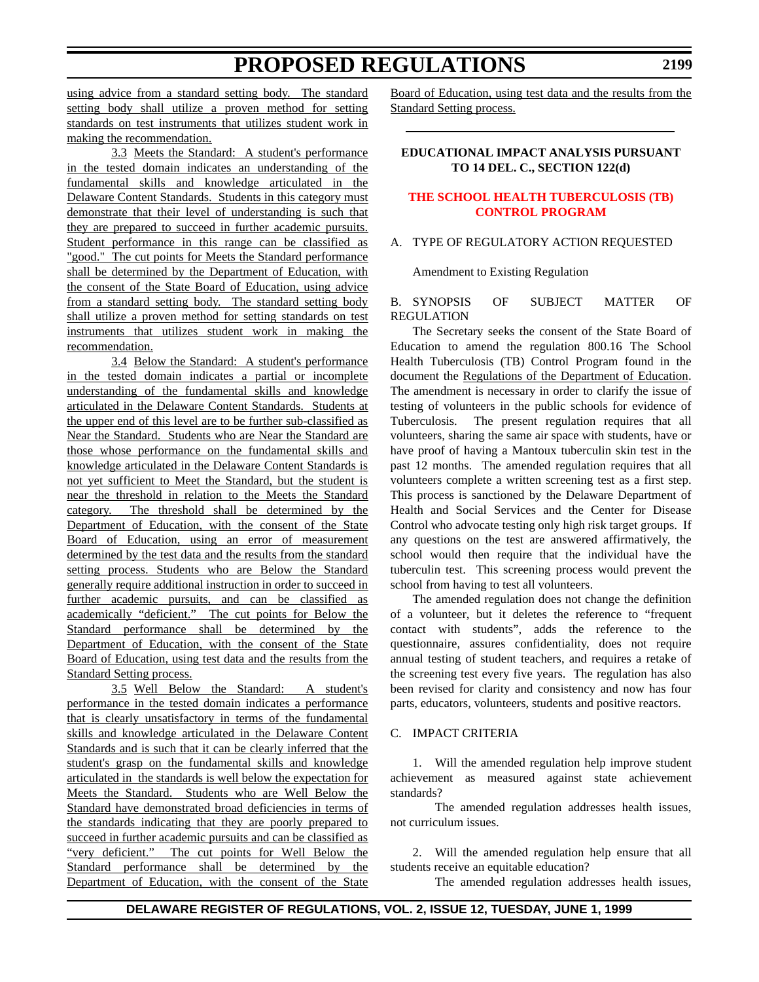<span id="page-18-0"></span>using advice from a standard setting body. The standard setting body shall utilize a proven method for setting standards on test instruments that utilizes student work in making the recommendation.

3.3 Meets the Standard: A student's performance in the tested domain indicates an understanding of the fundamental skills and knowledge articulated in the Delaware Content Standards. Students in this category must demonstrate that their level of understanding is such that they are prepared to succeed in further academic pursuits. Student performance in this range can be classified as "good." The cut points for Meets the Standard performance shall be determined by the Department of Education, with the consent of the State Board of Education, using advice from a standard setting body. The standard setting body shall utilize a proven method for setting standards on test instruments that utilizes student work in making the recommendation.

3.4 Below the Standard: A student's performance in the tested domain indicates a partial or incomplete understanding of the fundamental skills and knowledge articulated in the Delaware Content Standards. Students at the upper end of this level are to be further sub-classified as Near the Standard. Students who are Near the Standard are those whose performance on the fundamental skills and knowledge articulated in the Delaware Content Standards is not yet sufficient to Meet the Standard, but the student is near the threshold in relation to the Meets the Standard category. The threshold shall be determined by the Department of Education, with the consent of the State Board of Education, using an error of measurement determined by the test data and the results from the standard setting process. Students who are Below the Standard generally require additional instruction in order to succeed in further academic pursuits, and can be classified as academically "deficient." The cut points for Below the Standard performance shall be determined by the Department of Education, with the consent of the State Board of Education, using test data and the results from the Standard Setting process.

3.5 Well Below the Standard: A student's performance in the tested domain indicates a performance that is clearly unsatisfactory in terms of the fundamental skills and knowledge articulated in the Delaware Content Standards and is such that it can be clearly inferred that the student's grasp on the fundamental skills and knowledge articulated in the standards is well below the expectation for Meets the Standard. Students who are Well Below the Standard have demonstrated broad deficiencies in terms of the standards indicating that they are poorly prepared to succeed in further academic pursuits and can be classified as "very deficient." The cut points for Well Below the Standard performance shall be determined by the Department of Education, with the consent of the State

Board of Education, using test data and the results from the Standard Setting process.

### **EDUCATIONAL IMPACT ANALYSIS PURSUANT TO 14 DEL. C., SECTION 122(d)**

### **[THE SCHOOL HEALTH TUBERCULOSIS \(TB\)](#page-3-0) CONTROL PROGRAM**

### A. TYPE OF REGULATORY ACTION REQUESTED

Amendment to Existing Regulation

#### B. SYNOPSIS OF SUBJECT MATTER OF REGULATION

The Secretary seeks the consent of the State Board of Education to amend the regulation 800.16 The School Health Tuberculosis (TB) Control Program found in the document the Regulations of the Department of Education. The amendment is necessary in order to clarify the issue of testing of volunteers in the public schools for evidence of Tuberculosis. The present regulation requires that all volunteers, sharing the same air space with students, have or have proof of having a Mantoux tuberculin skin test in the past 12 months. The amended regulation requires that all volunteers complete a written screening test as a first step. This process is sanctioned by the Delaware Department of Health and Social Services and the Center for Disease Control who advocate testing only high risk target groups. If any questions on the test are answered affirmatively, the school would then require that the individual have the tuberculin test. This screening process would prevent the school from having to test all volunteers.

The amended regulation does not change the definition of a volunteer, but it deletes the reference to "frequent contact with students", adds the reference to the questionnaire, assures confidentiality, does not require annual testing of student teachers, and requires a retake of the screening test every five years. The regulation has also been revised for clarity and consistency and now has four parts, educators, volunteers, students and positive reactors.

#### C. IMPACT CRITERIA

1. Will the amended regulation help improve student achievement as measured against state achievement standards?

The amended regulation addresses health issues, not curriculum issues.

2. Will the amended regulation help ensure that all students receive an equitable education?

The amended regulation addresses health issues,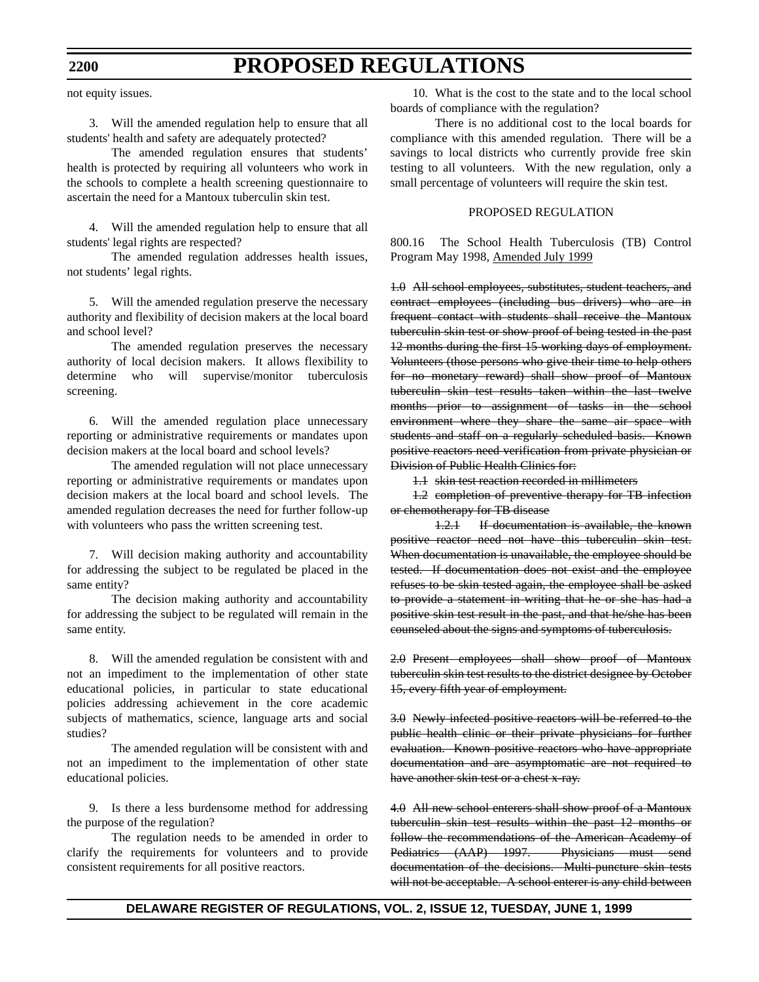not equity issues.

3. Will the amended regulation help to ensure that all students' health and safety are adequately protected?

The amended regulation ensures that students' health is protected by requiring all volunteers who work in the schools to complete a health screening questionnaire to ascertain the need for a Mantoux tuberculin skin test.

4. Will the amended regulation help to ensure that all students' legal rights are respected?

The amended regulation addresses health issues, not students' legal rights.

5. Will the amended regulation preserve the necessary authority and flexibility of decision makers at the local board and school level?

The amended regulation preserves the necessary authority of local decision makers. It allows flexibility to determine who will supervise/monitor tuberculosis screening.

6. Will the amended regulation place unnecessary reporting or administrative requirements or mandates upon decision makers at the local board and school levels?

The amended regulation will not place unnecessary reporting or administrative requirements or mandates upon decision makers at the local board and school levels. The amended regulation decreases the need for further follow-up with volunteers who pass the written screening test.

7. Will decision making authority and accountability for addressing the subject to be regulated be placed in the same entity?

The decision making authority and accountability for addressing the subject to be regulated will remain in the same entity.

8. Will the amended regulation be consistent with and not an impediment to the implementation of other state educational policies, in particular to state educational policies addressing achievement in the core academic subjects of mathematics, science, language arts and social studies?

The amended regulation will be consistent with and not an impediment to the implementation of other state educational policies.

9. Is there a less burdensome method for addressing the purpose of the regulation?

The regulation needs to be amended in order to clarify the requirements for volunteers and to provide consistent requirements for all positive reactors.

10. What is the cost to the state and to the local school boards of compliance with the regulation?

There is no additional cost to the local boards for compliance with this amended regulation. There will be a savings to local districts who currently provide free skin testing to all volunteers. With the new regulation, only a small percentage of volunteers will require the skin test.

#### PROPOSED REGULATION

800.16 The School Health Tuberculosis (TB) Control Program May 1998, Amended July 1999

1.0 All school employees, substitutes, student teachers, and contract employees (including bus drivers) who are in frequent contact with students shall receive the Mantoux tuberculin skin test or show proof of being tested in the past 12 months during the first 15 working days of employment. Volunteers (those persons who give their time to help others for no monetary reward) shall show proof of Mantoux tuberculin skin test results taken within the last twelve months prior to assignment of tasks in the school environment where they share the same air space with students and staff on a regularly scheduled basis. Known positive reactors need verification from private physician or Division of Public Health Clinics for:

1.1 skin test reaction recorded in millimeters

1.2 completion of preventive therapy for TB infection or chemotherapy for TB disease

1.2.1 If documentation is available, the known positive reactor need not have this tuberculin skin test. When documentation is unavailable, the employee should be tested. If documentation does not exist and the employee refuses to be skin tested again, the employee shall be asked to provide a statement in writing that he or she has had a positive skin test result in the past, and that he/she has been counseled about the signs and symptoms of tuberculosis.

2.0 Present employees shall show proof of Mantoux tuberculin skin test results to the district designee by October 15, every fifth year of employment.

3.0 Newly infected positive reactors will be referred to the public health clinic or their private physicians for further evaluation. Known positive reactors who have appropriate documentation and are asymptomatic are not required to have another skin test or a chest x-ray.

4.0 All new school enterers shall show proof of a Mantoux tuberculin skin test results within the past 12 months or follow the recommendations of the American Academy of Pediatrics (AAP) 1997. Physicians must send documentation of the decisions. Multi-puncture skin tests will not be acceptable. A school enterer is any child between

### **DELAWARE REGISTER OF REGULATIONS, VOL. 2, ISSUE 12, TUESDAY, JUNE 1, 1999**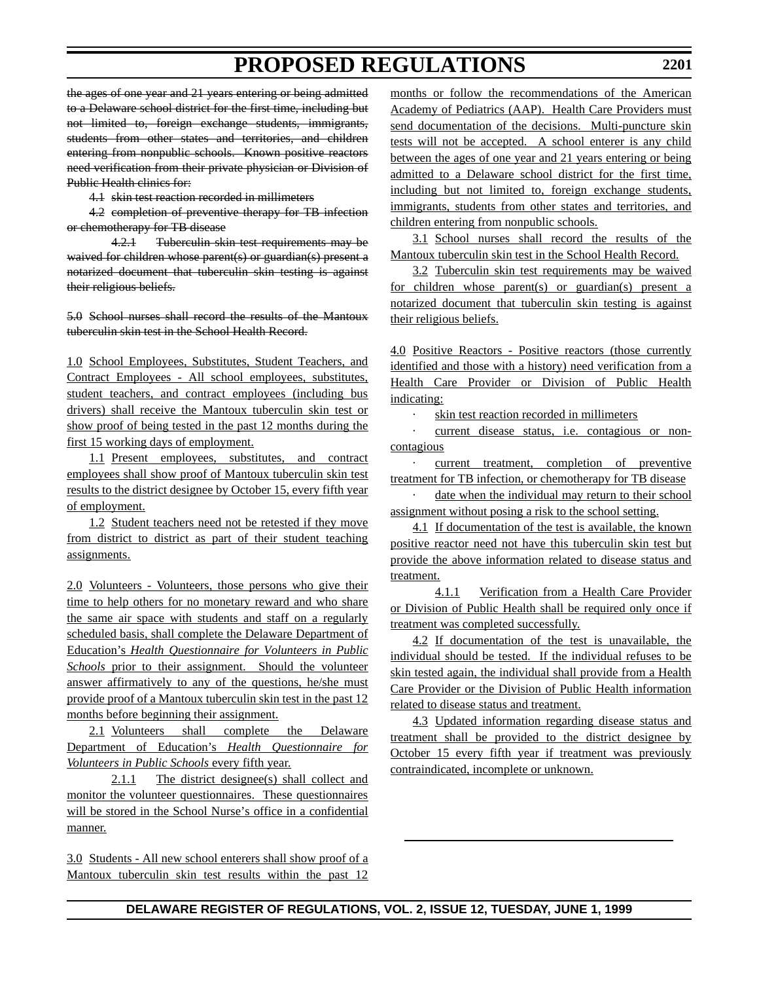the ages of one year and 21 years entering or being admitted to a Delaware school district for the first time, including but not limited to, foreign exchange students, immigrants, students from other states and territories, and children entering from nonpublic schools. Known positive reactors need verification from their private physician or Division of Public Health clinics for:

4.1 skin test reaction recorded in millimeters

4.2 completion of preventive therapy for TB infection or chemotherapy for TB disease

4.2.1 Tuberculin skin test requirements may be waived for children whose parent(s) or guardian(s) present a notarized document that tuberculin skin testing is against their religious beliefs.

5.0 School nurses shall record the results of the Mantoux tuberculin skin test in the School Health Record.

1.0 School Employees, Substitutes, Student Teachers, and Contract Employees - All school employees, substitutes, student teachers, and contract employees (including bus drivers) shall receive the Mantoux tuberculin skin test or show proof of being tested in the past 12 months during the first 15 working days of employment.

1.1 Present employees, substitutes, and contract employees shall show proof of Mantoux tuberculin skin test results to the district designee by October 15, every fifth year of employment.

1.2 Student teachers need not be retested if they move from district to district as part of their student teaching assignments.

2.0 Volunteers - Volunteers, those persons who give their time to help others for no monetary reward and who share the same air space with students and staff on a regularly scheduled basis, shall complete the Delaware Department of Education's *Health Questionnaire for Volunteers in Public Schools* prior to their assignment. Should the volunteer answer affirmatively to any of the questions, he/she must provide proof of a Mantoux tuberculin skin test in the past 12 months before beginning their assignment.

2.1 Volunteers shall complete the Delaware Department of Education's *Health Questionnaire for Volunteers in Public Schools* every fifth year.

2.1.1 The district designee(s) shall collect and monitor the volunteer questionnaires. These questionnaires will be stored in the School Nurse's office in a confidential manner.

3.0 Students - All new school enterers shall show proof of a Mantoux tuberculin skin test results within the past 12 months or follow the recommendations of the American Academy of Pediatrics (AAP). Health Care Providers must send documentation of the decisions. Multi-puncture skin tests will not be accepted. A school enterer is any child between the ages of one year and 21 years entering or being admitted to a Delaware school district for the first time, including but not limited to, foreign exchange students, immigrants, students from other states and territories, and children entering from nonpublic schools.

3.1 School nurses shall record the results of the Mantoux tuberculin skin test in the School Health Record.

3.2 Tuberculin skin test requirements may be waived for children whose parent(s) or guardian(s) present a notarized document that tuberculin skin testing is against their religious beliefs.

4.0 Positive Reactors - Positive reactors (those currently identified and those with a history) need verification from a Health Care Provider or Division of Public Health indicating:

· skin test reaction recorded in millimeters

current disease status, i.e. contagious or noncontagious

· current treatment, completion of preventive treatment for TB infection, or chemotherapy for TB disease

date when the individual may return to their school assignment without posing a risk to the school setting.

4.1 If documentation of the test is available, the known positive reactor need not have this tuberculin skin test but provide the above information related to disease status and treatment.

4.1.1 Verification from a Health Care Provider or Division of Public Health shall be required only once if treatment was completed successfully.

4.2 If documentation of the test is unavailable, the individual should be tested. If the individual refuses to be skin tested again, the individual shall provide from a Health Care Provider or the Division of Public Health information related to disease status and treatment.

4.3 Updated information regarding disease status and treatment shall be provided to the district designee by October 15 every fifth year if treatment was previously contraindicated, incomplete or unknown.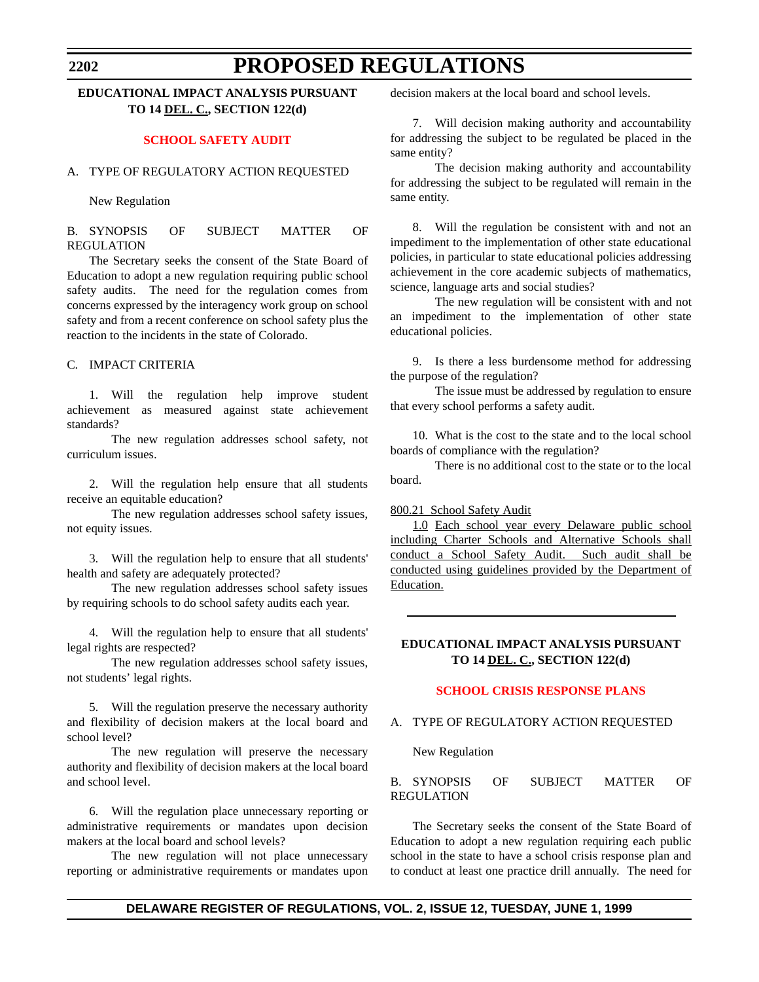## <span id="page-21-0"></span>**EDUCATIONAL IMPACT ANALYSIS PURSUANT TO 14 DEL. C., SECTION 122(d)**

#### **[SCHOOL SAFETY AUDIT](#page-3-0)**

### A. TYPE OF REGULATORY ACTION REQUESTED

New Regulation

B. SYNOPSIS OF SUBJECT MATTER OF REGULATION

The Secretary seeks the consent of the State Board of Education to adopt a new regulation requiring public school safety audits. The need for the regulation comes from concerns expressed by the interagency work group on school safety and from a recent conference on school safety plus the reaction to the incidents in the state of Colorado.

### C. IMPACT CRITERIA

1. Will the regulation help improve student achievement as measured against state achievement standards?

The new regulation addresses school safety, not curriculum issues.

2. Will the regulation help ensure that all students receive an equitable education?

The new regulation addresses school safety issues, not equity issues.

3. Will the regulation help to ensure that all students' health and safety are adequately protected?

The new regulation addresses school safety issues by requiring schools to do school safety audits each year.

4. Will the regulation help to ensure that all students' legal rights are respected?

The new regulation addresses school safety issues, not students' legal rights.

5. Will the regulation preserve the necessary authority and flexibility of decision makers at the local board and school level?

The new regulation will preserve the necessary authority and flexibility of decision makers at the local board and school level.

6. Will the regulation place unnecessary reporting or administrative requirements or mandates upon decision makers at the local board and school levels?

The new regulation will not place unnecessary reporting or administrative requirements or mandates upon decision makers at the local board and school levels.

7. Will decision making authority and accountability for addressing the subject to be regulated be placed in the same entity?

The decision making authority and accountability for addressing the subject to be regulated will remain in the same entity.

8. Will the regulation be consistent with and not an impediment to the implementation of other state educational policies, in particular to state educational policies addressing achievement in the core academic subjects of mathematics, science, language arts and social studies?

The new regulation will be consistent with and not an impediment to the implementation of other state educational policies.

9. Is there a less burdensome method for addressing the purpose of the regulation?

The issue must be addressed by regulation to ensure that every school performs a safety audit.

10. What is the cost to the state and to the local school boards of compliance with the regulation?

There is no additional cost to the state or to the local board.

800.21 School Safety Audit

1.0 Each school year every Delaware public school including Charter Schools and Alternative Schools shall conduct a School Safety Audit. Such audit shall be conducted using guidelines provided by the Department of Education.

### **EDUCATIONAL IMPACT ANALYSIS PURSUANT TO 14 DEL. C., SECTION 122(d)**

#### **[SCHOOL CRISIS RESPONSE PLANS](#page-3-0)**

### A. TYPE OF REGULATORY ACTION REQUESTED

New Regulation

B. SYNOPSIS OF SUBJECT MATTER OF REGULATION

The Secretary seeks the consent of the State Board of Education to adopt a new regulation requiring each public school in the state to have a school crisis response plan and to conduct at least one practice drill annually. The need for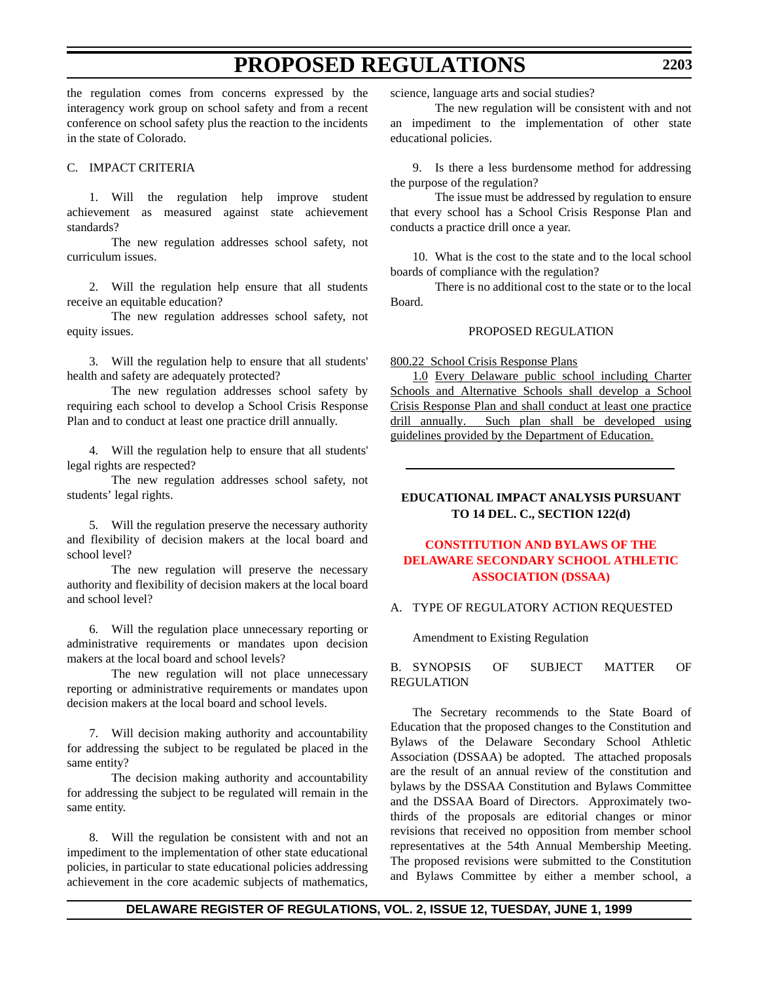<span id="page-22-0"></span>the regulation comes from concerns expressed by the interagency work group on school safety and from a recent conference on school safety plus the reaction to the incidents in the state of Colorado.

#### C. IMPACT CRITERIA

1. Will the regulation help improve student achievement as measured against state achievement standards?

The new regulation addresses school safety, not curriculum issues.

2. Will the regulation help ensure that all students receive an equitable education?

The new regulation addresses school safety, not equity issues.

3. Will the regulation help to ensure that all students' health and safety are adequately protected?

The new regulation addresses school safety by requiring each school to develop a School Crisis Response Plan and to conduct at least one practice drill annually.

4. Will the regulation help to ensure that all students' legal rights are respected?

The new regulation addresses school safety, not students' legal rights.

5. Will the regulation preserve the necessary authority and flexibility of decision makers at the local board and school level?

The new regulation will preserve the necessary authority and flexibility of decision makers at the local board and school level?

6. Will the regulation place unnecessary reporting or administrative requirements or mandates upon decision makers at the local board and school levels?

The new regulation will not place unnecessary reporting or administrative requirements or mandates upon decision makers at the local board and school levels.

7. Will decision making authority and accountability for addressing the subject to be regulated be placed in the same entity?

The decision making authority and accountability for addressing the subject to be regulated will remain in the same entity.

8. Will the regulation be consistent with and not an impediment to the implementation of other state educational policies, in particular to state educational policies addressing achievement in the core academic subjects of mathematics, science, language arts and social studies?

The new regulation will be consistent with and not an impediment to the implementation of other state educational policies.

9. Is there a less burdensome method for addressing the purpose of the regulation?

The issue must be addressed by regulation to ensure that every school has a School Crisis Response Plan and conducts a practice drill once a year.

10. What is the cost to the state and to the local school boards of compliance with the regulation?

There is no additional cost to the state or to the local Board.

#### PROPOSED REGULATION

800.22 School Crisis Response Plans

1.0 Every Delaware public school including Charter Schools and Alternative Schools shall develop a School Crisis Response Plan and shall conduct at least one practice drill annually. Such plan shall be developed using guidelines provided by the Department of Education.

### **EDUCATIONAL IMPACT ANALYSIS PURSUANT TO 14 DEL. C., SECTION 122(d)**

## **CONSTITUTION AND BYLAWS OF THE [DELAWARE SECONDARY SCHOOL ATHLETIC](#page-3-0) ASSOCIATION (DSSAA)**

#### A. TYPE OF REGULATORY ACTION REQUESTED

Amendment to Existing Regulation

B. SYNOPSIS OF SUBJECT MATTER OF REGULATION

The Secretary recommends to the State Board of Education that the proposed changes to the Constitution and Bylaws of the Delaware Secondary School Athletic Association (DSSAA) be adopted. The attached proposals are the result of an annual review of the constitution and bylaws by the DSSAA Constitution and Bylaws Committee and the DSSAA Board of Directors. Approximately twothirds of the proposals are editorial changes or minor revisions that received no opposition from member school representatives at the 54th Annual Membership Meeting. The proposed revisions were submitted to the Constitution and Bylaws Committee by either a member school, a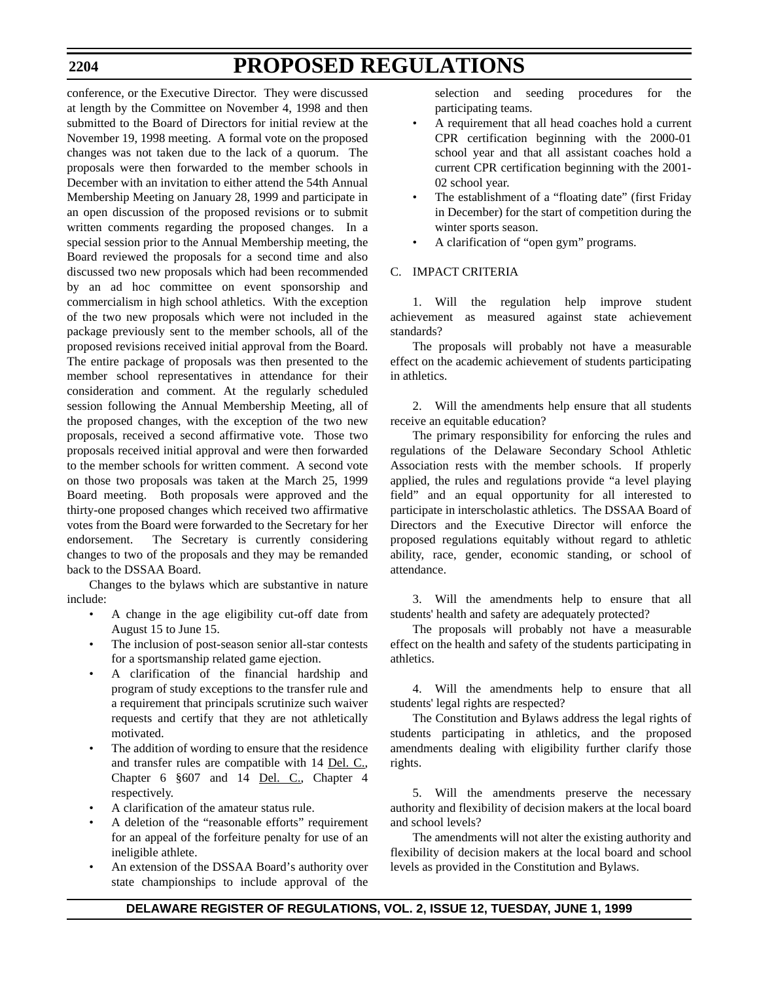conference, or the Executive Director. They were discussed at length by the Committee on November 4, 1998 and then submitted to the Board of Directors for initial review at the November 19, 1998 meeting. A formal vote on the proposed changes was not taken due to the lack of a quorum. The proposals were then forwarded to the member schools in December with an invitation to either attend the 54th Annual Membership Meeting on January 28, 1999 and participate in an open discussion of the proposed revisions or to submit written comments regarding the proposed changes. In a special session prior to the Annual Membership meeting, the Board reviewed the proposals for a second time and also discussed two new proposals which had been recommended by an ad hoc committee on event sponsorship and commercialism in high school athletics. With the exception of the two new proposals which were not included in the package previously sent to the member schools, all of the proposed revisions received initial approval from the Board. The entire package of proposals was then presented to the member school representatives in attendance for their consideration and comment. At the regularly scheduled session following the Annual Membership Meeting, all of the proposed changes, with the exception of the two new proposals, received a second affirmative vote. Those two proposals received initial approval and were then forwarded to the member schools for written comment. A second vote on those two proposals was taken at the March 25, 1999 Board meeting. Both proposals were approved and the thirty-one proposed changes which received two affirmative votes from the Board were forwarded to the Secretary for her endorsement. The Secretary is currently considering changes to two of the proposals and they may be remanded back to the DSSAA Board.

Changes to the bylaws which are substantive in nature include:

- A change in the age eligibility cut-off date from August 15 to June 15.
- The inclusion of post-season senior all-star contests for a sportsmanship related game ejection.
- A clarification of the financial hardship and program of study exceptions to the transfer rule and a requirement that principals scrutinize such waiver requests and certify that they are not athletically motivated.
- The addition of wording to ensure that the residence and transfer rules are compatible with 14 Del. C., Chapter 6 §607 and 14 Del. C., Chapter 4 respectively.
- A clarification of the amateur status rule.
- A deletion of the "reasonable efforts" requirement for an appeal of the forfeiture penalty for use of an ineligible athlete.
- An extension of the DSSAA Board's authority over state championships to include approval of the

selection and seeding procedures for the participating teams.

- A requirement that all head coaches hold a current CPR certification beginning with the 2000-01 school year and that all assistant coaches hold a current CPR certification beginning with the 2001- 02 school year.
- The establishment of a "floating date" (first Friday in December) for the start of competition during the winter sports season.
- A clarification of "open gym" programs.

### C. IMPACT CRITERIA

1. Will the regulation help improve student achievement as measured against state achievement standards?

The proposals will probably not have a measurable effect on the academic achievement of students participating in athletics.

2. Will the amendments help ensure that all students receive an equitable education?

The primary responsibility for enforcing the rules and regulations of the Delaware Secondary School Athletic Association rests with the member schools. If properly applied, the rules and regulations provide "a level playing field" and an equal opportunity for all interested to participate in interscholastic athletics. The DSSAA Board of Directors and the Executive Director will enforce the proposed regulations equitably without regard to athletic ability, race, gender, economic standing, or school of attendance.

3. Will the amendments help to ensure that all students' health and safety are adequately protected?

The proposals will probably not have a measurable effect on the health and safety of the students participating in athletics.

4. Will the amendments help to ensure that all students' legal rights are respected?

The Constitution and Bylaws address the legal rights of students participating in athletics, and the proposed amendments dealing with eligibility further clarify those rights.

5. Will the amendments preserve the necessary authority and flexibility of decision makers at the local board and school levels?

The amendments will not alter the existing authority and flexibility of decision makers at the local board and school levels as provided in the Constitution and Bylaws.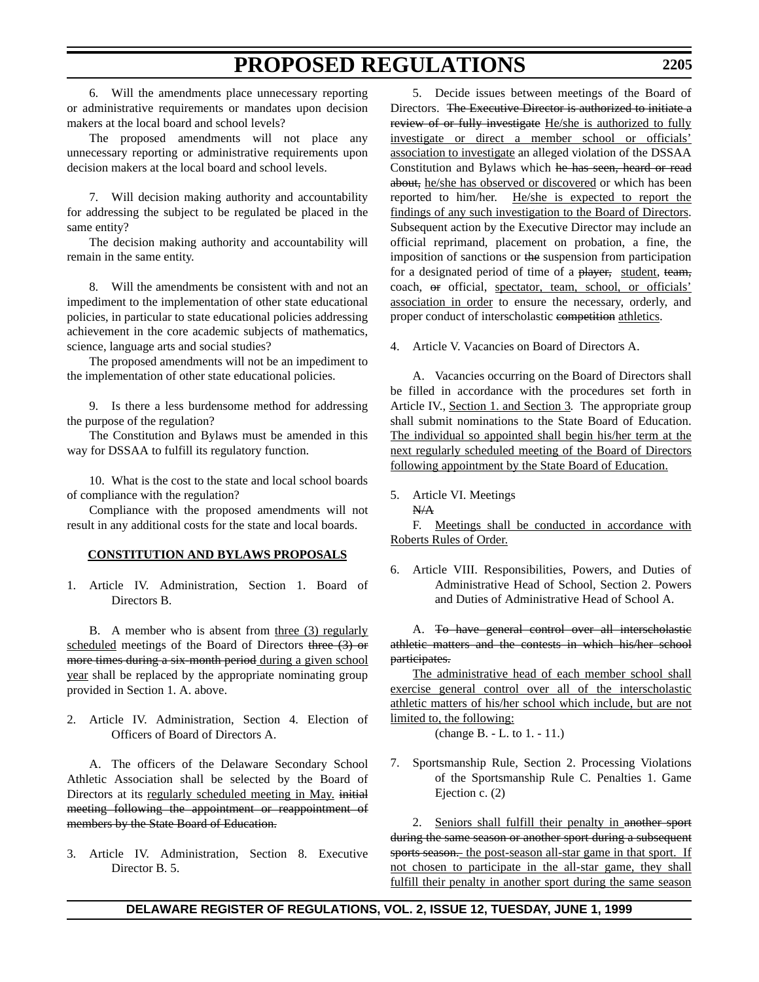6. Will the amendments place unnecessary reporting or administrative requirements or mandates upon decision makers at the local board and school levels?

The proposed amendments will not place any unnecessary reporting or administrative requirements upon decision makers at the local board and school levels.

7. Will decision making authority and accountability for addressing the subject to be regulated be placed in the same entity?

The decision making authority and accountability will remain in the same entity.

8. Will the amendments be consistent with and not an impediment to the implementation of other state educational policies, in particular to state educational policies addressing achievement in the core academic subjects of mathematics, science, language arts and social studies?

The proposed amendments will not be an impediment to the implementation of other state educational policies.

9. Is there a less burdensome method for addressing the purpose of the regulation?

The Constitution and Bylaws must be amended in this way for DSSAA to fulfill its regulatory function.

10. What is the cost to the state and local school boards of compliance with the regulation?

Compliance with the proposed amendments will not result in any additional costs for the state and local boards.

### **CONSTITUTION AND BYLAWS PROPOSALS**

1. Article IV. Administration, Section 1. Board of Directors B.

B. A member who is absent from three (3) regularly scheduled meetings of the Board of Directors three (3) or more times during a six-month period during a given school year shall be replaced by the appropriate nominating group provided in Section 1. A. above.

2. Article IV. Administration, Section 4. Election of Officers of Board of Directors A.

A. The officers of the Delaware Secondary School Athletic Association shall be selected by the Board of Directors at its regularly scheduled meeting in May. initial meeting following the appointment or reappointment of members by the State Board of Education.

3. Article IV. Administration, Section 8. Executive Director B. 5.

5. Decide issues between meetings of the Board of Directors. The Executive Director is authorized to initiate a review of or fully investigate He/she is authorized to fully investigate or direct a member school or officials' association to investigate an alleged violation of the DSSAA Constitution and Bylaws which he has seen, heard or read about, he/she has observed or discovered or which has been reported to him/her. He/she is expected to report the findings of any such investigation to the Board of Directors. Subsequent action by the Executive Director may include an official reprimand, placement on probation, a fine, the imposition of sanctions or the suspension from participation for a designated period of time of a player, student, team, coach, or official, spectator, team, school, or officials' association in order to ensure the necessary, orderly, and proper conduct of interscholastic competition athletics.

4. Article V. Vacancies on Board of Directors A.

A. Vacancies occurring on the Board of Directors shall be filled in accordance with the procedures set forth in Article IV., Section 1. and Section 3. The appropriate group shall submit nominations to the State Board of Education. The individual so appointed shall begin his/her term at the next regularly scheduled meeting of the Board of Directors following appointment by the State Board of Education.

5. Article VI. Meetings N/A

F. Meetings shall be conducted in accordance with Roberts Rules of Order.

6. Article VIII. Responsibilities, Powers, and Duties of Administrative Head of School, Section 2. Powers and Duties of Administrative Head of School A.

A. To have general control over all interscholastic athletic matters and the contests in which his/her school participates.

The administrative head of each member school shall exercise general control over all of the interscholastic athletic matters of his/her school which include, but are not limited to, the following:

(change B. - L. to 1. - 11.)

7. Sportsmanship Rule, Section 2. Processing Violations of the Sportsmanship Rule C. Penalties 1. Game Ejection c. (2)

2. Seniors shall fulfill their penalty in another sport during the same season or another sport during a subsequent sports season. the post-season all-star game in that sport. If not chosen to participate in the all-star game, they shall fulfill their penalty in another sport during the same season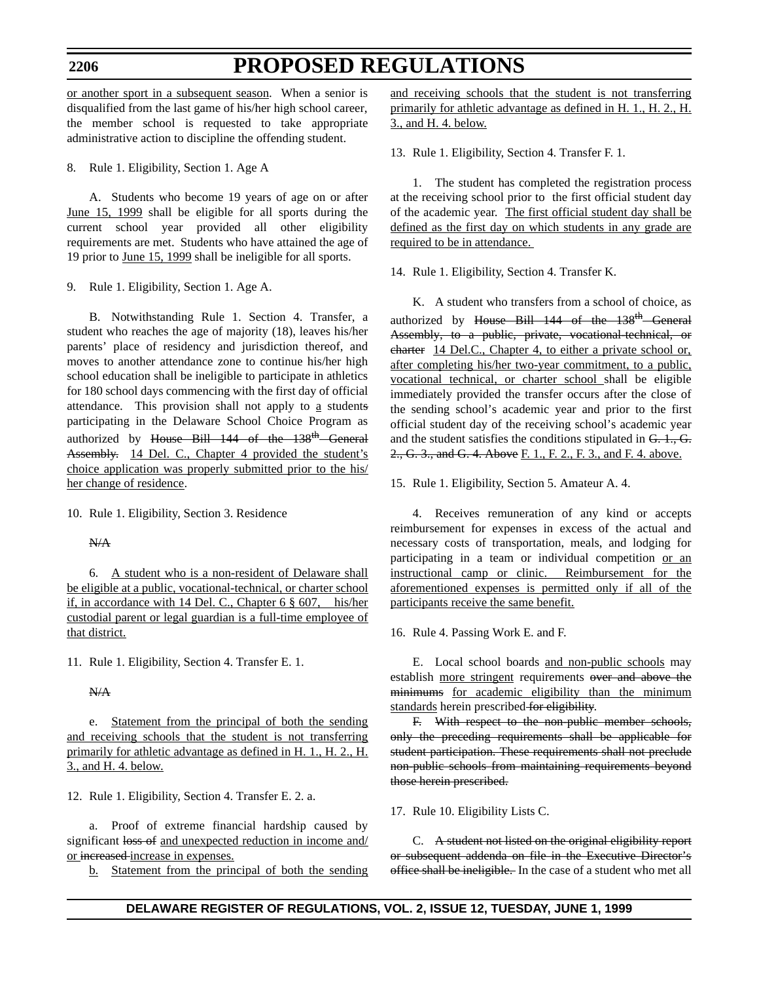#### **2206**

# **PROPOSED REGULATIONS**

or another sport in a subsequent season. When a senior is disqualified from the last game of his/her high school career, the member school is requested to take appropriate administrative action to discipline the offending student.

8. Rule 1. Eligibility, Section 1. Age A

A. Students who become 19 years of age on or after June 15, 1999 shall be eligible for all sports during the current school year provided all other eligibility requirements are met. Students who have attained the age of 19 prior to June 15, 1999 shall be ineligible for all sports.

9. Rule 1. Eligibility, Section 1. Age A.

B. Notwithstanding Rule 1. Section 4. Transfer, a student who reaches the age of majority (18), leaves his/her parents' place of residency and jurisdiction thereof, and moves to another attendance zone to continue his/her high school education shall be ineligible to participate in athletics for 180 school days commencing with the first day of official attendance. This provision shall not apply to  $a$  students participating in the Delaware School Choice Program as authorized by  $House$  Bill 144 of the  $138<sup>th</sup>$  General Assembly. 14 Del. C., Chapter 4 provided the student's choice application was properly submitted prior to the his/ her change of residence.

10. Rule 1. Eligibility, Section 3. Residence

N/A

6. A student who is a non-resident of Delaware shall be eligible at a public, vocational-technical, or charter school if, in accordance with 14 Del. C., Chapter 6 § 607, his/her custodial parent or legal guardian is a full-time employee of that district.

11. Rule 1. Eligibility, Section 4. Transfer E. 1.

N/A

e. Statement from the principal of both the sending and receiving schools that the student is not transferring primarily for athletic advantage as defined in H. 1., H. 2., H. 3., and H. 4. below.

12. Rule 1. Eligibility, Section 4. Transfer E. 2. a.

a. Proof of extreme financial hardship caused by significant loss of and unexpected reduction in income and/ or increased increase in expenses.

b. Statement from the principal of both the sending

and receiving schools that the student is not transferring primarily for athletic advantage as defined in H. 1., H. 2., H. 3., and H. 4. below.

13. Rule 1. Eligibility, Section 4. Transfer F. 1.

1. The student has completed the registration process at the receiving school prior to the first official student day of the academic year. The first official student day shall be defined as the first day on which students in any grade are required to be in attendance.

14. Rule 1. Eligibility, Section 4. Transfer K.

K. A student who transfers from a school of choice, as authorized by House Bill  $144$  of the  $138<sup>th</sup>$  General Assembly, to a public, private, vocational-technical, or charter 14 Del.C., Chapter 4, to either a private school or, after completing his/her two-year commitment, to a public, vocational technical, or charter school shall be eligible immediately provided the transfer occurs after the close of the sending school's academic year and prior to the first official student day of the receiving school's academic year and the student satisfies the conditions stipulated in G. 1., G. 2., G. 3., and G. 4. Above F. 1., F. 2., F. 3., and F. 4. above.

15. Rule 1. Eligibility, Section 5. Amateur A. 4.

4. Receives remuneration of any kind or accepts reimbursement for expenses in excess of the actual and necessary costs of transportation, meals, and lodging for participating in a team or individual competition or an instructional camp or clinic. Reimbursement for the aforementioned expenses is permitted only if all of the participants receive the same benefit.

16. Rule 4. Passing Work E. and F.

E. Local school boards and non-public schools may establish more stringent requirements over and above the minimums for academic eligibility than the minimum standards herein prescribed for eligibility.

F. With respect to the non-public member schools, only the preceding requirements shall be applicable for student participation. These requirements shall not preclude non-public schools from maintaining requirements beyond those herein prescribed.

17. Rule 10. Eligibility Lists C.

C. A student not listed on the original eligibility report or subsequent addenda on file in the Executive Director's office shall be ineligible. In the case of a student who met all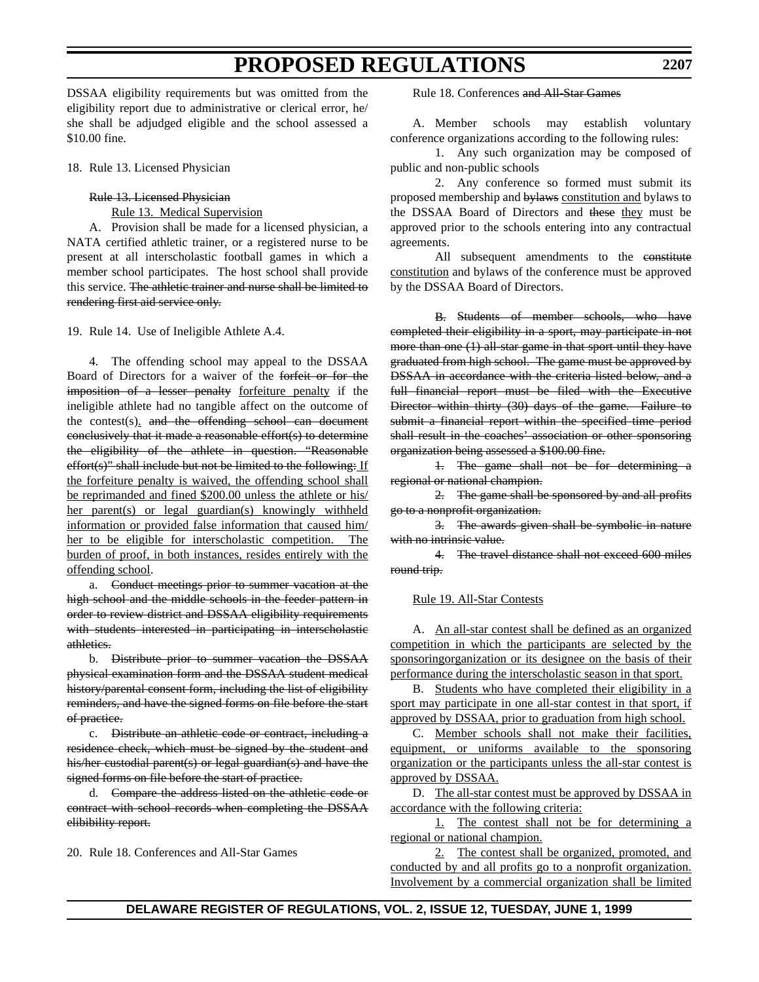DSSAA eligibility requirements but was omitted from the eligibility report due to administrative or clerical error, he/ she shall be adjudged eligible and the school assessed a \$10.00 fine.

18. Rule 13. Licensed Physician

#### Rule 13. Licensed Physician

Rule 13. Medical Supervision

A. Provision shall be made for a licensed physician, a NATA certified athletic trainer, or a registered nurse to be present at all interscholastic football games in which a member school participates. The host school shall provide this service. The athletic trainer and nurse shall be limited to rendering first aid service only.

19. Rule 14. Use of Ineligible Athlete A.4.

4. The offending school may appeal to the DSSAA Board of Directors for a waiver of the forfeit or for the imposition of a lesser penalty forfeiture penalty if the ineligible athlete had no tangible affect on the outcome of the contest(s). and the offending school can document conclusively that it made a reasonable effort(s) to determine the eligibility of the athlete in question. "Reasonable effort(s)" shall include but not be limited to the following: If the forfeiture penalty is waived, the offending school shall be reprimanded and fined \$200.00 unless the athlete or his/ her parent(s) or legal guardian(s) knowingly withheld information or provided false information that caused him/ her to be eligible for interscholastic competition. The burden of proof, in both instances, resides entirely with the offending school.

a. Conduct meetings prior to summer vacation at the high school and the middle schools in the feeder pattern in order to review district and DSSAA eligibility requirements with students interested in participating in interscholastic athletics.

b. Distribute prior to summer vacation the DSSAA physical examination form and the DSSAA student medical history/parental consent form, including the list of eligibility reminders, and have the signed forms on file before the start of practice.

c. Distribute an athletic code or contract, including a residence check, which must be signed by the student and his/her custodial parent(s) or legal guardian(s) and have the signed forms on file before the start of practice.

d. Compare the address listed on the athletic code or contract with school records when completing the DSSAA elibibility report.

20. Rule 18. Conferences and All-Star Games

Rule 18. Conferences and All-Star Games

A. Member schools may establish voluntary conference organizations according to the following rules:

1. Any such organization may be composed of public and non-public schools

2. Any conference so formed must submit its proposed membership and bylaws constitution and bylaws to the DSSAA Board of Directors and these they must be approved prior to the schools entering into any contractual agreements.

All subsequent amendments to the constitute constitution and bylaws of the conference must be approved by the DSSAA Board of Directors.

B. Students of member schools, who have completed their eligibility in a sport, may participate in not more than one (1) all-star game in that sport until they have graduated from high school. The game must be approved by DSSAA in accordance with the criteria listed below, and a full financial report must be filed with the Executive Director within thirty (30) days of the game. Failure to submit a financial report within the specified time period shall result in the coaches' association or other sponsoring organization being assessed a \$100.00 fine.

1. The game shall not be for determining a regional or national champion.

2. The game shall be sponsored by and all profits go to a nonprofit organization.

3. The awards given shall be symbolic in nature with no intrinsic value.

4. The travel distance shall not exceed 600 miles round trip.

#### Rule 19. All-Star Contests

A. An all-star contest shall be defined as an organized competition in which the participants are selected by the sponsoringorganization or its designee on the basis of their performance during the interscholastic season in that sport.

B. Students who have completed their eligibility in a sport may participate in one all-star contest in that sport, if approved by DSSAA, prior to graduation from high school.

C. Member schools shall not make their facilities, equipment, or uniforms available to the sponsoring organization or the participants unless the all-star contest is approved by DSSAA.

D. The all-star contest must be approved by DSSAA in accordance with the following criteria:

1. The contest shall not be for determining a regional or national champion.

2. The contest shall be organized, promoted, and conducted by and all profits go to a nonprofit organization. Involvement by a commercial organization shall be limited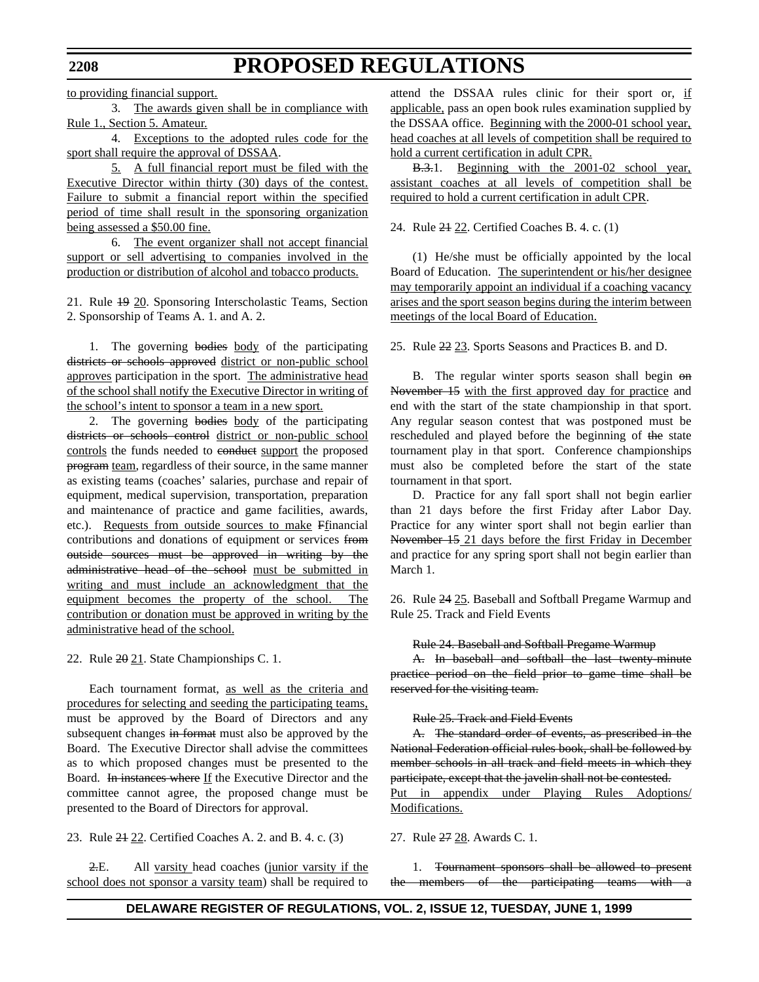to providing financial support.

3. The awards given shall be in compliance with Rule 1., Section 5. Amateur.

4. Exceptions to the adopted rules code for the sport shall require the approval of DSSAA.

5. A full financial report must be filed with the Executive Director within thirty (30) days of the contest. Failure to submit a financial report within the specified period of time shall result in the sponsoring organization being assessed a \$50.00 fine.

6. The event organizer shall not accept financial support or sell advertising to companies involved in the production or distribution of alcohol and tobacco products.

21. Rule 19 20. Sponsoring Interscholastic Teams, Section 2. Sponsorship of Teams A. 1. and A. 2.

1. The governing bodies body of the participating districts or schools approved district or non-public school approves participation in the sport. The administrative head of the school shall notify the Executive Director in writing of the school's intent to sponsor a team in a new sport.

2. The governing bodies body of the participating districts or schools control district or non-public school controls the funds needed to conduct support the proposed program team, regardless of their source, in the same manner as existing teams (coaches' salaries, purchase and repair of equipment, medical supervision, transportation, preparation and maintenance of practice and game facilities, awards, etc.). Requests from outside sources to make Ffinancial contributions and donations of equipment or services from outside sources must be approved in writing by the administrative head of the school must be submitted in writing and must include an acknowledgment that the equipment becomes the property of the school. The contribution or donation must be approved in writing by the administrative head of the school.

22. Rule  $2\theta$  21. State Championships C. 1.

Each tournament format, as well as the criteria and procedures for selecting and seeding the participating teams, must be approved by the Board of Directors and any subsequent changes in format must also be approved by the Board. The Executive Director shall advise the committees as to which proposed changes must be presented to the Board. In instances where If the Executive Director and the committee cannot agree, the proposed change must be presented to the Board of Directors for approval.

23. Rule 21 22. Certified Coaches A. 2. and B. 4. c. (3)

2.E. All varsity head coaches (junior varsity if the school does not sponsor a varsity team) shall be required to attend the DSSAA rules clinic for their sport or, if applicable, pass an open book rules examination supplied by the DSSAA office. Beginning with the 2000-01 school year, head coaches at all levels of competition shall be required to hold a current certification in adult CPR.

B.3.1. Beginning with the 2001-02 school year, assistant coaches at all levels of competition shall be required to hold a current certification in adult CPR.

24. Rule 21 22. Certified Coaches B. 4. c. (1)

(1) He/she must be officially appointed by the local Board of Education. The superintendent or his/her designee may temporarily appoint an individual if a coaching vacancy arises and the sport season begins during the interim between meetings of the local Board of Education.

25. Rule 22 23. Sports Seasons and Practices B. and D.

B. The regular winter sports season shall begin on November 15 with the first approved day for practice and end with the start of the state championship in that sport. Any regular season contest that was postponed must be rescheduled and played before the beginning of the state tournament play in that sport. Conference championships must also be completed before the start of the state tournament in that sport.

D. Practice for any fall sport shall not begin earlier than 21 days before the first Friday after Labor Day. Practice for any winter sport shall not begin earlier than November 15 21 days before the first Friday in December and practice for any spring sport shall not begin earlier than March 1.

26. Rule 24 25. Baseball and Softball Pregame Warmup and Rule 25. Track and Field Events

Rule 24. Baseball and Softball Pregame Warmup

A. In baseball and softball the last twenty-minute practice period on the field prior to game time shall be reserved for the visiting team.

#### Rule 25. Track and Field Events

A. The standard order of events, as prescribed in the National Federation official rules book, shall be followed by member schools in all track and field meets in which they participate, except that the javelin shall not be contested. Put in appendix under Playing Rules Adoptions/ Modifications.

27. Rule 27 28. Awards C. 1.

1. Tournament sponsors shall be allowed to present the members of the participating teams with a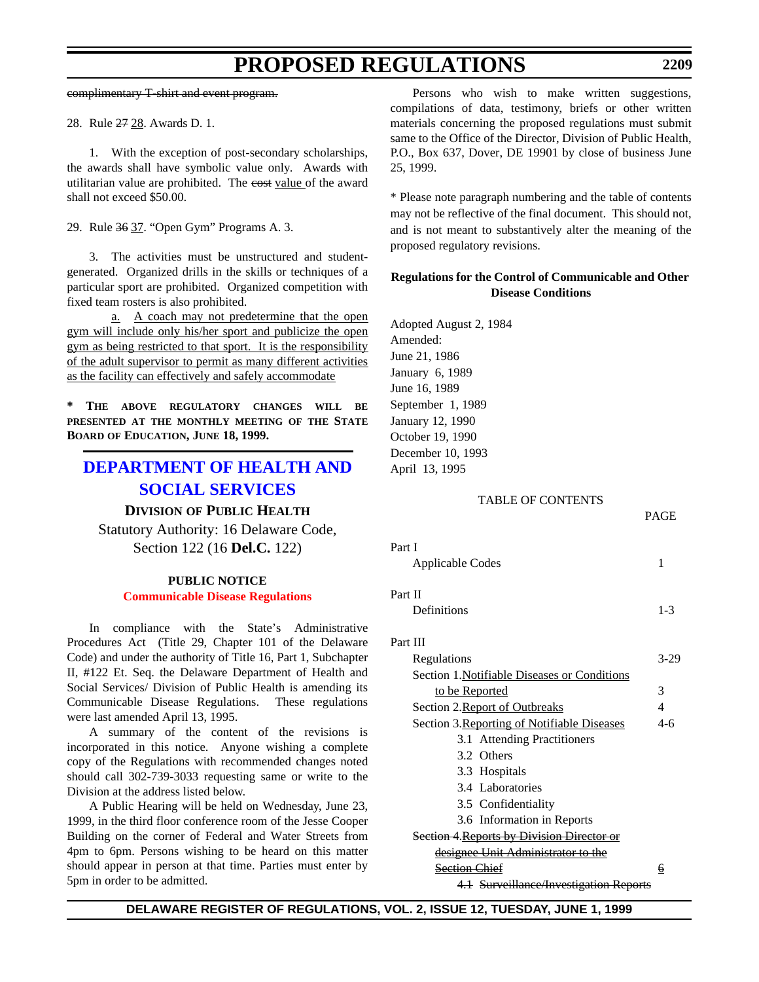<span id="page-28-0"></span>complimentary T-shirt and event program.

28. Rule 27 28. Awards D. 1.

1. With the exception of post-secondary scholarships, the awards shall have symbolic value only. Awards with utilitarian value are prohibited. The eost value of the award shall not exceed \$50.00.

29. Rule 36 37. "Open Gym" Programs A. 3.

3. The activities must be unstructured and studentgenerated. Organized drills in the skills or techniques of a particular sport are prohibited. Organized competition with fixed team rosters is also prohibited.

a. A coach may not predetermine that the open gym will include only his/her sport and publicize the open gym as being restricted to that sport. It is the responsibility of the adult supervisor to permit as many different activities as the facility can effectively and safely accommodate

**\* THE ABOVE REGULATORY CHANGES WILL BE PRESENTED AT THE MONTHLY MEETING OF THE STATE BOARD OF EDUCATION, JUNE 18, 1999.**

# **[DEPARTMENT OF HEALTH AND](http://www.state.de.us/dhss/irm/dhss.htm) SOCIAL SERVICES**

#### **DIVISION OF PUBLIC HEALTH**

Statutory Authority: 16 Delaware Code, Section 122 (16 **Del.C.** 122)

### **PUBLIC NOTICE [Communicable Disease Regulations](#page-3-0)**

In compliance with the State's Administrative Procedures Act (Title 29, Chapter 101 of the Delaware Code) and under the authority of Title 16, Part 1, Subchapter II, #122 Et. Seq. the Delaware Department of Health and Social Services/ Division of Public Health is amending its Communicable Disease Regulations. These regulations were last amended April 13, 1995.

A summary of the content of the revisions is incorporated in this notice. Anyone wishing a complete copy of the Regulations with recommended changes noted should call 302-739-3033 requesting same or write to the Division at the address listed below.

A Public Hearing will be held on Wednesday, June 23, 1999, in the third floor conference room of the Jesse Cooper Building on the corner of Federal and Water Streets from 4pm to 6pm. Persons wishing to be heard on this matter should appear in person at that time. Parties must enter by 5pm in order to be admitted.

Persons who wish to make written suggestions, compilations of data, testimony, briefs or other written materials concerning the proposed regulations must submit same to the Office of the Director, Division of Public Health, P.O., Box 637, Dover, DE 19901 by close of business June 25, 1999.

\* Please note paragraph numbering and the table of contents may not be reflective of the final document. This should not, and is not meant to substantively alter the meaning of the proposed regulatory revisions.

### **Regulations for the Control of Communicable and Other Disease Conditions**

Adopted August 2, 1984 Amended: June 21, 1986 January 6, 1989 June 16, 1989 September 1, 1989 January 12, 1990 October 19, 1990 December 10, 1993 April 13, 1995

#### TABLE OF CONTENTS

| Part I                                            |         |
|---------------------------------------------------|---------|
| Applicable Codes                                  | 1       |
| Part II                                           |         |
|                                                   |         |
| Definitions                                       | $1 - 3$ |
| Part III                                          |         |
| Regulations                                       | $3-29$  |
| Section 1. Notifiable Diseases or Conditions      |         |
| to be Reported                                    | 3       |
| Section 2. Report of Outbreaks                    | 4       |
| Section 3. Reporting of Notifiable Diseases       | 4-6     |
| 3.1 Attending Practitioners                       |         |
| 3.2 Others                                        |         |
| 3.3 Hospitals                                     |         |
| 3.4 Laboratories                                  |         |
| 3.5 Confidentiality                               |         |
| 3.6 Information in Reports                        |         |
| <b>Section 4. Reports by Division Director or</b> |         |
| <u>designee Unit Administrator to the</u>         |         |
| Section Chief                                     | 6       |
| 4.1 Surveillence Investigation Denome             |         |

4.1 Surveillance/Investigation Reports

PAGE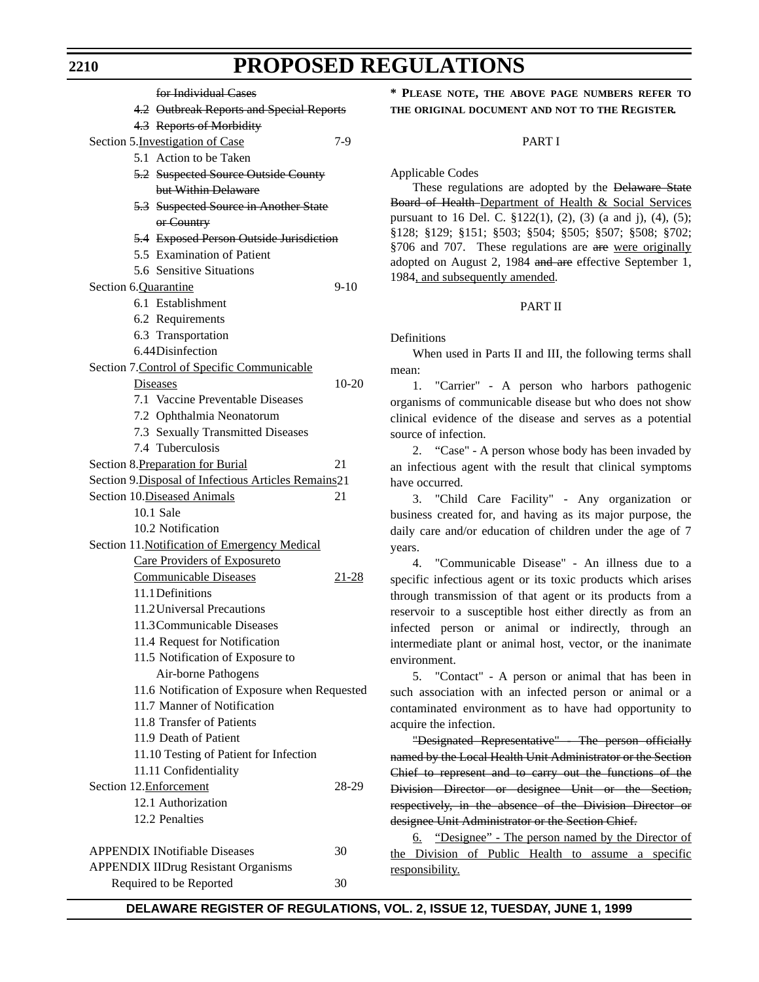for Individual Cases 4.2 Outbreak Reports and Special Reports 4.3 Reports of Morbidity Section 5. Investigation of Case 7-9 5.1 Action to be Taken 5.2 Suspected Source Outside County but Within Delaware 5.3 Suspected Source in Another State or Country 5.4 Exposed Person Outside Jurisdiction 5.5 Examination of Patient 5.6 Sensitive Situations Section 6.Quarantine 9-10 6.1 Establishment 6.2 Requirements 6.3 Transportation 6.44Disinfection Section 7.Control of Specific Communicable Diseases 10-20 7.1 Vaccine Preventable Diseases 7.2 Ophthalmia Neonatorum 7.3 Sexually Transmitted Diseases 7.4 Tuberculosis Section 8. Preparation for Burial 21 Section 9.Disposal of Infectious Articles Remains21 Section 10.Diseased Animals 21 10.1 Sale 10.2 Notification Section 11.Notification of Emergency Medical Care Providers of Exposureto Communicable Diseases 21-28 11.1Definitions 11.2Universal Precautions 11.3Communicable Diseases 11.4 Request for Notification 11.5 Notification of Exposure to Air-borne Pathogens 11.6 Notification of Exposure when Requested 11.7 Manner of Notification 11.8 Transfer of Patients 11.9 Death of Patient 11.10 Testing of Patient for Infection 11.11 Confidentiality Section 12. Enforcement 28-29 12.1 Authorization 12.2 Penalties APPENDIX INotifiable Diseases 30 APPENDIX IIDrug Resistant Organisms Required to be Reported 30

**\* PLEASE NOTE, THE ABOVE PAGE NUMBERS REFER TO THE ORIGINAL DOCUMENT AND NOT TO THE REGISTER.**

#### PART I

Applicable Codes

These regulations are adopted by the Delaware State Board of Health Department of Health & Social Services pursuant to 16 Del. C. §122(1), (2), (3) (a and j), (4), (5); §128; §129; §151; §503; §504; §505; §507; §508; §702; §706 and 707. These regulations are are were originally adopted on August 2, 1984 and are effective September 1, 1984, and subsequently amended.

#### PART II

Definitions

When used in Parts II and III, the following terms shall mean:

1. "Carrier" - A person who harbors pathogenic organisms of communicable disease but who does not show clinical evidence of the disease and serves as a potential source of infection.

2. "Case" - A person whose body has been invaded by an infectious agent with the result that clinical symptoms have occurred.

3. "Child Care Facility" - Any organization or business created for, and having as its major purpose, the daily care and/or education of children under the age of 7 years.

4. "Communicable Disease" - An illness due to a specific infectious agent or its toxic products which arises through transmission of that agent or its products from a reservoir to a susceptible host either directly as from an infected person or animal or indirectly, through an intermediate plant or animal host, vector, or the inanimate environment.

5. "Contact" - A person or animal that has been in such association with an infected person or animal or a contaminated environment as to have had opportunity to acquire the infection.

"Designated Representative" - The person officially named by the Local Health Unit Administrator or the Section Chief to represent and to carry out the functions of the Division Director or designee Unit or the Section, respectively, in the absence of the Division Director or designee Unit Administrator or the Section Chief.

6. "Designee" - The person named by the Director of the Division of Public Health to assume a specific responsibility.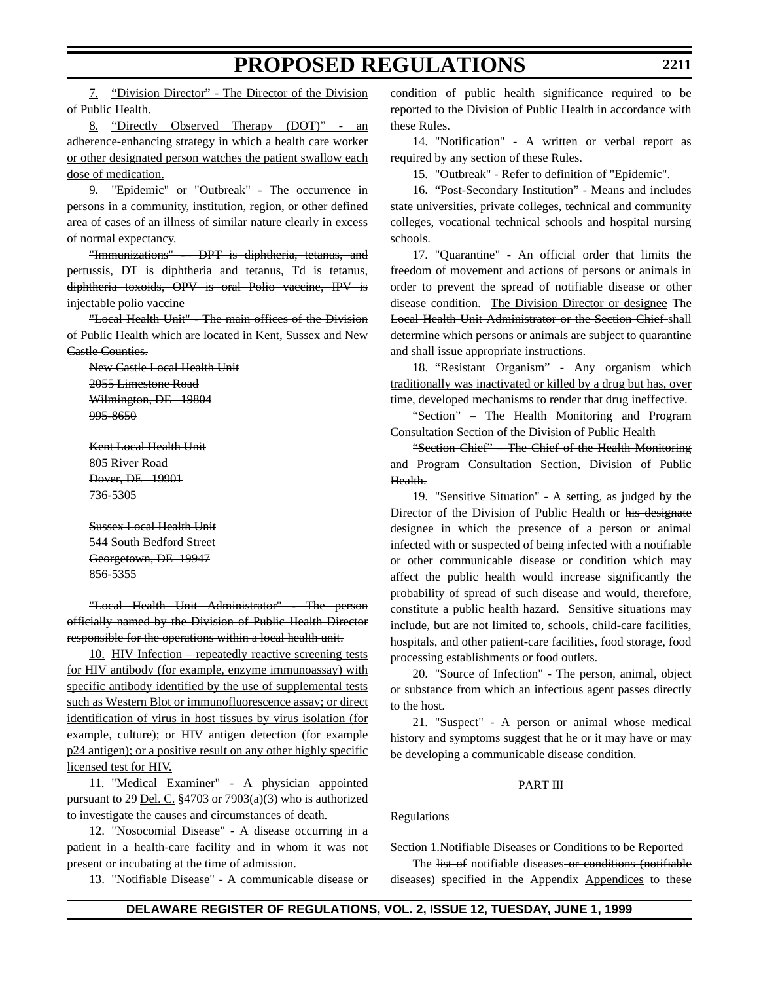7. "Division Director" - The Director of the Division of Public Health.

8. "Directly Observed Therapy (DOT)" - an adherence-enhancing strategy in which a health care worker or other designated person watches the patient swallow each dose of medication.

9. "Epidemic" or "Outbreak" - The occurrence in persons in a community, institution, region, or other defined area of cases of an illness of similar nature clearly in excess of normal expectancy.

"Immunizations" -– DPT is diphtheria, tetanus, and pertussis, DT is diphtheria and tetanus, Td is tetanus, diphtheria toxoids, OPV is oral Polio vaccine, IPV is injectable polio vaccine

"Local Health Unit" - The main offices of the Division of Public Health which are located in Kent, Sussex and New Castle Counties.

New Castle Local Health Unit 2055 Limestone Road Wilmington, DE 19804 995-8650

Kent Local Health Unit 805 River Road Dover, DE 19901 736-5305

Sussex Local Health Unit 544 South Bedford Street Georgetown, DE 19947 856-5355

"Local Health Unit Administrator" - The person officially named by the Division of Public Health Director responsible for the operations within a local health unit.

10. HIV Infection – repeatedly reactive screening tests for HIV antibody (for example, enzyme immunoassay) with specific antibody identified by the use of supplemental tests such as Western Blot or immunofluorescence assay; or direct identification of virus in host tissues by virus isolation (for example, culture); or HIV antigen detection (for example p24 antigen); or a positive result on any other highly specific licensed test for HIV.

11. "Medical Examiner" - A physician appointed pursuant to 29 <u>Del. C.</u>  $\frac{24703 \text{ or } 7903(a)(3) \text{ who is authorized}}{29 \text{ Del}}$ to investigate the causes and circumstances of death.

12. "Nosocomial Disease" - A disease occurring in a patient in a health-care facility and in whom it was not present or incubating at the time of admission.

13. "Notifiable Disease" - A communicable disease or

condition of public health significance required to be reported to the Division of Public Health in accordance with these Rules.

14. "Notification" - A written or verbal report as required by any section of these Rules.

15. "Outbreak" - Refer to definition of "Epidemic".

16. "Post-Secondary Institution" - Means and includes state universities, private colleges, technical and community colleges, vocational technical schools and hospital nursing schools.

17. "Quarantine" - An official order that limits the freedom of movement and actions of persons or animals in order to prevent the spread of notifiable disease or other disease condition. The Division Director or designee The Local Health Unit Administrator or the Section Chief shall determine which persons or animals are subject to quarantine and shall issue appropriate instructions.

18. "Resistant Organism" - Any organism which traditionally was inactivated or killed by a drug but has, over time, developed mechanisms to render that drug ineffective.

"Section" – The Health Monitoring and Program Consultation Section of the Division of Public Health

"Section Chief" – The Chief of the Health Monitoring and Program Consultation Section, Division of Public Health.

19. "Sensitive Situation" - A setting, as judged by the Director of the Division of Public Health or his designate designee in which the presence of a person or animal infected with or suspected of being infected with a notifiable or other communicable disease or condition which may affect the public health would increase significantly the probability of spread of such disease and would, therefore, constitute a public health hazard. Sensitive situations may include, but are not limited to, schools, child-care facilities, hospitals, and other patient-care facilities, food storage, food processing establishments or food outlets.

20. "Source of Infection" - The person, animal, object or substance from which an infectious agent passes directly to the host.

21. "Suspect" - A person or animal whose medical history and symptoms suggest that he or it may have or may be developing a communicable disease condition.

#### PART III

Regulations

Section 1.Notifiable Diseases or Conditions to be Reported

The list of notifiable diseases or conditions (notifiable diseases) specified in the Appendix Appendices to these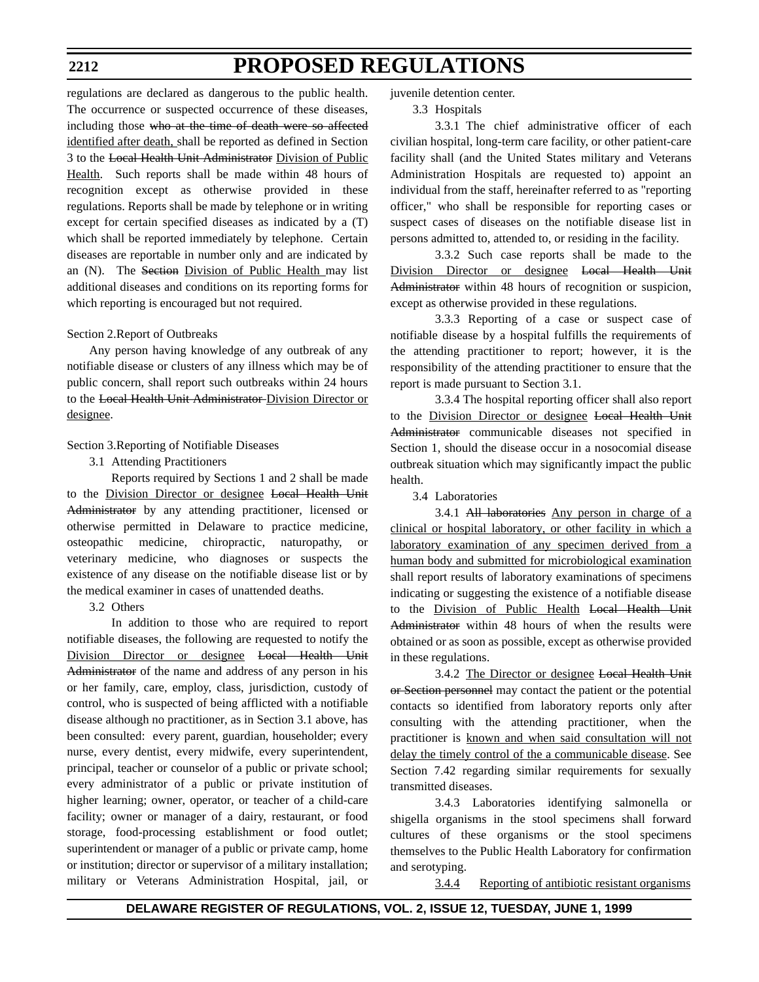#### **2212**

# **PROPOSED REGULATIONS**

regulations are declared as dangerous to the public health. The occurrence or suspected occurrence of these diseases, including those who at the time of death were so affected identified after death, shall be reported as defined in Section 3 to the Local Health Unit Administrator Division of Public Health. Such reports shall be made within 48 hours of recognition except as otherwise provided in these regulations. Reports shall be made by telephone or in writing except for certain specified diseases as indicated by a (T) which shall be reported immediately by telephone. Certain diseases are reportable in number only and are indicated by an (N). The Section Division of Public Health may list additional diseases and conditions on its reporting forms for which reporting is encouraged but not required.

### Section 2.Report of Outbreaks

Any person having knowledge of any outbreak of any notifiable disease or clusters of any illness which may be of public concern, shall report such outbreaks within 24 hours to the Local Health Unit Administrator Division Director or designee.

Section 3.Reporting of Notifiable Diseases

3.1 Attending Practitioners

Reports required by Sections 1 and 2 shall be made to the Division Director or designee Local Health Unit Administrator by any attending practitioner, licensed or otherwise permitted in Delaware to practice medicine, osteopathic medicine, chiropractic, naturopathy, or veterinary medicine, who diagnoses or suspects the existence of any disease on the notifiable disease list or by the medical examiner in cases of unattended deaths.

3.2 Others

In addition to those who are required to report notifiable diseases, the following are requested to notify the Division Director or designee Local Health Unit Administrator of the name and address of any person in his or her family, care, employ, class, jurisdiction, custody of control, who is suspected of being afflicted with a notifiable disease although no practitioner, as in Section 3.1 above, has been consulted: every parent, guardian, householder; every nurse, every dentist, every midwife, every superintendent, principal, teacher or counselor of a public or private school; every administrator of a public or private institution of higher learning; owner, operator, or teacher of a child-care facility; owner or manager of a dairy, restaurant, or food storage, food-processing establishment or food outlet; superintendent or manager of a public or private camp, home or institution; director or supervisor of a military installation; military or Veterans Administration Hospital, jail, or

juvenile detention center.

#### 3.3 Hospitals

3.3.1 The chief administrative officer of each civilian hospital, long-term care facility, or other patient-care facility shall (and the United States military and Veterans Administration Hospitals are requested to) appoint an individual from the staff, hereinafter referred to as "reporting officer," who shall be responsible for reporting cases or suspect cases of diseases on the notifiable disease list in persons admitted to, attended to, or residing in the facility.

3.3.2 Such case reports shall be made to the Division Director or designee Local Health Unit Administrator within 48 hours of recognition or suspicion, except as otherwise provided in these regulations.

3.3.3 Reporting of a case or suspect case of notifiable disease by a hospital fulfills the requirements of the attending practitioner to report; however, it is the responsibility of the attending practitioner to ensure that the report is made pursuant to Section 3.1.

3.3.4 The hospital reporting officer shall also report to the Division Director or designee Local Health Unit Administrator communicable diseases not specified in Section 1, should the disease occur in a nosocomial disease outbreak situation which may significantly impact the public health.

3.4 Laboratories

3.4.1 All laboratories Any person in charge of a clinical or hospital laboratory, or other facility in which a laboratory examination of any specimen derived from a human body and submitted for microbiological examination shall report results of laboratory examinations of specimens indicating or suggesting the existence of a notifiable disease to the Division of Public Health Local Health Unit Administrator within 48 hours of when the results were obtained or as soon as possible, except as otherwise provided in these regulations.

3.4.2 The Director or designee Local Health Unit or Section personnel may contact the patient or the potential contacts so identified from laboratory reports only after consulting with the attending practitioner, when the practitioner is known and when said consultation will not delay the timely control of the a communicable disease. See Section 7.42 regarding similar requirements for sexually transmitted diseases.

3.4.3 Laboratories identifying salmonella or shigella organisms in the stool specimens shall forward cultures of these organisms or the stool specimens themselves to the Public Health Laboratory for confirmation and serotyping.

3.4.4 Reporting of antibiotic resistant organisms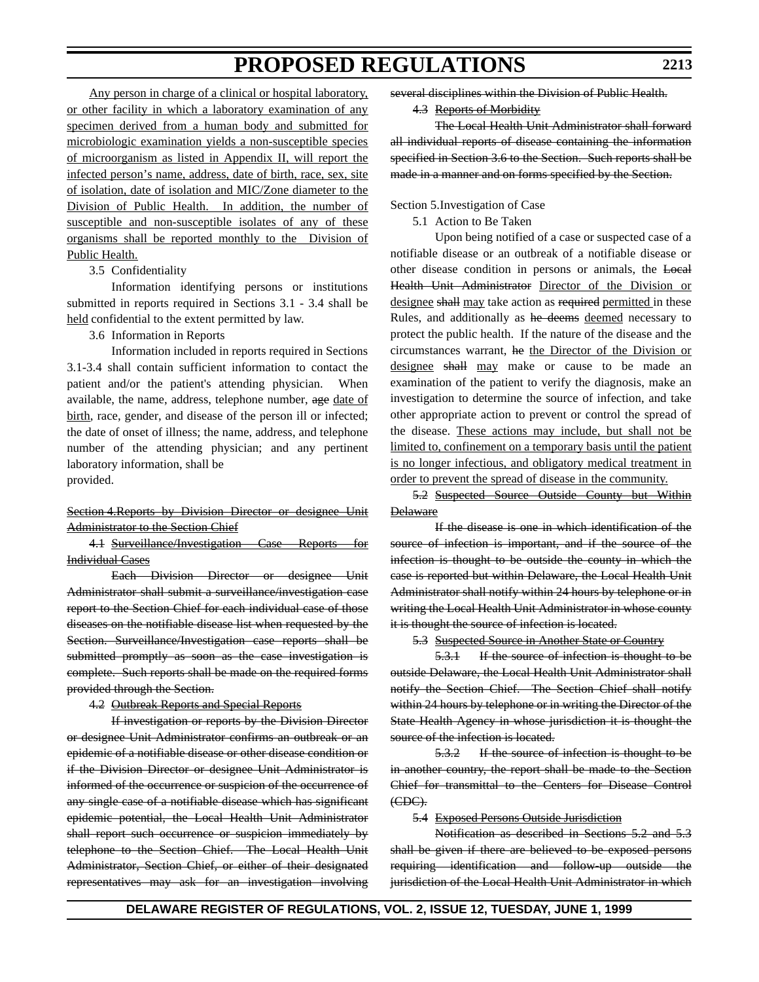**2213**

Any person in charge of a clinical or hospital laboratory, or other facility in which a laboratory examination of any specimen derived from a human body and submitted for microbiologic examination yields a non-susceptible species of microorganism as listed in Appendix II, will report the infected person's name, address, date of birth, race, sex, site of isolation, date of isolation and MIC/Zone diameter to the Division of Public Health. In addition, the number of susceptible and non-susceptible isolates of any of these organisms shall be reported monthly to the Division of Public Health.

### 3.5 Confidentiality

Information identifying persons or institutions submitted in reports required in Sections 3.1 - 3.4 shall be held confidential to the extent permitted by law.

### 3.6 Information in Reports

Information included in reports required in Sections 3.1-3.4 shall contain sufficient information to contact the patient and/or the patient's attending physician. When available, the name, address, telephone number, age date of birth, race, gender, and disease of the person ill or infected; the date of onset of illness; the name, address, and telephone number of the attending physician; and any pertinent laboratory information, shall be provided.

Section 4. Reports by Division Director or designee Unit Administrator to the Section Chief

4.1 Surveillance/Investigation Case Reports for Individual Cases

Each Division Director or designee Unit Administrator shall submit a surveillance/investigation case report to the Section Chief for each individual case of those diseases on the notifiable disease list when requested by the Section. Surveillance/Investigation case reports shall be submitted promptly as soon as the case investigation is complete. Such reports shall be made on the required forms provided through the Section.

4.2 Outbreak Reports and Special Reports

If investigation or reports by the Division Director or designee Unit Administrator confirms an outbreak or an epidemic of a notifiable disease or other disease condition or if the Division Director or designee Unit Administrator is informed of the occurrence or suspicion of the occurrence of any single case of a notifiable disease which has significant epidemic potential, the Local Health Unit Administrator shall report such occurrence or suspicion immediately by telephone to the Section Chief. The Local Health Unit Administrator, Section Chief, or either of their designated representatives may ask for an investigation involving

several disciplines within the Division of Public Health.

4.3 Reports of Morbidity

The Local Health Unit Administrator shall forward all individual reports of disease containing the information specified in Section 3.6 to the Section. Such reports shall be made in a manner and on forms specified by the Section.

### Section 5.Investigation of Case

5.1 Action to Be Taken

Upon being notified of a case or suspected case of a notifiable disease or an outbreak of a notifiable disease or other disease condition in persons or animals, the Local Health Unit Administrator Director of the Division or designee shall may take action as required permitted in these Rules, and additionally as he deems deemed necessary to protect the public health. If the nature of the disease and the circumstances warrant, he the Director of the Division or designee shall may make or cause to be made an examination of the patient to verify the diagnosis, make an investigation to determine the source of infection, and take other appropriate action to prevent or control the spread of the disease. These actions may include, but shall not be limited to, confinement on a temporary basis until the patient is no longer infectious, and obligatory medical treatment in order to prevent the spread of disease in the community.

5.2 Suspected Source Outside County but Within **Delaware** 

If the disease is one in which identification of the source of infection is important, and if the source of the infection is thought to be outside the county in which the case is reported but within Delaware, the Local Health Unit Administrator shall notify within 24 hours by telephone or in writing the Local Health Unit Administrator in whose county it is thought the source of infection is located.

5.3 Suspected Source in Another State or Country

5.3.1 If the source of infection is thought to be outside Delaware, the Local Health Unit Administrator shall notify the Section Chief. The Section Chief shall notify within 24 hours by telephone or in writing the Director of the State Health Agency in whose jurisdiction it is thought the source of the infection is located.

5.3.2 If the source of infection is thought to be in another country, the report shall be made to the Section Chief for transmittal to the Centers for Disease Control  $(EDC)$ .

5.4 Exposed Persons Outside Jurisdiction

Notification as described in Sections 5.2 and 5.3 shall be given if there are believed to be exposed persons requiring identification and follow-up outside the jurisdiction of the Local Health Unit Administrator in which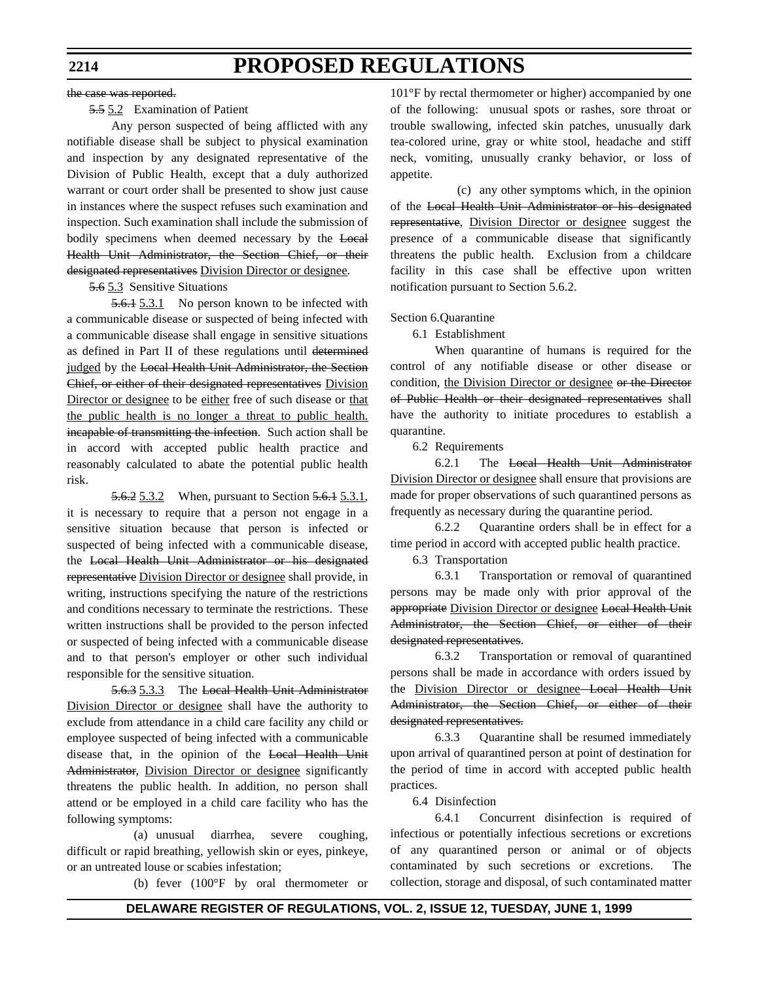#### the case was reported.

### 5.5 5.2 Examination of Patient

Any person suspected of being afflicted with any notifiable disease shall be subject to physical examination and inspection by any designated representative of the Division of Public Health, except that a duly authorized warrant or court order shall be presented to show just cause in instances where the suspect refuses such examination and inspection. Such examination shall include the submission of bodily specimens when deemed necessary by the Local Health Unit Administrator, the Section Chief, or their designated representatives Division Director or designee.

#### 5.6 5.3 Sensitive Situations

5.6.1 5.3.1 No person known to be infected with a communicable disease or suspected of being infected with a communicable disease shall engage in sensitive situations as defined in Part II of these regulations until determined judged by the Local Health Unit Administrator, the Section Chief, or either of their designated representatives Division Director or designee to be either free of such disease or that the public health is no longer a threat to public health. incapable of transmitting the infection. Such action shall be in accord with accepted public health practice and reasonably calculated to abate the potential public health risk.

5.6.2 5.3.2 When, pursuant to Section 5.6.1 5.3.1, it is necessary to require that a person not engage in a sensitive situation because that person is infected or suspected of being infected with a communicable disease, the Local Health Unit Administrator or his designated representative Division Director or designee shall provide, in writing, instructions specifying the nature of the restrictions and conditions necessary to terminate the restrictions. These written instructions shall be provided to the person infected or suspected of being infected with a communicable disease and to that person's employer or other such individual responsible for the sensitive situation.

5.6.3 5.3.3 The Local Health Unit Administrator Division Director or designee shall have the authority to exclude from attendance in a child care facility any child or employee suspected of being infected with a communicable disease that, in the opinion of the Local Health Unit Administrator, Division Director or designee significantly threatens the public health. In addition, no person shall attend or be employed in a child care facility who has the following symptoms:

(a) unusual diarrhea, severe coughing, difficult or rapid breathing, yellowish skin or eyes, pinkeye, or an untreated louse or scabies infestation;

(b) fever (100°F by oral thermometer or

101°F by rectal thermometer or higher) accompanied by one of the following: unusual spots or rashes, sore throat or trouble swallowing, infected skin patches, unusually dark tea-colored urine, gray or white stool, headache and stiff neck, vomiting, unusually cranky behavior, or loss of appetite.

(c) any other symptoms which, in the opinion of the Local Health Unit Administrator or his designated representative, Division Director or designee suggest the presence of a communicable disease that significantly threatens the public health. Exclusion from a childcare facility in this case shall be effective upon written notification pursuant to Section 5.6.2.

#### Section 6.Quarantine

6.1 Establishment

When quarantine of humans is required for the control of any notifiable disease or other disease or condition, the Division Director or designee or the Director of Public Health or their designated representatives shall have the authority to initiate procedures to establish a quarantine.

6.2 Requirements

6.2.1 The Local Health Unit Administrator Division Director or designee shall ensure that provisions are made for proper observations of such quarantined persons as frequently as necessary during the quarantine period.

6.2.2 Quarantine orders shall be in effect for a time period in accord with accepted public health practice.

6.3 Transportation

6.3.1 Transportation or removal of quarantined persons may be made only with prior approval of the appropriate Division Director or designee Local Health Unit Administrator, the Section Chief, or either of their designated representatives.

6.3.2 Transportation or removal of quarantined persons shall be made in accordance with orders issued by the Division Director or designee Local Health Unit Administrator, the Section Chief, or either of their designated representatives.

6.3.3 Quarantine shall be resumed immediately upon arrival of quarantined person at point of destination for the period of time in accord with accepted public health practices.

6.4 Disinfection

6.4.1 Concurrent disinfection is required of infectious or potentially infectious secretions or excretions of any quarantined person or animal or of objects contaminated by such secretions or excretions. The collection, storage and disposal, of such contaminated matter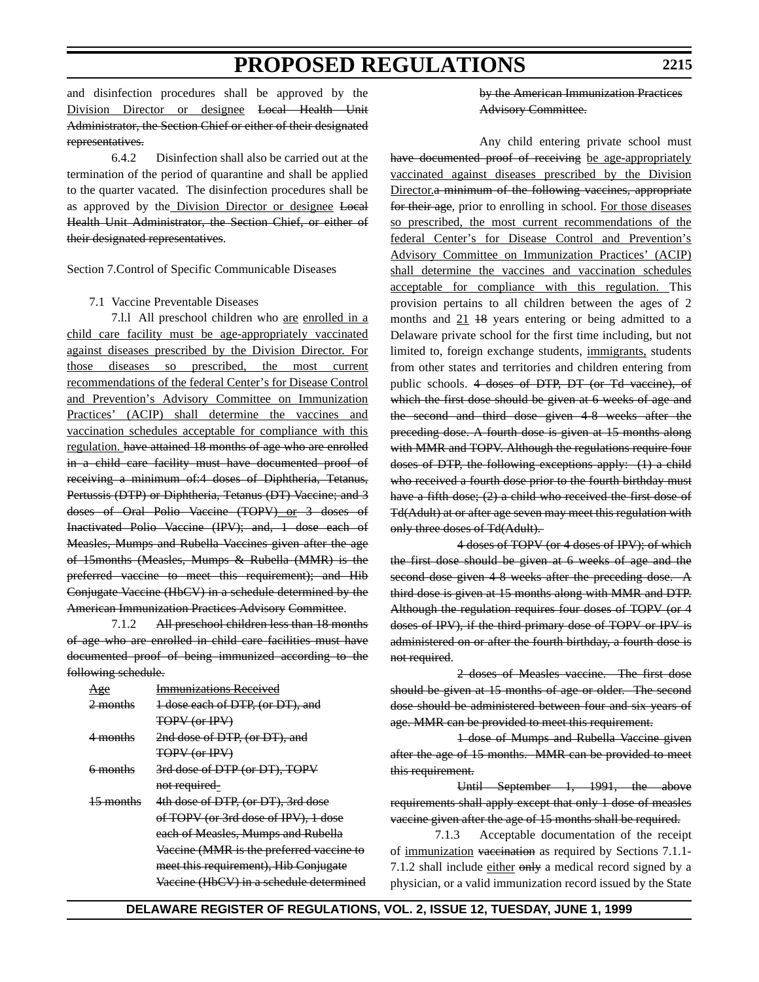and disinfection procedures shall be approved by the Division Director or designee Local Health Unit Administrator, the Section Chief or either of their designated representatives.

6.4.2 Disinfection shall also be carried out at the termination of the period of quarantine and shall be applied to the quarter vacated. The disinfection procedures shall be as approved by the Division Director or designee Local Health Unit Administrator, the Section Chief, or either of their designated representatives.

Section 7.Control of Specific Communicable Diseases

#### 7.1 Vaccine Preventable Diseases

7.1.1 All preschool children who are enrolled in a child care facility must be age-appropriately vaccinated against diseases prescribed by the Division Director. For those diseases so prescribed, the most current recommendations of the federal Center's for Disease Control and Prevention's Advisory Committee on Immunization Practices' (ACIP) shall determine the vaccines and vaccination schedules acceptable for compliance with this regulation. have attained 18 months of age who are enrolled in a child care facility must have documented proof of receiving a minimum of:4 doses of Diphtheria, Tetanus, Pertussis (DTP) or Diphtheria, Tetanus (DT) Vaccine; and 3 doses of Oral Polio Vaccine (TOPV) or 3 doses of Inactivated Polio Vaccine (IPV); and, 1 dose each of Measles, Mumps and Rubella Vaccines given after the age of 15months (Measles, Mumps & Rubella (MMR) is the preferred vaccine to meet this requirement); and Hib Conjugate Vaccine (HbCV) in a schedule determined by the American Immunization Practices Advisory Committee.

7.1.2 All preschool children less than 18 months of age who are enrolled in child care facilities must have documented proof of being immunized according to the following schedule.

| Age                  | <b>Immunizations Received</b>            |
|----------------------|------------------------------------------|
| <del>2 months</del>  | 1 dose each of DTP, (or DT), and         |
|                      | <b>TOPV (or IPV)</b>                     |
| <del>4 months</del>  | 2nd dose of DTP, (or DT), and            |
|                      | <b>TOPV (or IPV)</b>                     |
| 6 months             | 3rd dose of DTP (or DT), TOPV            |
|                      | not required-                            |
| <del>15 months</del> | 4th dose of DTP, (or DT), 3rd dose       |
|                      | of TOPV (or 3rd dose of IPV), 1 dose     |
|                      | each of Measles, Mumps and Rubella       |
|                      | Vaccine (MMR is the preferred vaccine to |
|                      | meet this requirement), Hib Conjugate    |
|                      | Vaccine (HbCV) in a schedule determined  |

### by the American Immunization Practices Advisory Committee.

Any child entering private school must have documented proof of receiving be age-appropriately vaccinated against diseases prescribed by the Division Director.a minimum of the following vaccines, appropriate for their age, prior to enrolling in school. For those diseases so prescribed, the most current recommendations of the federal Center's for Disease Control and Prevention's Advisory Committee on Immunization Practices' (ACIP) shall determine the vaccines and vaccination schedules acceptable for compliance with this regulation. This provision pertains to all children between the ages of 2 months and  $21$  18 years entering or being admitted to a Delaware private school for the first time including, but not limited to, foreign exchange students, immigrants, students from other states and territories and children entering from public schools. 4 doses of DTP, DT (or Td vaccine), of which the first dose should be given at 6 weeks of age and the second and third dose given 4-8 weeks after the preceding dose. A fourth dose is given at 15 months along with MMR and TOPV. Although the regulations require four doses of DTP, the following exceptions apply: (1) a child who received a fourth dose prior to the fourth birthday must have a fifth dose; (2) a child who received the first dose of Td(Adult) at or after age seven may meet this regulation with only three doses of Td(Adult).

4 doses of TOPV (or 4 doses of IPV); of which the first dose should be given at 6 weeks of age and the second dose given 4-8 weeks after the preceding dose. A third dose is given at 15 months along with MMR and DTP. Although the regulation requires four doses of TOPV (or 4 doses of IPV), if the third primary dose of TOPV or IPV is administered on or after the fourth birthday, a fourth dose is not required.

2 doses of Measles vaccine. The first dose should be given at 15 months of age or older. The second dose should be administered between four and six years of age. MMR can be provided to meet this requirement.

1 dose of Mumps and Rubella Vaccine given after the age of 15 months. MMR can be provided to meet this requirement.

Until September 1, 1991, the above requirements shall apply except that only 1 dose of measles vaccine given after the age of 15 months shall be required.

7.1.3 Acceptable documentation of the receipt of immunization vaccination as required by Sections 7.1.1- 7.1.2 shall include either  $\theta$ <sub>y</sub> a medical record signed by a physician, or a valid immunization record issued by the State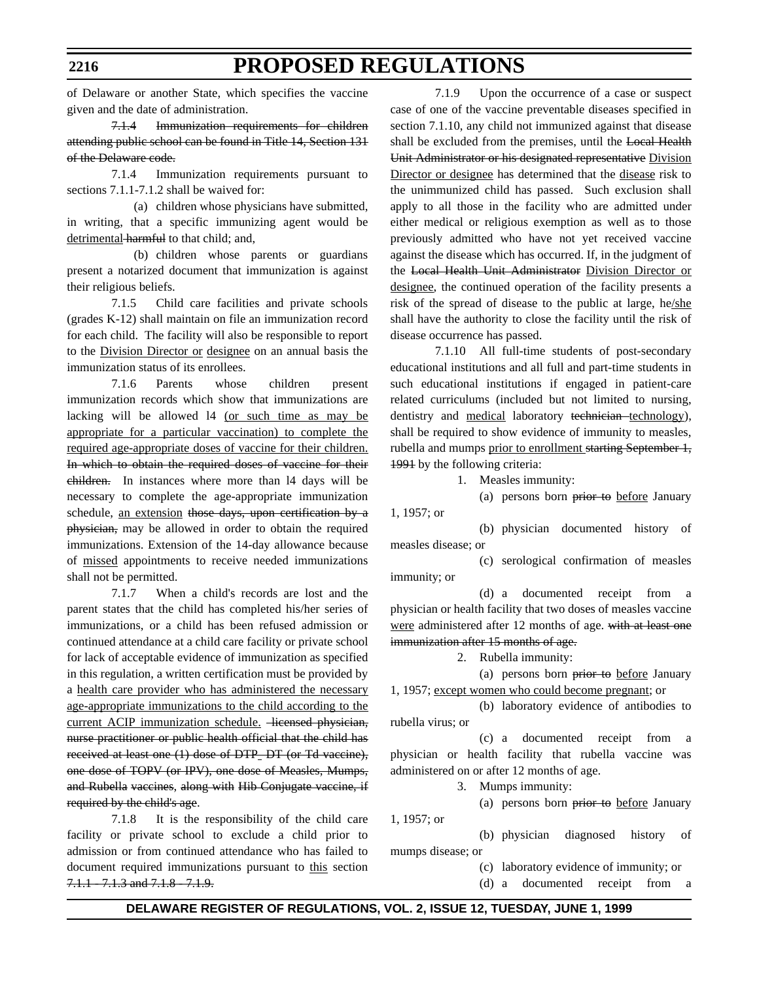of Delaware or another State, which specifies the vaccine given and the date of administration.

7.1.4 Immunization requirements for children attending public school can be found in Title 14, Section 131 of the Delaware code.

7.1.4 Immunization requirements pursuant to sections 7.1.1-7.1.2 shall be waived for:

(a) children whose physicians have submitted, in writing, that a specific immunizing agent would be detrimental harmful to that child; and,

(b) children whose parents or guardians present a notarized document that immunization is against their religious beliefs.

7.1.5 Child care facilities and private schools (grades K-12) shall maintain on file an immunization record for each child. The facility will also be responsible to report to the Division Director or designee on an annual basis the immunization status of its enrollees.

7.1.6 Parents whose children present immunization records which show that immunizations are lacking will be allowed l4 (or such time as may be appropriate for a particular vaccination) to complete the required age-appropriate doses of vaccine for their children. In which to obtain the required doses of vaccine for their children. In instances where more than l4 days will be necessary to complete the age-appropriate immunization schedule, an extension those days, upon certification by a physician, may be allowed in order to obtain the required immunizations. Extension of the 14-day allowance because of missed appointments to receive needed immunizations shall not be permitted.

7.1.7 When a child's records are lost and the parent states that the child has completed his/her series of immunizations, or a child has been refused admission or continued attendance at a child care facility or private school for lack of acceptable evidence of immunization as specified in this regulation, a written certification must be provided by a health care provider who has administered the necessary age-appropriate immunizations to the child according to the current ACIP immunization schedule. -licensed physician, nurse practitioner or public health official that the child has received at least one (1) dose of DTP\_DT (or Td vaccine), one dose of TOPV (or IPV), one dose of Measles, Mumps, and Rubella vaccines, along with Hib Conjugate vaccine, if required by the child's age.

7.1.8 It is the responsibility of the child care facility or private school to exclude a child prior to admission or from continued attendance who has failed to document required immunizations pursuant to this section 7.1.1 7.1.3 and 7.1.8 7.1.9.

7.1.9 Upon the occurrence of a case or suspect case of one of the vaccine preventable diseases specified in section 7.1.10, any child not immunized against that disease shall be excluded from the premises, until the Local Health Unit Administrator or his designated representative Division Director or designee has determined that the disease risk to the unimmunized child has passed. Such exclusion shall apply to all those in the facility who are admitted under either medical or religious exemption as well as to those previously admitted who have not yet received vaccine against the disease which has occurred. If, in the judgment of the Local Health Unit Administrator Division Director or designee, the continued operation of the facility presents a risk of the spread of disease to the public at large, he/she shall have the authority to close the facility until the risk of disease occurrence has passed.

7.1.10 All full-time students of post-secondary educational institutions and all full and part-time students in such educational institutions if engaged in patient-care related curriculums (included but not limited to nursing, dentistry and medical laboratory technician technology), shall be required to show evidence of immunity to measles, rubella and mumps prior to enrollment starting September 1, 1991 by the following criteria:

1. Measles immunity:

(a) persons born prior to before January

1, 1957; or

(b) physician documented history of measles disease; or

(c) serological confirmation of measles immunity; or

(d) a documented receipt from a physician or health facility that two doses of measles vaccine were administered after 12 months of age. with at least one immunization after 15 months of age.

2. Rubella immunity:

(a) persons born prior to before January 1, 1957; except women who could become pregnant; or

(b) laboratory evidence of antibodies to rubella virus; or

(c) a documented receipt from a physician or health facility that rubella vaccine was administered on or after 12 months of age.

3. Mumps immunity:

(a) persons born prior to before January 1, 1957; or

(b) physician diagnosed history of mumps disease; or

(c) laboratory evidence of immunity; or

(d) a documented receipt from a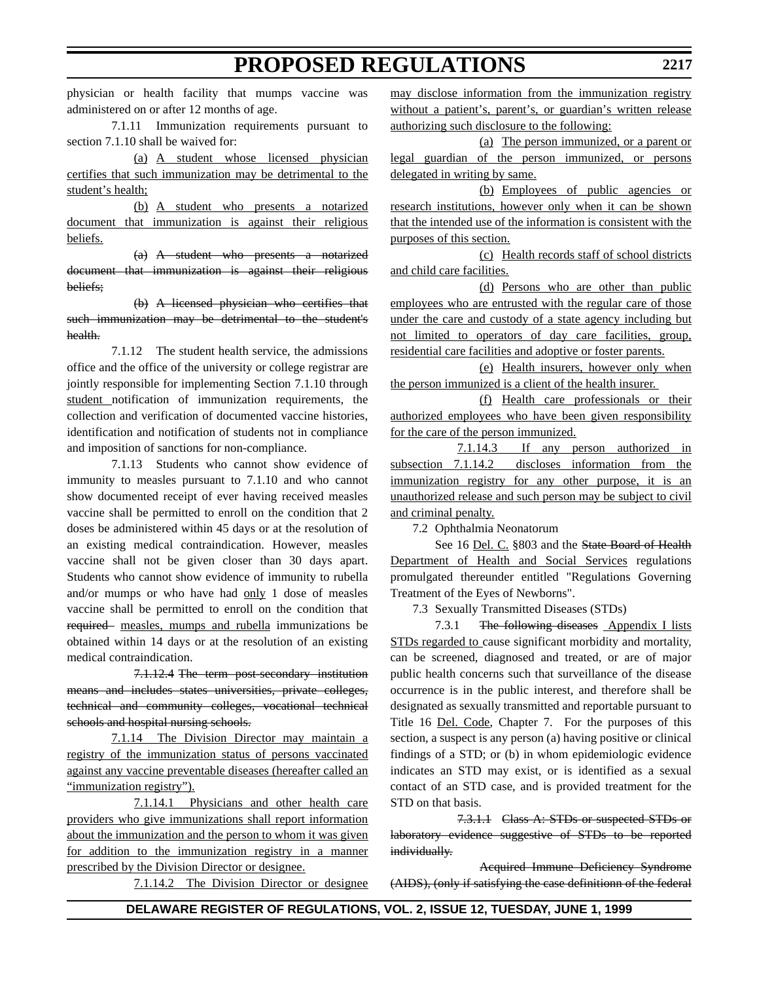physician or health facility that mumps vaccine was administered on or after 12 months of age.

7.1.11 Immunization requirements pursuant to section 7.1.10 shall be waived for:

(a) A student whose licensed physician certifies that such immunization may be detrimental to the student's health;

(b) A student who presents a notarized document that immunization is against their religious beliefs.

(a) A student who presents a notarized document that immunization is against their religious beliefs;

(b) A licensed physician who certifies that such immunization may be detrimental to the student's health.

7.1.12 The student health service, the admissions office and the office of the university or college registrar are jointly responsible for implementing Section 7.1.10 through student notification of immunization requirements, the collection and verification of documented vaccine histories, identification and notification of students not in compliance and imposition of sanctions for non-compliance.

7.1.13 Students who cannot show evidence of immunity to measles pursuant to 7.1.10 and who cannot show documented receipt of ever having received measles vaccine shall be permitted to enroll on the condition that 2 doses be administered within 45 days or at the resolution of an existing medical contraindication. However, measles vaccine shall not be given closer than 30 days apart. Students who cannot show evidence of immunity to rubella and/or mumps or who have had only 1 dose of measles vaccine shall be permitted to enroll on the condition that required measles, mumps and rubella immunizations be obtained within 14 days or at the resolution of an existing medical contraindication.

7.1.12.4 The term post-secondary institution means and includes states universities, private colleges, technical and community colleges, vocational technical schools and hospital nursing schools.

7.1.14 The Division Director may maintain a registry of the immunization status of persons vaccinated against any vaccine preventable diseases (hereafter called an "immunization registry").

7.1.14.1 Physicians and other health care providers who give immunizations shall report information about the immunization and the person to whom it was given for addition to the immunization registry in a manner prescribed by the Division Director or designee.

7.1.14.2 The Division Director or designee

may disclose information from the immunization registry without a patient's, parent's, or guardian's written release authorizing such disclosure to the following:

(a) The person immunized, or a parent or legal guardian of the person immunized, or persons delegated in writing by same.

(b) Employees of public agencies or research institutions, however only when it can be shown that the intended use of the information is consistent with the purposes of this section.

(c) Health records staff of school districts and child care facilities.

(d) Persons who are other than public employees who are entrusted with the regular care of those under the care and custody of a state agency including but not limited to operators of day care facilities, group, residential care facilities and adoptive or foster parents.

(e) Health insurers, however only when the person immunized is a client of the health insurer.

(f) Health care professionals or their authorized employees who have been given responsibility for the care of the person immunized.

7.1.14.3 If any person authorized in subsection 7.1.14.2 discloses information from the immunization registry for any other purpose, it is an unauthorized release and such person may be subject to civil and criminal penalty.

7.2 Ophthalmia Neonatorum

See 16 Del. C. §803 and the State Board of Health Department of Health and Social Services regulations promulgated thereunder entitled "Regulations Governing Treatment of the Eyes of Newborns".

7.3 Sexually Transmitted Diseases (STDs)

7.3.1 The following diseases Appendix I lists STDs regarded to cause significant morbidity and mortality, can be screened, diagnosed and treated, or are of major public health concerns such that surveillance of the disease occurrence is in the public interest, and therefore shall be designated as sexually transmitted and reportable pursuant to Title 16 Del. Code, Chapter 7. For the purposes of this section, a suspect is any person (a) having positive or clinical findings of a STD; or (b) in whom epidemiologic evidence indicates an STD may exist, or is identified as a sexual contact of an STD case, and is provided treatment for the STD on that basis.

7.3.1.1 Class A: STDs or suspected STDs or laboratory evidence suggestive of STDs to be reported individually.

Acquired Immune Deficiency Syndrome (AIDS), (only if satisfying the case definitionn of the federal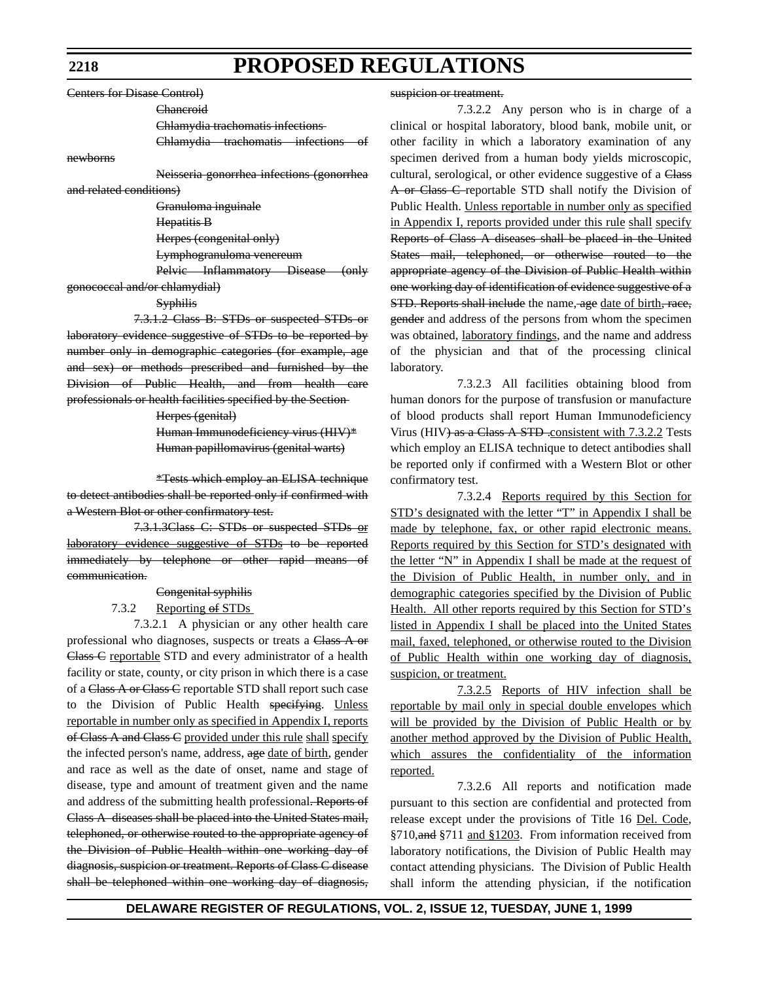Centers for Disase Control)

Chancroid

Chlamydia trachomatis infections Chlamydia trachomatis infections of

newborns

Neisseria gonorrhea infections (gonorrhea

and related conditions) Granuloma inguinale

Hepatitis B

Herpes (congenital only)

Lymphogranuloma venereum

Pelvic Inflammatory Disease (only gonococcal and/or chlamydial)

#### **Syphilis**

7.3.1.2 Class B: STDs or suspected STDs or laboratory evidence suggestive of STDs to be reported by number only in demographic categories (for example, age and sex) or methods prescribed and furnished by the Division of Public Health, and from health care professionals or health facilities specified by the Section

Herpes (genital)

Human Immunodeficiency virus (HIV)\* Human papillomavirus (genital warts)

\*Tests which employ an ELISA technique to detect antibodies shall be reported only if confirmed with a Western Blot or other confirmatory test.

7.3.1.3Class C: STDs or suspected STDs or laboratory evidence suggestive of STDs to be reported immediately by telephone or other rapid means of communication.

# Congenital syphilis

### 7.3.2 Reporting of STDs

7.3.2.1 A physician or any other health care professional who diagnoses, suspects or treats a Class A or Class C reportable STD and every administrator of a health facility or state, county, or city prison in which there is a case of a Class A or Class C reportable STD shall report such case to the Division of Public Health specifying. Unless reportable in number only as specified in Appendix I, reports of Class A and Class C provided under this rule shall specify the infected person's name, address, age date of birth, gender and race as well as the date of onset, name and stage of disease, type and amount of treatment given and the name and address of the submitting health professional. Reports of Class A diseases shall be placed into the United States mail, telephoned, or otherwise routed to the appropriate agency of the Division of Public Health within one working day of diagnosis, suspicion or treatment. Reports of Class C disease shall be telephoned within one working day of diagnosis,

#### suspicion or treatment.

7.3.2.2 Any person who is in charge of a clinical or hospital laboratory, blood bank, mobile unit, or other facility in which a laboratory examination of any specimen derived from a human body yields microscopic, cultural, serological, or other evidence suggestive of a Class A or Class C reportable STD shall notify the Division of Public Health. Unless reportable in number only as specified in Appendix I, reports provided under this rule shall specify Reports of Class A diseases shall be placed in the United States mail, telephoned, or otherwise routed to the appropriate agency of the Division of Public Health within one working day of identification of evidence suggestive of a STD. Reports shall include the name, age date of birth, race, gender and address of the persons from whom the specimen was obtained, laboratory findings, and the name and address of the physician and that of the processing clinical laboratory.

7.3.2.3 All facilities obtaining blood from human donors for the purpose of transfusion or manufacture of blood products shall report Human Immunodeficiency Virus (HIV) as a Class A STD .consistent with 7.3.2.2 Tests which employ an ELISA technique to detect antibodies shall be reported only if confirmed with a Western Blot or other confirmatory test.

7.3.2.4 Reports required by this Section for STD's designated with the letter "T" in Appendix I shall be made by telephone, fax, or other rapid electronic means. Reports required by this Section for STD's designated with the letter "N" in Appendix I shall be made at the request of the Division of Public Health, in number only, and in demographic categories specified by the Division of Public Health. All other reports required by this Section for STD's listed in Appendix I shall be placed into the United States mail, faxed, telephoned, or otherwise routed to the Division of Public Health within one working day of diagnosis, suspicion, or treatment.

7.3.2.5 Reports of HIV infection shall be reportable by mail only in special double envelopes which will be provided by the Division of Public Health or by another method approved by the Division of Public Health, which assures the confidentiality of the information reported.

7.3.2.6 All reports and notification made pursuant to this section are confidential and protected from release except under the provisions of Title 16 Del. Code, §710, and §711 and §1203. From information received from laboratory notifications, the Division of Public Health may contact attending physicians. The Division of Public Health shall inform the attending physician, if the notification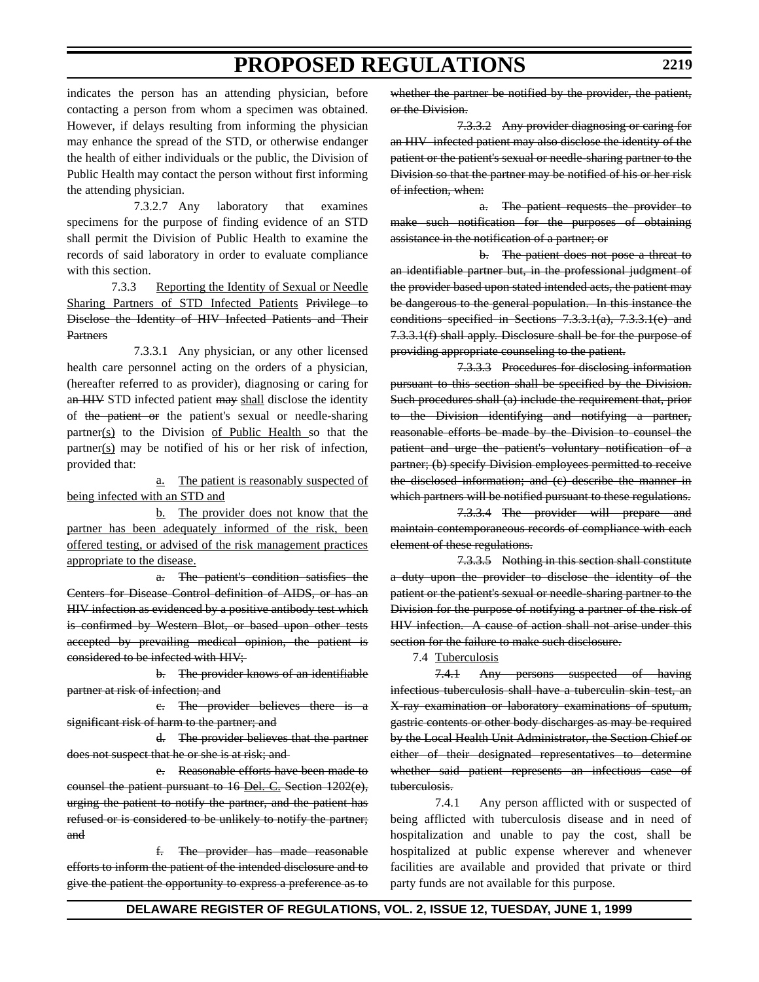indicates the person has an attending physician, before contacting a person from whom a specimen was obtained. However, if delays resulting from informing the physician may enhance the spread of the STD, or otherwise endanger the health of either individuals or the public, the Division of Public Health may contact the person without first informing the attending physician.

7.3.2.7 Any laboratory that examines specimens for the purpose of finding evidence of an STD shall permit the Division of Public Health to examine the records of said laboratory in order to evaluate compliance with this section.

7.3.3 Reporting the Identity of Sexual or Needle Sharing Partners of STD Infected Patients Privilege to Disclose the Identity of HIV Infected Patients and Their **Partners** 

7.3.3.1 Any physician, or any other licensed health care personnel acting on the orders of a physician, (hereafter referred to as provider), diagnosing or caring for an HIV STD infected patient may shall disclose the identity of the patient or the patient's sexual or needle-sharing partner(s) to the Division of Public Health so that the partner(s) may be notified of his or her risk of infection, provided that:

a. The patient is reasonably suspected of being infected with an STD and

b. The provider does not know that the partner has been adequately informed of the risk, been offered testing, or advised of the risk management practices appropriate to the disease.

a. The patient's condition satisfies the Centers for Disease Control definition of AIDS, or has an HIV infection as evidenced by a positive antibody test which is confirmed by Western Blot, or based upon other tests accepted by prevailing medical opinion, the patient is considered to be infected with HIV;

b. The provider knows of an identifiable partner at risk of infection; and

c. The provider believes there is a significant risk of harm to the partner; and

d. The provider believes that the partner does not suspect that he or she is at risk; and

e. Reasonable efforts have been made to counsel the patient pursuant to 16 Del. C. Section 1202(e), urging the patient to notify the partner, and the patient has refused or is considered to be unlikely to notify the partner; and

f. The provider has made reasonable efforts to inform the patient of the intended disclosure and to give the patient the opportunity to express a preference as to

whether the partner be notified by the provider, the patient, or the Division.

7.3.3.2 Any provider diagnosing or caring for an HIV infected patient may also disclose the identity of the patient or the patient's sexual or needle-sharing partner to the Division so that the partner may be notified of his or her risk of infection, when:

a. The patient requests the provider to make such notification for the purposes of obtaining assistance in the notification of a partner; or

b. The patient does not pose a threat to an identifiable partner but, in the professional judgment of the provider based upon stated intended acts, the patient may be dangerous to the general population. In this instance the conditions specified in Sections 7.3.3.1(a), 7.3.3.1(e) and 7.3.3.1(f) shall apply. Disclosure shall be for the purpose of providing appropriate counseling to the patient.

7.3.3.3 Procedures for disclosing information pursuant to this section shall be specified by the Division. Such procedures shall (a) include the requirement that, prior to the Division identifying and notifying a partner, reasonable efforts be made by the Division to counsel the patient and urge the patient's voluntary notification of a partner; (b) specify Division employees permitted to receive the disclosed information; and (c) describe the manner in which partners will be notified pursuant to these regulations.

7.3.3.4 The provider will prepare and maintain contemporaneous records of compliance with each element of these regulations.

7.3.3.5 Nothing in this section shall constitute a duty upon the provider to disclose the identity of the patient or the patient's sexual or needle-sharing partner to the Division for the purpose of notifying a partner of the risk of HIV infection. A cause of action shall not arise under this section for the failure to make such disclosure.

7.4 Tuberculosis

7.4.1 Any persons suspected of having infectious tuberculosis shall have a tuberculin skin test, an X-ray examination or laboratory examinations of sputum, gastric contents or other body discharges as may be required by the Local Health Unit Administrator, the Section Chief or either of their designated representatives to determine whether said patient represents an infectious case of tuberculosis.

7.4.1 Any person afflicted with or suspected of being afflicted with tuberculosis disease and in need of hospitalization and unable to pay the cost, shall be hospitalized at public expense wherever and whenever facilities are available and provided that private or third party funds are not available for this purpose.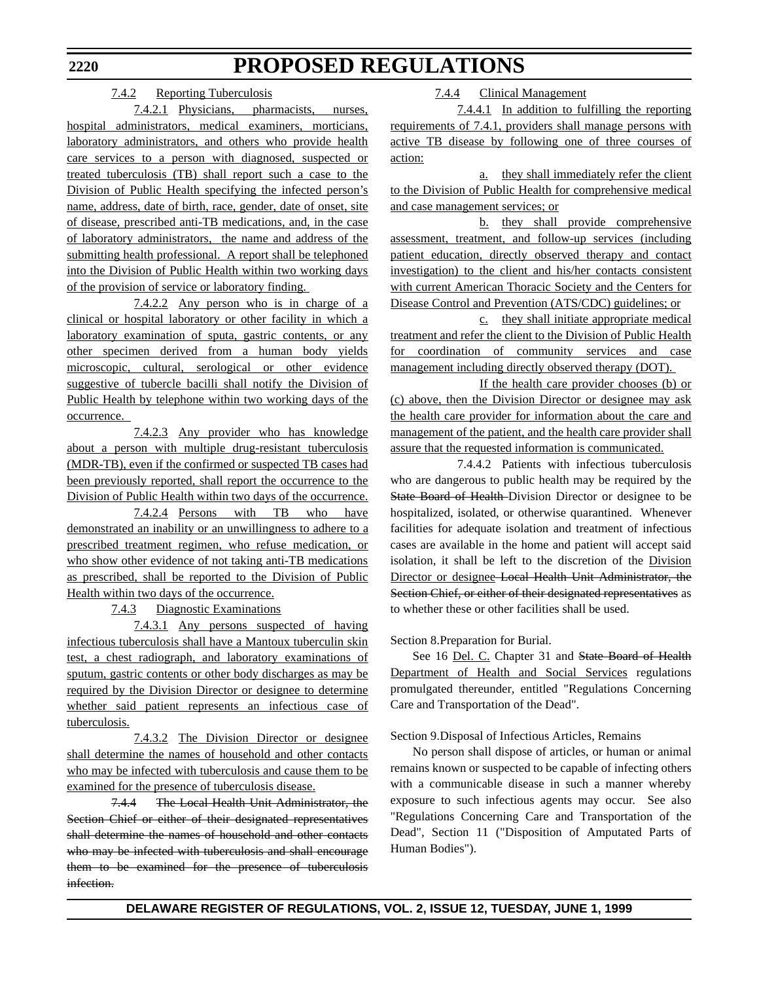### 7.4.2 Reporting Tuberculosis

7.4.2.1 Physicians, pharmacists, nurses, hospital administrators, medical examiners, morticians, laboratory administrators, and others who provide health care services to a person with diagnosed, suspected or treated tuberculosis (TB) shall report such a case to the Division of Public Health specifying the infected person's name, address, date of birth, race, gender, date of onset, site of disease, prescribed anti-TB medications, and, in the case of laboratory administrators, the name and address of the submitting health professional. A report shall be telephoned into the Division of Public Health within two working days of the provision of service or laboratory finding.

7.4.2.2 Any person who is in charge of a clinical or hospital laboratory or other facility in which a laboratory examination of sputa, gastric contents, or any other specimen derived from a human body yields microscopic, cultural, serological or other evidence suggestive of tubercle bacilli shall notify the Division of Public Health by telephone within two working days of the occurrence.

7.4.2.3 Any provider who has knowledge about a person with multiple drug-resistant tuberculosis (MDR-TB), even if the confirmed or suspected TB cases had been previously reported, shall report the occurrence to the Division of Public Health within two days of the occurrence.

7.4.2.4 Persons with TB who have demonstrated an inability or an unwillingness to adhere to a prescribed treatment regimen, who refuse medication, or who show other evidence of not taking anti-TB medications as prescribed, shall be reported to the Division of Public Health within two days of the occurrence.

7.4.3 Diagnostic Examinations

7.4.3.1 Any persons suspected of having infectious tuberculosis shall have a Mantoux tuberculin skin test, a chest radiograph, and laboratory examinations of sputum, gastric contents or other body discharges as may be required by the Division Director or designee to determine whether said patient represents an infectious case of tuberculosis.

7.4.3.2 The Division Director or designee shall determine the names of household and other contacts who may be infected with tuberculosis and cause them to be examined for the presence of tuberculosis disease.

7.4.4 The Local Health Unit Administrator, the Section Chief or either of their designated representatives shall determine the names of household and other contacts who may be infected with tuberculosis and shall encourage them to be examined for the presence of tuberculosis infection.

7.4.4 Clinical Management

7.4.4.1 In addition to fulfilling the reporting requirements of 7.4.1, providers shall manage persons with active TB disease by following one of three courses of action:

a. they shall immediately refer the client to the Division of Public Health for comprehensive medical and case management services; or

b. they shall provide comprehensive assessment, treatment, and follow-up services (including patient education, directly observed therapy and contact investigation) to the client and his/her contacts consistent with current American Thoracic Society and the Centers for Disease Control and Prevention (ATS/CDC) guidelines; or

c. they shall initiate appropriate medical treatment and refer the client to the Division of Public Health for coordination of community services and case management including directly observed therapy (DOT).

If the health care provider chooses (b) or (c) above, then the Division Director or designee may ask the health care provider for information about the care and management of the patient, and the health care provider shall assure that the requested information is communicated.

7.4.4.2 Patients with infectious tuberculosis who are dangerous to public health may be required by the State Board of Health-Division Director or designee to be hospitalized, isolated, or otherwise quarantined. Whenever facilities for adequate isolation and treatment of infectious cases are available in the home and patient will accept said isolation, it shall be left to the discretion of the Division Director or designee Local Health Unit Administrator, the Section Chief, or either of their designated representatives as to whether these or other facilities shall be used.

Section 8.Preparation for Burial.

See 16 Del. C. Chapter 31 and State Board of Health Department of Health and Social Services regulations promulgated thereunder, entitled "Regulations Concerning Care and Transportation of the Dead".

Section 9.Disposal of Infectious Articles, Remains

No person shall dispose of articles, or human or animal remains known or suspected to be capable of infecting others with a communicable disease in such a manner whereby exposure to such infectious agents may occur. See also "Regulations Concerning Care and Transportation of the Dead", Section 11 ("Disposition of Amputated Parts of Human Bodies").

# **DELAWARE REGISTER OF REGULATIONS, VOL. 2, ISSUE 12, TUESDAY, JUNE 1, 1999**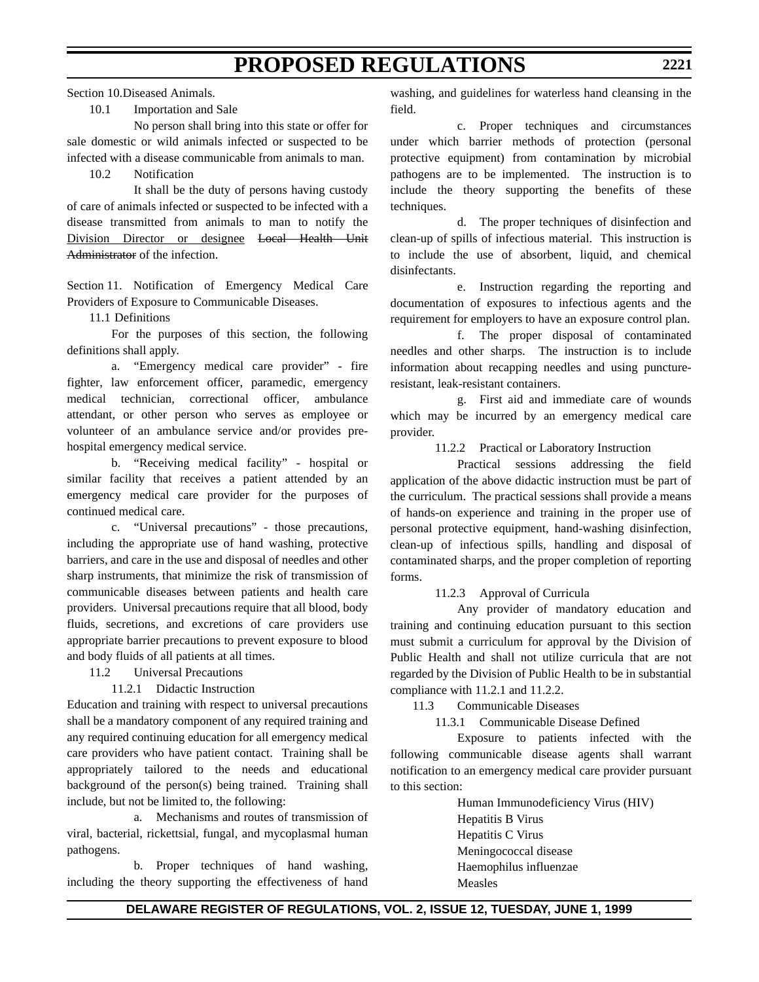Section 10.Diseased Animals.

# 10.1 Importation and Sale

No person shall bring into this state or offer for sale domestic or wild animals infected or suspected to be infected with a disease communicable from animals to man.

### 10.2 Notification

It shall be the duty of persons having custody of care of animals infected or suspected to be infected with a disease transmitted from animals to man to notify the Division Director or designee Local Health Unit Administrator of the infection.

Section 11. Notification of Emergency Medical Care Providers of Exposure to Communicable Diseases.

11.1 Definitions

For the purposes of this section, the following definitions shall apply.

a. "Emergency medical care provider" - fire fighter, law enforcement officer, paramedic, emergency medical technician, correctional officer, ambulance attendant, or other person who serves as employee or volunteer of an ambulance service and/or provides prehospital emergency medical service.

b. "Receiving medical facility" - hospital or similar facility that receives a patient attended by an emergency medical care provider for the purposes of continued medical care.

c. "Universal precautions" - those precautions, including the appropriate use of hand washing, protective barriers, and care in the use and disposal of needles and other sharp instruments, that minimize the risk of transmission of communicable diseases between patients and health care providers. Universal precautions require that all blood, body fluids, secretions, and excretions of care providers use appropriate barrier precautions to prevent exposure to blood and body fluids of all patients at all times.

11.2 Universal Precautions

11.2.1 Didactic Instruction

Education and training with respect to universal precautions shall be a mandatory component of any required training and any required continuing education for all emergency medical care providers who have patient contact. Training shall be appropriately tailored to the needs and educational background of the person(s) being trained. Training shall include, but not be limited to, the following:

a. Mechanisms and routes of transmission of viral, bacterial, rickettsial, fungal, and mycoplasmal human pathogens.

b. Proper techniques of hand washing, including the theory supporting the effectiveness of hand washing, and guidelines for waterless hand cleansing in the field.

c. Proper techniques and circumstances under which barrier methods of protection (personal protective equipment) from contamination by microbial pathogens are to be implemented. The instruction is to include the theory supporting the benefits of these techniques.

d. The proper techniques of disinfection and clean-up of spills of infectious material. This instruction is to include the use of absorbent, liquid, and chemical disinfectants.

e. Instruction regarding the reporting and documentation of exposures to infectious agents and the requirement for employers to have an exposure control plan.

f. The proper disposal of contaminated needles and other sharps. The instruction is to include information about recapping needles and using punctureresistant, leak-resistant containers.

g. First aid and immediate care of wounds which may be incurred by an emergency medical care provider.

11.2.2 Practical or Laboratory Instruction

Practical sessions addressing the field application of the above didactic instruction must be part of the curriculum. The practical sessions shall provide a means of hands-on experience and training in the proper use of personal protective equipment, hand-washing disinfection, clean-up of infectious spills, handling and disposal of contaminated sharps, and the proper completion of reporting forms.

11.2.3 Approval of Curricula

Any provider of mandatory education and training and continuing education pursuant to this section must submit a curriculum for approval by the Division of Public Health and shall not utilize curricula that are not regarded by the Division of Public Health to be in substantial compliance with 11.2.1 and 11.2.2.

11.3 Communicable Diseases

11.3.1 Communicable Disease Defined

Exposure to patients infected with the following communicable disease agents shall warrant notification to an emergency medical care provider pursuant to this section:

> Human Immunodeficiency Virus (HIV) Hepatitis B Virus Hepatitis C Virus Meningococcal disease Haemophilus influenzae Measles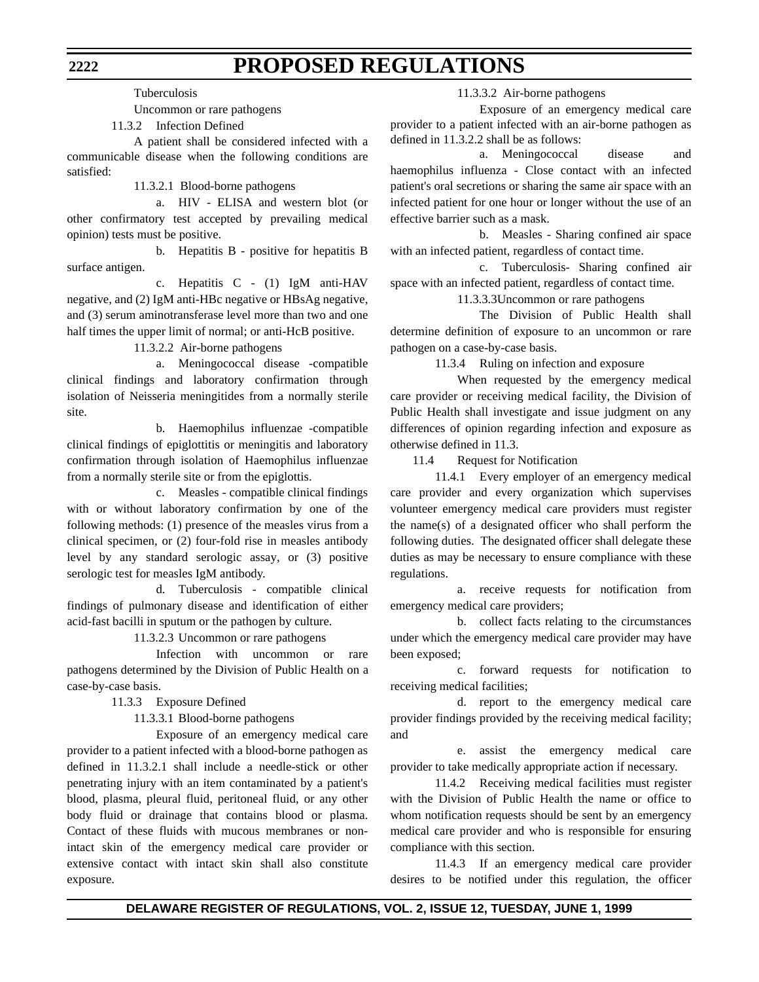Tuberculosis

Uncommon or rare pathogens

11.3.2 Infection Defined

A patient shall be considered infected with a communicable disease when the following conditions are satisfied:

11.3.2.1 Blood-borne pathogens

a. HIV - ELISA and western blot (or other confirmatory test accepted by prevailing medical opinion) tests must be positive.

b. Hepatitis B - positive for hepatitis B surface antigen.

c. Hepatitis C - (1) IgM anti-HAV negative, and (2) IgM anti-HBc negative or HBsAg negative, and (3) serum aminotransferase level more than two and one half times the upper limit of normal; or anti-HcB positive.

11.3.2.2 Air-borne pathogens

a. Meningococcal disease -compatible clinical findings and laboratory confirmation through isolation of Neisseria meningitides from a normally sterile site.

b. Haemophilus influenzae -compatible clinical findings of epiglottitis or meningitis and laboratory confirmation through isolation of Haemophilus influenzae from a normally sterile site or from the epiglottis.

c. Measles - compatible clinical findings with or without laboratory confirmation by one of the following methods: (1) presence of the measles virus from a clinical specimen, or (2) four-fold rise in measles antibody level by any standard serologic assay, or (3) positive serologic test for measles IgM antibody.

d. Tuberculosis - compatible clinical findings of pulmonary disease and identification of either acid-fast bacilli in sputum or the pathogen by culture.

11.3.2.3 Uncommon or rare pathogens

Infection with uncommon or rare pathogens determined by the Division of Public Health on a case-by-case basis.

11.3.3 Exposure Defined

11.3.3.1 Blood-borne pathogens

Exposure of an emergency medical care provider to a patient infected with a blood-borne pathogen as defined in 11.3.2.1 shall include a needle-stick or other penetrating injury with an item contaminated by a patient's blood, plasma, pleural fluid, peritoneal fluid, or any other body fluid or drainage that contains blood or plasma. Contact of these fluids with mucous membranes or nonintact skin of the emergency medical care provider or extensive contact with intact skin shall also constitute exposure.

11.3.3.2 Air-borne pathogens

Exposure of an emergency medical care provider to a patient infected with an air-borne pathogen as defined in 11.3.2.2 shall be as follows:

a. Meningococcal disease and haemophilus influenza - Close contact with an infected patient's oral secretions or sharing the same air space with an infected patient for one hour or longer without the use of an effective barrier such as a mask.

b. Measles - Sharing confined air space with an infected patient, regardless of contact time.

c. Tuberculosis- Sharing confined air space with an infected patient, regardless of contact time.

11.3.3.3Uncommon or rare pathogens

The Division of Public Health shall determine definition of exposure to an uncommon or rare pathogen on a case-by-case basis.

11.3.4 Ruling on infection and exposure

When requested by the emergency medical care provider or receiving medical facility, the Division of Public Health shall investigate and issue judgment on any differences of opinion regarding infection and exposure as otherwise defined in 11.3.

11.4 Request for Notification

11.4.1 Every employer of an emergency medical care provider and every organization which supervises volunteer emergency medical care providers must register the name(s) of a designated officer who shall perform the following duties. The designated officer shall delegate these duties as may be necessary to ensure compliance with these regulations.

a. receive requests for notification from emergency medical care providers;

b. collect facts relating to the circumstances under which the emergency medical care provider may have been exposed;

c. forward requests for notification to receiving medical facilities;

d. report to the emergency medical care provider findings provided by the receiving medical facility; and

e. assist the emergency medical care provider to take medically appropriate action if necessary.

11.4.2 Receiving medical facilities must register with the Division of Public Health the name or office to whom notification requests should be sent by an emergency medical care provider and who is responsible for ensuring compliance with this section.

11.4.3 If an emergency medical care provider desires to be notified under this regulation, the officer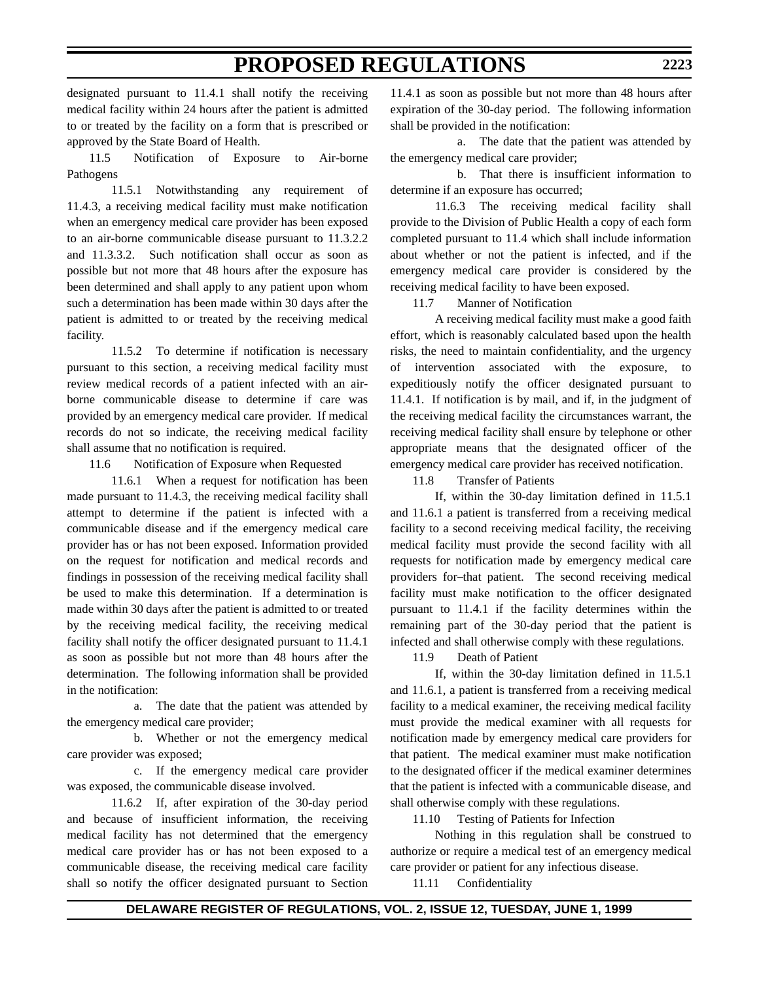designated pursuant to 11.4.1 shall notify the receiving medical facility within 24 hours after the patient is admitted to or treated by the facility on a form that is prescribed or approved by the State Board of Health.

11.5 Notification of Exposure to Air-borne Pathogens

11.5.1 Notwithstanding any requirement of 11.4.3, a receiving medical facility must make notification when an emergency medical care provider has been exposed to an air-borne communicable disease pursuant to 11.3.2.2 and 11.3.3.2. Such notification shall occur as soon as possible but not more that 48 hours after the exposure has been determined and shall apply to any patient upon whom such a determination has been made within 30 days after the patient is admitted to or treated by the receiving medical facility.

11.5.2 To determine if notification is necessary pursuant to this section, a receiving medical facility must review medical records of a patient infected with an airborne communicable disease to determine if care was provided by an emergency medical care provider. If medical records do not so indicate, the receiving medical facility shall assume that no notification is required.

11.6 Notification of Exposure when Requested

11.6.1 When a request for notification has been made pursuant to 11.4.3, the receiving medical facility shall attempt to determine if the patient is infected with a communicable disease and if the emergency medical care provider has or has not been exposed. Information provided on the request for notification and medical records and findings in possession of the receiving medical facility shall be used to make this determination. If a determination is made within 30 days after the patient is admitted to or treated by the receiving medical facility, the receiving medical facility shall notify the officer designated pursuant to 11.4.1 as soon as possible but not more than 48 hours after the determination. The following information shall be provided in the notification:

a. The date that the patient was attended by the emergency medical care provider;

b. Whether or not the emergency medical care provider was exposed;

c. If the emergency medical care provider was exposed, the communicable disease involved.

11.6.2 If, after expiration of the 30-day period and because of insufficient information, the receiving medical facility has not determined that the emergency medical care provider has or has not been exposed to a communicable disease, the receiving medical care facility shall so notify the officer designated pursuant to Section

11.4.1 as soon as possible but not more than 48 hours after expiration of the 30-day period. The following information shall be provided in the notification:

a. The date that the patient was attended by the emergency medical care provider;

b. That there is insufficient information to determine if an exposure has occurred;

11.6.3 The receiving medical facility shall provide to the Division of Public Health a copy of each form completed pursuant to 11.4 which shall include information about whether or not the patient is infected, and if the emergency medical care provider is considered by the receiving medical facility to have been exposed.

11.7 Manner of Notification

A receiving medical facility must make a good faith effort, which is reasonably calculated based upon the health risks, the need to maintain confidentiality, and the urgency of intervention associated with the exposure, to expeditiously notify the officer designated pursuant to 11.4.1. If notification is by mail, and if, in the judgment of the receiving medical facility the circumstances warrant, the receiving medical facility shall ensure by telephone or other appropriate means that the designated officer of the emergency medical care provider has received notification.

11.8 Transfer of Patients

If, within the 30-day limitation defined in 11.5.1 and 11.6.1 a patient is transferred from a receiving medical facility to a second receiving medical facility, the receiving medical facility must provide the second facility with all requests for notification made by emergency medical care providers for-that patient. The second receiving medical facility must make notification to the officer designated pursuant to 11.4.1 if the facility determines within the remaining part of the 30-day period that the patient is infected and shall otherwise comply with these regulations.

11.9 Death of Patient

If, within the 30-day limitation defined in 11.5.1 and 11.6.1, a patient is transferred from a receiving medical facility to a medical examiner, the receiving medical facility must provide the medical examiner with all requests for notification made by emergency medical care providers for that patient. The medical examiner must make notification to the designated officer if the medical examiner determines that the patient is infected with a communicable disease, and shall otherwise comply with these regulations.

11.10 Testing of Patients for Infection

Nothing in this regulation shall be construed to authorize or require a medical test of an emergency medical care provider or patient for any infectious disease.

11.11 Confidentiality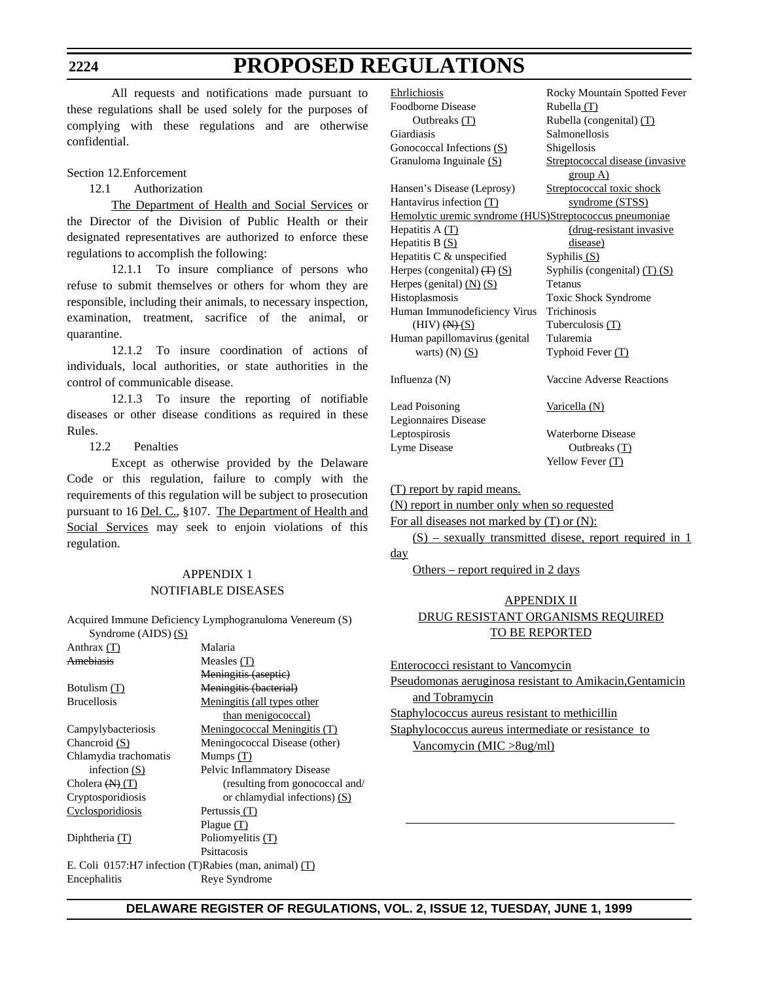#### **2224**

# **PROPOSED REGULATIONS**

All requests and notifications made pursuant to these regulations shall be used solely for the purposes of complying with these regulations and are otherwise confidential.

### Section 12.Enforcement

12.1 Authorization

The Department of Health and Social Services or the Director of the Division of Public Health or their designated representatives are authorized to enforce these regulations to accomplish the following:

12.1.1 To insure compliance of persons who refuse to submit themselves or others for whom they are responsible, including their animals, to necessary inspection, examination, treatment, sacrifice of the animal, or quarantine.

12.1.2 To insure coordination of actions of individuals, local authorities, or state authorities in the control of communicable disease.

12.1.3 To insure the reporting of notifiable diseases or other disease conditions as required in these Rules.

12.2 Penalties

Except as otherwise provided by the Delaware Code or this regulation, failure to comply with the requirements of this regulation will be subject to prosecution pursuant to 16 Del. C., §107. The Department of Health and Social Services may seek to enjoin violations of this regulation.

# APPENDIX 1 NOTIFIABLE DISEASES

Acquired Immune Deficiency Lymphogranuloma Venereum (S) Syndrome (AIDS) (S)

| Malaria                                               |
|-------------------------------------------------------|
| Measles $(T)$                                         |
| Meningitis (aseptie)                                  |
| Meningitis (bacterial)                                |
| Meningitis (all types other                           |
| than menigococcal)                                    |
| Meningococcal Meningitis (T)                          |
| Meningococcal Disease (other)                         |
| Mumps $(T)$                                           |
| Pelvic Inflammatory Disease                           |
| (resulting from gonococcal and/                       |
| or chlamydial infections) (S)                         |
| Pertussis (T)                                         |
| Plague (T)                                            |
| Poliomyelitis $(T)$                                   |
| Psittacosis                                           |
| E. Coli 0157:H7 infection (T)Rabies (man, animal) (T) |
| Reye Syndrome                                         |
|                                                       |

| Ehrlichiosis                                            | Rocky Mountain Spotted Fever    |
|---------------------------------------------------------|---------------------------------|
| <b>Foodborne Disease</b>                                | Rubella (T)                     |
| Outbreaks $(T)$                                         | Rubella (congenital) $(T)$      |
| Giardiasis                                              | Salmonellosis                   |
| Gonococcal Infections (S)                               | Shigellosis                     |
| Granuloma Inguinale (S)                                 | Streptococcal disease (invasive |
|                                                         | group A)                        |
| Hansen's Disease (Leprosy)                              | Streptococcal toxic shock       |
| Hantavirus infection (T)                                | syndrome (STSS)                 |
| Hemolytic uremic syndrome (HUS)Streptococcus pneumoniae |                                 |
| Hepatitis $A(T)$                                        | (drug-resistant invasive        |
| Hepatitis B $(S)$                                       | disease)                        |
| Hepatitis C & unspecified                               | Syphilis $(S)$                  |
| Herpes (congenital) $(\overline{T})$ (S)                | Syphilis (congenital) $(T)$ (S) |
| Herpes (genital) $(N)$ $(S)$                            | <b>Tetanus</b>                  |
| Histoplasmosis                                          | Toxic Shock Syndrome            |
| Human Immunodeficiency Virus                            | Trichinosis                     |
| $(HIV)$ $(HH)(S)$                                       | Tuberculosis (T)                |
| Human papillomavirus (genital                           | Tularemia                       |
| warts) $(N)$ $(S)$                                      | Typhoid Fever $(T)$             |
| Influenza $(N)$                                         | Vaccine Adverse Reactions       |
| Lead Poisoning                                          | Varicella (N)                   |
| Legionnaires Disease                                    |                                 |

Leptospirosis Waterborne Disease Lyme Disease Outbreaks (T) Yellow Fever (T)

### (T) report by rapid means.

(N) report in number only when so requested

For all diseases not marked by (T) or (N):

 $(S)$  – sexually transmitted disese, report required in 1 day

Others – report required in 2 days

# APPENDIX II DRUG RESISTANT ORGANISMS REQUIRED TO BE REPORTED

Enterococci resistant to Vancomycin

Pseudomonas aeruginosa resistant to Amikacin,Gentamicin and Tobramycin

Staphylococcus aureus resistant to methicillin

Staphylococcus aureus intermediate or resistance to Vancomycin (MIC >8ug/ml)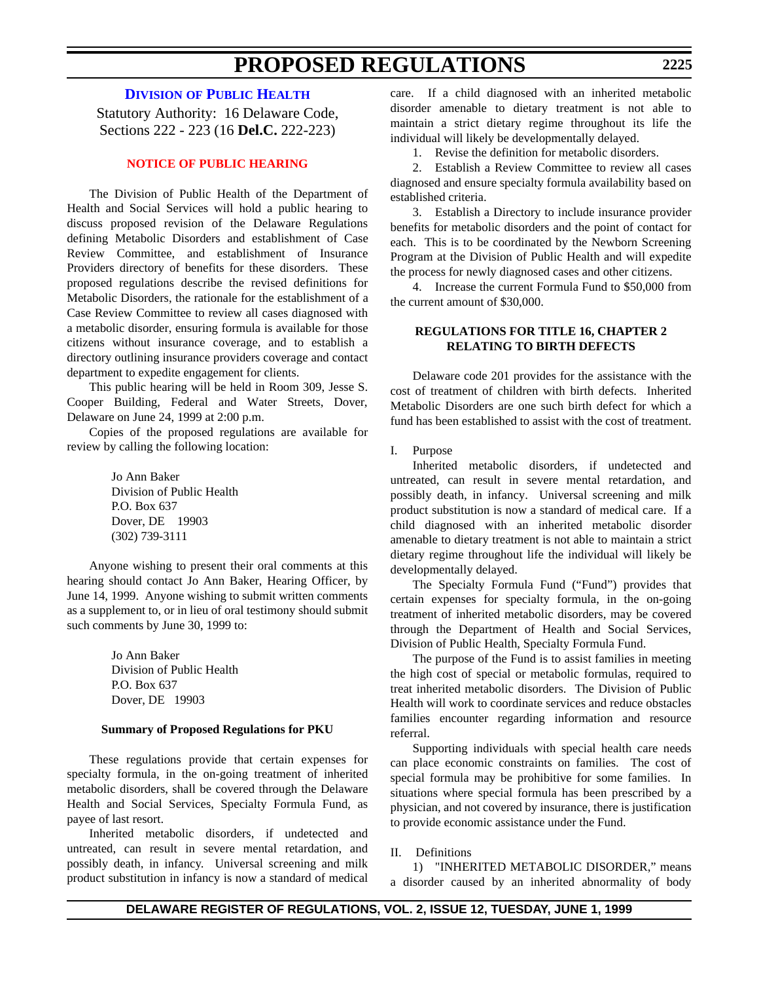# **DIVISION [OF PUBLIC HEALTH](http://www.state.de.us/dhss/irm/dhss.htm)**

Statutory Authority: 16 Delaware Code, Sections 222 - 223 (16 **Del.C.** 222-223)

## **[NOTICE OF PUBLIC HEARING](#page-3-0)**

The Division of Public Health of the Department of Health and Social Services will hold a public hearing to discuss proposed revision of the Delaware Regulations defining Metabolic Disorders and establishment of Case Review Committee, and establishment of Insurance Providers directory of benefits for these disorders. These proposed regulations describe the revised definitions for Metabolic Disorders, the rationale for the establishment of a Case Review Committee to review all cases diagnosed with a metabolic disorder, ensuring formula is available for those citizens without insurance coverage, and to establish a directory outlining insurance providers coverage and contact department to expedite engagement for clients.

This public hearing will be held in Room 309, Jesse S. Cooper Building, Federal and Water Streets, Dover, Delaware on June 24, 1999 at 2:00 p.m.

Copies of the proposed regulations are available for review by calling the following location:

> Jo Ann Baker Division of Public Health P.O. Box 637 Dover, DE 19903 (302) 739-3111

Anyone wishing to present their oral comments at this hearing should contact Jo Ann Baker, Hearing Officer, by June 14, 1999. Anyone wishing to submit written comments as a supplement to, or in lieu of oral testimony should submit such comments by June 30, 1999 to:

> Jo Ann Baker Division of Public Health P.O. Box 637 Dover, DE 19903

#### **Summary of Proposed Regulations for PKU**

These regulations provide that certain expenses for specialty formula, in the on-going treatment of inherited metabolic disorders, shall be covered through the Delaware Health and Social Services, Specialty Formula Fund, as payee of last resort.

Inherited metabolic disorders, if undetected and untreated, can result in severe mental retardation, and possibly death, in infancy. Universal screening and milk product substitution in infancy is now a standard of medical care. If a child diagnosed with an inherited metabolic disorder amenable to dietary treatment is not able to maintain a strict dietary regime throughout its life the individual will likely be developmentally delayed.

1. Revise the definition for metabolic disorders.

2. Establish a Review Committee to review all cases diagnosed and ensure specialty formula availability based on established criteria.

3. Establish a Directory to include insurance provider benefits for metabolic disorders and the point of contact for each. This is to be coordinated by the Newborn Screening Program at the Division of Public Health and will expedite the process for newly diagnosed cases and other citizens.

4. Increase the current Formula Fund to \$50,000 from the current amount of \$30,000.

### **REGULATIONS FOR TITLE 16, CHAPTER 2 RELATING TO BIRTH DEFECTS**

Delaware code 201 provides for the assistance with the cost of treatment of children with birth defects. Inherited Metabolic Disorders are one such birth defect for which a fund has been established to assist with the cost of treatment.

I. Purpose

Inherited metabolic disorders, if undetected and untreated, can result in severe mental retardation, and possibly death, in infancy. Universal screening and milk product substitution is now a standard of medical care. If a child diagnosed with an inherited metabolic disorder amenable to dietary treatment is not able to maintain a strict dietary regime throughout life the individual will likely be developmentally delayed.

The Specialty Formula Fund ("Fund") provides that certain expenses for specialty formula, in the on-going treatment of inherited metabolic disorders, may be covered through the Department of Health and Social Services, Division of Public Health, Specialty Formula Fund.

The purpose of the Fund is to assist families in meeting the high cost of special or metabolic formulas, required to treat inherited metabolic disorders. The Division of Public Health will work to coordinate services and reduce obstacles families encounter regarding information and resource referral.

Supporting individuals with special health care needs can place economic constraints on families. The cost of special formula may be prohibitive for some families. In situations where special formula has been prescribed by a physician, and not covered by insurance, there is justification to provide economic assistance under the Fund.

### II. Definitions

1) "INHERITED METABOLIC DISORDER," means a disorder caused by an inherited abnormality of body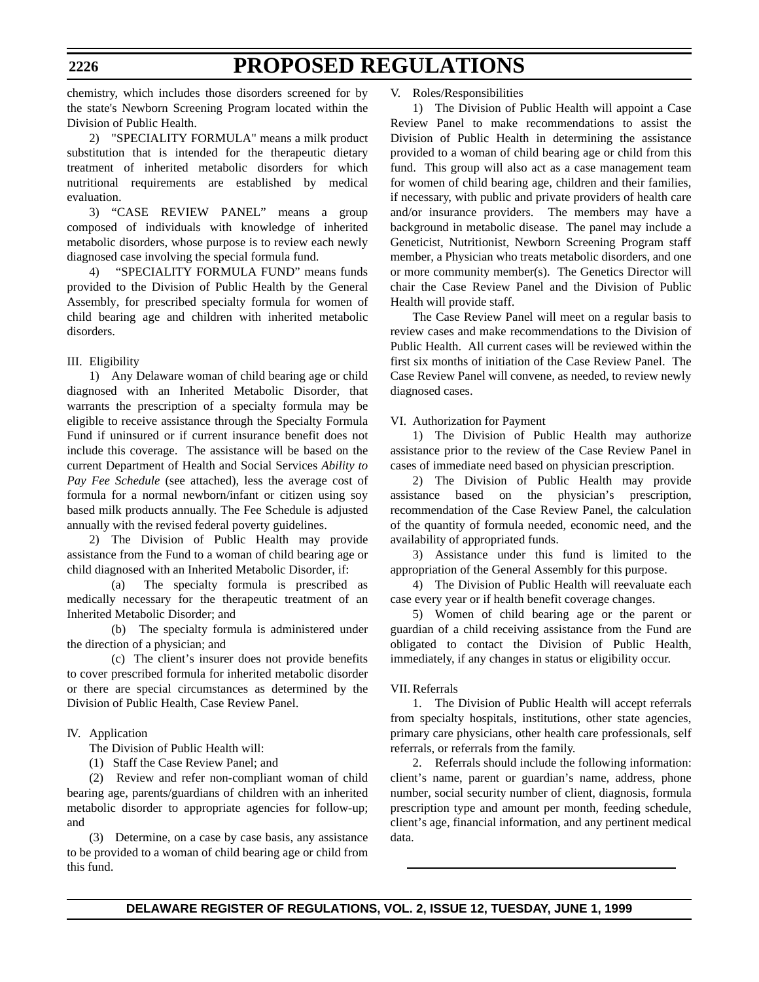chemistry, which includes those disorders screened for by the state's Newborn Screening Program located within the Division of Public Health.

2) "SPECIALITY FORMULA" means a milk product substitution that is intended for the therapeutic dietary treatment of inherited metabolic disorders for which nutritional requirements are established by medical evaluation.

3) "CASE REVIEW PANEL" means a group composed of individuals with knowledge of inherited metabolic disorders, whose purpose is to review each newly diagnosed case involving the special formula fund.

4) "SPECIALITY FORMULA FUND" means funds provided to the Division of Public Health by the General Assembly, for prescribed specialty formula for women of child bearing age and children with inherited metabolic disorders.

### III. Eligibility

1) Any Delaware woman of child bearing age or child diagnosed with an Inherited Metabolic Disorder, that warrants the prescription of a specialty formula may be eligible to receive assistance through the Specialty Formula Fund if uninsured or if current insurance benefit does not include this coverage. The assistance will be based on the current Department of Health and Social Services *Ability to Pay Fee Schedule* (see attached), less the average cost of formula for a normal newborn/infant or citizen using soy based milk products annually. The Fee Schedule is adjusted annually with the revised federal poverty guidelines.

2) The Division of Public Health may provide assistance from the Fund to a woman of child bearing age or child diagnosed with an Inherited Metabolic Disorder, if:

(a) The specialty formula is prescribed as medically necessary for the therapeutic treatment of an Inherited Metabolic Disorder; and

(b) The specialty formula is administered under the direction of a physician; and

(c) The client's insurer does not provide benefits to cover prescribed formula for inherited metabolic disorder or there are special circumstances as determined by the Division of Public Health, Case Review Panel.

IV. Application

The Division of Public Health will:

(1) Staff the Case Review Panel; and

(2) Review and refer non-compliant woman of child bearing age, parents/guardians of children with an inherited metabolic disorder to appropriate agencies for follow-up; and

(3) Determine, on a case by case basis, any assistance to be provided to a woman of child bearing age or child from this fund.

#### V. Roles/Responsibilities

1) The Division of Public Health will appoint a Case Review Panel to make recommendations to assist the Division of Public Health in determining the assistance provided to a woman of child bearing age or child from this fund. This group will also act as a case management team for women of child bearing age, children and their families, if necessary, with public and private providers of health care and/or insurance providers. The members may have a background in metabolic disease. The panel may include a Geneticist, Nutritionist, Newborn Screening Program staff member, a Physician who treats metabolic disorders, and one or more community member(s). The Genetics Director will chair the Case Review Panel and the Division of Public Health will provide staff.

The Case Review Panel will meet on a regular basis to review cases and make recommendations to the Division of Public Health. All current cases will be reviewed within the first six months of initiation of the Case Review Panel. The Case Review Panel will convene, as needed, to review newly diagnosed cases.

VI. Authorization for Payment

1) The Division of Public Health may authorize assistance prior to the review of the Case Review Panel in cases of immediate need based on physician prescription.

2) The Division of Public Health may provide assistance based on the physician's prescription, recommendation of the Case Review Panel, the calculation of the quantity of formula needed, economic need, and the availability of appropriated funds.

3) Assistance under this fund is limited to the appropriation of the General Assembly for this purpose.

4) The Division of Public Health will reevaluate each case every year or if health benefit coverage changes.

5) Women of child bearing age or the parent or guardian of a child receiving assistance from the Fund are obligated to contact the Division of Public Health, immediately, if any changes in status or eligibility occur.

#### VII. Referrals

1. The Division of Public Health will accept referrals from specialty hospitals, institutions, other state agencies, primary care physicians, other health care professionals, self referrals, or referrals from the family.

2. Referrals should include the following information: client's name, parent or guardian's name, address, phone number, social security number of client, diagnosis, formula prescription type and amount per month, feeding schedule, client's age, financial information, and any pertinent medical data.

## **DELAWARE REGISTER OF REGULATIONS, VOL. 2, ISSUE 12, TUESDAY, JUNE 1, 1999**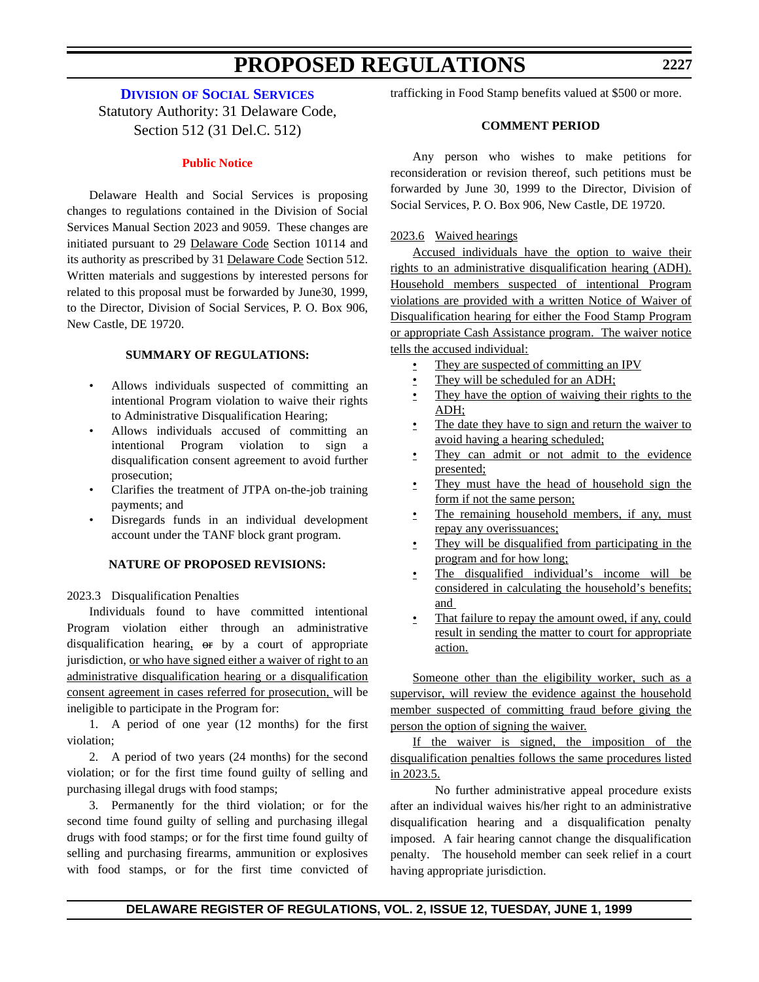# **DIVISION [OF SOCIAL SERVICES](http://www.state.de.us/dhss/irm/dhss.htm)**

Statutory Authority: 31 Delaware Code, Section 512 (31 Del.C. 512)

#### **[Public Notice](#page-3-0)**

Delaware Health and Social Services is proposing changes to regulations contained in the Division of Social Services Manual Section 2023 and 9059. These changes are initiated pursuant to 29 Delaware Code Section 10114 and its authority as prescribed by 31 Delaware Code Section 512. Written materials and suggestions by interested persons for related to this proposal must be forwarded by June30, 1999, to the Director, Division of Social Services, P. O. Box 906, New Castle, DE 19720.

### **SUMMARY OF REGULATIONS:**

- Allows individuals suspected of committing an intentional Program violation to waive their rights to Administrative Disqualification Hearing;
- Allows individuals accused of committing an intentional Program violation to sign a disqualification consent agreement to avoid further prosecution;
- Clarifies the treatment of JTPA on-the-job training payments; and
- Disregards funds in an individual development account under the TANF block grant program.

#### **NATURE OF PROPOSED REVISIONS:**

2023.3 Disqualification Penalties

Individuals found to have committed intentional Program violation either through an administrative disqualification hearing,  $\Theta$ r by a court of appropriate jurisdiction, or who have signed either a waiver of right to an administrative disqualification hearing or a disqualification consent agreement in cases referred for prosecution, will be ineligible to participate in the Program for:

1. A period of one year (12 months) for the first violation;

2. A period of two years (24 months) for the second violation; or for the first time found guilty of selling and purchasing illegal drugs with food stamps;

3. Permanently for the third violation; or for the second time found guilty of selling and purchasing illegal drugs with food stamps; or for the first time found guilty of selling and purchasing firearms, ammunition or explosives with food stamps, or for the first time convicted of trafficking in Food Stamp benefits valued at \$500 or more.

### **COMMENT PERIOD**

Any person who wishes to make petitions for reconsideration or revision thereof, such petitions must be forwarded by June 30, 1999 to the Director, Division of Social Services, P. O. Box 906, New Castle, DE 19720.

#### 2023.6 Waived hearings

Accused individuals have the option to waive their rights to an administrative disqualification hearing (ADH). Household members suspected of intentional Program violations are provided with a written Notice of Waiver of Disqualification hearing for either the Food Stamp Program or appropriate Cash Assistance program. The waiver notice tells the accused individual:

- They are suspected of committing an IPV
- They will be scheduled for an ADH;
- They have the option of waiving their rights to the ADH;
- The date they have to sign and return the waiver to avoid having a hearing scheduled;
- They can admit or not admit to the evidence presented;
- They must have the head of household sign the form if not the same person;
- The remaining household members, if any, must repay any overissuances;
- They will be disqualified from participating in the program and for how long;
- The disqualified individual's income will be considered in calculating the household's benefits; and
- That failure to repay the amount owed, if any, could result in sending the matter to court for appropriate action.

Someone other than the eligibility worker, such as a supervisor, will review the evidence against the household member suspected of committing fraud before giving the person the option of signing the waiver.

If the waiver is signed, the imposition of the disqualification penalties follows the same procedures listed in 2023.5.

No further administrative appeal procedure exists after an individual waives his/her right to an administrative disqualification hearing and a disqualification penalty imposed. A fair hearing cannot change the disqualification penalty. The household member can seek relief in a court having appropriate jurisdiction.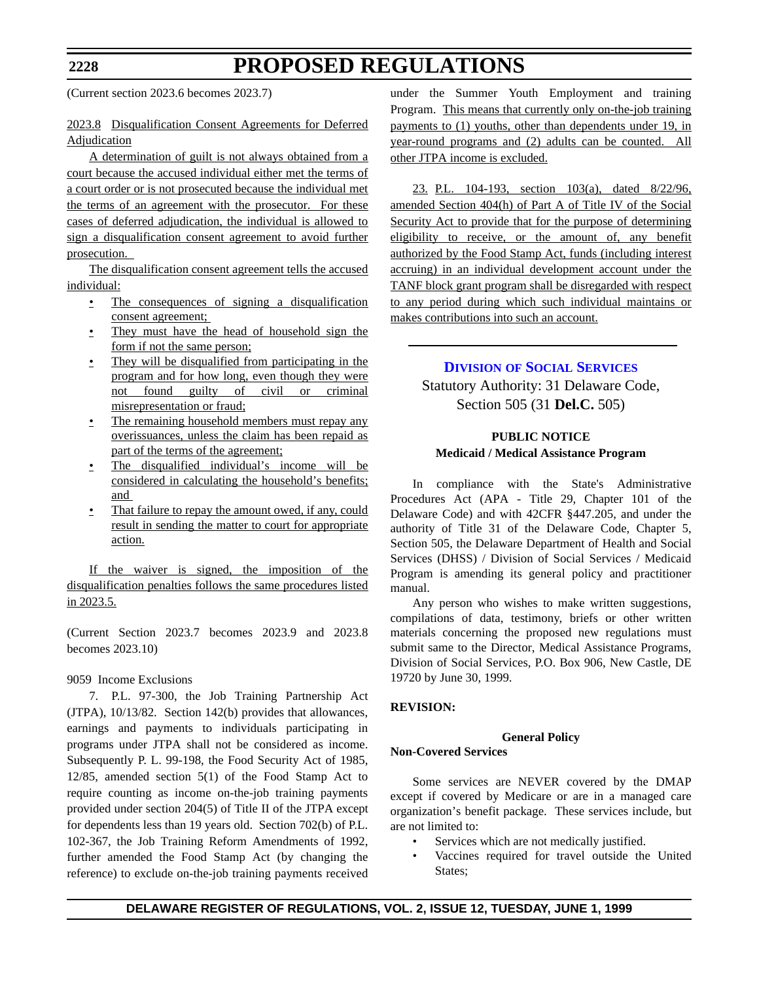(Current section 2023.6 becomes 2023.7)

## 2023.8 Disqualification Consent Agreements for Deferred Adjudication

A determination of guilt is not always obtained from a court because the accused individual either met the terms of a court order or is not prosecuted because the individual met the terms of an agreement with the prosecutor. For these cases of deferred adjudication, the individual is allowed to sign a disqualification consent agreement to avoid further prosecution.

The disqualification consent agreement tells the accused individual:

- The consequences of signing a disqualification consent agreement;
- They must have the head of household sign the form if not the same person;
- They will be disqualified from participating in the program and for how long, even though they were not found guilty of civil or criminal misrepresentation or fraud;
- The remaining household members must repay any overissuances, unless the claim has been repaid as part of the terms of the agreement;
- The disqualified individual's income will be considered in calculating the household's benefits; and
- That failure to repay the amount owed, if any, could result in sending the matter to court for appropriate action.

If the waiver is signed, the imposition of the disqualification penalties follows the same procedures listed in 2023.5.

(Current Section 2023.7 becomes 2023.9 and 2023.8 becomes 2023.10)

### 9059 Income Exclusions

7. P.L. 97-300, the Job Training Partnership Act (JTPA), 10/13/82. Section 142(b) provides that allowances, earnings and payments to individuals participating in programs under JTPA shall not be considered as income. Subsequently P. L. 99-198, the Food Security Act of 1985, 12/85, amended section 5(1) of the Food Stamp Act to require counting as income on-the-job training payments provided under section 204(5) of Title II of the JTPA except for dependents less than 19 years old. Section 702(b) of P.L. 102-367, the Job Training Reform Amendments of 1992, further amended the Food Stamp Act (by changing the reference) to exclude on-the-job training payments received

under the Summer Youth Employment and training Program. This means that currently only on-the-job training payments to (1) youths, other than dependents under 19, in year-round programs and (2) adults can be counted. All other JTPA income is excluded.

23. P.L. 104-193, section 103(a), dated 8/22/96, amended Section 404(h) of Part A of Title IV of the Social Security Act to provide that for the purpose of determining eligibility to receive, or the amount of, any benefit authorized by the Food Stamp Act, funds (including interest accruing) in an individual development account under the TANF block grant program shall be disregarded with respect to any period during which such individual maintains or makes contributions into such an account.

# **DIVISION [OF SOCIAL SERVICES](http://www.state.de.us/dhss/irm/dhss.htm)**

Statutory Authority: 31 Delaware Code, Section 505 (31 **Del.C.** 505)

## **PUBLIC NOTICE Medicaid / Medical Assistance Program**

In compliance with the State's Administrative Procedures Act (APA - Title 29, Chapter 101 of the Delaware Code) and with 42CFR §447.205, and under the authority of Title 31 of the Delaware Code, Chapter 5, Section 505, the Delaware Department of Health and Social Services (DHSS) / Division of Social Services / Medicaid Program is amending its general policy and practitioner manual.

Any person who wishes to make written suggestions, compilations of data, testimony, briefs or other written materials concerning the proposed new regulations must submit same to the Director, Medical Assistance Programs, Division of Social Services, P.O. Box 906, New Castle, DE 19720 by June 30, 1999.

### **REVISION:**

#### **General Policy Non-Covered Services**

Some services are NEVER covered by the DMAP except if covered by Medicare or are in a managed care organization's benefit package. These services include, but are not limited to:

- Services which are not medically justified.
- Vaccines required for travel outside the United States;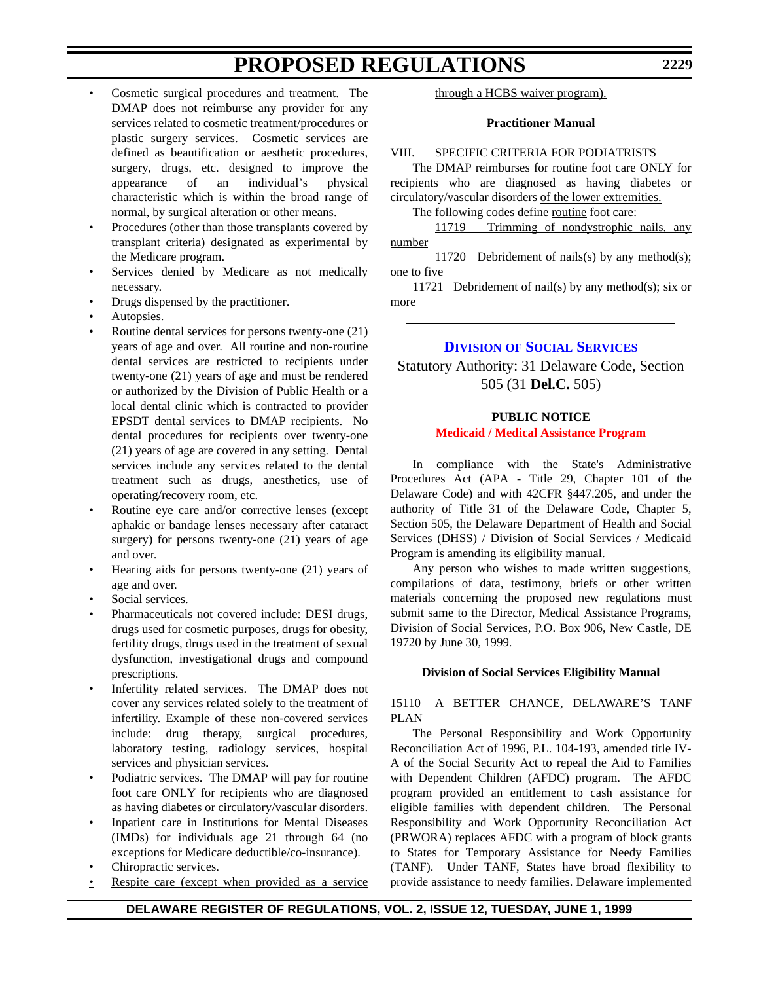- Cosmetic surgical procedures and treatment. The DMAP does not reimburse any provider for any services related to cosmetic treatment/procedures or plastic surgery services. Cosmetic services are defined as beautification or aesthetic procedures, surgery, drugs, etc. designed to improve the appearance of an individual's physical characteristic which is within the broad range of normal, by surgical alteration or other means.
- Procedures (other than those transplants covered by transplant criteria) designated as experimental by the Medicare program.
- Services denied by Medicare as not medically necessary.
- Drugs dispensed by the practitioner.
- Autopsies.
- Routine dental services for persons twenty-one (21) years of age and over. All routine and non-routine dental services are restricted to recipients under twenty-one (21) years of age and must be rendered or authorized by the Division of Public Health or a local dental clinic which is contracted to provider EPSDT dental services to DMAP recipients. No dental procedures for recipients over twenty-one (21) years of age are covered in any setting. Dental services include any services related to the dental treatment such as drugs, anesthetics, use of operating/recovery room, etc.
- Routine eye care and/or corrective lenses (except aphakic or bandage lenses necessary after cataract surgery) for persons twenty-one (21) years of age and over.
- Hearing aids for persons twenty-one (21) years of age and over.
- Social services.
- Pharmaceuticals not covered include: DESI drugs, drugs used for cosmetic purposes, drugs for obesity, fertility drugs, drugs used in the treatment of sexual dysfunction, investigational drugs and compound prescriptions.
- Infertility related services. The DMAP does not cover any services related solely to the treatment of infertility. Example of these non-covered services include: drug therapy, surgical procedures, laboratory testing, radiology services, hospital services and physician services.
- Podiatric services. The DMAP will pay for routine foot care ONLY for recipients who are diagnosed as having diabetes or circulatory/vascular disorders.
- Inpatient care in Institutions for Mental Diseases (IMDs) for individuals age 21 through 64 (no exceptions for Medicare deductible/co-insurance).
- Chiropractic services.
- Respite care (except when provided as a service

through a HCBS waiver program).

### **Practitioner Manual**

# VIII. SPECIFIC CRITERIA FOR PODIATRISTS

The DMAP reimburses for routine foot care ONLY for recipients who are diagnosed as having diabetes or circulatory/vascular disorders of the lower extremities.

The following codes define routine foot care:

11719 Trimming of nondystrophic nails, any number

11720 Debridement of nails(s) by any method(s); one to five

11721 Debridement of nail(s) by any method(s); six or more

# **DIVISION [OF SOCIAL SERVICES](http://www.state.de.us/dhss/irm/dhss.htmhttp://www.state.de.us/dhss/irm/dhss.htm)**

Statutory Authority: 31 Delaware Code, Section 505 (31 **Del.C.** 505)

### **PUBLIC NOTICE [Medicaid / Medical Assistance Program](#page-3-0)**

In compliance with the State's Administrative Procedures Act (APA - Title 29, Chapter 101 of the Delaware Code) and with 42CFR §447.205, and under the authority of Title 31 of the Delaware Code, Chapter 5, Section 505, the Delaware Department of Health and Social Services (DHSS) / Division of Social Services / Medicaid Program is amending its eligibility manual.

Any person who wishes to made written suggestions, compilations of data, testimony, briefs or other written materials concerning the proposed new regulations must submit same to the Director, Medical Assistance Programs, Division of Social Services, P.O. Box 906, New Castle, DE 19720 by June 30, 1999.

### **Division of Social Services Eligibility Manual**

15110 A BETTER CHANCE, DELAWARE'S TANF PLAN

The Personal Responsibility and Work Opportunity Reconciliation Act of 1996, P.L. 104-193, amended title IV-A of the Social Security Act to repeal the Aid to Families with Dependent Children (AFDC) program. The AFDC program provided an entitlement to cash assistance for eligible families with dependent children. The Personal Responsibility and Work Opportunity Reconciliation Act (PRWORA) replaces AFDC with a program of block grants to States for Temporary Assistance for Needy Families (TANF). Under TANF, States have broad flexibility to provide assistance to needy families. Delaware implemented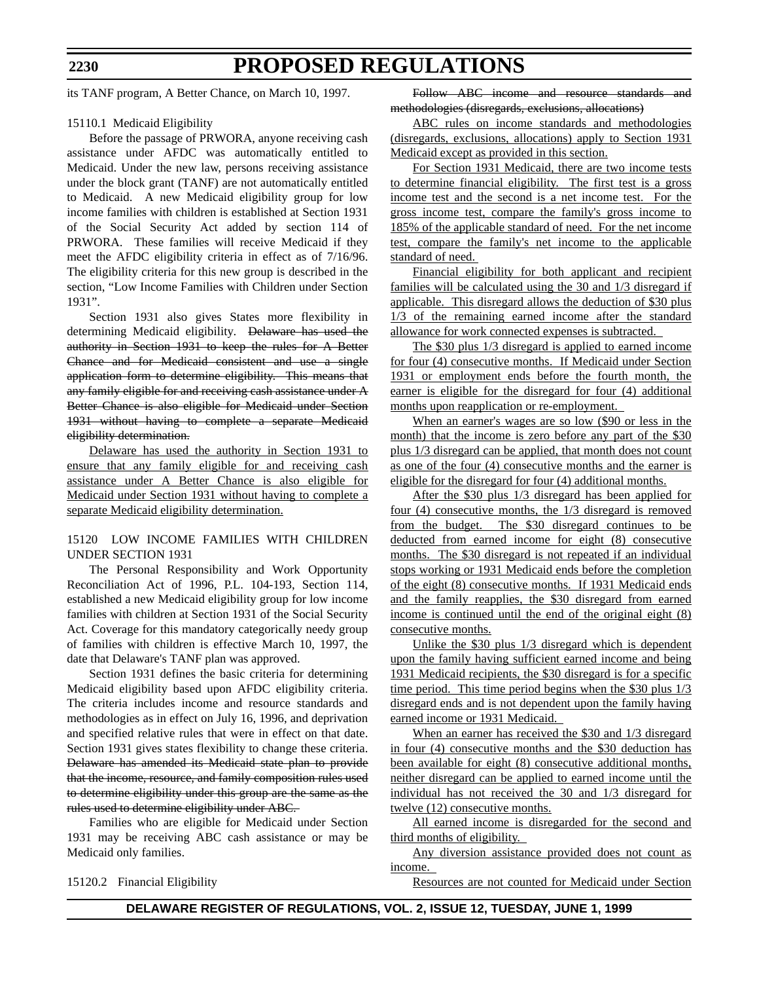#### **2230**

# **PROPOSED REGULATIONS**

its TANF program, A Better Chance, on March 10, 1997.

#### 15110.1 Medicaid Eligibility

Before the passage of PRWORA, anyone receiving cash assistance under AFDC was automatically entitled to Medicaid. Under the new law, persons receiving assistance under the block grant (TANF) are not automatically entitled to Medicaid. A new Medicaid eligibility group for low income families with children is established at Section 1931 of the Social Security Act added by section 114 of PRWORA. These families will receive Medicaid if they meet the AFDC eligibility criteria in effect as of 7/16/96. The eligibility criteria for this new group is described in the section, "Low Income Families with Children under Section 1931".

Section 1931 also gives States more flexibility in determining Medicaid eligibility. Delaware has used the authority in Section 1931 to keep the rules for A Better Chance and for Medicaid consistent and use a single application form to determine eligibility. This means that any family eligible for and receiving cash assistance under A Better Chance is also eligible for Medicaid under Section 1931 without having to complete a separate Medicaid eligibility determination.

Delaware has used the authority in Section 1931 to ensure that any family eligible for and receiving cash assistance under A Better Chance is also eligible for Medicaid under Section 1931 without having to complete a separate Medicaid eligibility determination.

#### 15120 LOW INCOME FAMILIES WITH CHILDREN UNDER SECTION 1931

The Personal Responsibility and Work Opportunity Reconciliation Act of 1996, P.L. 104-193, Section 114, established a new Medicaid eligibility group for low income families with children at Section 1931 of the Social Security Act. Coverage for this mandatory categorically needy group of families with children is effective March 10, 1997, the date that Delaware's TANF plan was approved.

Section 1931 defines the basic criteria for determining Medicaid eligibility based upon AFDC eligibility criteria. The criteria includes income and resource standards and methodologies as in effect on July 16, 1996, and deprivation and specified relative rules that were in effect on that date. Section 1931 gives states flexibility to change these criteria. Delaware has amended its Medicaid state plan to provide that the income, resource, and family composition rules used to determine eligibility under this group are the same as the rules used to determine eligibility under ABC.

Families who are eligible for Medicaid under Section 1931 may be receiving ABC cash assistance or may be Medicaid only families.

15120.2 Financial Eligibility

Follow ABC income and resource standards and methodologies (disregards, exclusions, allocations)

ABC rules on income standards and methodologies (disregards, exclusions, allocations) apply to Section 1931 Medicaid except as provided in this section.

For Section 1931 Medicaid, there are two income tests to determine financial eligibility. The first test is a gross income test and the second is a net income test. For the gross income test, compare the family's gross income to 185% of the applicable standard of need. For the net income test, compare the family's net income to the applicable standard of need.

Financial eligibility for both applicant and recipient families will be calculated using the 30 and 1/3 disregard if applicable. This disregard allows the deduction of \$30 plus 1/3 of the remaining earned income after the standard allowance for work connected expenses is subtracted.

The \$30 plus 1/3 disregard is applied to earned income for four (4) consecutive months. If Medicaid under Section 1931 or employment ends before the fourth month, the earner is eligible for the disregard for four (4) additional months upon reapplication or re-employment.

When an earner's wages are so low (\$90 or less in the month) that the income is zero before any part of the \$30 plus 1/3 disregard can be applied, that month does not count as one of the four (4) consecutive months and the earner is eligible for the disregard for four (4) additional months.

After the \$30 plus 1/3 disregard has been applied for four (4) consecutive months, the 1/3 disregard is removed from the budget. The \$30 disregard continues to be deducted from earned income for eight (8) consecutive months. The \$30 disregard is not repeated if an individual stops working or 1931 Medicaid ends before the completion of the eight (8) consecutive months. If 1931 Medicaid ends and the family reapplies, the \$30 disregard from earned income is continued until the end of the original eight (8) consecutive months.

Unlike the \$30 plus 1/3 disregard which is dependent upon the family having sufficient earned income and being 1931 Medicaid recipients, the \$30 disregard is for a specific time period. This time period begins when the  $$30$  plus  $1/3$ disregard ends and is not dependent upon the family having earned income or 1931 Medicaid.

When an earner has received the \$30 and  $1/3$  disregard in four (4) consecutive months and the \$30 deduction has been available for eight (8) consecutive additional months, neither disregard can be applied to earned income until the individual has not received the 30 and 1/3 disregard for twelve (12) consecutive months.

All earned income is disregarded for the second and third months of eligibility.

Any diversion assistance provided does not count as income.

Resources are not counted for Medicaid under Section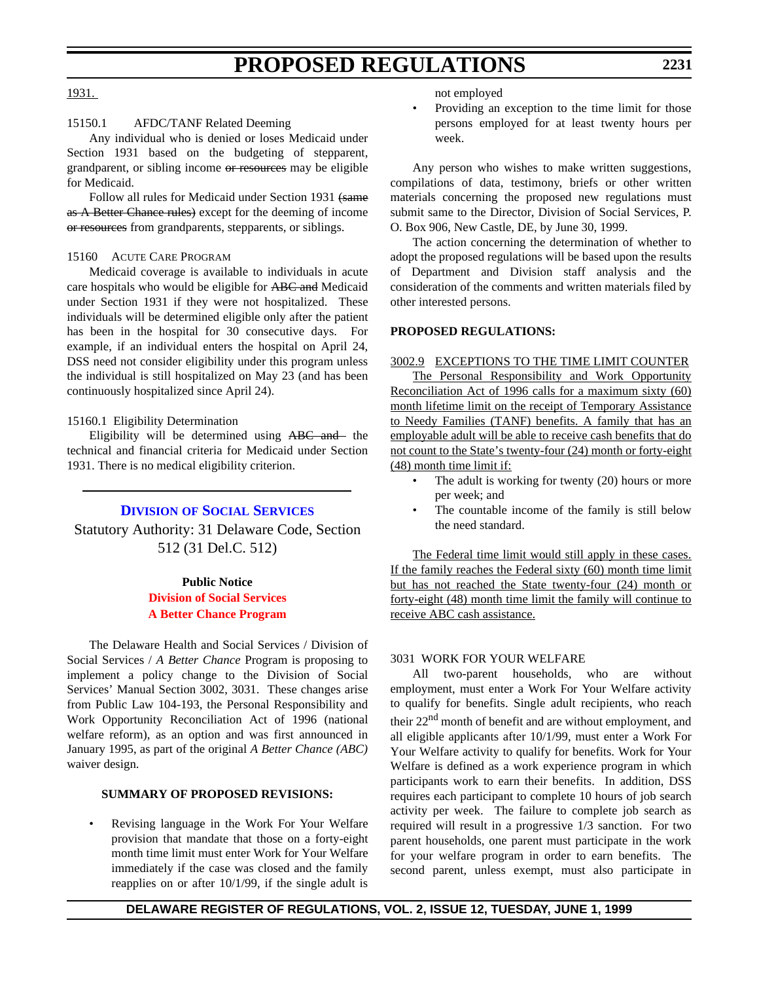#### 1931.

## 15150.1 AFDC/TANF Related Deeming

Any individual who is denied or loses Medicaid under Section 1931 based on the budgeting of stepparent, grandparent, or sibling income or resources may be eligible for Medicaid.

Follow all rules for Medicaid under Section 1931 (same as A Better Chance rules) except for the deeming of income or resources from grandparents, stepparents, or siblings.

#### 15160 ACUTE CARE PROGRAM

Medicaid coverage is available to individuals in acute care hospitals who would be eligible for ABC and Medicaid under Section 1931 if they were not hospitalized. These individuals will be determined eligible only after the patient has been in the hospital for 30 consecutive days. For example, if an individual enters the hospital on April 24, DSS need not consider eligibility under this program unless the individual is still hospitalized on May 23 (and has been continuously hospitalized since April 24).

#### 15160.1 Eligibility Determination

Eligibility will be determined using ABC and the technical and financial criteria for Medicaid under Section 1931. There is no medical eligibility criterion.

### **DIVISION [OF SOCIAL SERVICES](http://www.state.de.us/dhss/irm/dhss.htm)**

Statutory Authority: 31 Delaware Code, Section 512 (31 Del.C. 512)

#### **Public Notice**

### **Division of Social Services [A Better Chance Program](#page-3-0)**

The Delaware Health and Social Services / Division of Social Services / *A Better Chance* Program is proposing to implement a policy change to the Division of Social Services' Manual Section 3002, 3031. These changes arise from Public Law 104-193, the Personal Responsibility and Work Opportunity Reconciliation Act of 1996 (national welfare reform), as an option and was first announced in January 1995, as part of the original *A Better Chance (ABC)* waiver design.

#### **SUMMARY OF PROPOSED REVISIONS:**

Revising language in the Work For Your Welfare provision that mandate that those on a forty-eight month time limit must enter Work for Your Welfare immediately if the case was closed and the family reapplies on or after 10/1/99, if the single adult is not employed

• Providing an exception to the time limit for those persons employed for at least twenty hours per week.

Any person who wishes to make written suggestions, compilations of data, testimony, briefs or other written materials concerning the proposed new regulations must submit same to the Director, Division of Social Services, P. O. Box 906, New Castle, DE, by June 30, 1999.

The action concerning the determination of whether to adopt the proposed regulations will be based upon the results of Department and Division staff analysis and the consideration of the comments and written materials filed by other interested persons.

#### **PROPOSED REGULATIONS:**

### 3002.9 EXCEPTIONS TO THE TIME LIMIT COUNTER

The Personal Responsibility and Work Opportunity Reconciliation Act of 1996 calls for a maximum sixty (60) month lifetime limit on the receipt of Temporary Assistance to Needy Families (TANF) benefits. A family that has an employable adult will be able to receive cash benefits that do not count to the State's twenty-four (24) month or forty-eight (48) month time limit if:

- The adult is working for twenty (20) hours or more per week; and
- The countable income of the family is still below the need standard.

The Federal time limit would still apply in these cases. If the family reaches the Federal sixty (60) month time limit but has not reached the State twenty-four (24) month or forty-eight (48) month time limit the family will continue to receive ABC cash assistance.

#### 3031 WORK FOR YOUR WELFARE

All two-parent households, who are without employment, must enter a Work For Your Welfare activity to qualify for benefits. Single adult recipients, who reach their  $22<sup>nd</sup>$  month of benefit and are without employment, and all eligible applicants after 10/1/99, must enter a Work For Your Welfare activity to qualify for benefits. Work for Your Welfare is defined as a work experience program in which participants work to earn their benefits. In addition, DSS requires each participant to complete 10 hours of job search activity per week. The failure to complete job search as required will result in a progressive 1/3 sanction. For two parent households, one parent must participate in the work for your welfare program in order to earn benefits. The second parent, unless exempt, must also participate in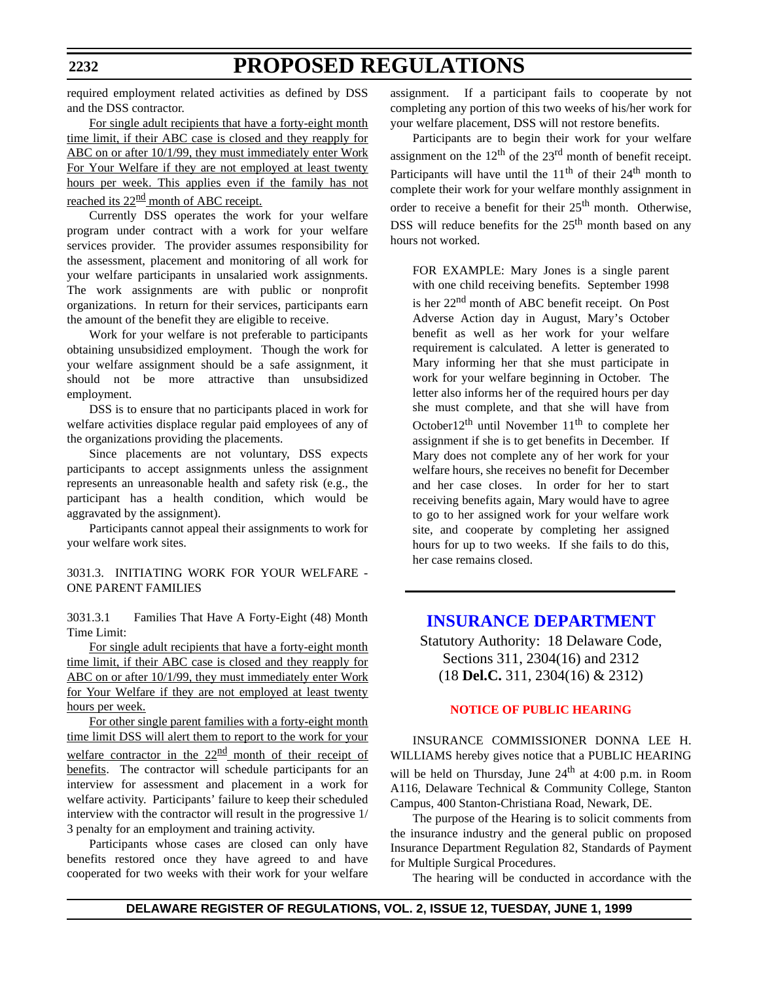required employment related activities as defined by DSS and the DSS contractor.

For single adult recipients that have a forty-eight month time limit, if their ABC case is closed and they reapply for ABC on or after 10/1/99, they must immediately enter Work For Your Welfare if they are not employed at least twenty hours per week. This applies even if the family has not reached its  $22^{\text{nd}}$  month of ABC receipt.

Currently DSS operates the work for your welfare program under contract with a work for your welfare services provider. The provider assumes responsibility for the assessment, placement and monitoring of all work for your welfare participants in unsalaried work assignments. The work assignments are with public or nonprofit organizations. In return for their services, participants earn the amount of the benefit they are eligible to receive.

Work for your welfare is not preferable to participants obtaining unsubsidized employment. Though the work for your welfare assignment should be a safe assignment, it should not be more attractive than unsubsidized employment.

DSS is to ensure that no participants placed in work for welfare activities displace regular paid employees of any of the organizations providing the placements.

Since placements are not voluntary, DSS expects participants to accept assignments unless the assignment represents an unreasonable health and safety risk (e.g., the participant has a health condition, which would be aggravated by the assignment).

Participants cannot appeal their assignments to work for your welfare work sites.

3031.3. INITIATING WORK FOR YOUR WELFARE - ONE PARENT FAMILIES

3031.3.1 Families That Have A Forty-Eight (48) Month Time Limit:

For single adult recipients that have a forty-eight month time limit, if their ABC case is closed and they reapply for ABC on or after 10/1/99, they must immediately enter Work for Your Welfare if they are not employed at least twenty hours per week.

For other single parent families with a forty-eight month time limit DSS will alert them to report to the work for your welfare contractor in the  $22<sup>nd</sup>$  month of their receipt of benefits. The contractor will schedule participants for an interview for assessment and placement in a work for welfare activity. Participants' failure to keep their scheduled interview with the contractor will result in the progressive 1/ 3 penalty for an employment and training activity.

Participants whose cases are closed can only have benefits restored once they have agreed to and have cooperated for two weeks with their work for your welfare assignment. If a participant fails to cooperate by not completing any portion of this two weeks of his/her work for your welfare placement, DSS will not restore benefits.

Participants are to begin their work for your welfare assignment on the  $12<sup>th</sup>$  of the  $23<sup>rd</sup>$  month of benefit receipt. Participants will have until the  $11<sup>th</sup>$  of their  $24<sup>th</sup>$  month to complete their work for your welfare monthly assignment in order to receive a benefit for their 25<sup>th</sup> month. Otherwise, DSS will reduce benefits for the  $25<sup>th</sup>$  month based on any hours not worked.

FOR EXAMPLE: Mary Jones is a single parent with one child receiving benefits. September 1998 is her 22nd month of ABC benefit receipt. On Post Adverse Action day in August, Mary's October benefit as well as her work for your welfare requirement is calculated. A letter is generated to Mary informing her that she must participate in work for your welfare beginning in October. The letter also informs her of the required hours per day she must complete, and that she will have from October12<sup>th</sup> until November 11<sup>th</sup> to complete her assignment if she is to get benefits in December. If Mary does not complete any of her work for your welfare hours, she receives no benefit for December and her case closes. In order for her to start receiving benefits again, Mary would have to agree to go to her assigned work for your welfare work site, and cooperate by completing her assigned hours for up to two weeks. If she fails to do this, her case remains closed.

# **[INSURANCE DEPARTMENT](http://www.state.de.us/inscom/)**

Statutory Authority: 18 Delaware Code, Sections 311, 2304(16) and 2312 (18 **Del.C.** 311, 2304(16) & 2312)

### **[NOTICE OF PUBLIC HEARING](#page-3-0)**

INSURANCE COMMISSIONER DONNA LEE H. WILLIAMS hereby gives notice that a PUBLIC HEARING will be held on Thursday, June  $24<sup>th</sup>$  at 4:00 p.m. in Room A116, Delaware Technical & Community College, Stanton Campus, 400 Stanton-Christiana Road, Newark, DE.

The purpose of the Hearing is to solicit comments from the insurance industry and the general public on proposed Insurance Department Regulation 82, Standards of Payment for Multiple Surgical Procedures.

The hearing will be conducted in accordance with the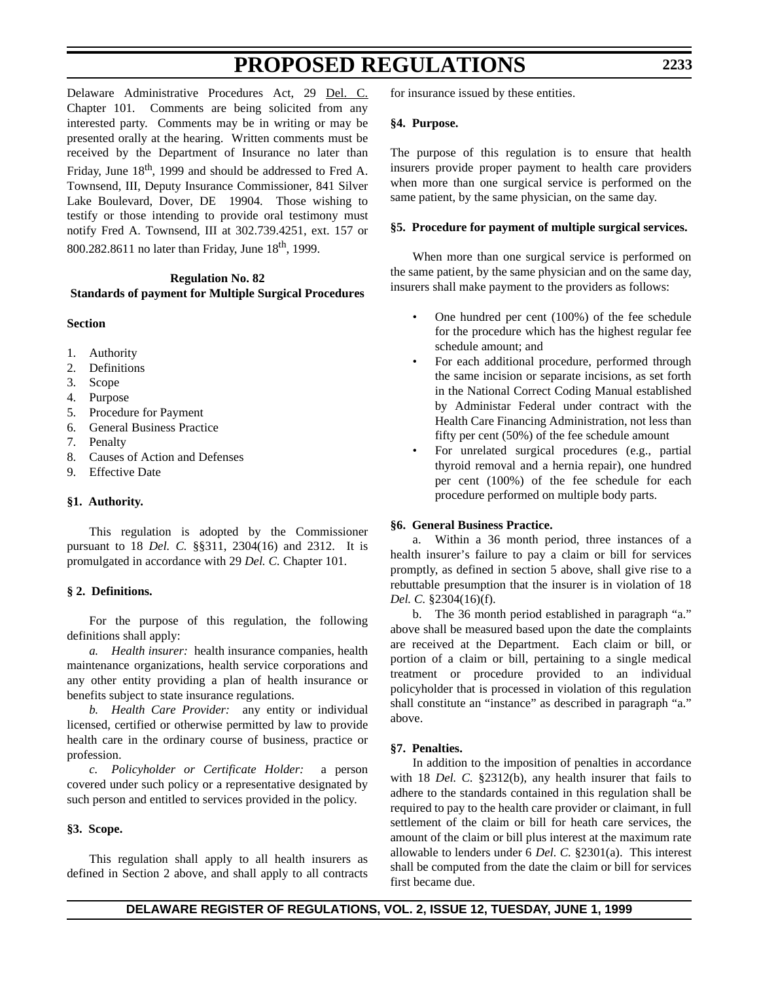Delaware Administrative Procedures Act, 29 Del. C. Chapter 101. Comments are being solicited from any interested party. Comments may be in writing or may be presented orally at the hearing. Written comments must be received by the Department of Insurance no later than Friday, June  $18<sup>th</sup>$ , 1999 and should be addressed to Fred A. Townsend, III, Deputy Insurance Commissioner, 841 Silver Lake Boulevard, Dover, DE 19904. Those wishing to testify or those intending to provide oral testimony must notify Fred A. Townsend, III at 302.739.4251, ext. 157 or 800.282.8611 no later than Friday, June  $18^{th}$ , 1999.

# **Regulation No. 82 Standards of payment for Multiple Surgical Procedures**

### **Section**

- 1. Authority
- 2. Definitions
- 3. Scope
- 4. Purpose
- 5. Procedure for Payment
- 6. General Business Practice
- 7. Penalty
- 8. Causes of Action and Defenses
- 9. Effective Date

### **§1. Authority.**

This regulation is adopted by the Commissioner pursuant to 18 *Del. C.* §§311, 2304(16) and 2312. It is promulgated in accordance with 29 *Del. C.* Chapter 101.

### **§ 2. Definitions.**

For the purpose of this regulation, the following definitions shall apply:

*a. Health insurer:* health insurance companies, health maintenance organizations, health service corporations and any other entity providing a plan of health insurance or benefits subject to state insurance regulations.

*b. Health Care Provider:* any entity or individual licensed, certified or otherwise permitted by law to provide health care in the ordinary course of business, practice or profession.

*c. Policyholder or Certificate Holder:* a person covered under such policy or a representative designated by such person and entitled to services provided in the policy.

### **§3. Scope.**

This regulation shall apply to all health insurers as defined in Section 2 above, and shall apply to all contracts for insurance issued by these entities.

### **§4. Purpose.**

The purpose of this regulation is to ensure that health insurers provide proper payment to health care providers when more than one surgical service is performed on the same patient, by the same physician, on the same day.

### **§5. Procedure for payment of multiple surgical services.**

When more than one surgical service is performed on the same patient, by the same physician and on the same day, insurers shall make payment to the providers as follows:

- One hundred per cent (100%) of the fee schedule for the procedure which has the highest regular fee schedule amount; and
- For each additional procedure, performed through the same incision or separate incisions, as set forth in the National Correct Coding Manual established by Administar Federal under contract with the Health Care Financing Administration, not less than fifty per cent (50%) of the fee schedule amount
- For unrelated surgical procedures (e.g., partial thyroid removal and a hernia repair), one hundred per cent (100%) of the fee schedule for each procedure performed on multiple body parts.

### **§6. General Business Practice.**

a. Within a 36 month period, three instances of a health insurer's failure to pay a claim or bill for services promptly, as defined in section 5 above, shall give rise to a rebuttable presumption that the insurer is in violation of 18 *Del. C.* §2304(16)(f).

b. The 36 month period established in paragraph "a." above shall be measured based upon the date the complaints are received at the Department. Each claim or bill, or portion of a claim or bill, pertaining to a single medical treatment or procedure provided to an individual policyholder that is processed in violation of this regulation shall constitute an "instance" as described in paragraph "a." above.

### **§7. Penalties.**

In addition to the imposition of penalties in accordance with 18 *Del. C.* §2312(b), any health insurer that fails to adhere to the standards contained in this regulation shall be required to pay to the health care provider or claimant, in full settlement of the claim or bill for heath care services, the amount of the claim or bill plus interest at the maximum rate allowable to lenders under 6 *Del. C.* §2301(a). This interest shall be computed from the date the claim or bill for services first became due.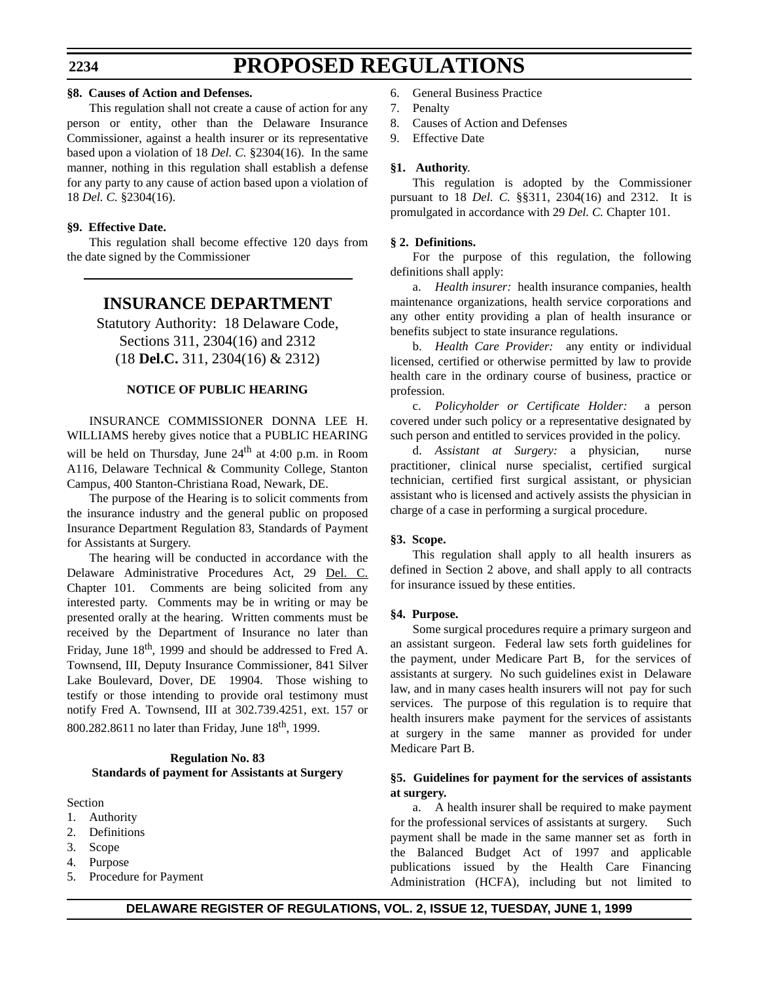#### **§8. Causes of Action and Defenses.**

This regulation shall not create a cause of action for any person or entity, other than the Delaware Insurance Commissioner, against a health insurer or its representative based upon a violation of 18 *Del. C.* §2304(16). In the same manner, nothing in this regulation shall establish a defense for any party to any cause of action based upon a violation of 18 *Del. C.* §2304(16).

### **§9. Effective Date.**

This regulation shall become effective 120 days from the date signed by the Commissioner

# **INSURANCE DEPARTMENT**

Statutory Authority: 18 Delaware Code, Sections 311, 2304(16) and 2312 (18 **Del.C.** 311, 2304(16) & 2312)

### **NOTICE OF PUBLIC HEARING**

INSURANCE COMMISSIONER DONNA LEE H. WILLIAMS hereby gives notice that a PUBLIC HEARING will be held on Thursday, June  $24<sup>th</sup>$  at 4:00 p.m. in Room A116, Delaware Technical & Community College, Stanton Campus, 400 Stanton-Christiana Road, Newark, DE.

The purpose of the Hearing is to solicit comments from the insurance industry and the general public on proposed Insurance Department Regulation 83, Standards of Payment for Assistants at Surgery.

The hearing will be conducted in accordance with the Delaware Administrative Procedures Act, 29 Del. C. Chapter 101. Comments are being solicited from any interested party. Comments may be in writing or may be presented orally at the hearing. Written comments must be received by the Department of Insurance no later than Friday, June  $18<sup>th</sup>$ , 1999 and should be addressed to Fred A. Townsend, III, Deputy Insurance Commissioner, 841 Silver Lake Boulevard, Dover, DE 19904. Those wishing to testify or those intending to provide oral testimony must notify Fred A. Townsend, III at 302.739.4251, ext. 157 or 800.282.8611 no later than Friday, June  $18<sup>th</sup>$ , 1999.

### **Regulation No. 83 Standards of payment for Assistants at Surgery**

#### Section

- 1. Authority
- 2. Definitions
- 3. Scope
- 4. Purpose
- 5. Procedure for Payment
- 6. General Business Practice
- 7. Penalty
- 8. Causes of Action and Defenses
- 9. Effective Date

### **§1. Authority**.

This regulation is adopted by the Commissioner pursuant to 18 *Del. C.* §§311, 2304(16) and 2312. It is promulgated in accordance with 29 *Del. C.* Chapter 101.

### **§ 2. Definitions.**

For the purpose of this regulation, the following definitions shall apply:

a. *Health insurer:* health insurance companies, health maintenance organizations, health service corporations and any other entity providing a plan of health insurance or benefits subject to state insurance regulations.

b. *Health Care Provider:* any entity or individual licensed, certified or otherwise permitted by law to provide health care in the ordinary course of business, practice or profession.

c. *Policyholder or Certificate Holder:* a person covered under such policy or a representative designated by such person and entitled to services provided in the policy.

d. *Assistant at Surgery:* a physician, nurse practitioner, clinical nurse specialist, certified surgical technician, certified first surgical assistant, or physician assistant who is licensed and actively assists the physician in charge of a case in performing a surgical procedure.

### **§3. Scope.**

This regulation shall apply to all health insurers as defined in Section 2 above, and shall apply to all contracts for insurance issued by these entities.

### **§4. Purpose.**

Some surgical procedures require a primary surgeon and an assistant surgeon. Federal law sets forth guidelines for the payment, under Medicare Part B, for the services of assistants at surgery. No such guidelines exist in Delaware law, and in many cases health insurers will not pay for such services. The purpose of this regulation is to require that health insurers make payment for the services of assistants at surgery in the same manner as provided for under Medicare Part B.

### **§5. Guidelines for payment for the services of assistants at surgery.**

a. A health insurer shall be required to make payment for the professional services of assistants at surgery. Such payment shall be made in the same manner set as forth in the Balanced Budget Act of 1997 and applicable publications issued by the Health Care Financing Administration (HCFA), including but not limited to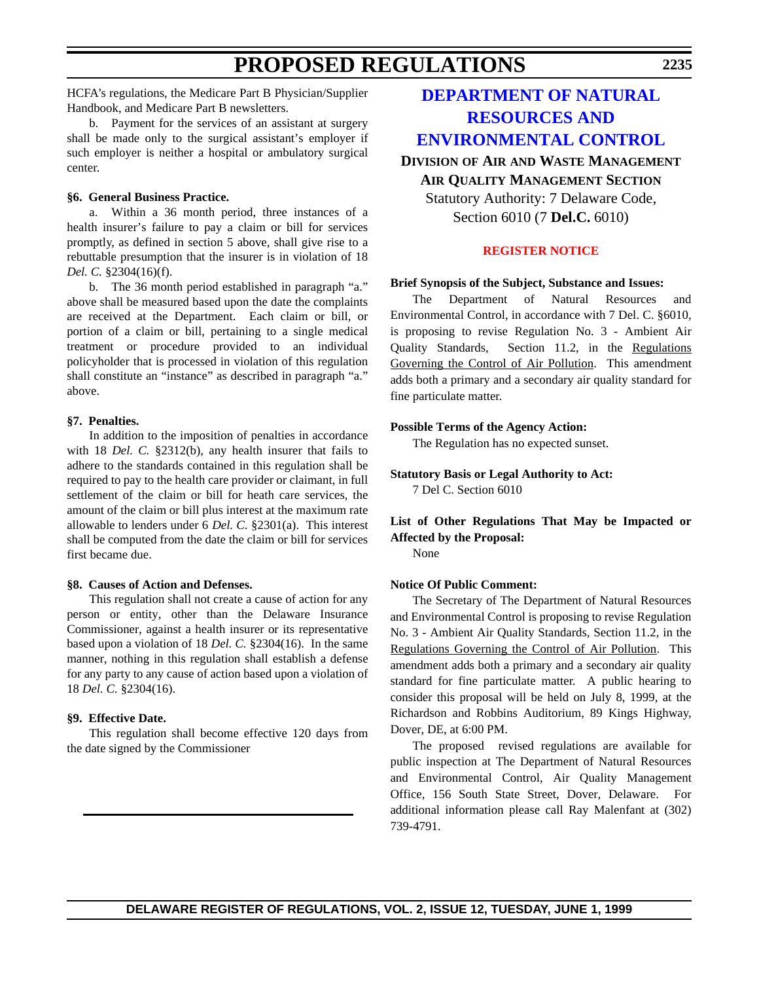HCFA's regulations, the Medicare Part B Physician/Supplier Handbook, and Medicare Part B newsletters.

b. Payment for the services of an assistant at surgery shall be made only to the surgical assistant's employer if such employer is neither a hospital or ambulatory surgical center.

### **§6. General Business Practice.**

a. Within a 36 month period, three instances of a health insurer's failure to pay a claim or bill for services promptly, as defined in section 5 above, shall give rise to a rebuttable presumption that the insurer is in violation of 18 *Del. C.* §2304(16)(f).

b. The 36 month period established in paragraph "a." above shall be measured based upon the date the complaints are received at the Department. Each claim or bill, or portion of a claim or bill, pertaining to a single medical treatment or procedure provided to an individual policyholder that is processed in violation of this regulation shall constitute an "instance" as described in paragraph "a." above.

#### **§7. Penalties.**

In addition to the imposition of penalties in accordance with 18 *Del. C.* §2312(b), any health insurer that fails to adhere to the standards contained in this regulation shall be required to pay to the health care provider or claimant, in full settlement of the claim or bill for heath care services, the amount of the claim or bill plus interest at the maximum rate allowable to lenders under 6 *Del. C.* §2301(a). This interest shall be computed from the date the claim or bill for services first became due.

#### **§8. Causes of Action and Defenses.**

This regulation shall not create a cause of action for any person or entity, other than the Delaware Insurance Commissioner, against a health insurer or its representative based upon a violation of 18 *Del. C.* §2304(16). In the same manner, nothing in this regulation shall establish a defense for any party to any cause of action based upon a violation of 18 *Del. C.* §2304(16).

#### **§9. Effective Date.**

This regulation shall become effective 120 days from the date signed by the Commissioner

# **DEPARTMENT OF NATURAL RESOURCES AND [ENVIRONMENTAL CONTROL](http://www.dnrec.state.de.us/http://www.dnrec.state.de.us/)**

# **DIVISION OF AIR AND WASTE MANAGEMENT AIR QUALITY MANAGEMENT SECTION** Statutory Authority: 7 Delaware Code, Section 6010 (7 **Del.C.** 6010)

#### **[REGISTER NOTICE](#page-3-0)**

#### **Brief Synopsis of the Subject, Substance and Issues:**

The Department of Natural Resources and Environmental Control, in accordance with 7 Del. C. §6010, is proposing to revise Regulation No. 3 - Ambient Air Quality Standards, Section 11.2, in the Regulations Governing the Control of Air Pollution. This amendment adds both a primary and a secondary air quality standard for fine particulate matter.

#### **Possible Terms of the Agency Action:**

The Regulation has no expected sunset.

**Statutory Basis or Legal Authority to Act:** 7 Del C. Section 6010

### **List of Other Regulations That May be Impacted or Affected by the Proposal:**

None

#### **Notice Of Public Comment:**

The Secretary of The Department of Natural Resources and Environmental Control is proposing to revise Regulation No. 3 - Ambient Air Quality Standards, Section 11.2, in the Regulations Governing the Control of Air Pollution. This amendment adds both a primary and a secondary air quality standard for fine particulate matter. A public hearing to consider this proposal will be held on July 8, 1999, at the Richardson and Robbins Auditorium, 89 Kings Highway, Dover, DE, at 6:00 PM.

The proposed revised regulations are available for public inspection at The Department of Natural Resources and Environmental Control, Air Quality Management Office, 156 South State Street, Dover, Delaware. For additional information please call Ray Malenfant at (302) 739-4791.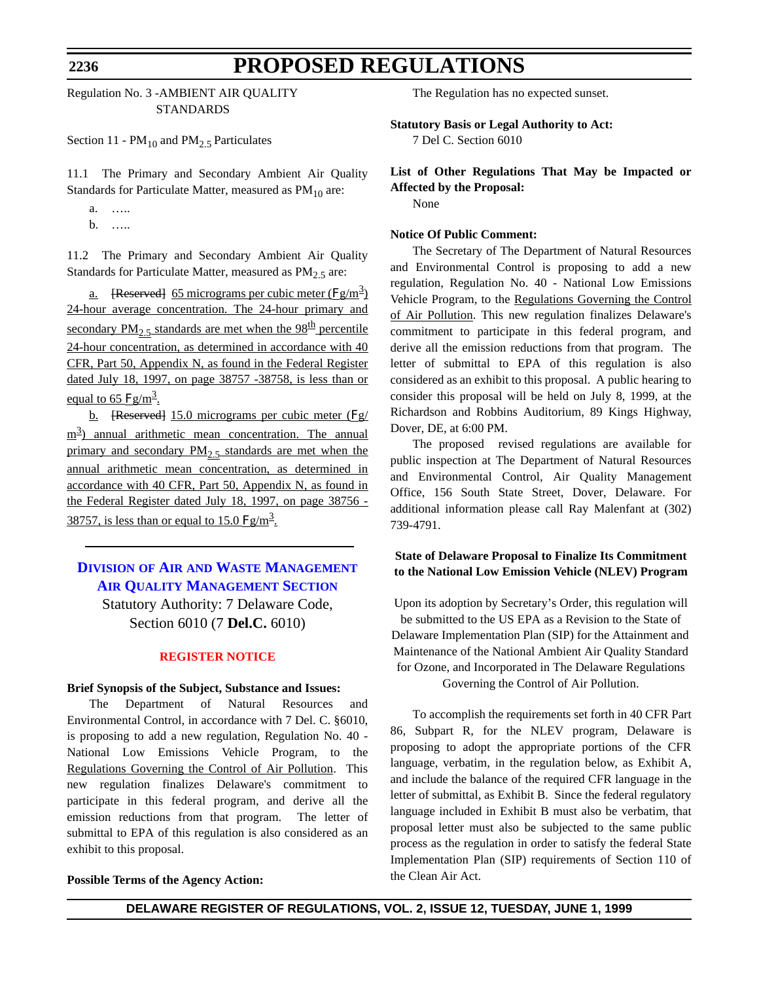#### **2236**

# **PROPOSED REGULATIONS**

Regulation No. 3 -AMBIENT AIR QUALITY STANDARDS

Section 11 -  $PM_{10}$  and  $PM_{2.5}$  Particulates

11.1 The Primary and Secondary Ambient Air Quality Standards for Particulate Matter, measured as  $PM_{10}$  are:

a. ….. b. …..

11.2 The Primary and Secondary Ambient Air Quality

Standards for Particulate Matter, measured as  $PM<sub>2.5</sub>$  are:

<u>a.</u> [Reserved] 65 micrograms per cubic meter ( $\text{Fg/m}^3$ ) 24-hour average concentration. The 24-hour primary and secondary PM<sub>2</sub>, standards are met when the 98<sup>th</sup> percentile 24-hour concentration, as determined in accordance with 40 CFR, Part 50, Appendix N, as found in the Federal Register dated July 18, 1997, on page 38757 -38758, is less than or equal to 65  $Fg/m^3$ .

b. [Reserved] 15.0 micrograms per cubic meter (Fg/ m<sup>3</sup>) annual arithmetic mean concentration. The annual primary and secondary  $PM_2$ , standards are met when the annual arithmetic mean concentration, as determined in accordance with 40 CFR, Part 50, Appendix N, as found in the Federal Register dated July 18, 1997, on page 38756 - 38757, is less than or equal to 15.0  $\text{Fg/m}^3$ .

# **DIVISION OF AIR AND WASTE MANAGEMENT [AIR QUALITY MANAGEMENT SECTION](http://www.dnrec.state.de.us/)**

Statutory Authority: 7 Delaware Code, Section 6010 (7 **Del.C.** 6010)

#### **[REGISTER NOTICE](#page-3-0)**

#### **Brief Synopsis of the Subject, Substance and Issues:**

The Department of Natural Resources and Environmental Control, in accordance with 7 Del. C. §6010, is proposing to add a new regulation, Regulation No. 40 - National Low Emissions Vehicle Program, to the Regulations Governing the Control of Air Pollution. This new regulation finalizes Delaware's commitment to participate in this federal program, and derive all the emission reductions from that program. The letter of submittal to EPA of this regulation is also considered as an exhibit to this proposal.

#### **Possible Terms of the Agency Action:**

The Regulation has no expected sunset.

**Statutory Basis or Legal Authority to Act:**

7 Del C. Section 6010

# **List of Other Regulations That May be Impacted or Affected by the Proposal:**

None

#### **Notice Of Public Comment:**

The Secretary of The Department of Natural Resources and Environmental Control is proposing to add a new regulation, Regulation No. 40 - National Low Emissions Vehicle Program, to the Regulations Governing the Control of Air Pollution. This new regulation finalizes Delaware's commitment to participate in this federal program, and derive all the emission reductions from that program. The letter of submittal to EPA of this regulation is also considered as an exhibit to this proposal. A public hearing to consider this proposal will be held on July 8, 1999, at the Richardson and Robbins Auditorium, 89 Kings Highway, Dover, DE, at 6:00 PM.

The proposed revised regulations are available for public inspection at The Department of Natural Resources and Environmental Control, Air Quality Management Office, 156 South State Street, Dover, Delaware. For additional information please call Ray Malenfant at (302) 739-4791.

### **State of Delaware Proposal to Finalize Its Commitment to the National Low Emission Vehicle (NLEV) Program**

Upon its adoption by Secretary's Order, this regulation will be submitted to the US EPA as a Revision to the State of Delaware Implementation Plan (SIP) for the Attainment and Maintenance of the National Ambient Air Quality Standard for Ozone, and Incorporated in The Delaware Regulations Governing the Control of Air Pollution.

To accomplish the requirements set forth in 40 CFR Part 86, Subpart R, for the NLEV program, Delaware is proposing to adopt the appropriate portions of the CFR language, verbatim, in the regulation below, as Exhibit A, and include the balance of the required CFR language in the letter of submittal, as Exhibit B. Since the federal regulatory language included in Exhibit B must also be verbatim, that proposal letter must also be subjected to the same public process as the regulation in order to satisfy the federal State Implementation Plan (SIP) requirements of Section 110 of the Clean Air Act.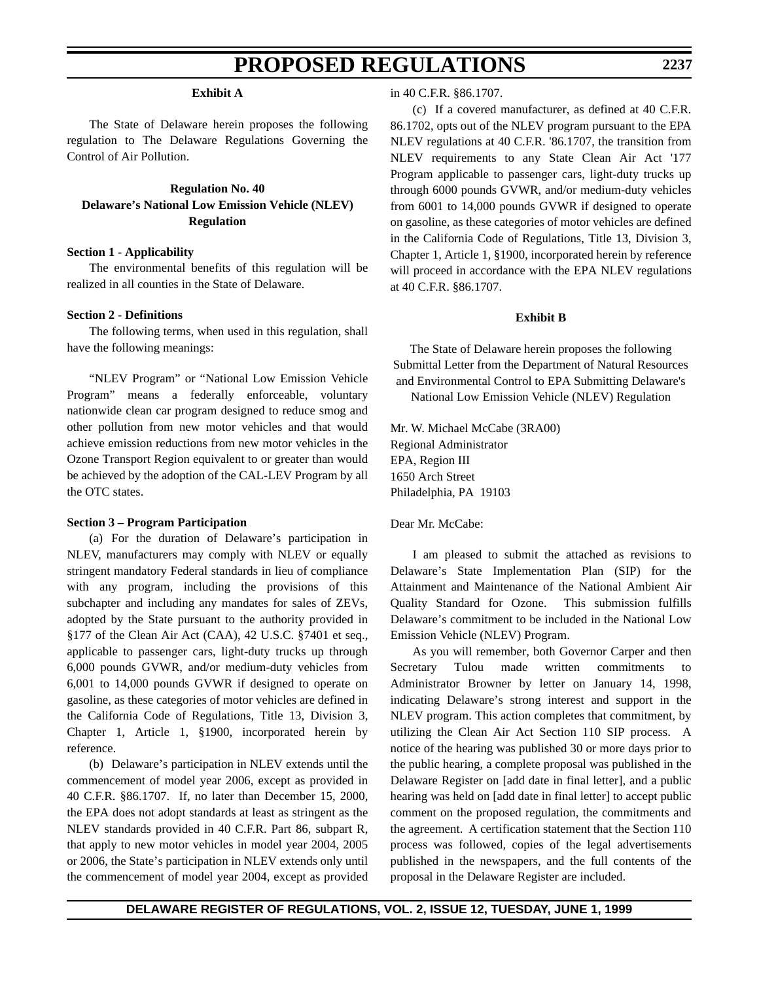#### **Exhibit A**

The State of Delaware herein proposes the following regulation to The Delaware Regulations Governing the Control of Air Pollution.

**Regulation No. 40 Delaware's National Low Emission Vehicle (NLEV) Regulation**

#### **Section 1 - Applicability**

The environmental benefits of this regulation will be realized in all counties in the State of Delaware.

### **Section 2 - Definitions**

The following terms, when used in this regulation, shall have the following meanings:

"NLEV Program" or "National Low Emission Vehicle Program" means a federally enforceable, voluntary nationwide clean car program designed to reduce smog and other pollution from new motor vehicles and that would achieve emission reductions from new motor vehicles in the Ozone Transport Region equivalent to or greater than would be achieved by the adoption of the CAL-LEV Program by all the OTC states.

#### **Section 3 – Program Participation**

(a) For the duration of Delaware's participation in NLEV, manufacturers may comply with NLEV or equally stringent mandatory Federal standards in lieu of compliance with any program, including the provisions of this subchapter and including any mandates for sales of ZEVs, adopted by the State pursuant to the authority provided in §177 of the Clean Air Act (CAA), 42 U.S.C. §7401 et seq., applicable to passenger cars, light-duty trucks up through 6,000 pounds GVWR, and/or medium-duty vehicles from 6,001 to 14,000 pounds GVWR if designed to operate on gasoline, as these categories of motor vehicles are defined in the California Code of Regulations, Title 13, Division 3, Chapter 1, Article 1, §1900, incorporated herein by reference.

(b) Delaware's participation in NLEV extends until the commencement of model year 2006, except as provided in 40 C.F.R. §86.1707. If, no later than December 15, 2000, the EPA does not adopt standards at least as stringent as the NLEV standards provided in 40 C.F.R. Part 86, subpart R, that apply to new motor vehicles in model year 2004, 2005 or 2006, the State's participation in NLEV extends only until the commencement of model year 2004, except as provided

#### in 40 C.F.R. §86.1707.

(c) If a covered manufacturer, as defined at 40 C.F.R. 86.1702, opts out of the NLEV program pursuant to the EPA NLEV regulations at 40 C.F.R. '86.1707, the transition from NLEV requirements to any State Clean Air Act '177 Program applicable to passenger cars, light-duty trucks up through 6000 pounds GVWR, and/or medium-duty vehicles from 6001 to 14,000 pounds GVWR if designed to operate on gasoline, as these categories of motor vehicles are defined in the California Code of Regulations, Title 13, Division 3, Chapter 1, Article 1, §1900, incorporated herein by reference will proceed in accordance with the EPA NLEV regulations at 40 C.F.R. §86.1707.

#### **Exhibit B**

The State of Delaware herein proposes the following Submittal Letter from the Department of Natural Resources and Environmental Control to EPA Submitting Delaware's National Low Emission Vehicle (NLEV) Regulation

Mr. W. Michael McCabe (3RA00) Regional Administrator EPA, Region III 1650 Arch Street Philadelphia, PA 19103

Dear Mr. McCabe:

I am pleased to submit the attached as revisions to Delaware's State Implementation Plan (SIP) for the Attainment and Maintenance of the National Ambient Air Quality Standard for Ozone. This submission fulfills Delaware's commitment to be included in the National Low Emission Vehicle (NLEV) Program.

As you will remember, both Governor Carper and then Secretary Tulou made written commitments to Administrator Browner by letter on January 14, 1998, indicating Delaware's strong interest and support in the NLEV program. This action completes that commitment, by utilizing the Clean Air Act Section 110 SIP process. A notice of the hearing was published 30 or more days prior to the public hearing, a complete proposal was published in the Delaware Register on [add date in final letter], and a public hearing was held on [add date in final letter] to accept public comment on the proposed regulation, the commitments and the agreement. A certification statement that the Section 110 process was followed, copies of the legal advertisements published in the newspapers, and the full contents of the proposal in the Delaware Register are included.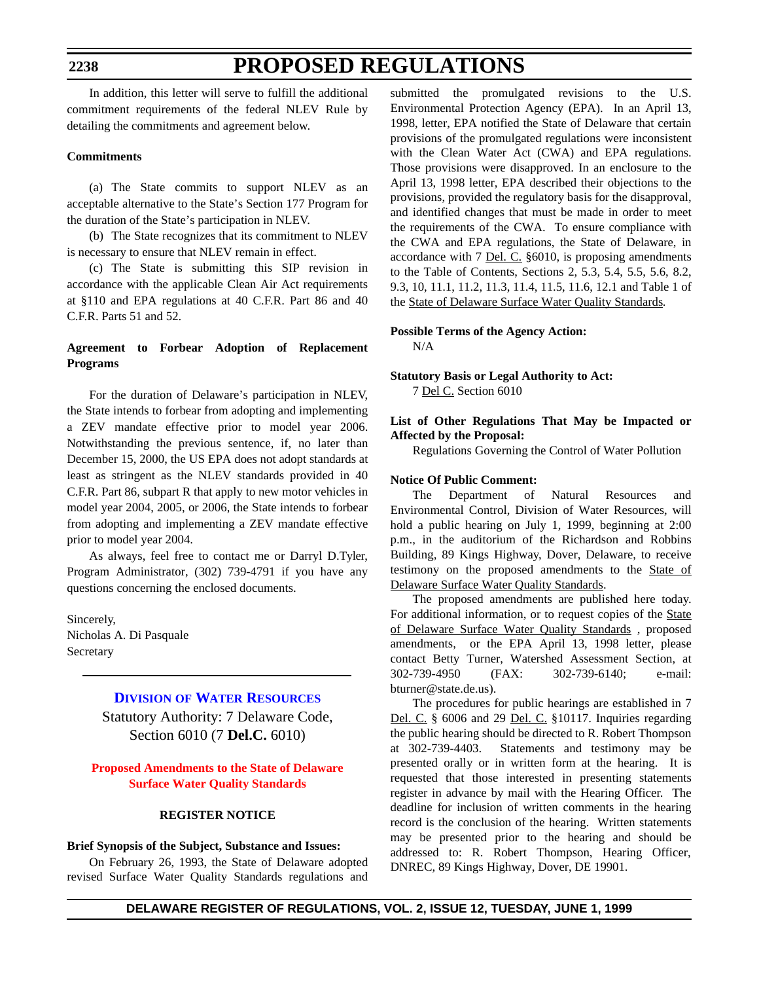#### **2238**

# **PROPOSED REGULATIONS**

In addition, this letter will serve to fulfill the additional commitment requirements of the federal NLEV Rule by detailing the commitments and agreement below.

#### **Commitments**

(a) The State commits to support NLEV as an acceptable alternative to the State's Section 177 Program for the duration of the State's participation in NLEV.

(b) The State recognizes that its commitment to NLEV is necessary to ensure that NLEV remain in effect.

(c) The State is submitting this SIP revision in accordance with the applicable Clean Air Act requirements at §110 and EPA regulations at 40 C.F.R. Part 86 and 40 C.F.R. Parts 51 and 52.

## **Agreement to Forbear Adoption of Replacement Programs**

For the duration of Delaware's participation in NLEV, the State intends to forbear from adopting and implementing a ZEV mandate effective prior to model year 2006. Notwithstanding the previous sentence, if, no later than December 15, 2000, the US EPA does not adopt standards at least as stringent as the NLEV standards provided in 40 C.F.R. Part 86, subpart R that apply to new motor vehicles in model year 2004, 2005, or 2006, the State intends to forbear from adopting and implementing a ZEV mandate effective prior to model year 2004.

As always, feel free to contact me or Darryl D.Tyler, Program Administrator, (302) 739-4791 if you have any questions concerning the enclosed documents.

Sincerely, Nicholas A. Di Pasquale Secretary

# **DIVISION [OF WATER RESOURCES](http://www.dnrec.state.de.us/)**

Statutory Authority: 7 Delaware Code, Section 6010 (7 **Del.C.** 6010)

### **[Proposed Amendments to the State of Delaware](#page-3-0) Surface Water Quality Standards**

#### **REGISTER NOTICE**

#### **Brief Synopsis of the Subject, Substance and Issues:**

On February 26, 1993, the State of Delaware adopted revised Surface Water Quality Standards regulations and

submitted the promulgated revisions to the U.S. Environmental Protection Agency (EPA). In an April 13, 1998, letter, EPA notified the State of Delaware that certain provisions of the promulgated regulations were inconsistent with the Clean Water Act (CWA) and EPA regulations. Those provisions were disapproved. In an enclosure to the April 13, 1998 letter, EPA described their objections to the provisions, provided the regulatory basis for the disapproval, and identified changes that must be made in order to meet the requirements of the CWA. To ensure compliance with the CWA and EPA regulations, the State of Delaware, in accordance with 7 Del. C. §6010, is proposing amendments to the Table of Contents, Sections 2, 5.3, 5.4, 5.5, 5.6, 8.2, 9.3, 10, 11.1, 11.2, 11.3, 11.4, 11.5, 11.6, 12.1 and Table 1 of the State of Delaware Surface Water Quality Standards.

# **Possible Terms of the Agency Action:**

N/A

#### **Statutory Basis or Legal Authority to Act:** 7 Del C. Section 6010

### **List of Other Regulations That May be Impacted or Affected by the Proposal:**

Regulations Governing the Control of Water Pollution

#### **Notice Of Public Comment:**

The Department of Natural Resources and Environmental Control, Division of Water Resources, will hold a public hearing on July 1, 1999, beginning at 2:00 p.m., in the auditorium of the Richardson and Robbins Building, 89 Kings Highway, Dover, Delaware, to receive testimony on the proposed amendments to the State of Delaware Surface Water Quality Standards.

The proposed amendments are published here today. For additional information, or to request copies of the State of Delaware Surface Water Quality Standards , proposed amendments, or the EPA April 13, 1998 letter, please contact Betty Turner, Watershed Assessment Section, at 302-739-4950 (FAX: 302-739-6140; e-mail: bturner@state.de.us).

The procedures for public hearings are established in 7 Del. C. § 6006 and 29 Del. C. §10117. Inquiries regarding the public hearing should be directed to R. Robert Thompson at 302-739-4403. Statements and testimony may be presented orally or in written form at the hearing. It is requested that those interested in presenting statements register in advance by mail with the Hearing Officer. The deadline for inclusion of written comments in the hearing record is the conclusion of the hearing. Written statements may be presented prior to the hearing and should be addressed to: R. Robert Thompson, Hearing Officer, DNREC, 89 Kings Highway, Dover, DE 19901.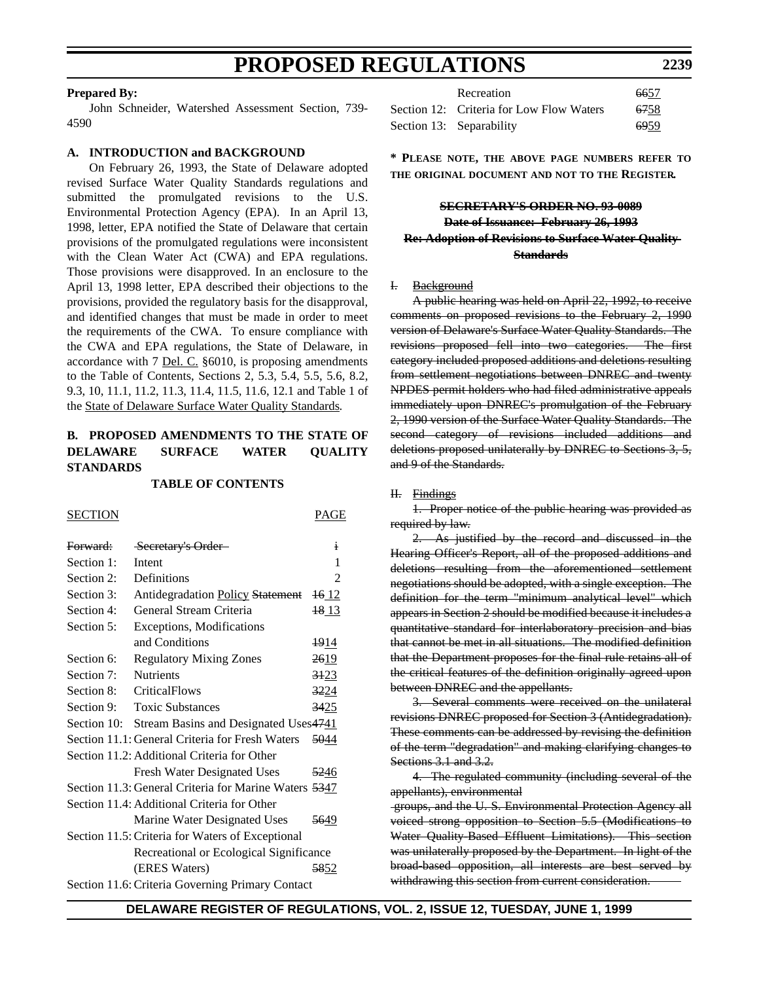#### **Prepared By:**

John Schneider, Watershed Assessment Section, 739- 4590

#### **A. INTRODUCTION and BACKGROUND**

On February 26, 1993, the State of Delaware adopted revised Surface Water Quality Standards regulations and submitted the promulgated revisions to the U.S. Environmental Protection Agency (EPA). In an April 13, 1998, letter, EPA notified the State of Delaware that certain provisions of the promulgated regulations were inconsistent with the Clean Water Act (CWA) and EPA regulations. Those provisions were disapproved. In an enclosure to the April 13, 1998 letter, EPA described their objections to the provisions, provided the regulatory basis for the disapproval, and identified changes that must be made in order to meet the requirements of the CWA. To ensure compliance with the CWA and EPA regulations, the State of Delaware, in accordance with 7 Del. C. §6010, is proposing amendments to the Table of Contents, Sections 2, 5.3, 5.4, 5.5, 5.6, 8.2, 9.3, 10, 11.1, 11.2, 11.3, 11.4, 11.5, 11.6, 12.1 and Table 1 of the State of Delaware Surface Water Quality Standards.

# **B. PROPOSED AMENDMENTS TO THE STATE OF DELAWARE SURFACE WATER QUALITY STANDARDS**

#### **TABLE OF CONTENTS**

SECTION PAGE

| Forward:   | Secretary's Order-                                    | i                |
|------------|-------------------------------------------------------|------------------|
| Section 1: | Intent                                                | 1                |
| Section 2: | Definitions                                           | $\mathfrak{D}$   |
| Section 3: | Antidegradation Policy Statement                      | <del>16</del> 12 |
| Section 4: | General Stream Criteria                               | <del>18</del> 13 |
| Section 5: | <b>Exceptions, Modifications</b>                      |                  |
|            | and Conditions                                        | <del>19</del> 14 |
| Section 6: | <b>Regulatory Mixing Zones</b>                        | 2619             |
| Section 7: | <b>Nutrients</b>                                      | 3123             |
| Section 8: | <b>CriticalFlows</b>                                  | 3224             |
| Section 9: | <b>Toxic Substances</b>                               | 3425             |
|            | Section 10: Stream Basins and Designated Uses4741     |                  |
|            | Section 11.1: General Criteria for Fresh Waters       | 5044             |
|            | Section 11.2: Additional Criteria for Other           |                  |
|            | <b>Fresh Water Designated Uses</b>                    | 5246             |
|            | Section 11.3: General Criteria for Marine Waters 5347 |                  |
|            | Section 11.4: Additional Criteria for Other           |                  |
|            | Marine Water Designated Uses                          | 5649             |
|            | Section 11.5: Criteria for Waters of Exceptional      |                  |
|            | Recreational or Ecological Significance               |                  |
|            | (ERES Waters)                                         | 5852             |
|            | Section 11.6: Criteria Governing Primary Contact      |                  |

Recreation 6657 Section 12: Criteria for Low Flow Waters 6758 Section 13: Separability 6959

**\* PLEASE NOTE, THE ABOVE PAGE NUMBERS REFER TO THE ORIGINAL DOCUMENT AND NOT TO THE REGISTER.**

# **SECRETARY'S ORDER NO. 93-0089 Date of Issuance: February 26, 1993 Re: Adoption of Revisions to Surface Water Quality Standards**

#### I. Background

A public hearing was held on April 22, 1992, to receive comments on proposed revisions to the February 2, 1990 version of Delaware's Surface Water Quality Standards. The revisions proposed fell into two categories. The first category included proposed additions and deletions resulting from settlement negotiations between DNREC and twenty NPDES permit holders who had filed administrative appeals immediately upon DNREC's promulgation of the February 2, 1990 version of the Surface Water Quality Standards. The second category of revisions included additions and deletions proposed unilaterally by DNREC to Sections 3, 5, and 9 of the Standards.

#### H. Findings

1. Proper notice of the public hearing was provided as required by law.

2. As justified by the record and discussed in the Hearing Officer's Report, all of the proposed additions and deletions resulting from the aforementioned settlement negotiations should be adopted, with a single exception. The definition for the term "minimum analytical level" which appears in Section 2 should be modified because it includes a quantitative standard for interlaboratory precision and bias that cannot be met in all situations. The modified definition that the Department proposes for the final rule retains all of the critical features of the definition originally agreed upon between DNREC and the appellants.

3. Several comments were received on the unilateral revisions DNREC proposed for Section 3 (Antidegradation). These comments can be addressed by revising the definition of the term "degradation" and making clarifying changes to Sections 3.1 and 3.2.

4. The regulated community (including several of the appellants), environmental

 groups, and the U. S. Environmental Protection Agency all voiced strong opposition to Section 5.5 (Modifications to Water Quality-Based Effluent Limitations). This section was unilaterally proposed by the Department. In light of the broad-based opposition, all interests are best served by withdrawing this section from current consideration.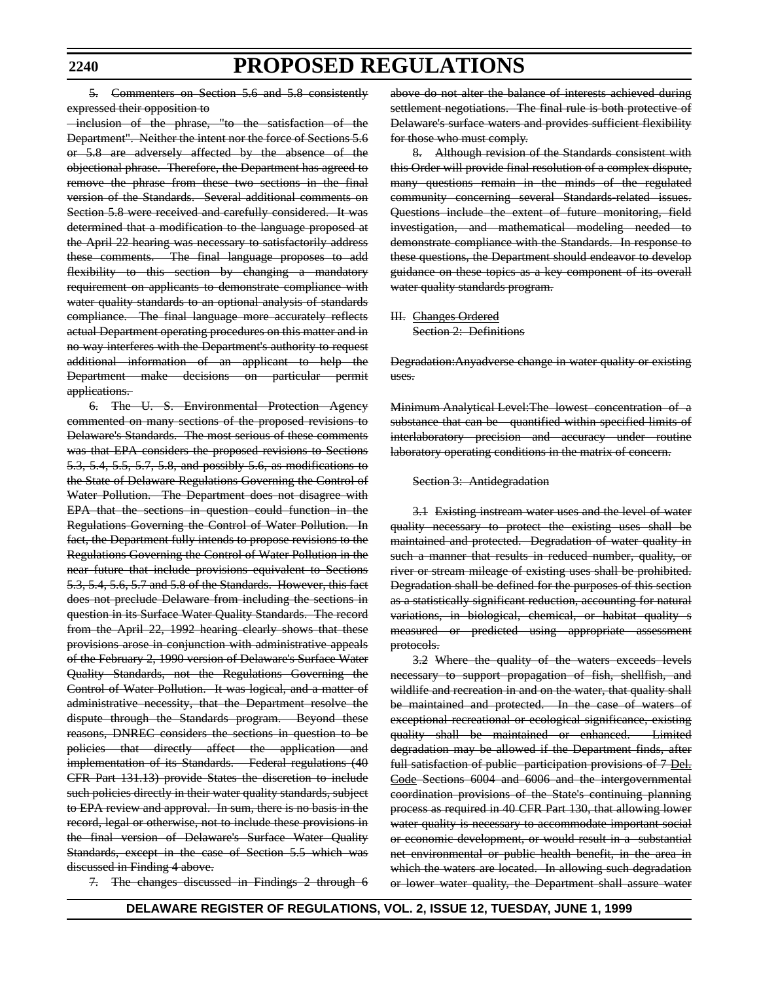#### **2240**

# **PROPOSED REGULATIONS**

5. Commenters on Section 5.6 and 5.8 consistently expressed their opposition to

 inclusion of the phrase, "to the satisfaction of the Department". Neither the intent nor the force of Sections 5.6 or 5.8 are adversely affected by the absence of the objectional phrase. Therefore, the Department has agreed to remove the phrase from these two sections in the final version of the Standards. Several additional comments on Section 5.8 were received and carefully considered. It was determined that a modification to the language proposed at the April 22 hearing was necessary to satisfactorily address these comments. The final language proposes to add flexibility to this section by changing a mandatory requirement on applicants to demonstrate compliance with water quality standards to an optional analysis of standards compliance. The final language more accurately reflects actual Department operating procedures on this matter and in no way interferes with the Department's authority to request additional information of an applicant to help the Department make decisions on particular permit applications.

6. The U. S. Environmental Protection Agency commented on many sections of the proposed revisions to Delaware's Standards. The most serious of these comments was that EPA considers the proposed revisions to Sections 5.3, 5.4, 5.5, 5.7, 5.8, and possibly 5.6, as modifications to the State of Delaware Regulations Governing the Control of Water Pollution. The Department does not disagree with EPA that the sections in question could function in the Regulations Governing the Control of Water Pollution. In fact, the Department fully intends to propose revisions to the Regulations Governing the Control of Water Pollution in the near future that include provisions equivalent to Sections 5.3, 5.4, 5.6, 5.7 and 5.8 of the Standards. However, this fact does not preclude Delaware from including the sections in question in its Surface Water Quality Standards. The record from the April 22, 1992 hearing clearly shows that these provisions arose in conjunction with administrative appeals of the February 2, 1990 version of Delaware's Surface Water Quality Standards, not the Regulations Governing the Control of Water Pollution. It was logical, and a matter of administrative necessity, that the Department resolve the dispute through the Standards program. Beyond these reasons, DNREC considers the sections in question to be policies that directly affect the application and implementation of its Standards. Federal regulations (40 CFR Part 131.13) provide States the discretion to include such policies directly in their water quality standards, subject to EPA review and approval. In sum, there is no basis in the record, legal or otherwise, not to include these provisions in the final version of Delaware's Surface Water Quality Standards, except in the case of Section 5.5 which was discussed in Finding 4 above.

7. The changes discussed in Findings 2 through 6

above do not alter the balance of interests achieved during settlement negotiations. The final rule is both protective of Delaware's surface waters and provides sufficient flexibility for those who must comply.

8. Although revision of the Standards consistent with this Order will provide final resolution of a complex dispute, many questions remain in the minds of the regulated community concerning several Standards-related issues. Questions include the extent of future monitoring, field investigation, and mathematical modeling needed to demonstrate compliance with the Standards. In response to these questions, the Department should endeavor to develop guidance on these topics as a key component of its overall water quality standards program.

III. Changes Ordered Section 2: Definitions

Degradation:Anyadverse change in water quality or existing uses.

Minimum Analytical Level:The lowest concentration of a substance that can be quantified within specified limits of interlaboratory precision and accuracy under routine laboratory operating conditions in the matrix of concern.

#### Section 3: Antidegradation

3.1 Existing instream water uses and the level of water quality necessary to protect the existing uses shall be maintained and protected. Degradation of water quality in such a manner that results in reduced number, quality, or river or stream mileage of existing uses shall be prohibited. Degradation shall be defined for the purposes of this section as a statistically significant reduction, accounting for natural variations, in biological, chemical, or habitat quality s measured or predicted using appropriate assessment protocols.

3.2 Where the quality of the waters exceeds levels necessary to support propagation of fish, shellfish, and wildlife and recreation in and on the water, that quality shall be maintained and protected. In the case of waters of exceptional recreational or ecological significance, existing quality shall be maintained or enhanced. Limited degradation may be allowed if the Department finds, after full satisfaction of public participation provisions of 7 Del. Code Sections 6004 and 6006 and the intergovernmental coordination provisions of the State's continuing planning process as required in 40 CFR Part 130, that allowing lower water quality is necessary to accommodate important social or economic development, or would result in a substantial net environmental or public health benefit, in the area in which the waters are located. In allowing such degradation or lower water quality, the Department shall assure water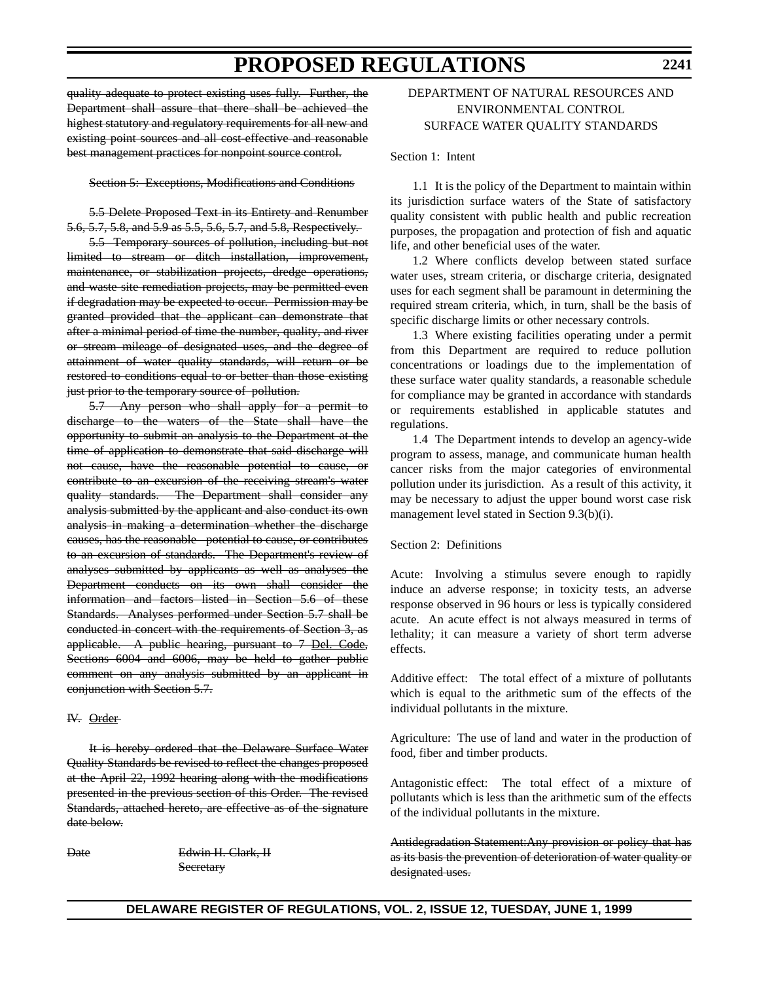quality adequate to protect existing uses fully. Further, the Department shall assure that there shall be achieved the highest statutory and regulatory requirements for all new and existing point sources and all cost-effective and reasonable best management practices for nonpoint source control.

#### Section 5: Exceptions, Modifications and Conditions

5.5 Delete Proposed Text in its Entirety and Renumber 5.6, 5.7, 5.8, and 5.9 as 5.5, 5.6, 5.7, and 5.8, Respectively.

5.5 Temporary sources of pollution, including but not limited to stream or ditch installation, improvement, maintenance, or stabilization projects, dredge operations, and waste site remediation projects, may be permitted even if degradation may be expected to occur. Permission may be granted provided that the applicant can demonstrate that after a minimal period of time the number, quality, and river or stream mileage of designated uses, and the degree of attainment of water quality standards, will return or be restored to conditions equal to or better than those existing just prior to the temporary source of pollution.

5.7 Any person who shall apply for a permit to discharge to the waters of the State shall have the opportunity to submit an analysis to the Department at the time of application to demonstrate that said discharge will not cause, have the reasonable potential to cause, or contribute to an excursion of the receiving stream's water quality standards. The Department shall consider any analysis submitted by the applicant and also conduct its own analysis in making a determination whether the discharge causes, has the reasonable potential to cause, or contributes to an excursion of standards. The Department's review of analyses submitted by applicants as well as analyses the Department conducts on its own shall consider the information and factors listed in Section 5.6 of these Standards. Analyses performed under Section 5.7 shall be conducted in concert with the requirements of Section 3, as applicable. A public hearing, pursuant to 7 Del. Code, Sections 6004 and 6006, may be held to gather public comment on any analysis submitted by an applicant in conjunction with Section 5.7.

#### IV. Order

It is hereby ordered that the Delaware Surface Water Quality Standards be revised to reflect the changes proposed at the April 22, 1992 hearing along with the modifications presented in the previous section of this Order. The revised Standards, attached hereto, are effective as of the signature date below.

Date Edwin H. Clark, H **Secretary** 

# DEPARTMENT OF NATURAL RESOURCES AND ENVIRONMENTAL CONTROL SURFACE WATER QUALITY STANDARDS

Section 1: Intent

1.1 It is the policy of the Department to maintain within its jurisdiction surface waters of the State of satisfactory quality consistent with public health and public recreation purposes, the propagation and protection of fish and aquatic life, and other beneficial uses of the water.

1.2 Where conflicts develop between stated surface water uses, stream criteria, or discharge criteria, designated uses for each segment shall be paramount in determining the required stream criteria, which, in turn, shall be the basis of specific discharge limits or other necessary controls.

1.3 Where existing facilities operating under a permit from this Department are required to reduce pollution concentrations or loadings due to the implementation of these surface water quality standards, a reasonable schedule for compliance may be granted in accordance with standards or requirements established in applicable statutes and regulations.

1.4 The Department intends to develop an agency-wide program to assess, manage, and communicate human health cancer risks from the major categories of environmental pollution under its jurisdiction. As a result of this activity, it may be necessary to adjust the upper bound worst case risk management level stated in Section 9.3(b)(i).

#### Section 2: Definitions

Acute: Involving a stimulus severe enough to rapidly induce an adverse response; in toxicity tests, an adverse response observed in 96 hours or less is typically considered acute. An acute effect is not always measured in terms of lethality; it can measure a variety of short term adverse effects.

Additive effect: The total effect of a mixture of pollutants which is equal to the arithmetic sum of the effects of the individual pollutants in the mixture.

Agriculture: The use of land and water in the production of food, fiber and timber products.

Antagonistic effect: The total effect of a mixture of pollutants which is less than the arithmetic sum of the effects of the individual pollutants in the mixture.

Antidegradation Statement:Any provision or policy that has as its basis the prevention of deterioration of water quality or designated uses.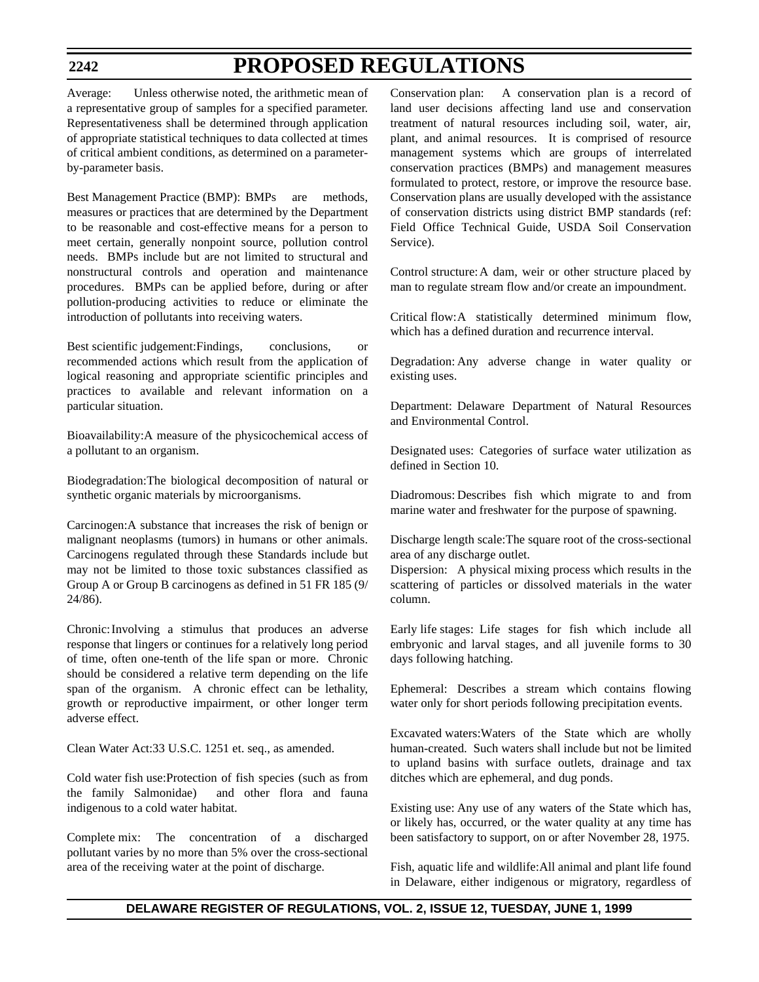Average: Unless otherwise noted, the arithmetic mean of a representative group of samples for a specified parameter. Representativeness shall be determined through application of appropriate statistical techniques to data collected at times of critical ambient conditions, as determined on a parameterby-parameter basis.

Best Management Practice (BMP): BMPs are methods, measures or practices that are determined by the Department to be reasonable and cost-effective means for a person to meet certain, generally nonpoint source, pollution control needs. BMPs include but are not limited to structural and nonstructural controls and operation and maintenance procedures. BMPs can be applied before, during or after pollution-producing activities to reduce or eliminate the introduction of pollutants into receiving waters.

Best scientific judgement: Findings, conclusions, or recommended actions which result from the application of logical reasoning and appropriate scientific principles and practices to available and relevant information on a particular situation.

Bioavailability:A measure of the physicochemical access of a pollutant to an organism.

Biodegradation:The biological decomposition of natural or synthetic organic materials by microorganisms.

Carcinogen:A substance that increases the risk of benign or malignant neoplasms (tumors) in humans or other animals. Carcinogens regulated through these Standards include but may not be limited to those toxic substances classified as Group A or Group B carcinogens as defined in 51 FR 185 (9/ 24/86).

Chronic:Involving a stimulus that produces an adverse response that lingers or continues for a relatively long period of time, often one-tenth of the life span or more. Chronic should be considered a relative term depending on the life span of the organism. A chronic effect can be lethality, growth or reproductive impairment, or other longer term adverse effect.

Clean Water Act:33 U.S.C. 1251 et. seq., as amended.

Cold water fish use:Protection of fish species (such as from the family Salmonidae) and other flora and fauna indigenous to a cold water habitat.

Complete mix: The concentration of a discharged pollutant varies by no more than 5% over the cross-sectional area of the receiving water at the point of discharge.

Conservation plan: A conservation plan is a record of land user decisions affecting land use and conservation treatment of natural resources including soil, water, air, plant, and animal resources. It is comprised of resource management systems which are groups of interrelated conservation practices (BMPs) and management measures formulated to protect, restore, or improve the resource base. Conservation plans are usually developed with the assistance of conservation districts using district BMP standards (ref: Field Office Technical Guide, USDA Soil Conservation Service).

Control structure:A dam, weir or other structure placed by man to regulate stream flow and/or create an impoundment.

Critical flow:A statistically determined minimum flow, which has a defined duration and recurrence interval.

Degradation: Any adverse change in water quality or existing uses.

Department: Delaware Department of Natural Resources and Environmental Control.

Designated uses: Categories of surface water utilization as defined in Section 10.

Diadromous: Describes fish which migrate to and from marine water and freshwater for the purpose of spawning.

Discharge length scale:The square root of the cross-sectional area of any discharge outlet.

Dispersion: A physical mixing process which results in the scattering of particles or dissolved materials in the water column.

Early life stages: Life stages for fish which include all embryonic and larval stages, and all juvenile forms to 30 days following hatching.

Ephemeral: Describes a stream which contains flowing water only for short periods following precipitation events.

Excavated waters:Waters of the State which are wholly human-created. Such waters shall include but not be limited to upland basins with surface outlets, drainage and tax ditches which are ephemeral, and dug ponds.

Existing use: Any use of any waters of the State which has, or likely has, occurred, or the water quality at any time has been satisfactory to support, on or after November 28, 1975.

Fish, aquatic life and wildlife:All animal and plant life found in Delaware, either indigenous or migratory, regardless of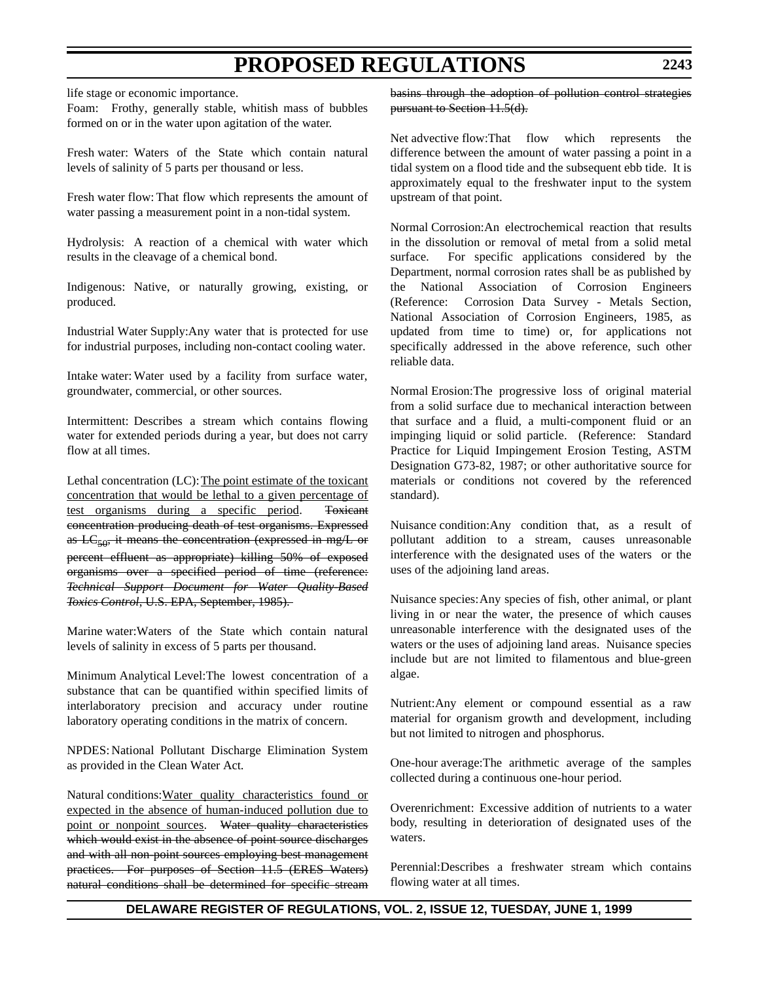life stage or economic importance.

Foam: Frothy, generally stable, whitish mass of bubbles formed on or in the water upon agitation of the water.

Fresh water: Waters of the State which contain natural levels of salinity of 5 parts per thousand or less.

Fresh water flow: That flow which represents the amount of water passing a measurement point in a non-tidal system.

Hydrolysis: A reaction of a chemical with water which results in the cleavage of a chemical bond.

Indigenous: Native, or naturally growing, existing, or produced.

Industrial Water Supply:Any water that is protected for use for industrial purposes, including non-contact cooling water.

Intake water: Water used by a facility from surface water, groundwater, commercial, or other sources.

Intermittent: Describes a stream which contains flowing water for extended periods during a year, but does not carry flow at all times.

Lethal concentration (LC):The point estimate of the toxicant concentration that would be lethal to a given percentage of test organisms during a specific period. Toxicant concentration producing death of test organisms. Expressed as  $\text{LC}_{50}$ , it means the concentration (expressed in mg/L or percent effluent as appropriate) killing 50% of exposed organisms over a specified period of time (reference: *Technical Support Document for Water Quality-Based Toxics Control*, U.S. EPA, September, 1985).

Marine water:Waters of the State which contain natural levels of salinity in excess of 5 parts per thousand.

Minimum Analytical Level:The lowest concentration of a substance that can be quantified within specified limits of interlaboratory precision and accuracy under routine laboratory operating conditions in the matrix of concern.

NPDES: National Pollutant Discharge Elimination System as provided in the Clean Water Act.

Natural conditions:Water quality characteristics found or expected in the absence of human-induced pollution due to point or nonpoint sources. Water quality characteristics which would exist in the absence of point source discharges and with all non-point sources employing best management practices. For purposes of Section 11.5 (ERES Waters) natural conditions shall be determined for specific stream

basins through the adoption of pollution control strategies pursuant to Section 11.5(d).

Net advective flow:That flow which represents the difference between the amount of water passing a point in a tidal system on a flood tide and the subsequent ebb tide. It is approximately equal to the freshwater input to the system upstream of that point.

Normal Corrosion:An electrochemical reaction that results in the dissolution or removal of metal from a solid metal surface. For specific applications considered by the Department, normal corrosion rates shall be as published by the National Association of Corrosion Engineers (Reference: Corrosion Data Survey - Metals Section, National Association of Corrosion Engineers, 1985, as updated from time to time) or, for applications not specifically addressed in the above reference, such other reliable data.

Normal Erosion:The progressive loss of original material from a solid surface due to mechanical interaction between that surface and a fluid, a multi-component fluid or an impinging liquid or solid particle. (Reference: Standard Practice for Liquid Impingement Erosion Testing, ASTM Designation G73-82, 1987; or other authoritative source for materials or conditions not covered by the referenced standard).

Nuisance condition:Any condition that, as a result of pollutant addition to a stream, causes unreasonable interference with the designated uses of the waters or the uses of the adjoining land areas.

Nuisance species:Any species of fish, other animal, or plant living in or near the water, the presence of which causes unreasonable interference with the designated uses of the waters or the uses of adjoining land areas. Nuisance species include but are not limited to filamentous and blue-green algae.

Nutrient:Any element or compound essential as a raw material for organism growth and development, including but not limited to nitrogen and phosphorus.

One-hour average:The arithmetic average of the samples collected during a continuous one-hour period.

Overenrichment: Excessive addition of nutrients to a water body, resulting in deterioration of designated uses of the waters.

Perennial:Describes a freshwater stream which contains flowing water at all times.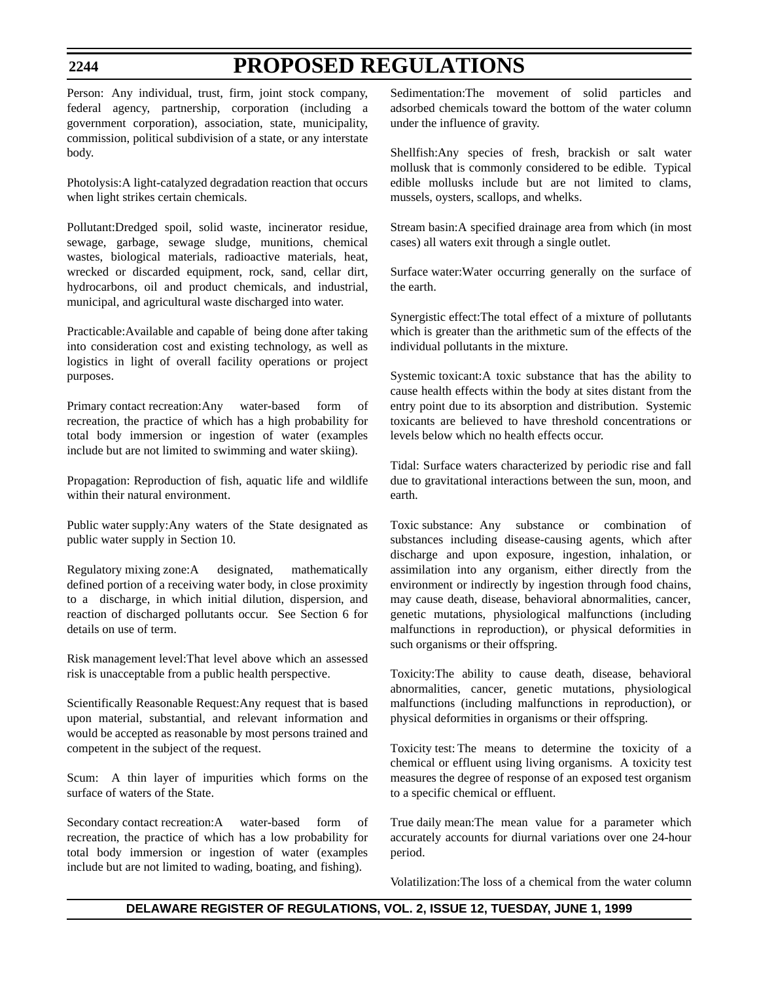Person: Any individual, trust, firm, joint stock company, federal agency, partnership, corporation (including a government corporation), association, state, municipality, commission, political subdivision of a state, or any interstate body.

Photolysis:A light-catalyzed degradation reaction that occurs when light strikes certain chemicals.

Pollutant:Dredged spoil, solid waste, incinerator residue, sewage, garbage, sewage sludge, munitions, chemical wastes, biological materials, radioactive materials, heat, wrecked or discarded equipment, rock, sand, cellar dirt, hydrocarbons, oil and product chemicals, and industrial, municipal, and agricultural waste discharged into water.

Practicable:Available and capable of being done after taking into consideration cost and existing technology, as well as logistics in light of overall facility operations or project purposes.

Primary contact recreation:Any water-based form of recreation, the practice of which has a high probability for total body immersion or ingestion of water (examples include but are not limited to swimming and water skiing).

Propagation: Reproduction of fish, aquatic life and wildlife within their natural environment.

Public water supply:Any waters of the State designated as public water supply in Section 10.

Regulatory mixing zone:A designated, mathematically defined portion of a receiving water body, in close proximity to a discharge, in which initial dilution, dispersion, and reaction of discharged pollutants occur. See Section 6 for details on use of term.

Risk management level:That level above which an assessed risk is unacceptable from a public health perspective.

Scientifically Reasonable Request:Any request that is based upon material, substantial, and relevant information and would be accepted as reasonable by most persons trained and competent in the subject of the request.

Scum: A thin layer of impurities which forms on the surface of waters of the State.

Secondary contact recreation:A water-based form of recreation, the practice of which has a low probability for total body immersion or ingestion of water (examples include but are not limited to wading, boating, and fishing).

Sedimentation:The movement of solid particles and adsorbed chemicals toward the bottom of the water column under the influence of gravity.

Shellfish:Any species of fresh, brackish or salt water mollusk that is commonly considered to be edible. Typical edible mollusks include but are not limited to clams, mussels, oysters, scallops, and whelks.

Stream basin:A specified drainage area from which (in most cases) all waters exit through a single outlet.

Surface water:Water occurring generally on the surface of the earth.

Synergistic effect:The total effect of a mixture of pollutants which is greater than the arithmetic sum of the effects of the individual pollutants in the mixture.

Systemic toxicant:A toxic substance that has the ability to cause health effects within the body at sites distant from the entry point due to its absorption and distribution. Systemic toxicants are believed to have threshold concentrations or levels below which no health effects occur.

Tidal: Surface waters characterized by periodic rise and fall due to gravitational interactions between the sun, moon, and earth.

Toxic substance: Any substance or combination of substances including disease-causing agents, which after discharge and upon exposure, ingestion, inhalation, or assimilation into any organism, either directly from the environment or indirectly by ingestion through food chains, may cause death, disease, behavioral abnormalities, cancer, genetic mutations, physiological malfunctions (including malfunctions in reproduction), or physical deformities in such organisms or their offspring.

Toxicity:The ability to cause death, disease, behavioral abnormalities, cancer, genetic mutations, physiological malfunctions (including malfunctions in reproduction), or physical deformities in organisms or their offspring.

Toxicity test: The means to determine the toxicity of a chemical or effluent using living organisms. A toxicity test measures the degree of response of an exposed test organism to a specific chemical or effluent.

True daily mean:The mean value for a parameter which accurately accounts for diurnal variations over one 24-hour period.

Volatilization:The loss of a chemical from the water column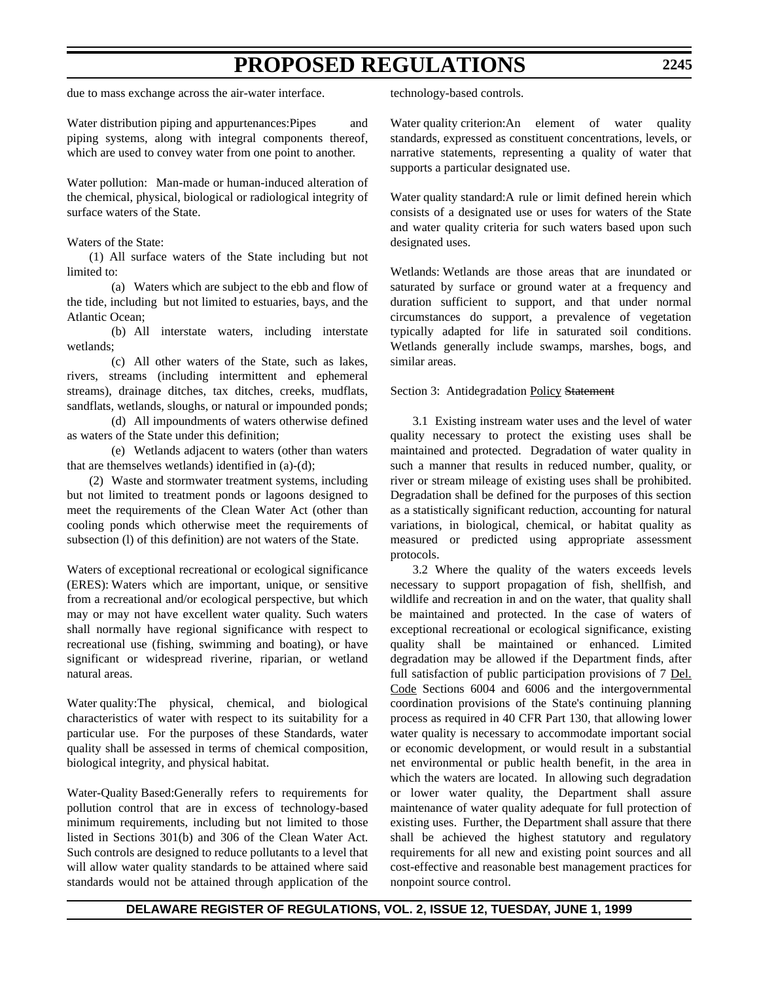due to mass exchange across the air-water interface.

Water distribution piping and appurtenances: Pipes and piping systems, along with integral components thereof, which are used to convey water from one point to another.

Water pollution: Man-made or human-induced alteration of the chemical, physical, biological or radiological integrity of surface waters of the State.

#### Waters of the State:

(1) All surface waters of the State including but not limited to:

(a) Waters which are subject to the ebb and flow of the tide, including but not limited to estuaries, bays, and the Atlantic Ocean;

(b) All interstate waters, including interstate wetlands;

(c) All other waters of the State, such as lakes, rivers, streams (including intermittent and ephemeral streams), drainage ditches, tax ditches, creeks, mudflats, sandflats, wetlands, sloughs, or natural or impounded ponds;

(d) All impoundments of waters otherwise defined as waters of the State under this definition;

(e) Wetlands adjacent to waters (other than waters that are themselves wetlands) identified in (a)-(d);

(2) Waste and stormwater treatment systems, including but not limited to treatment ponds or lagoons designed to meet the requirements of the Clean Water Act (other than cooling ponds which otherwise meet the requirements of subsection (l) of this definition) are not waters of the State.

Waters of exceptional recreational or ecological significance (ERES): Waters which are important, unique, or sensitive from a recreational and/or ecological perspective, but which may or may not have excellent water quality. Such waters shall normally have regional significance with respect to recreational use (fishing, swimming and boating), or have significant or widespread riverine, riparian, or wetland natural areas.

Water quality:The physical, chemical, and biological characteristics of water with respect to its suitability for a particular use. For the purposes of these Standards, water quality shall be assessed in terms of chemical composition, biological integrity, and physical habitat.

Water-Quality Based:Generally refers to requirements for pollution control that are in excess of technology-based minimum requirements, including but not limited to those listed in Sections 301(b) and 306 of the Clean Water Act. Such controls are designed to reduce pollutants to a level that will allow water quality standards to be attained where said standards would not be attained through application of the

technology-based controls.

Water quality criterion:An element of water quality standards, expressed as constituent concentrations, levels, or narrative statements, representing a quality of water that supports a particular designated use.

Water quality standard:A rule or limit defined herein which consists of a designated use or uses for waters of the State and water quality criteria for such waters based upon such designated uses.

Wetlands: Wetlands are those areas that are inundated or saturated by surface or ground water at a frequency and duration sufficient to support, and that under normal circumstances do support, a prevalence of vegetation typically adapted for life in saturated soil conditions. Wetlands generally include swamps, marshes, bogs, and similar areas.

#### Section 3: Antidegradation Policy Statement

3.1 Existing instream water uses and the level of water quality necessary to protect the existing uses shall be maintained and protected. Degradation of water quality in such a manner that results in reduced number, quality, or river or stream mileage of existing uses shall be prohibited. Degradation shall be defined for the purposes of this section as a statistically significant reduction, accounting for natural variations, in biological, chemical, or habitat quality as measured or predicted using appropriate assessment protocols.

3.2 Where the quality of the waters exceeds levels necessary to support propagation of fish, shellfish, and wildlife and recreation in and on the water, that quality shall be maintained and protected. In the case of waters of exceptional recreational or ecological significance, existing quality shall be maintained or enhanced. Limited degradation may be allowed if the Department finds, after full satisfaction of public participation provisions of 7 Del. Code Sections 6004 and 6006 and the intergovernmental coordination provisions of the State's continuing planning process as required in 40 CFR Part 130, that allowing lower water quality is necessary to accommodate important social or economic development, or would result in a substantial net environmental or public health benefit, in the area in which the waters are located. In allowing such degradation or lower water quality, the Department shall assure maintenance of water quality adequate for full protection of existing uses. Further, the Department shall assure that there shall be achieved the highest statutory and regulatory requirements for all new and existing point sources and all cost-effective and reasonable best management practices for nonpoint source control.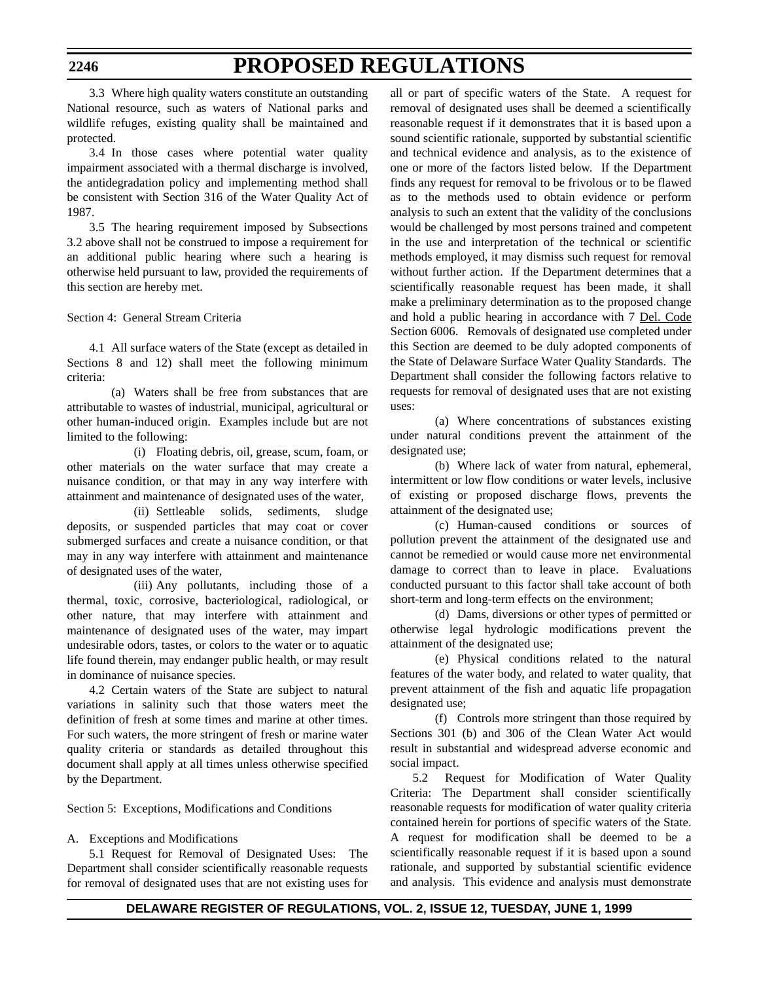3.3 Where high quality waters constitute an outstanding National resource, such as waters of National parks and wildlife refuges, existing quality shall be maintained and protected.

3.4 In those cases where potential water quality impairment associated with a thermal discharge is involved, the antidegradation policy and implementing method shall be consistent with Section 316 of the Water Quality Act of 1987.

3.5 The hearing requirement imposed by Subsections 3.2 above shall not be construed to impose a requirement for an additional public hearing where such a hearing is otherwise held pursuant to law, provided the requirements of this section are hereby met.

Section 4: General Stream Criteria

4.1 All surface waters of the State (except as detailed in Sections 8 and 12) shall meet the following minimum criteria:

(a) Waters shall be free from substances that are attributable to wastes of industrial, municipal, agricultural or other human-induced origin. Examples include but are not limited to the following:

(i) Floating debris, oil, grease, scum, foam, or other materials on the water surface that may create a nuisance condition, or that may in any way interfere with attainment and maintenance of designated uses of the water,

(ii) Settleable solids, sediments, sludge deposits, or suspended particles that may coat or cover submerged surfaces and create a nuisance condition, or that may in any way interfere with attainment and maintenance of designated uses of the water,

(iii) Any pollutants, including those of a thermal, toxic, corrosive, bacteriological, radiological, or other nature, that may interfere with attainment and maintenance of designated uses of the water, may impart undesirable odors, tastes, or colors to the water or to aquatic life found therein, may endanger public health, or may result in dominance of nuisance species.

4.2 Certain waters of the State are subject to natural variations in salinity such that those waters meet the definition of fresh at some times and marine at other times. For such waters, the more stringent of fresh or marine water quality criteria or standards as detailed throughout this document shall apply at all times unless otherwise specified by the Department.

Section 5: Exceptions, Modifications and Conditions

### A. Exceptions and Modifications

5.1 Request for Removal of Designated Uses: The Department shall consider scientifically reasonable requests for removal of designated uses that are not existing uses for all or part of specific waters of the State. A request for removal of designated uses shall be deemed a scientifically reasonable request if it demonstrates that it is based upon a sound scientific rationale, supported by substantial scientific and technical evidence and analysis, as to the existence of one or more of the factors listed below. If the Department finds any request for removal to be frivolous or to be flawed as to the methods used to obtain evidence or perform analysis to such an extent that the validity of the conclusions would be challenged by most persons trained and competent in the use and interpretation of the technical or scientific methods employed, it may dismiss such request for removal without further action. If the Department determines that a scientifically reasonable request has been made, it shall make a preliminary determination as to the proposed change and hold a public hearing in accordance with 7 Del. Code Section 6006. Removals of designated use completed under this Section are deemed to be duly adopted components of the State of Delaware Surface Water Quality Standards. The Department shall consider the following factors relative to requests for removal of designated uses that are not existing uses:

(a) Where concentrations of substances existing under natural conditions prevent the attainment of the designated use;

(b) Where lack of water from natural, ephemeral, intermittent or low flow conditions or water levels, inclusive of existing or proposed discharge flows, prevents the attainment of the designated use;

(c) Human-caused conditions or sources of pollution prevent the attainment of the designated use and cannot be remedied or would cause more net environmental damage to correct than to leave in place. Evaluations conducted pursuant to this factor shall take account of both short-term and long-term effects on the environment;

(d) Dams, diversions or other types of permitted or otherwise legal hydrologic modifications prevent the attainment of the designated use;

(e) Physical conditions related to the natural features of the water body, and related to water quality, that prevent attainment of the fish and aquatic life propagation designated use;

(f) Controls more stringent than those required by Sections 301 (b) and 306 of the Clean Water Act would result in substantial and widespread adverse economic and social impact.

5.2 Request for Modification of Water Quality Criteria: The Department shall consider scientifically reasonable requests for modification of water quality criteria contained herein for portions of specific waters of the State. A request for modification shall be deemed to be a scientifically reasonable request if it is based upon a sound rationale, and supported by substantial scientific evidence and analysis. This evidence and analysis must demonstrate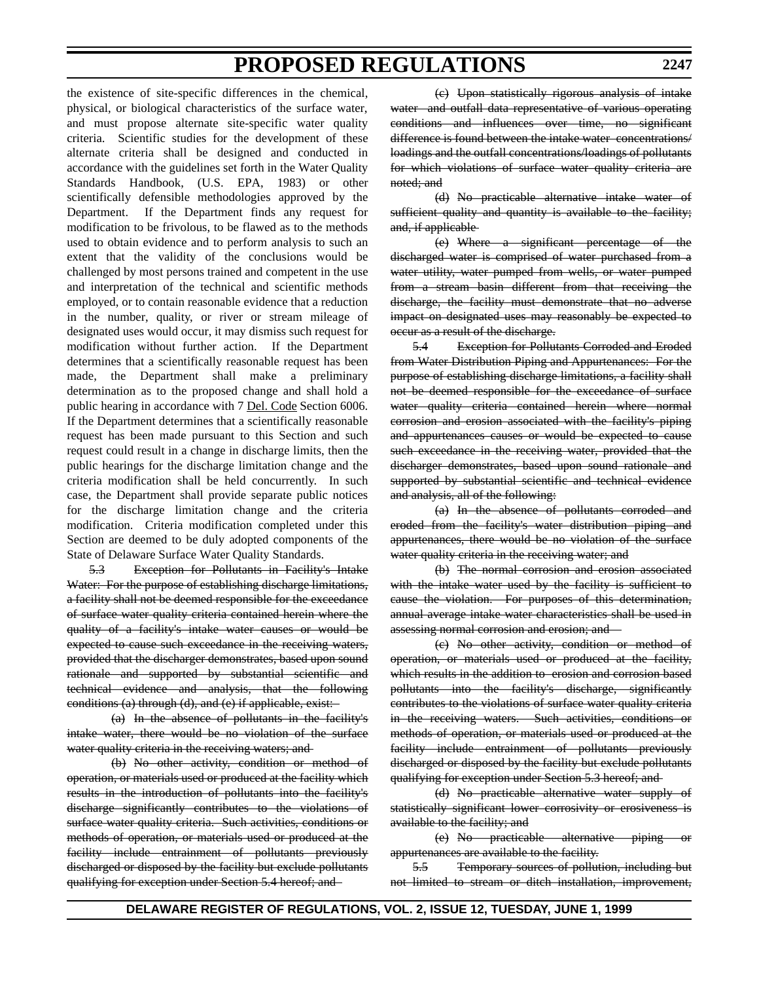the existence of site-specific differences in the chemical, physical, or biological characteristics of the surface water, and must propose alternate site-specific water quality criteria. Scientific studies for the development of these alternate criteria shall be designed and conducted in accordance with the guidelines set forth in the Water Quality Standards Handbook, (U.S. EPA, 1983) or other scientifically defensible methodologies approved by the Department. If the Department finds any request for modification to be frivolous, to be flawed as to the methods used to obtain evidence and to perform analysis to such an extent that the validity of the conclusions would be challenged by most persons trained and competent in the use and interpretation of the technical and scientific methods employed, or to contain reasonable evidence that a reduction in the number, quality, or river or stream mileage of designated uses would occur, it may dismiss such request for modification without further action. If the Department determines that a scientifically reasonable request has been made, the Department shall make a preliminary determination as to the proposed change and shall hold a public hearing in accordance with 7 Del. Code Section 6006. If the Department determines that a scientifically reasonable request has been made pursuant to this Section and such request could result in a change in discharge limits, then the public hearings for the discharge limitation change and the criteria modification shall be held concurrently. In such case, the Department shall provide separate public notices for the discharge limitation change and the criteria modification. Criteria modification completed under this Section are deemed to be duly adopted components of the State of Delaware Surface Water Quality Standards.

5.3 Exception for Pollutants in Facility's Intake Water: For the purpose of establishing discharge limitations, a facility shall not be deemed responsible for the exceedance of surface water quality criteria contained herein where the quality of a facility's intake water causes or would be expected to cause such exceedance in the receiving waters, provided that the discharger demonstrates, based upon sound rationale and supported by substantial scientific and technical evidence and analysis, that the following conditions (a) through (d), and (e) if applicable, exist:

(a) In the absence of pollutants in the facility's intake water, there would be no violation of the surface water quality criteria in the receiving waters; and

(b) No other activity, condition or method of operation, or materials used or produced at the facility which results in the introduction of pollutants into the facility's discharge significantly contributes to the violations of surface water quality criteria. Such activities, conditions or methods of operation, or materials used or produced at the facility include entrainment of pollutants previously discharged or disposed by the facility but exclude pollutants qualifying for exception under Section 5.4 hereof; and

(c) Upon statistically rigorous analysis of intake water and outfall data representative of various operating conditions and influences over time, no significant difference is found between the intake water concentrations/ loadings and the outfall concentrations/loadings of pollutants for which violations of surface water quality criteria are noted; and

(d) No practicable alternative intake water of sufficient quality and quantity is available to the facility; and, if applicable

(e) Where a significant percentage of the discharged water is comprised of water purchased from a water utility, water pumped from wells, or water pumped from a stream basin different from that receiving the discharge, the facility must demonstrate that no adverse impact on designated uses may reasonably be expected to occur as a result of the discharge.

5.4 Exception for Pollutants Corroded and Eroded from Water Distribution Piping and Appurtenances: For the purpose of establishing discharge limitations, a facility shall not be deemed responsible for the exceedance of surface water quality criteria contained herein where normal corrosion and erosion associated with the facility's piping and appurtenances causes or would be expected to cause such exceedance in the receiving water, provided that the discharger demonstrates, based upon sound rationale and supported by substantial scientific and technical evidence and analysis, all of the following:

(a) In the absence of pollutants corroded and eroded from the facility's water distribution piping and appurtenances, there would be no violation of the surface water quality criteria in the receiving water; and

(b) The normal corrosion and erosion associated with the intake water used by the facility is sufficient to cause the violation. For purposes of this determination, annual average intake water characteristics shall be used in assessing normal corrosion and erosion; and

(c) No other activity, condition or method of operation, or materials used or produced at the facility, which results in the addition to erosion and corrosion based pollutants into the facility's discharge, significantly contributes to the violations of surface water quality criteria in the receiving waters. Such activities, conditions or methods of operation, or materials used or produced at the facility include entrainment of pollutants previously discharged or disposed by the facility but exclude pollutants qualifying for exception under Section 5.3 hereof; and

(d) No practicable alternative water supply of statistically significant lower corrosivity or erosiveness is available to the facility; and

(e) No practicable alternative piping or appurtenances are available to the facility.

5.5 Temporary sources of pollution, including but not limited to stream or ditch installation, improvement,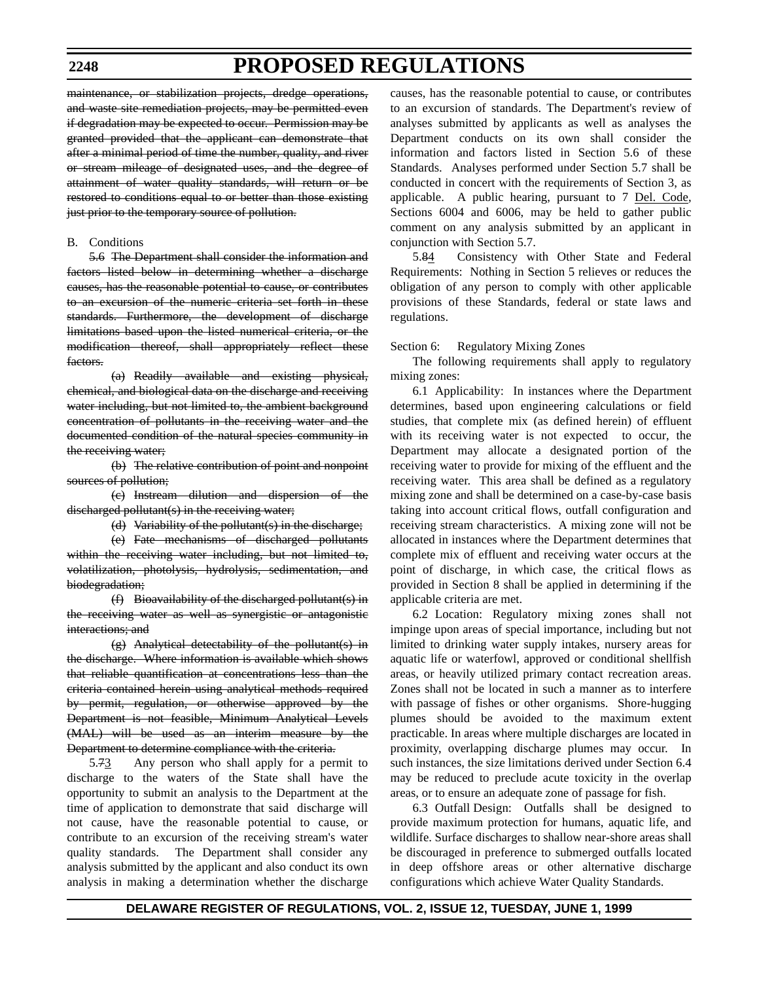#### **2248**

# **PROPOSED REGULATIONS**

maintenance, or stabilization projects, dredge operations, and waste site remediation projects, may be permitted even if degradation may be expected to occur. Permission may be granted provided that the applicant can demonstrate that after a minimal period of time the number, quality, and river or stream mileage of designated uses, and the degree of attainment of water quality standards, will return or be restored to conditions equal to or better than those existing just prior to the temporary source of pollution.

#### B. Conditions

5.6 The Department shall consider the information and factors listed below in determining whether a discharge causes, has the reasonable potential to cause, or contributes to an excursion of the numeric criteria set forth in these standards. Furthermore, the development of discharge limitations based upon the listed numerical criteria, or the modification thereof, shall appropriately reflect these factors.

(a) Readily available and existing physical, chemical, and biological data on the discharge and receiving water including, but not limited to, the ambient background concentration of pollutants in the receiving water and the documented condition of the natural species community in the receiving water;

(b) The relative contribution of point and nonpoint sources of pollution;

(c) Instream dilution and dispersion of the discharged pollutant(s) in the receiving water;

(d) Variability of the pollutant(s) in the discharge;

(e) Fate mechanisms of discharged pollutants within the receiving water including, but not limited to, volatilization, photolysis, hydrolysis, sedimentation, and biodegradation;

(f) Bioavailability of the discharged pollutant(s) in the receiving water as well as synergistic or antagonistic interactions; and

(g) Analytical detectability of the pollutant(s) in the discharge. Where information is available which shows that reliable quantification at concentrations less than the criteria contained herein using analytical methods required by permit, regulation, or otherwise approved by the Department is not feasible, Minimum Analytical Levels (MAL) will be used as an interim measure by the Department to determine compliance with the criteria.

5.73 Any person who shall apply for a permit to discharge to the waters of the State shall have the opportunity to submit an analysis to the Department at the time of application to demonstrate that said discharge will not cause, have the reasonable potential to cause, or contribute to an excursion of the receiving stream's water quality standards. The Department shall consider any analysis submitted by the applicant and also conduct its own analysis in making a determination whether the discharge causes, has the reasonable potential to cause, or contributes to an excursion of standards. The Department's review of analyses submitted by applicants as well as analyses the Department conducts on its own shall consider the information and factors listed in Section 5.6 of these Standards. Analyses performed under Section 5.7 shall be conducted in concert with the requirements of Section 3, as applicable. A public hearing, pursuant to 7 Del. Code, Sections 6004 and 6006, may be held to gather public comment on any analysis submitted by an applicant in conjunction with Section 5.7.

5.84 Consistency with Other State and Federal Requirements: Nothing in Section 5 relieves or reduces the obligation of any person to comply with other applicable provisions of these Standards, federal or state laws and regulations.

#### Section 6: Regulatory Mixing Zones

The following requirements shall apply to regulatory mixing zones:

6.1 Applicability: In instances where the Department determines, based upon engineering calculations or field studies, that complete mix (as defined herein) of effluent with its receiving water is not expected to occur, the Department may allocate a designated portion of the receiving water to provide for mixing of the effluent and the receiving water. This area shall be defined as a regulatory mixing zone and shall be determined on a case-by-case basis taking into account critical flows, outfall configuration and receiving stream characteristics. A mixing zone will not be allocated in instances where the Department determines that complete mix of effluent and receiving water occurs at the point of discharge, in which case, the critical flows as provided in Section 8 shall be applied in determining if the applicable criteria are met.

6.2 Location: Regulatory mixing zones shall not impinge upon areas of special importance, including but not limited to drinking water supply intakes, nursery areas for aquatic life or waterfowl, approved or conditional shellfish areas, or heavily utilized primary contact recreation areas. Zones shall not be located in such a manner as to interfere with passage of fishes or other organisms. Shore-hugging plumes should be avoided to the maximum extent practicable. In areas where multiple discharges are located in proximity, overlapping discharge plumes may occur. In such instances, the size limitations derived under Section 6.4 may be reduced to preclude acute toxicity in the overlap areas, or to ensure an adequate zone of passage for fish.

6.3 Outfall Design: Outfalls shall be designed to provide maximum protection for humans, aquatic life, and wildlife. Surface discharges to shallow near-shore areas shall be discouraged in preference to submerged outfalls located in deep offshore areas or other alternative discharge configurations which achieve Water Quality Standards.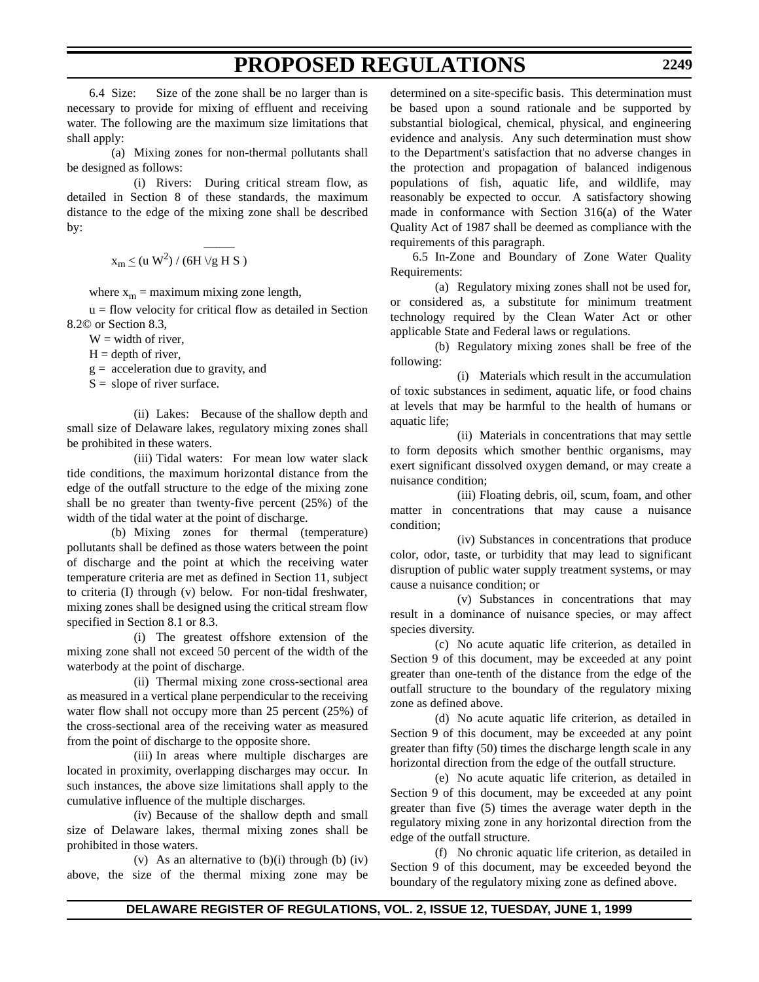6.4 Size: Size of the zone shall be no larger than is necessary to provide for mixing of effluent and receiving water. The following are the maximum size limitations that shall apply:

(a) Mixing zones for non-thermal pollutants shall be designed as follows:

(i) Rivers: During critical stream flow, as detailed in Section 8 of these standards, the maximum distance to the edge of the mixing zone shall be described by:

 $\overline{\phantom{a}}$ 

 $x_m \leq (u W^2) / (6H \sqrt{g} H S)$ 

where  $x_m$  = maximum mixing zone length,

 $u =$  flow velocity for critical flow as detailed in Section 8.2© or Section 8.3,

 $W =$  width of river,

 $H =$  depth of river,

 $g =$  acceleration due to gravity, and

 $S =$  slope of river surface.

(ii) Lakes: Because of the shallow depth and small size of Delaware lakes, regulatory mixing zones shall be prohibited in these waters.

(iii) Tidal waters: For mean low water slack tide conditions, the maximum horizontal distance from the edge of the outfall structure to the edge of the mixing zone shall be no greater than twenty-five percent (25%) of the width of the tidal water at the point of discharge.

(b) Mixing zones for thermal (temperature) pollutants shall be defined as those waters between the point of discharge and the point at which the receiving water temperature criteria are met as defined in Section 11, subject to criteria (I) through (v) below. For non-tidal freshwater, mixing zones shall be designed using the critical stream flow specified in Section 8.1 or 8.3.

(i) The greatest offshore extension of the mixing zone shall not exceed 50 percent of the width of the waterbody at the point of discharge.

(ii) Thermal mixing zone cross-sectional area as measured in a vertical plane perpendicular to the receiving water flow shall not occupy more than 25 percent (25%) of the cross-sectional area of the receiving water as measured from the point of discharge to the opposite shore.

(iii) In areas where multiple discharges are located in proximity, overlapping discharges may occur. In such instances, the above size limitations shall apply to the cumulative influence of the multiple discharges.

(iv) Because of the shallow depth and small size of Delaware lakes, thermal mixing zones shall be prohibited in those waters.

(v) As an alternative to  $(b)(i)$  through  $(b)$   $(iv)$ above, the size of the thermal mixing zone may be

determined on a site-specific basis. This determination must be based upon a sound rationale and be supported by substantial biological, chemical, physical, and engineering evidence and analysis. Any such determination must show to the Department's satisfaction that no adverse changes in the protection and propagation of balanced indigenous populations of fish, aquatic life, and wildlife, may reasonably be expected to occur. A satisfactory showing made in conformance with Section 316(a) of the Water Quality Act of 1987 shall be deemed as compliance with the requirements of this paragraph.

6.5 In-Zone and Boundary of Zone Water Quality Requirements:

(a) Regulatory mixing zones shall not be used for, or considered as, a substitute for minimum treatment technology required by the Clean Water Act or other applicable State and Federal laws or regulations.

(b) Regulatory mixing zones shall be free of the following:

(i) Materials which result in the accumulation of toxic substances in sediment, aquatic life, or food chains at levels that may be harmful to the health of humans or aquatic life;

(ii) Materials in concentrations that may settle to form deposits which smother benthic organisms, may exert significant dissolved oxygen demand, or may create a nuisance condition;

(iii) Floating debris, oil, scum, foam, and other matter in concentrations that may cause a nuisance condition;

(iv) Substances in concentrations that produce color, odor, taste, or turbidity that may lead to significant disruption of public water supply treatment systems, or may cause a nuisance condition; or

(v) Substances in concentrations that may result in a dominance of nuisance species, or may affect species diversity.

(c) No acute aquatic life criterion, as detailed in Section 9 of this document, may be exceeded at any point greater than one-tenth of the distance from the edge of the outfall structure to the boundary of the regulatory mixing zone as defined above.

(d) No acute aquatic life criterion, as detailed in Section 9 of this document, may be exceeded at any point greater than fifty (50) times the discharge length scale in any horizontal direction from the edge of the outfall structure.

(e) No acute aquatic life criterion, as detailed in Section 9 of this document, may be exceeded at any point greater than five (5) times the average water depth in the regulatory mixing zone in any horizontal direction from the edge of the outfall structure.

(f) No chronic aquatic life criterion, as detailed in Section 9 of this document, may be exceeded beyond the boundary of the regulatory mixing zone as defined above.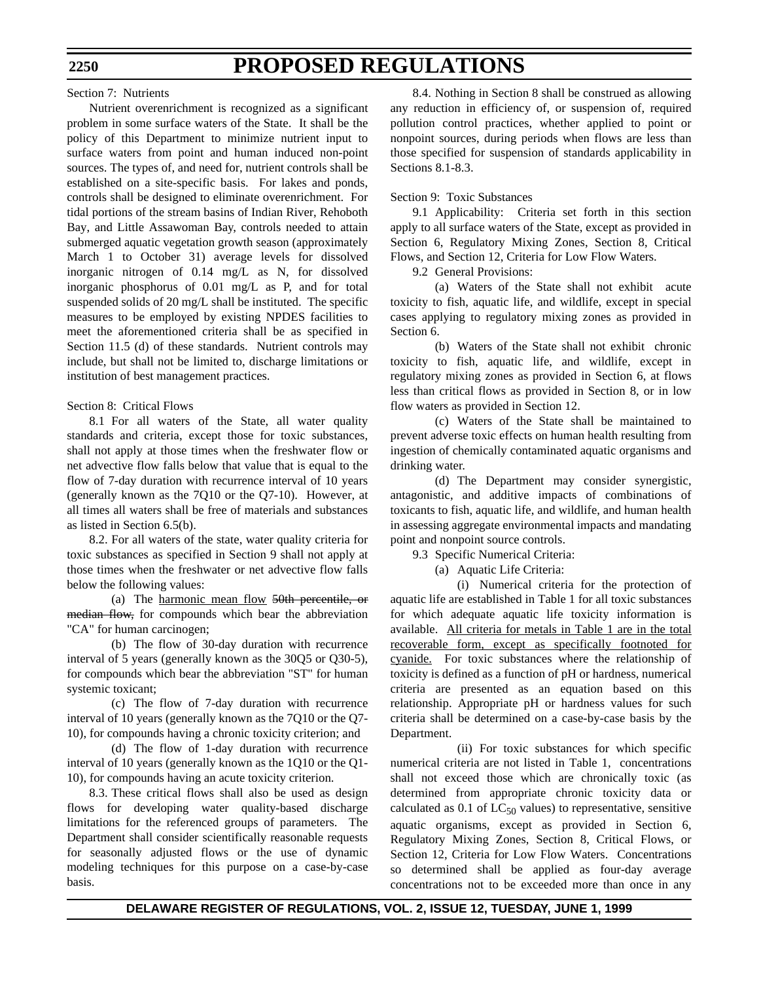#### Section 7: Nutrients

Nutrient overenrichment is recognized as a significant problem in some surface waters of the State. It shall be the policy of this Department to minimize nutrient input to surface waters from point and human induced non-point sources. The types of, and need for, nutrient controls shall be established on a site-specific basis. For lakes and ponds, controls shall be designed to eliminate overenrichment. For tidal portions of the stream basins of Indian River, Rehoboth Bay, and Little Assawoman Bay, controls needed to attain submerged aquatic vegetation growth season (approximately March 1 to October 31) average levels for dissolved inorganic nitrogen of 0.14 mg/L as N, for dissolved inorganic phosphorus of 0.01 mg/L as P, and for total suspended solids of 20 mg/L shall be instituted. The specific measures to be employed by existing NPDES facilities to meet the aforementioned criteria shall be as specified in Section 11.5 (d) of these standards. Nutrient controls may include, but shall not be limited to, discharge limitations or institution of best management practices.

#### Section 8: Critical Flows

8.1 For all waters of the State, all water quality standards and criteria, except those for toxic substances, shall not apply at those times when the freshwater flow or net advective flow falls below that value that is equal to the flow of 7-day duration with recurrence interval of 10 years (generally known as the 7Q10 or the Q7-10). However, at all times all waters shall be free of materials and substances as listed in Section 6.5(b).

8.2. For all waters of the state, water quality criteria for toxic substances as specified in Section 9 shall not apply at those times when the freshwater or net advective flow falls below the following values:

(a) The harmonic mean flow 50th percentile, or median flow, for compounds which bear the abbreviation "CA" for human carcinogen;

(b) The flow of 30-day duration with recurrence interval of 5 years (generally known as the 30Q5 or Q30-5), for compounds which bear the abbreviation "ST" for human systemic toxicant;

(c) The flow of 7-day duration with recurrence interval of 10 years (generally known as the 7Q10 or the Q7- 10), for compounds having a chronic toxicity criterion; and

(d) The flow of 1-day duration with recurrence interval of 10 years (generally known as the 1Q10 or the Q1- 10), for compounds having an acute toxicity criterion.

8.3. These critical flows shall also be used as design flows for developing water quality-based discharge limitations for the referenced groups of parameters. The Department shall consider scientifically reasonable requests for seasonally adjusted flows or the use of dynamic modeling techniques for this purpose on a case-by-case basis.

8.4. Nothing in Section 8 shall be construed as allowing any reduction in efficiency of, or suspension of, required pollution control practices, whether applied to point or nonpoint sources, during periods when flows are less than those specified for suspension of standards applicability in Sections 8.1-8.3.

#### Section 9: Toxic Substances

9.1 Applicability: Criteria set forth in this section apply to all surface waters of the State, except as provided in Section 6, Regulatory Mixing Zones, Section 8, Critical Flows, and Section 12, Criteria for Low Flow Waters.

9.2 General Provisions:

(a) Waters of the State shall not exhibit acute toxicity to fish, aquatic life, and wildlife, except in special cases applying to regulatory mixing zones as provided in Section 6.

(b) Waters of the State shall not exhibit chronic toxicity to fish, aquatic life, and wildlife, except in regulatory mixing zones as provided in Section 6, at flows less than critical flows as provided in Section 8, or in low flow waters as provided in Section 12.

(c) Waters of the State shall be maintained to prevent adverse toxic effects on human health resulting from ingestion of chemically contaminated aquatic organisms and drinking water.

(d) The Department may consider synergistic, antagonistic, and additive impacts of combinations of toxicants to fish, aquatic life, and wildlife, and human health in assessing aggregate environmental impacts and mandating point and nonpoint source controls.

9.3 Specific Numerical Criteria:

(a) Aquatic Life Criteria:

(i) Numerical criteria for the protection of aquatic life are established in Table 1 for all toxic substances for which adequate aquatic life toxicity information is available. All criteria for metals in Table 1 are in the total recoverable form, except as specifically footnoted for cyanide. For toxic substances where the relationship of toxicity is defined as a function of pH or hardness, numerical criteria are presented as an equation based on this relationship. Appropriate pH or hardness values for such criteria shall be determined on a case-by-case basis by the Department.

(ii) For toxic substances for which specific numerical criteria are not listed in Table 1, concentrations shall not exceed those which are chronically toxic (as determined from appropriate chronic toxicity data or calculated as  $0.1$  of  $LC_{50}$  values) to representative, sensitive aquatic organisms, except as provided in Section 6, Regulatory Mixing Zones, Section 8, Critical Flows, or Section 12, Criteria for Low Flow Waters. Concentrations so determined shall be applied as four-day average concentrations not to be exceeded more than once in any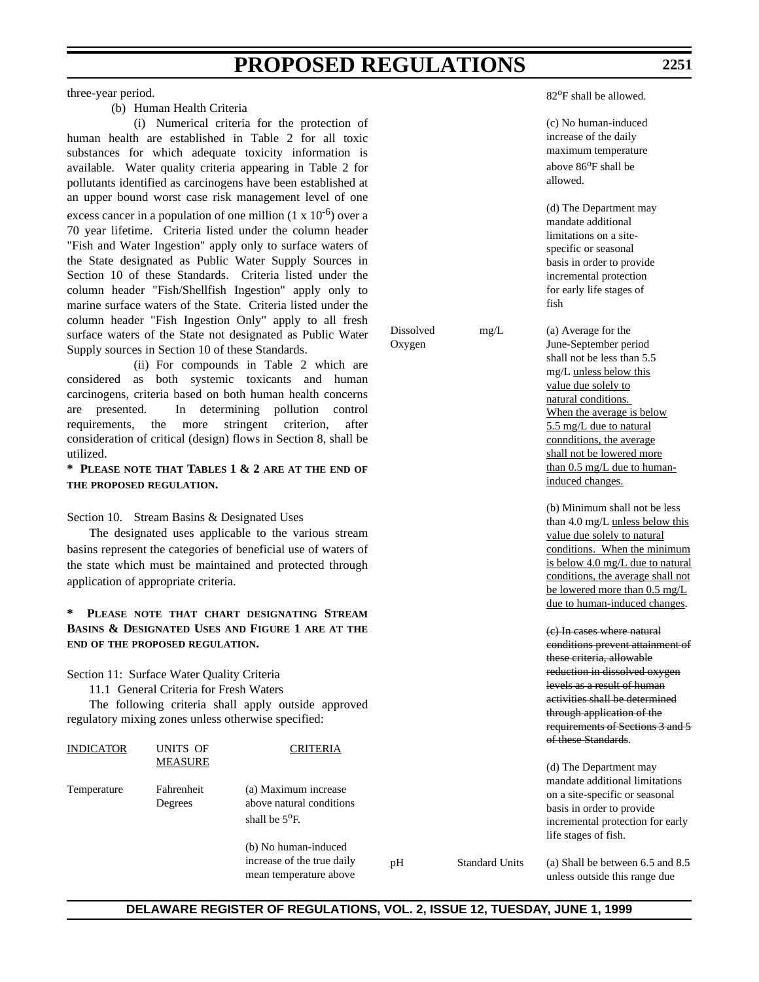three-year period.

# (b) Human Health Criteria

(i) Numerical criteria for the protection of human health are established in Table 2 for all toxic substances for which adequate toxicity information is available. Water quality criteria appearing in Table 2 for pollutants identified as carcinogens have been established at an upper bound worst case risk management level of one excess cancer in a population of one million  $(1 \times 10^{-6})$  over a 70 year lifetime. Criteria listed under the column header "Fish and Water Ingestion" apply only to surface waters of the State designated as Public Water Supply Sources in Section 10 of these Standards. Criteria listed under the column header "Fish/Shellfish Ingestion" apply only to marine surface waters of the State. Criteria listed under the column header "Fish Ingestion Only" apply to all fresh surface waters of the State not designated as Public Water Supply sources in Section 10 of these Standards.

(ii) For compounds in Table 2 which are considered as both systemic toxicants and human carcinogens, criteria based on both human health concerns are presented. In determining pollution control requirements, the more stringent criterion, after consideration of critical (design) flows in Section 8, shall be utilized.

**\* PLEASE NOTE THAT TABLES 1 & 2 ARE AT THE END OF THE PROPOSED REGULATION.**

Section 10. Stream Basins & Designated Uses

The designated uses applicable to the various stream basins represent the categories of beneficial use of waters of the state which must be maintained and protected through application of appropriate criteria.

### **\* PLEASE NOTE THAT CHART DESIGNATING STREAM BASINS & DESIGNATED USES AND FIGURE 1 ARE AT THE END OF THE PROPOSED REGULATION.**

Section 11: Surface Water Quality Criteria

11.1 General Criteria for Fresh Waters

The following criteria shall apply outside approved regulatory mixing zones unless otherwise specified:

| <b>INDICATOR</b> | UNITS OF              | <b>CRITERIA</b>                                                              |    |                       | <del>of these <i>Standards</i></del> .                                                                                  |
|------------------|-----------------------|------------------------------------------------------------------------------|----|-----------------------|-------------------------------------------------------------------------------------------------------------------------|
|                  | <b>MEASURE</b>        |                                                                              |    |                       | (d) The Department may<br>mandate additional limitations                                                                |
| Temperature      | Fahrenheit<br>Degrees | (a) Maximum increase<br>above natural conditions<br>shall be $5^{\circ}$ F.  |    |                       | on a site-specific or seasonal<br>basis in order to provide<br>incremental protection for early<br>life stages of fish. |
|                  |                       | (b) No human-induced<br>increase of the true daily<br>mean temperature above | pH | <b>Standard Units</b> | (a) Shall be between 6.5 and 8.5<br>unless outside this range due                                                       |

82<sup>o</sup>F shall be allowed.

|                     |                       | (c) No human-induced<br>increase of the daily<br>maximum temperature<br>above 86 <sup>o</sup> F shall be<br>allowed.                                                                                                                                                                                                   |
|---------------------|-----------------------|------------------------------------------------------------------------------------------------------------------------------------------------------------------------------------------------------------------------------------------------------------------------------------------------------------------------|
|                     |                       | (d) The Department may<br>mandate additional<br>limitations on a site-<br>specific or seasonal<br>basis in order to provide<br>incremental protection<br>for early life stages of<br>fish                                                                                                                              |
| Dissolved<br>Oxygen | mg/L                  | (a) Average for the<br>June-September period<br>shall not be less than 5.5<br>mg/L unless below this<br>value due solely to<br>natural conditions.<br>When the average is below<br>5.5 mg/L due to natural<br>connditions, the average<br>shall not be lowered more<br>than 0.5 mg/L due to human-<br>induced changes. |
|                     |                       | (b) Minimum shall not be less<br>than 4.0 mg/L unless below this<br>value due solely to natural<br>conditions. When the minimum<br>is below 4.0 mg/L due to natural<br>conditions, the average shall not<br>be lowered more than $0.5 \text{ mg/L}$<br>due to human-induced changes.                                   |
|                     |                       | (e) In cases where natural<br>conditions prevent attainment of<br>these criteria, allowable<br>reduction in dissolved oxygen<br>levels as a result of human<br>activities shall be determined<br>through application of the<br>requirements of Sections 3 and 5<br><del>of these Standards</del> .                     |
|                     |                       | (d) The Department may<br>mandate additional limitations<br>on a site-specific or seasonal<br>basis in order to provide<br>incremental protection for early<br>life stages of fish.                                                                                                                                    |
| pН                  | <b>Standard Units</b> | (a) Shall be between 6.5 and 8.5                                                                                                                                                                                                                                                                                       |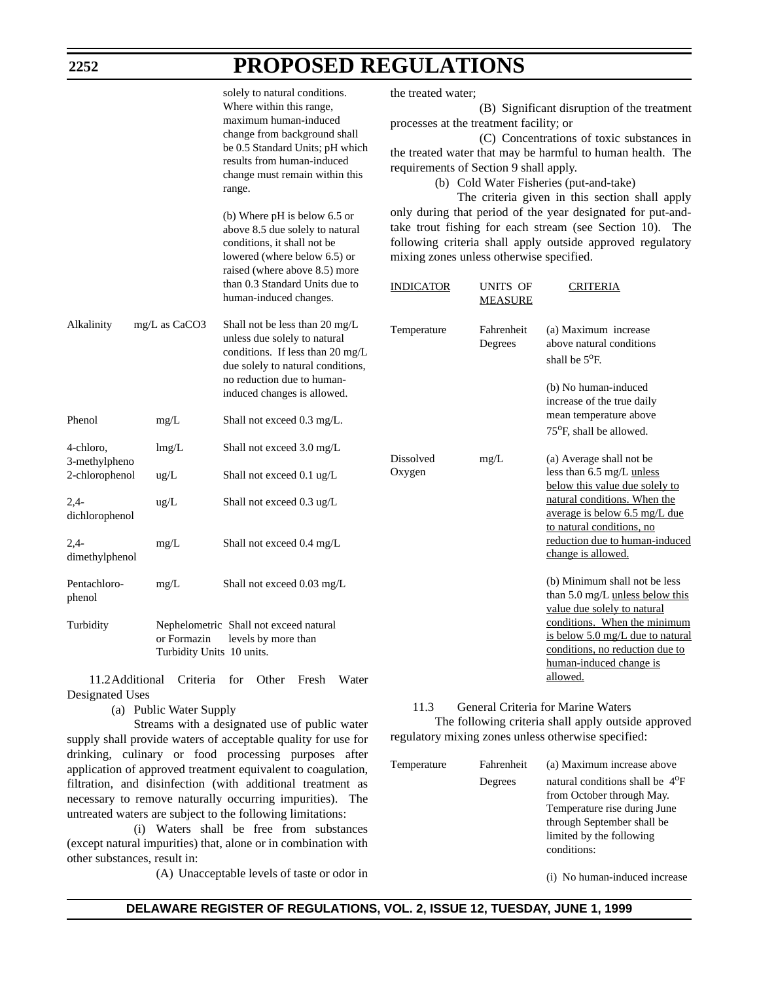| 2252                                         |                                          | PROPOSED REGULATIONS                                                                                                                                                                                                                                                                                                                                                                               |                     |                                                                                                                                                                                                                                                                                                                                                                                                                                                                                                                                                                               |                                                                                                                                |  |
|----------------------------------------------|------------------------------------------|----------------------------------------------------------------------------------------------------------------------------------------------------------------------------------------------------------------------------------------------------------------------------------------------------------------------------------------------------------------------------------------------------|---------------------|-------------------------------------------------------------------------------------------------------------------------------------------------------------------------------------------------------------------------------------------------------------------------------------------------------------------------------------------------------------------------------------------------------------------------------------------------------------------------------------------------------------------------------------------------------------------------------|--------------------------------------------------------------------------------------------------------------------------------|--|
|                                              |                                          | solely to natural conditions.<br>Where within this range,<br>maximum human-induced<br>change from background shall<br>be 0.5 Standard Units; pH which<br>results from human-induced<br>change must remain within this<br>range.<br>(b) Where pH is below 6.5 or<br>above 8.5 due solely to natural<br>conditions, it shall not be<br>lowered (where below 6.5) or<br>raised (where above 8.5) more | the treated water;  | (B) Significant disruption of the treatment<br>processes at the treatment facility; or<br>(C) Concentrations of toxic substances in<br>the treated water that may be harmful to human health. The<br>requirements of Section 9 shall apply.<br>(b) Cold Water Fisheries (put-and-take)<br>The criteria given in this section shall apply<br>only during that period of the year designated for put-and-<br>take trout fishing for each stream (see Section 10). The<br>following criteria shall apply outside approved regulatory<br>mixing zones unless otherwise specified. |                                                                                                                                |  |
|                                              |                                          | than 0.3 Standard Units due to<br>human-induced changes.                                                                                                                                                                                                                                                                                                                                           | <b>INDICATOR</b>    | UNITS OF<br><b>MEASURE</b>                                                                                                                                                                                                                                                                                                                                                                                                                                                                                                                                                    | <b>CRITERIA</b>                                                                                                                |  |
| Alkalinity                                   | mg/L as CaCO3                            | Shall not be less than 20 mg/L<br>unless due solely to natural<br>conditions. If less than 20 mg/L<br>due solely to natural conditions,<br>no reduction due to human-<br>induced changes is allowed.                                                                                                                                                                                               | Temperature         | Fahrenheit<br>Degrees                                                                                                                                                                                                                                                                                                                                                                                                                                                                                                                                                         | (a) Maximum increase<br>above natural conditions<br>shall be 5°F.<br>(b) No human-induced<br>increase of the true daily        |  |
| Phenol                                       | mg/L                                     | Shall not exceed 0.3 mg/L.                                                                                                                                                                                                                                                                                                                                                                         |                     |                                                                                                                                                                                                                                                                                                                                                                                                                                                                                                                                                                               | mean temperature above<br>75 <sup>o</sup> F, shall be allowed.                                                                 |  |
| 4-chloro,<br>3-methylpheno<br>2-chlorophenol | lmg/L<br>$\text{ug/L}$                   | Shall not exceed 3.0 mg/L<br>Shall not exceed 0.1 ug/L                                                                                                                                                                                                                                                                                                                                             | Dissolved<br>Oxygen | mg/L                                                                                                                                                                                                                                                                                                                                                                                                                                                                                                                                                                          | (a) Average shall not be<br>less than 6.5 mg/L unless<br>below this value due solely to                                        |  |
| $2,4-$<br>dichlorophenol                     | $\text{ug/L}$                            | Shall not exceed 0.3 ug/L                                                                                                                                                                                                                                                                                                                                                                          |                     |                                                                                                                                                                                                                                                                                                                                                                                                                                                                                                                                                                               | natural conditions. When the<br>average is below 6.5 mg/L due<br>to natural conditions, no                                     |  |
| $2,4-$<br>dimethylphenol                     | mg/L                                     | Shall not exceed 0.4 mg/L                                                                                                                                                                                                                                                                                                                                                                          |                     |                                                                                                                                                                                                                                                                                                                                                                                                                                                                                                                                                                               | reduction due to human-induced<br>change is allowed.                                                                           |  |
| Pentachloro-<br>phenol                       | mg/L                                     | Shall not exceed 0.03 mg/L                                                                                                                                                                                                                                                                                                                                                                         |                     |                                                                                                                                                                                                                                                                                                                                                                                                                                                                                                                                                                               | (b) Minimum shall not be less<br>than 5.0 mg/L unless below this<br>value due solely to natural                                |  |
| Turbidity                                    | or Formazin<br>Turbidity Units 10 units. | Nephelometric Shall not exceed natural<br>levels by more than                                                                                                                                                                                                                                                                                                                                      |                     |                                                                                                                                                                                                                                                                                                                                                                                                                                                                                                                                                                               | conditions. When the minimum<br>is below 5.0 mg/L due to natural<br>conditions, no reduction due to<br>human-induced change is |  |

**POROGED REGULATIONS** 

11.2Additional Criteria for Other Fresh Water Designated Uses

(a) Public Water Supply

Streams with a designated use of public water supply shall provide waters of acceptable quality for use for drinking, culinary or food processing purposes after application of approved treatment equivalent to coagulation, filtration, and disinfection (with additional treatment as necessary to remove naturally occurring impurities). The untreated waters are subject to the following limitations:

(i) Waters shall be free from substances (except natural impurities) that, alone or in combination with other substances, result in:

(A) Unacceptable levels of taste or odor in

11.3 General Criteria for Marine Waters The following criteria shall apply outside approved regulatory mixing zones unless otherwise specified:

allowed.

| Temperature | Fahrenheit | (a) Maximum increase above                                                                                                                                                     |
|-------------|------------|--------------------------------------------------------------------------------------------------------------------------------------------------------------------------------|
|             | Degrees    | natural conditions shall be $4^{\circ}F$<br>from October through May.<br>Temperature rise during June<br>through September shall be<br>limited by the following<br>conditions: |
|             |            |                                                                                                                                                                                |

(i) No human-induced increase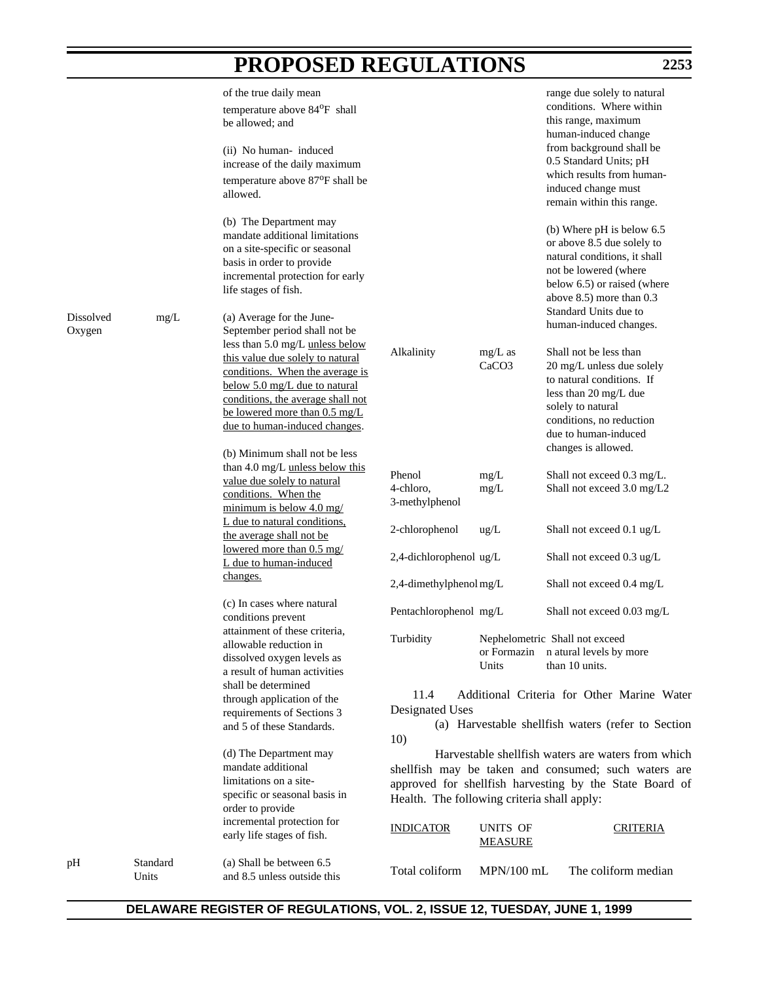|                     |                   | of the true daily mean<br>temperature above 84°F shall<br>be allowed; and                                                                                                                                                                      |                                             |                                | range due solely to natural<br>conditions. Where within<br>this range, maximum<br>human-induced change                                                                                                    |
|---------------------|-------------------|------------------------------------------------------------------------------------------------------------------------------------------------------------------------------------------------------------------------------------------------|---------------------------------------------|--------------------------------|-----------------------------------------------------------------------------------------------------------------------------------------------------------------------------------------------------------|
|                     |                   | (ii) No human-induced<br>increase of the daily maximum<br>temperature above 87 <sup>o</sup> F shall be                                                                                                                                         |                                             |                                | from background shall be<br>0.5 Standard Units; pH<br>which results from human-                                                                                                                           |
|                     |                   | allowed.                                                                                                                                                                                                                                       |                                             |                                | induced change must<br>remain within this range.                                                                                                                                                          |
|                     |                   | (b) The Department may<br>mandate additional limitations<br>on a site-specific or seasonal<br>basis in order to provide<br>incremental protection for early<br>life stages of fish.                                                            |                                             |                                | (b) Where pH is below 6.5<br>or above 8.5 due solely to<br>natural conditions, it shall<br>not be lowered (where<br>below 6.5) or raised (where<br>above 8.5) more than 0.3<br>Standard Units due to      |
| Dissolved<br>Oxygen | mg/L              | (a) Average for the June-<br>September period shall not be                                                                                                                                                                                     |                                             |                                | human-induced changes.                                                                                                                                                                                    |
|                     |                   | less than 5.0 mg/L unless below<br>this value due solely to natural<br>conditions. When the average is<br>below 5.0 mg/L due to natural<br>conditions, the average shall not<br>be lowered more than 0.5 mg/L<br>due to human-induced changes. | Alkalinity                                  | $mg/L$ as<br>CaCO <sub>3</sub> | Shall not be less than<br>20 mg/L unless due solely<br>to natural conditions. If<br>less than 20 mg/L due<br>solely to natural<br>conditions, no reduction<br>due to human-induced<br>changes is allowed. |
|                     |                   | (b) Minimum shall not be less<br>than 4.0 mg/L unless below this                                                                                                                                                                               |                                             |                                |                                                                                                                                                                                                           |
|                     |                   | value due solely to natural<br>conditions. When the<br>minimum is below $4.0 \text{ mg}/$                                                                                                                                                      | Phenol<br>4-chloro,<br>3-methylphenol       | mg/L<br>mg/L                   | Shall not exceed 0.3 mg/L.<br>Shall not exceed 3.0 mg/L2                                                                                                                                                  |
|                     |                   | L due to natural conditions,<br>the average shall not be                                                                                                                                                                                       | 2-chlorophenol                              | ug/L                           | Shall not exceed 0.1 ug/L                                                                                                                                                                                 |
|                     |                   | lowered more than 0.5 mg/<br>L due to human-induced<br>changes.                                                                                                                                                                                | 2,4-dichlorophenol ug/L                     |                                | Shall not exceed 0.3 ug/L                                                                                                                                                                                 |
|                     |                   |                                                                                                                                                                                                                                                | 2,4-dimethylphenol mg/L                     |                                | Shall not exceed 0.4 mg/L                                                                                                                                                                                 |
|                     |                   | (c) In cases where natural<br>conditions prevent                                                                                                                                                                                               | Pentachlorophenol mg/L                      |                                | Shall not exceed 0.03 mg/L                                                                                                                                                                                |
|                     |                   | attainment of these criteria.<br>allowable reduction in                                                                                                                                                                                        | Turbidity                                   |                                | Nephelometric Shall not exceed                                                                                                                                                                            |
|                     |                   | dissolved oxygen levels as                                                                                                                                                                                                                     |                                             |                                | or Formazin natural levels by more                                                                                                                                                                        |
|                     |                   | a result of human activities                                                                                                                                                                                                                   |                                             | Units                          | than 10 units.                                                                                                                                                                                            |
|                     |                   | shall be determined<br>through application of the                                                                                                                                                                                              | 11.4<br>Designated Uses                     |                                | Additional Criteria for Other Marine Water                                                                                                                                                                |
|                     |                   | requirements of Sections 3<br>and 5 of these Standards.                                                                                                                                                                                        | 10)                                         |                                | (a) Harvestable shellfish waters (refer to Section                                                                                                                                                        |
|                     |                   | (d) The Department may<br>mandate additional<br>limitations on a site-<br>specific or seasonal basis in<br>order to provide                                                                                                                    | Health. The following criteria shall apply: |                                | Harvestable shell fish waters are waters from which<br>shellfish may be taken and consumed; such waters are<br>approved for shellfish harvesting by the State Board of                                    |
|                     |                   | incremental protection for<br>early life stages of fish.                                                                                                                                                                                       | <b>INDICATOR</b>                            | UNITS OF<br><b>MEASURE</b>     | <b>CRITERIA</b>                                                                                                                                                                                           |
| pН                  | Standard<br>Units | (a) Shall be between 6.5<br>and 8.5 unless outside this                                                                                                                                                                                        | Total coliform                              | $MPN/100$ mL                   | The coliform median                                                                                                                                                                                       |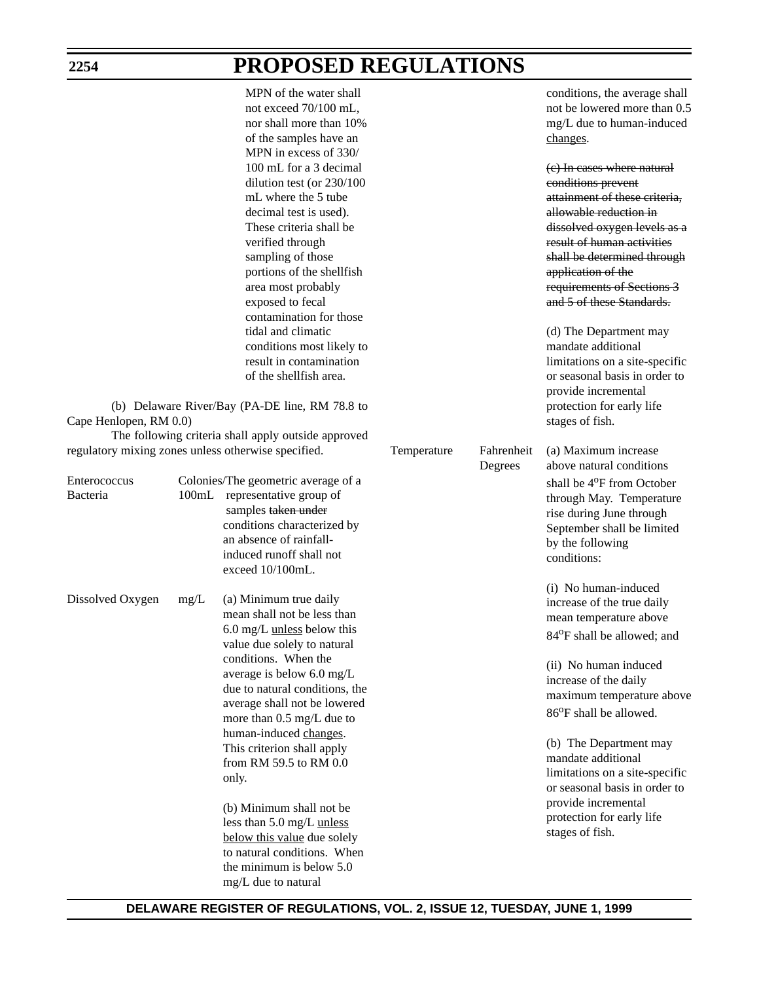|                          |      | MPN of the water shall<br>not exceed 70/100 mL,<br>nor shall more than 10%<br>of the samples have an<br>MPN in excess of 330/<br>100 mL for a 3 decimal<br>dilution test (or 230/100<br>mL where the 5 tube<br>decimal test is used).<br>These criteria shall be<br>verified through<br>sampling of those<br>portions of the shellfish<br>area most probably<br>exposed to fecal<br>contamination for those<br>tidal and climatic<br>conditions most likely to<br>result in contamination<br>of the shellfish area.                                |             |                       | conditions, the average shall<br>not be lowered more than 0.5<br>mg/L due to human-induced<br>changes.<br>(e) In cases where natural<br>conditions prevent<br>attainment of these criteria,<br>allowable reduction in<br>dissolved oxygen levels as a<br>result of human activities<br>shall be determined through<br>application of the<br>requirements of Sections 3<br>and 5 of these Standards.<br>(d) The Department may<br>mandate additional<br>limitations on a site-specific<br>or seasonal basis in order to<br>provide incremental |
|--------------------------|------|----------------------------------------------------------------------------------------------------------------------------------------------------------------------------------------------------------------------------------------------------------------------------------------------------------------------------------------------------------------------------------------------------------------------------------------------------------------------------------------------------------------------------------------------------|-------------|-----------------------|-----------------------------------------------------------------------------------------------------------------------------------------------------------------------------------------------------------------------------------------------------------------------------------------------------------------------------------------------------------------------------------------------------------------------------------------------------------------------------------------------------------------------------------------------|
| Cape Henlopen, RM 0.0)   |      | (b) Delaware River/Bay (PA-DE line, RM 78.8 to<br>The following criteria shall apply outside approved                                                                                                                                                                                                                                                                                                                                                                                                                                              |             |                       | protection for early life<br>stages of fish.                                                                                                                                                                                                                                                                                                                                                                                                                                                                                                  |
|                          |      | regulatory mixing zones unless otherwise specified.                                                                                                                                                                                                                                                                                                                                                                                                                                                                                                | Temperature | Fahrenheit<br>Degrees | (a) Maximum increase<br>above natural conditions                                                                                                                                                                                                                                                                                                                                                                                                                                                                                              |
| Enterococcus<br>Bacteria |      | Colonies/The geometric average of a<br>100mL representative group of<br>samples taken under<br>conditions characterized by<br>an absence of rainfall-<br>induced runoff shall not<br>exceed 10/100mL.                                                                                                                                                                                                                                                                                                                                              |             |                       | shall be 4 <sup>o</sup> F from October<br>through May. Temperature<br>rise during June through<br>September shall be limited<br>by the following<br>conditions:                                                                                                                                                                                                                                                                                                                                                                               |
| Dissolved Oxygen         | mg/L | (a) Minimum true daily<br>mean shall not be less than<br>6.0 mg/L <i>unless</i> below this<br>value due solely to natural<br>conditions. When the<br>average is below 6.0 mg/L<br>due to natural conditions, the<br>average shall not be lowered<br>more than 0.5 mg/L due to<br>human-induced changes.<br>This criterion shall apply<br>from RM 59.5 to RM 0.0<br>only.<br>(b) Minimum shall not be<br>less than 5.0 mg/L unless<br>below this value due solely<br>to natural conditions. When<br>the minimum is below 5.0<br>mg/L due to natural |             |                       | (i) No human-induced<br>increase of the true daily<br>mean temperature above<br>84 <sup>o</sup> F shall be allowed; and<br>(ii) No human induced<br>increase of the daily<br>maximum temperature above<br>86°F shall be allowed.<br>(b) The Department may<br>mandate additional<br>limitations on a site-specific<br>or seasonal basis in order to<br>provide incremental<br>protection for early life<br>stages of fish.                                                                                                                    |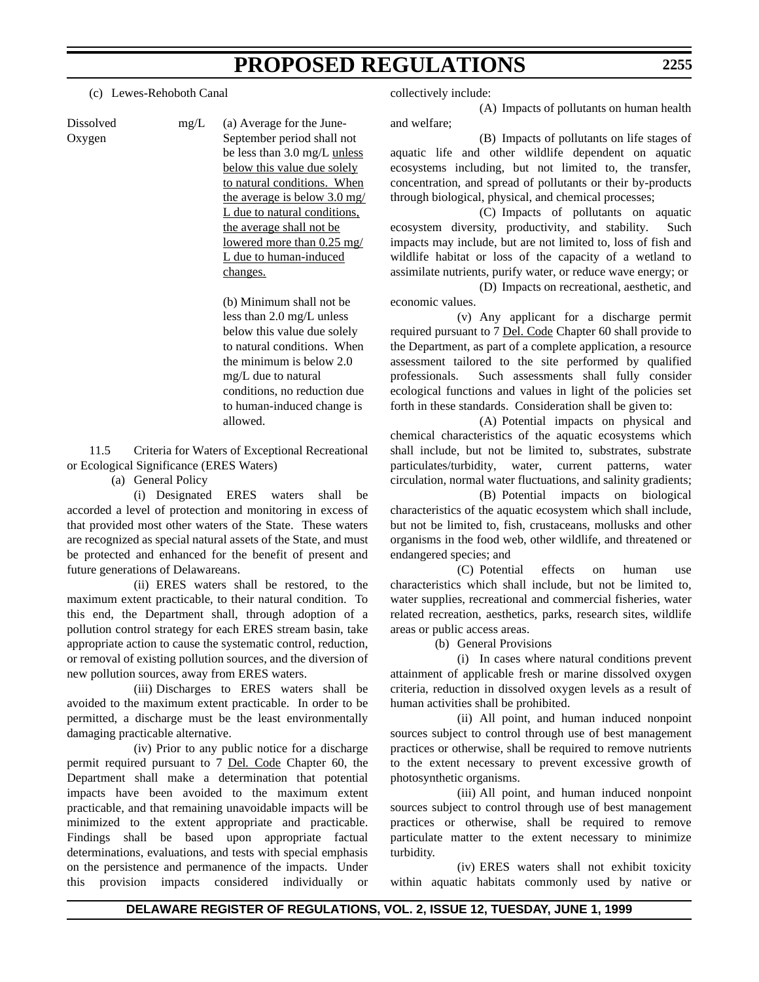(c) Lewes-Rehoboth Canal

Dissolved mg/L (a) Average for the June-Oxygen September period shall not be less than 3.0 mg/L unless below this value due solely to natural conditions. When the average is below 3.0 mg/ L due to natural conditions, the average shall not be lowered more than 0.25 mg/ L due to human-induced changes.

> (b) Minimum shall not be less than 2.0 mg/L unless below this value due solely to natural conditions. When the minimum is below 2.0 mg/L due to natural conditions, no reduction due to human-induced change is allowed.

11.5 Criteria for Waters of Exceptional Recreational or Ecological Significance (ERES Waters)

(a) General Policy

(i) Designated ERES waters shall be accorded a level of protection and monitoring in excess of that provided most other waters of the State. These waters are recognized as special natural assets of the State, and must be protected and enhanced for the benefit of present and future generations of Delawareans.

(ii) ERES waters shall be restored, to the maximum extent practicable, to their natural condition. To this end, the Department shall, through adoption of a pollution control strategy for each ERES stream basin, take appropriate action to cause the systematic control, reduction, or removal of existing pollution sources, and the diversion of new pollution sources, away from ERES waters.

(iii) Discharges to ERES waters shall be avoided to the maximum extent practicable. In order to be permitted, a discharge must be the least environmentally damaging practicable alternative.

(iv) Prior to any public notice for a discharge permit required pursuant to 7 Del*.* Code Chapter 60, the Department shall make a determination that potential impacts have been avoided to the maximum extent practicable, and that remaining unavoidable impacts will be minimized to the extent appropriate and practicable. Findings shall be based upon appropriate factual determinations, evaluations, and tests with special emphasis on the persistence and permanence of the impacts. Under this provision impacts considered individually or

collectively include:

(A) Impacts of pollutants on human health and welfare;

(B) Impacts of pollutants on life stages of aquatic life and other wildlife dependent on aquatic ecosystems including, but not limited to, the transfer, concentration, and spread of pollutants or their by-products through biological, physical, and chemical processes;

(C) Impacts of pollutants on aquatic ecosystem diversity, productivity, and stability. Such impacts may include, but are not limited to, loss of fish and wildlife habitat or loss of the capacity of a wetland to assimilate nutrients, purify water, or reduce wave energy; or

(D) Impacts on recreational, aesthetic, and economic values.

(v) Any applicant for a discharge permit required pursuant to 7 Del. Code Chapter 60 shall provide to the Department, as part of a complete application, a resource assessment tailored to the site performed by qualified professionals. Such assessments shall fully consider ecological functions and values in light of the policies set forth in these standards. Consideration shall be given to:

(A) Potential impacts on physical and chemical characteristics of the aquatic ecosystems which shall include, but not be limited to, substrates, substrate particulates/turbidity, water, current patterns, water circulation, normal water fluctuations, and salinity gradients;

(B) Potential impacts on biological characteristics of the aquatic ecosystem which shall include, but not be limited to, fish, crustaceans, mollusks and other organisms in the food web, other wildlife, and threatened or endangered species; and

(C) Potential effects on human use characteristics which shall include, but not be limited to, water supplies, recreational and commercial fisheries, water related recreation, aesthetics, parks, research sites, wildlife areas or public access areas.

(b) General Provisions

(i) In cases where natural conditions prevent attainment of applicable fresh or marine dissolved oxygen criteria, reduction in dissolved oxygen levels as a result of human activities shall be prohibited.

(ii) All point, and human induced nonpoint sources subject to control through use of best management practices or otherwise, shall be required to remove nutrients to the extent necessary to prevent excessive growth of photosynthetic organisms.

(iii) All point, and human induced nonpoint sources subject to control through use of best management practices or otherwise, shall be required to remove particulate matter to the extent necessary to minimize turbidity.

(iv) ERES waters shall not exhibit toxicity within aquatic habitats commonly used by native or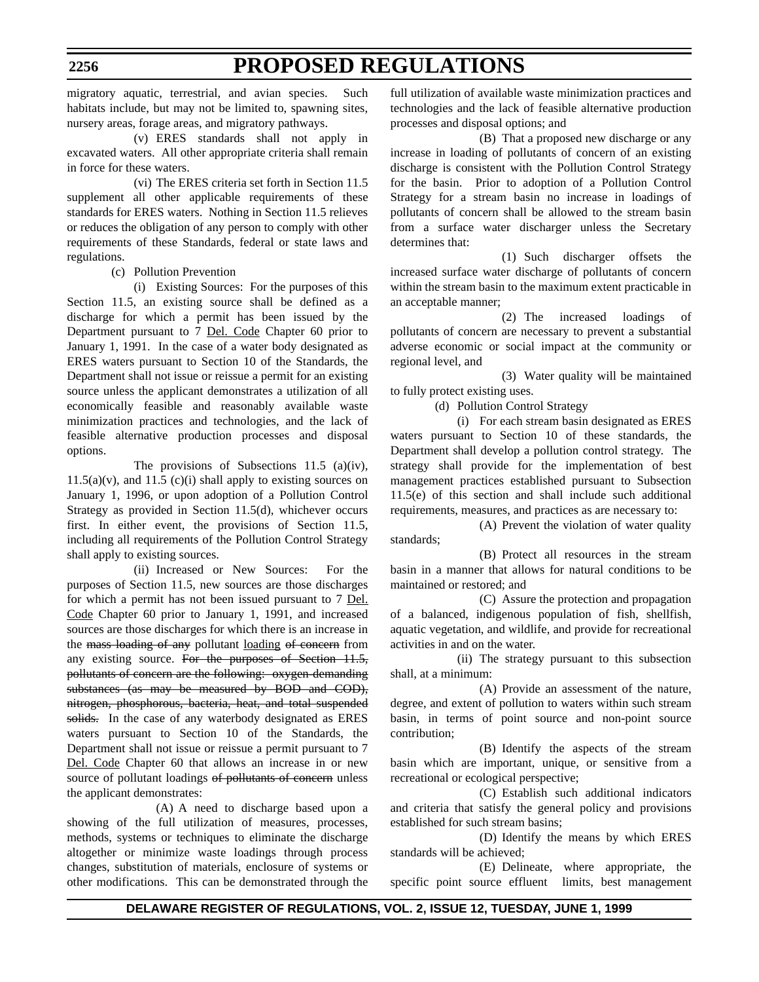migratory aquatic, terrestrial, and avian species. Such habitats include, but may not be limited to, spawning sites, nursery areas, forage areas, and migratory pathways.

(v) ERES standards shall not apply in excavated waters. All other appropriate criteria shall remain in force for these waters.

(vi) The ERES criteria set forth in Section 11.5 supplement all other applicable requirements of these standards for ERES waters. Nothing in Section 11.5 relieves or reduces the obligation of any person to comply with other requirements of these Standards, federal or state laws and regulations.

(c) Pollution Prevention

(i) Existing Sources: For the purposes of this Section 11.5, an existing source shall be defined as a discharge for which a permit has been issued by the Department pursuant to 7 Del. Code Chapter 60 prior to January 1, 1991. In the case of a water body designated as ERES waters pursuant to Section 10 of the Standards, the Department shall not issue or reissue a permit for an existing source unless the applicant demonstrates a utilization of all economically feasible and reasonably available waste minimization practices and technologies, and the lack of feasible alternative production processes and disposal options.

The provisions of Subsections 11.5 (a)(iv),  $11.5(a)(v)$ , and  $11.5(c)(i)$  shall apply to existing sources on January 1, 1996, or upon adoption of a Pollution Control Strategy as provided in Section 11.5(d), whichever occurs first. In either event, the provisions of Section 11.5, including all requirements of the Pollution Control Strategy shall apply to existing sources.

(ii) Increased or New Sources: For the purposes of Section 11.5, new sources are those discharges for which a permit has not been issued pursuant to 7 Del. Code Chapter 60 prior to January 1, 1991, and increased sources are those discharges for which there is an increase in the mass loading of any pollutant loading of concern from any existing source. For the purposes of Section 11.5, pollutants of concern are the following: oxygen-demanding substances (as may be measured by BOD and COD), nitrogen, phosphorous, bacteria, heat, and total suspended solids. In the case of any waterbody designated as ERES waters pursuant to Section 10 of the Standards, the Department shall not issue or reissue a permit pursuant to 7 Del. Code Chapter 60 that allows an increase in or new source of pollutant loadings of pollutants of concern unless the applicant demonstrates:

(A) A need to discharge based upon a showing of the full utilization of measures, processes, methods, systems or techniques to eliminate the discharge altogether or minimize waste loadings through process changes, substitution of materials, enclosure of systems or other modifications. This can be demonstrated through the

full utilization of available waste minimization practices and technologies and the lack of feasible alternative production processes and disposal options; and

(B) That a proposed new discharge or any increase in loading of pollutants of concern of an existing discharge is consistent with the Pollution Control Strategy for the basin. Prior to adoption of a Pollution Control Strategy for a stream basin no increase in loadings of pollutants of concern shall be allowed to the stream basin from a surface water discharger unless the Secretary determines that:

(1) Such discharger offsets the increased surface water discharge of pollutants of concern within the stream basin to the maximum extent practicable in an acceptable manner;

(2) The increased loadings of pollutants of concern are necessary to prevent a substantial adverse economic or social impact at the community or regional level, and

(3) Water quality will be maintained to fully protect existing uses.

(d) Pollution Control Strategy

(i) For each stream basin designated as ERES waters pursuant to Section 10 of these standards, the Department shall develop a pollution control strategy. The strategy shall provide for the implementation of best management practices established pursuant to Subsection 11.5(e) of this section and shall include such additional requirements, measures, and practices as are necessary to:

(A) Prevent the violation of water quality standards;

(B) Protect all resources in the stream basin in a manner that allows for natural conditions to be maintained or restored; and

(C) Assure the protection and propagation of a balanced, indigenous population of fish, shellfish, aquatic vegetation, and wildlife, and provide for recreational activities in and on the water.

(ii) The strategy pursuant to this subsection shall, at a minimum:

(A) Provide an assessment of the nature, degree, and extent of pollution to waters within such stream basin, in terms of point source and non-point source contribution;

(B) Identify the aspects of the stream basin which are important, unique, or sensitive from a recreational or ecological perspective;

(C) Establish such additional indicators and criteria that satisfy the general policy and provisions established for such stream basins;

(D) Identify the means by which ERES standards will be achieved;

(E) Delineate, where appropriate, the specific point source effluent limits, best management

## **2256**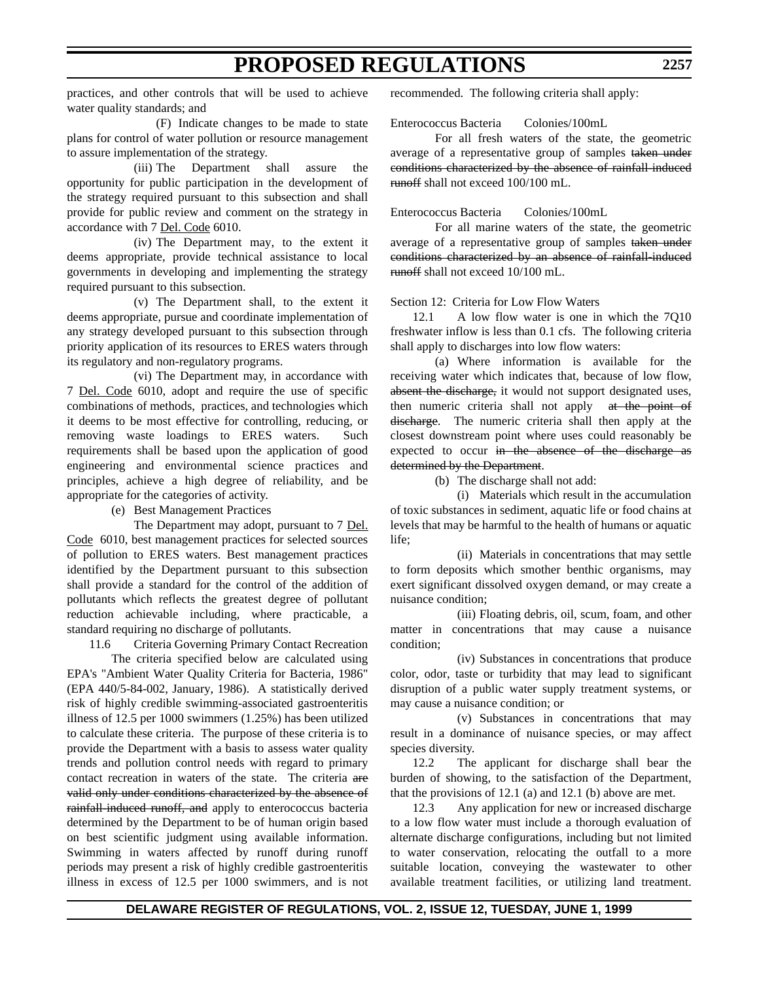practices, and other controls that will be used to achieve water quality standards; and

(F) Indicate changes to be made to state plans for control of water pollution or resource management to assure implementation of the strategy.

(iii) The Department shall assure the opportunity for public participation in the development of the strategy required pursuant to this subsection and shall provide for public review and comment on the strategy in accordance with 7 Del. Code 6010.

(iv) The Department may, to the extent it deems appropriate, provide technical assistance to local governments in developing and implementing the strategy required pursuant to this subsection.

(v) The Department shall, to the extent it deems appropriate, pursue and coordinate implementation of any strategy developed pursuant to this subsection through priority application of its resources to ERES waters through its regulatory and non-regulatory programs.

(vi) The Department may, in accordance with 7 Del. Code 6010, adopt and require the use of specific combinations of methods, practices, and technologies which it deems to be most effective for controlling, reducing, or removing waste loadings to ERES waters. Such requirements shall be based upon the application of good engineering and environmental science practices and principles, achieve a high degree of reliability, and be appropriate for the categories of activity.

(e) Best Management Practices

The Department may adopt, pursuant to 7 Del. Code 6010, best management practices for selected sources of pollution to ERES waters. Best management practices identified by the Department pursuant to this subsection shall provide a standard for the control of the addition of pollutants which reflects the greatest degree of pollutant reduction achievable including, where practicable, a standard requiring no discharge of pollutants.

11.6 Criteria Governing Primary Contact Recreation

The criteria specified below are calculated using EPA's "Ambient Water Quality Criteria for Bacteria, 1986" (EPA 440/5-84-002, January, 1986). A statistically derived risk of highly credible swimming-associated gastroenteritis illness of 12.5 per 1000 swimmers (1.25%) has been utilized to calculate these criteria. The purpose of these criteria is to provide the Department with a basis to assess water quality trends and pollution control needs with regard to primary contact recreation in waters of the state. The criteria are valid only under conditions characterized by the absence of rainfall-induced runoff, and apply to enterococcus bacteria determined by the Department to be of human origin based on best scientific judgment using available information. Swimming in waters affected by runoff during runoff periods may present a risk of highly credible gastroenteritis illness in excess of 12.5 per 1000 swimmers, and is not

recommended. The following criteria shall apply:

Enterococcus Bacteria Colonies/100mL

For all fresh waters of the state, the geometric average of a representative group of samples taken under conditions characterized by the absence of rainfall-induced runoff shall not exceed  $100/100$  mL.

Enterococcus Bacteria Colonies/100mL

For all marine waters of the state, the geometric average of a representative group of samples taken under conditions characterized by an absence of rainfall-induced runoff shall not exceed  $10/100$  mL.

Section 12: Criteria for Low Flow Waters

12.1 A low flow water is one in which the 7Q10 freshwater inflow is less than 0.1 cfs. The following criteria shall apply to discharges into low flow waters:

(a) Where information is available for the receiving water which indicates that, because of low flow, absent the discharge, it would not support designated uses, then numeric criteria shall not apply at the point of discharge. The numeric criteria shall then apply at the closest downstream point where uses could reasonably be expected to occur in the absence of the discharge as determined by the Department.

(b) The discharge shall not add:

(i) Materials which result in the accumulation of toxic substances in sediment, aquatic life or food chains at levels that may be harmful to the health of humans or aquatic life;

(ii) Materials in concentrations that may settle to form deposits which smother benthic organisms, may exert significant dissolved oxygen demand, or may create a nuisance condition;

(iii) Floating debris, oil, scum, foam, and other matter in concentrations that may cause a nuisance condition;

(iv) Substances in concentrations that produce color, odor, taste or turbidity that may lead to significant disruption of a public water supply treatment systems, or may cause a nuisance condition; or

(v) Substances in concentrations that may result in a dominance of nuisance species, or may affect species diversity.

12.2 The applicant for discharge shall bear the burden of showing, to the satisfaction of the Department, that the provisions of 12.1 (a) and 12.1 (b) above are met.

12.3 Any application for new or increased discharge to a low flow water must include a thorough evaluation of alternate discharge configurations, including but not limited to water conservation, relocating the outfall to a more suitable location, conveying the wastewater to other available treatment facilities, or utilizing land treatment.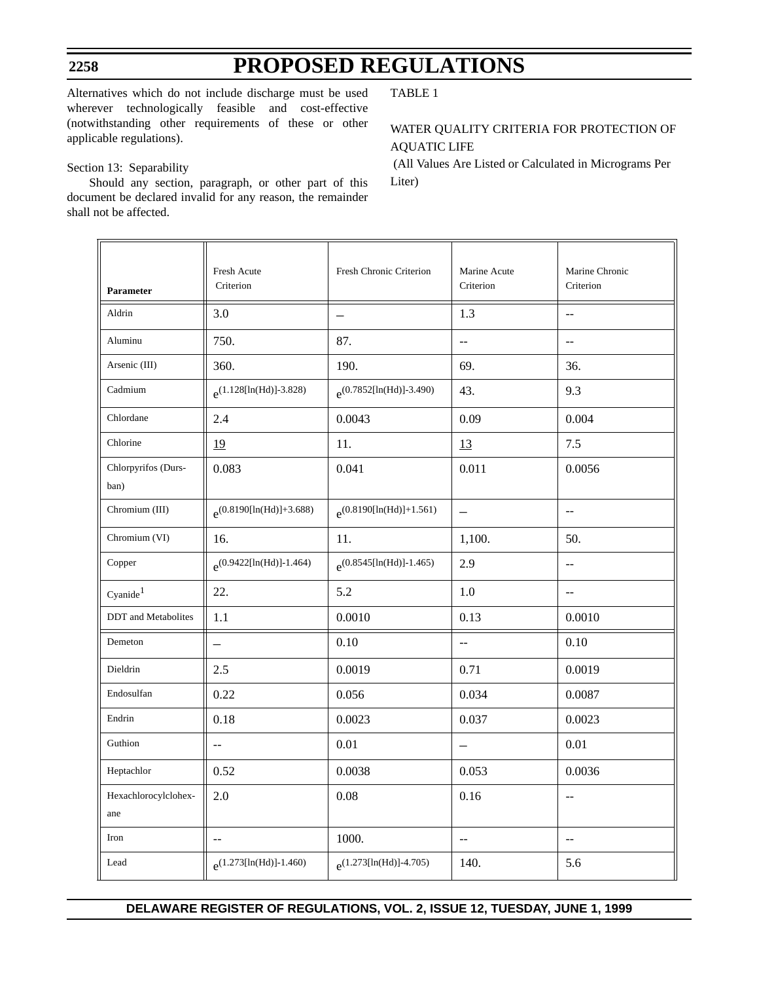Alternatives which do not include discharge must be used wherever technologically feasible and cost-effective (notwithstanding other requirements of these or other applicable regulations).

## Section 13: Separability

Should any section, paragraph, or other part of this document be declared invalid for any reason, the remainder shall not be affected.

TABLE 1

## WATER QUALITY CRITERIA FOR PROTECTION OF AQUATIC LIFE

 (All Values Are Listed or Calculated in Micrograms Per Liter)

| Parameter                   | Fresh Acute<br>Criterion      | Fresh Chronic Criterion       | Marine Acute<br>Criterion | Marine Chronic<br>Criterion                   |
|-----------------------------|-------------------------------|-------------------------------|---------------------------|-----------------------------------------------|
| Aldrin                      | 3.0                           | $\overline{\phantom{0}}$      | 1.3                       | $-$                                           |
| Aluminu                     | 750.                          | 87.                           | $-$                       | $-$                                           |
| Arsenic (III)               | 360.                          | 190.                          | 69.                       | 36.                                           |
| Cadmium                     | $e^{(1.128[\ln(Hd)]-3.828)}$  | $e^{(0.7852[\ln(Hd)]-3.490)}$ | 43.                       | 9.3                                           |
| Chlordane                   | 2.4                           | 0.0043                        | 0.09                      | 0.004                                         |
| Chlorine                    | 19                            | 11.                           | 13                        | $7.5$                                         |
| Chlorpyrifos (Durs-<br>ban) | 0.083                         | 0.041                         | 0.011                     | 0.0056                                        |
| Chromium (III)              | $e^{(0.8190[\ln(Hd)]+3.688)}$ | $e^{(0.8190[\ln(Hd)]+1.561)}$ | $\equiv$                  | $-$                                           |
| Chromium (VI)               | 16.                           | 11.                           | 1,100.                    | 50.                                           |
| Copper                      | $e^{(0.9422[ln(Hd)]-1.464)}$  | $e^{(0.8545[\ln(Hd)]-1.465)}$ | 2.9                       | $\overline{\phantom{a}}$                      |
| Cyanide <sup>1</sup>        | 22.                           | 5.2                           | 1.0                       | $\sim$ $-$                                    |
| DDT and Metabolites         | 1.1                           | 0.0010                        | 0.13                      | 0.0010                                        |
| Demeton                     | $\qquad \qquad -$             | 0.10                          | $-$                       | 0.10                                          |
| Dieldrin                    | 2.5                           | 0.0019                        | 0.71                      | 0.0019                                        |
| Endosulfan                  | 0.22                          | 0.056                         | 0.034                     | 0.0087                                        |
| Endrin                      | 0.18                          | 0.0023                        | 0.037                     | 0.0023                                        |
| Guthion                     | --                            | 0.01                          |                           | 0.01                                          |
| Heptachlor                  | 0.52                          | 0.0038                        | 0.053                     | 0.0036                                        |
| Hexachlorocylclohex-<br>ane | 2.0                           | $0.08\,$                      | 0.16                      | $\mathord{\hspace{1pt}\text{--}\hspace{1pt}}$ |
| Iron                        | $-\,-$                        | 1000.                         | $\overline{\phantom{m}}$  | $\overline{\phantom{m}}$                      |
| Lead                        | $e^{(1.273[\ln(Hd)]-1.460)}$  | $e^{(1.273[\ln(Hd)]-4.705)}$  | 140.                      | 5.6                                           |

**2258**

## **DELAWARE REGISTER OF REGULATIONS, VOL. 2, ISSUE 12, TUESDAY, JUNE 1, 1999**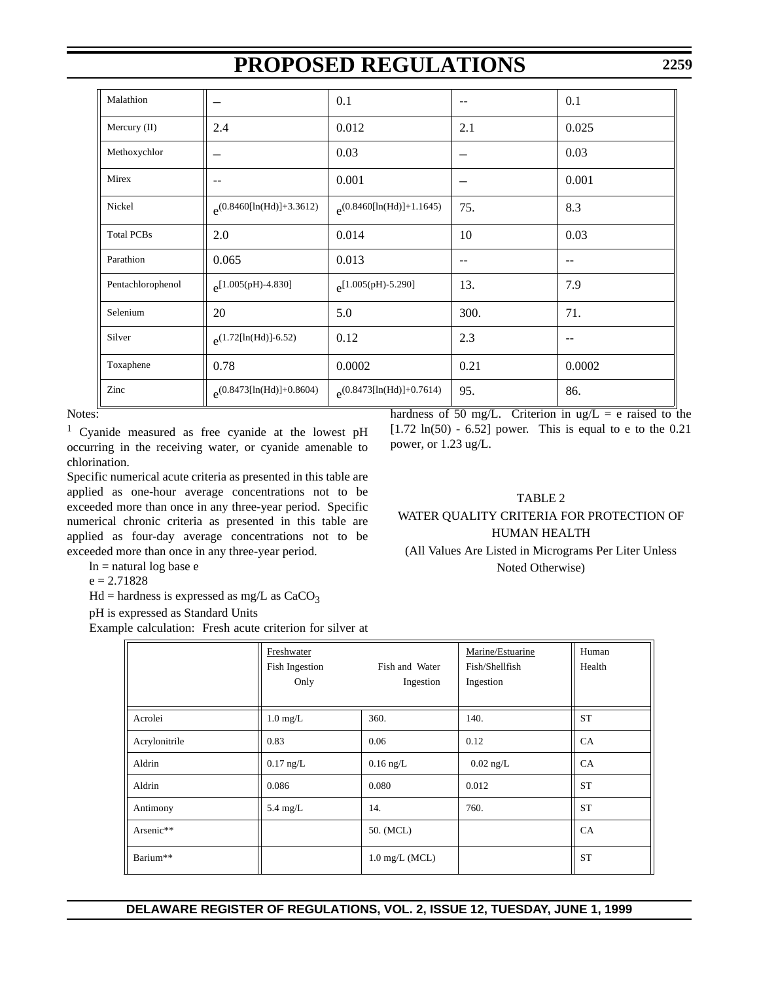| Malathion         |                                | 0.1                            | --   | 0.1    |
|-------------------|--------------------------------|--------------------------------|------|--------|
| Mercury (II)      | 2.4                            | 0.012                          | 2.1  | 0.025  |
| Methoxychlor      |                                | 0.03                           |      | 0.03   |
| Mirex             | --                             | 0.001                          |      | 0.001  |
| Nickel            | $e^{(0.8460[\ln(Hd)]+3.3612)}$ | $e^{(0.8460[\ln(Hd)]+1.1645)}$ | 75.  | 8.3    |
| <b>Total PCBs</b> | 2.0                            | 0.014                          | 10   | 0.03   |
| Parathion         | 0.065                          | 0.013                          | --   | --     |
| Pentachlorophenol | $e^{[1.005(pH)-4.830]}$        | $e^{[1.005(pH)-5.290]}$        | 13.  | 7.9    |
| Selenium          | 20                             | 5.0                            | 300. | 71.    |
| Silver            | $e^{(1.72[\ln(Hd)]-6.52)}$     | 0.12                           | 2.3  | --     |
| Toxaphene         | 0.78                           | 0.0002                         | 0.21 | 0.0002 |
| Zinc              | $e^{(0.8473[\ln(Hd)]+0.8604)}$ | $e^{(0.8473[\ln(Hd)]+0.7614)}$ | 95.  | 86.    |

Notes:

1 Cyanide measured as free cyanide at the lowest pH occurring in the receiving water, or cyanide amenable to chlorination.

Specific numerical acute criteria as presented in this table are applied as one-hour average concentrations not to be exceeded more than once in any three-year period. Specific numerical chronic criteria as presented in this table are applied as four-day average concentrations not to be exceeded more than once in any three-year period.

 $ln =$ natural log base e

 $e = 2.71828$ 

 $Hd =$  hardness is expressed as mg/L as  $CaCO<sub>3</sub>$ 

pH is expressed as Standard Units

Example calculation: Fresh acute criterion for silver at

hardness of 50 mg/L. Criterion in ug/L = e raised to the [1.72 ln(50) - 6.52] power. This is equal to e to the 0.21 power, or 1.23 ug/L.

## TABLE 2

## WATER QUALITY CRITERIA FOR PROTECTION OF HUMAN HEALTH

(All Values Are Listed in Micrograms Per Liter Unless Noted Otherwise)

|               | Freshwater<br>Fish Ingestion<br>Only | Fish and Water<br>Ingestion | Marine/Estuarine<br>Fish/Shellfish<br>Ingestion | Human<br>Health |
|---------------|--------------------------------------|-----------------------------|-------------------------------------------------|-----------------|
| Acrolei       | $1.0 \text{ mg/L}$                   | 360.                        | 140.                                            | <b>ST</b>       |
| Acrylonitrile | 0.83                                 | 0.06                        | 0.12                                            | CA              |
| Aldrin        | $0.17$ ng/L                          | $0.16$ ng/L                 | $0.02$ ng/L                                     | CA              |
| Aldrin        | 0.086                                | 0.080                       | 0.012                                           | <b>ST</b>       |
| Antimony      | $5.4 \text{ mg/L}$                   | 14.                         | 760.                                            | <b>ST</b>       |
| Arsenic**     |                                      | 50. (MCL)                   |                                                 | CA              |
| Barium**      |                                      | $1.0$ mg/L (MCL)            |                                                 | <b>ST</b>       |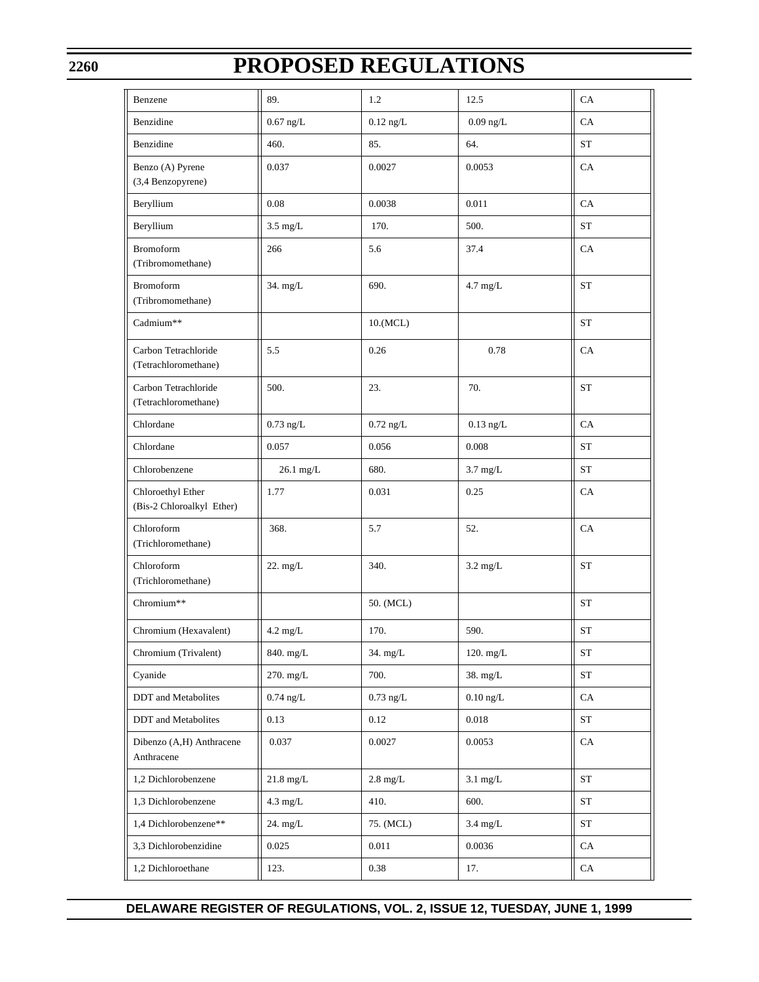# **PROPOSED REGULATIONS**

| Benzene                                        | 89.                 | 1.2                | 12.5               | CA                 |
|------------------------------------------------|---------------------|--------------------|--------------------|--------------------|
| Benzidine                                      | $0.67$ ng/L         | $0.12$ ng/L        | $0.09$ ng/L        | CA                 |
| Benzidine                                      | 460.                | 85.                | 64.                | ST                 |
| Benzo (A) Pyrene<br>(3,4 Benzopyrene)          | 0.037               | 0.0027             | 0.0053             | CA                 |
| Beryllium                                      | 0.08                | 0.0038             | 0.011              | CA                 |
| Beryllium                                      | $3.5 \text{ mg/L}$  | 170.               | 500.               | ST                 |
| <b>Bromoform</b><br>(Tribromomethane)          | 266                 | 5.6                | 37.4               | CA                 |
| <b>Bromoform</b><br>(Tribromomethane)          | 34. mg/L            | 690.               | $4.7$ mg/L         | <b>ST</b>          |
| Cadmium**                                      |                     | 10.(MCL)           |                    | ST                 |
| Carbon Tetrachloride<br>(Tetrachloromethane)   | 5.5                 | 0.26               | 0.78               | CA                 |
| Carbon Tetrachloride<br>(Tetrachloromethane)   | 500.                | 23.                | 70.                | <b>ST</b>          |
| Chlordane                                      | $0.73$ ng/L         | $0.72$ ng/L        | $0.13$ ng/L        | CA                 |
| Chlordane                                      | 0.057               | 0.056              | 0.008              | <b>ST</b>          |
| Chlorobenzene                                  | 26.1 mg/L           | 680.               | $3.7 \text{ mg/L}$ | <b>ST</b>          |
| Chloroethyl Ether<br>(Bis-2 Chloroalkyl Ether) | 1.77                | 0.031              | 0.25               | CA                 |
| Chloroform<br>(Trichloromethane)               | 368.                | 5.7                | 52.                | CA                 |
| Chloroform<br>(Trichloromethane)               | 22. mg/L            | 340.               | $3.2 \text{ mg/L}$ | <b>ST</b>          |
| Chromium**                                     |                     | 50. (MCL)          |                    | <b>ST</b>          |
| Chromium (Hexavalent)                          | $4.2 \text{ mg/L}$  | 170.               | 590.               | <b>ST</b>          |
| Chromium (Trivalent)                           | 840. mg/L           | $34.$ mg/L         | 120. mg/L          | ${\cal S}{\cal T}$ |
| Cyanide                                        | 270. mg/L           | 700.               | 38. mg/L           | ${\rm ST}$         |
| <b>DDT</b> and Metabolites                     | $0.74$ ng/L         | $0.73$ ng/L        | $0.10$ ng/L        | CA                 |
| DDT and Metabolites                            | 0.13                | 0.12               | 0.018              | ST                 |
| Dibenzo (A,H) Anthracene<br>Anthracene         | 0.037               | 0.0027             | 0.0053             | CA                 |
| 1,2 Dichlorobenzene                            | $21.8 \text{ mg/L}$ | $2.8 \text{ mg/L}$ | $3.1$ mg/L         | <b>ST</b>          |
| 1,3 Dichlorobenzene                            | $4.3 \text{ mg/L}$  | 410.               | 600.               | ST                 |
| 1,4 Dichlorobenzene**                          | 24. mg/L            | 75. (MCL)          | $3.4$ mg/L         | ST                 |
| 3,3 Dichlorobenzidine                          | 0.025               | 0.011              | 0.0036             | CA                 |
| 1,2 Dichloroethane                             | 123.                | 0.38               | 17.                | CA                 |

**DELAWARE REGISTER OF REGULATIONS, VOL. 2, ISSUE 12, TUESDAY, JUNE 1, 1999**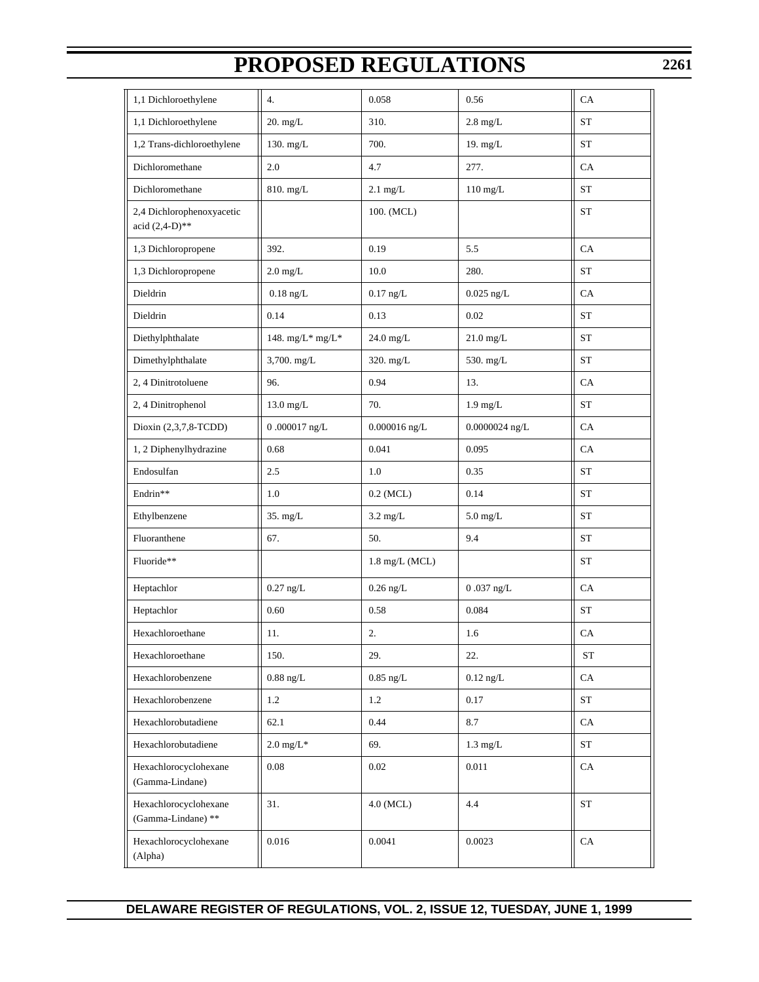| 1,1 Dichloroethylene                           | 4.                   | 0.058              | 0.56               | CA         |
|------------------------------------------------|----------------------|--------------------|--------------------|------------|
| 1,1 Dichloroethylene                           | $20.$ mg/L           | 310.               | $2.8 \text{ mg/L}$ | <b>ST</b>  |
| 1,2 Trans-dichloroethylene                     | 130. mg/L            | 700.               | 19. mg/L           | <b>ST</b>  |
| Dichloromethane                                | 2.0                  | 4.7                | 277.               | CA         |
| Dichloromethane                                | 810. mg/L            | $2.1$ mg/L         | $110$ mg/L         | <b>ST</b>  |
| 2,4 Dichlorophenoxyacetic<br>acid $(2,4-D)$ ** |                      | 100. (MCL)         |                    | ST         |
| 1,3 Dichloropropene                            | 392.                 | 0.19               | 5.5                | CA         |
| 1,3 Dichloropropene                            | $2.0 \text{ mg/L}$   | 10.0               | 280.               | <b>ST</b>  |
| Dieldrin                                       | $0.18~\mathrm{ng/L}$ | $0.17$ ng/L        | $0.025$ ng/L       | CA         |
| Dieldrin                                       | 0.14                 | 0.13               | 0.02               | <b>ST</b>  |
| Diethylphthalate                               | 148. mg/L* mg/L*     | 24.0 mg/L          | $21.0$ mg/L        | <b>ST</b>  |
| Dimethylphthalate                              | 3,700. mg/L          | 320. mg/L          | 530. mg/L          | <b>ST</b>  |
| 2, 4 Dinitrotoluene                            | 96.                  | 0.94               | 13.                | CA         |
| 2, 4 Dinitrophenol                             | $13.0$ mg/L          | 70.                | $1.9 \text{ mg/L}$ | <b>ST</b>  |
| Dioxin (2,3,7,8-TCDD)                          | $0.000017$ ng/L      | $0.000016$ ng/L    | $0.0000024$ ng/L   | CA         |
| 1, 2 Diphenylhydrazine                         | 0.68                 | 0.041              | 0.095              | CA         |
| Endosulfan                                     | 2.5                  | 1.0                | 0.35               | <b>ST</b>  |
| Endrin**                                       | 1.0                  | $0.2$ (MCL)        | 0.14               | <b>ST</b>  |
| Ethylbenzene                                   | 35. mg/L             | $3.2 \text{ mg/L}$ | $5.0$ mg/L         | <b>ST</b>  |
| Fluoranthene                                   | 67.                  | 50.                | 9.4                | ST         |
| Fluoride**                                     |                      | 1.8 mg/L (MCL)     |                    | <b>ST</b>  |
| Heptachlor                                     | $0.27$ ng/L          | $0.26$ ng/L        | $0.037$ ng/L       | CA         |
| Heptachlor                                     | 0.60                 | 0.58               | 0.084              | <b>ST</b>  |
| Hexachloroethane                               | 11.                  | 2.                 | 1.6                | CA         |
| Hexachloroethane                               | 150.                 | 29.                | 22.                | ${\rm ST}$ |
| Hexachlorobenzene                              | $0.88$ ng/L          | $0.85$ ng/L        | $0.12$ ng/L        | CA         |
| Hexachlorobenzene                              | 1.2                  | 1.2                | 0.17               | ST         |
| Hexachlorobutadiene                            | 62.1                 | 0.44               | 8.7                | CA         |
| Hexachlorobutadiene                            | $2.0 \text{ mg/L}^*$ | 69.                | $1.3 \text{ mg/L}$ | ST         |
| Hexachlorocyclohexane<br>(Gamma-Lindane)       | 0.08                 | 0.02               | 0.011              | CA         |
| Hexachlorocyclohexane<br>(Gamma-Lindane) **    | 31.                  | 4.0 (MCL)          | 4.4                | ST         |
| Hexachlorocyclohexane<br>(Alpha)               | 0.016                | 0.0041             | 0.0023             | CA         |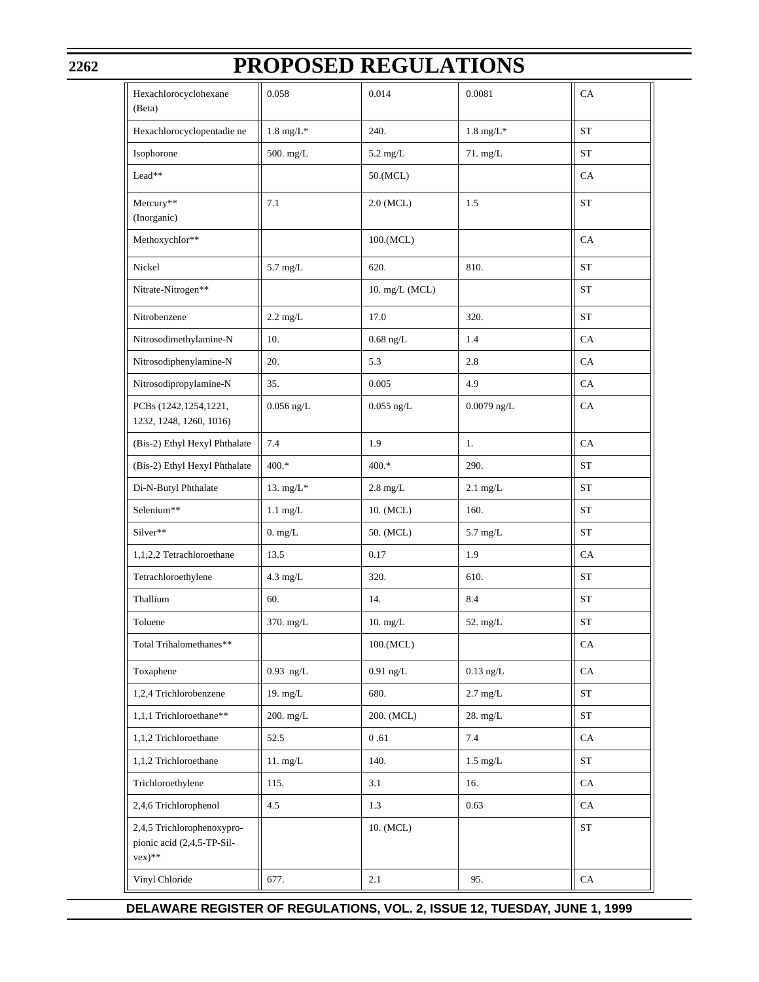# **PROPOSED REGULATIONS**

| Hexachlorocyclohexane<br>(Beta)                                         | 0.058                | 0.014              | 0.0081               | CA                 |
|-------------------------------------------------------------------------|----------------------|--------------------|----------------------|--------------------|
| Hexachlorocyclopentadie ne                                              | $1.8 \text{ mg/L}^*$ | 240.               | $1.8 \text{ mg/L}^*$ | ST                 |
| Isophorone                                                              | 500. mg/L            | $5.2 \text{ mg/L}$ | $71.$ mg/L           | ST                 |
| Lead**                                                                  |                      | 50.(MCL)           |                      | CA                 |
| Mercury**<br>(Inorganic)                                                | 7.1                  | $2.0$ (MCL)        | 1.5                  | <b>ST</b>          |
| Methoxychlor**                                                          |                      | 100.(MCL)          |                      | CA                 |
| Nickel                                                                  | $5.7$ mg/L           | 620.               | 810.                 | ST                 |
| Nitrate-Nitrogen**                                                      |                      | 10. mg/L (MCL)     |                      | ST                 |
| Nitrobenzene                                                            | $2.2 \text{ mg/L}$   | 17.0               | 320.                 | ST                 |
| Nitrosodimethylamine-N                                                  | 10.                  | $0.68$ ng/L        | 1.4                  | CA                 |
| Nitrosodiphenylamine-N                                                  | 20.                  | 5.3                | 2.8                  | CA                 |
| Nitrosodipropylamine-N                                                  | 35.                  | 0.005              | 4.9                  | CA                 |
| PCBs (1242, 1254, 1221,<br>1232, 1248, 1260, 1016)                      | $0.056$ ng/L         | $0.055$ ng/L       | $0.0079$ ng/L        | CA                 |
| (Bis-2) Ethyl Hexyl Phthalate                                           | 7.4                  | 1.9                | 1.                   | CA                 |
| (Bis-2) Ethyl Hexyl Phthalate                                           | 400.*                | $400.*$            | 290.                 | ST                 |
| Di-N-Butyl Phthalate                                                    | 13. $mg/L*$          | $2.8 \text{ mg/L}$ | $2.1 \text{ mg/L}$   | ST                 |
| Selenium**                                                              | $1.1 \text{ mg/L}$   | 10. (MCL)          | 160.                 | ST                 |
| Silver**                                                                | 0. mg/L              | 50. (MCL)          | $5.7 \text{ mg/L}$   | ST                 |
| 1,1,2,2 Tetrachloroethane                                               | 13.5                 | 0.17               | 1.9                  | CA                 |
| Tetrachloroethylene                                                     | $4.3 \text{ mg/L}$   | 320.               | 610.                 | ST                 |
| Thallium                                                                | 60.                  | 14.                | 8.4                  | ST                 |
| Toluene                                                                 | 370. mg/L            | 10. mg/L           | $52.$ mg/L           | ST                 |
| Total Trihalomethanes**                                                 |                      | 100.(MCL)          |                      | CA                 |
| Toxaphene                                                               | $0.93$ ng/L          | $0.91$ ng/L        | $0.13$ ng/L          | CA                 |
| 1,2,4 Trichlorobenzene                                                  | 19. $mg/L$           | 680.               | $2.7 \text{ mg/L}$   | <b>ST</b>          |
| 1,1,1 Trichloroethane**                                                 | 200. mg/L            | 200. (MCL)         | 28. mg/L             | <b>ST</b>          |
| 1,1,2 Trichloroethane                                                   | 52.5                 | $0.61\,$           | 7.4                  | CA                 |
| 1,1,2 Trichloroethane                                                   | 11. mg/L             | 140.               | $1.5 \text{ mg/L}$   | <b>ST</b>          |
| Trichloroethylene                                                       | 115.                 | 3.1                | 16.                  | CA                 |
| 2,4,6 Trichlorophenol                                                   | 4.5                  | 1.3                | 0.63                 | CA                 |
| 2,4,5 Trichlorophenoxypro-<br>pionic acid (2,4,5-TP-Sil-<br>$vex)^{**}$ |                      | 10. (MCL)          |                      | ${\cal S}{\cal T}$ |
| Vinyl Chloride                                                          | 677.                 | 2.1                | 95.                  | CA                 |

## **DELAWARE REGISTER OF REGULATIONS, VOL. 2, ISSUE 12, TUESDAY, JUNE 1, 1999**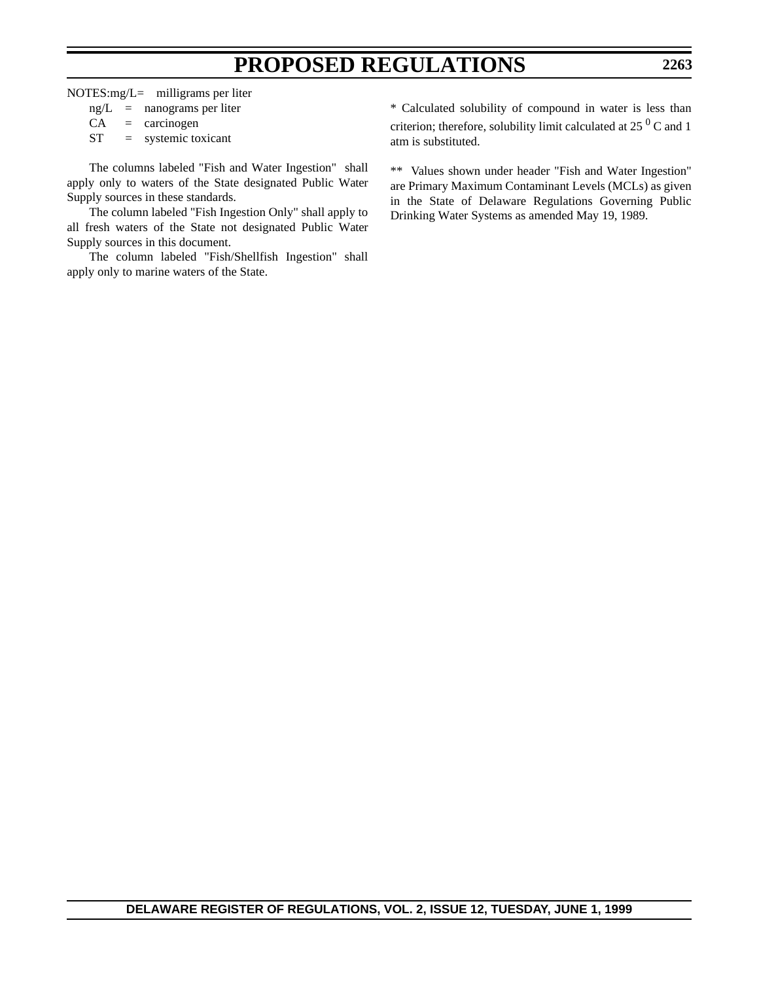NOTES:mg/L= milligrams per liter

| ng/L | nanograms per liter |
|------|---------------------|
|------|---------------------|

 $CA = \arccinogen$ 

ST = systemic toxicant

The columns labeled "Fish and Water Ingestion" shall apply only to waters of the State designated Public Water Supply sources in these standards.

The column labeled "Fish Ingestion Only" shall apply to all fresh waters of the State not designated Public Water Supply sources in this document.

The column labeled "Fish/Shellfish Ingestion" shall apply only to marine waters of the State.

\* Calculated solubility of compound in water is less than criterion; therefore, solubility limit calculated at 25  $\mathrm{^{0}}$  C and 1 atm is substituted.

\*\* Values shown under header "Fish and Water Ingestion" are Primary Maximum Contaminant Levels (MCLs) as given in the State of Delaware Regulations Governing Public Drinking Water Systems as amended May 19, 1989.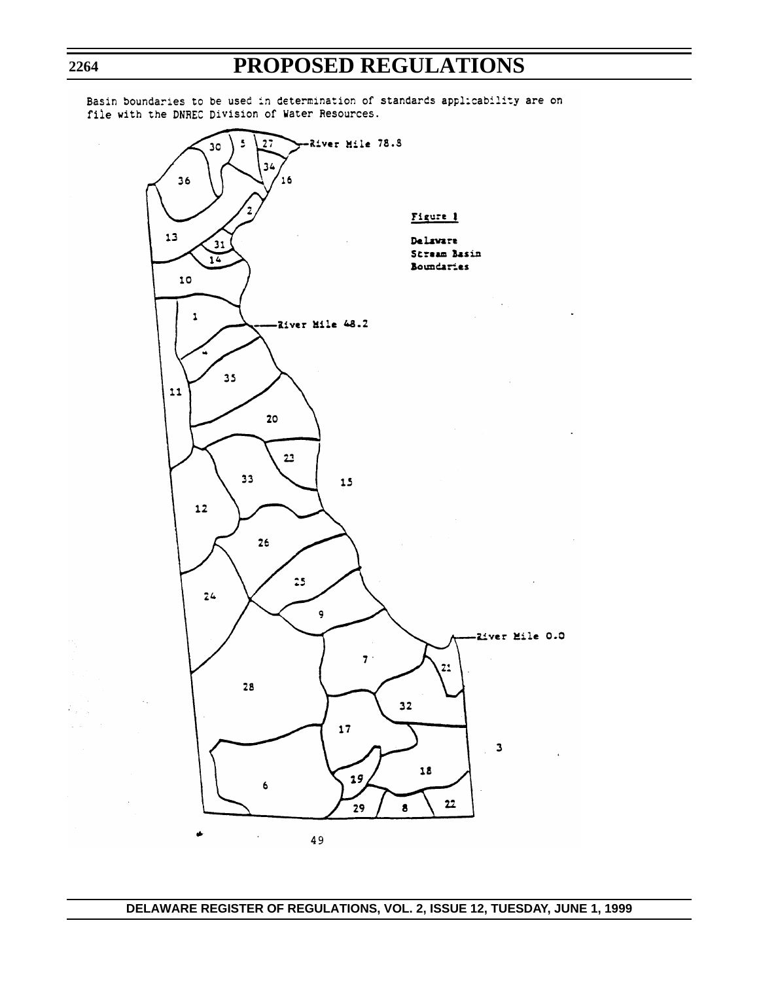$\ddot{\phantom{a}}$ 

 $\ddot{\phantom{a}}$ 

-River Mile 78.8 5  $27$  $30$  $34$  $16$ 36 Figure 1  $13$ Delaware  $\boxed{31}$ Stream Basin  $\overline{14}$ Boundaries 10  $\mathcal{O}(\log n)$  $\pmb{\mathsf{1}}$ -River Mile 48.2  $35$ 11 20  $2<sup>2</sup>$  $33$  $15$  $\overline{12}$ 26  $25$  $24$ 9 -River Mile 0.0  $7.$  $21$  $28$  $32$  $17$  $\overline{\phantom{a}}$ 18  $19$ 6  $22$ 29  $\bullet$  $\hat{\pmb{\psi}}$  $\sim$   $\sim$ 49

Basin boundaries to be used in determination of standards applicability are on file with the DNREC Division of Water Resources.

**2264**

 $\hat{c}_{\rm eff}$  $\bar{z}$  .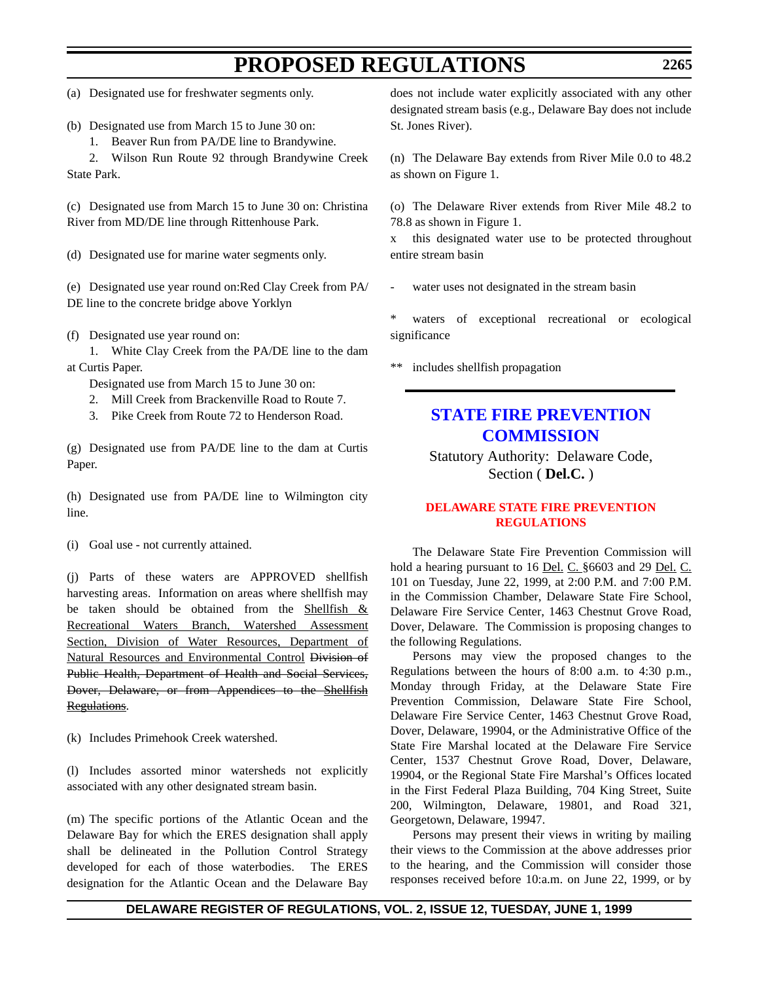(a) Designated use for freshwater segments only.

- (b) Designated use from March 15 to June 30 on:
	- 1. Beaver Run from PA/DE line to Brandywine.

2. Wilson Run Route 92 through Brandywine Creek State Park.

(c) Designated use from March 15 to June 30 on: Christina River from MD/DE line through Rittenhouse Park.

(d) Designated use for marine water segments only.

(e) Designated use year round on:Red Clay Creek from PA/ DE line to the concrete bridge above Yorklyn

(f) Designated use year round on:

1. White Clay Creek from the PA/DE line to the dam at Curtis Paper.

Designated use from March 15 to June 30 on:

- 2. Mill Creek from Brackenville Road to Route 7.
- 3. Pike Creek from Route 72 to Henderson Road.

(g) Designated use from PA/DE line to the dam at Curtis Paper.

(h) Designated use from PA/DE line to Wilmington city line.

(i) Goal use - not currently attained.

(j) Parts of these waters are APPROVED shellfish harvesting areas. Information on areas where shellfish may be taken should be obtained from the Shellfish  $\&$ Recreational Waters Branch, Watershed Assessment Section, Division of Water Resources, Department of Natural Resources and Environmental Control Division of Public Health, Department of Health and Social Services, Dover, Delaware, or from Appendices to the Shellfish Regulations.

(k) Includes Primehook Creek watershed.

(l) Includes assorted minor watersheds not explicitly associated with any other designated stream basin.

(m) The specific portions of the Atlantic Ocean and the Delaware Bay for which the ERES designation shall apply shall be delineated in the Pollution Control Strategy developed for each of those waterbodies. The ERES designation for the Atlantic Ocean and the Delaware Bay does not include water explicitly associated with any other designated stream basis (e.g., Delaware Bay does not include St. Jones River).

(n) The Delaware Bay extends from River Mile 0.0 to 48.2 as shown on Figure 1.

(o) The Delaware River extends from River Mile 48.2 to 78.8 as shown in Figure 1.

x this designated water use to be protected throughout entire stream basin

water uses not designated in the stream basin

waters of exceptional recreational or ecological significance

\*\* includes shellfish propagation

## **[STATE FIRE PREVENTION](http://www.state.de.us/dvfa/html/commission.html) COMMISSION**

Statutory Authority: Delaware Code, Section ( **Del.C.** )

## **[DELAWARE STATE FIRE PREVENTION](#page-3-0) REGULATIONS**

The Delaware State Fire Prevention Commission will hold a hearing pursuant to 16 <u>Del. C.</u> §6603 and 29 <u>Del. C.</u> 101 on Tuesday, June 22, 1999, at 2:00 P.M. and 7:00 P.M. in the Commission Chamber, Delaware State Fire School, Delaware Fire Service Center, 1463 Chestnut Grove Road, Dover, Delaware. The Commission is proposing changes to the following Regulations.

Persons may view the proposed changes to the Regulations between the hours of 8:00 a.m. to 4:30 p.m., Monday through Friday, at the Delaware State Fire Prevention Commission, Delaware State Fire School, Delaware Fire Service Center, 1463 Chestnut Grove Road, Dover, Delaware, 19904, or the Administrative Office of the State Fire Marshal located at the Delaware Fire Service Center, 1537 Chestnut Grove Road, Dover, Delaware, 19904, or the Regional State Fire Marshal's Offices located in the First Federal Plaza Building, 704 King Street, Suite 200, Wilmington, Delaware, 19801, and Road 321, Georgetown, Delaware, 19947.

Persons may present their views in writing by mailing their views to the Commission at the above addresses prior to the hearing, and the Commission will consider those responses received before 10:a.m. on June 22, 1999, or by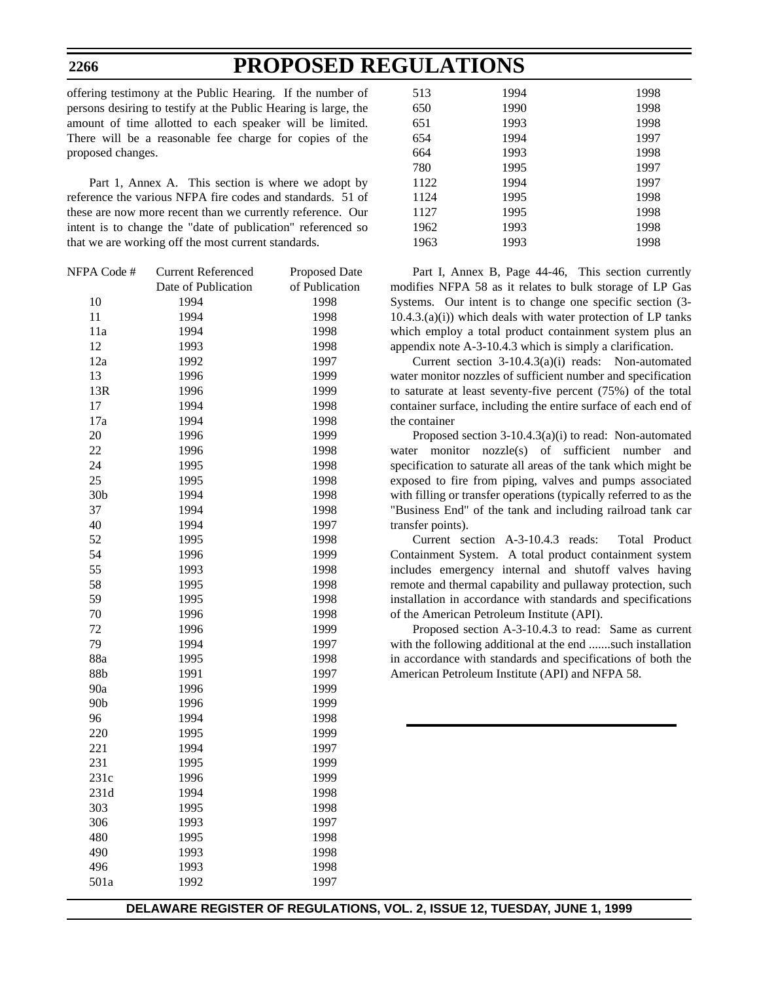offering testimony at the Public Hearing. If the number of persons desiring to testify at the Public Hearing is large, the amount of time allotted to each speaker will be limited. There will be a reasonable fee charge for copies of the proposed changes.

Part 1, Annex A. This section is where we adopt by reference the various NFPA fire codes and standards. 51 of these are now more recent than we currently reference. Our intent is to change the "date of publication" referenced so that we are working off the most current standards.

| of Publication |
|----------------|
|                |
|                |
|                |
|                |
|                |
|                |
|                |
|                |
|                |
|                |
|                |
|                |
|                |
|                |
|                |
|                |
|                |
|                |
|                |
|                |
|                |
|                |
|                |
|                |
|                |
|                |
|                |
|                |
|                |
|                |
|                |
|                |
|                |
|                |
|                |
|                |
|                |
|                |
|                |
|                |
|                |
|                |

| 513  | 1994 | 1998 |
|------|------|------|
| 650  | 1990 | 1998 |
| 651  | 1993 | 1998 |
| 654  | 1994 | 1997 |
| 664  | 1993 | 1998 |
| 780  | 1995 | 1997 |
| 1122 | 1994 | 1997 |
| 1124 | 1995 | 1998 |
| 1127 | 1995 | 1998 |
| 1962 | 1993 | 1998 |
| 1963 | 1993 | 1998 |

Part I, Annex B, Page 44-46, This section currently modifies NFPA 58 as it relates to bulk storage of LP Gas Systems. Our intent is to change one specific section (3-  $10.4.3(a(i))$  which deals with water protection of LP tanks which employ a total product containment system plus an appendix note A-3-10.4.3 which is simply a clarification.

Current section 3-10.4.3(a)(i) reads: Non-automated water monitor nozzles of sufficient number and specification to saturate at least seventy-five percent (75%) of the total container surface, including the entire surface of each end of the container

Proposed section 3-10.4.3(a)(i) to read: Non-automated water monitor nozzle(s) of sufficient number and specification to saturate all areas of the tank which might be exposed to fire from piping, valves and pumps associated with filling or transfer operations (typically referred to as the "Business End" of the tank and including railroad tank car transfer points).

Current section A-3-10.4.3 reads: Total Product Containment System. A total product containment system includes emergency internal and shutoff valves having remote and thermal capability and pullaway protection, such installation in accordance with standards and specifications of the American Petroleum Institute (API).

Proposed section A-3-10.4.3 to read: Same as current with the following additional at the end .......such installation in accordance with standards and specifications of both the American Petroleum Institute (API) and NFPA 58.

**DELAWARE REGISTER OF REGULATIONS, VOL. 2, ISSUE 12, TUESDAY, JUNE 1, 1999**

### **2266**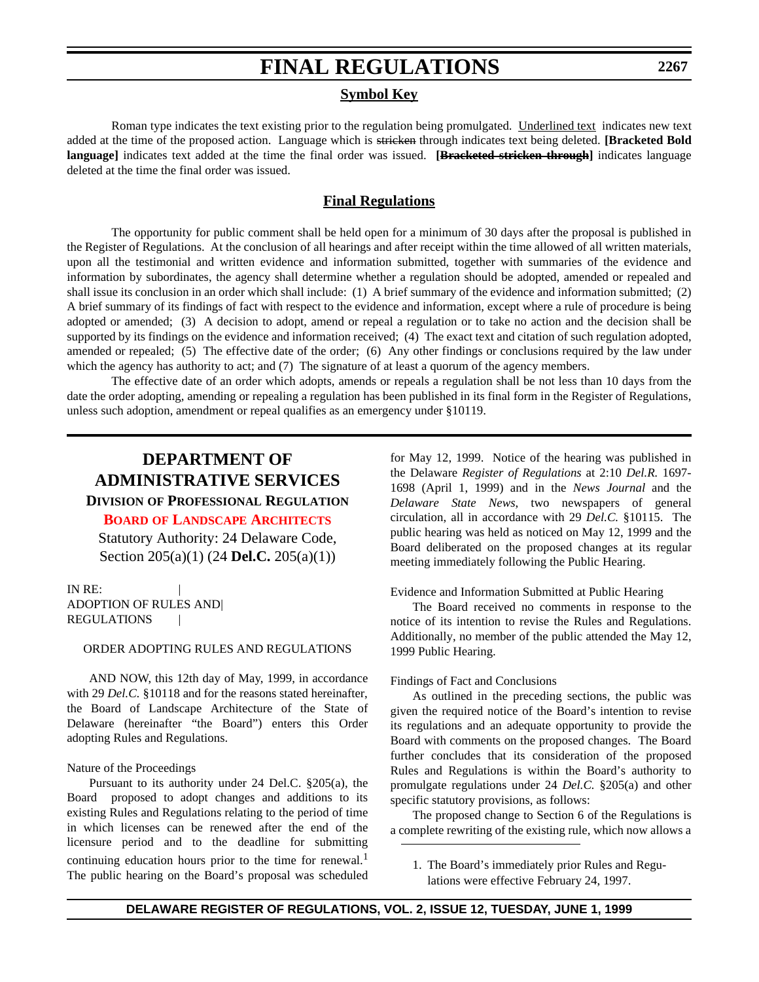## **Symbol Key**

Roman type indicates the text existing prior to the regulation being promulgated. Underlined text indicates new text added at the time of the proposed action. Language which is stricken through indicates text being deleted. **[Bracketed Bold language]** indicates text added at the time the final order was issued. **[Bracketed stricken through]** indicates language deleted at the time the final order was issued.

## **Final Regulations**

The opportunity for public comment shall be held open for a minimum of 30 days after the proposal is published in the Register of Regulations. At the conclusion of all hearings and after receipt within the time allowed of all written materials, upon all the testimonial and written evidence and information submitted, together with summaries of the evidence and information by subordinates, the agency shall determine whether a regulation should be adopted, amended or repealed and shall issue its conclusion in an order which shall include: (1) A brief summary of the evidence and information submitted; (2) A brief summary of its findings of fact with respect to the evidence and information, except where a rule of procedure is being adopted or amended; (3) A decision to adopt, amend or repeal a regulation or to take no action and the decision shall be supported by its findings on the evidence and information received; (4) The exact text and citation of such regulation adopted, amended or repealed; (5) The effective date of the order; (6) Any other findings or conclusions required by the law under which the agency has authority to act; and (7) The signature of at least a quorum of the agency members.

The effective date of an order which adopts, amends or repeals a regulation shall be not less than 10 days from the date the order adopting, amending or repealing a regulation has been published in its final form in the Register of Regulations, unless such adoption, amendment or repeal qualifies as an emergency under §10119.

## **DEPARTMENT OF ADMINISTRATIVE SERVICES DIVISION OF PROFESSIONAL REGULATION**

**BOARD [OF LANDSCAPE ARCHITECTS](#page-3-0)**

Statutory Authority: 24 Delaware Code, Section 205(a)(1) (24 **Del.C.** 205(a)(1))

IN RE: ADOPTION OF RULES AND| **REGULATIONS** 

## ORDER ADOPTING RULES AND REGULATIONS

AND NOW, this 12th day of May, 1999, in accordance with 29 *Del.C.* §10118 and for the reasons stated hereinafter, the Board of Landscape Architecture of the State of Delaware (hereinafter "the Board") enters this Order adopting Rules and Regulations.

### Nature of the Proceedings

Pursuant to its authority under 24 Del.C. §205(a), the Board proposed to adopt changes and additions to its existing Rules and Regulations relating to the period of time in which licenses can be renewed after the end of the licensure period and to the deadline for submitting continuing education hours prior to the time for renewal.<sup>1</sup> The public hearing on the Board's proposal was scheduled for May 12, 1999. Notice of the hearing was published in the Delaware *Register of Regulations* at 2:10 *Del.R.* 1697- 1698 (April 1, 1999) and in the *News Journal* and the *Delaware State News*, two newspapers of general circulation, all in accordance with 29 *Del.C.* §10115. The public hearing was held as noticed on May 12, 1999 and the Board deliberated on the proposed changes at its regular meeting immediately following the Public Hearing.

Evidence and Information Submitted at Public Hearing

The Board received no comments in response to the notice of its intention to revise the Rules and Regulations. Additionally, no member of the public attended the May 12, 1999 Public Hearing.

## Findings of Fact and Conclusions

As outlined in the preceding sections, the public was given the required notice of the Board's intention to revise its regulations and an adequate opportunity to provide the Board with comments on the proposed changes. The Board further concludes that its consideration of the proposed Rules and Regulations is within the Board's authority to promulgate regulations under 24 *Del.C.* §205(a) and other specific statutory provisions, as follows:

The proposed change to Section 6 of the Regulations is a complete rewriting of the existing rule, which now allows a

1. The Board's immediately prior Rules and Regulations were effective February 24, 1997.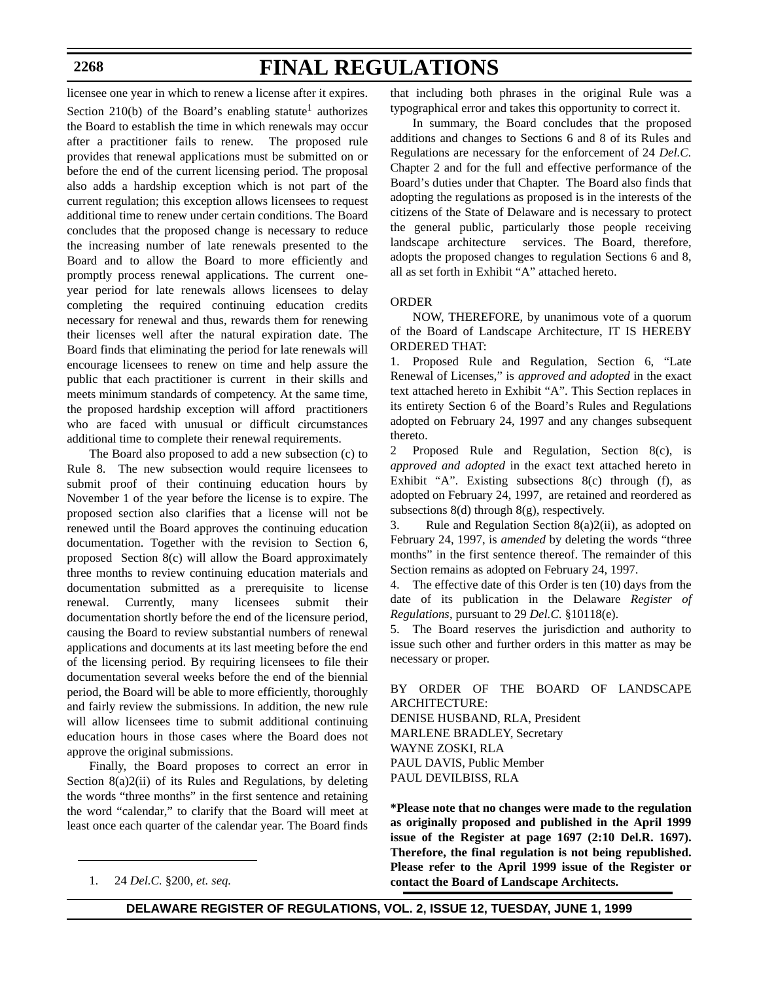# **FINAL REGULATIONS**

licensee one year in which to renew a license after it expires. Section 210(b) of the Board's enabling statute<sup>1</sup> authorizes the Board to establish the time in which renewals may occur after a practitioner fails to renew. The proposed rule provides that renewal applications must be submitted on or before the end of the current licensing period. The proposal also adds a hardship exception which is not part of the current regulation; this exception allows licensees to request additional time to renew under certain conditions. The Board concludes that the proposed change is necessary to reduce the increasing number of late renewals presented to the Board and to allow the Board to more efficiently and promptly process renewal applications. The current oneyear period for late renewals allows licensees to delay completing the required continuing education credits necessary for renewal and thus, rewards them for renewing their licenses well after the natural expiration date. The Board finds that eliminating the period for late renewals will encourage licensees to renew on time and help assure the public that each practitioner is current in their skills and meets minimum standards of competency. At the same time, the proposed hardship exception will afford practitioners who are faced with unusual or difficult circumstances additional time to complete their renewal requirements.

The Board also proposed to add a new subsection (c) to Rule 8. The new subsection would require licensees to submit proof of their continuing education hours by November 1 of the year before the license is to expire. The proposed section also clarifies that a license will not be renewed until the Board approves the continuing education documentation. Together with the revision to Section 6, proposed Section 8(c) will allow the Board approximately three months to review continuing education materials and documentation submitted as a prerequisite to license renewal. Currently, many licensees submit their documentation shortly before the end of the licensure period, causing the Board to review substantial numbers of renewal applications and documents at its last meeting before the end of the licensing period. By requiring licensees to file their documentation several weeks before the end of the biennial period, the Board will be able to more efficiently, thoroughly and fairly review the submissions. In addition, the new rule will allow licensees time to submit additional continuing education hours in those cases where the Board does not approve the original submissions.

Finally, the Board proposes to correct an error in Section 8(a)2(ii) of its Rules and Regulations, by deleting the words "three months" in the first sentence and retaining the word "calendar," to clarify that the Board will meet at least once each quarter of the calendar year. The Board finds

that including both phrases in the original Rule was a typographical error and takes this opportunity to correct it.

In summary, the Board concludes that the proposed additions and changes to Sections 6 and 8 of its Rules and Regulations are necessary for the enforcement of 24 *Del.C.* Chapter 2 and for the full and effective performance of the Board's duties under that Chapter. The Board also finds that adopting the regulations as proposed is in the interests of the citizens of the State of Delaware and is necessary to protect the general public, particularly those people receiving landscape architecture services. The Board, therefore, adopts the proposed changes to regulation Sections 6 and 8, all as set forth in Exhibit "A" attached hereto.

## ORDER

NOW, THEREFORE, by unanimous vote of a quorum of the Board of Landscape Architecture, IT IS HEREBY ORDERED THAT:

1. Proposed Rule and Regulation, Section 6, "Late Renewal of Licenses," is *approved and adopted* in the exact text attached hereto in Exhibit "A". This Section replaces in its entirety Section 6 of the Board's Rules and Regulations adopted on February 24, 1997 and any changes subsequent thereto.

2 Proposed Rule and Regulation, Section 8(c), is *approved and adopted* in the exact text attached hereto in Exhibit "A". Existing subsections 8(c) through (f), as adopted on February 24, 1997, are retained and reordered as subsections  $8(d)$  through  $8(g)$ , respectively.

3. Rule and Regulation Section 8(a)2(ii), as adopted on February 24, 1997, is *amended* by deleting the words "three months" in the first sentence thereof. The remainder of this Section remains as adopted on February 24, 1997.

4. The effective date of this Order is ten (10) days from the date of its publication in the Delaware *Register of Regulations*, pursuant to 29 *Del.C.* §10118(e).

5. The Board reserves the jurisdiction and authority to issue such other and further orders in this matter as may be necessary or proper.

## BY ORDER OF THE BOARD OF LANDSCAPE ARCHITECTURE:

DENISE HUSBAND, RLA, President MARLENE BRADLEY, Secretary WAYNE ZOSKI, RLA PAUL DAVIS, Public Member PAUL DEVILBISS, RLA

**\*Please note that no changes were made to the regulation as originally proposed and published in the April 1999 issue of the Register at page 1697 (2:10 Del.R. 1697). Therefore, the final regulation is not being republished. Please refer to the April 1999 issue of the Register or** 1. 24 *Del.C.* §200, *et. seq.* **contact the Board of Landscape Architects.**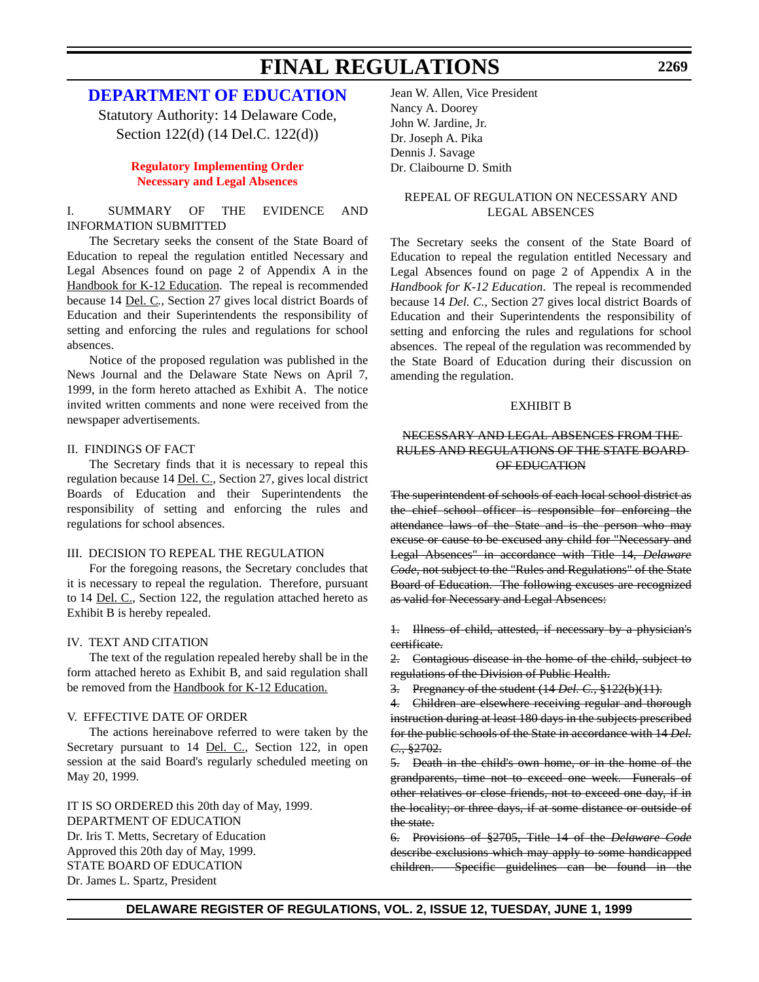## **[DEPARTMENT OF EDUCATION](http://www.doe.state.de.us/)**

Statutory Authority: 14 Delaware Code, Section 122(d) (14 Del.C. 122(d))

## **[Regulatory Implementing Order](#page-3-0) Necessary and Legal Absences**

## I. SUMMARY OF THE EVIDENCE AND INFORMATION SUBMITTED

The Secretary seeks the consent of the State Board of Education to repeal the regulation entitled Necessary and Legal Absences found on page 2 of Appendix A in the Handbook for K-12 Education. The repeal is recommended because 14 Del. C*.*, Section 27 gives local district Boards of Education and their Superintendents the responsibility of setting and enforcing the rules and regulations for school absences.

Notice of the proposed regulation was published in the News Journal and the Delaware State News on April 7, 1999, in the form hereto attached as Exhibit A. The notice invited written comments and none were received from the newspaper advertisements.

## II. FINDINGS OF FACT

The Secretary finds that it is necessary to repeal this regulation because 14 Del. C., Section 27, gives local district Boards of Education and their Superintendents the responsibility of setting and enforcing the rules and regulations for school absences.

## III. DECISION TO REPEAL THE REGULATION

For the foregoing reasons, the Secretary concludes that it is necessary to repeal the regulation. Therefore, pursuant to 14 Del. C., Section 122, the regulation attached hereto as Exhibit B is hereby repealed.

## IV. TEXT AND CITATION

The text of the regulation repealed hereby shall be in the form attached hereto as Exhibit B, and said regulation shall be removed from the Handbook for K-12 Education.

### V. EFFECTIVE DATE OF ORDER

The actions hereinabove referred to were taken by the Secretary pursuant to 14 <u>Del. C.,</u> Section 122, in open session at the said Board's regularly scheduled meeting on May 20, 1999.

IT IS SO ORDERED this 20th day of May, 1999. DEPARTMENT OF EDUCATION Dr. Iris T. Metts, Secretary of Education Approved this 20th day of May, 1999. STATE BOARD OF EDUCATION Dr. James L. Spartz, President

Jean W. Allen, Vice President Nancy A. Doorey John W. Jardine, Jr. Dr. Joseph A. Pika Dennis J. Savage Dr. Claibourne D. Smith

## REPEAL OF REGULATION ON NECESSARY AND LEGAL ABSENCES

The Secretary seeks the consent of the State Board of Education to repeal the regulation entitled Necessary and Legal Absences found on page 2 of Appendix A in the *Handbook for K-12 Education*. The repeal is recommended because 14 *Del. C.*, Section 27 gives local district Boards of Education and their Superintendents the responsibility of setting and enforcing the rules and regulations for school absences. The repeal of the regulation was recommended by the State Board of Education during their discussion on amending the regulation.

### EXHIBIT B

## NECESSARY AND LEGAL ABSENCES FROM THE RULES AND REGULATIONS OF THE STATE BOARD OF EDUCATION

The superintendent of schools of each local school district as the chief school officer is responsible for enforcing the attendance laws of the State and is the person who may excuse or cause to be excused any child for "Necessary and Legal Absences" in accordance with Title 14, *Delaware Code*, not subject to the "Rules and Regulations" of the State Board of Education. The following excuses are recognized as valid for Necessary and Legal Absences:

1. Illness of child, attested, if necessary by a physician's certificate.

2. Contagious disease in the home of the child, subject to regulations of the Division of Public Health.

3. Pregnancy of the student (14 *Del. C.*, §122(b)(11).

4. Children are elsewhere receiving regular and thorough instruction during at least 180 days in the subjects prescribed for the public schools of the State in accordance with 14 *Del. C.*, §2702.

5. Death in the child's own home, or in the home of the grandparents, time not to exceed one week. Funerals of other relatives or close friends, not to exceed one day, if in the locality; or three days, if at some distance or outside of the state.

6. Provisions of §2705, Title 14 of the *Delaware Code* describe exclusions which may apply to some handicapped children. Specific guidelines can be found in the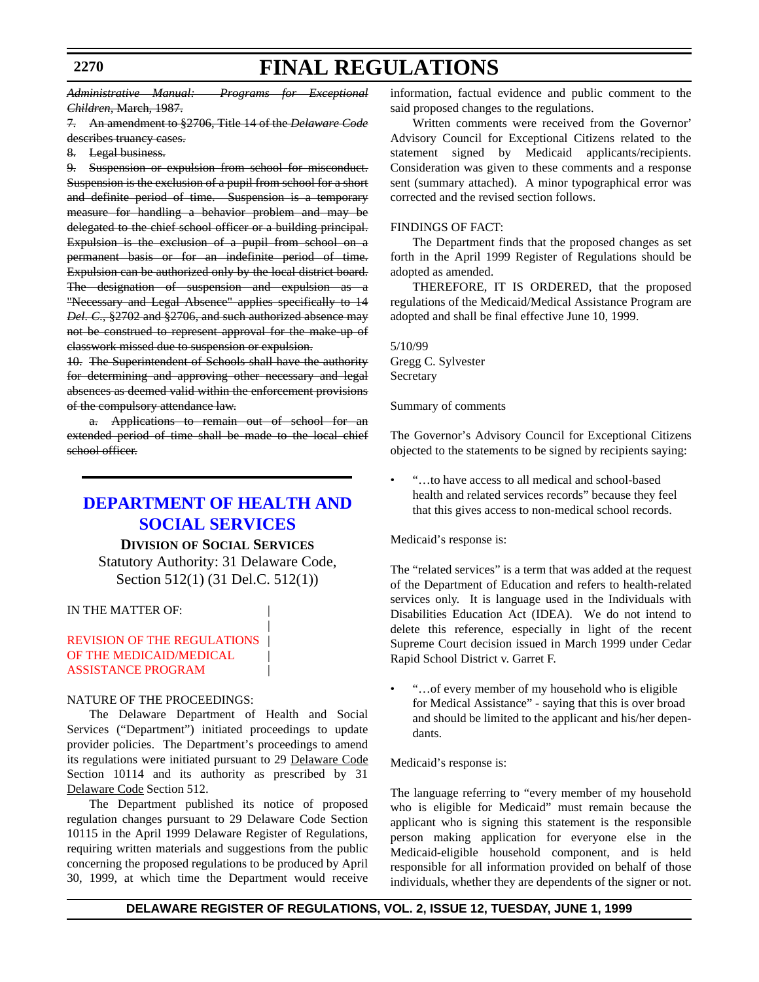*Administrative Manual: Programs for Exceptional Children*, March, 1987.

7. An amendment to §2706, Title 14 of the *Delaware Code*

- describes truancy cases.
- 8. Legal business.

9. Suspension or expulsion from school for misconduct. Suspension is the exclusion of a pupil from school for a short and definite period of time. Suspension is a temporary measure for handling a behavior problem and may be delegated to the chief school officer or a building principal. Expulsion is the exclusion of a pupil from school on a permanent basis or for an indefinite period of time. Expulsion can be authorized only by the local district board. The designation of suspension and expulsion as a "Necessary and Legal Absence" applies specifically to 14 *Del. C*., §2702 and §2706, and such authorized absence may not be construed to represent approval for the make-up of classwork missed due to suspension or expulsion.

10. The Superintendent of Schools shall have the authority for determining and approving other necessary and legal absences as deemed valid within the enforcement provisions of the compulsory attendance law.

a. Applications to remain out of school for an extended period of time shall be made to the local chief school officer.

## **[DEPARTMENT OF HEALTH AND](http://www.state.de.us/dhss/irm/dhss.htm) SOCIAL SERVICES**

## **DIVISION OF SOCIAL SERVICES**

Statutory Authority: 31 Delaware Code, Section 512(1) (31 Del.C. 512(1))

|

## IN THE MATTER OF:

## [REVISION OF THE REGULATIONS](#page-3-0) OF THE MEDICAID/MEDICAL ASSISTANCE PROGRAM |

## NATURE OF THE PROCEEDINGS:

The Delaware Department of Health and Social Services ("Department") initiated proceedings to update provider policies. The Department's proceedings to amend its regulations were initiated pursuant to 29 Delaware Code Section 10114 and its authority as prescribed by 31 Delaware Code Section 512.

The Department published its notice of proposed regulation changes pursuant to 29 Delaware Code Section 10115 in the April 1999 Delaware Register of Regulations, requiring written materials and suggestions from the public concerning the proposed regulations to be produced by April 30, 1999, at which time the Department would receive information, factual evidence and public comment to the said proposed changes to the regulations.

Written comments were received from the Governor' Advisory Council for Exceptional Citizens related to the statement signed by Medicaid applicants/recipients. Consideration was given to these comments and a response sent (summary attached). A minor typographical error was corrected and the revised section follows.

## FINDINGS OF FACT:

The Department finds that the proposed changes as set forth in the April 1999 Register of Regulations should be adopted as amended.

THEREFORE, IT IS ORDERED, that the proposed regulations of the Medicaid/Medical Assistance Program are adopted and shall be final effective June 10, 1999.

5/10/99 Gregg C. Sylvester Secretary

Summary of comments

The Governor's Advisory Council for Exceptional Citizens objected to the statements to be signed by recipients saying:

• "…to have access to all medical and school-based health and related services records" because they feel that this gives access to non-medical school records.

Medicaid's response is:

The "related services" is a term that was added at the request of the Department of Education and refers to health-related services only. It is language used in the Individuals with Disabilities Education Act (IDEA). We do not intend to delete this reference, especially in light of the recent Supreme Court decision issued in March 1999 under Cedar Rapid School District v. Garret F.

• "…of every member of my household who is eligible for Medical Assistance" - saying that this is over broad and should be limited to the applicant and his/her dependants.

## Medicaid's response is:

The language referring to "every member of my household who is eligible for Medicaid" must remain because the applicant who is signing this statement is the responsible person making application for everyone else in the Medicaid-eligible household component, and is held responsible for all information provided on behalf of those individuals, whether they are dependents of the signer or not.

## **DELAWARE REGISTER OF REGULATIONS, VOL. 2, ISSUE 12, TUESDAY, JUNE 1, 1999**

## **2270**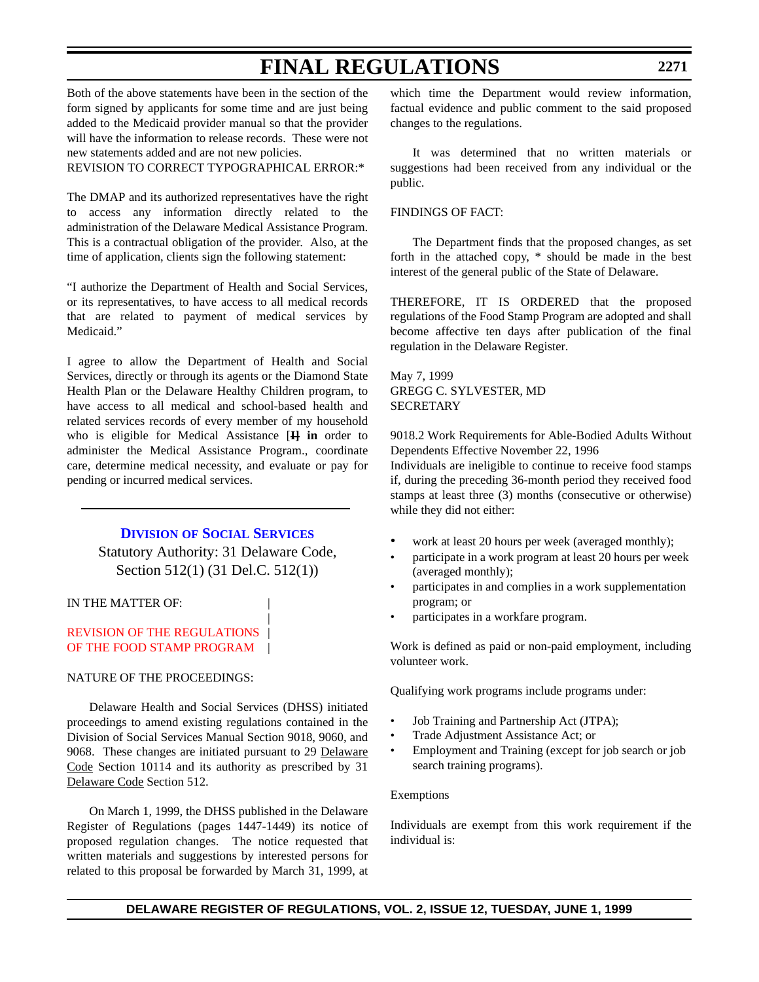Both of the above statements have been in the section of the form signed by applicants for some time and are just being added to the Medicaid provider manual so that the provider will have the information to release records. These were not new statements added and are not new policies.

REVISION TO CORRECT TYPOGRAPHICAL ERROR:\*

The DMAP and its authorized representatives have the right to access any information directly related to the administration of the Delaware Medical Assistance Program. This is a contractual obligation of the provider. Also, at the time of application, clients sign the following statement:

"I authorize the Department of Health and Social Services, or its representatives, to have access to all medical records that are related to payment of medical services by Medicaid."

I agree to allow the Department of Health and Social Services, directly or through its agents or the Diamond State Health Plan or the Delaware Healthy Children program, to have access to all medical and school-based health and related services records of every member of my household who is eligible for Medical Assistance [**I] in** order to administer the Medical Assistance Program., coordinate care, determine medical necessity, and evaluate or pay for pending or incurred medical services.

## **DIVISION [OF SOCIAL SERVICES](http://www.state.de.us/dhss/irm/dhss.htm)**

Statutory Authority: 31 Delaware Code, Section 512(1) (31 Del.C. 512(1))

|

## IN THE MATTER OF:

## [REVISION OF THE REGULATIONS](#page-3-0) | OF THE FOOD STAMP PROGRAM |

### NATURE OF THE PROCEEDINGS:

Delaware Health and Social Services (DHSS) initiated proceedings to amend existing regulations contained in the Division of Social Services Manual Section 9018, 9060, and 9068. These changes are initiated pursuant to 29 Delaware Code Section 10114 and its authority as prescribed by 31 Delaware Code Section 512.

On March 1, 1999, the DHSS published in the Delaware Register of Regulations (pages 1447-1449) its notice of proposed regulation changes. The notice requested that written materials and suggestions by interested persons for related to this proposal be forwarded by March 31, 1999, at which time the Department would review information, factual evidence and public comment to the said proposed changes to the regulations.

It was determined that no written materials or suggestions had been received from any individual or the public.

## FINDINGS OF FACT:

The Department finds that the proposed changes, as set forth in the attached copy, \* should be made in the best interest of the general public of the State of Delaware.

THEREFORE, IT IS ORDERED that the proposed regulations of the Food Stamp Program are adopted and shall become affective ten days after publication of the final regulation in the Delaware Register.

## May 7, 1999 GREGG C. SYLVESTER, MD **SECRETARY**

9018.2 Work Requirements for Able-Bodied Adults Without Dependents Effective November 22, 1996

Individuals are ineligible to continue to receive food stamps if, during the preceding 36-month period they received food stamps at least three (3) months (consecutive or otherwise) while they did not either:

- work at least 20 hours per week (averaged monthly);
- participate in a work program at least 20 hours per week (averaged monthly);
- participates in and complies in a work supplementation program; or
- participates in a workfare program.

Work is defined as paid or non-paid employment, including volunteer work.

Qualifying work programs include programs under:

- Job Training and Partnership Act (JTPA);
- Trade Adjustment Assistance Act; or
- Employment and Training (except for job search or job search training programs).

#### Exemptions

Individuals are exempt from this work requirement if the individual is: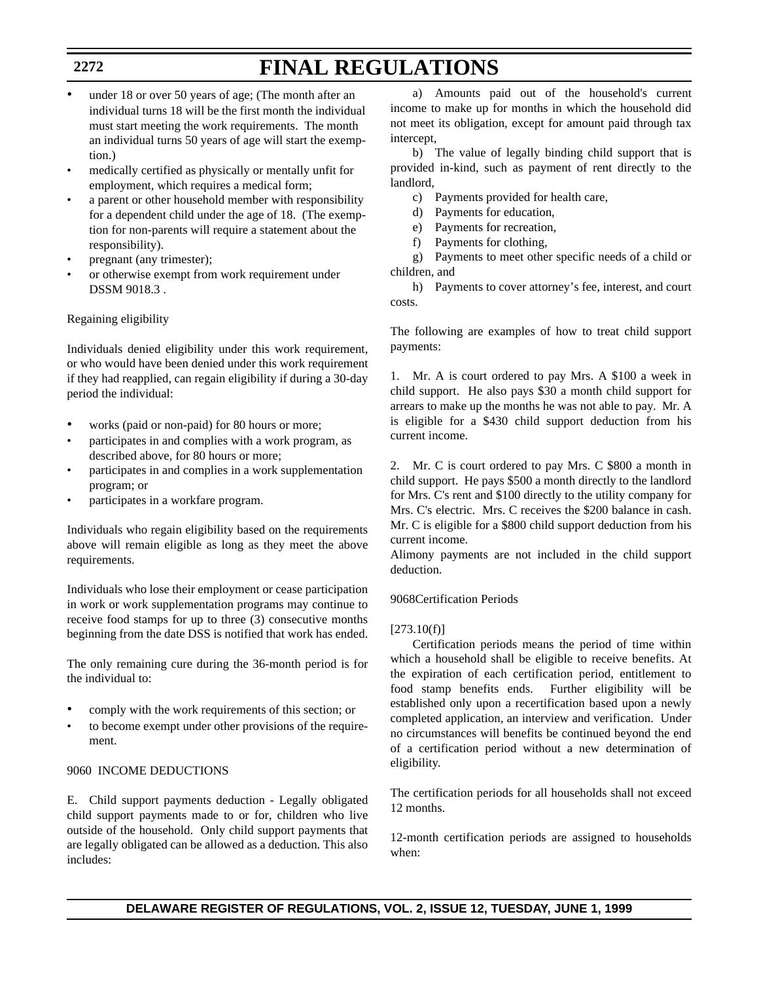- under 18 or over 50 years of age; (The month after an individual turns 18 will be the first month the individual must start meeting the work requirements. The month an individual turns 50 years of age will start the exemption.)
- medically certified as physically or mentally unfit for employment, which requires a medical form;
- a parent or other household member with responsibility for a dependent child under the age of 18. (The exemption for non-parents will require a statement about the responsibility).
- pregnant (any trimester);
- or otherwise exempt from work requirement under DSSM 9018.3 .

## Regaining eligibility

Individuals denied eligibility under this work requirement, or who would have been denied under this work requirement if they had reapplied, can regain eligibility if during a 30-day period the individual:

- works (paid or non-paid) for 80 hours or more;
- participates in and complies with a work program, as described above, for 80 hours or more;
- participates in and complies in a work supplementation program; or
- participates in a workfare program.

Individuals who regain eligibility based on the requirements above will remain eligible as long as they meet the above requirements.

Individuals who lose their employment or cease participation in work or work supplementation programs may continue to receive food stamps for up to three (3) consecutive months beginning from the date DSS is notified that work has ended.

The only remaining cure during the 36-month period is for the individual to:

- comply with the work requirements of this section; or
- to become exempt under other provisions of the requirement.

## 9060 INCOME DEDUCTIONS

E. Child support payments deduction - Legally obligated child support payments made to or for, children who live outside of the household. Only child support payments that are legally obligated can be allowed as a deduction. This also includes:

a) Amounts paid out of the household's current income to make up for months in which the household did not meet its obligation, except for amount paid through tax intercept,

b) The value of legally binding child support that is provided in-kind, such as payment of rent directly to the landlord,

- c) Payments provided for health care,
- d) Payments for education,
- e) Payments for recreation,
- f) Payments for clothing,

g) Payments to meet other specific needs of a child or children, and

h) Payments to cover attorney's fee, interest, and court costs.

The following are examples of how to treat child support payments:

1. Mr. A is court ordered to pay Mrs. A \$100 a week in child support. He also pays \$30 a month child support for arrears to make up the months he was not able to pay. Mr. A is eligible for a \$430 child support deduction from his current income.

2. Mr. C is court ordered to pay Mrs. C \$800 a month in child support. He pays \$500 a month directly to the landlord for Mrs. C's rent and \$100 directly to the utility company for Mrs. C's electric. Mrs. C receives the \$200 balance in cash. Mr. C is eligible for a \$800 child support deduction from his current income.

Alimony payments are not included in the child support deduction.

## 9068Certification Periods

## $[273.10(f)]$

Certification periods means the period of time within which a household shall be eligible to receive benefits. At the expiration of each certification period, entitlement to food stamp benefits ends. Further eligibility will be established only upon a recertification based upon a newly completed application, an interview and verification. Under no circumstances will benefits be continued beyond the end of a certification period without a new determination of eligibility.

The certification periods for all households shall not exceed 12 months.

12-month certification periods are assigned to households when:

## **2272**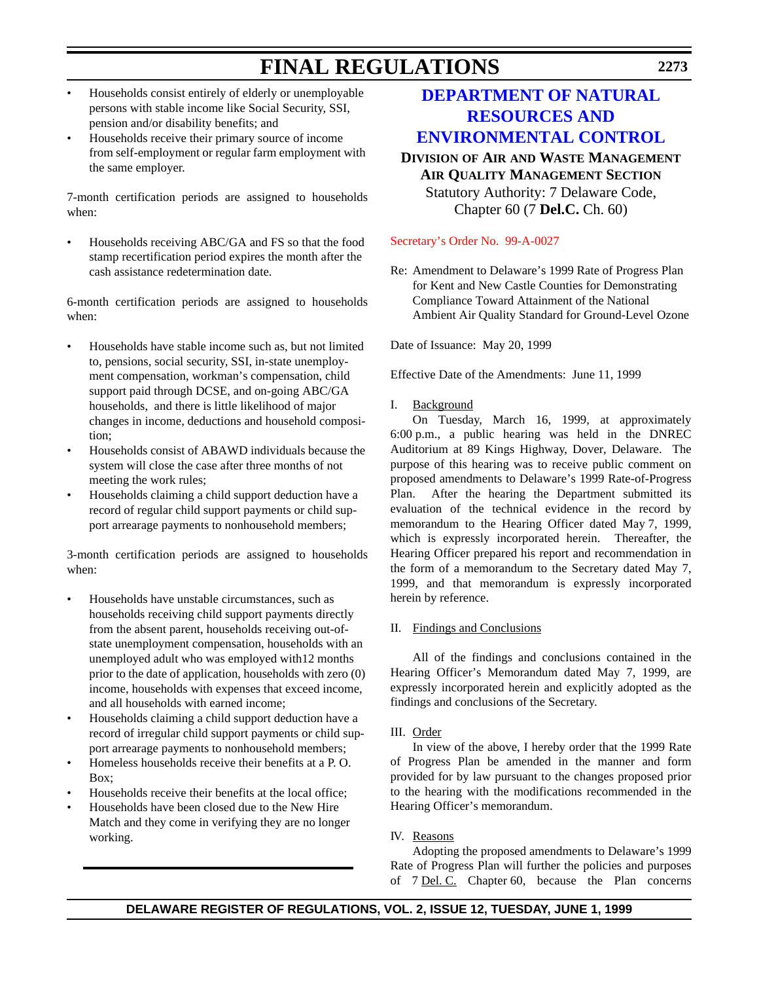- Households consist entirely of elderly or unemployable persons with stable income like Social Security, SSI, pension and/or disability benefits; and
- Households receive their primary source of income from self-employment or regular farm employment with the same employer.

7-month certification periods are assigned to households when:

• Households receiving ABC/GA and FS so that the food stamp recertification period expires the month after the cash assistance redetermination date.

6-month certification periods are assigned to households when:

- Households have stable income such as, but not limited to, pensions, social security, SSI, in-state unemployment compensation, workman's compensation, child support paid through DCSE, and on-going ABC/GA households, and there is little likelihood of major changes in income, deductions and household composition;
- Households consist of ABAWD individuals because the system will close the case after three months of not meeting the work rules;
- Households claiming a child support deduction have a record of regular child support payments or child support arrearage payments to nonhousehold members;

3-month certification periods are assigned to households when:

- Households have unstable circumstances, such as households receiving child support payments directly from the absent parent, households receiving out-ofstate unemployment compensation, households with an unemployed adult who was employed with12 months prior to the date of application, households with zero (0) income, households with expenses that exceed income, and all households with earned income;
- Households claiming a child support deduction have a record of irregular child support payments or child support arrearage payments to nonhousehold members;
- Homeless households receive their benefits at a P. O.  $B_0x$
- Households receive their benefits at the local office;
- Households have been closed due to the New Hire Match and they come in verifying they are no longer working.

## **DEPARTMENT OF NATURAL RESOURCES AND [ENVIRONMENTAL CONTROL](http://www.dnrec.state.de.us/)**

**DIVISION OF AIR AND WASTE MANAGEMENT AIR QUALITY MANAGEMENT SECTION** Statutory Authority: 7 Delaware Code, Chapter 60 (7 **Del.C.** Ch. 60)

[Secretary's Order No. 99-A-0027](#page-3-0)

Re: Amendment to Delaware's 1999 Rate of Progress Plan for Kent and New Castle Counties for Demonstrating Compliance Toward Attainment of the National Ambient Air Quality Standard for Ground-Level Ozone

Date of Issuance: May 20, 1999

Effective Date of the Amendments: June 11, 1999

I. Background

On Tuesday, March 16, 1999, at approximately 6:00 p.m., a public hearing was held in the DNREC Auditorium at 89 Kings Highway, Dover, Delaware. The purpose of this hearing was to receive public comment on proposed amendments to Delaware's 1999 Rate-of-Progress Plan. After the hearing the Department submitted its evaluation of the technical evidence in the record by memorandum to the Hearing Officer dated May 7, 1999, which is expressly incorporated herein. Thereafter, the Hearing Officer prepared his report and recommendation in the form of a memorandum to the Secretary dated May 7, 1999, and that memorandum is expressly incorporated herein by reference.

## II. Findings and Conclusions

All of the findings and conclusions contained in the Hearing Officer's Memorandum dated May 7, 1999, are expressly incorporated herein and explicitly adopted as the findings and conclusions of the Secretary.

## III. Order

In view of the above, I hereby order that the 1999 Rate of Progress Plan be amended in the manner and form provided for by law pursuant to the changes proposed prior to the hearing with the modifications recommended in the Hearing Officer's memorandum.

IV. Reasons

Adopting the proposed amendments to Delaware's 1999 Rate of Progress Plan will further the policies and purposes of 7 Del. C. Chapter 60, because the Plan concerns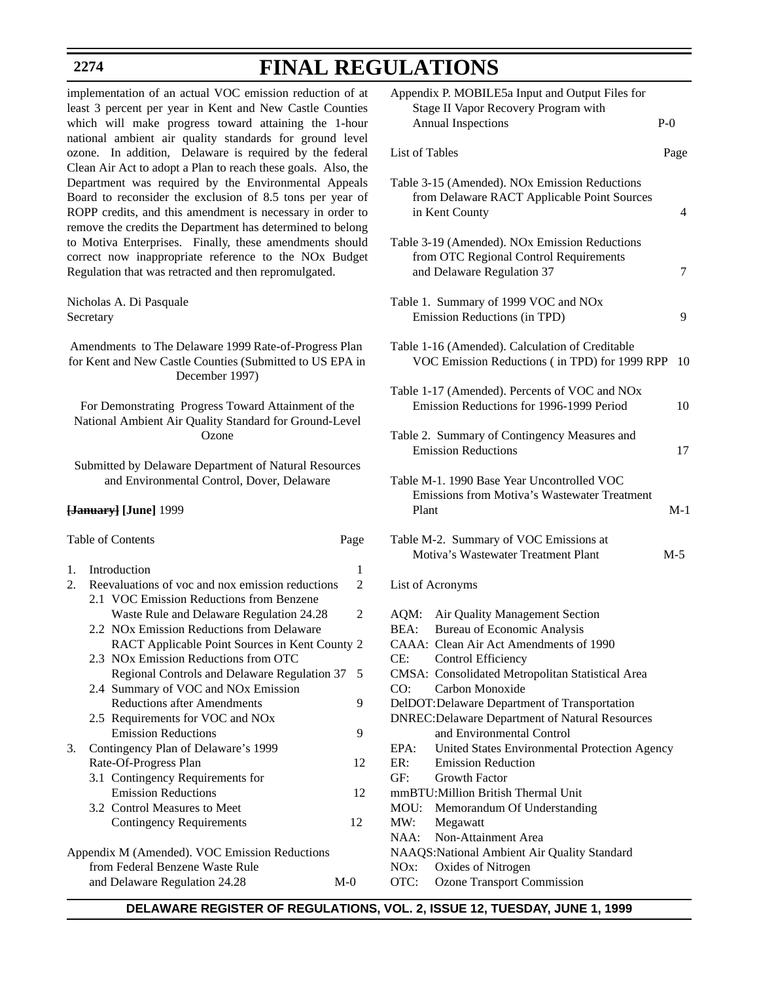# **FINAL REGULATIONS**

implementation of an actual VOC emission reduction of at least 3 percent per year in Kent and New Castle Counties which will make progress toward attaining the 1-hour national ambient air quality standards for ground level ozone. In addition, Delaware is required by the federal Clean Air Act to adopt a Plan to reach these goals. Also, the Department was required by the Environmental Appeals Board to reconsider the exclusion of 8.5 tons per year of ROPP credits, and this amendment is necessary in order to remove the credits the Department has determined to belong to Motiva Enterprises. Finally, these amendments should correct now inappropriate reference to the NOx Budget Regulation that was retracted and then repromulgated. Nicholas A. Di Pasquale **Secretary** 

Amendments to The Delaware 1999 Rate-of-Progress Plan for Kent and New Castle Counties (Submitted to US EPA in December 1997)

For Demonstrating Progress Toward Attainment of the National Ambient Air Quality Standard for Ground-Level Ozone

Submitted by Delaware Department of Natural Resources and Environmental Control, Dover, Delaware

### **[January] [June]** 1999

## Table of Contents Page

| 1. | Introduction                                     | 1     |
|----|--------------------------------------------------|-------|
| 2. | Reevaluations of voc and nox emission reductions | 2     |
|    | 2.1 VOC Emission Reductions from Benzene         |       |
|    | Waste Rule and Delaware Regulation 24.28         | 2     |
|    | 2.2 NOx Emission Reductions from Delaware        |       |
|    | RACT Applicable Point Sources in Kent County 2   |       |
|    | 2.3 NOx Emission Reductions from OTC             |       |
|    | Regional Controls and Delaware Regulation 37     | 5     |
|    | 2.4 Summary of VOC and NO <sub>x</sub> Emission  |       |
|    | <b>Reductions after Amendments</b>               | 9     |
|    | 2.5 Requirements for VOC and NO <sub>x</sub>     |       |
|    | <b>Emission Reductions</b>                       | 9     |
| 3. | Contingency Plan of Delaware's 1999              |       |
|    | Rate-Of-Progress Plan                            | 12    |
|    | 3.1 Contingency Requirements for                 |       |
|    | <b>Emission Reductions</b>                       | 12    |
|    | 3.2 Control Measures to Meet                     |       |
|    | Contingency Requirements                         | 12    |
|    | Appendix M (Amended). VOC Emission Reductions    |       |
|    | from Federal Benzene Waste Rule                  |       |
|    | and Delaware Regulation 24.28                    | $M-0$ |

|                                                  | Appendix P. MOBILE5a Input and Output Files for<br>Stage II Vapor Recovery Program with<br><b>Annual Inspections</b>                                                                                                                                                                                                                                                                                                                                                                      | $P-0$ |
|--------------------------------------------------|-------------------------------------------------------------------------------------------------------------------------------------------------------------------------------------------------------------------------------------------------------------------------------------------------------------------------------------------------------------------------------------------------------------------------------------------------------------------------------------------|-------|
|                                                  | List of Tables                                                                                                                                                                                                                                                                                                                                                                                                                                                                            | Page  |
|                                                  | Table 3-15 (Amended). NOx Emission Reductions<br>from Delaware RACT Applicable Point Sources<br>in Kent County                                                                                                                                                                                                                                                                                                                                                                            | 4     |
|                                                  | Table 3-19 (Amended). NOx Emission Reductions<br>from OTC Regional Control Requirements<br>and Delaware Regulation 37                                                                                                                                                                                                                                                                                                                                                                     | 7     |
|                                                  | Table 1. Summary of 1999 VOC and NOx<br>Emission Reductions (in TPD)                                                                                                                                                                                                                                                                                                                                                                                                                      | 9     |
|                                                  | Table 1-16 (Amended). Calculation of Creditable<br>VOC Emission Reductions (in TPD) for 1999 RPP                                                                                                                                                                                                                                                                                                                                                                                          | 10    |
|                                                  | Table 1-17 (Amended). Percents of VOC and NOx<br>Emission Reductions for 1996-1999 Period                                                                                                                                                                                                                                                                                                                                                                                                 | 10    |
|                                                  | Table 2. Summary of Contingency Measures and<br><b>Emission Reductions</b>                                                                                                                                                                                                                                                                                                                                                                                                                | 17    |
|                                                  | Table M-1. 1990 Base Year Uncontrolled VOC<br>Emissions from Motiva's Wastewater Treatment<br>Plant                                                                                                                                                                                                                                                                                                                                                                                       | $M-1$ |
|                                                  | Table M-2. Summary of VOC Emissions at<br>Motiva's Wastewater Treatment Plant                                                                                                                                                                                                                                                                                                                                                                                                             | $M-5$ |
|                                                  | List of Acronyms                                                                                                                                                                                                                                                                                                                                                                                                                                                                          |       |
| AQM:<br>BEA:<br>CE:<br>CO:<br>EPA:<br>ER:<br>GF: | Air Quality Management Section<br><b>Bureau of Economic Analysis</b><br>CAAA: Clean Air Act Amendments of 1990<br>Control Efficiency<br>CMSA: Consolidated Metropolitan Statistical Area<br>Carbon Monoxide<br>DelDOT: Delaware Department of Transportation<br><b>DNREC: Delaware Department of Natural Resources</b><br>and Environmental Control<br>United States Environmental Protection Agency<br><b>Emission Reduction</b><br>Growth Factor<br>mmBTU: Million British Thermal Unit |       |
| MW:<br>NO <sub>x</sub> :                         | MOU: Memorandum Of Understanding<br>Megawatt<br>NAA: Non-Attainment Area<br>NAAQS:National Ambient Air Quality Standard<br>Oxides of Nitrogen                                                                                                                                                                                                                                                                                                                                             |       |

**DELAWARE REGISTER OF REGULATIONS, VOL. 2, ISSUE 12, TUESDAY, JUNE 1, 1999**

OTC: Ozone Transport Commission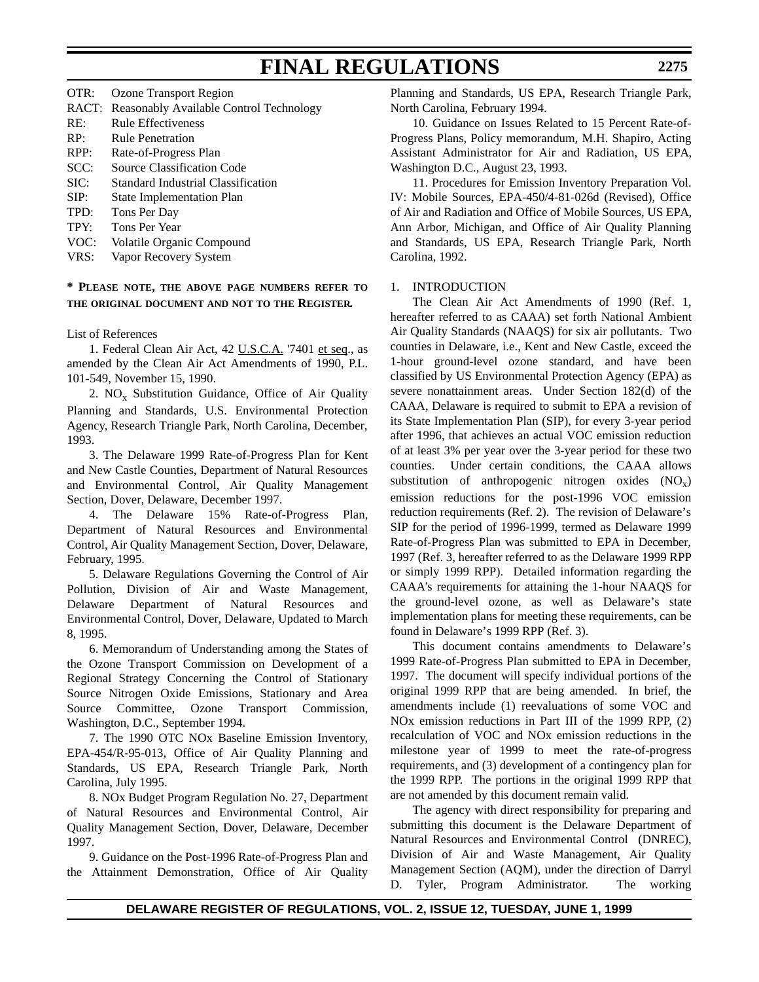| OTR: | Ozone Transport Region                        |
|------|-----------------------------------------------|
|      | RACT: Reasonably Available Control Technology |
| RE:  | Rule Effectiveness                            |
| RP:  | Rule Penetration                              |
| RPP: | Rate-of-Progress Plan                         |
| SCC: | <b>Source Classification Code</b>             |
| SIC: | Standard Industrial Classification            |
| SIP: | <b>State Implementation Plan</b>              |
| TPD: | Tons Per Day                                  |
| TPY: | Tons Per Year                                 |
| VOC: | Volatile Organic Compound                     |
|      |                                               |

VRS: Vapor Recovery System

## **\* PLEASE NOTE, THE ABOVE PAGE NUMBERS REFER TO THE ORIGINAL DOCUMENT AND NOT TO THE REGISTER.**

## List of References

1. Federal Clean Air Act, 42 U.S.C.A. '7401 et seq., as amended by the Clean Air Act Amendments of 1990, P.L. 101-549, November 15, 1990.

2.  $NO_x$  Substitution Guidance, Office of Air Quality Planning and Standards, U.S. Environmental Protection Agency, Research Triangle Park, North Carolina, December, 1993.

3. The Delaware 1999 Rate-of-Progress Plan for Kent and New Castle Counties, Department of Natural Resources and Environmental Control, Air Quality Management Section, Dover, Delaware, December 1997.

4. The Delaware 15% Rate-of-Progress Plan, Department of Natural Resources and Environmental Control, Air Quality Management Section, Dover, Delaware, February, 1995.

5. Delaware Regulations Governing the Control of Air Pollution, Division of Air and Waste Management, Delaware Department of Natural Resources and Environmental Control, Dover, Delaware, Updated to March 8, 1995.

6. Memorandum of Understanding among the States of the Ozone Transport Commission on Development of a Regional Strategy Concerning the Control of Stationary Source Nitrogen Oxide Emissions, Stationary and Area Source Committee, Ozone Transport Commission, Washington, D.C., September 1994.

7. The 1990 OTC NOx Baseline Emission Inventory, EPA-454/R-95-013, Office of Air Quality Planning and Standards, US EPA, Research Triangle Park, North Carolina, July 1995.

8. NOx Budget Program Regulation No. 27, Department of Natural Resources and Environmental Control, Air Quality Management Section, Dover, Delaware, December 1997.

9. Guidance on the Post-1996 Rate-of-Progress Plan and the Attainment Demonstration, Office of Air Quality Planning and Standards, US EPA, Research Triangle Park, North Carolina, February 1994.

10. Guidance on Issues Related to 15 Percent Rate-of-Progress Plans, Policy memorandum, M.H. Shapiro, Acting Assistant Administrator for Air and Radiation, US EPA, Washington D.C., August 23, 1993.

11. Procedures for Emission Inventory Preparation Vol. IV: Mobile Sources, EPA-450/4-81-026d (Revised), Office of Air and Radiation and Office of Mobile Sources, US EPA, Ann Arbor, Michigan, and Office of Air Quality Planning and Standards, US EPA, Research Triangle Park, North Carolina, 1992.

## 1. INTRODUCTION

The Clean Air Act Amendments of 1990 (Ref. 1, hereafter referred to as CAAA) set forth National Ambient Air Quality Standards (NAAQS) for six air pollutants. Two counties in Delaware, i.e., Kent and New Castle, exceed the 1-hour ground-level ozone standard, and have been classified by US Environmental Protection Agency (EPA) as severe nonattainment areas. Under Section 182(d) of the CAAA, Delaware is required to submit to EPA a revision of its State Implementation Plan (SIP), for every 3-year period after 1996, that achieves an actual VOC emission reduction of at least 3% per year over the 3-year period for these two counties. Under certain conditions, the CAAA allows substitution of anthropogenic nitrogen oxides  $(NO_x)$ emission reductions for the post-1996 VOC emission reduction requirements (Ref. 2). The revision of Delaware's SIP for the period of 1996-1999, termed as Delaware 1999 Rate-of-Progress Plan was submitted to EPA in December, 1997 (Ref. 3, hereafter referred to as the Delaware 1999 RPP or simply 1999 RPP). Detailed information regarding the CAAA's requirements for attaining the 1-hour NAAQS for the ground-level ozone, as well as Delaware's state implementation plans for meeting these requirements, can be found in Delaware's 1999 RPP (Ref. 3).

This document contains amendments to Delaware's 1999 Rate-of-Progress Plan submitted to EPA in December, 1997. The document will specify individual portions of the original 1999 RPP that are being amended. In brief, the amendments include (1) reevaluations of some VOC and NOx emission reductions in Part III of the 1999 RPP, (2) recalculation of VOC and NOx emission reductions in the milestone year of 1999 to meet the rate-of-progress requirements, and (3) development of a contingency plan for the 1999 RPP. The portions in the original 1999 RPP that are not amended by this document remain valid.

The agency with direct responsibility for preparing and submitting this document is the Delaware Department of Natural Resources and Environmental Control (DNREC), Division of Air and Waste Management, Air Quality Management Section (AQM), under the direction of Darryl D. Tyler, Program Administrator. The working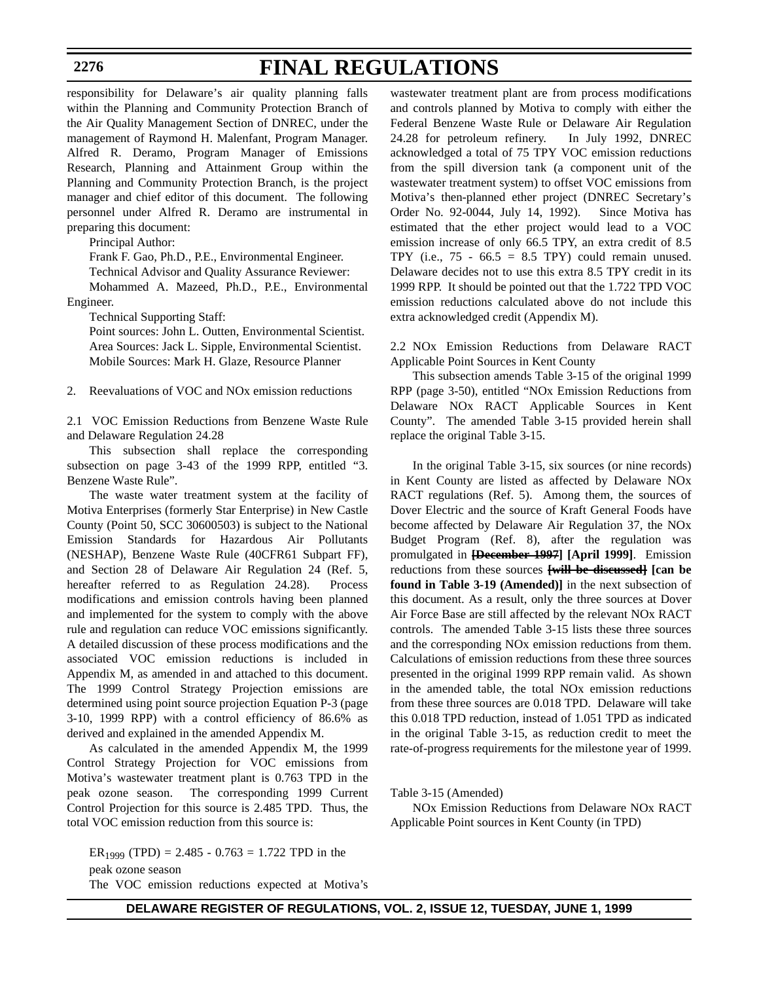## **FINAL REGULATIONS**

responsibility for Delaware's air quality planning falls within the Planning and Community Protection Branch of the Air Quality Management Section of DNREC, under the management of Raymond H. Malenfant, Program Manager. Alfred R. Deramo, Program Manager of Emissions Research, Planning and Attainment Group within the Planning and Community Protection Branch, is the project manager and chief editor of this document. The following personnel under Alfred R. Deramo are instrumental in preparing this document:

Principal Author:

Frank F. Gao, Ph.D., P.E., Environmental Engineer.

Technical Advisor and Quality Assurance Reviewer:

Mohammed A. Mazeed, Ph.D., P.E., Environmental Engineer.

Technical Supporting Staff:

Point sources: John L. Outten, Environmental Scientist. Area Sources: Jack L. Sipple, Environmental Scientist. Mobile Sources: Mark H. Glaze, Resource Planner

2. Reevaluations of VOC and NOx emission reductions

2.1 VOC Emission Reductions from Benzene Waste Rule and Delaware Regulation 24.28

This subsection shall replace the corresponding subsection on page 3-43 of the 1999 RPP, entitled "3. Benzene Waste Rule".

The waste water treatment system at the facility of Motiva Enterprises (formerly Star Enterprise) in New Castle County (Point 50, SCC 30600503) is subject to the National Emission Standards for Hazardous Air Pollutants (NESHAP), Benzene Waste Rule (40CFR61 Subpart FF), and Section 28 of Delaware Air Regulation 24 (Ref. 5, hereafter referred to as Regulation 24.28). Process modifications and emission controls having been planned and implemented for the system to comply with the above rule and regulation can reduce VOC emissions significantly. A detailed discussion of these process modifications and the associated VOC emission reductions is included in Appendix M, as amended in and attached to this document. The 1999 Control Strategy Projection emissions are determined using point source projection Equation P-3 (page 3-10, 1999 RPP) with a control efficiency of 86.6% as derived and explained in the amended Appendix M.

As calculated in the amended Appendix M, the 1999 Control Strategy Projection for VOC emissions from Motiva's wastewater treatment plant is 0.763 TPD in the peak ozone season. The corresponding 1999 Current Control Projection for this source is 2.485 TPD. Thus, the total VOC emission reduction from this source is:

ER<sub>1999</sub> (TPD) = 2.485 - 0.763 = 1.722 TPD in the peak ozone season The VOC emission reductions expected at Motiva's wastewater treatment plant are from process modifications and controls planned by Motiva to comply with either the Federal Benzene Waste Rule or Delaware Air Regulation 24.28 for petroleum refinery. In July 1992, DNREC acknowledged a total of 75 TPY VOC emission reductions from the spill diversion tank (a component unit of the wastewater treatment system) to offset VOC emissions from Motiva's then-planned ether project (DNREC Secretary's Order No. 92-0044, July 14, 1992). Since Motiva has estimated that the ether project would lead to a VOC emission increase of only 66.5 TPY, an extra credit of 8.5 TPY (i.e.,  $75 - 66.5 = 8.5$  TPY) could remain unused. Delaware decides not to use this extra 8.5 TPY credit in its 1999 RPP. It should be pointed out that the 1.722 TPD VOC emission reductions calculated above do not include this extra acknowledged credit (Appendix M).

2.2 NOx Emission Reductions from Delaware RACT Applicable Point Sources in Kent County

This subsection amends Table 3-15 of the original 1999 RPP (page 3-50), entitled "NOx Emission Reductions from Delaware NOx RACT Applicable Sources in Kent County". The amended Table 3-15 provided herein shall replace the original Table 3-15.

In the original Table 3-15, six sources (or nine records) in Kent County are listed as affected by Delaware NOx RACT regulations (Ref. 5). Among them, the sources of Dover Electric and the source of Kraft General Foods have become affected by Delaware Air Regulation 37, the NOx Budget Program (Ref. 8), after the regulation was promulgated in **[December 1997] [April 1999]**. Emission reductions from these sources **[will be discussed] [can be found in Table 3-19 (Amended)]** in the next subsection of this document. As a result, only the three sources at Dover Air Force Base are still affected by the relevant NOx RACT controls. The amended Table 3-15 lists these three sources and the corresponding NOx emission reductions from them. Calculations of emission reductions from these three sources presented in the original 1999 RPP remain valid. As shown in the amended table, the total NOx emission reductions from these three sources are 0.018 TPD. Delaware will take this 0.018 TPD reduction, instead of 1.051 TPD as indicated in the original Table 3-15, as reduction credit to meet the rate-of-progress requirements for the milestone year of 1999.

Table 3-15 (Amended)

NOx Emission Reductions from Delaware NOx RACT Applicable Point sources in Kent County (in TPD)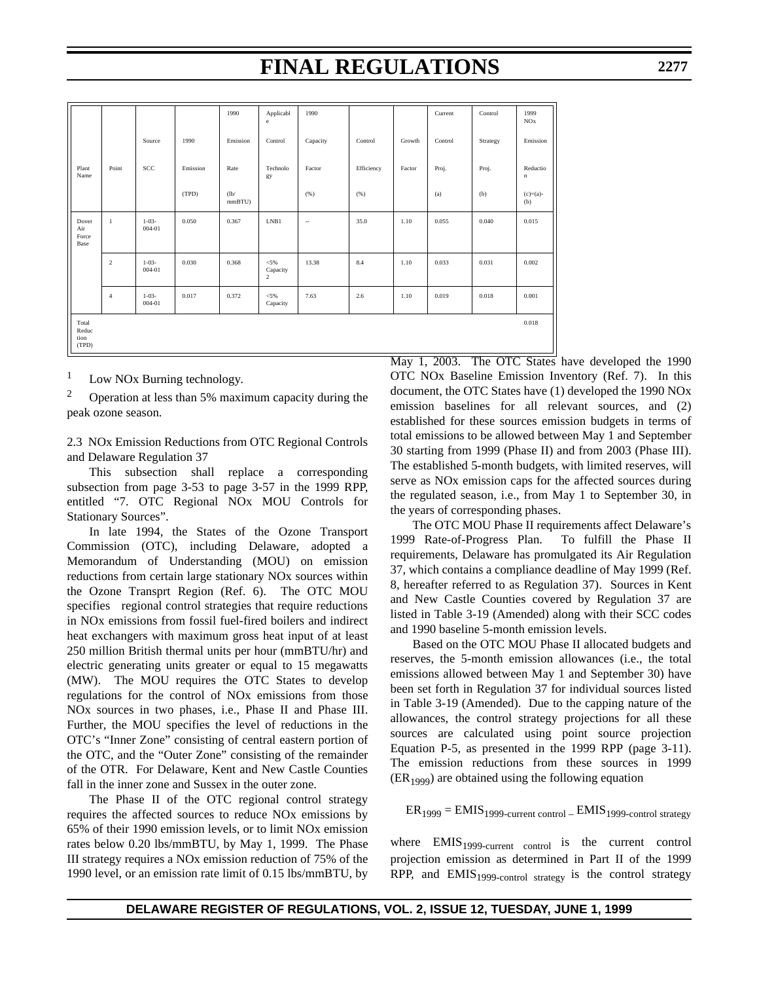|                                 |                |                          |          | 1990           | Applicabl<br>e                        | 1990     |            |        | Current | Control  | 1999<br><b>NO</b> <sub>x</sub> |
|---------------------------------|----------------|--------------------------|----------|----------------|---------------------------------------|----------|------------|--------|---------|----------|--------------------------------|
|                                 |                | Source                   | 1990     | Emission       | Control                               | Capacity | Control    | Growth | Control | Strategy | Emission                       |
| Plant<br>Name                   | Point          | SCC                      | Emission | Rate           | Technolo<br>gy                        | Factor   | Efficiency | Factor | Proj.   | Proj.    | Reductio<br>$\mathbf n$        |
|                                 |                |                          | (TPD)    | (lb)<br>mmBTU) |                                       | (% )     | (96)       |        | (a)     | (b)      | $(c)=(a)-$<br>(b)              |
| Dover<br>Air<br>Force<br>Base   | $\mathbf{1}$   | $1 - 03 -$<br>004-01     | 0.050    | 0.367          | LNB1                                  | $\sim$   | 35.0       | 1.10   | 0.055   | 0.040    | 0.015                          |
|                                 | $\overline{c}$ | $1 - 03 -$<br>$004 - 01$ | 0.030    | 0.368          | $< 5\%$<br>Capacity<br>$\overline{2}$ | 13.38    | 8.4        | 1.10   | 0.033   | 0.031    | 0.002                          |
|                                 | $\overline{4}$ | $1 - 03 -$<br>004-01     | 0.017    | 0.372          | $<$ 5%<br>Capacity                    | 7.63     | 2.6        | 1.10   | 0.019   | 0.018    | 0.001                          |
| Total<br>Reduc<br>tion<br>(TPD) |                |                          |          |                |                                       |          |            |        |         |          | 0.018                          |

Low NO<sub>x</sub> Burning technology.

 $2^{\circ}$  Operation at less than 5% maximum capacity during the peak ozone season.

2.3 NOx Emission Reductions from OTC Regional Controls and Delaware Regulation 37

This subsection shall replace a corresponding subsection from page 3-53 to page 3-57 in the 1999 RPP, entitled "7. OTC Regional NOx MOU Controls for Stationary Sources".

In late 1994, the States of the Ozone Transport Commission (OTC), including Delaware, adopted a Memorandum of Understanding (MOU) on emission reductions from certain large stationary NOx sources within the Ozone Transprt Region (Ref. 6). The OTC MOU specifies regional control strategies that require reductions in NOx emissions from fossil fuel-fired boilers and indirect heat exchangers with maximum gross heat input of at least 250 million British thermal units per hour (mmBTU/hr) and electric generating units greater or equal to 15 megawatts (MW). The MOU requires the OTC States to develop regulations for the control of NOx emissions from those NOx sources in two phases, i.e., Phase II and Phase III. Further, the MOU specifies the level of reductions in the OTC's "Inner Zone" consisting of central eastern portion of the OTC, and the "Outer Zone" consisting of the remainder of the OTR. For Delaware, Kent and New Castle Counties fall in the inner zone and Sussex in the outer zone.

The Phase II of the OTC regional control strategy requires the affected sources to reduce NOx emissions by 65% of their 1990 emission levels, or to limit NOx emission rates below 0.20 lbs/mmBTU, by May 1, 1999. The Phase III strategy requires a NOx emission reduction of 75% of the 1990 level, or an emission rate limit of 0.15 lbs/mmBTU, by May 1, 2003. The OTC States have developed the 1990 OTC NOx Baseline Emission Inventory (Ref. 7). In this document, the OTC States have (1) developed the 1990 NOx emission baselines for all relevant sources, and (2) established for these sources emission budgets in terms of total emissions to be allowed between May 1 and September 30 starting from 1999 (Phase II) and from 2003 (Phase III). The established 5-month budgets, with limited reserves, will serve as NOx emission caps for the affected sources during the regulated season, i.e., from May 1 to September 30, in the years of corresponding phases.

The OTC MOU Phase II requirements affect Delaware's 1999 Rate-of-Progress Plan. To fulfill the Phase II requirements, Delaware has promulgated its Air Regulation 37, which contains a compliance deadline of May 1999 (Ref. 8, hereafter referred to as Regulation 37). Sources in Kent and New Castle Counties covered by Regulation 37 are listed in Table 3-19 (Amended) along with their SCC codes and 1990 baseline 5-month emission levels.

Based on the OTC MOU Phase II allocated budgets and reserves, the 5-month emission allowances (i.e., the total emissions allowed between May 1 and September 30) have been set forth in Regulation 37 for individual sources listed in Table 3-19 (Amended). Due to the capping nature of the allowances, the control strategy projections for all these sources are calculated using point source projection Equation P-5, as presented in the 1999 RPP (page 3-11). The emission reductions from these sources in 1999  $(ER_{1999})$  are obtained using the following equation

 $ER<sub>1999</sub> = EMIS<sub>1999</sub>$ -current control –  $EMIS<sub>1999</sub>$ -control strategy

where  $EMIS<sub>1999-current</sub>$  control is the current control projection emission as determined in Part II of the 1999 RPP, and  $EMIS<sub>1999-control</sub> strategy is the control strategy$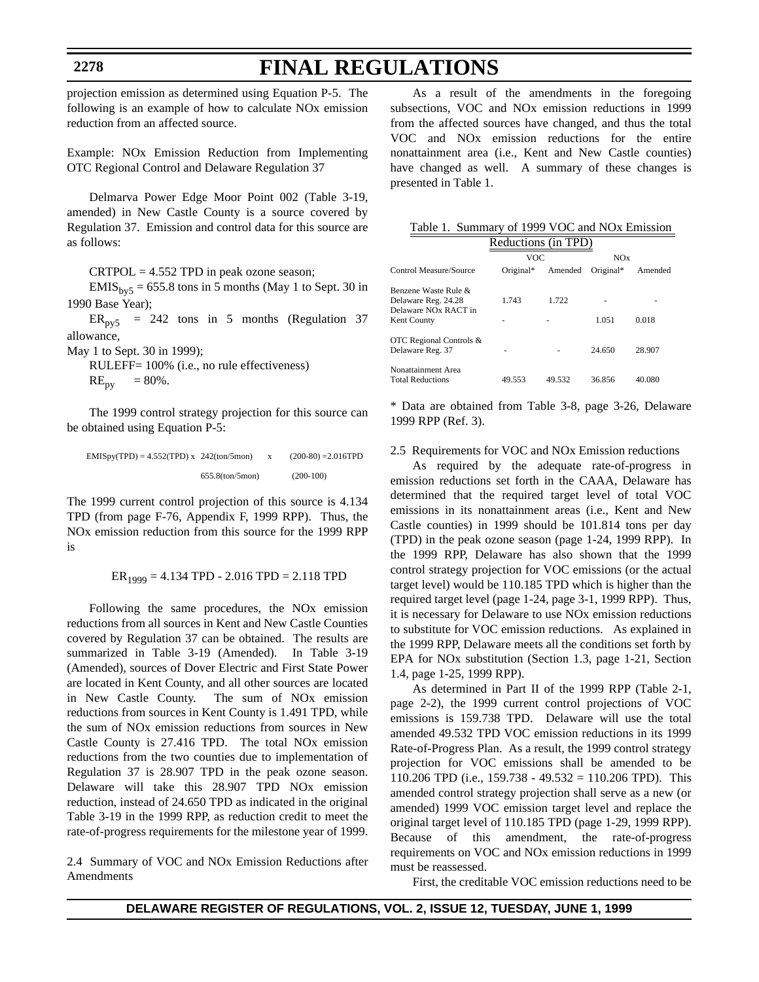projection emission as determined using Equation P-5. The following is an example of how to calculate NOx emission reduction from an affected source.

Example: NOx Emission Reduction from Implementing OTC Regional Control and Delaware Regulation 37

Delmarva Power Edge Moor Point 002 (Table 3-19, amended) in New Castle County is a source covered by Regulation 37. Emission and control data for this source are as follows:

 $CRTPOL = 4.552 TPD$  in peak ozone season;

 $EMIS<sub>by5</sub> = 655.8$  tons in 5 months (May 1 to Sept. 30 in 1990 Base Year);

 $ER<sub>py5</sub> = 242$  tons in 5 months (Regulation 37 allowance,

May 1 to Sept. 30 in 1999);

RULEFF= 100% (i.e., no rule effectiveness)  $RE_{\text{pv}} = 80\%$ .

The 1999 control strategy projection for this source can be obtained using Equation P-5:

| $EMISpy(TPD) = 4.552(TPD) x 242(ton/5mon)$ |                      | $(200-80) = 2.016$ TPD |
|--------------------------------------------|----------------------|------------------------|
|                                            | $655.8$ $(ton/5mon)$ | $(200-100)$            |

The 1999 current control projection of this source is 4.134 TPD (from page F-76, Appendix F, 1999 RPP). Thus, the NOx emission reduction from this source for the 1999 RPP is

 $ER_{1999} = 4.134$  TPD - 2.016 TPD = 2.118 TPD

Following the same procedures, the NOx emission reductions from all sources in Kent and New Castle Counties covered by Regulation 37 can be obtained. The results are summarized in Table 3-19 (Amended). In Table 3-19 (Amended), sources of Dover Electric and First State Power are located in Kent County, and all other sources are located in New Castle County. The sum of NOx emission reductions from sources in Kent County is 1.491 TPD, while the sum of NOx emission reductions from sources in New Castle County is 27.416 TPD. The total NOx emission reductions from the two counties due to implementation of Regulation 37 is 28.907 TPD in the peak ozone season. Delaware will take this 28.907 TPD NOx emission reduction, instead of 24.650 TPD as indicated in the original Table 3-19 in the 1999 RPP, as reduction credit to meet the rate-of-progress requirements for the milestone year of 1999.

2.4 Summary of VOC and NOx Emission Reductions after Amendments

As a result of the amendments in the foregoing subsections, VOC and NOx emission reductions in 1999 from the affected sources have changed, and thus the total VOC and NOx emission reductions for the entire nonattainment area (i.e., Kent and New Castle counties) have changed as well. A summary of these changes is presented in Table 1.

| Table 1. Summary of 1999 VOC and NO <sub>x</sub> Emission |
|-----------------------------------------------------------|
| Reductions (in TPD)                                       |

|           |         | NOx       |                        |  |  |
|-----------|---------|-----------|------------------------|--|--|
| Original* | Amended | Original* | Amended                |  |  |
|           |         |           |                        |  |  |
| 1.743     | 1.722   |           |                        |  |  |
|           |         |           |                        |  |  |
|           |         | 1.051     | 0.018                  |  |  |
|           |         |           |                        |  |  |
|           |         | 24.650    | 28.907                 |  |  |
|           |         |           |                        |  |  |
| 49.553    | 49.532  | 36.856    | 40.080                 |  |  |
|           |         | VOC.      | Neugelions (iii) If D) |  |  |

\* Data are obtained from Table 3-8, page 3-26, Delaware 1999 RPP (Ref. 3).

2.5 Requirements for VOC and NOx Emission reductions

As required by the adequate rate-of-progress in emission reductions set forth in the CAAA, Delaware has determined that the required target level of total VOC emissions in its nonattainment areas (i.e., Kent and New Castle counties) in 1999 should be 101.814 tons per day (TPD) in the peak ozone season (page 1-24, 1999 RPP). In the 1999 RPP, Delaware has also shown that the 1999 control strategy projection for VOC emissions (or the actual target level) would be 110.185 TPD which is higher than the required target level (page 1-24, page 3-1, 1999 RPP). Thus, it is necessary for Delaware to use NOx emission reductions to substitute for VOC emission reductions. As explained in the 1999 RPP, Delaware meets all the conditions set forth by EPA for NOx substitution (Section 1.3, page 1-21, Section 1.4, page 1-25, 1999 RPP).

As determined in Part II of the 1999 RPP (Table 2-1, page 2-2), the 1999 current control projections of VOC emissions is 159.738 TPD. Delaware will use the total amended 49.532 TPD VOC emission reductions in its 1999 Rate-of-Progress Plan. As a result, the 1999 control strategy projection for VOC emissions shall be amended to be 110.206 TPD (i.e., 159.738 - 49.532 = 110.206 TPD). This amended control strategy projection shall serve as a new (or amended) 1999 VOC emission target level and replace the original target level of 110.185 TPD (page 1-29, 1999 RPP). Because of this amendment, the rate-of-progress requirements on VOC and NOx emission reductions in 1999 must be reassessed.

First, the creditable VOC emission reductions need to be

## **2278**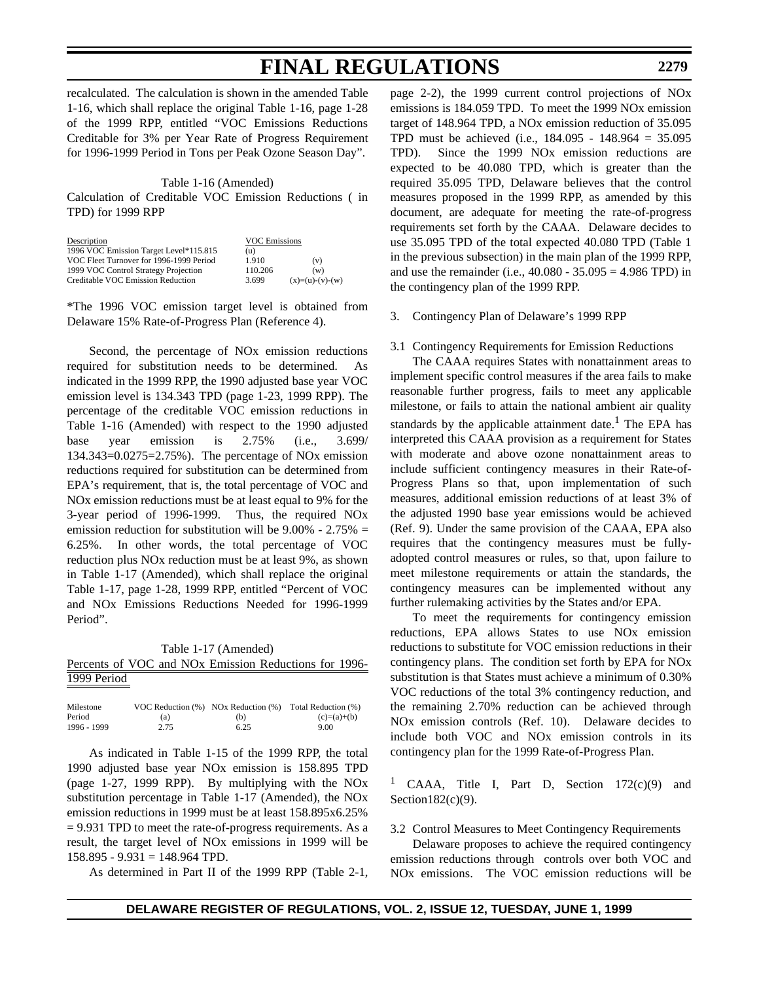recalculated. The calculation is shown in the amended Table 1-16, which shall replace the original Table 1-16, page 1-28 of the 1999 RPP, entitled "VOC Emissions Reductions Creditable for 3% per Year Rate of Progress Requirement for 1996-1999 Period in Tons per Peak Ozone Season Day".

### Table 1-16 (Amended)

Calculation of Creditable VOC Emission Reductions ( in TPD) for 1999 RPP

| Description                             | <b>VOC Emissions</b> |                   |
|-----------------------------------------|----------------------|-------------------|
| 1996 VOC Emission Target Level*115.815  | (u)                  |                   |
| VOC Fleet Turnover for 1996-1999 Period | 1.910                | (v)               |
| 1999 VOC Control Strategy Projection    | 110.206              | (w)               |
| Creditable VOC Emission Reduction       | 3.699                | $(x)=(u)-(v)-(w)$ |

\*The 1996 VOC emission target level is obtained from Delaware 15% Rate-of-Progress Plan (Reference 4).

Second, the percentage of NOx emission reductions required for substitution needs to be determined. As indicated in the 1999 RPP, the 1990 adjusted base year VOC emission level is 134.343 TPD (page 1-23, 1999 RPP). The percentage of the creditable VOC emission reductions in Table 1-16 (Amended) with respect to the 1990 adjusted base year emission is 2.75% (i.e., 3.699/ 134.343=0.0275=2.75%). The percentage of NOx emission reductions required for substitution can be determined from EPA's requirement, that is, the total percentage of VOC and NOx emission reductions must be at least equal to 9% for the 3-year period of 1996-1999. Thus, the required NOx emission reduction for substitution will be  $9.00\%$  - 2.75% = 6.25%. In other words, the total percentage of VOC reduction plus NOx reduction must be at least 9%, as shown in Table 1-17 (Amended), which shall replace the original Table 1-17, page 1-28, 1999 RPP, entitled "Percent of VOC and NOx Emissions Reductions Needed for 1996-1999 Period".

Table 1-17 (Amended) Percents of VOC and NOx Emission Reductions for 1996- 1999 Period

| Milestone   |      | VOC Reduction $(\%)$ NOx Reduction $(\%)$ | Total Reduction (%) |
|-------------|------|-------------------------------------------|---------------------|
| Period      | (a)  | (b)                                       | $(c)=(a)+(b)$       |
| 1996 - 1999 | 2.75 | 6.25                                      | 9.00                |

As indicated in Table 1-15 of the 1999 RPP, the total 1990 adjusted base year NOx emission is 158.895 TPD (page 1-27, 1999 RPP). By multiplying with the NOx substitution percentage in Table 1-17 (Amended), the NOx emission reductions in 1999 must be at least 158.895x6.25%  $= 9.931$  TPD to meet the rate-of-progress requirements. As a result, the target level of NOx emissions in 1999 will be  $158.895 - 9.931 = 148.964$  TPD.

As determined in Part II of the 1999 RPP (Table 2-1,

page 2-2), the 1999 current control projections of NOx emissions is 184.059 TPD. To meet the 1999 NOx emission target of 148.964 TPD, a NOx emission reduction of 35.095 TPD must be achieved (i.e., 184.095 - 148.964 = 35.095 TPD). Since the 1999 NOx emission reductions are expected to be 40.080 TPD, which is greater than the required 35.095 TPD, Delaware believes that the control measures proposed in the 1999 RPP, as amended by this document, are adequate for meeting the rate-of-progress requirements set forth by the CAAA. Delaware decides to use 35.095 TPD of the total expected 40.080 TPD (Table 1 in the previous subsection) in the main plan of the 1999 RPP, and use the remainder (i.e.,  $40.080 - 35.095 = 4.986$  TPD) in the contingency plan of the 1999 RPP.

### 3. Contingency Plan of Delaware's 1999 RPP

## 3.1 Contingency Requirements for Emission Reductions

The CAAA requires States with nonattainment areas to implement specific control measures if the area fails to make reasonable further progress, fails to meet any applicable milestone, or fails to attain the national ambient air quality standards by the applicable attainment date.<sup>1</sup> The EPA has interpreted this CAAA provision as a requirement for States with moderate and above ozone nonattainment areas to include sufficient contingency measures in their Rate-of-Progress Plans so that, upon implementation of such measures, additional emission reductions of at least 3% of the adjusted 1990 base year emissions would be achieved (Ref. 9). Under the same provision of the CAAA, EPA also requires that the contingency measures must be fullyadopted control measures or rules, so that, upon failure to meet milestone requirements or attain the standards, the contingency measures can be implemented without any further rulemaking activities by the States and/or EPA.

To meet the requirements for contingency emission reductions, EPA allows States to use NOx emission reductions to substitute for VOC emission reductions in their contingency plans. The condition set forth by EPA for NOx substitution is that States must achieve a minimum of 0.30% VOC reductions of the total 3% contingency reduction, and the remaining 2.70% reduction can be achieved through NOx emission controls (Ref. 10). Delaware decides to include both VOC and NOx emission controls in its contingency plan for the 1999 Rate-of-Progress Plan.

<sup>1</sup> CAAA, Title I, Part D, Section 172(c)(9) and Section182(c)(9).

3.2 Control Measures to Meet Contingency Requirements

Delaware proposes to achieve the required contingency emission reductions through controls over both VOC and NOx emissions. The VOC emission reductions will be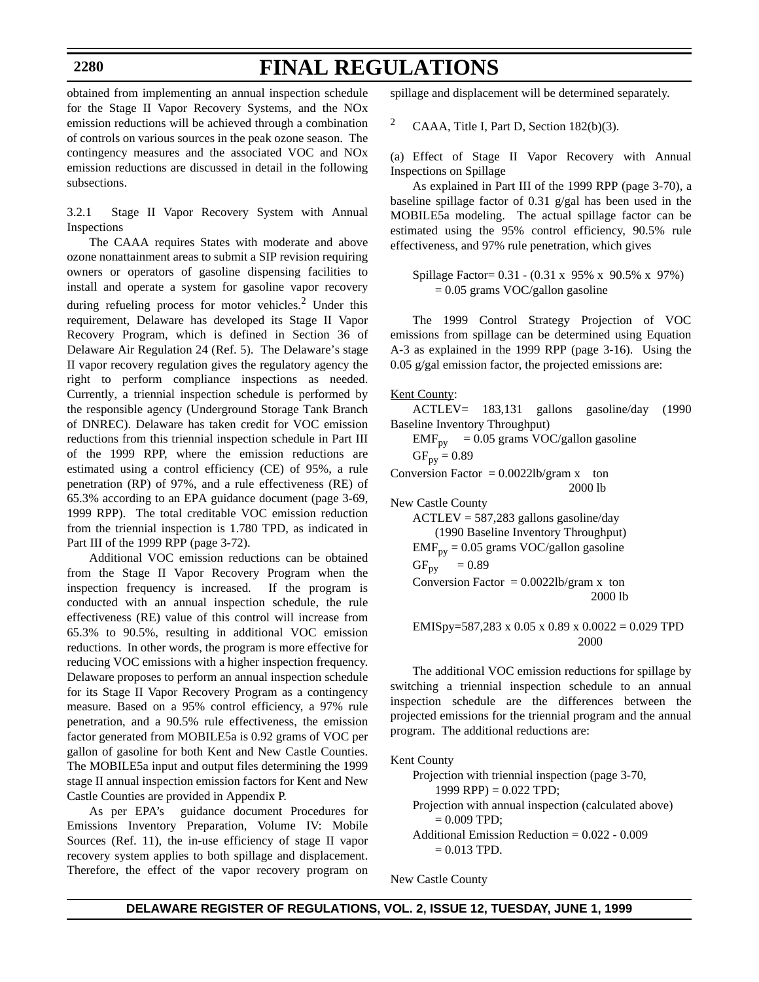# **FINAL REGULATIONS**

obtained from implementing an annual inspection schedule for the Stage II Vapor Recovery Systems, and the NOx emission reductions will be achieved through a combination of controls on various sources in the peak ozone season. The contingency measures and the associated VOC and NOx emission reductions are discussed in detail in the following subsections.

3.2.1 Stage II Vapor Recovery System with Annual Inspections

The CAAA requires States with moderate and above ozone nonattainment areas to submit a SIP revision requiring owners or operators of gasoline dispensing facilities to install and operate a system for gasoline vapor recovery during refueling process for motor vehicles. $2$  Under this requirement, Delaware has developed its Stage II Vapor Recovery Program, which is defined in Section 36 of Delaware Air Regulation 24 (Ref. 5). The Delaware's stage II vapor recovery regulation gives the regulatory agency the right to perform compliance inspections as needed. Currently, a triennial inspection schedule is performed by the responsible agency (Underground Storage Tank Branch of DNREC). Delaware has taken credit for VOC emission reductions from this triennial inspection schedule in Part III of the 1999 RPP, where the emission reductions are estimated using a control efficiency (CE) of 95%, a rule penetration (RP) of 97%, and a rule effectiveness (RE) of 65.3% according to an EPA guidance document (page 3-69, 1999 RPP). The total creditable VOC emission reduction from the triennial inspection is 1.780 TPD, as indicated in Part III of the 1999 RPP (page 3-72).

Additional VOC emission reductions can be obtained from the Stage II Vapor Recovery Program when the inspection frequency is increased. If the program is conducted with an annual inspection schedule, the rule effectiveness (RE) value of this control will increase from 65.3% to 90.5%, resulting in additional VOC emission reductions. In other words, the program is more effective for reducing VOC emissions with a higher inspection frequency. Delaware proposes to perform an annual inspection schedule for its Stage II Vapor Recovery Program as a contingency measure. Based on a 95% control efficiency, a 97% rule penetration, and a 90.5% rule effectiveness, the emission factor generated from MOBILE5a is 0.92 grams of VOC per gallon of gasoline for both Kent and New Castle Counties. The MOBILE5a input and output files determining the 1999 stage II annual inspection emission factors for Kent and New Castle Counties are provided in Appendix P.

As per EPA's guidance document Procedures for Emissions Inventory Preparation, Volume IV: Mobile Sources (Ref. 11), the in-use efficiency of stage II vapor recovery system applies to both spillage and displacement. Therefore, the effect of the vapor recovery program on spillage and displacement will be determined separately.

<sup>2</sup> CAAA, Title I, Part D, Section 182(b)(3).

(a) Effect of Stage II Vapor Recovery with Annual Inspections on Spillage

As explained in Part III of the 1999 RPP (page 3-70), a baseline spillage factor of 0.31 g/gal has been used in the MOBILE5a modeling. The actual spillage factor can be estimated using the 95% control efficiency, 90.5% rule effectiveness, and 97% rule penetration, which gives

Spillage Factor= 0.31 - (0.31 x 95% x 90.5% x 97%)  $= 0.05$  grams VOC/gallon gasoline

The 1999 Control Strategy Projection of VOC emissions from spillage can be determined using Equation A-3 as explained in the 1999 RPP (page 3-16). Using the 0.05 g/gal emission factor, the projected emissions are:

Kent County:

$$
ACTLEY = 183,131 \quad \text{gallons} \quad \text{gasoline/day} \quad (1990)
$$
\nBaseline Inventory Throughput)

\n
$$
EMF_{py} = 0.05 \text{ grams VOC/gallon gasoline}
$$
\n
$$
GF_{py} = 0.89
$$
\nConversion Factor = 0.0022lb/gram x to 2000 lb

\nNew Castle County

\n
$$
ACTLEY = 587,283 \text{ gallons gasoline/day}
$$
\n
$$
(1990 \text{ Baseline Inventory Throughput})
$$
\n
$$
EMF_{py} = 0.05 \text{ grams VOC/gallon gasoline}
$$
\n
$$
GF_{py} = 0.89
$$
\nConversion Factor = 0.0022lb/gram x to 2000 lb

$$
EMISpy = 587,283 \times 0.05 \times 0.89 \times 0.0022 = 0.029
$$
 TPD  
2000

The additional VOC emission reductions for spillage by switching a triennial inspection schedule to an annual inspection schedule are the differences between the projected emissions for the triennial program and the annual program. The additional reductions are:

Kent County

Projection with triennial inspection (page 3-70, 1999 RPP) =  $0.022$  TPD; Projection with annual inspection (calculated above)  $= 0.009$  TPD; Additional Emission Reduction = 0.022 - 0.009  $= 0.013$  TPD.

New Castle County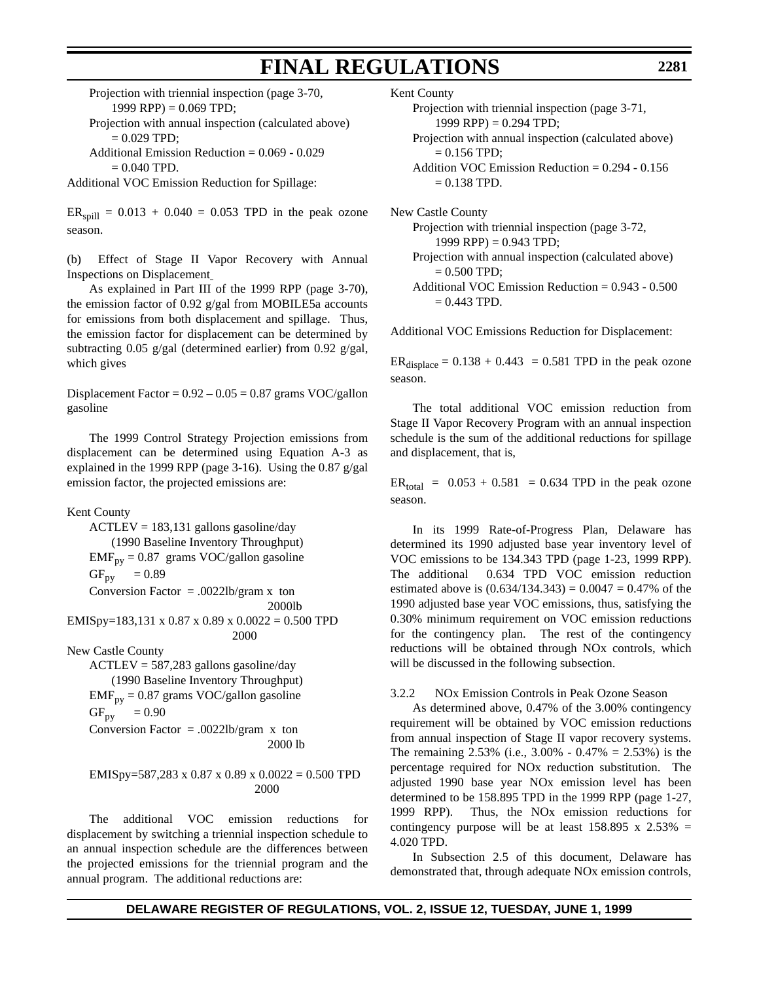Projection with triennial inspection (page 3-70, 1999 RPP) =  $0.069$  TPD;

Projection with annual inspection (calculated above)  $= 0.029$  TPD;

Additional Emission Reduction = 0.069 - 0.029  $= 0.040$  TPD.

Additional VOC Emission Reduction for Spillage:

 $ER_{\text{spill}} = 0.013 + 0.040 = 0.053 \text{ TPD}$  in the peak ozone season.

(b) Effect of Stage II Vapor Recovery with Annual Inspections on Displacement

As explained in Part III of the 1999 RPP (page 3-70), the emission factor of 0.92 g/gal from MOBILE5a accounts for emissions from both displacement and spillage. Thus, the emission factor for displacement can be determined by subtracting 0.05 g/gal (determined earlier) from 0.92 g/gal, which gives

Displacement Factor =  $0.92 - 0.05 = 0.87$  grams VOC/gallon gasoline

The 1999 Control Strategy Projection emissions from displacement can be determined using Equation A-3 as explained in the 1999 RPP (page 3-16). Using the 0.87 g/gal emission factor, the projected emissions are:

Kent County

 $ACTLEY = 183,131$  gallons gasoline/day (1990 Baseline Inventory Throughput)  $EMF_{py} = 0.87$  grams VOC/gallon gasoline  $GF_{py} = 0.89$ Conversion Factor = .0022lb/gram x ton 2000lb EMISpy=183,131 x 0.87 x 0.89 x 0.0022 = 0.500 TPD 2000 New Castle County ACTLEV = 587,283 gallons gasoline/day (1990 Baseline Inventory Throughput)  $EMF_{py} = 0.87$  grams VOC/gallon gasoline  $GF_{py} = 0.90$ Conversion Factor = .0022lb/gram  $x \text{ ton}$ 2000 lb

$$
EMISpy = 587,283 \times 0.87 \times 0.89 \times 0.0022 = 0.500
$$
 TPD  
2000

The additional VOC emission reductions for displacement by switching a triennial inspection schedule to an annual inspection schedule are the differences between the projected emissions for the triennial program and the annual program. The additional reductions are:

Kent County

- Projection with triennial inspection (page 3-71, 1999 RPP) =  $0.294$  TPD;
- Projection with annual inspection (calculated above)  $= 0.156$  TPD:
- Addition VOC Emission Reduction = 0.294 0.156  $= 0.138$  TPD.

New Castle County Projection with triennial inspection (page 3-72, 1999 RPP) =  $0.943$  TPD; Projection with annual inspection (calculated above)  $= 0.500$  TPD; Additional VOC Emission Reduction = 0.943 - 0.500  $= 0.443$  TPD.

Additional VOC Emissions Reduction for Displacement:

 $ER_{displace} = 0.138 + 0.443 = 0.581$  TPD in the peak ozone season.

The total additional VOC emission reduction from Stage II Vapor Recovery Program with an annual inspection schedule is the sum of the additional reductions for spillage and displacement, that is,

 $ER_{total} = 0.053 + 0.581 = 0.634$  TPD in the peak ozone season.

In its 1999 Rate-of-Progress Plan, Delaware has determined its 1990 adjusted base year inventory level of VOC emissions to be 134.343 TPD (page 1-23, 1999 RPP). The additional 0.634 TPD VOC emission reduction estimated above is  $(0.634/134.343) = 0.0047 = 0.47\%$  of the 1990 adjusted base year VOC emissions, thus, satisfying the 0.30% minimum requirement on VOC emission reductions for the contingency plan. The rest of the contingency reductions will be obtained through NOx controls, which will be discussed in the following subsection.

3.2.2 NOx Emission Controls in Peak Ozone Season

As determined above, 0.47% of the 3.00% contingency requirement will be obtained by VOC emission reductions from annual inspection of Stage II vapor recovery systems. The remaining  $2.53\%$  (i.e.,  $3.00\%$  -  $0.47\%$  =  $2.53\%$ ) is the percentage required for NOx reduction substitution. The adjusted 1990 base year NOx emission level has been determined to be 158.895 TPD in the 1999 RPP (page 1-27, 1999 RPP). Thus, the NOx emission reductions for contingency purpose will be at least  $158.895 \times 2.53\% =$ 4.020 TPD.

In Subsection 2.5 of this document, Delaware has demonstrated that, through adequate NOx emission controls,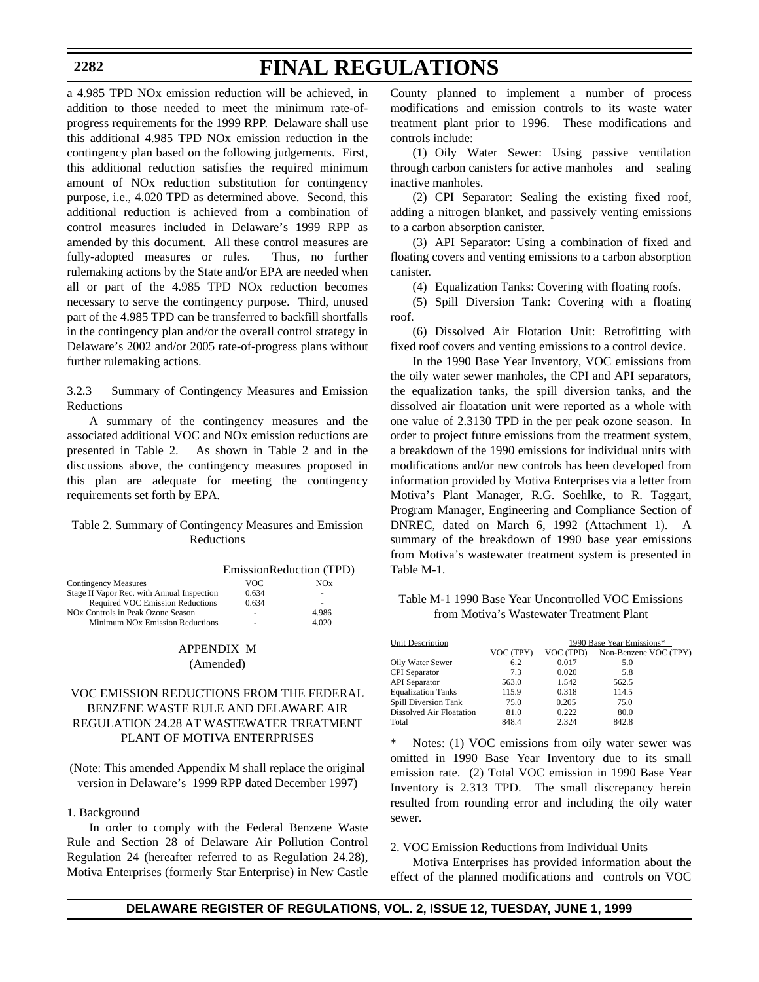# **FINAL REGULATIONS**

a 4.985 TPD NOx emission reduction will be achieved, in addition to those needed to meet the minimum rate-ofprogress requirements for the 1999 RPP. Delaware shall use this additional 4.985 TPD NOx emission reduction in the contingency plan based on the following judgements. First, this additional reduction satisfies the required minimum amount of NOx reduction substitution for contingency purpose, i.e., 4.020 TPD as determined above. Second, this additional reduction is achieved from a combination of control measures included in Delaware's 1999 RPP as amended by this document. All these control measures are fully-adopted measures or rules. Thus, no further rulemaking actions by the State and/or EPA are needed when all or part of the 4.985 TPD NOx reduction becomes necessary to serve the contingency purpose. Third, unused part of the 4.985 TPD can be transferred to backfill shortfalls in the contingency plan and/or the overall control strategy in Delaware's 2002 and/or 2005 rate-of-progress plans without further rulemaking actions.

3.2.3 Summary of Contingency Measures and Emission Reductions

A summary of the contingency measures and the associated additional VOC and NOx emission reductions are presented in Table 2. As shown in Table 2 and in the discussions above, the contingency measures proposed in this plan are adequate for meeting the contingency requirements set forth by EPA.

## Table 2. Summary of Contingency Measures and Emission Reductions

|                                             | EmissionReduction (TPD) |                 |  |
|---------------------------------------------|-------------------------|-----------------|--|
| <b>Contingency Measures</b>                 | VOC                     | NO <sub>x</sub> |  |
| Stage II Vapor Rec. with Annual Inspection  | 0.634                   |                 |  |
| <b>Required VOC Emission Reductions</b>     | 0.634                   |                 |  |
| NOx Controls in Peak Ozone Season           |                         | 4.986           |  |
| Minimum NO <sub>x</sub> Emission Reductions | ۰                       | 4.020           |  |

## APPENDIX M (Amended)

## VOC EMISSION REDUCTIONS FROM THE FEDERAL BENZENE WASTE RULE AND DELAWARE AIR REGULATION 24.28 AT WASTEWATER TREATMENT PLANT OF MOTIVA ENTERPRISES

(Note: This amended Appendix M shall replace the original version in Delaware's 1999 RPP dated December 1997)

### 1. Background

In order to comply with the Federal Benzene Waste Rule and Section 28 of Delaware Air Pollution Control Regulation 24 (hereafter referred to as Regulation 24.28), Motiva Enterprises (formerly Star Enterprise) in New Castle County planned to implement a number of process modifications and emission controls to its waste water treatment plant prior to 1996. These modifications and controls include:

(1) Oily Water Sewer: Using passive ventilation through carbon canisters for active manholes and sealing inactive manholes.

(2) CPI Separator: Sealing the existing fixed roof, adding a nitrogen blanket, and passively venting emissions to a carbon absorption canister.

(3) API Separator: Using a combination of fixed and floating covers and venting emissions to a carbon absorption canister.

(4) Equalization Tanks: Covering with floating roofs.

(5) Spill Diversion Tank: Covering with a floating roof.

(6) Dissolved Air Flotation Unit: Retrofitting with fixed roof covers and venting emissions to a control device.

In the 1990 Base Year Inventory, VOC emissions from the oily water sewer manholes, the CPI and API separators, the equalization tanks, the spill diversion tanks, and the dissolved air floatation unit were reported as a whole with one value of 2.3130 TPD in the per peak ozone season. In order to project future emissions from the treatment system, a breakdown of the 1990 emissions for individual units with modifications and/or new controls has been developed from information provided by Motiva Enterprises via a letter from Motiva's Plant Manager, R.G. Soehlke, to R. Taggart, Program Manager, Engineering and Compliance Section of DNREC, dated on March 6, 1992 (Attachment 1). A summary of the breakdown of 1990 base year emissions from Motiva's wastewater treatment system is presented in Table M-1.

## Table M-1 1990 Base Year Uncontrolled VOC Emissions from Motiva's Wastewater Treatment Plant

| Unit Description                |           | 1990 Base Year Emissions* |                       |  |
|---------------------------------|-----------|---------------------------|-----------------------|--|
|                                 | VOC (TPY) | VOC (TPD)                 | Non-Benzene VOC (TPY) |  |
| Oily Water Sewer                | 6.2       | 0.017                     | 5.0                   |  |
| <b>CPI</b> Separator            | 7.3       | 0.020                     | 5.8                   |  |
| <b>API</b> Separator            | 563.0     | 1.542                     | 562.5                 |  |
| <b>Equalization Tanks</b>       | 115.9     | 0.318                     | 114.5                 |  |
| Spill Diversion Tank            | 75.0      | 0.205                     | 75.0                  |  |
| <b>Dissolved Air Floatation</b> | 81.0      | 0.222                     | 80.0                  |  |
| Total                           | 848.4     | 2.324                     | 842.8                 |  |

\* Notes: (1) VOC emissions from oily water sewer was omitted in 1990 Base Year Inventory due to its small emission rate. (2) Total VOC emission in 1990 Base Year Inventory is 2.313 TPD. The small discrepancy herein resulted from rounding error and including the oily water sewer.

#### 2. VOC Emission Reductions from Individual Units

Motiva Enterprises has provided information about the effect of the planned modifications and controls on VOC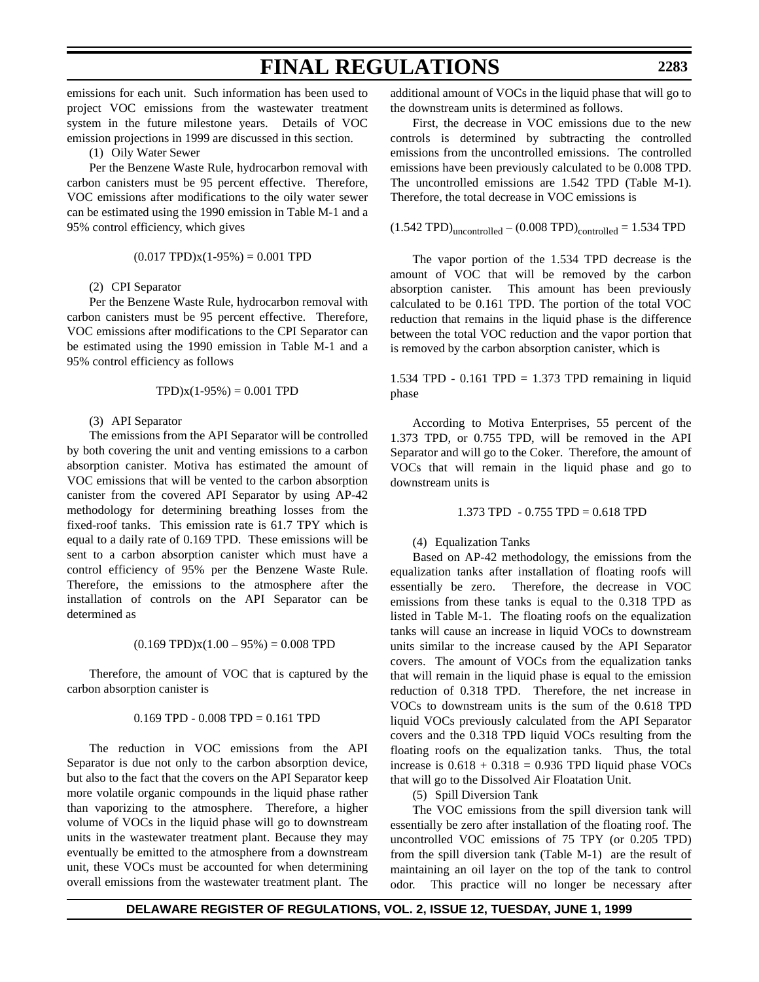emissions for each unit. Such information has been used to project VOC emissions from the wastewater treatment system in the future milestone years. Details of VOC emission projections in 1999 are discussed in this section.

(1) Oily Water Sewer

Per the Benzene Waste Rule, hydrocarbon removal with carbon canisters must be 95 percent effective. Therefore, VOC emissions after modifications to the oily water sewer can be estimated using the 1990 emission in Table M-1 and a 95% control efficiency, which gives

$$
(0.017
$$
 TPD) $x(1-95\%) = 0.001$  TPD

(2) CPI Separator

Per the Benzene Waste Rule, hydrocarbon removal with carbon canisters must be 95 percent effective. Therefore, VOC emissions after modifications to the CPI Separator can be estimated using the 1990 emission in Table M-1 and a 95% control efficiency as follows

$$
TPD)x(1-95\%) = 0.001 TPD
$$

### (3) API Separator

The emissions from the API Separator will be controlled by both covering the unit and venting emissions to a carbon absorption canister. Motiva has estimated the amount of VOC emissions that will be vented to the carbon absorption canister from the covered API Separator by using AP-42 methodology for determining breathing losses from the fixed-roof tanks. This emission rate is 61.7 TPY which is equal to a daily rate of 0.169 TPD. These emissions will be sent to a carbon absorption canister which must have a control efficiency of 95% per the Benzene Waste Rule. Therefore, the emissions to the atmosphere after the installation of controls on the API Separator can be determined as

$$
(0.169 \text{ TPD})x(1.00 - 95\%) = 0.008 \text{ TPD}
$$

Therefore, the amount of VOC that is captured by the carbon absorption canister is

### $0.169$  TPD  $- 0.008$  TPD  $= 0.161$  TPD

The reduction in VOC emissions from the API Separator is due not only to the carbon absorption device, but also to the fact that the covers on the API Separator keep more volatile organic compounds in the liquid phase rather than vaporizing to the atmosphere. Therefore, a higher volume of VOCs in the liquid phase will go to downstream units in the wastewater treatment plant. Because they may eventually be emitted to the atmosphere from a downstream unit, these VOCs must be accounted for when determining overall emissions from the wastewater treatment plant. The additional amount of VOCs in the liquid phase that will go to the downstream units is determined as follows.

First, the decrease in VOC emissions due to the new controls is determined by subtracting the controlled emissions from the uncontrolled emissions. The controlled emissions have been previously calculated to be 0.008 TPD. The uncontrolled emissions are 1.542 TPD (Table M-1). Therefore, the total decrease in VOC emissions is

$$
(1.542 TPD)_{uncontrolled} - (0.008 TPD)_{controlled} = 1.534 TPD
$$

The vapor portion of the 1.534 TPD decrease is the amount of VOC that will be removed by the carbon absorption canister. This amount has been previously calculated to be 0.161 TPD. The portion of the total VOC reduction that remains in the liquid phase is the difference between the total VOC reduction and the vapor portion that is removed by the carbon absorption canister, which is

1.534 TPD -  $0.161$  TPD = 1.373 TPD remaining in liquid phase

According to Motiva Enterprises, 55 percent of the 1.373 TPD, or 0.755 TPD, will be removed in the API Separator and will go to the Coker. Therefore, the amount of VOCs that will remain in the liquid phase and go to downstream units is

$$
1.373 \text{ TPD} - 0.755 \text{ TPD} = 0.618 \text{ TPD}
$$

#### (4) Equalization Tanks

Based on AP-42 methodology, the emissions from the equalization tanks after installation of floating roofs will essentially be zero. Therefore, the decrease in VOC emissions from these tanks is equal to the 0.318 TPD as listed in Table M-1. The floating roofs on the equalization tanks will cause an increase in liquid VOCs to downstream units similar to the increase caused by the API Separator covers. The amount of VOCs from the equalization tanks that will remain in the liquid phase is equal to the emission reduction of 0.318 TPD. Therefore, the net increase in VOCs to downstream units is the sum of the 0.618 TPD liquid VOCs previously calculated from the API Separator covers and the 0.318 TPD liquid VOCs resulting from the floating roofs on the equalization tanks. Thus, the total increase is  $0.618 + 0.318 = 0.936$  TPD liquid phase VOCs that will go to the Dissolved Air Floatation Unit.

(5) Spill Diversion Tank

The VOC emissions from the spill diversion tank will essentially be zero after installation of the floating roof. The uncontrolled VOC emissions of 75 TPY (or 0.205 TPD) from the spill diversion tank (Table M-1) are the result of maintaining an oil layer on the top of the tank to control odor. This practice will no longer be necessary after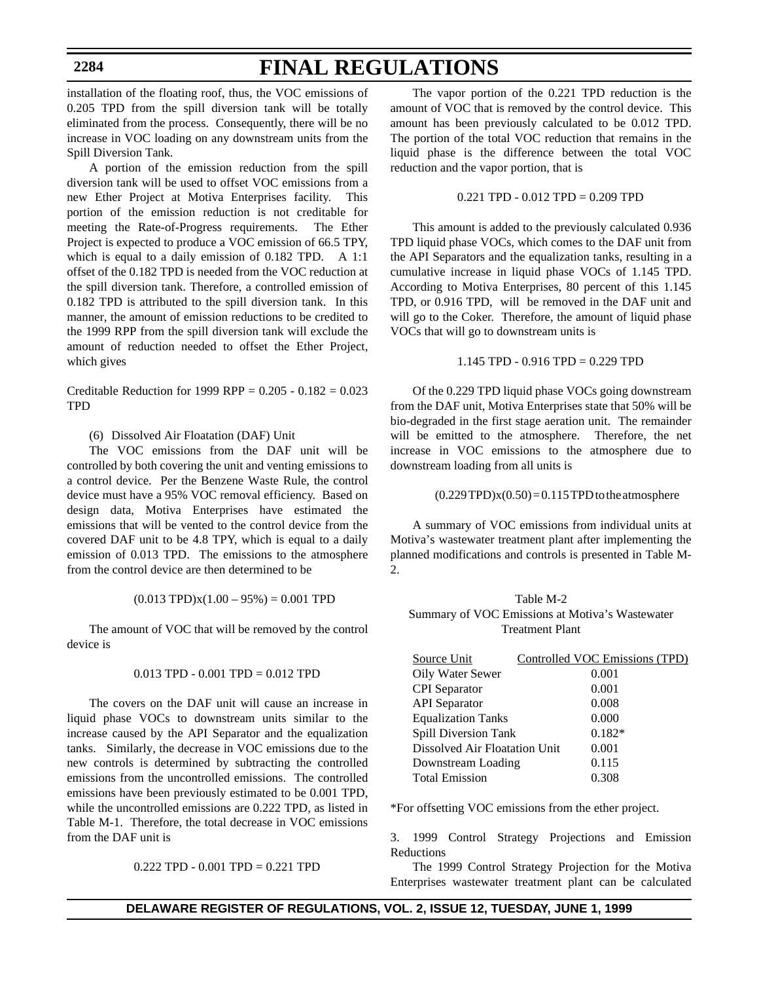# **FINAL REGULATIONS**

installation of the floating roof, thus, the VOC emissions of 0.205 TPD from the spill diversion tank will be totally eliminated from the process. Consequently, there will be no increase in VOC loading on any downstream units from the Spill Diversion Tank.

A portion of the emission reduction from the spill diversion tank will be used to offset VOC emissions from a new Ether Project at Motiva Enterprises facility. This portion of the emission reduction is not creditable for meeting the Rate-of-Progress requirements. The Ether Project is expected to produce a VOC emission of 66.5 TPY, which is equal to a daily emission of 0.182 TPD. A 1:1 offset of the 0.182 TPD is needed from the VOC reduction at the spill diversion tank. Therefore, a controlled emission of 0.182 TPD is attributed to the spill diversion tank. In this manner, the amount of emission reductions to be credited to the 1999 RPP from the spill diversion tank will exclude the amount of reduction needed to offset the Ether Project, which gives

Creditable Reduction for 1999 RPP =  $0.205 - 0.182 = 0.023$ **TPD** 

(6) Dissolved Air Floatation (DAF) Unit

The VOC emissions from the DAF unit will be controlled by both covering the unit and venting emissions to a control device. Per the Benzene Waste Rule, the control device must have a 95% VOC removal efficiency. Based on design data, Motiva Enterprises have estimated the emissions that will be vented to the control device from the covered DAF unit to be 4.8 TPY, which is equal to a daily emission of 0.013 TPD. The emissions to the atmosphere from the control device are then determined to be

$$
(0.013
$$
 TPD) $x(1.00 - 95%) = 0.001$  TPD

The amount of VOC that will be removed by the control device is

#### 0.013 TPD - 0.001 TPD = 0.012 TPD

The covers on the DAF unit will cause an increase in liquid phase VOCs to downstream units similar to the increase caused by the API Separator and the equalization tanks. Similarly, the decrease in VOC emissions due to the new controls is determined by subtracting the controlled emissions from the uncontrolled emissions. The controlled emissions have been previously estimated to be 0.001 TPD, while the uncontrolled emissions are 0.222 TPD, as listed in Table M-1. Therefore, the total decrease in VOC emissions from the DAF unit is

0.222 TPD - 0.001 TPD = 0.221 TPD

The vapor portion of the 0.221 TPD reduction is the amount of VOC that is removed by the control device. This amount has been previously calculated to be 0.012 TPD. The portion of the total VOC reduction that remains in the liquid phase is the difference between the total VOC reduction and the vapor portion, that is

0.221 TPD - 0.012 TPD = 0.209 TPD

This amount is added to the previously calculated 0.936 TPD liquid phase VOCs, which comes to the DAF unit from the API Separators and the equalization tanks, resulting in a cumulative increase in liquid phase VOCs of 1.145 TPD. According to Motiva Enterprises, 80 percent of this 1.145 TPD, or 0.916 TPD, will be removed in the DAF unit and will go to the Coker. Therefore, the amount of liquid phase VOCs that will go to downstream units is

1.145 TPD - 0.916 TPD = 0.229 TPD

Of the 0.229 TPD liquid phase VOCs going downstream from the DAF unit, Motiva Enterprises state that 50% will be bio-degraded in the first stage aeration unit. The remainder will be emitted to the atmosphere. Therefore, the net increase in VOC emissions to the atmosphere due to downstream loading from all units is

 $(0.229 \text{TPD})x(0.50) = 0.115 \text{TPD}$  to the atmosphere

A summary of VOC emissions from individual units at Motiva's wastewater treatment plant after implementing the planned modifications and controls is presented in Table M-2.

## Table M-2 Summary of VOC Emissions at Motiva's Wastewater Treatment Plant

| Source Unit                   | Controlled VOC Emissions (TPD) |
|-------------------------------|--------------------------------|
| Oily Water Sewer              | 0.001                          |
| <b>CPI</b> Separator          | 0.001                          |
| <b>API</b> Separator          | 0.008                          |
| <b>Equalization Tanks</b>     | 0.000                          |
| Spill Diversion Tank          | $0.182*$                       |
| Dissolved Air Floatation Unit | 0.001                          |
| Downstream Loading            | 0.115                          |
| <b>Total Emission</b>         | 0.308                          |

\*For offsetting VOC emissions from the ether project.

3. 1999 Control Strategy Projections and Emission Reductions

The 1999 Control Strategy Projection for the Motiva Enterprises wastewater treatment plant can be calculated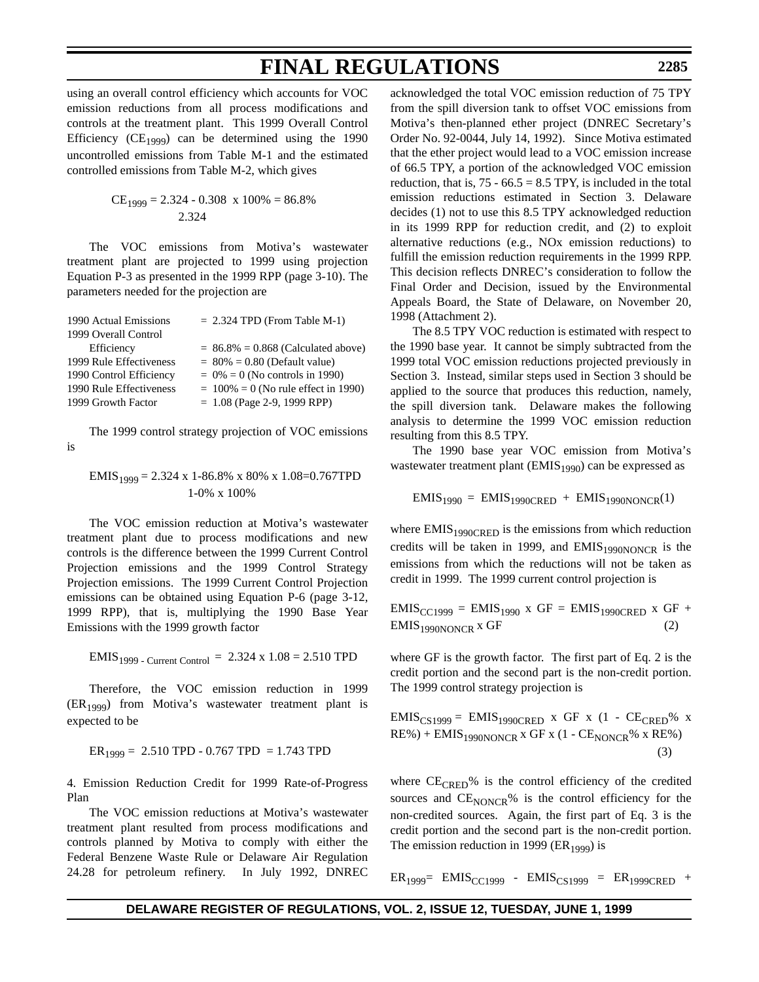using an overall control efficiency which accounts for VOC emission reductions from all process modifications and controls at the treatment plant. This 1999 Overall Control Efficiency (CE<sub>1999</sub>) can be determined using the 1990 uncontrolled emissions from Table M-1 and the estimated controlled emissions from Table M-2, which gives

$$
CE_{1999} = 2.324 - 0.308 \times 100\% = 86.8\%
$$
  
2.324

The VOC emissions from Motiva's wastewater treatment plant are projected to 1999 using projection Equation P-3 as presented in the 1999 RPP (page 3-10). The parameters needed for the projection are

| 1990 Actual Emissions   | $= 2.324$ TPD (From Table M-1)         |
|-------------------------|----------------------------------------|
| 1999 Overall Control    |                                        |
| Efficiency              | $= 86.8\% = 0.868$ (Calculated above)  |
| 1999 Rule Effectiveness | $= 80\% = 0.80$ (Default value)        |
| 1990 Control Efficiency | $= 0\% = 0$ (No controls in 1990)      |
| 1990 Rule Effectiveness | $= 100\% = 0$ (No rule effect in 1990) |
| 1999 Growth Factor      | $= 1.08$ (Page 2-9, 1999 RPP)          |

The 1999 control strategy projection of VOC emissions is

$$
EMIS_{1999} = 2.324 \text{ x } 1-86.8\% \text{ x } 80\% \text{ x } 1.08=0.767 \text{ TPD}
$$
  
1-0% x 100%

The VOC emission reduction at Motiva's wastewater treatment plant due to process modifications and new controls is the difference between the 1999 Current Control Projection emissions and the 1999 Control Strategy Projection emissions. The 1999 Current Control Projection emissions can be obtained using Equation P-6 (page 3-12, 1999 RPP), that is, multiplying the 1990 Base Year Emissions with the 1999 growth factor

$$
EMIS1999 - Current Control = 2.324 x 1.08 = 2.510 TPD
$$

Therefore, the VOC emission reduction in 1999  $(ER<sub>1999</sub>)$  from Motiva's wastewater treatment plant is expected to be

$$
ER_{1999} = 2.510 \text{ TPD} - 0.767 \text{ TPD} = 1.743 \text{ TPD}
$$

4. Emission Reduction Credit for 1999 Rate-of-Progress Plan

The VOC emission reductions at Motiva's wastewater treatment plant resulted from process modifications and controls planned by Motiva to comply with either the Federal Benzene Waste Rule or Delaware Air Regulation 24.28 for petroleum refinery. In July 1992, DNREC acknowledged the total VOC emission reduction of 75 TPY from the spill diversion tank to offset VOC emissions from Motiva's then-planned ether project (DNREC Secretary's Order No. 92-0044, July 14, 1992). Since Motiva estimated that the ether project would lead to a VOC emission increase of 66.5 TPY, a portion of the acknowledged VOC emission reduction, that is,  $75 - 66.5 = 8.5$  TPY, is included in the total emission reductions estimated in Section 3. Delaware decides (1) not to use this 8.5 TPY acknowledged reduction in its 1999 RPP for reduction credit, and (2) to exploit alternative reductions (e.g., NOx emission reductions) to fulfill the emission reduction requirements in the 1999 RPP. This decision reflects DNREC's consideration to follow the Final Order and Decision, issued by the Environmental Appeals Board, the State of Delaware, on November 20, 1998 (Attachment 2).

The 8.5 TPY VOC reduction is estimated with respect to the 1990 base year. It cannot be simply subtracted from the 1999 total VOC emission reductions projected previously in Section 3. Instead, similar steps used in Section 3 should be applied to the source that produces this reduction, namely, the spill diversion tank. Delaware makes the following analysis to determine the 1999 VOC emission reduction resulting from this 8.5 TPY.

The 1990 base year VOC emission from Motiva's wastewater treatment plant (EMIS<sub>1990</sub>) can be expressed as

$$
EMIS1990 = EMIS1990CRED + EMIS1990NONCR(1)
$$

where  $EMIS<sub>1990CRED</sub>$  is the emissions from which reduction credits will be taken in 1999, and  $EMIS<sub>1990NONCR</sub>$  is the emissions from which the reductions will not be taken as credit in 1999. The 1999 current control projection is

 $EMIS_{CC1999} = EMIS_{1990}$  x GF =  $EMIS_{1990CRED}$  x GF +  $EMIS<sub>1990NONCR</sub>$  x GF (2)

where GF is the growth factor. The first part of Eq. 2 is the credit portion and the second part is the non-credit portion. The 1999 control strategy projection is

 $EMIS_{CS1999} = EMIS_{1990CRED}$  x GF x (1 -  $CE_{CRED}$ % x  $RE\%$ ) + EMIS<sub>1990NONCR</sub> x GF x (1 -  $CE<sub>NONCR</sub>$ % x RE%) (3)

where  $CE_{CRED}$ % is the control efficiency of the credited sources and  $CE_{\text{NONCR}}$ % is the control efficiency for the non-credited sources. Again, the first part of Eq. 3 is the credit portion and the second part is the non-credit portion. The emission reduction in 1999 ( $ER<sub>1999</sub>$ ) is

 $ER_{1999}= EMIS_{CC1999} - EMIS_{CS1999} = ER_{1999CRED} +$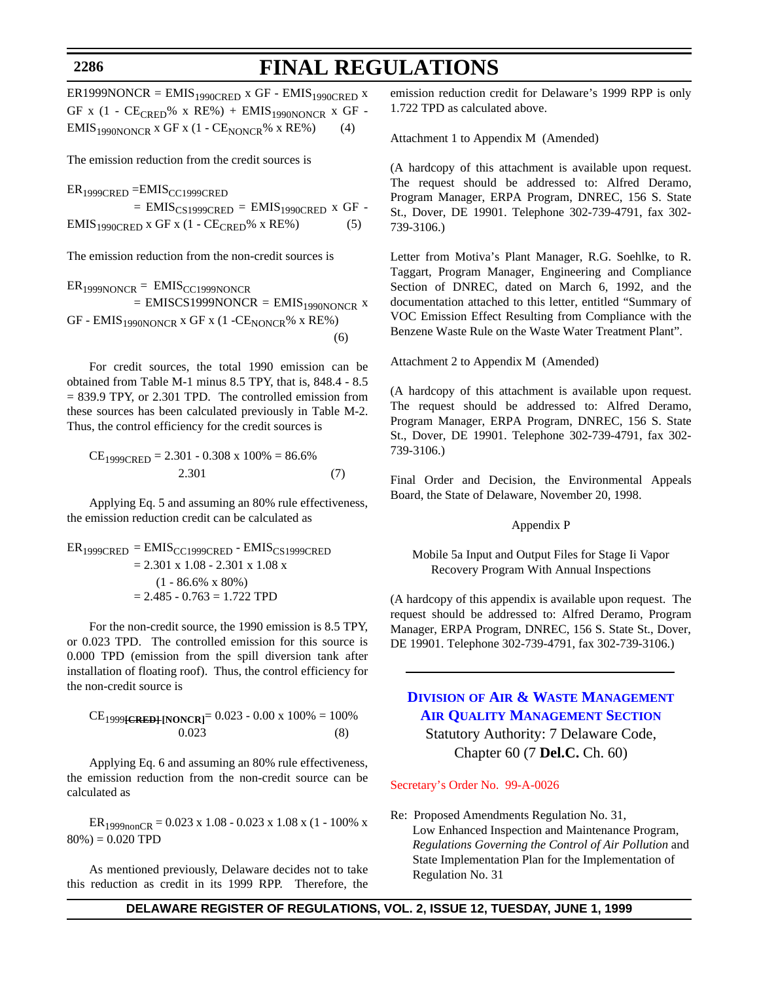## **FINAL REGULATIONS**

 $ER1999NONCR = E MIS_{1990CRED}$  x GF -  $EMIS_{1990CRED}$  x GF x  $(1 - CE_{CRED}$ % x RE% $) + EMIS_{1990NONCR}$  x GF - $EMIS<sub>1990NONCR</sub>$  x GF x (1 -  $CE<sub>NONCR</sub>$ % x RE%) (4)

The emission reduction from the credit sources is

 $ER<sub>1999CRED</sub> = EMIS<sub>CC1999CRED</sub>$  $=$  EMIS<sub>CS1999CRED</sub>  $=$  EMIS<sub>1990CRED</sub> x GF - $EMIS<sub>1990CRED</sub> x GF x (1 - CE<sub>CRED</sub>% x RE%)$  (5)

The emission reduction from the non-credit sources is

$$
ER1999NONCR = EMISCC1999NONCR
$$
  
= EMISCS1999NONCR = EMIS<sub>1990NONCR</sub> x  
GF - EMIS<sub>1990NONCR</sub> x GF x (1 -CE<sub>NONCR</sub>% x RE%) (6)

For credit sources, the total 1990 emission can be obtained from Table M-1 minus 8.5 TPY, that is, 848.4 - 8.5 = 839.9 TPY, or 2.301 TPD. The controlled emission from these sources has been calculated previously in Table M-2. Thus, the control efficiency for the credit sources is

$$
CE1999CRED = 2.301 - 0.308 \times 100\% = 86.6\%
$$
  
2.301 (7)

Applying Eq. 5 and assuming an 80% rule effectiveness, the emission reduction credit can be calculated as

$$
ER_{1999CRED} = EMIS_{CC1999CRED} - EMIS_{CS1999CRED}
$$
  
= 2.301 x 1.08 - 2.301 x 1.08 x  
(1 - 86.6% x 80%)  
= 2.485 - 0.763 = 1.722 TPD

For the non-credit source, the 1990 emission is 8.5 TPY, or 0.023 TPD. The controlled emission for this source is 0.000 TPD (emission from the spill diversion tank after installation of floating roof). Thus, the control efficiency for the non-credit source is

$$
CE_{1999} \text{ (RED)} \text{ [NONCR]} = 0.023 - 0.00 \times 100\% = 100\%
$$
  
0.023 (8)

Applying Eq. 6 and assuming an 80% rule effectiveness, the emission reduction from the non-credit source can be calculated as

 $ER_{1999nonCR} = 0.023 \times 1.08 - 0.023 \times 1.08 \times (1 - 100\% \times$  $80\% = 0.020$  TPD

As mentioned previously, Delaware decides not to take this reduction as credit in its 1999 RPP. Therefore, the emission reduction credit for Delaware's 1999 RPP is only 1.722 TPD as calculated above.

Attachment 1 to Appendix M (Amended)

(A hardcopy of this attachment is available upon request. The request should be addressed to: Alfred Deramo, Program Manager, ERPA Program, DNREC, 156 S. State St., Dover, DE 19901. Telephone 302-739-4791, fax 302- 739-3106.)

Letter from Motiva's Plant Manager, R.G. Soehlke, to R. Taggart, Program Manager, Engineering and Compliance Section of DNREC, dated on March 6, 1992, and the documentation attached to this letter, entitled "Summary of VOC Emission Effect Resulting from Compliance with the Benzene Waste Rule on the Waste Water Treatment Plant".

Attachment 2 to Appendix M (Amended)

(A hardcopy of this attachment is available upon request. The request should be addressed to: Alfred Deramo, Program Manager, ERPA Program, DNREC, 156 S. State St., Dover, DE 19901. Telephone 302-739-4791, fax 302- 739-3106.)

Final Order and Decision, the Environmental Appeals Board, the State of Delaware, November 20, 1998.

### Appendix P

Mobile 5a Input and Output Files for Stage Ii Vapor Recovery Program With Annual Inspections

(A hardcopy of this appendix is available upon request. The request should be addressed to: Alfred Deramo, Program Manager, ERPA Program, DNREC, 156 S. State St., Dover, DE 19901. Telephone 302-739-4791, fax 302-739-3106.)

## **DIVISION OF AIR & WASTE MANAGEMENT [AIR QUALITY MANAGEMENT SECTION](http://www.dnrec.state.de.us/)**

Statutory Authority: 7 Delaware Code, Chapter 60 (7 **Del.C.** Ch. 60)

#### [Secretary's Order No. 99-A-0026](#page-3-0)

Re: Proposed Amendments Regulation No. 31, Low Enhanced Inspection and Maintenance Program, *Regulations Governing the Control of Air Pollution* and State Implementation Plan for the Implementation of Regulation No. 31

**DELAWARE REGISTER OF REGULATIONS, VOL. 2, ISSUE 12, TUESDAY, JUNE 1, 1999**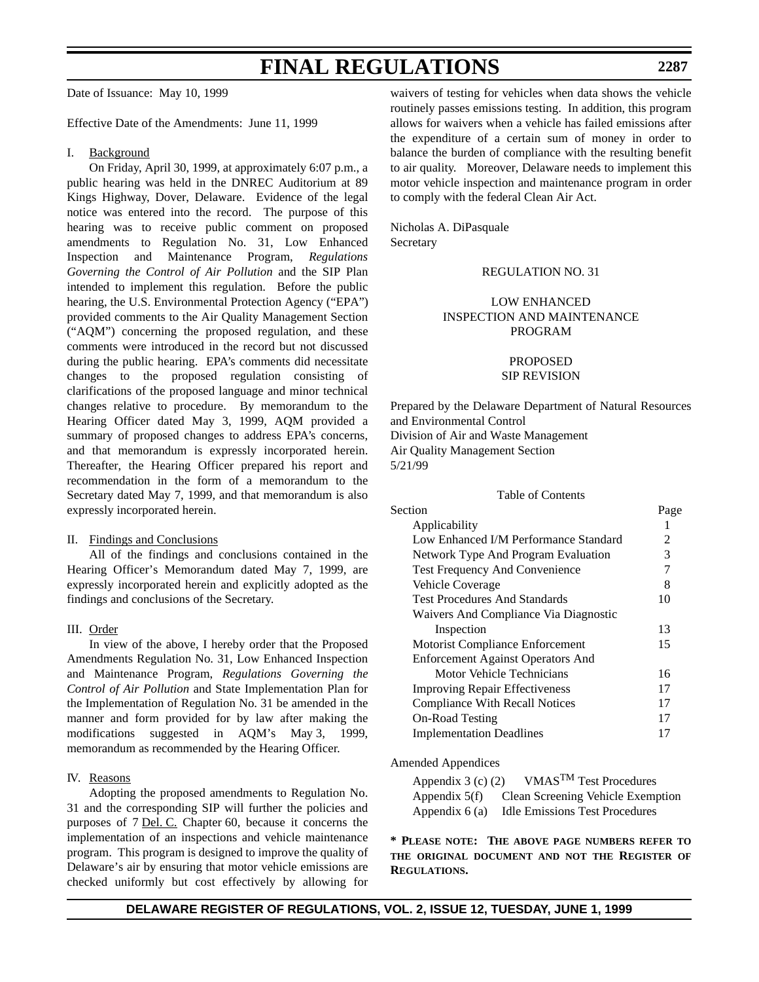Date of Issuance: May 10, 1999

Effective Date of the Amendments: June 11, 1999

#### I. Background

On Friday, April 30, 1999, at approximately 6:07 p.m., a public hearing was held in the DNREC Auditorium at 89 Kings Highway, Dover, Delaware. Evidence of the legal notice was entered into the record. The purpose of this hearing was to receive public comment on proposed amendments to Regulation No. 31, Low Enhanced Inspection and Maintenance Program, *Regulations Governing the Control of Air Pollution* and the SIP Plan intended to implement this regulation. Before the public hearing, the U.S. Environmental Protection Agency ("EPA") provided comments to the Air Quality Management Section ("AQM") concerning the proposed regulation, and these comments were introduced in the record but not discussed during the public hearing. EPA's comments did necessitate changes to the proposed regulation consisting of clarifications of the proposed language and minor technical changes relative to procedure. By memorandum to the Hearing Officer dated May 3, 1999, AQM provided a summary of proposed changes to address EPA's concerns, and that memorandum is expressly incorporated herein. Thereafter, the Hearing Officer prepared his report and recommendation in the form of a memorandum to the Secretary dated May 7, 1999, and that memorandum is also expressly incorporated herein.

### II. Findings and Conclusions

All of the findings and conclusions contained in the Hearing Officer's Memorandum dated May 7, 1999, are expressly incorporated herein and explicitly adopted as the findings and conclusions of the Secretary.

## III. Order

In view of the above, I hereby order that the Proposed Amendments Regulation No. 31, Low Enhanced Inspection and Maintenance Program, *Regulations Governing the Control of Air Pollution* and State Implementation Plan for the Implementation of Regulation No. 31 be amended in the manner and form provided for by law after making the modifications suggested in AQM's May 3, 1999, memorandum as recommended by the Hearing Officer.

#### IV. Reasons

Adopting the proposed amendments to Regulation No. 31 and the corresponding SIP will further the policies and purposes of 7 Del. C. Chapter 60, because it concerns the implementation of an inspections and vehicle maintenance program. This program is designed to improve the quality of Delaware's air by ensuring that motor vehicle emissions are checked uniformly but cost effectively by allowing for waivers of testing for vehicles when data shows the vehicle routinely passes emissions testing. In addition, this program allows for waivers when a vehicle has failed emissions after the expenditure of a certain sum of money in order to balance the burden of compliance with the resulting benefit to air quality. Moreover, Delaware needs to implement this motor vehicle inspection and maintenance program in order to comply with the federal Clean Air Act.

**2287**

Nicholas A. DiPasquale Secretary

#### REGULATION NO. 31

## LOW ENHANCED INSPECTION AND MAINTENANCE PROGRAM

## PROPOSED SIP REVISION

Prepared by the Delaware Department of Natural Resources and Environmental Control Division of Air and Waste Management Air Quality Management Section 5/21/99

| Table of Contents                        |      |
|------------------------------------------|------|
| Section                                  | Page |
| Applicability                            | 1    |
| Low Enhanced I/M Performance Standard    | 2    |
| Network Type And Program Evaluation      | 3    |
| Test Frequency And Convenience           | 7    |
| Vehicle Coverage                         | 8    |
| <b>Test Procedures And Standards</b>     | 10   |
| Waivers And Compliance Via Diagnostic    |      |
| Inspection                               | 13   |
| Motorist Compliance Enforcement          | 15   |
| <b>Enforcement Against Operators And</b> |      |
| Motor Vehicle Technicians                | 16   |
| <b>Improving Repair Effectiveness</b>    | 17   |
| <b>Compliance With Recall Notices</b>    | 17   |
| <b>On-Road Testing</b>                   | 17   |
| <b>Implementation Deadlines</b>          | 17   |

#### Amended Appendices

| Appendix $3(c)$ (2) | VMAS <sup>TM</sup> Test Procedures    |
|---------------------|---------------------------------------|
| Appendix $5(f)$     | Clean Screening Vehicle Exemption     |
| Appendix $6(a)$     | <b>Idle Emissions Test Procedures</b> |

**\* PLEASE NOTE: THE ABOVE PAGE NUMBERS REFER TO THE ORIGINAL DOCUMENT AND NOT THE REGISTER OF REGULATIONS.**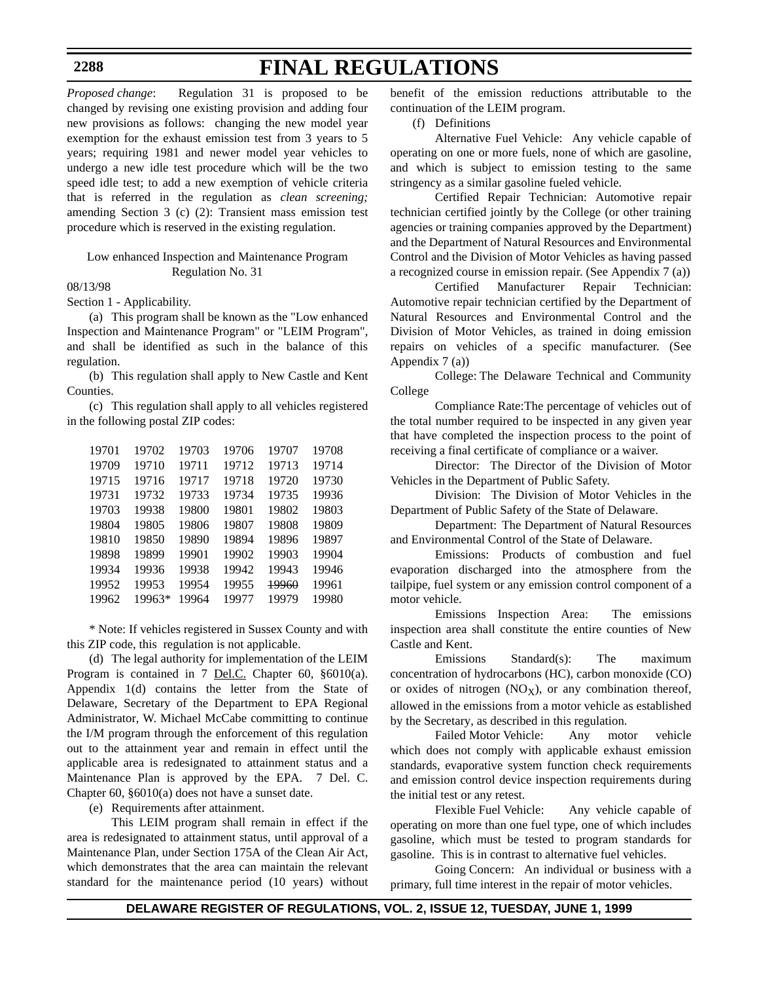# **FINAL REGULATIONS**

*Proposed change*: Regulation 31 is proposed to be changed by revising one existing provision and adding four new provisions as follows: changing the new model year exemption for the exhaust emission test from 3 years to 5 years; requiring 1981 and newer model year vehicles to undergo a new idle test procedure which will be the two speed idle test; to add a new exemption of vehicle criteria that is referred in the regulation as *clean screening;* amending Section 3 (c) (2): Transient mass emission test procedure which is reserved in the existing regulation.

## Low enhanced Inspection and Maintenance Program Regulation No. 31

08/13/98

Section 1 - Applicability.

(a) This program shall be known as the "Low enhanced Inspection and Maintenance Program" or "LEIM Program", and shall be identified as such in the balance of this regulation.

(b) This regulation shall apply to New Castle and Kent Counties.

(c) This regulation shall apply to all vehicles registered in the following postal ZIP codes:

| 19701 | 19702  | 19703 | 19706 | 19707 | 19708 |
|-------|--------|-------|-------|-------|-------|
| 19709 | 19710  | 19711 | 19712 | 19713 | 19714 |
| 19715 | 19716  | 19717 | 19718 | 19720 | 19730 |
| 19731 | 19732  | 19733 | 19734 | 19735 | 19936 |
| 19703 | 19938  | 19800 | 19801 | 19802 | 19803 |
| 19804 | 19805  | 19806 | 19807 | 19808 | 19809 |
| 19810 | 19850  | 19890 | 19894 | 19896 | 19897 |
| 19898 | 19899  | 19901 | 19902 | 19903 | 19904 |
| 19934 | 19936  | 19938 | 19942 | 19943 | 19946 |
| 19952 | 19953  | 19954 | 19955 | 19960 | 19961 |
| 19962 | 19963* | 19964 | 19977 | 19979 | 19980 |

\* Note: If vehicles registered in Sussex County and with this ZIP code, this regulation is not applicable.

(d) The legal authority for implementation of the LEIM Program is contained in 7 <u>Del.C.</u> Chapter 60, §6010(a). Appendix 1(d) contains the letter from the State of Delaware, Secretary of the Department to EPA Regional Administrator, W. Michael McCabe committing to continue the I/M program through the enforcement of this regulation out to the attainment year and remain in effect until the applicable area is redesignated to attainment status and a Maintenance Plan is approved by the EPA. 7 Del. C. Chapter 60, §6010(a) does not have a sunset date.

(e) Requirements after attainment.

This LEIM program shall remain in effect if the area is redesignated to attainment status, until approval of a Maintenance Plan, under Section 175A of the Clean Air Act, which demonstrates that the area can maintain the relevant standard for the maintenance period (10 years) without

benefit of the emission reductions attributable to the continuation of the LEIM program.

(f) Definitions

Alternative Fuel Vehicle: Any vehicle capable of operating on one or more fuels, none of which are gasoline, and which is subject to emission testing to the same stringency as a similar gasoline fueled vehicle.

Certified Repair Technician: Automotive repair technician certified jointly by the College (or other training agencies or training companies approved by the Department) and the Department of Natural Resources and Environmental Control and the Division of Motor Vehicles as having passed a recognized course in emission repair. (See Appendix 7 (a))

Certified Manufacturer Repair Technician: Automotive repair technician certified by the Department of Natural Resources and Environmental Control and the Division of Motor Vehicles, as trained in doing emission repairs on vehicles of a specific manufacturer. (See Appendix 7 (a))

College: The Delaware Technical and Community College

Compliance Rate:The percentage of vehicles out of the total number required to be inspected in any given year that have completed the inspection process to the point of receiving a final certificate of compliance or a waiver.

Director: The Director of the Division of Motor Vehicles in the Department of Public Safety.

Division: The Division of Motor Vehicles in the Department of Public Safety of the State of Delaware.

Department: The Department of Natural Resources and Environmental Control of the State of Delaware.

Emissions: Products of combustion and fuel evaporation discharged into the atmosphere from the tailpipe, fuel system or any emission control component of a motor vehicle.

Emissions Inspection Area: The emissions inspection area shall constitute the entire counties of New Castle and Kent.

Emissions Standard(s): The maximum concentration of hydrocarbons (HC), carbon monoxide (CO) or oxides of nitrogen  $(NO_X)$ , or any combination thereof, allowed in the emissions from a motor vehicle as established by the Secretary, as described in this regulation.

Failed Motor Vehicle: Any motor vehicle which does not comply with applicable exhaust emission standards, evaporative system function check requirements and emission control device inspection requirements during the initial test or any retest.

Flexible Fuel Vehicle: Any vehicle capable of operating on more than one fuel type, one of which includes gasoline, which must be tested to program standards for gasoline. This is in contrast to alternative fuel vehicles.

Going Concern: An individual or business with a primary, full time interest in the repair of motor vehicles.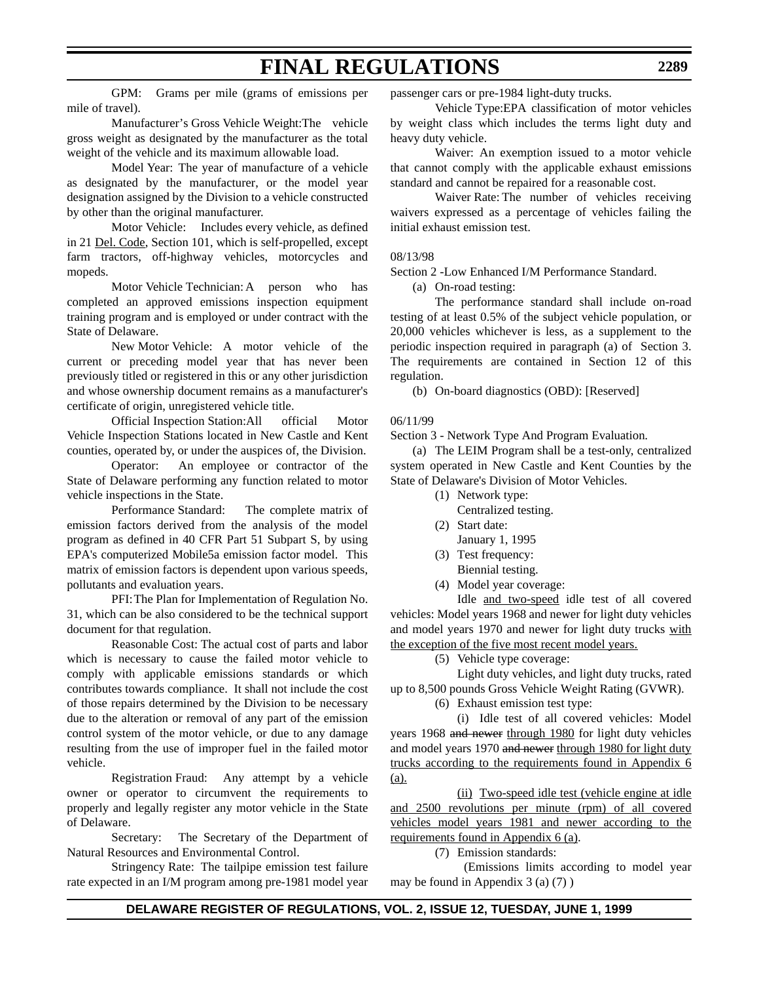GPM: Grams per mile (grams of emissions per mile of travel).

Manufacturer's Gross Vehicle Weight:The vehicle gross weight as designated by the manufacturer as the total weight of the vehicle and its maximum allowable load.

Model Year: The year of manufacture of a vehicle as designated by the manufacturer, or the model year designation assigned by the Division to a vehicle constructed by other than the original manufacturer.

Motor Vehicle: Includes every vehicle, as defined in 21 Del. Code, Section 101, which is self-propelled, except farm tractors, off-highway vehicles, motorcycles and mopeds.

Motor Vehicle Technician:A person who has completed an approved emissions inspection equipment training program and is employed or under contract with the State of Delaware.

New Motor Vehicle: A motor vehicle of the current or preceding model year that has never been previously titled or registered in this or any other jurisdiction and whose ownership document remains as a manufacturer's certificate of origin, unregistered vehicle title.

Official Inspection Station:All official Motor Vehicle Inspection Stations located in New Castle and Kent counties, operated by, or under the auspices of, the Division.

Operator: An employee or contractor of the State of Delaware performing any function related to motor vehicle inspections in the State.

Performance Standard: The complete matrix of emission factors derived from the analysis of the model program as defined in 40 CFR Part 51 Subpart S, by using EPA's computerized Mobile5a emission factor model. This matrix of emission factors is dependent upon various speeds, pollutants and evaluation years.

PFI:The Plan for Implementation of Regulation No. 31, which can be also considered to be the technical support document for that regulation.

Reasonable Cost: The actual cost of parts and labor which is necessary to cause the failed motor vehicle to comply with applicable emissions standards or which contributes towards compliance. It shall not include the cost of those repairs determined by the Division to be necessary due to the alteration or removal of any part of the emission control system of the motor vehicle, or due to any damage resulting from the use of improper fuel in the failed motor vehicle.

Registration Fraud: Any attempt by a vehicle owner or operator to circumvent the requirements to properly and legally register any motor vehicle in the State of Delaware.

Secretary: The Secretary of the Department of Natural Resources and Environmental Control.

Stringency Rate: The tailpipe emission test failure rate expected in an I/M program among pre-1981 model year

passenger cars or pre-1984 light-duty trucks.

Vehicle Type:EPA classification of motor vehicles by weight class which includes the terms light duty and heavy duty vehicle.

Waiver: An exemption issued to a motor vehicle that cannot comply with the applicable exhaust emissions standard and cannot be repaired for a reasonable cost.

Waiver Rate: The number of vehicles receiving waivers expressed as a percentage of vehicles failing the initial exhaust emission test.

### 08/13/98

Section 2 -Low Enhanced I/M Performance Standard.

(a) On-road testing:

The performance standard shall include on-road testing of at least 0.5% of the subject vehicle population, or 20,000 vehicles whichever is less, as a supplement to the periodic inspection required in paragraph (a) of Section 3. The requirements are contained in Section 12 of this regulation.

(b) On-board diagnostics (OBD): [Reserved]

### 06/11/99

Section 3 - Network Type And Program Evaluation*.* 

(a) The LEIM Program shall be a test-only, centralized system operated in New Castle and Kent Counties by the State of Delaware's Division of Motor Vehicles.

- (1) Network type:
	- Centralized testing.
- (2) Start date:
	- January 1, 1995
- (3) Test frequency: Biennial testing.
- (4) Model year coverage:

Idle and two-speed idle test of all covered vehicles: Model years 1968 and newer for light duty vehicles and model years 1970 and newer for light duty trucks with the exception of the five most recent model years.

(5) Vehicle type coverage:

Light duty vehicles, and light duty trucks, rated up to 8,500 pounds Gross Vehicle Weight Rating (GVWR).

(6) Exhaust emission test type:

(i) Idle test of all covered vehicles: Model years 1968 and newer through 1980 for light duty vehicles and model years 1970 and newer through 1980 for light duty trucks according to the requirements found in Appendix 6 (a).

(ii) Two-speed idle test (vehicle engine at idle and 2500 revolutions per minute (rpm) of all covered vehicles model years 1981 and newer according to the requirements found in Appendix 6 (a).

(7) Emission standards:

 (Emissions limits according to model year may be found in Appendix 3 (a) (7) )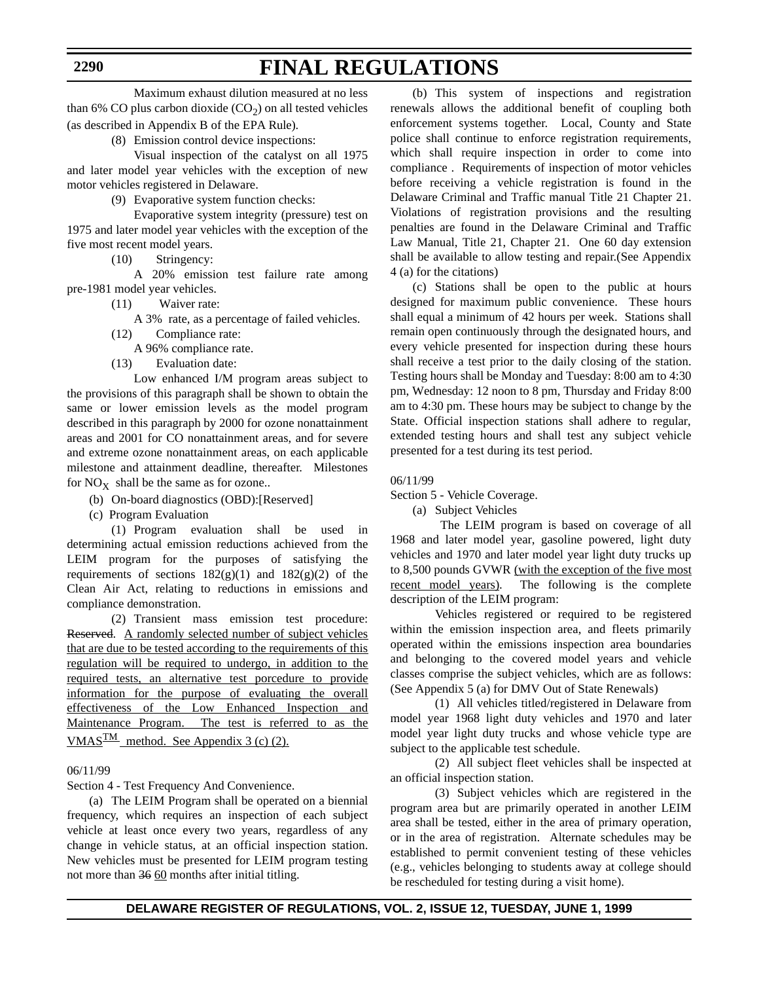**2290**

Maximum exhaust dilution measured at no less than 6% CO plus carbon dioxide  $(CO_2)$  on all tested vehicles (as described in Appendix B of the EPA Rule).

(8) Emission control device inspections:

Visual inspection of the catalyst on all 1975 and later model year vehicles with the exception of new motor vehicles registered in Delaware.

(9) Evaporative system function checks:

Evaporative system integrity (pressure) test on 1975 and later model year vehicles with the exception of the five most recent model years.

(10) Stringency:

A 20% emission test failure rate among pre-1981 model year vehicles.

(11) Waiver rate:

A 3% rate, as a percentage of failed vehicles.

(12) Compliance rate:

A 96% compliance rate.

(13) Evaluation date:

Low enhanced I/M program areas subject to the provisions of this paragraph shall be shown to obtain the same or lower emission levels as the model program described in this paragraph by 2000 for ozone nonattainment areas and 2001 for CO nonattainment areas, and for severe and extreme ozone nonattainment areas, on each applicable milestone and attainment deadline, thereafter. Milestones for  $NO<sub>x</sub>$  shall be the same as for ozone..

- (b) On-board diagnostics (OBD):[Reserved]
- (c) Program Evaluation

(1) Program evaluation shall be used in determining actual emission reductions achieved from the LEIM program for the purposes of satisfying the requirements of sections  $182(g)(1)$  and  $182(g)(2)$  of the Clean Air Act, relating to reductions in emissions and compliance demonstration.

(2) Transient mass emission test procedure: Reserved. A randomly selected number of subject vehicles that are due to be tested according to the requirements of this regulation will be required to undergo, in addition to the required tests, an alternative test porcedure to provide information for the purpose of evaluating the overall effectiveness of the Low Enhanced Inspection and Maintenance Program. The test is referred to as the VMAS $\frac{TM}{M}$  method. See Appendix 3 (c) (2).

#### 06/11/99

Section 4 - Test Frequency And Convenience.

(a) The LEIM Program shall be operated on a biennial frequency, which requires an inspection of each subject vehicle at least once every two years, regardless of any change in vehicle status, at an official inspection station. New vehicles must be presented for LEIM program testing not more than 36 60 months after initial titling.

(b) This system of inspections and registration renewals allows the additional benefit of coupling both enforcement systems together. Local, County and State police shall continue to enforce registration requirements, which shall require inspection in order to come into compliance . Requirements of inspection of motor vehicles before receiving a vehicle registration is found in the Delaware Criminal and Traffic manual Title 21 Chapter 21. Violations of registration provisions and the resulting penalties are found in the Delaware Criminal and Traffic Law Manual, Title 21, Chapter 21. One 60 day extension shall be available to allow testing and repair.(See Appendix 4 (a) for the citations)

(c) Stations shall be open to the public at hours designed for maximum public convenience. These hours shall equal a minimum of 42 hours per week. Stations shall remain open continuously through the designated hours, and every vehicle presented for inspection during these hours shall receive a test prior to the daily closing of the station. Testing hours shall be Monday and Tuesday: 8:00 am to 4:30 pm, Wednesday: 12 noon to 8 pm, Thursday and Friday 8:00 am to 4:30 pm. These hours may be subject to change by the State. Official inspection stations shall adhere to regular, extended testing hours and shall test any subject vehicle presented for a test during its test period.

#### 06/11/99

Section 5 - Vehicle Coverage.

(a) Subject Vehicles

 The LEIM program is based on coverage of all 1968 and later model year, gasoline powered, light duty vehicles and 1970 and later model year light duty trucks up to 8,500 pounds GVWR (with the exception of the five most recent model years). The following is the complete description of the LEIM program:

Vehicles registered or required to be registered within the emission inspection area, and fleets primarily operated within the emissions inspection area boundaries and belonging to the covered model years and vehicle classes comprise the subject vehicles, which are as follows: (See Appendix 5 (a) for DMV Out of State Renewals)

(1) All vehicles titled/registered in Delaware from model year 1968 light duty vehicles and 1970 and later model year light duty trucks and whose vehicle type are subject to the applicable test schedule.

(2) All subject fleet vehicles shall be inspected at an official inspection station.

(3) Subject vehicles which are registered in the program area but are primarily operated in another LEIM area shall be tested, either in the area of primary operation, or in the area of registration. Alternate schedules may be established to permit convenient testing of these vehicles (e.g., vehicles belonging to students away at college should be rescheduled for testing during a visit home).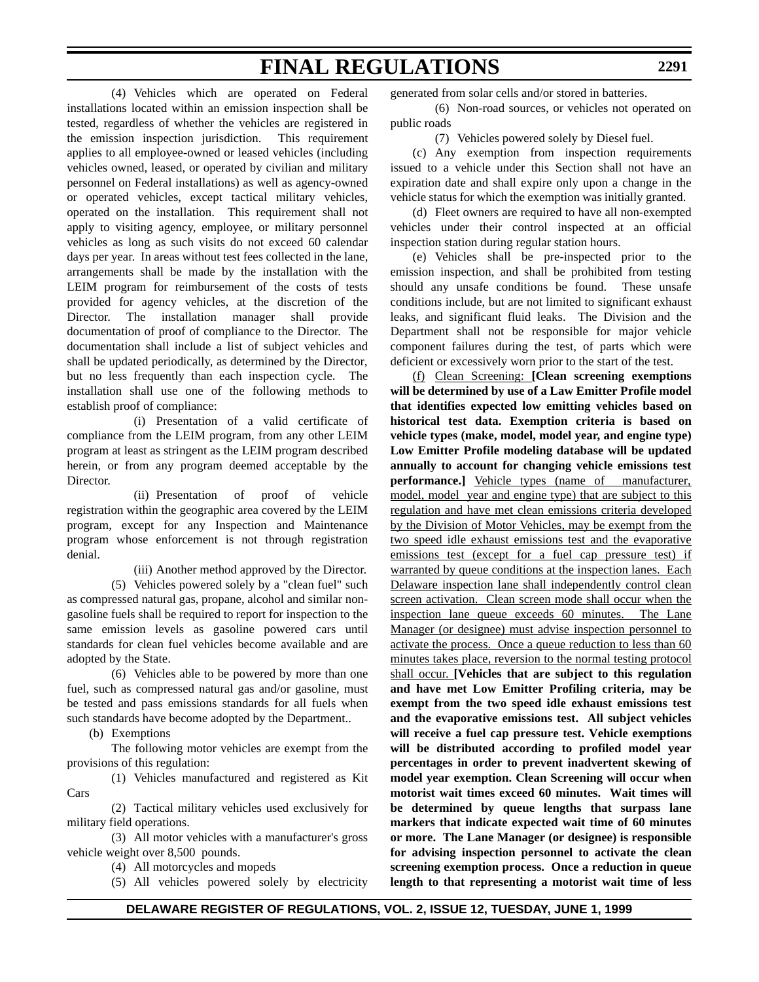(4) Vehicles which are operated on Federal installations located within an emission inspection shall be tested, regardless of whether the vehicles are registered in the emission inspection jurisdiction. This requirement applies to all employee-owned or leased vehicles (including vehicles owned, leased, or operated by civilian and military personnel on Federal installations) as well as agency-owned or operated vehicles, except tactical military vehicles, operated on the installation. This requirement shall not apply to visiting agency, employee, or military personnel vehicles as long as such visits do not exceed 60 calendar days per year. In areas without test fees collected in the lane, arrangements shall be made by the installation with the LEIM program for reimbursement of the costs of tests provided for agency vehicles, at the discretion of the Director. The installation manager shall provide documentation of proof of compliance to the Director. The documentation shall include a list of subject vehicles and shall be updated periodically, as determined by the Director, but no less frequently than each inspection cycle. The installation shall use one of the following methods to establish proof of compliance:

(i) Presentation of a valid certificate of compliance from the LEIM program, from any other LEIM program at least as stringent as the LEIM program described herein, or from any program deemed acceptable by the Director.

(ii) Presentation of proof of vehicle registration within the geographic area covered by the LEIM program, except for any Inspection and Maintenance program whose enforcement is not through registration denial.

(iii) Another method approved by the Director.

(5) Vehicles powered solely by a "clean fuel" such as compressed natural gas, propane, alcohol and similar nongasoline fuels shall be required to report for inspection to the same emission levels as gasoline powered cars until standards for clean fuel vehicles become available and are adopted by the State.

(6) Vehicles able to be powered by more than one fuel, such as compressed natural gas and/or gasoline, must be tested and pass emissions standards for all fuels when such standards have become adopted by the Department..

(b) Exemptions

The following motor vehicles are exempt from the provisions of this regulation:

(1) Vehicles manufactured and registered as Kit Cars

(2) Tactical military vehicles used exclusively for military field operations.

(3) All motor vehicles with a manufacturer's gross vehicle weight over 8,500 pounds.

(4) All motorcycles and mopeds

(5) All vehicles powered solely by electricity

generated from solar cells and/or stored in batteries.

(6) Non-road sources, or vehicles not operated on public roads

(7) Vehicles powered solely by Diesel fuel.

(c) Any exemption from inspection requirements issued to a vehicle under this Section shall not have an expiration date and shall expire only upon a change in the vehicle status for which the exemption was initially granted.

(d) Fleet owners are required to have all non-exempted vehicles under their control inspected at an official inspection station during regular station hours.

(e) Vehicles shall be pre-inspected prior to the emission inspection, and shall be prohibited from testing should any unsafe conditions be found. These unsafe conditions include, but are not limited to significant exhaust leaks, and significant fluid leaks. The Division and the Department shall not be responsible for major vehicle component failures during the test, of parts which were deficient or excessively worn prior to the start of the test.

(f) Clean Screening: **[Clean screening exemptions will be determined by use of a Law Emitter Profile model that identifies expected low emitting vehicles based on historical test data. Exemption criteria is based on vehicle types (make, model, model year, and engine type) Low Emitter Profile modeling database will be updated annually to account for changing vehicle emissions test performance.]** Vehicle types (name of manufacturer, model, model year and engine type) that are subject to this regulation and have met clean emissions criteria developed by the Division of Motor Vehicles, may be exempt from the two speed idle exhaust emissions test and the evaporative emissions test (except for a fuel cap pressure test) if warranted by queue conditions at the inspection lanes. Each Delaware inspection lane shall independently control clean screen activation. Clean screen mode shall occur when the inspection lane queue exceeds 60 minutes. The Lane Manager (or designee) must advise inspection personnel to activate the process. Once a queue reduction to less than 60 minutes takes place, reversion to the normal testing protocol shall occur. **[Vehicles that are subject to this regulation and have met Low Emitter Profiling criteria, may be exempt from the two speed idle exhaust emissions test and the evaporative emissions test. All subject vehicles will receive a fuel cap pressure test. Vehicle exemptions will be distributed according to profiled model year percentages in order to prevent inadvertent skewing of model year exemption. Clean Screening will occur when motorist wait times exceed 60 minutes. Wait times will be determined by queue lengths that surpass lane markers that indicate expected wait time of 60 minutes or more. The Lane Manager (or designee) is responsible for advising inspection personnel to activate the clean screening exemption process. Once a reduction in queue length to that representing a motorist wait time of less**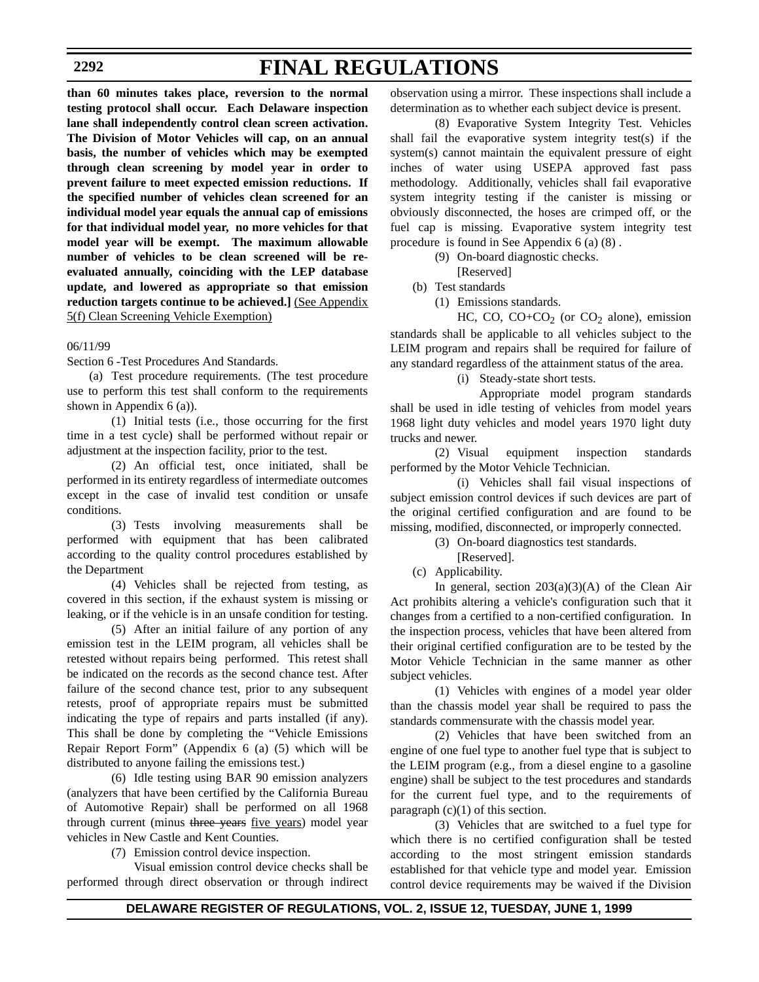#### **2292**

# **FINAL REGULATIONS**

**than 60 minutes takes place, reversion to the normal testing protocol shall occur. Each Delaware inspection lane shall independently control clean screen activation. The Division of Motor Vehicles will cap, on an annual basis, the number of vehicles which may be exempted through clean screening by model year in order to prevent failure to meet expected emission reductions. If the specified number of vehicles clean screened for an individual model year equals the annual cap of emissions for that individual model year, no more vehicles for that model year will be exempt. The maximum allowable number of vehicles to be clean screened will be reevaluated annually, coinciding with the LEP database update, and lowered as appropriate so that emission reduction targets continue to be achieved.]** (See Appendix 5(f) Clean Screening Vehicle Exemption)

#### 06/11/99

Section 6 -Test Procedures And Standards.

(a) Test procedure requirements. (The test procedure use to perform this test shall conform to the requirements shown in Appendix 6 (a)).

(1) Initial tests (i.e., those occurring for the first time in a test cycle) shall be performed without repair or adjustment at the inspection facility, prior to the test.

(2) An official test, once initiated, shall be performed in its entirety regardless of intermediate outcomes except in the case of invalid test condition or unsafe conditions.

(3) Tests involving measurements shall be performed with equipment that has been calibrated according to the quality control procedures established by the Department

(4) Vehicles shall be rejected from testing, as covered in this section, if the exhaust system is missing or leaking, or if the vehicle is in an unsafe condition for testing.

(5) After an initial failure of any portion of any emission test in the LEIM program, all vehicles shall be retested without repairs being performed. This retest shall be indicated on the records as the second chance test. After failure of the second chance test, prior to any subsequent retests, proof of appropriate repairs must be submitted indicating the type of repairs and parts installed (if any). This shall be done by completing the "Vehicle Emissions Repair Report Form" (Appendix 6 (a) (5) which will be distributed to anyone failing the emissions test.)

(6) Idle testing using BAR 90 emission analyzers (analyzers that have been certified by the California Bureau of Automotive Repair) shall be performed on all 1968 through current (minus three years five years) model year vehicles in New Castle and Kent Counties.

(7) Emission control device inspection.

Visual emission control device checks shall be performed through direct observation or through indirect observation using a mirror. These inspections shall include a determination as to whether each subject device is present.

(8) Evaporative System Integrity Test. Vehicles shall fail the evaporative system integrity test(s) if the system(s) cannot maintain the equivalent pressure of eight inches of water using USEPA approved fast pass methodology. Additionally, vehicles shall fail evaporative system integrity testing if the canister is missing or obviously disconnected, the hoses are crimped off, or the fuel cap is missing. Evaporative system integrity test procedure is found in See Appendix 6 (a) (8) .

(9) On-board diagnostic checks.

[Reserved]

(b) Test standards

(1) Emissions standards.

HC, CO,  $CO + CO_2$  (or  $CO_2$  alone), emission standards shall be applicable to all vehicles subject to the LEIM program and repairs shall be required for failure of any standard regardless of the attainment status of the area.

(i) Steady-state short tests.

Appropriate model program standards shall be used in idle testing of vehicles from model years 1968 light duty vehicles and model years 1970 light duty trucks and newer.

(2) Visual equipment inspection standards performed by the Motor Vehicle Technician.

(i) Vehicles shall fail visual inspections of subject emission control devices if such devices are part of the original certified configuration and are found to be missing, modified, disconnected, or improperly connected.

(3) On-board diagnostics test standards.

- [Reserved].
- (c) Applicability.

In general, section  $203(a)(3)(A)$  of the Clean Air Act prohibits altering a vehicle's configuration such that it changes from a certified to a non-certified configuration. In the inspection process, vehicles that have been altered from their original certified configuration are to be tested by the Motor Vehicle Technician in the same manner as other subject vehicles.

(1) Vehicles with engines of a model year older than the chassis model year shall be required to pass the standards commensurate with the chassis model year.

(2) Vehicles that have been switched from an engine of one fuel type to another fuel type that is subject to the LEIM program (e.g., from a diesel engine to a gasoline engine) shall be subject to the test procedures and standards for the current fuel type, and to the requirements of paragraph  $(c)(1)$  of this section.

(3) Vehicles that are switched to a fuel type for which there is no certified configuration shall be tested according to the most stringent emission standards established for that vehicle type and model year. Emission control device requirements may be waived if the Division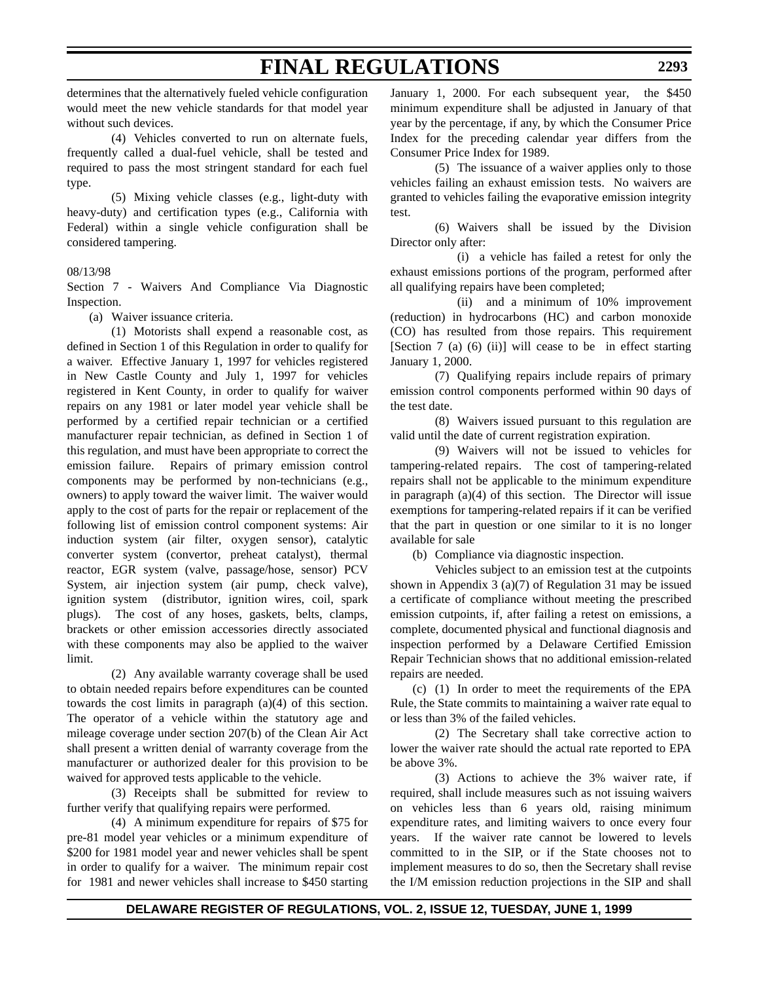determines that the alternatively fueled vehicle configuration would meet the new vehicle standards for that model year without such devices.

(4) Vehicles converted to run on alternate fuels, frequently called a dual-fuel vehicle, shall be tested and required to pass the most stringent standard for each fuel type.

(5) Mixing vehicle classes (e.g., light-duty with heavy-duty) and certification types (e.g., California with Federal) within a single vehicle configuration shall be considered tampering.

### 08/13/98

Section 7 - Waivers And Compliance Via Diagnostic Inspection.

(a) Waiver issuance criteria.

(1) Motorists shall expend a reasonable cost, as defined in Section 1 of this Regulation in order to qualify for a waiver. Effective January 1, 1997 for vehicles registered in New Castle County and July 1, 1997 for vehicles registered in Kent County, in order to qualify for waiver repairs on any 1981 or later model year vehicle shall be performed by a certified repair technician or a certified manufacturer repair technician, as defined in Section 1 of this regulation, and must have been appropriate to correct the emission failure. Repairs of primary emission control components may be performed by non-technicians (e.g., owners) to apply toward the waiver limit. The waiver would apply to the cost of parts for the repair or replacement of the following list of emission control component systems: Air induction system (air filter, oxygen sensor), catalytic converter system (convertor, preheat catalyst), thermal reactor, EGR system (valve, passage/hose, sensor) PCV System, air injection system (air pump, check valve), ignition system (distributor, ignition wires, coil, spark plugs). The cost of any hoses, gaskets, belts, clamps, brackets or other emission accessories directly associated with these components may also be applied to the waiver limit.

(2) Any available warranty coverage shall be used to obtain needed repairs before expenditures can be counted towards the cost limits in paragraph (a)(4) of this section. The operator of a vehicle within the statutory age and mileage coverage under section 207(b) of the Clean Air Act shall present a written denial of warranty coverage from the manufacturer or authorized dealer for this provision to be waived for approved tests applicable to the vehicle.

(3) Receipts shall be submitted for review to further verify that qualifying repairs were performed.

(4) A minimum expenditure for repairs of \$75 for pre-81 model year vehicles or a minimum expenditure of \$200 for 1981 model year and newer vehicles shall be spent in order to qualify for a waiver. The minimum repair cost for 1981 and newer vehicles shall increase to \$450 starting

January 1, 2000. For each subsequent year, the \$450 minimum expenditure shall be adjusted in January of that year by the percentage, if any, by which the Consumer Price Index for the preceding calendar year differs from the Consumer Price Index for 1989.

(5) The issuance of a waiver applies only to those vehicles failing an exhaust emission tests. No waivers are granted to vehicles failing the evaporative emission integrity test.

(6) Waivers shall be issued by the Division Director only after:

(i) a vehicle has failed a retest for only the exhaust emissions portions of the program, performed after all qualifying repairs have been completed;

(ii) and a minimum of 10% improvement (reduction) in hydrocarbons (HC) and carbon monoxide (CO) has resulted from those repairs. This requirement [Section 7 (a) (6) (ii)] will cease to be in effect starting January 1, 2000.

(7) Qualifying repairs include repairs of primary emission control components performed within 90 days of the test date.

(8) Waivers issued pursuant to this regulation are valid until the date of current registration expiration.

(9) Waivers will not be issued to vehicles for tampering-related repairs. The cost of tampering-related repairs shall not be applicable to the minimum expenditure in paragraph (a)(4) of this section. The Director will issue exemptions for tampering-related repairs if it can be verified that the part in question or one similar to it is no longer available for sale

(b) Compliance via diagnostic inspection.

Vehicles subject to an emission test at the cutpoints shown in Appendix 3 (a)(7) of Regulation 31 may be issued a certificate of compliance without meeting the prescribed emission cutpoints, if, after failing a retest on emissions, a complete, documented physical and functional diagnosis and inspection performed by a Delaware Certified Emission Repair Technician shows that no additional emission-related repairs are needed.

(c) (1) In order to meet the requirements of the EPA Rule, the State commits to maintaining a waiver rate equal to or less than 3% of the failed vehicles.

(2) The Secretary shall take corrective action to lower the waiver rate should the actual rate reported to EPA be above 3%.

(3) Actions to achieve the 3% waiver rate, if required, shall include measures such as not issuing waivers on vehicles less than 6 years old, raising minimum expenditure rates, and limiting waivers to once every four years. If the waiver rate cannot be lowered to levels committed to in the SIP, or if the State chooses not to implement measures to do so, then the Secretary shall revise the I/M emission reduction projections in the SIP and shall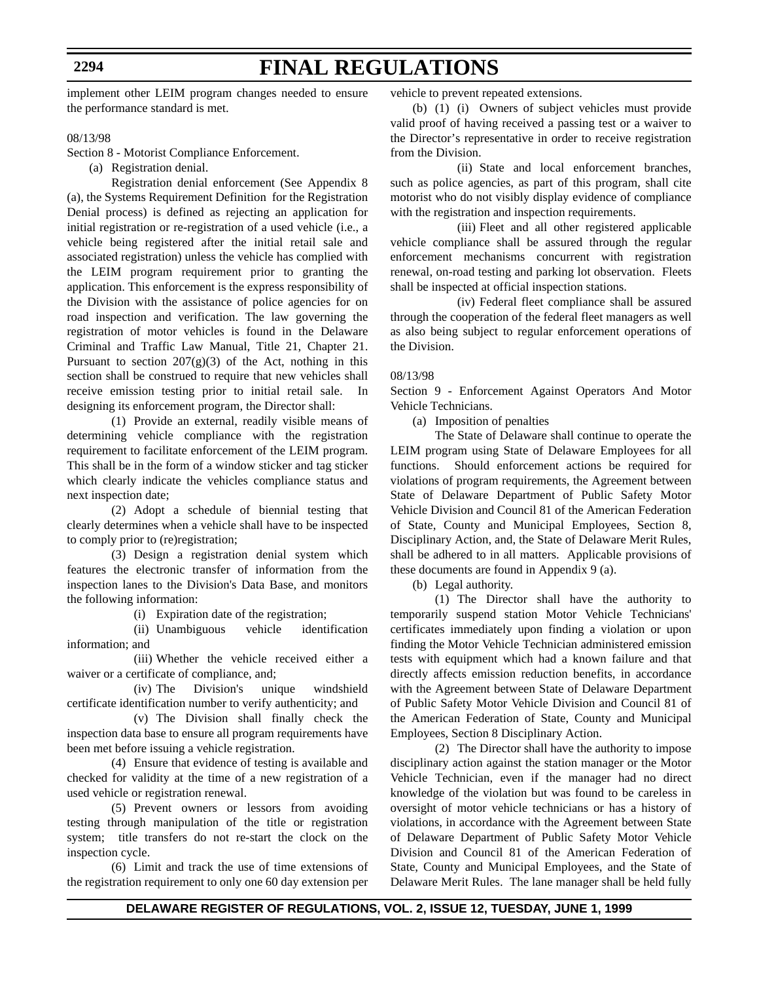**2294**

# **FINAL REGULATIONS**

implement other LEIM program changes needed to ensure the performance standard is met.

08/13/98

Section 8 - Motorist Compliance Enforcement.

(a) Registration denial.

Registration denial enforcement (See Appendix 8 (a), the Systems Requirement Definition for the Registration Denial process) is defined as rejecting an application for initial registration or re-registration of a used vehicle (i.e., a vehicle being registered after the initial retail sale and associated registration) unless the vehicle has complied with the LEIM program requirement prior to granting the application. This enforcement is the express responsibility of the Division with the assistance of police agencies for on road inspection and verification. The law governing the registration of motor vehicles is found in the Delaware Criminal and Traffic Law Manual, Title 21, Chapter 21. Pursuant to section  $207(g)(3)$  of the Act, nothing in this section shall be construed to require that new vehicles shall receive emission testing prior to initial retail sale. In designing its enforcement program, the Director shall:

(1) Provide an external, readily visible means of determining vehicle compliance with the registration requirement to facilitate enforcement of the LEIM program. This shall be in the form of a window sticker and tag sticker which clearly indicate the vehicles compliance status and next inspection date;

(2) Adopt a schedule of biennial testing that clearly determines when a vehicle shall have to be inspected to comply prior to (re)registration;

(3) Design a registration denial system which features the electronic transfer of information from the inspection lanes to the Division's Data Base, and monitors the following information:

(i) Expiration date of the registration;

(ii) Unambiguous vehicle identification information; and

(iii) Whether the vehicle received either a waiver or a certificate of compliance, and;

(iv) The Division's unique windshield certificate identification number to verify authenticity; and

(v) The Division shall finally check the inspection data base to ensure all program requirements have been met before issuing a vehicle registration.

(4) Ensure that evidence of testing is available and checked for validity at the time of a new registration of a used vehicle or registration renewal.

(5) Prevent owners or lessors from avoiding testing through manipulation of the title or registration system; title transfers do not re-start the clock on the inspection cycle.

(6) Limit and track the use of time extensions of the registration requirement to only one 60 day extension per

vehicle to prevent repeated extensions.

(b) (1) (i) Owners of subject vehicles must provide valid proof of having received a passing test or a waiver to the Director's representative in order to receive registration from the Division.

(ii) State and local enforcement branches, such as police agencies, as part of this program, shall cite motorist who do not visibly display evidence of compliance with the registration and inspection requirements.

(iii) Fleet and all other registered applicable vehicle compliance shall be assured through the regular enforcement mechanisms concurrent with registration renewal, on-road testing and parking lot observation. Fleets shall be inspected at official inspection stations.

(iv) Federal fleet compliance shall be assured through the cooperation of the federal fleet managers as well as also being subject to regular enforcement operations of the Division.

#### 08/13/98

Section 9 - Enforcement Against Operators And Motor Vehicle Technicians.

(a) Imposition of penalties

The State of Delaware shall continue to operate the LEIM program using State of Delaware Employees for all functions. Should enforcement actions be required for violations of program requirements, the Agreement between State of Delaware Department of Public Safety Motor Vehicle Division and Council 81 of the American Federation of State, County and Municipal Employees, Section 8, Disciplinary Action, and, the State of Delaware Merit Rules, shall be adhered to in all matters. Applicable provisions of these documents are found in Appendix 9 (a).

(b) Legal authority.

(1) The Director shall have the authority to temporarily suspend station Motor Vehicle Technicians' certificates immediately upon finding a violation or upon finding the Motor Vehicle Technician administered emission tests with equipment which had a known failure and that directly affects emission reduction benefits, in accordance with the Agreement between State of Delaware Department of Public Safety Motor Vehicle Division and Council 81 of the American Federation of State, County and Municipal Employees, Section 8 Disciplinary Action.

(2) The Director shall have the authority to impose disciplinary action against the station manager or the Motor Vehicle Technician, even if the manager had no direct knowledge of the violation but was found to be careless in oversight of motor vehicle technicians or has a history of violations, in accordance with the Agreement between State of Delaware Department of Public Safety Motor Vehicle Division and Council 81 of the American Federation of State, County and Municipal Employees, and the State of Delaware Merit Rules. The lane manager shall be held fully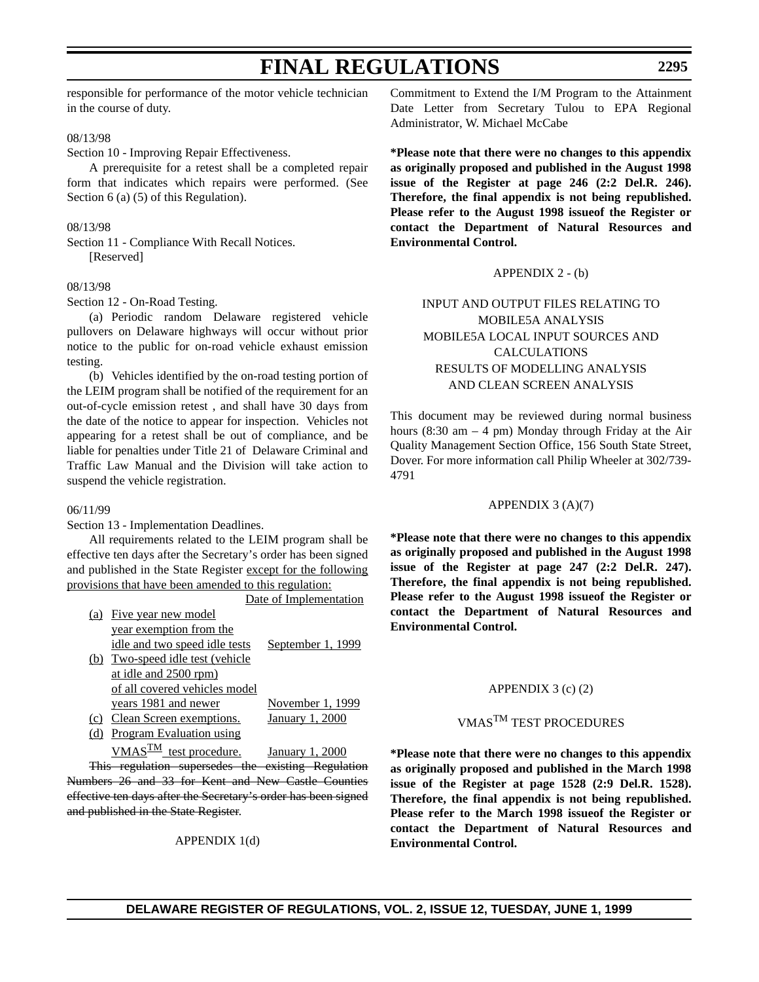responsible for performance of the motor vehicle technician in the course of duty.

#### 08/13/98

Section 10 - Improving Repair Effectiveness.

A prerequisite for a retest shall be a completed repair form that indicates which repairs were performed. (See Section 6 (a) (5) of this Regulation).

#### 08/13/98

Section 11 - Compliance With Recall Notices. [Reserved]

### 08/13/98

Section 12 - On-Road Testing.

(a) Periodic random Delaware registered vehicle pullovers on Delaware highways will occur without prior notice to the public for on-road vehicle exhaust emission testing.

(b) Vehicles identified by the on-road testing portion of the LEIM program shall be notified of the requirement for an out-of-cycle emission retest , and shall have 30 days from the date of the notice to appear for inspection. Vehicles not appearing for a retest shall be out of compliance, and be liable for penalties under Title 21 of Delaware Criminal and Traffic Law Manual and the Division will take action to suspend the vehicle registration.

#### 06/11/99

Section 13 - Implementation Deadlines.

All requirements related to the LEIM program shall be effective ten days after the Secretary's order has been signed and published in the State Register except for the following provisions that have been amended to this regulation: Data of Implementation

|     |                                  | рац от пиркиклианон    |
|-----|----------------------------------|------------------------|
|     | (a) Five year new model          |                        |
|     | year exemption from the          |                        |
|     | idle and two speed idle tests    | September 1, 1999      |
|     | (b) Two-speed idle test (vehicle |                        |
|     | at idle and 2500 rpm)            |                        |
|     | of all covered vehicles model    |                        |
|     | years 1981 and newer             | November 1, 1999       |
| (c) | Clean Screen exemptions.         | <b>January 1, 2000</b> |
|     | <b>Program Evaluation using</b>  |                        |
|     | VMAS $^{TM}$ test procedure.     | January 1, 2000        |

This regulation supersedes the existing Regulation Numbers 26 and 33 for Kent and New Castle Counties effective ten days after the Secretary's order has been signed and published in the State Register.

APPENDIX 1(d)

Commitment to Extend the I/M Program to the Attainment Date Letter from Secretary Tulou to EPA Regional Administrator, W. Michael McCabe

**\*Please note that there were no changes to this appendix as originally proposed and published in the August 1998 issue of the Register at page 246 (2:2 Del.R. 246). Therefore, the final appendix is not being republished. Please refer to the August 1998 issueof the Register or contact the Department of Natural Resources and Environmental Control.**

#### APPENDIX 2 - (b)

### INPUT AND OUTPUT FILES RELATING TO MOBILE5A ANALYSIS MOBILE5A LOCAL INPUT SOURCES AND CALCULATIONS RESULTS OF MODELLING ANALYSIS AND CLEAN SCREEN ANALYSIS

This document may be reviewed during normal business hours  $(8:30 \text{ am} - 4 \text{ pm})$  Monday through Friday at the Air Quality Management Section Office, 156 South State Street, Dover. For more information call Philip Wheeler at 302/739- 4791

#### APPENDIX 3 (A)(7)

**\*Please note that there were no changes to this appendix as originally proposed and published in the August 1998 issue of the Register at page 247 (2:2 Del.R. 247). Therefore, the final appendix is not being republished. Please refer to the August 1998 issueof the Register or contact the Department of Natural Resources and Environmental Control.**

#### APPENDIX 3 (c) (2)

## VMASTM TEST PROCEDURES

**\*Please note that there were no changes to this appendix as originally proposed and published in the March 1998 issue of the Register at page 1528 (2:9 Del.R. 1528). Therefore, the final appendix is not being republished. Please refer to the March 1998 issueof the Register or contact the Department of Natural Resources and Environmental Control.**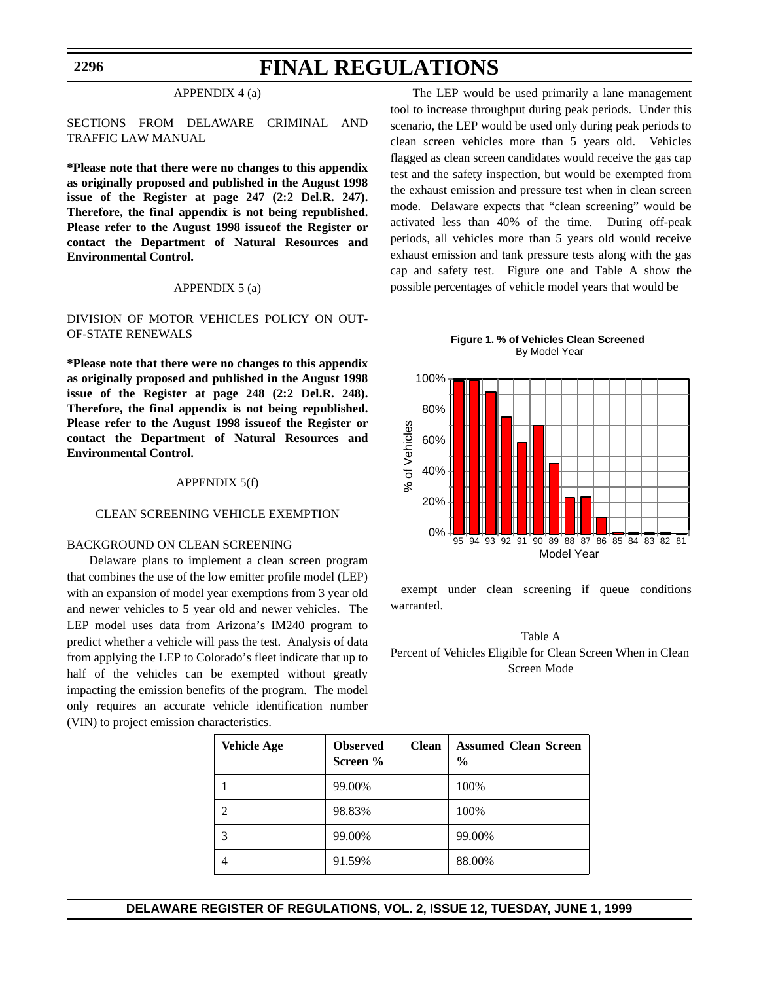#### **2296**

# **FINAL REGULATIONS**

#### APPENDIX 4 (a)

### SECTIONS FROM DELAWARE CRIMINAL AND TRAFFIC LAW MANUAL

**\*Please note that there were no changes to this appendix as originally proposed and published in the August 1998 issue of the Register at page 247 (2:2 Del.R. 247). Therefore, the final appendix is not being republished. Please refer to the August 1998 issueof the Register or contact the Department of Natural Resources and Environmental Control.**

#### APPENDIX 5 (a)

### DIVISION OF MOTOR VEHICLES POLICY ON OUT-OF-STATE RENEWALS

**\*Please note that there were no changes to this appendix as originally proposed and published in the August 1998 issue of the Register at page 248 (2:2 Del.R. 248). Therefore, the final appendix is not being republished. Please refer to the August 1998 issueof the Register or contact the Department of Natural Resources and Environmental Control.**

#### APPENDIX 5(f)

#### CLEAN SCREENING VEHICLE EXEMPTION

### BACKGROUND ON CLEAN SCREENING

Delaware plans to implement a clean screen program that combines the use of the low emitter profile model (LEP) with an expansion of model year exemptions from 3 year old and newer vehicles to 5 year old and newer vehicles. The LEP model uses data from Arizona's IM240 program to predict whether a vehicle will pass the test. Analysis of data from applying the LEP to Colorado's fleet indicate that up to half of the vehicles can be exempted without greatly impacting the emission benefits of the program. The model only requires an accurate vehicle identification number (VIN) to project emission characteristics.

The LEP would be used primarily a lane management tool to increase throughput during peak periods. Under this scenario, the LEP would be used only during peak periods to clean screen vehicles more than 5 years old. Vehicles flagged as clean screen candidates would receive the gas cap test and the safety inspection, but would be exempted from the exhaust emission and pressure test when in clean screen mode. Delaware expects that "clean screening" would be activated less than 40% of the time. During off-peak periods, all vehicles more than 5 years old would receive exhaust emission and tank pressure tests along with the gas cap and safety test. Figure one and Table A show the possible percentages of vehicle model years that would be





 exempt under clean screening if queue conditions warranted.



| <b>Vehicle Age</b> | <b>Clean</b><br><b>Observed</b><br>Screen % | <b>Assumed Clean Screen</b><br>$\frac{6}{9}$ |
|--------------------|---------------------------------------------|----------------------------------------------|
|                    | 99.00%                                      | 100%                                         |
|                    | 98.83%                                      | 100%                                         |
|                    | 99.00%                                      | 99.00%                                       |
|                    | 91.59%                                      | 88.00%                                       |

### **DELAWARE REGISTER OF REGULATIONS, VOL. 2, ISSUE 12, TUESDAY, JUNE 1, 1999**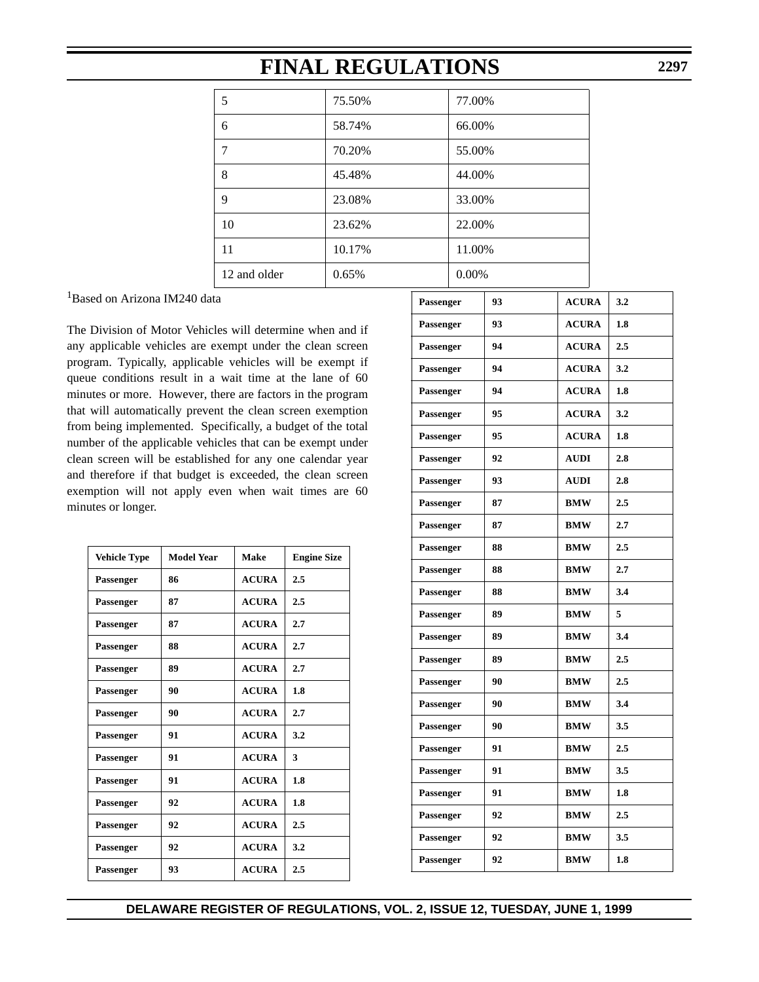| 5            | 75.50% | 77.00%   |
|--------------|--------|----------|
| 6            | 58.74% | 66.00%   |
| 7            | 70.20% | 55.00%   |
| 8            | 45.48% | 44.00%   |
| 9            | 23.08% | 33.00%   |
| 10           | 23.62% | 22.00%   |
| 11           | 10.17% | 11.00%   |
| 12 and older | 0.65%  | $0.00\%$ |

<sup>1</sup>Based on Arizona IM240 data

The Division of Motor Vehicles will determine when and if any applicable vehicles are exempt under the clean screen program. Typically, applicable vehicles will be exempt if queue conditions result in a wait time at the lane of 60 minutes or more. However, there are factors in the program that will automatically prevent the clean screen exemption from being implemented. Specifically, a budget of the total number of the applicable vehicles that can be exempt under clean screen will be established for any one calendar year and therefore if that budget is exceeded, the clean screen exemption will not apply even when wait times are 60 minutes or longer.

| <b>Vehicle Type</b> | <b>Model Year</b> | <b>Make</b>  | <b>Engine Size</b> |
|---------------------|-------------------|--------------|--------------------|
| Passenger           | 86                | <b>ACURA</b> | 2.5                |
| <b>Passenger</b>    | 87                | <b>ACURA</b> | 2.5                |
| Passenger           | 87                | <b>ACURA</b> | 2.7                |
| Passenger           | 88                | <b>ACURA</b> | 2.7                |
| Passenger           | 89                | <b>ACURA</b> | 2.7                |
| Passenger           | 90                | <b>ACURA</b> | 1.8                |
| Passenger           | 90                | <b>ACURA</b> | 2.7                |
| Passenger           | 91                | <b>ACURA</b> | 3.2                |
| Passenger           | 91                | <b>ACURA</b> | 3                  |
| Passenger           | 91                | <b>ACURA</b> | 1.8                |
| Passenger           | 92                | <b>ACURA</b> | 1.8                |
| Passenger           | 92                | <b>ACURA</b> | 2.5                |
| <b>Passenger</b>    | 92                | <b>ACURA</b> | 3.2                |
| Passenger           | 93                | <b>ACURA</b> | 2.5                |

| 93 | <b>ACURA</b> | 3.2 |
|----|--------------|-----|
| 93 | <b>ACURA</b> | 1.8 |
| 94 | <b>ACURA</b> | 2.5 |
| 94 | <b>ACURA</b> | 3.2 |
| 94 | <b>ACURA</b> | 1.8 |
| 95 | <b>ACURA</b> | 3.2 |
| 95 | <b>ACURA</b> | 1.8 |
| 92 | <b>AUDI</b>  | 2.8 |
| 93 | <b>AUDI</b>  | 2.8 |
| 87 | <b>BMW</b>   | 2.5 |
| 87 | BMW          | 2.7 |
| 88 | <b>BMW</b>   | 2.5 |
| 88 | <b>BMW</b>   | 2.7 |
| 88 | <b>BMW</b>   | 3.4 |
| 89 | <b>BMW</b>   | 5   |
| 89 | <b>BMW</b>   | 3.4 |
| 89 | <b>BMW</b>   | 2.5 |
| 90 | BMW          | 2.5 |
| 90 | <b>BMW</b>   | 3.4 |
| 90 | <b>BMW</b>   | 3.5 |
| 91 | <b>BMW</b>   | 2.5 |
| 91 | <b>BMW</b>   | 3.5 |
| 91 | <b>BMW</b>   | 1.8 |
| 92 | <b>BMW</b>   | 2.5 |
| 92 | BMW          | 3.5 |
| 92 | <b>BMW</b>   | 1.8 |
|    |              |     |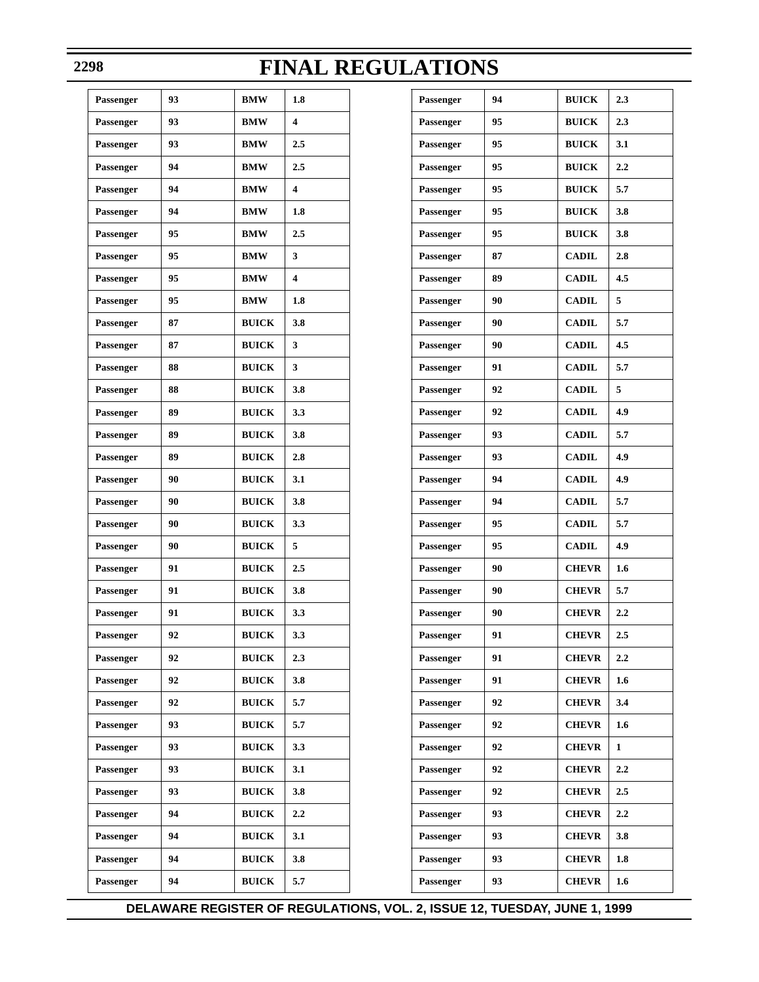### **2298**

# **FINAL REGULATIONS**

| Passenger | 93 | <b>BMW</b>   | 1.8 |
|-----------|----|--------------|-----|
| Passenger | 93 | BMW          | 4   |
| Passenger | 93 | BMW          | 2.5 |
| Passenger | 94 | <b>BMW</b>   | 2.5 |
| Passenger | 94 | BMW          | 4   |
| Passenger | 94 | <b>BMW</b>   | 1.8 |
| Passenger | 95 | BMW          | 2.5 |
| Passenger | 95 | <b>BMW</b>   | 3   |
| Passenger | 95 | BMW          | 4   |
| Passenger | 95 | BMW          | 1.8 |
| Passenger | 87 | <b>BUICK</b> | 3.8 |
| Passenger | 87 | <b>BUICK</b> | 3   |
| Passenger | 88 | <b>BUICK</b> | 3   |
| Passenger | 88 | <b>BUICK</b> | 3.8 |
| Passenger | 89 | <b>BUICK</b> | 3.3 |
| Passenger | 89 | <b>BUICK</b> | 3.8 |
| Passenger | 89 | <b>BUICK</b> | 2.8 |
| Passenger | 90 | <b>BUICK</b> | 3.1 |
| Passenger | 90 | <b>BUICK</b> | 3.8 |
| Passenger | 90 | <b>BUICK</b> | 3.3 |
| Passenger | 90 | <b>BUICK</b> | 5   |
| Passenger | 91 | <b>BUICK</b> | 2.5 |
| Passenger | 91 | <b>BUICK</b> | 3.8 |
| Passenger | 91 | <b>BUICK</b> | 3.3 |
| Passenger | 92 | <b>BUICK</b> | 3.3 |
| Passenger | 92 | <b>BUICK</b> | 2.3 |
| Passenger | 92 | <b>BUICK</b> | 3.8 |
| Passenger | 92 | <b>BUICK</b> | 5.7 |
| Passenger | 93 | <b>BUICK</b> | 5.7 |
| Passenger | 93 | <b>BUICK</b> | 3.3 |
| Passenger | 93 | <b>BUICK</b> | 3.1 |
| Passenger | 93 | <b>BUICK</b> | 3.8 |
| Passenger | 94 | <b>BUICK</b> | 2.2 |
| Passenger | 94 | <b>BUICK</b> | 3.1 |
| Passenger | 94 | <b>BUICK</b> | 3.8 |
| Passenger | 94 | <b>BUICK</b> | 5.7 |

| Passenger | 94 | <b>BUICK</b> | 2.3              |
|-----------|----|--------------|------------------|
| Passenger | 95 | <b>BUICK</b> | 2.3              |
| Passenger | 95 | <b>BUICK</b> | 3.1              |
| Passenger | 95 | <b>BUICK</b> | 2.2              |
| Passenger | 95 | <b>BUICK</b> | 5.7              |
| Passenger | 95 | <b>BUICK</b> | 3.8              |
| Passenger | 95 | <b>BUICK</b> | 3.8              |
| Passenger | 87 | <b>CADIL</b> | 2.8              |
| Passenger | 89 | <b>CADIL</b> | 4.5              |
| Passenger | 90 | <b>CADIL</b> | 5                |
| Passenger | 90 | <b>CADIL</b> | 5.7              |
| Passenger | 90 | <b>CADIL</b> | 4.5              |
| Passenger | 91 | <b>CADIL</b> | 5.7              |
| Passenger | 92 | <b>CADIL</b> | 5                |
| Passenger | 92 | <b>CADIL</b> | 4.9              |
| Passenger | 93 | <b>CADIL</b> | 5.7              |
| Passenger | 93 | <b>CADIL</b> | 4.9              |
| Passenger | 94 | <b>CADIL</b> | 4.9              |
| Passenger | 94 | <b>CADIL</b> | 5.7              |
| Passenger | 95 | <b>CADIL</b> | 5.7              |
| Passenger | 95 | <b>CADIL</b> | 4.9              |
| Passenger | 90 | <b>CHEVR</b> | 1.6              |
| Passenger | 90 | <b>CHEVR</b> | 5.7              |
| Passenger | 90 | <b>CHEVR</b> | 2.2              |
| Passenger | 91 | <b>CHEVR</b> | 2.5              |
| Passenger | 91 | <b>CHEVR</b> | $2.2\phantom{0}$ |
| Passenger | 91 | <b>CHEVR</b> | 1.6              |
| Passenger | 92 | <b>CHEVR</b> | 3.4              |
| Passenger | 92 | <b>CHEVR</b> | 1.6              |
| Passenger | 92 | <b>CHEVR</b> | 1                |
| Passenger | 92 | <b>CHEVR</b> | 2.2              |
| Passenger | 92 | <b>CHEVR</b> | 2.5              |
| Passenger | 93 | <b>CHEVR</b> | $2.2\phantom{0}$ |
| Passenger | 93 | <b>CHEVR</b> | 3.8              |
| Passenger | 93 | <b>CHEVR</b> | 1.8              |
| Passenger | 93 | <b>CHEVR</b> | 1.6              |

# **DELAWARE REGISTER OF REGULATIONS, VOL. 2, ISSUE 12, TUESDAY, JUNE 1, 1999**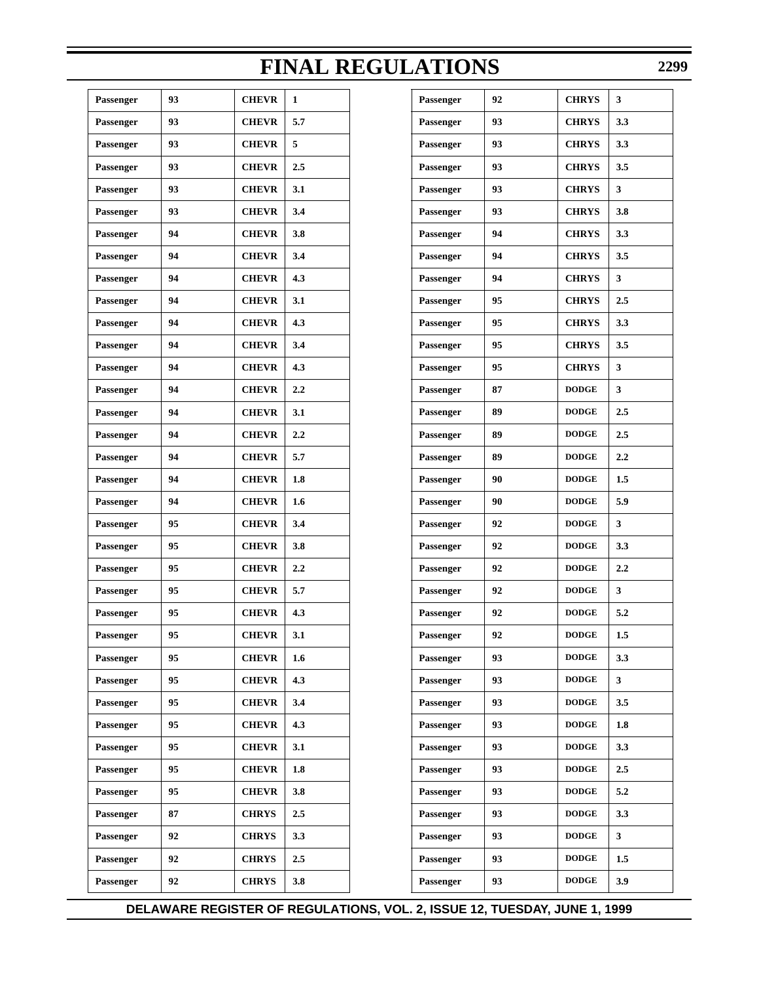| Passenger | 93 | <b>CHEVR</b> | $\mathbf{1}$     |
|-----------|----|--------------|------------------|
| Passenger | 93 | <b>CHEVR</b> | 5.7              |
| Passenger | 93 | <b>CHEVR</b> | 5                |
| Passenger | 93 | <b>CHEVR</b> | 2.5              |
| Passenger | 93 | <b>CHEVR</b> | 3.1              |
| Passenger | 93 | <b>CHEVR</b> | 3.4              |
| Passenger | 94 | <b>CHEVR</b> | 3.8              |
| Passenger | 94 | <b>CHEVR</b> | 3.4              |
| Passenger | 94 | <b>CHEVR</b> | 4.3              |
| Passenger | 94 | <b>CHEVR</b> | 3.1              |
| Passenger | 94 | <b>CHEVR</b> | 4.3              |
| Passenger | 94 | <b>CHEVR</b> | 3.4              |
| Passenger | 94 | <b>CHEVR</b> | 4.3              |
| Passenger | 94 | <b>CHEVR</b> | 2.2              |
| Passenger | 94 | <b>CHEVR</b> | 3.1              |
| Passenger | 94 | <b>CHEVR</b> | 2.2              |
| Passenger | 94 | <b>CHEVR</b> | 5.7              |
| Passenger | 94 | <b>CHEVR</b> | 1.8              |
| Passenger | 94 | <b>CHEVR</b> | 1.6              |
| Passenger | 95 | <b>CHEVR</b> | 3.4              |
| Passenger | 95 | <b>CHEVR</b> | 3.8              |
| Passenger | 95 | <b>CHEVR</b> | 2.2              |
| Passenger | 95 | <b>CHEVR</b> | 5.7              |
| Passenger | 95 | <b>CHEVR</b> | 4.3              |
| Passenger | 95 | <b>CHEVR</b> | 3.1              |
| Passenger | 95 | <b>CHEVR</b> | $1.6\phantom{0}$ |
| Passenger | 95 | <b>CHEVR</b> | 4.3              |
| Passenger | 95 | <b>CHEVR</b> | 3.4              |
| Passenger | 95 | <b>CHEVR</b> | 4.3              |
| Passenger | 95 | <b>CHEVR</b> | 3.1              |
| Passenger | 95 | <b>CHEVR</b> | 1.8              |
| Passenger | 95 | <b>CHEVR</b> | 3.8              |
| Passenger | 87 | <b>CHRYS</b> | 2.5              |
| Passenger | 92 | <b>CHRYS</b> | 3.3              |
| Passenger | 92 | <b>CHRYS</b> | 2.5              |
| Passenger | 92 | <b>CHRYS</b> | 3.8              |
|           |    |              |                  |

|            |         | <b>FINAL REGULATIONS</b> |    |              | 229     |
|------------|---------|--------------------------|----|--------------|---------|
| EVR        | 1       | Passenger                | 92 | <b>CHRYS</b> | 3       |
| EVR        | 5.7     | Passenger                | 93 | <b>CHRYS</b> | 3.3     |
| EVR        | 5       | Passenger                | 93 | <b>CHRYS</b> | 3.3     |
| EVR        | 2.5     | Passenger                | 93 | <b>CHRYS</b> | 3.5     |
| EVR        | 3.1     | Passenger                | 93 | <b>CHRYS</b> | 3       |
| EVR        | 3.4     | Passenger                | 93 | <b>CHRYS</b> | 3.8     |
| EVR        | 3.8     | Passenger                | 94 | <b>CHRYS</b> | 3.3     |
| EVR        | 3.4     | Passenger                | 94 | <b>CHRYS</b> | 3.5     |
| EVR        | 4.3     | Passenger                | 94 | <b>CHRYS</b> | 3       |
| EVR        | 3.1     | Passenger                | 95 | <b>CHRYS</b> | 2.5     |
| EVR        | 4.3     | Passenger                | 95 | <b>CHRYS</b> | 3.3     |
| EVR        | 3.4     | Passenger                | 95 | <b>CHRYS</b> | 3.5     |
| EVR        | 4.3     | Passenger                | 95 | <b>CHRYS</b> | 3       |
| EVR        | 2.2     | Passenger                | 87 | <b>DODGE</b> | 3       |
| EVR        | 3.1     | Passenger                | 89 | <b>DODGE</b> | 2.5     |
| EVR        | 2.2     | Passenger                | 89 | <b>DODGE</b> | 2.5     |
| EVR        | 5.7     | Passenger                | 89 | <b>DODGE</b> | 2.2     |
| EVR        | 1.8     | Passenger                | 90 | <b>DODGE</b> | 1.5     |
| EVR        | 1.6     | Passenger                | 90 | <b>DODGE</b> | 5.9     |
| EVR        | 3.4     | Passenger                | 92 | <b>DODGE</b> | 3       |
| EVR        | 3.8     | Passenger                | 92 | <b>DODGE</b> | 3.3     |
| EVR        | 2.2     | Passenger                | 92 | <b>DODGE</b> | 2.2     |
| EVR        | 5.7     | Passenger                | 92 | <b>DODGE</b> | 3       |
| EVR        | 4.3     | Passenger                | 92 | <b>DODGE</b> | 5.2     |
| EVR        | 3.1     | Passenger                | 92 | $\bf{DODGE}$ | 1.5     |
| EVR        | 1.6     | Passenger                | 93 | $\bf{DODGE}$ | 3.3     |
| EVR        | 4.3     | Passenger                | 93 | $\bf{DODGE}$ | 3       |
| EVR        | 3.4     | Passenger                | 93 | $\bf{DODGE}$ | 3.5     |
| EVR        | 4.3     | Passenger                | 93 | $\bf{DO}DGE$ | 1.8     |
| EVR        | 3.1     | Passenger                | 93 | $\bf{DODGE}$ | 3.3     |
| EVR        | 1.8     | Passenger                | 93 | $\bf{DODGE}$ | $2.5\,$ |
| EVR        | 3.8     | Passenger                | 93 | $\bf{DODGE}$ | 5.2     |
| <b>RYS</b> | $2.5\,$ | Passenger                | 93 | $\bf{DODGE}$ | 3.3     |
| RYS        | 3.3     | Passenger                | 93 | $\bf{DODGE}$ | 3       |
| RYS        | $2.5\,$ | Passenger                | 93 | $\bf{DODGE}$ | 1.5     |
| <b>RYS</b> | 3.8     | Passenger                | 93 | $\bf{DODGE}$ | 3.9     |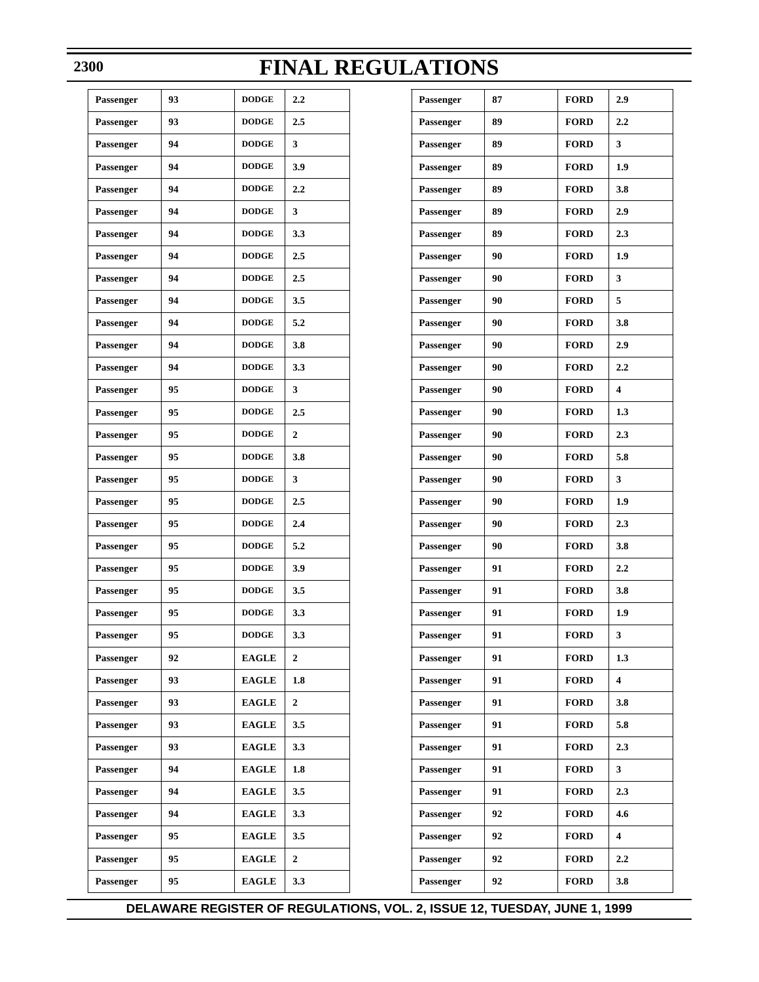| Passenger        | 93 | <b>DODGE</b> | 2.2            |
|------------------|----|--------------|----------------|
| Passenger        | 93 | <b>DODGE</b> | 2.5            |
| Passenger        | 94 | <b>DODGE</b> | 3              |
| Passenger        | 94 | <b>DODGE</b> | 3.9            |
| Passenger        | 94 | <b>DODGE</b> | 2.2            |
| Passenger        | 94 | <b>DODGE</b> | 3              |
| Passenger        | 94 | <b>DODGE</b> | 3.3            |
| Passenger        | 94 | <b>DODGE</b> | 2.5            |
| Passenger        | 94 | <b>DODGE</b> | 2.5            |
| Passenger        | 94 | <b>DODGE</b> | 3.5            |
| Passenger        | 94 | <b>DODGE</b> | 5.2            |
| Passenger        | 94 | <b>DODGE</b> | 3.8            |
| Passenger        | 94 | <b>DODGE</b> | 3.3            |
| Passenger        | 95 | <b>DODGE</b> | 3              |
| Passenger        | 95 | <b>DODGE</b> | 2.5            |
| Passenger        | 95 | <b>DODGE</b> | $\overline{2}$ |
| Passenger        | 95 | <b>DODGE</b> | 3.8            |
| Passenger        | 95 | <b>DODGE</b> | 3              |
| Passenger        | 95 | <b>DODGE</b> | 2.5            |
| Passenger        | 95 | <b>DODGE</b> | 2.4            |
| Passenger        | 95 | <b>DODGE</b> | 5.2            |
| Passenger        | 95 | <b>DODGE</b> | 3.9            |
| Passenger        | 95 | <b>DODGE</b> | 3.5            |
| <b>Passenger</b> | 95 | <b>DODGE</b> | 3.3            |
| Passenger        | 95 | <b>DODGE</b> | 3.3            |
| Passenger        | 92 | <b>EAGLE</b> | 2              |
| Passenger        | 93 | <b>EAGLE</b> | 1.8            |
| Passenger        | 93 | <b>EAGLE</b> | $\overline{2}$ |
| Passenger        | 93 | <b>EAGLE</b> | 3.5            |
| Passenger        | 93 | <b>EAGLE</b> | 3.3            |
| Passenger        | 94 | <b>EAGLE</b> | 1.8            |
| Passenger        | 94 | <b>EAGLE</b> | 3.5            |
| Passenger        | 94 | <b>EAGLE</b> | 3.3            |
| Passenger        | 95 | <b>EAGLE</b> | 3.5            |
| Passenger        | 95 | <b>EAGLE</b> | $\overline{2}$ |
| Passenger        | 95 | <b>EAGLE</b> | 3.3            |
|                  |    |              |                |

| Passenger | 87 | <b>FORD</b> | 2.9                     |
|-----------|----|-------------|-------------------------|
| Passenger | 89 | <b>FORD</b> | 2.2                     |
| Passenger | 89 | <b>FORD</b> | 3                       |
| Passenger | 89 | <b>FORD</b> | 1.9                     |
| Passenger | 89 | <b>FORD</b> | 3.8                     |
| Passenger | 89 | <b>FORD</b> | 2.9                     |
| Passenger | 89 | <b>FORD</b> | 2.3                     |
| Passenger | 90 | <b>FORD</b> | 1.9                     |
| Passenger | 90 | <b>FORD</b> | 3                       |
| Passenger | 90 | <b>FORD</b> | 5                       |
| Passenger | 90 | <b>FORD</b> | 3.8                     |
| Passenger | 90 | <b>FORD</b> | 2.9                     |
| Passenger | 90 | <b>FORD</b> | 2.2                     |
| Passenger | 90 | <b>FORD</b> | $\overline{\mathbf{4}}$ |
| Passenger | 90 | <b>FORD</b> | 1.3                     |
| Passenger | 90 | <b>FORD</b> | 2.3                     |
| Passenger | 90 | <b>FORD</b> | 5.8                     |
| Passenger | 90 | <b>FORD</b> | 3                       |
| Passenger | 90 | <b>FORD</b> | 1.9                     |
| Passenger | 90 | <b>FORD</b> | 2.3                     |
| Passenger | 90 | <b>FORD</b> | 3.8                     |
| Passenger | 91 | <b>FORD</b> | 2.2                     |
| Passenger | 91 | <b>FORD</b> | 3.8                     |
| Passenger | 91 | <b>FORD</b> | 1.9                     |
| Passenger | 91 | <b>FORD</b> | 3                       |
| Passenger | 91 | <b>FORD</b> | 1.3                     |
| Passenger | 91 | <b>FORD</b> | $\overline{\mathbf{4}}$ |
| Passenger | 91 | <b>FORD</b> | 3.8                     |
| Passenger | 91 | <b>FORD</b> | 5.8                     |
| Passenger | 91 | <b>FORD</b> | 2.3                     |
| Passenger | 91 | <b>FORD</b> | 3                       |
| Passenger | 91 | <b>FORD</b> | 2.3                     |
| Passenger | 92 | <b>FORD</b> | 4.6                     |
| Passenger | 92 | <b>FORD</b> | $\overline{\mathbf{4}}$ |
| Passenger | 92 | <b>FORD</b> | 2.2                     |
| Passenger | 92 | <b>FORD</b> | 3.8                     |

### **2300**

# **FINAL REGULATIONS**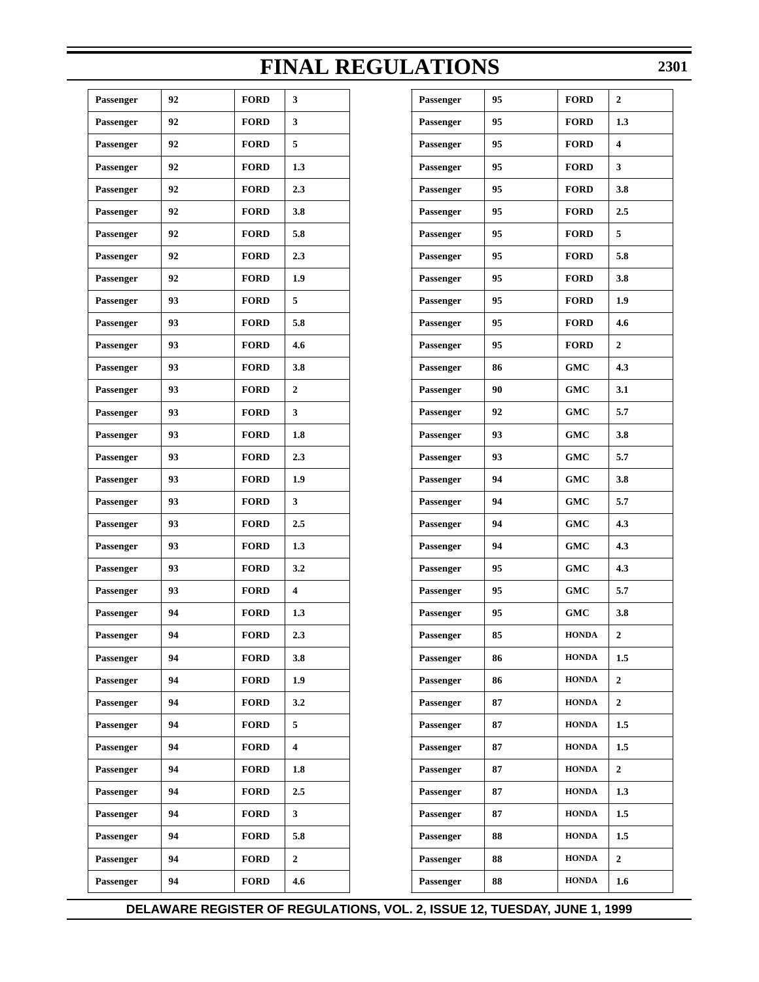**DELAWARE REGISTER OF REGULATIONS, VOL. 2, ISSUE 12, TUESDAY, JUNE 1, 1999**

| Passenger | 92 | <b>FORD</b> | 3                       |
|-----------|----|-------------|-------------------------|
| Passenger | 92 | <b>FORD</b> | 3                       |
| Passenger | 92 | <b>FORD</b> | 5                       |
| Passenger | 92 | <b>FORD</b> | 1.3                     |
| Passenger | 92 | <b>FORD</b> | 2.3                     |
| Passenger | 92 | <b>FORD</b> | 3.8                     |
| Passenger | 92 | <b>FORD</b> | 5.8                     |
| Passenger | 92 | <b>FORD</b> | 2.3                     |
| Passenger | 92 | <b>FORD</b> | 1.9                     |
| Passenger | 93 | <b>FORD</b> | 5                       |
| Passenger | 93 | <b>FORD</b> | 5.8                     |
| Passenger | 93 | <b>FORD</b> | 4.6                     |
| Passenger | 93 | <b>FORD</b> | 3.8                     |
| Passenger | 93 | <b>FORD</b> | $\boldsymbol{2}$        |
| Passenger | 93 | <b>FORD</b> | 3                       |
| Passenger | 93 | <b>FORD</b> | 1.8                     |
| Passenger | 93 | <b>FORD</b> | 2.3                     |
| Passenger | 93 | <b>FORD</b> | 1.9                     |
| Passenger | 93 | <b>FORD</b> | 3                       |
| Passenger | 93 | <b>FORD</b> | 2.5                     |
| Passenger | 93 | <b>FORD</b> | 1.3                     |
| Passenger | 93 | <b>FORD</b> | 3.2                     |
| Passenger | 93 | <b>FORD</b> | 4                       |
| Passenger | 94 | <b>FORD</b> | 1.3                     |
| Passenger | 94 | <b>FORD</b> | 2.3                     |
| Passenger | 94 | <b>FORD</b> | 3.8                     |
| Passenger | 94 | <b>FORD</b> | 1.9                     |
| Passenger | 94 | <b>FORD</b> | 3.2                     |
| Passenger | 94 | <b>FORD</b> | 5                       |
| Passenger | 94 | <b>FORD</b> | $\overline{\mathbf{4}}$ |
| Passenger | 94 | <b>FORD</b> | 1.8                     |
| Passenger | 94 | <b>FORD</b> | 2.5                     |
| Passenger | 94 | <b>FORD</b> | 3                       |
| Passenger | 94 | <b>FORD</b> | 5.8                     |
| Passenger | 94 | <b>FORD</b> | 2                       |
| Passenger | 94 | <b>FORD</b> | 4.6                     |
|           |    |             |                         |

| Passenger | 95 | <b>FORD</b>  | $\mathbf{2}$ |
|-----------|----|--------------|--------------|
| Passenger | 95 | <b>FORD</b>  | 1.3          |
| Passenger | 95 | <b>FORD</b>  | 4            |
| Passenger | 95 | <b>FORD</b>  | 3            |
| Passenger | 95 | <b>FORD</b>  | 3.8          |
| Passenger | 95 | <b>FORD</b>  | 2.5          |
| Passenger | 95 | <b>FORD</b>  | 5            |
| Passenger | 95 | <b>FORD</b>  | 5.8          |
| Passenger | 95 | <b>FORD</b>  | 3.8          |
| Passenger | 95 | <b>FORD</b>  | 1.9          |
| Passenger | 95 | <b>FORD</b>  | 4.6          |
| Passenger | 95 | <b>FORD</b>  | 2            |
| Passenger | 86 | <b>GMC</b>   | 4.3          |
| Passenger | 90 | <b>GMC</b>   | 3.1          |
| Passenger | 92 | <b>GMC</b>   | 5.7          |
| Passenger | 93 | <b>GMC</b>   | 3.8          |
| Passenger | 93 | <b>GMC</b>   | 5.7          |
| Passenger | 94 | <b>GMC</b>   | 3.8          |
| Passenger | 94 | <b>GMC</b>   | 5.7          |
| Passenger | 94 | <b>GMC</b>   | 4.3          |
| Passenger | 94 | <b>GMC</b>   | 4.3          |
| Passenger | 95 | <b>GMC</b>   | 4.3          |
| Passenger | 95 | <b>GMC</b>   | 5.7          |
| Passenger | 95 | <b>GMC</b>   | 3.8          |
| Passenger | 85 | <b>HONDA</b> | 2            |
| Passenger | 86 | <b>HONDA</b> | 1.5          |
| Passenger | 86 | <b>HONDA</b> | 2            |
| Passenger | 87 | <b>HONDA</b> | 2            |
| Passenger | 87 | <b>HONDA</b> | 1.5          |
| Passenger | 87 | <b>HONDA</b> | 1.5          |
| Passenger | 87 | <b>HONDA</b> | 2            |
| Passenger | 87 | <b>HONDA</b> | 1.3          |
| Passenger | 87 | <b>HONDA</b> | 1.5          |
| Passenger | 88 | <b>HONDA</b> | 1.5          |
| Passenger | 88 | <b>HONDA</b> | 2            |
| Passenger | 88 | <b>HONDA</b> | 1.6          |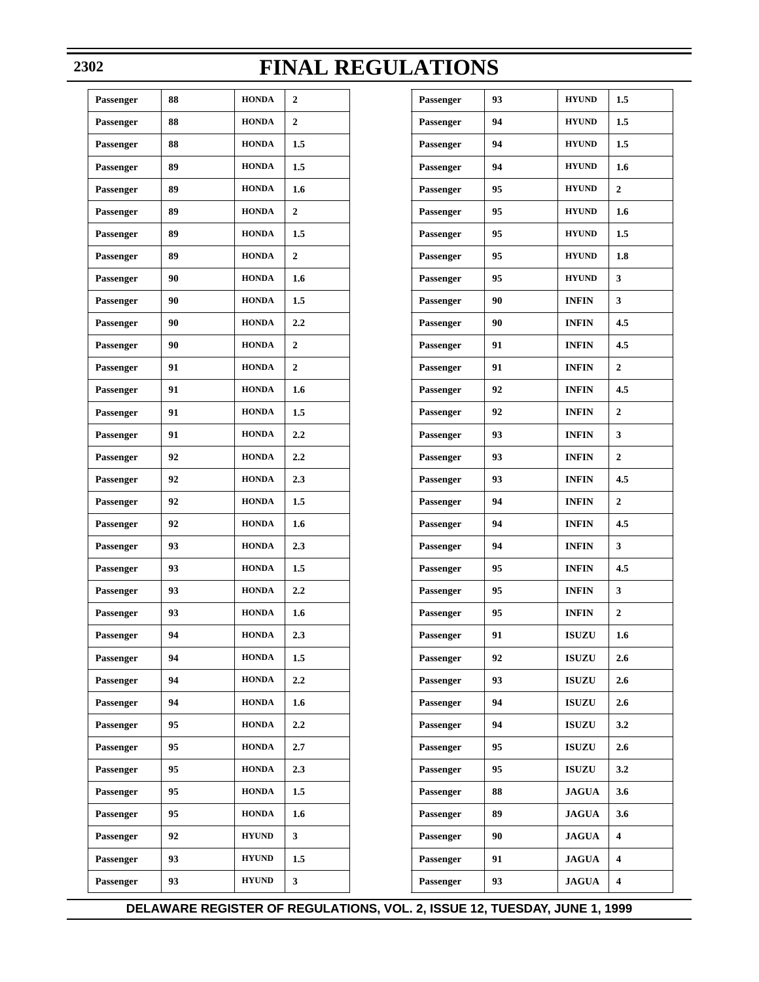| Passenger | 93 | <b>HYUND</b> | 1.5            |
|-----------|----|--------------|----------------|
| Passenger | 94 | <b>HYUND</b> | 1.5            |
| Passenger | 94 | <b>HYUND</b> | 1.5            |
| Passenger | 94 | <b>HYUND</b> | 1.6            |
| Passenger | 95 | <b>HYUND</b> | $\mathbf{2}$   |
| Passenger | 95 | <b>HYUND</b> | 1.6            |
| Passenger | 95 | <b>HYUND</b> | 1.5            |
| Passenger | 95 | <b>HYUND</b> | 1.8            |
| Passenger | 95 | <b>HYUND</b> | 3              |
| Passenger | 90 | <b>INFIN</b> | 3              |
| Passenger | 90 | <b>INFIN</b> | 4.5            |
| Passenger | 91 | <b>INFIN</b> | 4.5            |
| Passenger | 91 | <b>INFIN</b> | $\overline{2}$ |
| Passenger | 92 | <b>INFIN</b> | 4.5            |
| Passenger | 92 | <b>INFIN</b> | $\overline{2}$ |
| Passenger | 93 | <b>INFIN</b> | 3              |
| Passenger | 93 | <b>INFIN</b> | $\overline{2}$ |
| Passenger | 93 | <b>INFIN</b> | 4.5            |
| Passenger | 94 | <b>INFIN</b> | $\overline{2}$ |
| Passenger | 94 | <b>INFIN</b> | 4.5            |
| Passenger | 94 | <b>INFIN</b> | 3              |
| Passenger | 95 | <b>INFIN</b> | 4.5            |
| Passenger | 95 | <b>INFIN</b> | 3              |
| Passenger | 95 | <b>INFIN</b> | 2              |
| Passenger | 91 | <b>ISUZU</b> | 1.6            |
| Passenger | 92 | <b>ISUZU</b> | 2.6            |
| Passenger | 93 | <b>ISUZU</b> | 2.6            |
| Passenger | 94 | <b>ISUZU</b> | 2.6            |
| Passenger | 94 | <b>ISUZU</b> | 3.2            |
| Passenger | 95 | <b>ISUZU</b> | 2.6            |
| Passenger | 95 | <b>ISUZU</b> | 3.2            |
| Passenger | 88 | <b>JAGUA</b> | 3.6            |
| Passenger | 89 | <b>JAGUA</b> | 3.6            |
| Passenger | 90 | <b>JAGUA</b> | 4              |
| Passenger | 91 | <b>JAGUA</b> | 4              |
| Passenger | 93 | <b>JAGUA</b> | 4              |

### **2302**

# **FINAL REGULATIONS**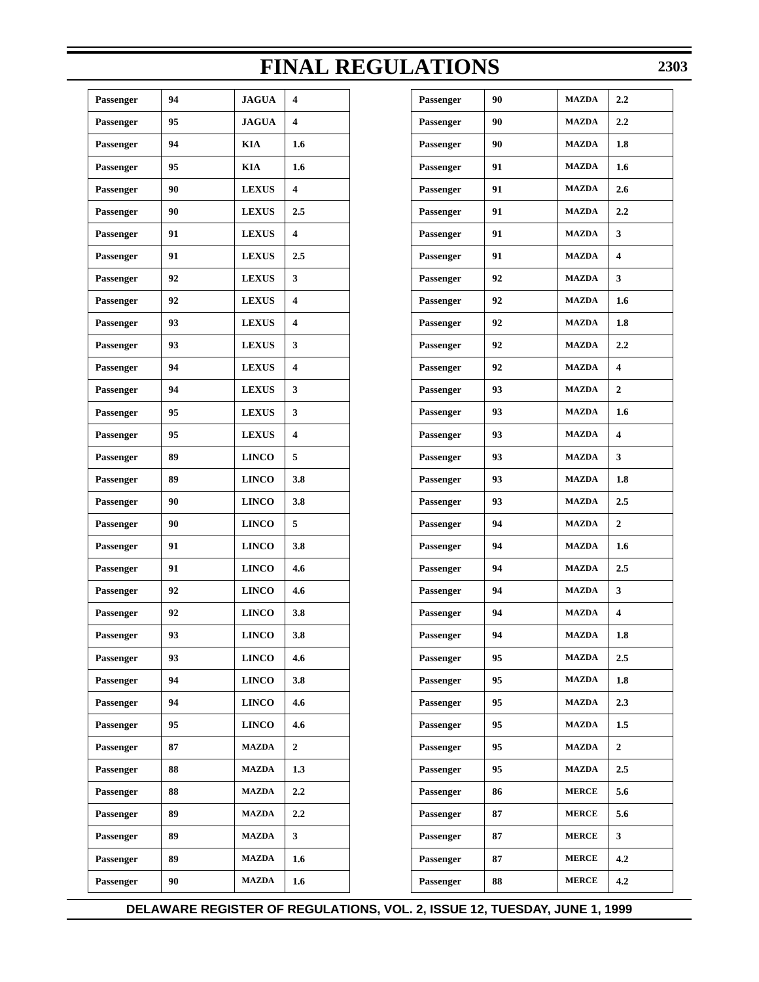| Passenger | 94 | <b>JAGUA</b> | 4                |
|-----------|----|--------------|------------------|
| Passenger | 95 | <b>JAGUA</b> | 4                |
| Passenger | 94 | <b>KIA</b>   | 1.6              |
| Passenger | 95 | <b>KIA</b>   | 1.6              |
| Passenger | 90 | <b>LEXUS</b> | 4                |
| Passenger | 90 | <b>LEXUS</b> | 2.5              |
| Passenger | 91 | <b>LEXUS</b> | 4                |
| Passenger | 91 | <b>LEXUS</b> | 2.5              |
| Passenger | 92 | <b>LEXUS</b> | 3                |
| Passenger | 92 | <b>LEXUS</b> | 4                |
| Passenger | 93 | <b>LEXUS</b> | 4                |
| Passenger | 93 | <b>LEXUS</b> | 3                |
| Passenger | 94 | <b>LEXUS</b> | 4                |
| Passenger | 94 | <b>LEXUS</b> | 3                |
| Passenger | 95 | <b>LEXUS</b> | 3                |
| Passenger | 95 | <b>LEXUS</b> | 4                |
| Passenger | 89 | <b>LINCO</b> | 5                |
| Passenger | 89 | <b>LINCO</b> | 3.8              |
| Passenger | 90 | <b>LINCO</b> | 3.8              |
| Passenger | 90 | <b>LINCO</b> | 5                |
| Passenger | 91 | <b>LINCO</b> | 3.8              |
| Passenger | 91 | <b>LINCO</b> | 4.6              |
| Passenger | 92 | <b>LINCO</b> | 4.6              |
| Passenger | 92 | <b>LINCO</b> | 3.8              |
| Passenger | 93 | <b>LINCO</b> | 3.8              |
| Passenger | 93 | <b>LINCO</b> | 4.6              |
| Passenger | 94 | <b>LINCO</b> | 3.8              |
| Passenger | 94 | <b>LINCO</b> | 4.6              |
| Passenger | 95 | <b>LINCO</b> | 4.6              |
| Passenger | 87 | <b>MAZDA</b> | $\overline{2}$   |
| Passenger | 88 | <b>MAZDA</b> | 1.3              |
| Passenger | 88 | <b>MAZDA</b> | $2.2\phantom{0}$ |
| Passenger | 89 | <b>MAZDA</b> | 2.2              |
| Passenger | 89 | <b>MAZDA</b> | 3                |
| Passenger | 89 | <b>MAZDA</b> | 1.6              |
| Passenger | 90 | <b>MAZDA</b> | 1.6              |
|           |    |              |                  |

|            |                         | <b>FINAL REGULATIONS</b> |    |              | 230              |
|------------|-------------------------|--------------------------|----|--------------|------------------|
| GUA        | 4                       | Passenger                | 90 | <b>MAZDA</b> | 2.2              |
| GUA        | 4                       | Passenger                | 90 | <b>MAZDA</b> | 2.2              |
| V          | 1.6                     | Passenger                | 90 | <b>MAZDA</b> | 1.8              |
| V          | 1.6                     | Passenger                | 91 | <b>MAZDA</b> | 1.6              |
| <b>XUS</b> | $\overline{\mathbf{4}}$ | Passenger                | 91 | <b>MAZDA</b> | 2.6              |
| <b>XUS</b> | 2.5                     | Passenger                | 91 | <b>MAZDA</b> | 2.2              |
| <b>XUS</b> | $\overline{\mathbf{4}}$ | <b>Passenger</b>         | 91 | <b>MAZDA</b> | 3                |
| <b>XUS</b> | 2.5                     | Passenger                | 91 | <b>MAZDA</b> | 4                |
| <b>XUS</b> | 3                       | Passenger                | 92 | <b>MAZDA</b> | 3                |
| <b>XUS</b> | 4                       | Passenger                | 92 | <b>MAZDA</b> | 1.6              |
| <b>XUS</b> | 4                       | <b>Passenger</b>         | 92 | <b>MAZDA</b> | 1.8              |
| <b>XUS</b> | 3                       | Passenger                | 92 | <b>MAZDA</b> | 2.2              |
| <b>XUS</b> | 4                       | Passenger                | 92 | <b>MAZDA</b> | 4                |
| <b>XUS</b> | 3                       | Passenger                | 93 | <b>MAZDA</b> | $\overline{2}$   |
| <b>XUS</b> | 3                       | Passenger                | 93 | <b>MAZDA</b> | 1.6              |
| <b>XUS</b> | 4                       | Passenger                | 93 | <b>MAZDA</b> | 4                |
| VCO        | 5                       | <b>Passenger</b>         | 93 | <b>MAZDA</b> | 3                |
| VCO        | 3.8                     | Passenger                | 93 | <b>MAZDA</b> | 1.8              |
| VСO        | 3.8                     | Passenger                | 93 | <b>MAZDA</b> | 2.5              |
| vCO        | 5                       | Passenger                | 94 | <b>MAZDA</b> | $\overline{2}$   |
| VCO        | 3.8                     | Passenger                | 94 | <b>MAZDA</b> | 1.6              |
| VCO        | 4.6                     | Passenger                | 94 | <b>MAZDA</b> | $2.5\,$          |
| VСO        | 4.6                     | Passenger                | 94 | <b>MAZDA</b> | 3                |
| vCO        | 3.8                     | Passenger                | 94 | <b>MAZDA</b> | 4                |
| VCO        | 3.8                     | Passenger                | 94 | <b>MAZDA</b> | 1.8              |
| VСO        | 4.6                     | Passenger                | 95 | <b>MAZDA</b> | $2.5\,$          |
| VСO        | 3.8                     | Passenger                | 95 | <b>MAZDA</b> | 1.8              |
| VСO        | 4.6                     | Passenger                | 95 | <b>MAZDA</b> | 2.3              |
| vCO        | 4.6                     | Passenger                | 95 | <b>MAZDA</b> | 1.5              |
| ZDA        | $\mathbf{2}$            | Passenger                | 95 | <b>MAZDA</b> | $\boldsymbol{2}$ |
| ZDA        | 1.3                     | Passenger                | 95 | <b>MAZDA</b> | $2.5\,$          |
| ZDA        | 2.2                     | Passenger                | 86 | <b>MERCE</b> | 5.6              |
| ZDA        | 2.2                     | Passenger                | 87 | <b>MERCE</b> | 5.6              |
| ZDA        | 3                       | Passenger                | 87 | <b>MERCE</b> | $\mathbf{3}$     |
| ZDA        | $1.6\phantom{0}$        | Passenger                | 87 | <b>MERCE</b> | 4.2              |
| ZDA        | $1.6\phantom{0}$        | Passenger                | 88 | <b>MERCE</b> | 4.2              |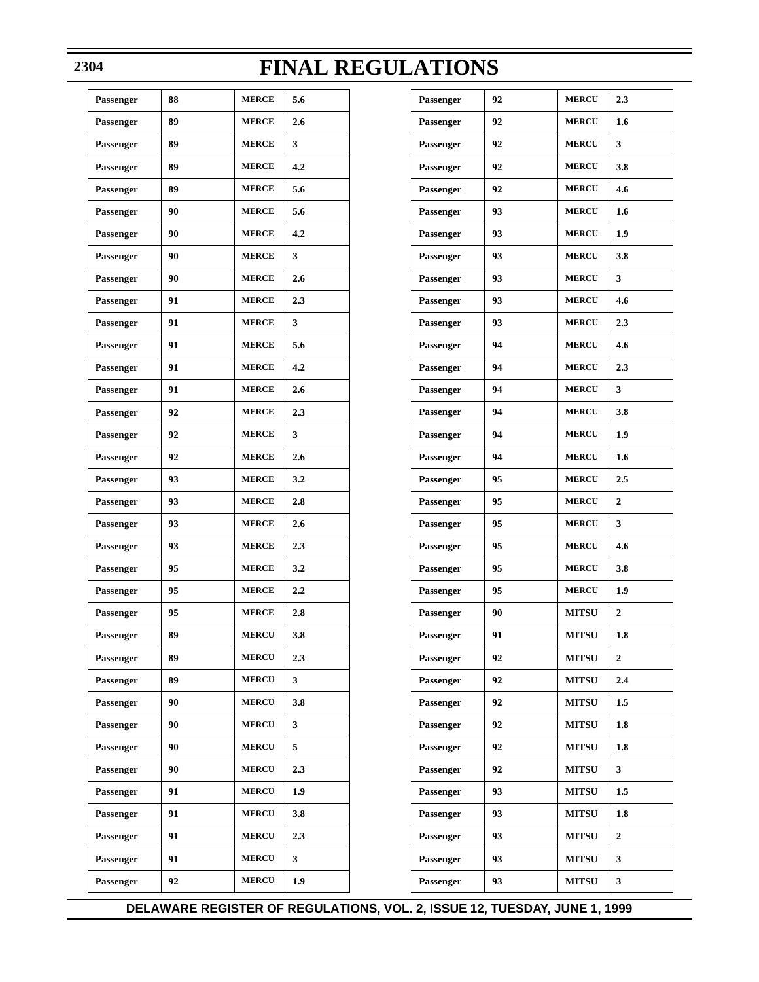| Passenger        | 88 | <b>MERCE</b> | 5.6 |
|------------------|----|--------------|-----|
| <b>Passenger</b> | 89 | <b>MERCE</b> | 2.6 |
| Passenger        | 89 | <b>MERCE</b> | 3   |
| <b>Passenger</b> | 89 | <b>MERCE</b> | 4.2 |
| Passenger        | 89 | <b>MERCE</b> | 5.6 |
| <b>Passenger</b> | 90 | <b>MERCE</b> | 5.6 |
| Passenger        | 90 | <b>MERCE</b> | 4.2 |
| <b>Passenger</b> | 90 | <b>MERCE</b> | 3   |
| Passenger        | 90 | <b>MERCE</b> | 2.6 |
| <b>Passenger</b> | 91 | <b>MERCE</b> | 2.3 |
| Passenger        | 91 | <b>MERCE</b> | 3   |
| <b>Passenger</b> | 91 | <b>MERCE</b> | 5.6 |
| Passenger        | 91 | <b>MERCE</b> | 4.2 |
| <b>Passenger</b> | 91 | <b>MERCE</b> | 2.6 |
| Passenger        | 92 | <b>MERCE</b> | 2.3 |
| <b>Passenger</b> | 92 | <b>MERCE</b> | 3   |
| Passenger        | 92 | <b>MERCE</b> | 2.6 |
| <b>Passenger</b> | 93 | <b>MERCE</b> | 3.2 |
| Passenger        | 93 | <b>MERCE</b> | 2.8 |
| <b>Passenger</b> | 93 | <b>MERCE</b> | 2.6 |
| Passenger        | 93 | <b>MERCE</b> | 2.3 |
| <b>Passenger</b> | 95 | <b>MERCE</b> | 3.2 |
| Passenger        | 95 | <b>MERCE</b> | 2.2 |
| Passenger        | 95 | <b>MERCE</b> | 2.8 |
| Passenger        | 89 | <b>MERCU</b> | 3.8 |
| Passenger        | 89 | <b>MERCU</b> | 2.3 |
| Passenger        | 89 | <b>MERCU</b> | 3   |
| Passenger        | 90 | <b>MERCU</b> | 3.8 |
| Passenger        | 90 | <b>MERCU</b> | 3   |
| Passenger        | 90 | <b>MERCU</b> | 5   |
| Passenger        | 90 | <b>MERCU</b> | 2.3 |
| Passenger        | 91 | <b>MERCU</b> | 1.9 |
| Passenger        | 91 | <b>MERCU</b> | 3.8 |
| Passenger        | 91 | <b>MERCU</b> | 2.3 |
| Passenger        | 91 | <b>MERCU</b> | 3   |
| Passenger        | 92 | <b>MERCU</b> | 1.9 |
|                  |    |              |     |

| Passenger         | 92 | <b>MERCU</b> | 2.3            |
|-------------------|----|--------------|----------------|
| Passenger         | 92 | <b>MERCU</b> | 1.6            |
| Passenger         | 92 | <b>MERCU</b> | 3              |
| Passenger         | 92 | <b>MERCU</b> | 3.8            |
| Passenger         | 92 | <b>MERCU</b> | 4.6            |
| Passenger         | 93 | <b>MERCU</b> | 1.6            |
| Passenger         | 93 | <b>MERCU</b> | 1.9            |
| Passenger         | 93 | <b>MERCU</b> | 3.8            |
| <b>Passenger</b>  | 93 | <b>MERCU</b> | 3              |
| Passenger         | 93 | <b>MERCU</b> | 4.6            |
| Passenger         | 93 | <b>MERCU</b> | 2.3            |
| Passenger         | 94 | <b>MERCU</b> | 4.6            |
| Passenger         | 94 | <b>MERCU</b> | 2.3            |
| Passenger         | 94 | <b>MERCU</b> | 3              |
| Passenger         | 94 | <b>MERCU</b> | 3.8            |
| Passenger         | 94 | <b>MERCU</b> | 1.9            |
| Passenger         | 94 | <b>MERCU</b> | 1.6            |
| Passenger         | 95 | <b>MERCU</b> | 2.5            |
| <b>Passenger</b>  | 95 | <b>MERCU</b> | $\mathbf{2}$   |
| Passenger         | 95 | <b>MERCU</b> | 3              |
| <b>Passenger</b>  | 95 | <b>MERCU</b> | 4.6            |
| Passenger         | 95 | <b>MERCU</b> | 3.8            |
| Passenger         | 95 | <b>MERCU</b> | 1.9            |
| Passenger         | 90 | <b>MITSU</b> | 2              |
| ${\bf Passenger}$ | 91 | <b>MITSU</b> | 1.8            |
| Passenger         | 92 | <b>MITSU</b> | $\mathbf{2}$   |
| Passenger         | 92 | <b>MITSU</b> | 2.4            |
| Passenger         | 92 | <b>MITSU</b> | 1.5            |
| Passenger         | 92 | <b>MITSU</b> | 1.8            |
| Passenger         | 92 | <b>MITSU</b> | 1.8            |
| Passenger         | 92 | <b>MITSU</b> | 3              |
| Passenger         | 93 | <b>MITSU</b> | 1.5            |
| Passenger         | 93 | <b>MITSU</b> | 1.8            |
| Passenger         | 93 | <b>MITSU</b> | $\overline{2}$ |
| Passenger         | 93 | <b>MITSU</b> | 3              |
| Passenger         | 93 | <b>MITSU</b> | 3              |

### **2304**

# **FINAL REGULATIONS**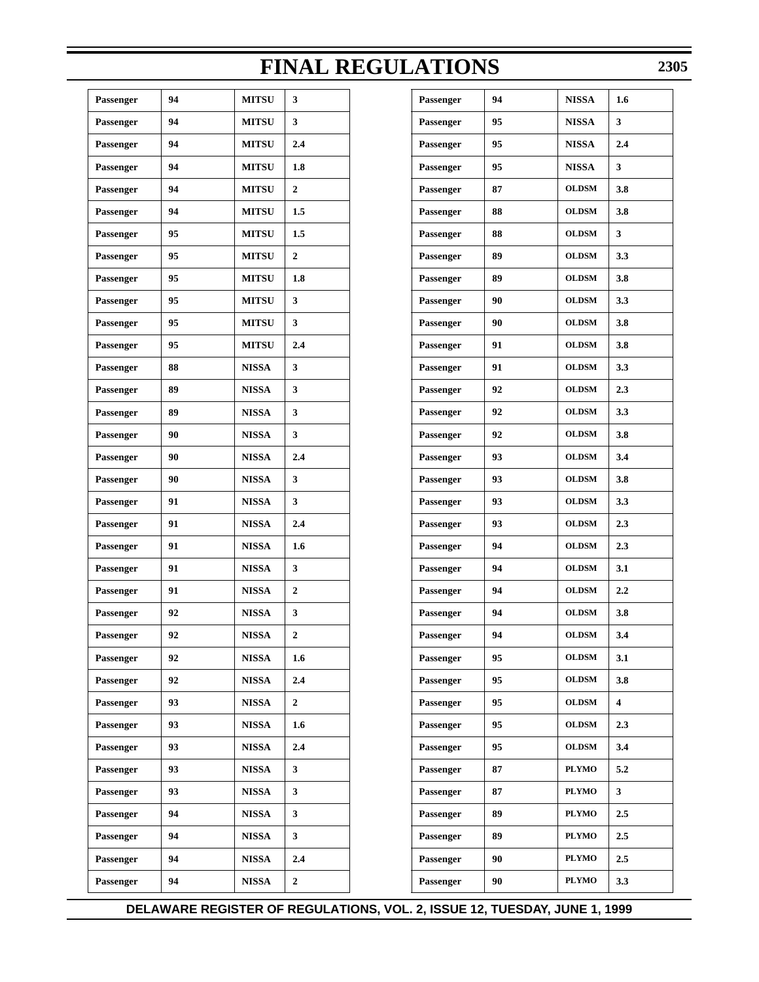| Passenger | 94 | <b>MITSU</b> | 3              |
|-----------|----|--------------|----------------|
| Passenger | 94 | <b>MITSU</b> | 3              |
| Passenger | 94 | <b>MITSU</b> | 2.4            |
| Passenger | 94 | <b>MITSU</b> | 1.8            |
| Passenger | 94 | <b>MITSU</b> | $\mathbf{2}$   |
| Passenger | 94 | <b>MITSU</b> | 1.5            |
| Passenger | 95 | <b>MITSU</b> | 1.5            |
| Passenger | 95 | <b>MITSU</b> | $\mathbf{2}$   |
| Passenger | 95 | <b>MITSU</b> | 1.8            |
| Passenger | 95 | <b>MITSU</b> | 3              |
| Passenger | 95 | <b>MITSU</b> | 3              |
| Passenger | 95 | <b>MITSU</b> | 2.4            |
| Passenger | 88 | <b>NISSA</b> | 3              |
| Passenger | 89 | <b>NISSA</b> | 3              |
| Passenger | 89 | <b>NISSA</b> | 3              |
| Passenger | 90 | <b>NISSA</b> | 3              |
| Passenger | 90 | <b>NISSA</b> | 2.4            |
| Passenger | 90 | <b>NISSA</b> | 3              |
| Passenger | 91 | <b>NISSA</b> | 3              |
| Passenger | 91 | <b>NISSA</b> | 2.4            |
| Passenger | 91 | <b>NISSA</b> | 1.6            |
| Passenger | 91 | <b>NISSA</b> | 3              |
| Passenger | 91 | <b>NISSA</b> | $\mathbf{2}$   |
| Passenger | 92 | <b>NISSA</b> | 3              |
| Passenger | 92 | <b>NISSA</b> | $\overline{2}$ |
| Passenger | 92 | <b>NISSA</b> | 1.6            |
| Passenger | 92 | <b>NISSA</b> | 2.4            |
| Passenger | 93 | <b>NISSA</b> | $\overline{2}$ |
| Passenger | 93 | <b>NISSA</b> | 1.6            |
| Passenger | 93 | <b>NISSA</b> | 2.4            |
| Passenger | 93 | <b>NISSA</b> | 3              |
| Passenger | 93 | <b>NISSA</b> | 3              |
| Passenger | 94 | <b>NISSA</b> | 3              |
| Passenger | 94 | <b>NISSA</b> | 3              |
| Passenger | 94 | <b>NISSA</b> | 2.4            |
| Passenger | 94 | <b>NISSA</b> | $\mathbf{2}$   |
|           |    |              |                |

|            |                  | <b>FINAL REGULATIONS</b> |    |              | 230 |
|------------|------------------|--------------------------|----|--------------|-----|
| <b>TSU</b> | 3                | Passenger                | 94 | <b>NISSA</b> | 1.6 |
| TSU        | 3                | Passenger                | 95 | <b>NISSA</b> | 3   |
| TSU        | 2.4              | Passenger                | 95 | <b>NISSA</b> | 2.4 |
| TSU        | 1.8              | Passenger                | 95 | <b>NISSA</b> | 3   |
| TSU        | 2                | Passenger                | 87 | <b>OLDSM</b> | 3.8 |
| TSU        | 1.5              | Passenger                | 88 | <b>OLDSM</b> | 3.8 |
| TSU        | $1.5\,$          | Passenger                | 88 | <b>OLDSM</b> | 3   |
| TSU        | 2                | Passenger                | 89 | <b>OLDSM</b> | 3.3 |
| TSU        | 1.8              | Passenger                | 89 | <b>OLDSM</b> | 3.8 |
| TSU        | 3                | Passenger                | 90 | <b>OLDSM</b> | 3.3 |
| TSU        | 3                | Passenger                | 90 | <b>OLDSM</b> | 3.8 |
| <b>TSU</b> | 2.4              | Passenger                | 91 | <b>OLDSM</b> | 3.8 |
| SSA        | 3                | Passenger                | 91 | <b>OLDSM</b> | 3.3 |
| SSA        | 3                | Passenger                | 92 | <b>OLDSM</b> | 2.3 |
| 5SA        | 3                | Passenger                | 92 | <b>OLDSM</b> | 3.3 |
| 5SA        | 3                | Passenger                | 92 | <b>OLDSM</b> | 3.8 |
| SSA.       | 2.4              | Passenger                | 93 | <b>OLDSM</b> | 3.4 |
| 5SA        | 3                | Passenger                | 93 | <b>OLDSM</b> | 3.8 |
| SSA.       | 3                | Passenger                | 93 | <b>OLDSM</b> | 3.3 |
| 5SA        | 2.4              | Passenger                | 93 | <b>OLDSM</b> | 2.3 |
| SSA.       | 1.6              | Passenger                | 94 | <b>OLDSM</b> | 2.3 |
| SSA.       | 3                | Passenger                | 94 | <b>OLDSM</b> | 3.1 |
| 5SA        | $\mathbf{2}$     | Passenger                | 94 | <b>OLDSM</b> | 2.2 |
| 5SA        | 3                | Passenger                | 94 | <b>OLDSM</b> | 3.8 |
| 5SA        | $\boldsymbol{2}$ | Passenger                | 94 | <b>OLDSM</b> | 3.4 |
| SSA        | 1.6              | Passenger                | 95 | <b>OLDSM</b> | 3.1 |
| 5SA        | 2.4              | Passenger                | 95 | <b>OLDSM</b> | 3.8 |
| SSA        | $\boldsymbol{2}$ | Passenger                | 95 | <b>OLDSM</b> | 4   |
| SSA        | 1.6              | Passenger                | 95 | <b>OLDSM</b> | 2.3 |
| 5SA        | 2.4              | Passenger                | 95 | <b>OLDSM</b> | 3.4 |
| 5SA        | 3                | Passenger                | 87 | <b>PLYMO</b> | 5.2 |
| 5SA        | 3                | Passenger                | 87 | <b>PLYMO</b> | 3   |
| 5SA        | 3                | Passenger                | 89 | <b>PLYMO</b> | 2.5 |
| SSA        | 3                | Passenger                | 89 | <b>PLYMO</b> | 2.5 |
| 5SA        | 2.4              | Passenger                | 90 | <b>PLYMO</b> | 2.5 |
| 5SA        | $\boldsymbol{2}$ | Passenger                | 90 | <b>PLYMO</b> | 3.3 |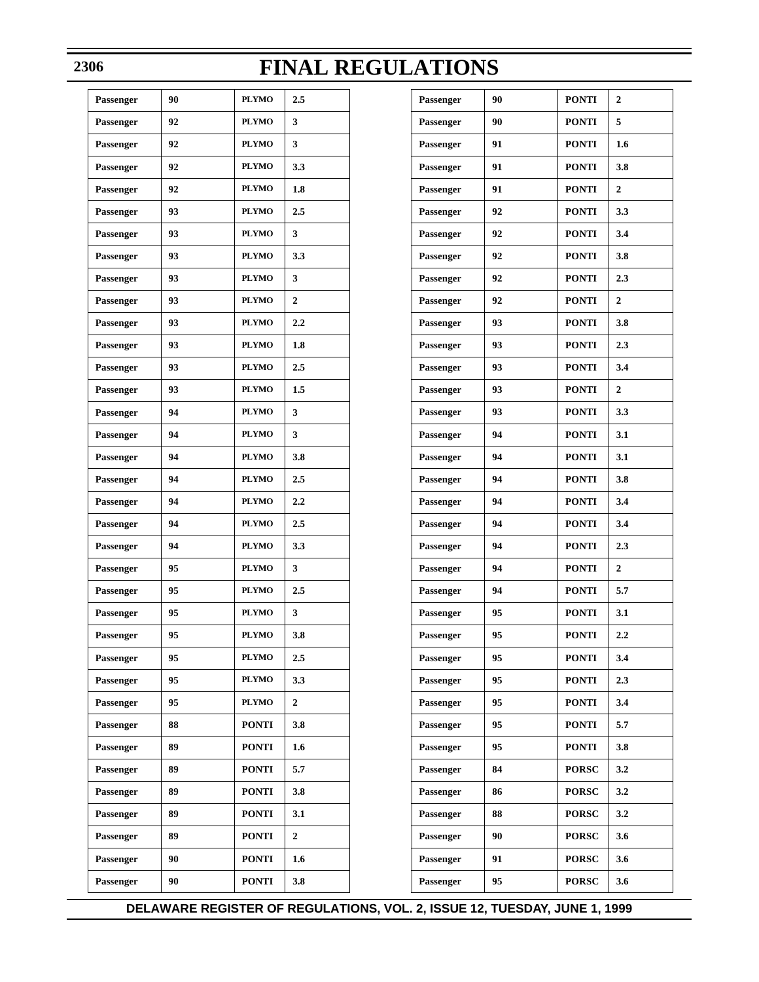| Passenger | 90 | <b>PLYMO</b> | 2.5            |
|-----------|----|--------------|----------------|
| Passenger | 92 | <b>PLYMO</b> | 3              |
| Passenger | 92 | <b>PLYMO</b> | 3              |
| Passenger | 92 | <b>PLYMO</b> | 3.3            |
| Passenger | 92 | <b>PLYMO</b> | 1.8            |
| Passenger | 93 | <b>PLYMO</b> | 2.5            |
| Passenger | 93 | <b>PLYMO</b> | 3              |
| Passenger | 93 | <b>PLYMO</b> | 3.3            |
| Passenger | 93 | <b>PLYMO</b> | 3              |
| Passenger | 93 | <b>PLYMO</b> | $\overline{2}$ |
| Passenger | 93 | <b>PLYMO</b> | 2.2            |
| Passenger | 93 | <b>PLYMO</b> | 1.8            |
| Passenger | 93 | <b>PLYMO</b> | 2.5            |
| Passenger | 93 | <b>PLYMO</b> | 1.5            |
| Passenger | 94 | <b>PLYMO</b> | 3              |
| Passenger | 94 | <b>PLYMO</b> | 3              |
| Passenger | 94 | <b>PLYMO</b> | 3.8            |
| Passenger | 94 | <b>PLYMO</b> | 2.5            |
| Passenger | 94 | <b>PLYMO</b> | 2.2            |
| Passenger | 94 | <b>PLYMO</b> | 2.5            |
| Passenger | 94 | <b>PLYMO</b> | 3.3            |
| Passenger | 95 | <b>PLYMO</b> | 3              |
| Passenger | 95 | <b>PLYMO</b> | 2.5            |
| Passenger | 95 | <b>PLYMO</b> | 3              |
| Passenger | 95 | <b>PLYMO</b> | 3.8            |
| Passenger | 95 | PLYMO        | 2.5            |
| Passenger | 95 | PLYMO        | 3.3            |
| Passenger | 95 | <b>PLYMO</b> | 2              |
| Passenger | 88 | <b>PONTI</b> | 3.8            |
| Passenger | 89 | <b>PONTI</b> | 1.6            |
| Passenger | 89 | <b>PONTI</b> | 5.7            |
| Passenger | 89 | <b>PONTI</b> | 3.8            |
| Passenger | 89 | <b>PONTI</b> | 3.1            |
| Passenger | 89 | <b>PONTI</b> | 2              |
| Passenger | 90 | <b>PONTI</b> | 1.6            |
| Passenger | 90 | <b>PONTI</b> | 3.8            |
|           |    |              |                |

| Passenger | 90 | <b>PONTI</b> | $\overline{2}$ |
|-----------|----|--------------|----------------|
| Passenger | 90 | <b>PONTI</b> | 5              |
| Passenger | 91 | <b>PONTI</b> | 1.6            |
| Passenger | 91 | <b>PONTI</b> | 3.8            |
| Passenger | 91 | <b>PONTI</b> | $\overline{2}$ |
| Passenger | 92 | <b>PONTI</b> | 3.3            |
| Passenger | 92 | <b>PONTI</b> | 3.4            |
| Passenger | 92 | <b>PONTI</b> | 3.8            |
| Passenger | 92 | <b>PONTI</b> | 2.3            |
| Passenger | 92 | <b>PONTI</b> | $\overline{2}$ |
| Passenger | 93 | <b>PONTI</b> | 3.8            |
| Passenger | 93 | <b>PONTI</b> | 2.3            |
| Passenger | 93 | <b>PONTI</b> | 3.4            |
| Passenger | 93 | <b>PONTI</b> | $\overline{2}$ |
| Passenger | 93 | <b>PONTI</b> | 3.3            |
| Passenger | 94 | <b>PONTI</b> | 3.1            |
| Passenger | 94 | <b>PONTI</b> | 3.1            |
| Passenger | 94 | <b>PONTI</b> | 3.8            |
| Passenger | 94 | <b>PONTI</b> | 3.4            |
| Passenger | 94 | <b>PONTI</b> | 3.4            |
| Passenger | 94 | <b>PONTI</b> | 2.3            |
| Passenger | 94 | <b>PONTI</b> | $\overline{2}$ |
| Passenger | 94 | <b>PONTI</b> | 5.7            |
| Passenger | 95 | <b>PONTI</b> | 3.1            |
| Passenger | 95 | <b>PONTI</b> | 2.2            |
| Passenger | 95 | <b>PONTI</b> | 3.4            |
| Passenger | 95 | <b>PONTI</b> | 2.3            |
| Passenger | 95 | <b>PONTI</b> | 3.4            |
| Passenger | 95 | <b>PONTI</b> | 5.7            |
| Passenger | 95 | <b>PONTI</b> | 3.8            |
| Passenger | 84 | <b>PORSC</b> | 3.2            |
| Passenger | 86 | <b>PORSC</b> | 3.2            |
| Passenger | 88 | <b>PORSC</b> | 3.2            |
| Passenger | 90 | <b>PORSC</b> | 3.6            |
| Passenger | 91 | <b>PORSC</b> | 3.6            |
| Passenger | 95 | <b>PORSC</b> | 3.6            |

### **2306**

 $\top$ 

Т

# **FINAL REGULATIONS**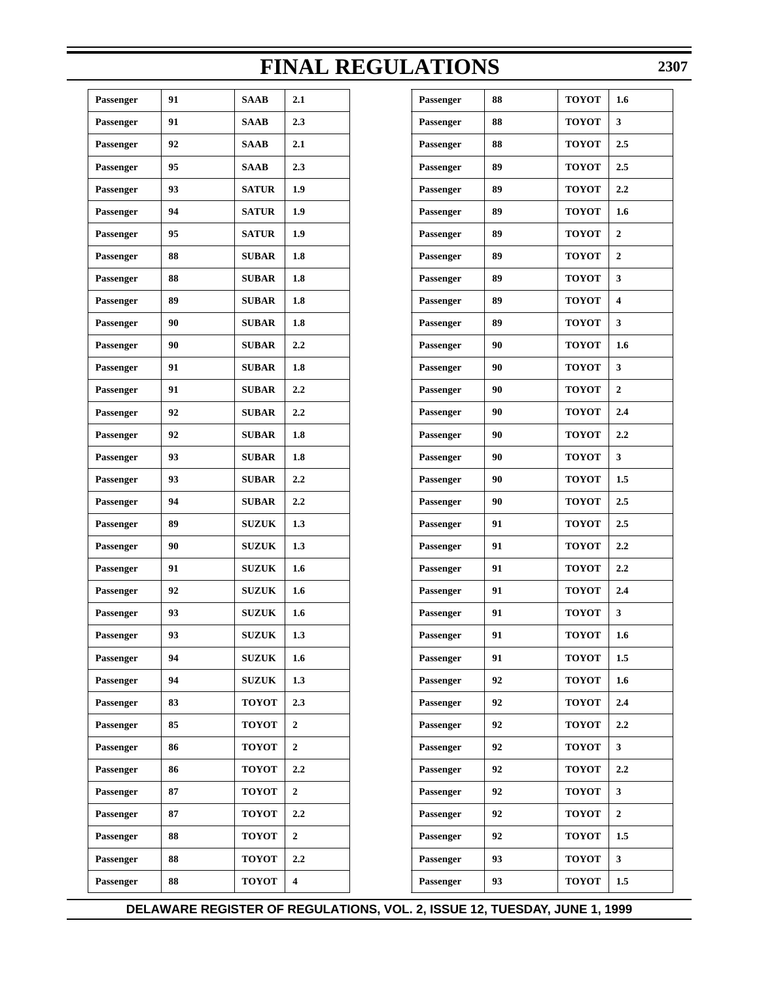$\overline{\phantom{a}}$ 

| Passenger | 91 | <b>SAAB</b>  | 2.1                     |
|-----------|----|--------------|-------------------------|
| Passenger | 91 | <b>SAAB</b>  | 2.3                     |
| Passenger | 92 | <b>SAAB</b>  | 2.1                     |
| Passenger | 95 | <b>SAAB</b>  | 2.3                     |
| Passenger | 93 | <b>SATUR</b> | 1.9                     |
| Passenger | 94 | <b>SATUR</b> | 1.9                     |
| Passenger | 95 | <b>SATUR</b> | 1.9                     |
| Passenger | 88 | <b>SUBAR</b> | 1.8                     |
| Passenger | 88 | <b>SUBAR</b> | 1.8                     |
| Passenger | 89 | <b>SUBAR</b> | 1.8                     |
| Passenger | 90 | <b>SUBAR</b> | 1.8                     |
| Passenger | 90 | <b>SUBAR</b> | 2.2                     |
| Passenger | 91 | <b>SUBAR</b> | 1.8                     |
| Passenger | 91 | <b>SUBAR</b> | 2.2                     |
| Passenger | 92 | <b>SUBAR</b> | 2.2                     |
| Passenger | 92 | <b>SUBAR</b> | 1.8                     |
| Passenger | 93 | <b>SUBAR</b> | 1.8                     |
| Passenger | 93 | <b>SUBAR</b> | 2.2                     |
| Passenger | 94 | <b>SUBAR</b> | 2.2                     |
| Passenger | 89 | <b>SUZUK</b> | 1.3                     |
| Passenger | 90 | <b>SUZUK</b> | 1.3                     |
| Passenger | 91 | <b>SUZUK</b> | 1.6                     |
| Passenger | 92 | <b>SUZUK</b> | 1.6                     |
| Passenger | 93 | <b>SUZUK</b> | 1.6                     |
| Passenger | 93 | <b>SUZUK</b> | 1.3                     |
| Passenger | 94 | <b>SUZUK</b> | 1.6                     |
| Passenger | 94 | <b>SUZUK</b> | 1.3                     |
| Passenger | 83 | <b>TOYOT</b> | 2.3                     |
| Passenger | 85 | <b>TOYOT</b> | $\boldsymbol{2}$        |
| Passenger | 86 | <b>TOYOT</b> | 2                       |
| Passenger | 86 | <b>TOYOT</b> | 2.2                     |
| Passenger | 87 | <b>TOYOT</b> | 2                       |
| Passenger | 87 | <b>TOYOT</b> | 2.2                     |
| Passenger | 88 | <b>TOYOT</b> | 2                       |
| Passenger | 88 | <b>TOYOT</b> | 2.2                     |
| Passenger | 88 | <b>TOYOT</b> | $\overline{\mathbf{4}}$ |
|           |    |              |                         |

|            |                         | <b>FINAL REGULATIONS</b> |    |              | 230              |
|------------|-------------------------|--------------------------|----|--------------|------------------|
| AВ         | 2.1                     | Passenger                | 88 | <b>TOYOT</b> | 1.6              |
| AВ         | 2.3                     | Passenger                | 88 | <b>TOYOT</b> | 3                |
| AВ         | 2.1                     | Passenger                | 88 | <b>TOYOT</b> | 2.5              |
| AВ         | 2.3                     | Passenger                | 89 | <b>TOYOT</b> | 2.5              |
| <b>TUR</b> | 1.9                     | Passenger                | 89 | <b>TOYOT</b> | 2.2              |
| <b>TUR</b> | 1.9                     | Passenger                | 89 | <b>TOYOT</b> | 1.6              |
| <b>TUR</b> | 1.9                     | Passenger                | 89 | <b>TOYOT</b> | 2                |
| BAR        | 1.8                     | Passenger                | 89 | <b>TOYOT</b> | $\boldsymbol{2}$ |
| BAR        | 1.8                     | Passenger                | 89 | <b>TOYOT</b> | 3                |
| BAR        | 1.8                     | Passenger                | 89 | <b>TOYOT</b> | 4                |
| BAR        | 1.8                     | Passenger                | 89 | <b>TOYOT</b> | 3                |
| BAR        | 2,2                     | Passenger                | 90 | <b>TOYOT</b> | 1.6              |
| BAR        | 1.8                     | Passenger                | 90 | <b>TOYOT</b> | 3                |
| BAR        | 2,2                     | Passenger                | 90 | <b>TOYOT</b> | 2                |
| BAR        | 2,2                     | Passenger                | 90 | <b>TOYOT</b> | 2.4              |
| BAR        | 1.8                     | Passenger                | 90 | <b>TOYOT</b> | 2,2              |
| BAR        | 1.8                     | Passenger                | 90 | <b>TOYOT</b> | 3                |
| BAR        | 2.2                     | Passenger                | 90 | <b>TOYOT</b> | 1.5              |
| BAR        | 2,2                     | Passenger                | 90 | <b>TOYOT</b> | 2.5              |
| ZUK        | 1.3                     | Passenger                | 91 | <b>TOYOT</b> | 2.5              |
| ZUK        | 1.3                     | Passenger                | 91 | <b>TOYOT</b> | 2.2              |
| ZUK        | 1.6                     | Passenger                | 91 | <b>TOYOT</b> | 2.2              |
| ZUK        | 1.6                     | Passenger                | 91 | <b>TOYOT</b> | 2.4              |
| ZUK        | 1.6                     | Passenger                | 91 | <b>TOYOT</b> | 3                |
| ZUK        | 1.3                     | Passenger                | 91 | <b>TOYOT</b> | 1.6              |
| ZUK        | 1.6                     | Passenger                | 91 | <b>TOYOT</b> | 1.5              |
| ZUK        | 1.3                     | Passenger                | 92 | <b>TOYOT</b> | 1.6              |
| YOT        | 2.3                     | Passenger                | 92 | <b>TOYOT</b> | 2.4              |
| YOT        | $\boldsymbol{2}$        | Passenger                | 92 | <b>TOYOT</b> | 2.2              |
| YOT        | 2                       | Passenger                | 92 | <b>TOYOT</b> | 3                |
| YOT        | 2.2                     | Passenger                | 92 | <b>TOYOT</b> | 2.2              |
| YOT        | 2                       | Passenger                | 92 | <b>TOYOT</b> | 3                |
| YOT        | 2.2                     | Passenger                | 92 | <b>TOYOT</b> | $\boldsymbol{2}$ |
| YOT        | 2                       | Passenger                | 92 | <b>TOYOT</b> | 1.5              |
| YOT        | 2.2                     | Passenger                | 93 | <b>TOYOT</b> | 3                |
| YOT        | $\overline{\mathbf{4}}$ | Passenger                | 93 | <b>TOYOT</b> | $1.5\,$          |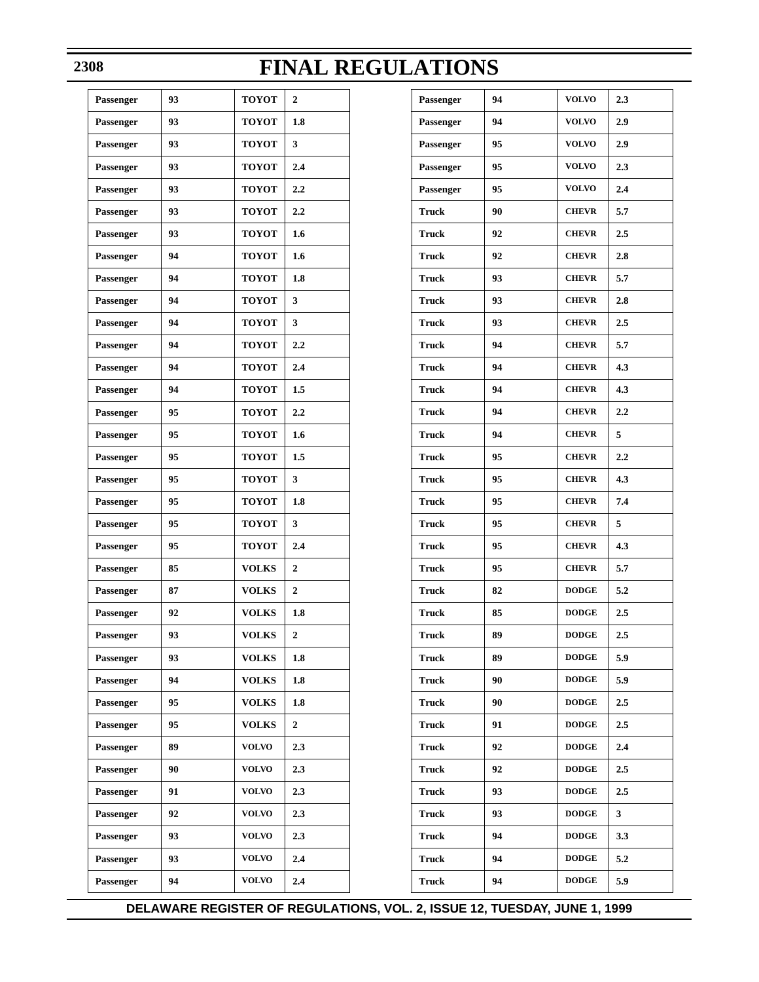| Passenger | 93 | <b>TOYOT</b> | $\mathbf{2}$   |
|-----------|----|--------------|----------------|
| Passenger | 93 | <b>TOYOT</b> | 1.8            |
| Passenger | 93 | <b>TOYOT</b> | 3              |
| Passenger | 93 | <b>TOYOT</b> | 2.4            |
| Passenger | 93 | <b>TOYOT</b> | 2.2            |
| Passenger | 93 | <b>TOYOT</b> | 2.2            |
| Passenger | 93 | <b>TOYOT</b> | 1.6            |
| Passenger | 94 | <b>TOYOT</b> | 1.6            |
| Passenger | 94 | <b>TOYOT</b> | 1.8            |
| Passenger | 94 | <b>TOYOT</b> | 3              |
| Passenger | 94 | <b>TOYOT</b> | 3              |
| Passenger | 94 | <b>TOYOT</b> | 2.2            |
| Passenger | 94 | <b>TOYOT</b> | 2.4            |
| Passenger | 94 | <b>TOYOT</b> | 1.5            |
| Passenger | 95 | <b>TOYOT</b> | 2.2            |
| Passenger | 95 | <b>TOYOT</b> | 1.6            |
| Passenger | 95 | <b>TOYOT</b> | 1.5            |
| Passenger | 95 | <b>TOYOT</b> | 3              |
| Passenger | 95 | <b>TOYOT</b> | 1.8            |
| Passenger | 95 | <b>TOYOT</b> | 3              |
| Passenger | 95 | <b>TOYOT</b> | 2.4            |
| Passenger | 85 | <b>VOLKS</b> | $\overline{2}$ |
| Passenger | 87 | <b>VOLKS</b> | $\overline{2}$ |
| Passenger | 92 | <b>VOLKS</b> | 1.8            |
| Passenger | 93 | <b>VOLKS</b> | $\overline{2}$ |
| Passenger | 93 | <b>VOLKS</b> | 1.8            |
| Passenger | 94 | <b>VOLKS</b> | 1.8            |
| Passenger | 95 | <b>VOLKS</b> | 1.8            |
| Passenger | 95 | <b>VOLKS</b> | $\overline{2}$ |
| Passenger | 89 | <b>VOLVO</b> | 2.3            |
| Passenger | 90 | <b>VOLVO</b> | 2.3            |
| Passenger | 91 | <b>VOLVO</b> | 2.3            |
| Passenger | 92 | <b>VOLVO</b> | 2.3            |
| Passenger | 93 | <b>VOLVO</b> | 2.3            |
| Passenger | 93 | <b>VOLVO</b> | 2.4            |
| Passenger | 94 | <b>VOLVO</b> | 2.4            |
|           |    |              |                |

| Passenger    | 94 | <b>VOLVO</b> | 2.3     |
|--------------|----|--------------|---------|
| Passenger    | 94 | <b>VOLVO</b> | 2.9     |
| Passenger    | 95 | <b>VOLVO</b> | 2.9     |
| Passenger    | 95 | <b>VOLVO</b> | 2.3     |
| Passenger    | 95 | <b>VOLVO</b> | 2.4     |
| <b>Truck</b> | 90 | <b>CHEVR</b> | 5.7     |
| <b>Truck</b> | 92 | <b>CHEVR</b> | 2.5     |
| <b>Truck</b> | 92 | <b>CHEVR</b> | 2.8     |
| <b>Truck</b> | 93 | <b>CHEVR</b> | 5.7     |
| <b>Truck</b> | 93 | <b>CHEVR</b> | 2.8     |
| <b>Truck</b> | 93 | <b>CHEVR</b> | 2.5     |
| <b>Truck</b> | 94 | <b>CHEVR</b> | 5.7     |
| <b>Truck</b> | 94 | <b>CHEVR</b> | 4.3     |
| <b>Truck</b> | 94 | <b>CHEVR</b> | 4.3     |
| <b>Truck</b> | 94 | <b>CHEVR</b> | 2.2     |
| <b>Truck</b> | 94 | <b>CHEVR</b> | 5       |
| <b>Truck</b> | 95 | <b>CHEVR</b> | 2.2     |
| <b>Truck</b> | 95 | <b>CHEVR</b> | 4.3     |
| <b>Truck</b> | 95 | <b>CHEVR</b> | 7.4     |
| <b>Truck</b> | 95 | <b>CHEVR</b> | 5       |
| <b>Truck</b> | 95 | <b>CHEVR</b> | 4.3     |
| <b>Truck</b> | 95 | <b>CHEVR</b> | 5.7     |
| <b>Truck</b> | 82 | <b>DODGE</b> | 5.2     |
| <b>Truck</b> | 85 | <b>DODGE</b> | 2.5     |
| <b>Truck</b> | 89 | <b>DODGE</b> | $2.5\,$ |
| <b>Truck</b> | 89 | <b>DODGE</b> | 5.9     |
| <b>Truck</b> | 90 | <b>DODGE</b> | 5.9     |
| <b>Truck</b> | 90 | <b>DODGE</b> | $2.5\,$ |
| <b>Truck</b> | 91 | <b>DODGE</b> | $2.5\,$ |
| <b>Truck</b> | 92 | <b>DODGE</b> | 2.4     |
| <b>Truck</b> | 92 | <b>DODGE</b> | $2.5\,$ |
| <b>Truck</b> | 93 | <b>DODGE</b> | $2.5\,$ |
| <b>Truck</b> | 93 | <b>DODGE</b> | 3       |
| <b>Truck</b> | 94 | <b>DODGE</b> | 3.3     |
| <b>Truck</b> | 94 | <b>DODGE</b> | 5.2     |
| <b>Truck</b> | 94 | <b>DODGE</b> | 5.9     |

### **2308**

# **FINAL REGULATIONS**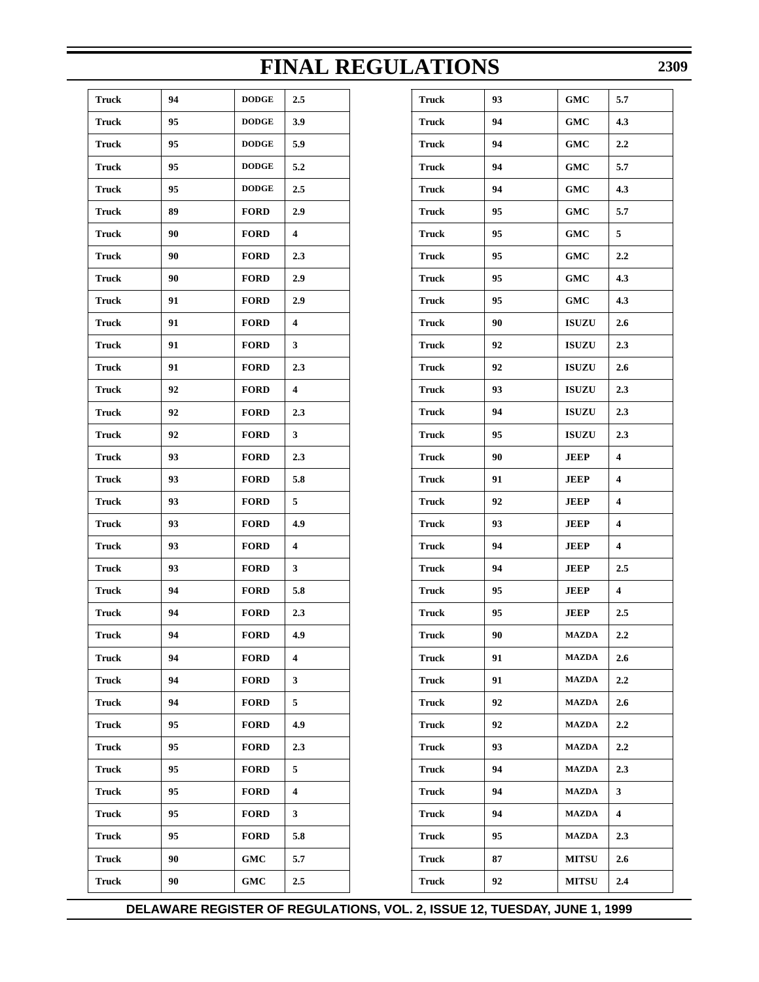| <b>Truck</b> | 94 | <b>DODGE</b> | 2.5 |
|--------------|----|--------------|-----|
| Truck        | 95 | <b>DODGE</b> | 3.9 |
| <b>Truck</b> | 95 | <b>DODGE</b> | 5.9 |
| Truck        | 95 | <b>DODGE</b> | 5.2 |
| <b>Truck</b> | 95 | <b>DODGE</b> | 2.5 |
| Truck        | 89 | <b>FORD</b>  | 2.9 |
| <b>Truck</b> | 90 | <b>FORD</b>  | 4   |
| Truck        | 90 | <b>FORD</b>  | 2.3 |
| <b>Truck</b> | 90 | <b>FORD</b>  | 2.9 |
| Truck        | 91 | <b>FORD</b>  | 2.9 |
| <b>Truck</b> | 91 | <b>FORD</b>  | 4   |
| Truck        | 91 | <b>FORD</b>  | 3   |
| <b>Truck</b> | 91 | <b>FORD</b>  | 2.3 |
| Truck        | 92 | <b>FORD</b>  | 4   |
| <b>Truck</b> | 92 | <b>FORD</b>  | 2.3 |
| Truck        | 92 | <b>FORD</b>  | 3   |
| <b>Truck</b> | 93 | <b>FORD</b>  | 2.3 |
| Truck        | 93 | <b>FORD</b>  | 5.8 |
| <b>Truck</b> | 93 | <b>FORD</b>  | 5   |
| Truck        | 93 | <b>FORD</b>  | 4.9 |
| <b>Truck</b> | 93 | <b>FORD</b>  | 4   |
| Truck        | 93 | <b>FORD</b>  | 3   |
| <b>Truck</b> | 94 | <b>FORD</b>  | 5.8 |
| Truck        | 94 | <b>FORD</b>  | 2.3 |
| <b>Truck</b> | 94 | <b>FORD</b>  | 4.9 |
| <b>Truck</b> | 94 | <b>FORD</b>  | 4   |
| <b>Truck</b> | 94 | <b>FORD</b>  | 3   |
| <b>Truck</b> | 94 | <b>FORD</b>  | 5   |
| <b>Truck</b> | 95 | <b>FORD</b>  | 4.9 |
| <b>Truck</b> | 95 | <b>FORD</b>  | 2.3 |
| <b>Truck</b> | 95 | <b>FORD</b>  | 5   |
| <b>Truck</b> | 95 | <b>FORD</b>  | 4   |
| <b>Truck</b> | 95 | <b>FORD</b>  | 3   |
| <b>Truck</b> | 95 | <b>FORD</b>  | 5.8 |
| <b>Truck</b> | 90 | GMC          | 5.7 |
| <b>Truck</b> | 90 | GMC          | 2.5 |
|              |    |              |     |

|     |     | <b>FINAL REGULATIONS</b> |    |              | 230              |
|-----|-----|--------------------------|----|--------------|------------------|
| DGE | 2.5 | <b>Truck</b>             | 93 | GMC          | 5.7              |
| DGE | 3.9 | <b>Truck</b>             | 94 | GMC          | 4.3              |
| DGE | 5.9 | Truck                    | 94 | <b>GMC</b>   | 2.2              |
| DGE | 5.2 | Truck                    | 94 | GMC          | 5.7              |
| DGE | 2.5 | Truck                    | 94 | <b>GMC</b>   | 4.3              |
| RD  | 2.9 | Truck                    | 95 | GMC          | 5.7              |
| RD  | 4   | Truck                    | 95 | <b>GMC</b>   | 5                |
| RD  | 2.3 | Truck                    | 95 | GMC          | 2.2              |
| RD  | 2.9 | Truck                    | 95 | GMC          | 4.3              |
| RD  | 2.9 | Truck                    | 95 | GMC          | 4.3              |
| RD  | 4   | Truck                    | 90 | <b>ISUZU</b> | 2.6              |
| RD  | 3   | Truck                    | 92 | <b>ISUZU</b> | 2.3              |
| RD  | 2.3 | Truck                    | 92 | <b>ISUZU</b> | 2.6              |
| RD  | 4   | Truck                    | 93 | <b>ISUZU</b> | 2.3              |
| RD  | 2.3 | Truck                    | 94 | <b>ISUZU</b> | 2.3              |
| RD  | 3   | Truck                    | 95 | <b>ISUZU</b> | 2.3              |
| RD  | 2.3 | Truck                    | 90 | <b>JEEP</b>  | 4                |
| RD  | 5.8 | Truck                    | 91 | <b>JEEP</b>  | 4                |
| RD  | 5   | <b>Truck</b>             | 92 | <b>JEEP</b>  | 4                |
| RD  | 4.9 | Truck                    | 93 | <b>JEEP</b>  | 4                |
| RD  | 4   | <b>Truck</b>             | 94 | <b>JEEP</b>  | 4                |
| RD  | 3   | Truck                    | 94 | <b>JEEP</b>  | 2.5              |
| RD  | 5.8 | <b>Truck</b>             | 95 | <b>JEEP</b>  | 4                |
| RD  | 2.3 | <b>Truck</b>             | 95 | <b>JEEP</b>  | 2.5              |
| RD  | 4.9 | Truck                    | 90 | <b>MAZDA</b> | 2.2              |
| RD  | 4   | Truck                    | 91 | <b>MAZDA</b> | 2.6              |
| RD  | 3   | Truck                    | 91 | <b>MAZDA</b> | $2.2\phantom{0}$ |
| RD  | 5   | Truck                    | 92 | <b>MAZDA</b> | 2.6              |
| RD  | 4.9 | Truck                    | 92 | <b>MAZDA</b> | $2.2\phantom{0}$ |
| RD  | 2.3 | Truck                    | 93 | <b>MAZDA</b> | $2.2\phantom{0}$ |
| RD  | 5   | Truck                    | 94 | <b>MAZDA</b> | 2.3              |
| RD  | 4   | Truck                    | 94 | <b>MAZDA</b> | 3                |
| RD  | 3   | Truck                    | 94 | <b>MAZDA</b> | 4                |
| RD  | 5.8 | Truck                    | 95 | <b>MAZDA</b> | 2.3              |
| IС  | 5.7 | <b>Truck</b>             | 87 | <b>MITSU</b> | 2.6              |
| IС  | 2.5 | <b>Truck</b>             | 92 | <b>MITSU</b> | 2.4              |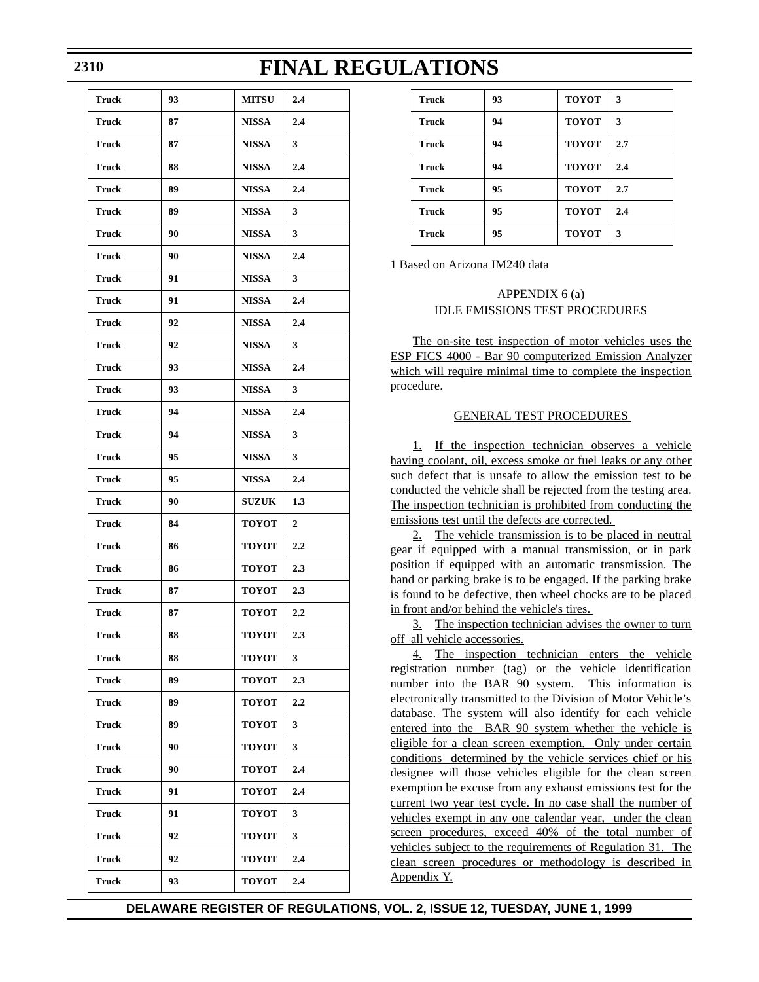| Truck        | 93 | <b>MITSU</b> | 2.4 |
|--------------|----|--------------|-----|
| <b>Truck</b> | 87 | <b>NISSA</b> | 2.4 |
| Truck        | 87 | <b>NISSA</b> | 3   |
| <b>Truck</b> | 88 | <b>NISSA</b> | 2.4 |
| Truck        | 89 | <b>NISSA</b> | 2.4 |
| <b>Truck</b> | 89 | <b>NISSA</b> | 3   |
| Truck        | 90 | <b>NISSA</b> | 3   |
| <b>Truck</b> | 90 | <b>NISSA</b> | 2.4 |
| Truck        | 91 | <b>NISSA</b> | 3   |
| <b>Truck</b> | 91 | <b>NISSA</b> | 2.4 |
| Truck        | 92 | <b>NISSA</b> | 2.4 |
| <b>Truck</b> | 92 | <b>NISSA</b> | 3   |
| Truck        | 93 | <b>NISSA</b> | 2.4 |
| <b>Truck</b> | 93 | <b>NISSA</b> | 3   |
| <b>Truck</b> | 94 | <b>NISSA</b> | 2.4 |
| <b>Truck</b> | 94 | <b>NISSA</b> | 3   |
| <b>Truck</b> | 95 | <b>NISSA</b> | 3   |
| <b>Truck</b> | 95 | <b>NISSA</b> | 2.4 |
| <b>Truck</b> | 90 | <b>SUZUK</b> | 1.3 |
| <b>Truck</b> | 84 | <b>TOYOT</b> | 2   |
| <b>Truck</b> | 86 | <b>TOYOT</b> | 2,2 |
| Truck        | 86 | <b>TOYOT</b> | 2.3 |
| <b>Truck</b> | 87 | <b>TOYOT</b> | 2.3 |
| Truck        | 87 | <b>TOYOT</b> | 2.2 |
| Truck        | 88 | <b>TOYOT</b> | 2.3 |
| Truck        | 88 | <b>TOYOT</b> | 3   |
| Truck        | 89 | <b>TOYOT</b> | 2.3 |
| Truck        | 89 | <b>TOYOT</b> | 2.2 |
| Truck        | 89 | <b>TOYOT</b> | 3   |
| <b>Truck</b> | 90 | <b>TOYOT</b> | 3   |
| <b>Truck</b> | 90 | <b>TOYOT</b> | 2.4 |
| Truck        | 91 | <b>TOYOT</b> | 2.4 |
| Truck        | 91 | <b>TOYOT</b> | 3   |
| Truck        | 92 | <b>TOYOT</b> | 3   |
| Truck        | 92 | <b>TOYOT</b> | 2.4 |
| <b>Truck</b> | 93 | <b>TOYOT</b> | 2.4 |

| Truck        | 93 | <b>TOYOT</b> | 3   |
|--------------|----|--------------|-----|
| Truck        | 94 | <b>TOYOT</b> | 3   |
| Truck        | 94 | <b>TOYOT</b> | 2.7 |
| Truck        | 94 | <b>TOYOT</b> | 2.4 |
| <b>Truck</b> | 95 | <b>TOYOT</b> | 2.7 |
| <b>Truck</b> | 95 | <b>TOYOT</b> | 2.4 |
| <b>Truck</b> | 95 | <b>TOYOT</b> | 3   |

1 Based on Arizona IM240 data

### APPENDIX 6 (a) IDLE EMISSIONS TEST PROCEDURES

The on-site test inspection of motor vehicles uses the ESP FICS 4000 - Bar 90 computerized Emission Analyzer which will require minimal time to complete the inspection procedure.

### GENERAL TEST PROCEDURES

1. If the inspection technician observes a vehicle having coolant, oil, excess smoke or fuel leaks or any other such defect that is unsafe to allow the emission test to be conducted the vehicle shall be rejected from the testing area. The inspection technician is prohibited from conducting the emissions test until the defects are corrected.

2. The vehicle transmission is to be placed in neutral gear if equipped with a manual transmission, or in park position if equipped with an automatic transmission. The hand or parking brake is to be engaged. If the parking brake is found to be defective, then wheel chocks are to be placed in front and/or behind the vehicle's tires.

3. The inspection technician advises the owner to turn off all vehicle accessories.

4. The inspection technician enters the vehicle registration number (tag) or the vehicle identification number into the BAR 90 system. This information is electronically transmitted to the Division of Motor Vehicle's database. The system will also identify for each vehicle entered into the BAR 90 system whether the vehicle is eligible for a clean screen exemption. Only under certain conditions determined by the vehicle services chief or his designee will those vehicles eligible for the clean screen exemption be excuse from any exhaust emissions test for the current two year test cycle. In no case shall the number of vehicles exempt in any one calendar year, under the clean screen procedures, exceed 40% of the total number of vehicles subject to the requirements of Regulation 31. The clean screen procedures or methodology is described in Appendix Y.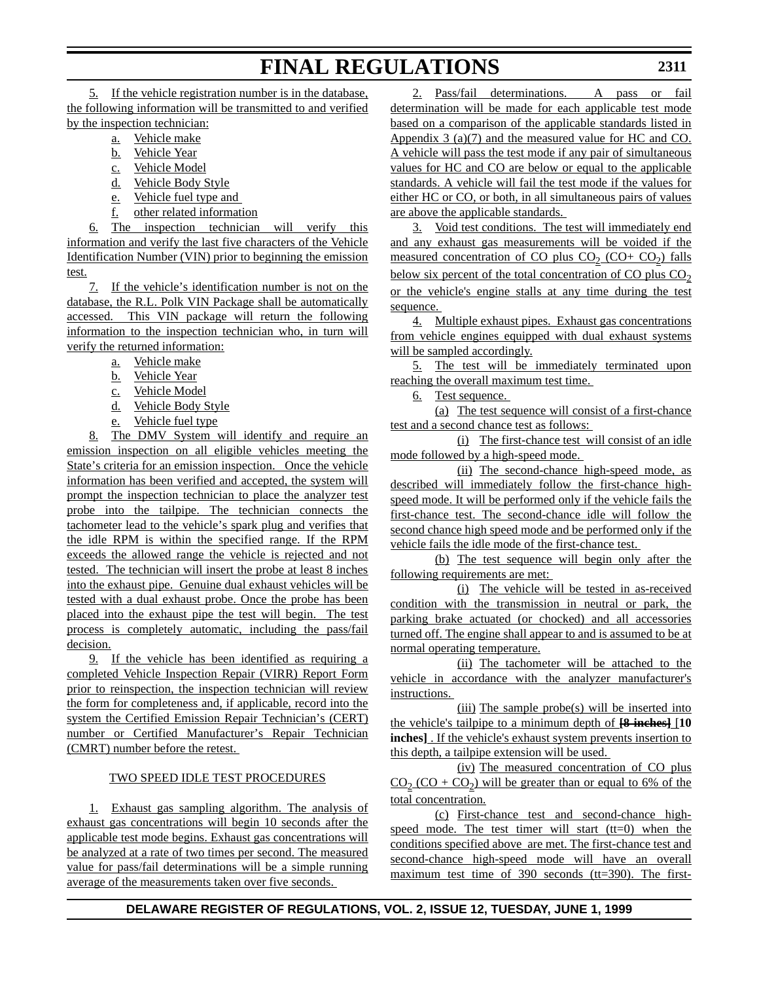5. If the vehicle registration number is in the database, the following information will be transmitted to and verified by the inspection technician:

- a. Vehicle make
- b. Vehicle Year
- c. Vehicle Model
- d. Vehicle Body Style
- e. Vehicle fuel type and
- f. other related information

6. The inspection technician will verify this information and verify the last five characters of the Vehicle Identification Number (VIN) prior to beginning the emission test.

7. If the vehicle's identification number is not on the database, the R.L. Polk VIN Package shall be automatically accessed. This VIN package will return the following information to the inspection technician who, in turn will verify the returned information:

- a. Vehicle make
- b. Vehicle Year
- c. Vehicle Model
- d. Vehicle Body Style
- e. Vehicle fuel type

8. The DMV System will identify and require an emission inspection on all eligible vehicles meeting the State's criteria for an emission inspection. Once the vehicle information has been verified and accepted, the system will prompt the inspection technician to place the analyzer test probe into the tailpipe. The technician connects the tachometer lead to the vehicle's spark plug and verifies that the idle RPM is within the specified range. If the RPM exceeds the allowed range the vehicle is rejected and not tested. The technician will insert the probe at least 8 inches into the exhaust pipe. Genuine dual exhaust vehicles will be tested with a dual exhaust probe. Once the probe has been placed into the exhaust pipe the test will begin. The test process is completely automatic, including the pass/fail decision.

9. If the vehicle has been identified as requiring a completed Vehicle Inspection Repair (VIRR) Report Form prior to reinspection, the inspection technician will review the form for completeness and, if applicable, record into the system the Certified Emission Repair Technician's (CERT) number or Certified Manufacturer's Repair Technician (CMRT) number before the retest.

### TWO SPEED IDLE TEST PROCEDURES

1. Exhaust gas sampling algorithm. The analysis of exhaust gas concentrations will begin 10 seconds after the applicable test mode begins. Exhaust gas concentrations will be analyzed at a rate of two times per second. The measured value for pass/fail determinations will be a simple running average of the measurements taken over five seconds.

2. Pass/fail determinations. A pass or fail determination will be made for each applicable test mode based on a comparison of the applicable standards listed in Appendix 3 (a)(7) and the measured value for HC and CO. A vehicle will pass the test mode if any pair of simultaneous values for HC and CO are below or equal to the applicable standards. A vehicle will fail the test mode if the values for either HC or CO, or both, in all simultaneous pairs of values are above the applicable standards.

3. Void test conditions. The test will immediately end and any exhaust gas measurements will be voided if the measured concentration of CO plus CO<sub>2</sub> (CO+ CO<sub>2</sub>) falls below six percent of the total concentration of CO plus  $CO<sub>2</sub>$ or the vehicle's engine stalls at any time during the test sequence.

4. Multiple exhaust pipes. Exhaust gas concentrations from vehicle engines equipped with dual exhaust systems will be sampled accordingly.

5. The test will be immediately terminated upon reaching the overall maximum test time.

6. Test sequence.

(a) The test sequence will consist of a first-chance test and a second chance test as follows:

(i) The first-chance test will consist of an idle mode followed by a high-speed mode.

(ii) The second-chance high-speed mode, as described will immediately follow the first-chance highspeed mode. It will be performed only if the vehicle fails the first-chance test. The second-chance idle will follow the second chance high speed mode and be performed only if the vehicle fails the idle mode of the first-chance test.

(b) The test sequence will begin only after the following requirements are met:

(i) The vehicle will be tested in as-received condition with the transmission in neutral or park, the parking brake actuated (or chocked) and all accessories turned off. The engine shall appear to and is assumed to be at normal operating temperature.

(ii) The tachometer will be attached to the vehicle in accordance with the analyzer manufacturer's instructions.

(iii) The sample probe(s) will be inserted into the vehicle's tailpipe to a minimum depth of **[8 inches]** [**10 inches]** . If the vehicle's exhaust system prevents insertion to this depth, a tailpipe extension will be used.

(iv) The measured concentration of CO plus  $CO_2$  (CO +  $CO_2$ ) will be greater than or equal to 6% of the total concentration.

(c) First-chance test and second-chance highspeed mode. The test timer will start  $(tt=0)$  when the conditions specified above are met. The first-chance test and second-chance high-speed mode will have an overall maximum test time of 390 seconds (tt=390). The first-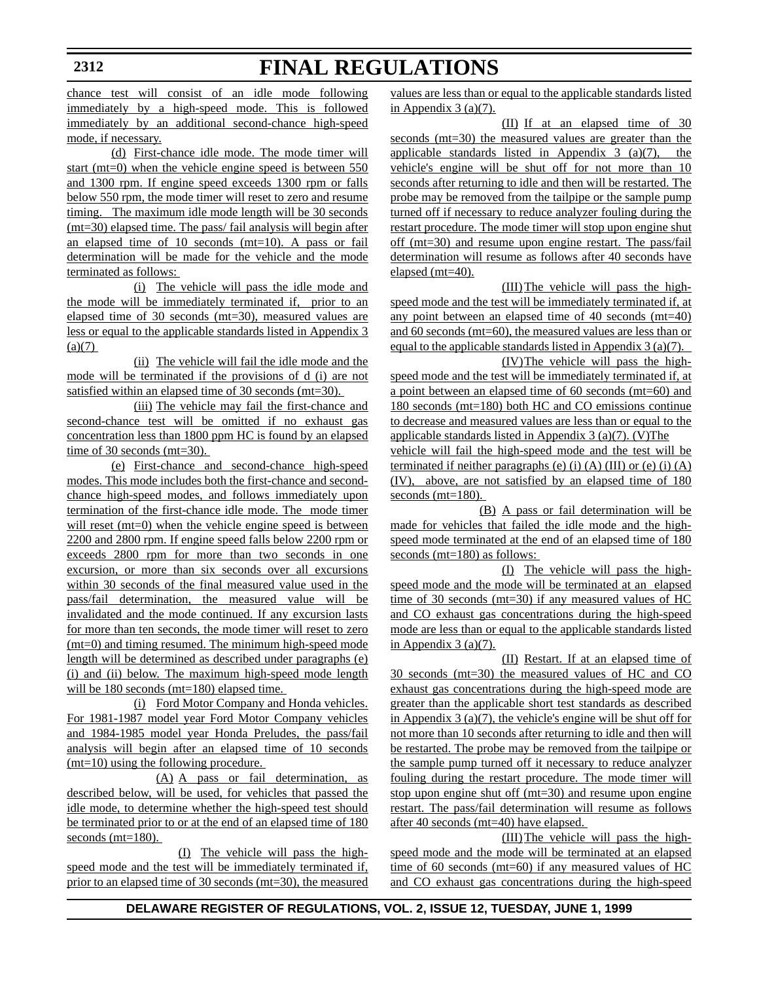chance test will consist of an idle mode following immediately by a high-speed mode. This is followed immediately by an additional second-chance high-speed mode, if necessary.

(d) First-chance idle mode. The mode timer will start (mt=0) when the vehicle engine speed is between 550 and 1300 rpm. If engine speed exceeds 1300 rpm or falls below 550 rpm, the mode timer will reset to zero and resume timing. The maximum idle mode length will be 30 seconds (mt=30) elapsed time. The pass/ fail analysis will begin after an elapsed time of 10 seconds (mt=10). A pass or fail determination will be made for the vehicle and the mode terminated as follows:

(i) The vehicle will pass the idle mode and the mode will be immediately terminated if, prior to an elapsed time of 30 seconds (mt=30), measured values are less or equal to the applicable standards listed in Appendix 3  $(a)(7)$ 

(ii) The vehicle will fail the idle mode and the mode will be terminated if the provisions of d (i) are not satisfied within an elapsed time of 30 seconds (mt=30).

(iii) The vehicle may fail the first-chance and second-chance test will be omitted if no exhaust gas concentration less than 1800 ppm HC is found by an elapsed time of 30 seconds (mt=30).

(e) First-chance and second-chance high-speed modes. This mode includes both the first-chance and secondchance high-speed modes, and follows immediately upon termination of the first-chance idle mode. The mode timer will reset (mt=0) when the vehicle engine speed is between 2200 and 2800 rpm. If engine speed falls below 2200 rpm or exceeds 2800 rpm for more than two seconds in one excursion, or more than six seconds over all excursions within 30 seconds of the final measured value used in the pass/fail determination, the measured value will be invalidated and the mode continued. If any excursion lasts for more than ten seconds, the mode timer will reset to zero (mt=0) and timing resumed. The minimum high-speed mode length will be determined as described under paragraphs (e) (i) and (ii) below. The maximum high-speed mode length will be 180 seconds (mt=180) elapsed time.

(i) Ford Motor Company and Honda vehicles. For 1981-1987 model year Ford Motor Company vehicles and 1984-1985 model year Honda Preludes, the pass/fail analysis will begin after an elapsed time of 10 seconds (mt=10) using the following procedure.

(A) A pass or fail determination, as described below, will be used, for vehicles that passed the idle mode, to determine whether the high-speed test should be terminated prior to or at the end of an elapsed time of 180 seconds (mt=180).

(I) The vehicle will pass the highspeed mode and the test will be immediately terminated if, prior to an elapsed time of 30 seconds (mt=30), the measured values are less than or equal to the applicable standards listed in Appendix  $3$  (a)(7).

(II) If at an elapsed time of 30 seconds (mt=30) the measured values are greater than the applicable standards listed in Appendix 3 (a)(7), the vehicle's engine will be shut off for not more than 10 seconds after returning to idle and then will be restarted. The probe may be removed from the tailpipe or the sample pump turned off if necessary to reduce analyzer fouling during the restart procedure. The mode timer will stop upon engine shut off (mt=30) and resume upon engine restart. The pass/fail determination will resume as follows after 40 seconds have elapsed (mt=40).

(III)The vehicle will pass the highspeed mode and the test will be immediately terminated if, at any point between an elapsed time of 40 seconds (mt=40) and 60 seconds (mt=60), the measured values are less than or equal to the applicable standards listed in Appendix 3 (a)(7). (IV)The vehicle will pass the high-

speed mode and the test will be immediately terminated if, at a point between an elapsed time of 60 seconds (mt=60) and 180 seconds (mt=180) both HC and CO emissions continue to decrease and measured values are less than or equal to the applicable standards listed in Appendix 3 (a)(7). (V)The

vehicle will fail the high-speed mode and the test will be terminated if neither paragraphs (e) (i)  $(A)$  (III) or (e) (i)  $(A)$ (IV), above, are not satisfied by an elapsed time of 180 seconds (mt=180).

(B) A pass or fail determination will be made for vehicles that failed the idle mode and the highspeed mode terminated at the end of an elapsed time of 180 seconds (mt=180) as follows:

(I) The vehicle will pass the highspeed mode and the mode will be terminated at an elapsed time of 30 seconds ( $mt=30$ ) if any measured values of  $HC$ and CO exhaust gas concentrations during the high-speed mode are less than or equal to the applicable standards listed in Appendix 3 (a)(7).

(II) Restart. If at an elapsed time of 30 seconds (mt=30) the measured values of HC and CO exhaust gas concentrations during the high-speed mode are greater than the applicable short test standards as described in Appendix 3 (a)(7), the vehicle's engine will be shut off for not more than 10 seconds after returning to idle and then will be restarted. The probe may be removed from the tailpipe or the sample pump turned off it necessary to reduce analyzer fouling during the restart procedure. The mode timer will stop upon engine shut off (mt=30) and resume upon engine restart. The pass/fail determination will resume as follows after 40 seconds (mt=40) have elapsed.

(III)The vehicle will pass the highspeed mode and the mode will be terminated at an elapsed time of 60 seconds (mt=60) if any measured values of HC and CO exhaust gas concentrations during the high-speed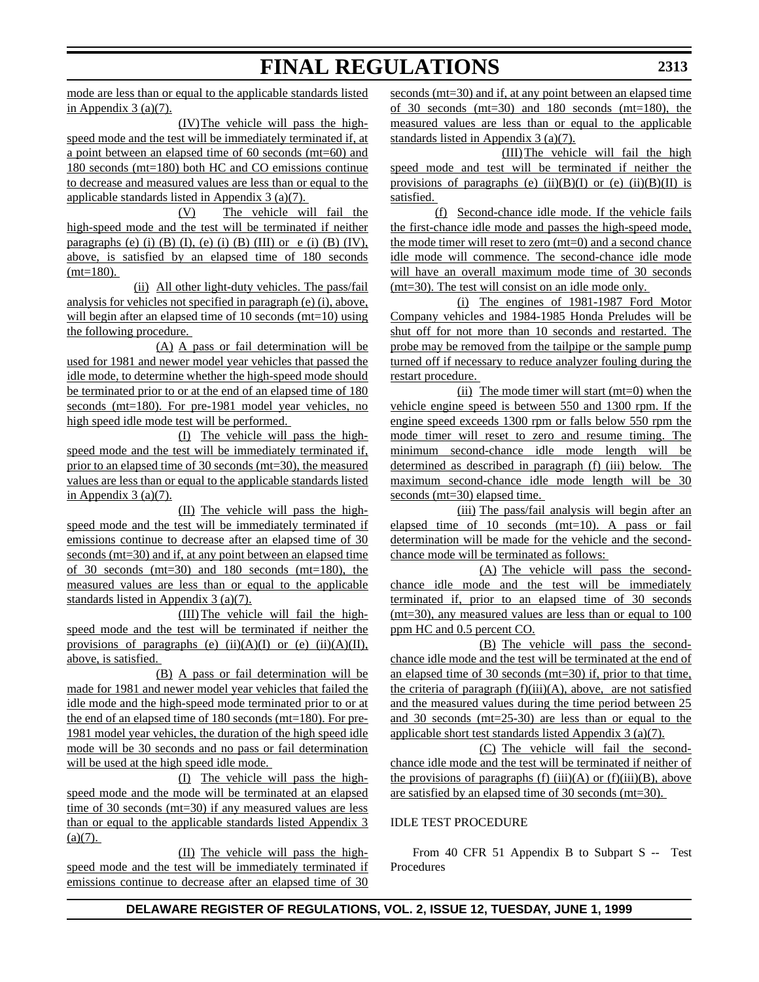mode are less than or equal to the applicable standards listed in Appendix  $3$  (a)(7).

(IV)The vehicle will pass the highspeed mode and the test will be immediately terminated if, at a point between an elapsed time of 60 seconds (mt=60) and 180 seconds (mt=180) both HC and CO emissions continue to decrease and measured values are less than or equal to the applicable standards listed in Appendix 3 (a)(7).

(V) The vehicle will fail the high-speed mode and the test will be terminated if neither paragraphs (e) (i) (B) (I), (e) (i) (B) (III) or e (i) (B) (IV), above, is satisfied by an elapsed time of 180 seconds  $(mt=180)$ .

(ii) All other light-duty vehicles. The pass/fail analysis for vehicles not specified in paragraph (e) (i), above, will begin after an elapsed time of 10 seconds (mt=10) using the following procedure.

(A) A pass or fail determination will be used for 1981 and newer model year vehicles that passed the idle mode, to determine whether the high-speed mode should be terminated prior to or at the end of an elapsed time of 180 seconds (mt=180). For pre-1981 model year vehicles, no high speed idle mode test will be performed.

(I) The vehicle will pass the highspeed mode and the test will be immediately terminated if, prior to an elapsed time of 30 seconds (mt=30), the measured values are less than or equal to the applicable standards listed in Appendix  $3$  (a)(7).

(II) The vehicle will pass the highspeed mode and the test will be immediately terminated if emissions continue to decrease after an elapsed time of 30 seconds (mt=30) and if, at any point between an elapsed time of 30 seconds (mt=30) and 180 seconds (mt=180), the measured values are less than or equal to the applicable standards listed in Appendix 3 (a)(7).

(III)The vehicle will fail the highspeed mode and the test will be terminated if neither the provisions of paragraphs (e)  $(ii)(A)(I)$  or (e)  $(ii)(A)(II)$ , above, is satisfied.

(B) A pass or fail determination will be made for 1981 and newer model year vehicles that failed the idle mode and the high-speed mode terminated prior to or at the end of an elapsed time of 180 seconds (mt=180). For pre-1981 model year vehicles, the duration of the high speed idle mode will be 30 seconds and no pass or fail determination will be used at the high speed idle mode.

(I) The vehicle will pass the highspeed mode and the mode will be terminated at an elapsed time of 30 seconds (mt=30) if any measured values are less than or equal to the applicable standards listed Appendix 3  $(a)(7)$ .

(II) The vehicle will pass the highspeed mode and the test will be immediately terminated if emissions continue to decrease after an elapsed time of 30 seconds (mt=30) and if, at any point between an elapsed time of 30 seconds (mt=30) and 180 seconds (mt=180), the measured values are less than or equal to the applicable standards listed in Appendix 3 (a)(7).

(III)The vehicle will fail the high speed mode and test will be terminated if neither the provisions of paragraphs (e) (ii)(B)(I) or (e) (ii)(B)(II) is satisfied.

(f) Second-chance idle mode. If the vehicle fails the first-chance idle mode and passes the high-speed mode, the mode timer will reset to zero (mt=0) and a second chance idle mode will commence. The second-chance idle mode will have an overall maximum mode time of 30 seconds (mt=30). The test will consist on an idle mode only.

(i) The engines of 1981-1987 Ford Motor Company vehicles and 1984-1985 Honda Preludes will be shut off for not more than 10 seconds and restarted. The probe may be removed from the tailpipe or the sample pump turned off if necessary to reduce analyzer fouling during the restart procedure.

(ii) The mode timer will start (mt=0) when the vehicle engine speed is between 550 and 1300 rpm. If the engine speed exceeds 1300 rpm or falls below 550 rpm the mode timer will reset to zero and resume timing. The minimum second-chance idle mode length will be determined as described in paragraph (f) (iii) below. The maximum second-chance idle mode length will be 30 seconds (mt=30) elapsed time.

(iii) The pass/fail analysis will begin after an elapsed time of 10 seconds (mt=10). A pass or fail determination will be made for the vehicle and the secondchance mode will be terminated as follows:

(A) The vehicle will pass the secondchance idle mode and the test will be immediately terminated if, prior to an elapsed time of 30 seconds (mt=30), any measured values are less than or equal to 100 ppm HC and 0.5 percent CO.

(B) The vehicle will pass the secondchance idle mode and the test will be terminated at the end of an elapsed time of 30 seconds (mt=30) if, prior to that time, the criteria of paragraph  $(f)(iii)(A)$ , above, are not satisfied and the measured values during the time period between 25 and 30 seconds (mt=25-30) are less than or equal to the applicable short test standards listed Appendix 3 (a)(7).

(C) The vehicle will fail the secondchance idle mode and the test will be terminated if neither of the provisions of paragraphs (f) (iii)(A) or (f)(iii)(B), above are satisfied by an elapsed time of 30 seconds (mt=30).

### IDLE TEST PROCEDURE

From 40 CFR 51 Appendix B to Subpart S -- Test Procedures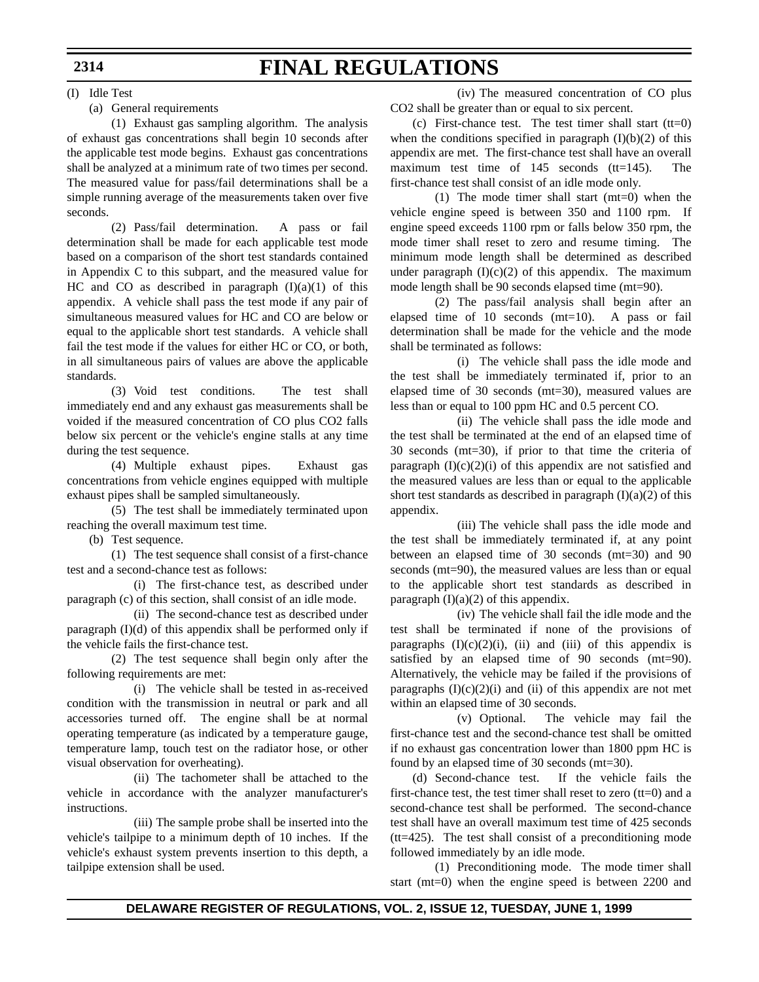(I) Idle Test

### (a) General requirements

(1) Exhaust gas sampling algorithm. The analysis of exhaust gas concentrations shall begin 10 seconds after the applicable test mode begins. Exhaust gas concentrations shall be analyzed at a minimum rate of two times per second. The measured value for pass/fail determinations shall be a simple running average of the measurements taken over five seconds.

(2) Pass/fail determination. A pass or fail determination shall be made for each applicable test mode based on a comparison of the short test standards contained in Appendix C to this subpart, and the measured value for HC and CO as described in paragraph  $(I)(a)(1)$  of this appendix. A vehicle shall pass the test mode if any pair of simultaneous measured values for HC and CO are below or equal to the applicable short test standards. A vehicle shall fail the test mode if the values for either HC or CO, or both, in all simultaneous pairs of values are above the applicable standards.

(3) Void test conditions. The test shall immediately end and any exhaust gas measurements shall be voided if the measured concentration of CO plus CO2 falls below six percent or the vehicle's engine stalls at any time during the test sequence.

(4) Multiple exhaust pipes. Exhaust gas concentrations from vehicle engines equipped with multiple exhaust pipes shall be sampled simultaneously.

(5) The test shall be immediately terminated upon reaching the overall maximum test time.

(b) Test sequence.

(1) The test sequence shall consist of a first-chance test and a second-chance test as follows:

(i) The first-chance test, as described under paragraph (c) of this section, shall consist of an idle mode.

(ii) The second-chance test as described under paragraph  $(I)(d)$  of this appendix shall be performed only if the vehicle fails the first-chance test.

(2) The test sequence shall begin only after the following requirements are met:

(i) The vehicle shall be tested in as-received condition with the transmission in neutral or park and all accessories turned off. The engine shall be at normal operating temperature (as indicated by a temperature gauge, temperature lamp, touch test on the radiator hose, or other visual observation for overheating).

(ii) The tachometer shall be attached to the vehicle in accordance with the analyzer manufacturer's instructions.

(iii) The sample probe shall be inserted into the vehicle's tailpipe to a minimum depth of 10 inches. If the vehicle's exhaust system prevents insertion to this depth, a tailpipe extension shall be used.

(iv) The measured concentration of CO plus CO2 shall be greater than or equal to six percent.

(c) First-chance test. The test timer shall start  $(tt=0)$ when the conditions specified in paragraph  $(I)(b)(2)$  of this appendix are met. The first-chance test shall have an overall maximum test time of 145 seconds (tt=145). The first-chance test shall consist of an idle mode only.

(1) The mode timer shall start (mt=0) when the vehicle engine speed is between 350 and 1100 rpm. If engine speed exceeds 1100 rpm or falls below 350 rpm, the mode timer shall reset to zero and resume timing. The minimum mode length shall be determined as described under paragraph  $(I)(c)(2)$  of this appendix. The maximum mode length shall be 90 seconds elapsed time (mt=90).

(2) The pass/fail analysis shall begin after an elapsed time of 10 seconds (mt=10). A pass or fail determination shall be made for the vehicle and the mode shall be terminated as follows:

(i) The vehicle shall pass the idle mode and the test shall be immediately terminated if, prior to an elapsed time of 30 seconds (mt=30), measured values are less than or equal to 100 ppm HC and 0.5 percent CO.

(ii) The vehicle shall pass the idle mode and the test shall be terminated at the end of an elapsed time of 30 seconds (mt=30), if prior to that time the criteria of paragraph  $(I)(c)(2)(i)$  of this appendix are not satisfied and the measured values are less than or equal to the applicable short test standards as described in paragraph  $(I)(a)(2)$  of this appendix.

(iii) The vehicle shall pass the idle mode and the test shall be immediately terminated if, at any point between an elapsed time of 30 seconds (mt=30) and 90 seconds (mt=90), the measured values are less than or equal to the applicable short test standards as described in paragraph  $(I)(a)(2)$  of this appendix.

(iv) The vehicle shall fail the idle mode and the test shall be terminated if none of the provisions of paragraphs  $(I)(c)(2)(i)$ ,  $(ii)$  and  $(iii)$  of this appendix is satisfied by an elapsed time of 90 seconds (mt=90). Alternatively, the vehicle may be failed if the provisions of paragraphs  $(I)(c)(2)(i)$  and  $(ii)$  of this appendix are not met within an elapsed time of 30 seconds.

(v) Optional. The vehicle may fail the first-chance test and the second-chance test shall be omitted if no exhaust gas concentration lower than 1800 ppm HC is found by an elapsed time of 30 seconds (mt=30).

(d) Second-chance test. If the vehicle fails the first-chance test, the test timer shall reset to zero  $(tt=0)$  and a second-chance test shall be performed. The second-chance test shall have an overall maximum test time of 425 seconds (tt=425). The test shall consist of a preconditioning mode followed immediately by an idle mode.

(1) Preconditioning mode. The mode timer shall start (mt=0) when the engine speed is between 2200 and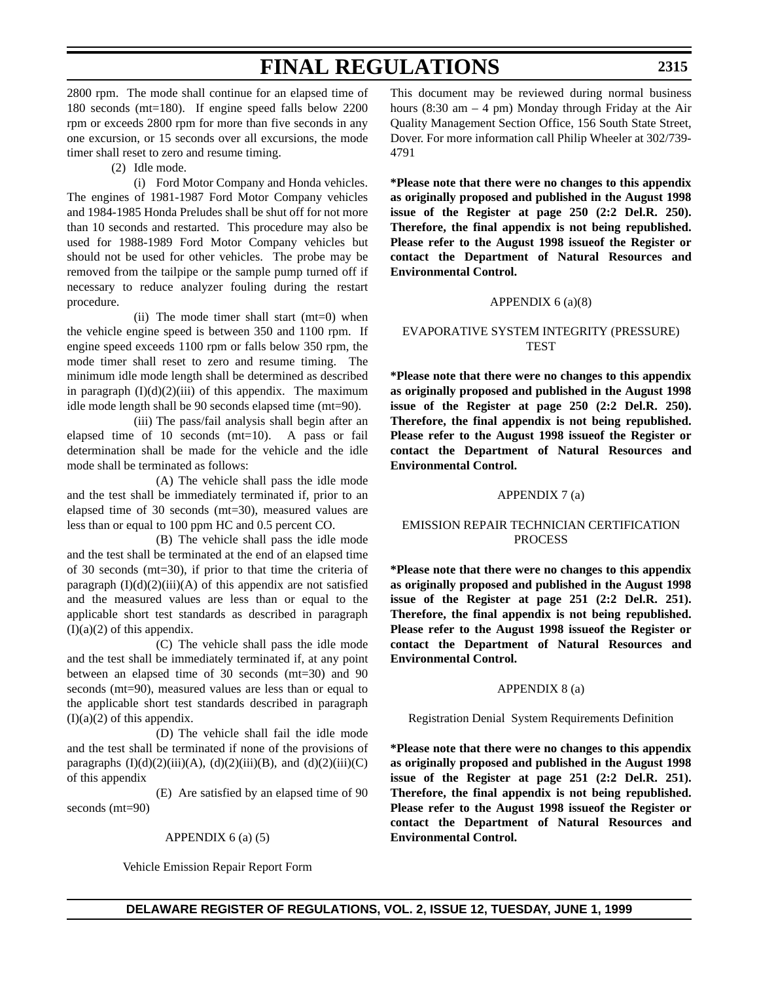2800 rpm. The mode shall continue for an elapsed time of 180 seconds (mt=180). If engine speed falls below 2200 rpm or exceeds 2800 rpm for more than five seconds in any one excursion, or 15 seconds over all excursions, the mode timer shall reset to zero and resume timing.

(2) Idle mode.

(i) Ford Motor Company and Honda vehicles. The engines of 1981-1987 Ford Motor Company vehicles and 1984-1985 Honda Preludes shall be shut off for not more than 10 seconds and restarted. This procedure may also be used for 1988-1989 Ford Motor Company vehicles but should not be used for other vehicles. The probe may be removed from the tailpipe or the sample pump turned off if necessary to reduce analyzer fouling during the restart procedure.

(ii) The mode timer shall start (mt=0) when the vehicle engine speed is between 350 and 1100 rpm. If engine speed exceeds 1100 rpm or falls below 350 rpm, the mode timer shall reset to zero and resume timing. The minimum idle mode length shall be determined as described in paragraph  $(I)(d)(2)(iii)$  of this appendix. The maximum idle mode length shall be 90 seconds elapsed time (mt=90).

(iii) The pass/fail analysis shall begin after an elapsed time of 10 seconds (mt=10). A pass or fail determination shall be made for the vehicle and the idle mode shall be terminated as follows:

(A) The vehicle shall pass the idle mode and the test shall be immediately terminated if, prior to an elapsed time of 30 seconds (mt=30), measured values are less than or equal to 100 ppm HC and 0.5 percent CO.

(B) The vehicle shall pass the idle mode and the test shall be terminated at the end of an elapsed time of 30 seconds (mt=30), if prior to that time the criteria of paragraph  $(I)(d)(2)(iii)(A)$  of this appendix are not satisfied and the measured values are less than or equal to the applicable short test standards as described in paragraph  $(I)(a)(2)$  of this appendix.

(C) The vehicle shall pass the idle mode and the test shall be immediately terminated if, at any point between an elapsed time of 30 seconds (mt=30) and 90 seconds (mt=90), measured values are less than or equal to the applicable short test standards described in paragraph  $(I)(a)(2)$  of this appendix.

(D) The vehicle shall fail the idle mode and the test shall be terminated if none of the provisions of paragraphs  $(I)(d)(2)(iii)(A)$ ,  $(d)(2)(iii)(B)$ , and  $(d)(2)(iii)(C)$ of this appendix

(E) Are satisfied by an elapsed time of 90 seconds (mt=90)

APPENDIX  $6$  (a) (5)

Vehicle Emission Repair Report Form

This document may be reviewed during normal business hours (8:30 am  $-$  4 pm) Monday through Friday at the Air Quality Management Section Office, 156 South State Street, Dover. For more information call Philip Wheeler at 302/739- 4791

**\*Please note that there were no changes to this appendix as originally proposed and published in the August 1998 issue of the Register at page 250 (2:2 Del.R. 250). Therefore, the final appendix is not being republished. Please refer to the August 1998 issueof the Register or contact the Department of Natural Resources and Environmental Control.**

#### APPENDIX 6 (a)(8)

### EVAPORATIVE SYSTEM INTEGRITY (PRESSURE) TEST

**\*Please note that there were no changes to this appendix as originally proposed and published in the August 1998 issue of the Register at page 250 (2:2 Del.R. 250). Therefore, the final appendix is not being republished. Please refer to the August 1998 issueof the Register or contact the Department of Natural Resources and Environmental Control.**

#### APPENDIX 7 (a)

### EMISSION REPAIR TECHNICIAN CERTIFICATION PROCESS

**\*Please note that there were no changes to this appendix as originally proposed and published in the August 1998 issue of the Register at page 251 (2:2 Del.R. 251). Therefore, the final appendix is not being republished. Please refer to the August 1998 issueof the Register or contact the Department of Natural Resources and Environmental Control.**

#### APPENDIX 8 (a)

Registration Denial System Requirements Definition

**\*Please note that there were no changes to this appendix as originally proposed and published in the August 1998 issue of the Register at page 251 (2:2 Del.R. 251). Therefore, the final appendix is not being republished. Please refer to the August 1998 issueof the Register or contact the Department of Natural Resources and Environmental Control.**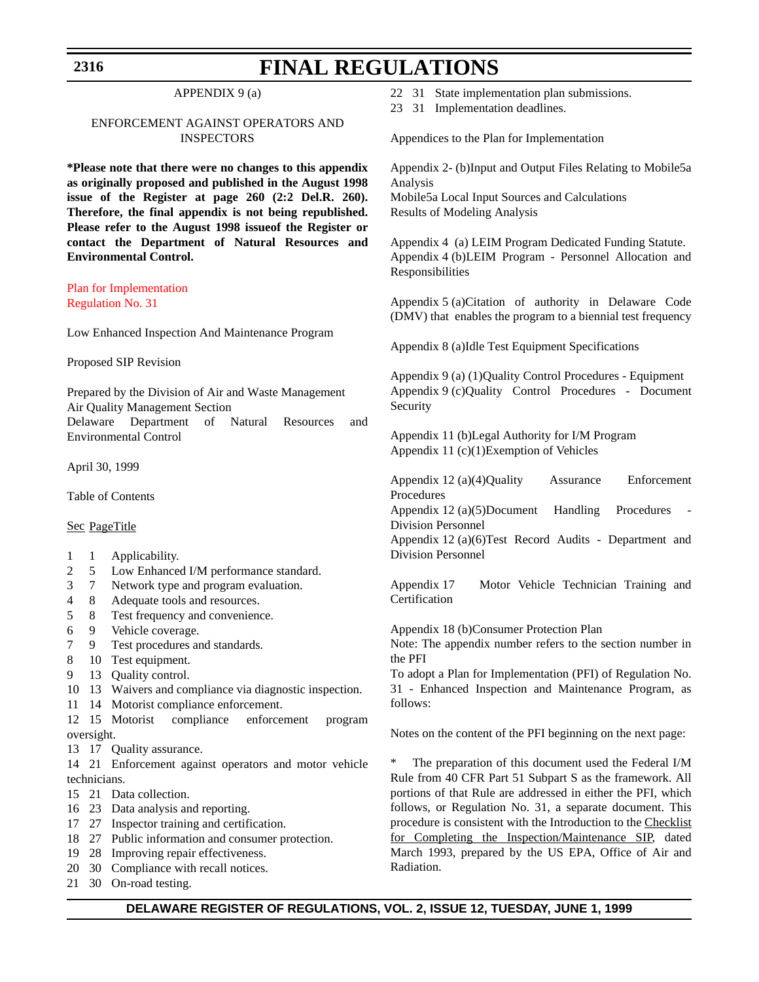### **2316**

# **FINAL REGULATIONS**

### APPENDIX 9 (a)

### ENFORCEMENT AGAINST OPERATORS AND INSPECTORS

**\*Please note that there were no changes to this appendix as originally proposed and published in the August 1998 issue of the Register at page 260 (2:2 Del.R. 260). Therefore, the final appendix is not being republished. Please refer to the August 1998 issueof the Register or contact the Department of Natural Resources and Environmental Control.**

[Plan for Implementation](#page-3-0) Regulation No. 31

Low Enhanced Inspection And Maintenance Program

Proposed SIP Revision

Prepared by the Division of Air and Waste Management Air Quality Management Section Delaware Department of Natural Resources and Environmental Control

April 30, 1999

Table of Contents

#### Sec PageTitle

- 1 1 Applicability.
- 2 5 Low Enhanced I/M performance standard.
- 3 7 Network type and program evaluation.
- 4 8 Adequate tools and resources.
- 5 8 Test frequency and convenience.
- 6 9 Vehicle coverage.
- 7 9 Test procedures and standards.
- 8 10 Test equipment.
- 9 13 Quality control.
- 10 13 Waivers and compliance via diagnostic inspection.
- 11 14 Motorist compliance enforcement.
- 12 15 Motorist compliance enforcement program oversight.
- 13 17 Quality assurance.

14 21 Enforcement against operators and motor vehicle technicians.

- 15 21 Data collection.
- 16 23 Data analysis and reporting.
- 17 27 Inspector training and certification.
- 18 27 Public information and consumer protection.
- 19 28 Improving repair effectiveness.
- 20 30 Compliance with recall notices.
- 21 30 On-road testing.
- 22 31 State implementation plan submissions.
- 23 31 Implementation deadlines.

Appendices to the Plan for Implementation

Appendix 2- (b)Input and Output Files Relating to Mobile5a Analysis Mobile5a Local Input Sources and Calculations Results of Modeling Analysis

Appendix 4 (a) LEIM Program Dedicated Funding Statute. Appendix 4 (b)LEIM Program - Personnel Allocation and Responsibilities

Appendix 5 (a)Citation of authority in Delaware Code (DMV) that enables the program to a biennial test frequency

Appendix 8 (a)Idle Test Equipment Specifications

Appendix 9 (a) (1)Quality Control Procedures - Equipment Appendix 9 (c)Quality Control Procedures - Document Security

Appendix 11 (b)Legal Authority for I/M Program Appendix 11 (c)(1)Exemption of Vehicles

Appendix 12 (a)(4)Quality Assurance Enforcement Procedures

Appendix  $12$  (a)(5)Document - Handling - Procedures Division Personnel

Appendix 12 (a)(6)Test Record Audits - Department and Division Personnel

Appendix 17 Motor Vehicle Technician Training and Certification

Appendix 18 (b)Consumer Protection Plan

Note: The appendix number refers to the section number in the PFI

To adopt a Plan for Implementation (PFI) of Regulation No. 31 - Enhanced Inspection and Maintenance Program, as follows:

Notes on the content of the PFI beginning on the next page:

The preparation of this document used the Federal I/M Rule from 40 CFR Part 51 Subpart S as the framework. All portions of that Rule are addressed in either the PFI, which follows, or Regulation No. 31, a separate document. This procedure is consistent with the Introduction to the Checklist for Completing the Inspection/Maintenance SIP, dated March 1993, prepared by the US EPA, Office of Air and Radiation.

### **DELAWARE REGISTER OF REGULATIONS, VOL. 2, ISSUE 12, TUESDAY, JUNE 1, 1999**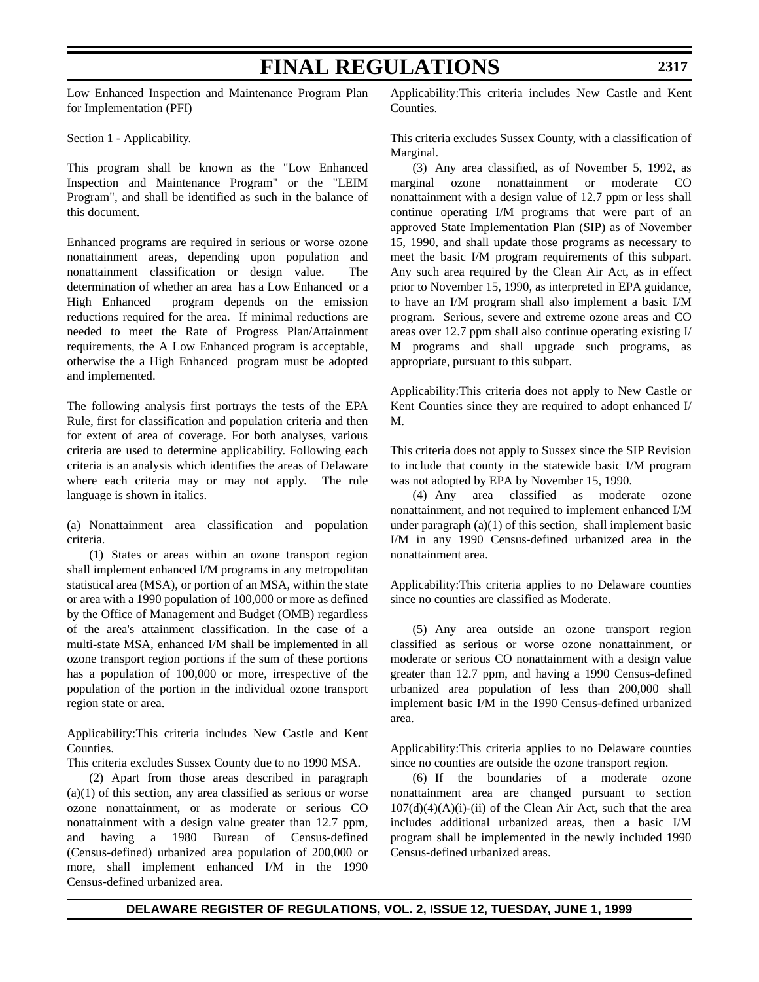Low Enhanced Inspection and Maintenance Program Plan for Implementation (PFI)

Section 1 - Applicability.

This program shall be known as the "Low Enhanced Inspection and Maintenance Program" or the "LEIM Program", and shall be identified as such in the balance of this document.

Enhanced programs are required in serious or worse ozone nonattainment areas, depending upon population and nonattainment classification or design value. The determination of whether an area has a Low Enhanced or a High Enhanced program depends on the emission reductions required for the area. If minimal reductions are needed to meet the Rate of Progress Plan/Attainment requirements, the A Low Enhanced program is acceptable, otherwise the a High Enhanced program must be adopted and implemented.

The following analysis first portrays the tests of the EPA Rule, first for classification and population criteria and then for extent of area of coverage. For both analyses, various criteria are used to determine applicability. Following each criteria is an analysis which identifies the areas of Delaware where each criteria may or may not apply. The rule language is shown in italics.

(a) Nonattainment area classification and population criteria.

(1) States or areas within an ozone transport region shall implement enhanced I/M programs in any metropolitan statistical area (MSA), or portion of an MSA, within the state or area with a 1990 population of 100,000 or more as defined by the Office of Management and Budget (OMB) regardless of the area's attainment classification. In the case of a multi-state MSA, enhanced I/M shall be implemented in all ozone transport region portions if the sum of these portions has a population of 100,000 or more, irrespective of the population of the portion in the individual ozone transport region state or area.

Applicability:This criteria includes New Castle and Kent Counties.

This criteria excludes Sussex County due to no 1990 MSA.

(2) Apart from those areas described in paragraph  $(a)(1)$  of this section, any area classified as serious or worse ozone nonattainment, or as moderate or serious CO nonattainment with a design value greater than 12.7 ppm, and having a 1980 Bureau of Census-defined (Census-defined) urbanized area population of 200,000 or more, shall implement enhanced I/M in the 1990 Census-defined urbanized area.

Applicability:This criteria includes New Castle and Kent Counties.

This criteria excludes Sussex County, with a classification of Marginal.

(3) Any area classified, as of November 5, 1992, as marginal ozone nonattainment or moderate CO nonattainment with a design value of 12.7 ppm or less shall continue operating I/M programs that were part of an approved State Implementation Plan (SIP) as of November 15, 1990, and shall update those programs as necessary to meet the basic I/M program requirements of this subpart. Any such area required by the Clean Air Act, as in effect prior to November 15, 1990, as interpreted in EPA guidance, to have an I/M program shall also implement a basic I/M program. Serious, severe and extreme ozone areas and CO areas over 12.7 ppm shall also continue operating existing I/ M programs and shall upgrade such programs, as appropriate, pursuant to this subpart.

Applicability:This criteria does not apply to New Castle or Kent Counties since they are required to adopt enhanced I/ M.

This criteria does not apply to Sussex since the SIP Revision to include that county in the statewide basic I/M program was not adopted by EPA by November 15, 1990.

(4) Any area classified as moderate ozone nonattainment, and not required to implement enhanced I/M under paragraph (a)(1) of this section, shall implement basic I/M in any 1990 Census-defined urbanized area in the nonattainment area.

Applicability:This criteria applies to no Delaware counties since no counties are classified as Moderate.

(5) Any area outside an ozone transport region classified as serious or worse ozone nonattainment, or moderate or serious CO nonattainment with a design value greater than 12.7 ppm, and having a 1990 Census-defined urbanized area population of less than 200,000 shall implement basic I/M in the 1990 Census-defined urbanized area.

Applicability:This criteria applies to no Delaware counties since no counties are outside the ozone transport region.

(6) If the boundaries of a moderate ozone nonattainment area are changed pursuant to section  $107(d)(4)(A)(i)$ -(ii) of the Clean Air Act, such that the area includes additional urbanized areas, then a basic I/M program shall be implemented in the newly included 1990 Census-defined urbanized areas.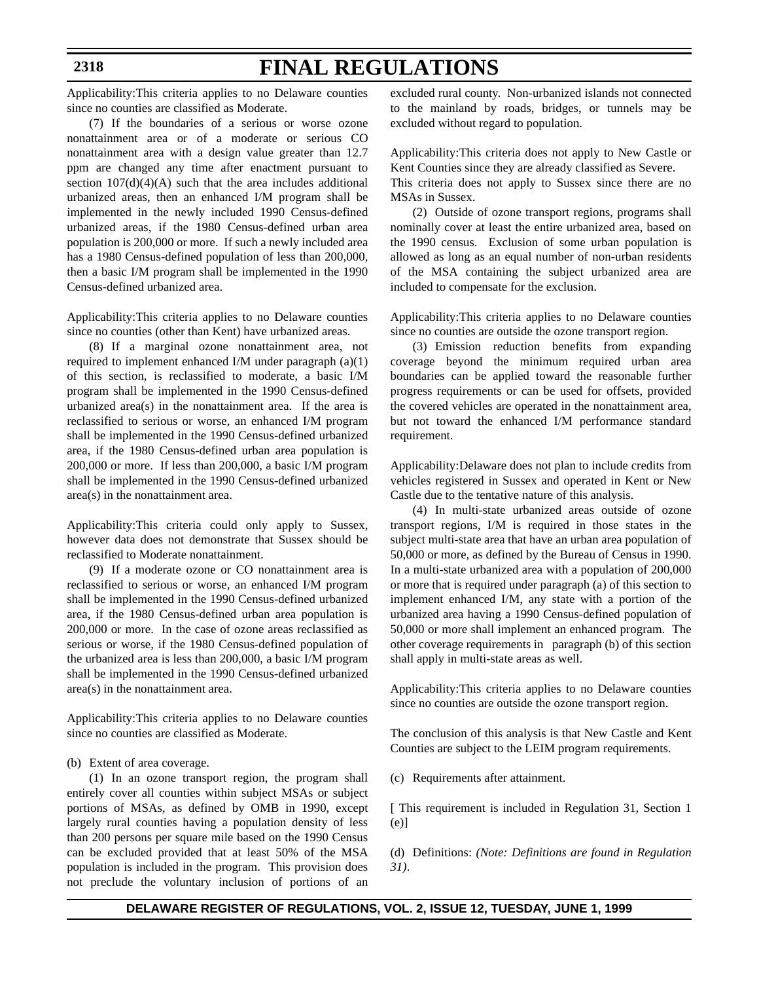#### **2318**

# **FINAL REGULATIONS**

Applicability:This criteria applies to no Delaware counties since no counties are classified as Moderate.

(7) If the boundaries of a serious or worse ozone nonattainment area or of a moderate or serious CO nonattainment area with a design value greater than 12.7 ppm are changed any time after enactment pursuant to section  $107(d)(4)(A)$  such that the area includes additional urbanized areas, then an enhanced I/M program shall be implemented in the newly included 1990 Census-defined urbanized areas, if the 1980 Census-defined urban area population is 200,000 or more. If such a newly included area has a 1980 Census-defined population of less than 200,000, then a basic I/M program shall be implemented in the 1990 Census-defined urbanized area.

Applicability:This criteria applies to no Delaware counties since no counties (other than Kent) have urbanized areas.

(8) If a marginal ozone nonattainment area, not required to implement enhanced I/M under paragraph (a)(1) of this section, is reclassified to moderate, a basic I/M program shall be implemented in the 1990 Census-defined urbanized area(s) in the nonattainment area. If the area is reclassified to serious or worse, an enhanced I/M program shall be implemented in the 1990 Census-defined urbanized area, if the 1980 Census-defined urban area population is 200,000 or more. If less than 200,000, a basic I/M program shall be implemented in the 1990 Census-defined urbanized area(s) in the nonattainment area.

Applicability:This criteria could only apply to Sussex, however data does not demonstrate that Sussex should be reclassified to Moderate nonattainment.

(9) If a moderate ozone or CO nonattainment area is reclassified to serious or worse, an enhanced I/M program shall be implemented in the 1990 Census-defined urbanized area, if the 1980 Census-defined urban area population is 200,000 or more. In the case of ozone areas reclassified as serious or worse, if the 1980 Census-defined population of the urbanized area is less than 200,000, a basic I/M program shall be implemented in the 1990 Census-defined urbanized area(s) in the nonattainment area.

Applicability:This criteria applies to no Delaware counties since no counties are classified as Moderate.

#### (b) Extent of area coverage.

(1) In an ozone transport region, the program shall entirely cover all counties within subject MSAs or subject portions of MSAs, as defined by OMB in 1990, except largely rural counties having a population density of less than 200 persons per square mile based on the 1990 Census can be excluded provided that at least 50% of the MSA population is included in the program. This provision does not preclude the voluntary inclusion of portions of an excluded rural county. Non-urbanized islands not connected to the mainland by roads, bridges, or tunnels may be excluded without regard to population.

Applicability:This criteria does not apply to New Castle or Kent Counties since they are already classified as Severe.

This criteria does not apply to Sussex since there are no MSAs in Sussex.

(2) Outside of ozone transport regions, programs shall nominally cover at least the entire urbanized area, based on the 1990 census. Exclusion of some urban population is allowed as long as an equal number of non-urban residents of the MSA containing the subject urbanized area are included to compensate for the exclusion.

Applicability:This criteria applies to no Delaware counties since no counties are outside the ozone transport region.

(3) Emission reduction benefits from expanding coverage beyond the minimum required urban area boundaries can be applied toward the reasonable further progress requirements or can be used for offsets, provided the covered vehicles are operated in the nonattainment area, but not toward the enhanced I/M performance standard requirement.

Applicability:Delaware does not plan to include credits from vehicles registered in Sussex and operated in Kent or New Castle due to the tentative nature of this analysis.

(4) In multi-state urbanized areas outside of ozone transport regions, I/M is required in those states in the subject multi-state area that have an urban area population of 50,000 or more, as defined by the Bureau of Census in 1990. In a multi-state urbanized area with a population of 200,000 or more that is required under paragraph (a) of this section to implement enhanced I/M, any state with a portion of the urbanized area having a 1990 Census-defined population of 50,000 or more shall implement an enhanced program. The other coverage requirements in paragraph (b) of this section shall apply in multi-state areas as well.

Applicability:This criteria applies to no Delaware counties since no counties are outside the ozone transport region.

The conclusion of this analysis is that New Castle and Kent Counties are subject to the LEIM program requirements.

(c) Requirements after attainment.

[ This requirement is included in Regulation 31, Section 1 (e)]

(d) Definitions: *(Note: Definitions are found in Regulation 31)*.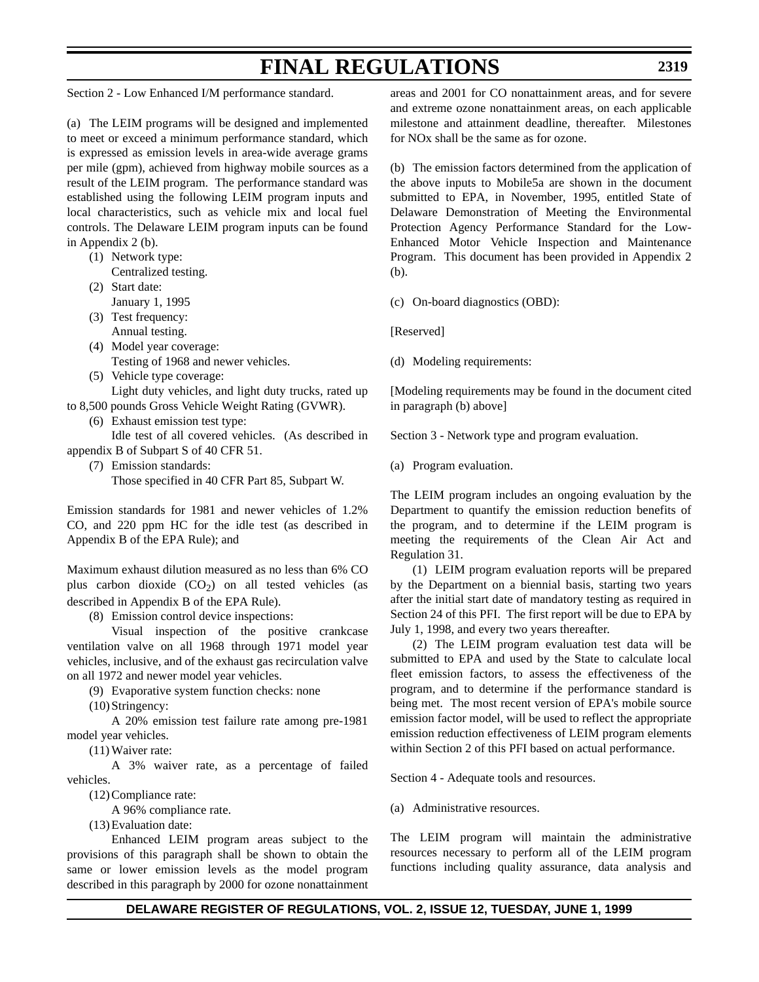Section 2 - Low Enhanced I/M performance standard.

(a) The LEIM programs will be designed and implemented to meet or exceed a minimum performance standard, which is expressed as emission levels in area-wide average grams per mile (gpm), achieved from highway mobile sources as a result of the LEIM program. The performance standard was established using the following LEIM program inputs and local characteristics, such as vehicle mix and local fuel controls. The Delaware LEIM program inputs can be found in Appendix 2 (b).

- (1) Network type: Centralized testing.
- (2) Start date: January 1, 1995
- (3) Test frequency: Annual testing.
- (4) Model year coverage: Testing of 1968 and newer vehicles.
- (5) Vehicle type coverage: Light duty vehicles, and light duty trucks, rated up
- to 8,500 pounds Gross Vehicle Weight Rating (GVWR).
	- (6) Exhaust emission test type:

Idle test of all covered vehicles. (As described in appendix B of Subpart S of 40 CFR 51.

- (7) Emission standards:
	- Those specified in 40 CFR Part 85, Subpart W.

Emission standards for 1981 and newer vehicles of 1.2% CO, and 220 ppm HC for the idle test (as described in Appendix B of the EPA Rule); and

Maximum exhaust dilution measured as no less than 6% CO plus carbon dioxide  $(CO_2)$  on all tested vehicles (as described in Appendix B of the EPA Rule).

(8) Emission control device inspections:

Visual inspection of the positive crankcase ventilation valve on all 1968 through 1971 model year vehicles, inclusive, and of the exhaust gas recirculation valve on all 1972 and newer model year vehicles.

(9) Evaporative system function checks: none

(10)Stringency:

A 20% emission test failure rate among pre-1981 model year vehicles.

(11) Waiver rate:

A 3% waiver rate, as a percentage of failed vehicles.

(12)Compliance rate:

A 96% compliance rate.

(13)Evaluation date:

Enhanced LEIM program areas subject to the provisions of this paragraph shall be shown to obtain the same or lower emission levels as the model program described in this paragraph by 2000 for ozone nonattainment

areas and 2001 for CO nonattainment areas, and for severe and extreme ozone nonattainment areas, on each applicable milestone and attainment deadline, thereafter. Milestones for NOx shall be the same as for ozone.

(b) The emission factors determined from the application of the above inputs to Mobile5a are shown in the document submitted to EPA, in November, 1995, entitled State of Delaware Demonstration of Meeting the Environmental Protection Agency Performance Standard for the Low-Enhanced Motor Vehicle Inspection and Maintenance Program. This document has been provided in Appendix 2 (b).

(c) On-board diagnostics (OBD):

[Reserved]

(d) Modeling requirements:

[Modeling requirements may be found in the document cited in paragraph (b) above]

Section 3 - Network type and program evaluation.

(a) Program evaluation.

The LEIM program includes an ongoing evaluation by the Department to quantify the emission reduction benefits of the program, and to determine if the LEIM program is meeting the requirements of the Clean Air Act and Regulation 31.

(1) LEIM program evaluation reports will be prepared by the Department on a biennial basis, starting two years after the initial start date of mandatory testing as required in Section 24 of this PFI. The first report will be due to EPA by July 1, 1998, and every two years thereafter.

(2) The LEIM program evaluation test data will be submitted to EPA and used by the State to calculate local fleet emission factors, to assess the effectiveness of the program, and to determine if the performance standard is being met. The most recent version of EPA's mobile source emission factor model, will be used to reflect the appropriate emission reduction effectiveness of LEIM program elements within Section 2 of this PFI based on actual performance.

Section 4 - Adequate tools and resources.

(a) Administrative resources.

The LEIM program will maintain the administrative resources necessary to perform all of the LEIM program functions including quality assurance, data analysis and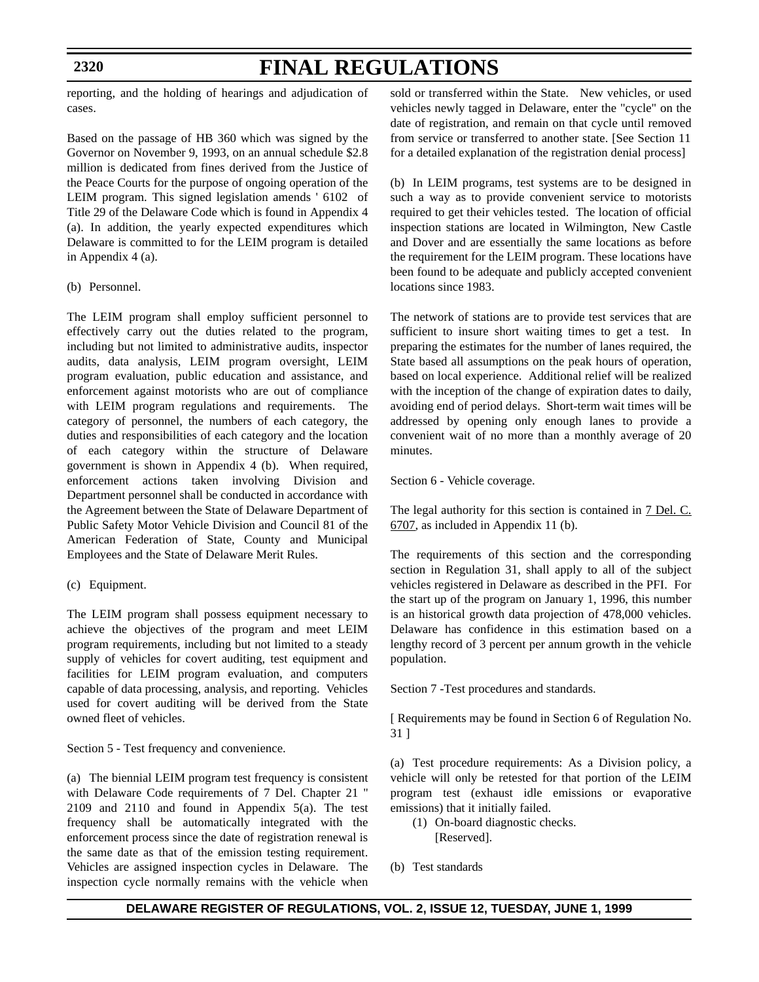**2320**

# **FINAL REGULATIONS**

reporting, and the holding of hearings and adjudication of cases.

Based on the passage of HB 360 which was signed by the Governor on November 9, 1993, on an annual schedule \$2.8 million is dedicated from fines derived from the Justice of the Peace Courts for the purpose of ongoing operation of the LEIM program. This signed legislation amends ' 6102 of Title 29 of the Delaware Code which is found in Appendix 4 (a). In addition, the yearly expected expenditures which Delaware is committed to for the LEIM program is detailed in Appendix 4 (a).

(b) Personnel.

The LEIM program shall employ sufficient personnel to effectively carry out the duties related to the program, including but not limited to administrative audits, inspector audits, data analysis, LEIM program oversight, LEIM program evaluation, public education and assistance, and enforcement against motorists who are out of compliance with LEIM program regulations and requirements. The category of personnel, the numbers of each category, the duties and responsibilities of each category and the location of each category within the structure of Delaware government is shown in Appendix 4 (b). When required, enforcement actions taken involving Division and Department personnel shall be conducted in accordance with the Agreement between the State of Delaware Department of Public Safety Motor Vehicle Division and Council 81 of the American Federation of State, County and Municipal Employees and the State of Delaware Merit Rules.

(c) Equipment.

The LEIM program shall possess equipment necessary to achieve the objectives of the program and meet LEIM program requirements, including but not limited to a steady supply of vehicles for covert auditing, test equipment and facilities for LEIM program evaluation, and computers capable of data processing, analysis, and reporting. Vehicles used for covert auditing will be derived from the State owned fleet of vehicles.

Section 5 - Test frequency and convenience.

(a) The biennial LEIM program test frequency is consistent with Delaware Code requirements of 7 Del. Chapter 21 '' 2109 and 2110 and found in Appendix 5(a). The test frequency shall be automatically integrated with the enforcement process since the date of registration renewal is the same date as that of the emission testing requirement. Vehicles are assigned inspection cycles in Delaware. The inspection cycle normally remains with the vehicle when

sold or transferred within the State. New vehicles, or used vehicles newly tagged in Delaware, enter the "cycle" on the date of registration, and remain on that cycle until removed from service or transferred to another state. [See Section 11 for a detailed explanation of the registration denial process]

(b) In LEIM programs, test systems are to be designed in such a way as to provide convenient service to motorists required to get their vehicles tested. The location of official inspection stations are located in Wilmington, New Castle and Dover and are essentially the same locations as before the requirement for the LEIM program. These locations have been found to be adequate and publicly accepted convenient locations since 1983.

The network of stations are to provide test services that are sufficient to insure short waiting times to get a test. In preparing the estimates for the number of lanes required, the State based all assumptions on the peak hours of operation, based on local experience. Additional relief will be realized with the inception of the change of expiration dates to daily, avoiding end of period delays. Short-term wait times will be addressed by opening only enough lanes to provide a convenient wait of no more than a monthly average of 20 minutes.

Section 6 - Vehicle coverage.

The legal authority for this section is contained in 7 Del. C. 6707, as included in Appendix 11 (b).

The requirements of this section and the corresponding section in Regulation 31, shall apply to all of the subject vehicles registered in Delaware as described in the PFI. For the start up of the program on January 1, 1996, this number is an historical growth data projection of 478,000 vehicles. Delaware has confidence in this estimation based on a lengthy record of 3 percent per annum growth in the vehicle population.

Section 7 -Test procedures and standards.

[ Requirements may be found in Section 6 of Regulation No. 31 ]

(a) Test procedure requirements: As a Division policy, a vehicle will only be retested for that portion of the LEIM program test (exhaust idle emissions or evaporative emissions) that it initially failed.

- (1) On-board diagnostic checks. [Reserved].
- (b) Test standards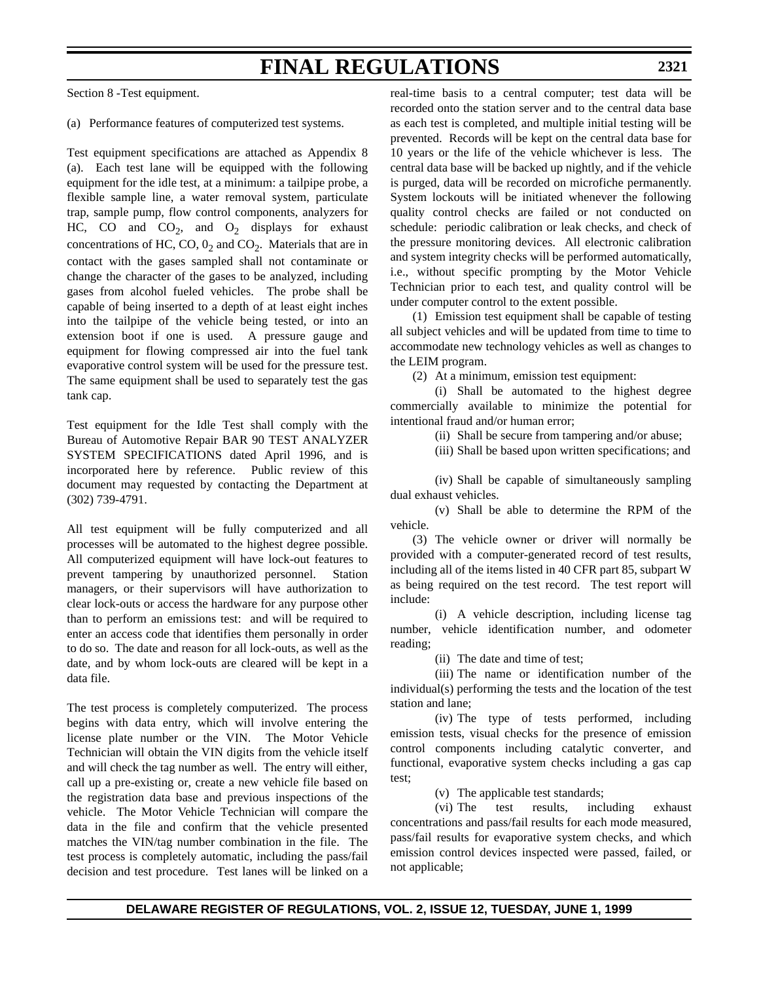Section 8 -Test equipment.

(a) Performance features of computerized test systems.

Test equipment specifications are attached as Appendix 8 (a). Each test lane will be equipped with the following equipment for the idle test, at a minimum: a tailpipe probe, a flexible sample line, a water removal system, particulate trap, sample pump, flow control components, analyzers for HC, CO and  $CO_2$ , and  $O_2$  displays for exhaust concentrations of HC,  $CO$ ,  $0<sub>2</sub>$  and  $CO<sub>2</sub>$ . Materials that are in contact with the gases sampled shall not contaminate or change the character of the gases to be analyzed, including gases from alcohol fueled vehicles. The probe shall be capable of being inserted to a depth of at least eight inches into the tailpipe of the vehicle being tested, or into an extension boot if one is used. A pressure gauge and equipment for flowing compressed air into the fuel tank evaporative control system will be used for the pressure test. The same equipment shall be used to separately test the gas tank cap.

Test equipment for the Idle Test shall comply with the Bureau of Automotive Repair BAR 90 TEST ANALYZER SYSTEM SPECIFICATIONS dated April 1996, and is incorporated here by reference. Public review of this document may requested by contacting the Department at (302) 739-4791.

All test equipment will be fully computerized and all processes will be automated to the highest degree possible. All computerized equipment will have lock-out features to prevent tampering by unauthorized personnel. Station managers, or their supervisors will have authorization to clear lock-outs or access the hardware for any purpose other than to perform an emissions test: and will be required to enter an access code that identifies them personally in order to do so. The date and reason for all lock-outs, as well as the date, and by whom lock-outs are cleared will be kept in a data file.

The test process is completely computerized. The process begins with data entry, which will involve entering the license plate number or the VIN. The Motor Vehicle Technician will obtain the VIN digits from the vehicle itself and will check the tag number as well. The entry will either, call up a pre-existing or, create a new vehicle file based on the registration data base and previous inspections of the vehicle. The Motor Vehicle Technician will compare the data in the file and confirm that the vehicle presented matches the VIN/tag number combination in the file. The test process is completely automatic, including the pass/fail decision and test procedure. Test lanes will be linked on a

real-time basis to a central computer; test data will be recorded onto the station server and to the central data base as each test is completed, and multiple initial testing will be prevented. Records will be kept on the central data base for 10 years or the life of the vehicle whichever is less. The central data base will be backed up nightly, and if the vehicle is purged, data will be recorded on microfiche permanently. System lockouts will be initiated whenever the following quality control checks are failed or not conducted on schedule: periodic calibration or leak checks, and check of the pressure monitoring devices. All electronic calibration and system integrity checks will be performed automatically, i.e., without specific prompting by the Motor Vehicle Technician prior to each test, and quality control will be under computer control to the extent possible.

(1) Emission test equipment shall be capable of testing all subject vehicles and will be updated from time to time to accommodate new technology vehicles as well as changes to the LEIM program.

(2) At a minimum, emission test equipment:

(i) Shall be automated to the highest degree commercially available to minimize the potential for intentional fraud and/or human error;

(ii) Shall be secure from tampering and/or abuse;

(iii) Shall be based upon written specifications; and

(iv) Shall be capable of simultaneously sampling dual exhaust vehicles.

(v) Shall be able to determine the RPM of the vehicle.

(3) The vehicle owner or driver will normally be provided with a computer-generated record of test results, including all of the items listed in 40 CFR part 85, subpart W as being required on the test record. The test report will include:

(i) A vehicle description, including license tag number, vehicle identification number, and odometer reading;

(ii) The date and time of test;

(iii) The name or identification number of the individual(s) performing the tests and the location of the test station and lane;

(iv) The type of tests performed, including emission tests, visual checks for the presence of emission control components including catalytic converter, and functional, evaporative system checks including a gas cap test;

(v) The applicable test standards;

(vi) The test results, including exhaust concentrations and pass/fail results for each mode measured, pass/fail results for evaporative system checks, and which emission control devices inspected were passed, failed, or not applicable;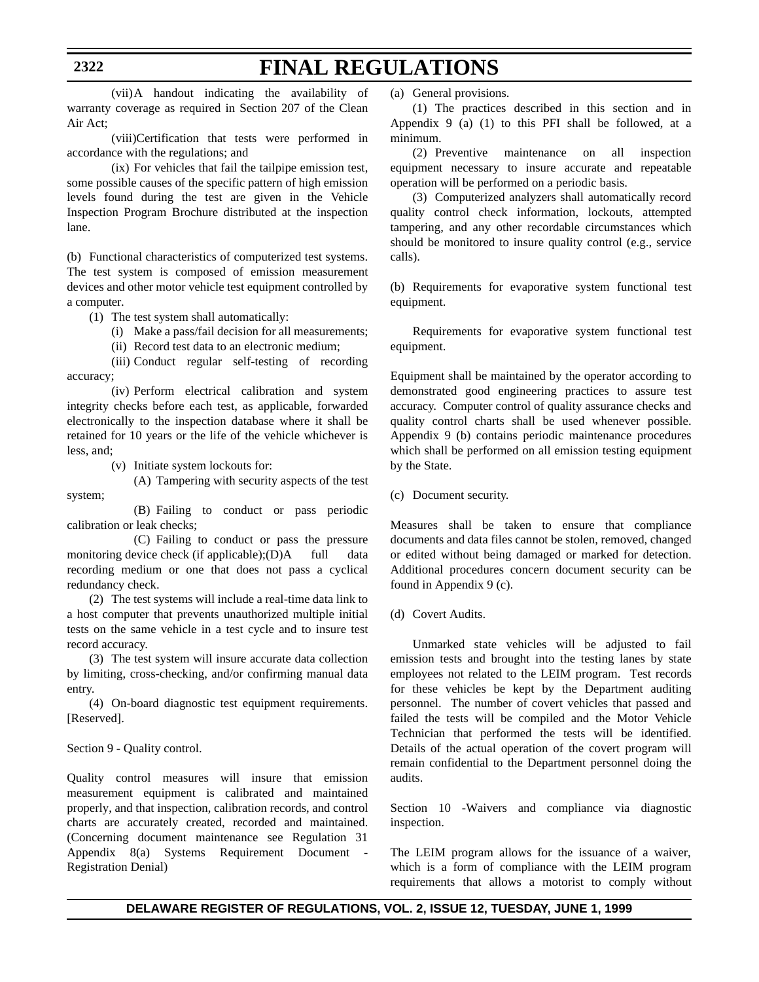(vii)A handout indicating the availability of warranty coverage as required in Section 207 of the Clean Air Act;

(viii)Certification that tests were performed in accordance with the regulations; and

(ix) For vehicles that fail the tailpipe emission test, some possible causes of the specific pattern of high emission levels found during the test are given in the Vehicle Inspection Program Brochure distributed at the inspection lane.

(b) Functional characteristics of computerized test systems. The test system is composed of emission measurement devices and other motor vehicle test equipment controlled by a computer.

(1) The test system shall automatically:

(i) Make a pass/fail decision for all measurements;

(ii) Record test data to an electronic medium;

(iii) Conduct regular self-testing of recording accuracy;

(iv) Perform electrical calibration and system integrity checks before each test, as applicable, forwarded electronically to the inspection database where it shall be retained for 10 years or the life of the vehicle whichever is less, and;

(v) Initiate system lockouts for:

(A) Tampering with security aspects of the test system;

(B) Failing to conduct or pass periodic calibration or leak checks;

(C) Failing to conduct or pass the pressure monitoring device check (if applicable); $(D)$ A full data recording medium or one that does not pass a cyclical redundancy check.

(2) The test systems will include a real-time data link to a host computer that prevents unauthorized multiple initial tests on the same vehicle in a test cycle and to insure test record accuracy.

(3) The test system will insure accurate data collection by limiting, cross-checking, and/or confirming manual data entry.

(4) On-board diagnostic test equipment requirements. [Reserved].

Section 9 - Quality control.

Quality control measures will insure that emission measurement equipment is calibrated and maintained properly, and that inspection, calibration records, and control charts are accurately created, recorded and maintained. (Concerning document maintenance see Regulation 31 Appendix 8(a) Systems Requirement Document - Registration Denial)

(a) General provisions.

(1) The practices described in this section and in Appendix 9 (a) (1) to this PFI shall be followed, at a minimum.

(2) Preventive maintenance on all inspection equipment necessary to insure accurate and repeatable operation will be performed on a periodic basis.

(3) Computerized analyzers shall automatically record quality control check information, lockouts, attempted tampering, and any other recordable circumstances which should be monitored to insure quality control (e.g., service calls).

(b) Requirements for evaporative system functional test equipment.

Requirements for evaporative system functional test equipment.

Equipment shall be maintained by the operator according to demonstrated good engineering practices to assure test accuracy. Computer control of quality assurance checks and quality control charts shall be used whenever possible. Appendix 9 (b) contains periodic maintenance procedures which shall be performed on all emission testing equipment by the State.

(c) Document security.

Measures shall be taken to ensure that compliance documents and data files cannot be stolen, removed, changed or edited without being damaged or marked for detection. Additional procedures concern document security can be found in Appendix 9 (c).

(d) Covert Audits.

Unmarked state vehicles will be adjusted to fail emission tests and brought into the testing lanes by state employees not related to the LEIM program. Test records for these vehicles be kept by the Department auditing personnel. The number of covert vehicles that passed and failed the tests will be compiled and the Motor Vehicle Technician that performed the tests will be identified. Details of the actual operation of the covert program will remain confidential to the Department personnel doing the audits.

Section 10 -Waivers and compliance via diagnostic inspection.

The LEIM program allows for the issuance of a waiver, which is a form of compliance with the LEIM program requirements that allows a motorist to comply without

### **DELAWARE REGISTER OF REGULATIONS, VOL. 2, ISSUE 12, TUESDAY, JUNE 1, 1999**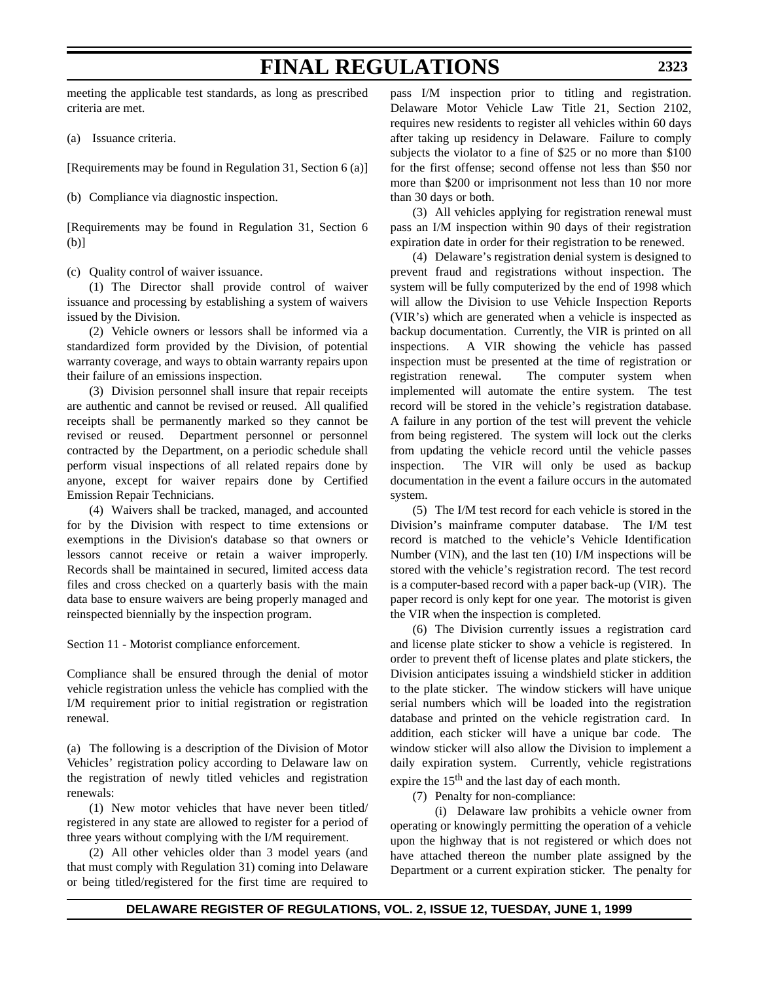meeting the applicable test standards, as long as prescribed criteria are met.

(a) Issuance criteria.

[Requirements may be found in Regulation 31, Section 6 (a)]

(b) Compliance via diagnostic inspection.

[Requirements may be found in Regulation 31, Section 6 (b)]

(c) Quality control of waiver issuance.

(1) The Director shall provide control of waiver issuance and processing by establishing a system of waivers issued by the Division.

(2) Vehicle owners or lessors shall be informed via a standardized form provided by the Division, of potential warranty coverage, and ways to obtain warranty repairs upon their failure of an emissions inspection.

(3) Division personnel shall insure that repair receipts are authentic and cannot be revised or reused. All qualified receipts shall be permanently marked so they cannot be revised or reused. Department personnel or personnel contracted by the Department, on a periodic schedule shall perform visual inspections of all related repairs done by anyone, except for waiver repairs done by Certified Emission Repair Technicians.

(4) Waivers shall be tracked, managed, and accounted for by the Division with respect to time extensions or exemptions in the Division's database so that owners or lessors cannot receive or retain a waiver improperly. Records shall be maintained in secured, limited access data files and cross checked on a quarterly basis with the main data base to ensure waivers are being properly managed and reinspected biennially by the inspection program.

Section 11 - Motorist compliance enforcement.

Compliance shall be ensured through the denial of motor vehicle registration unless the vehicle has complied with the I/M requirement prior to initial registration or registration renewal.

(a) The following is a description of the Division of Motor Vehicles' registration policy according to Delaware law on the registration of newly titled vehicles and registration renewals:

(1) New motor vehicles that have never been titled/ registered in any state are allowed to register for a period of three years without complying with the I/M requirement.

(2) All other vehicles older than 3 model years (and that must comply with Regulation 31) coming into Delaware or being titled/registered for the first time are required to pass I/M inspection prior to titling and registration. Delaware Motor Vehicle Law Title 21, Section 2102, requires new residents to register all vehicles within 60 days after taking up residency in Delaware. Failure to comply subjects the violator to a fine of \$25 or no more than \$100 for the first offense; second offense not less than \$50 nor more than \$200 or imprisonment not less than 10 nor more than 30 days or both.

(3) All vehicles applying for registration renewal must pass an I/M inspection within 90 days of their registration expiration date in order for their registration to be renewed.

(4) Delaware's registration denial system is designed to prevent fraud and registrations without inspection. The system will be fully computerized by the end of 1998 which will allow the Division to use Vehicle Inspection Reports (VIR's) which are generated when a vehicle is inspected as backup documentation. Currently, the VIR is printed on all inspections. A VIR showing the vehicle has passed inspection must be presented at the time of registration or registration renewal. The computer system when implemented will automate the entire system. The test record will be stored in the vehicle's registration database. A failure in any portion of the test will prevent the vehicle from being registered. The system will lock out the clerks from updating the vehicle record until the vehicle passes inspection. The VIR will only be used as backup documentation in the event a failure occurs in the automated system.

(5) The I/M test record for each vehicle is stored in the Division's mainframe computer database. The I/M test record is matched to the vehicle's Vehicle Identification Number (VIN), and the last ten (10) I/M inspections will be stored with the vehicle's registration record. The test record is a computer-based record with a paper back-up (VIR). The paper record is only kept for one year. The motorist is given the VIR when the inspection is completed.

(6) The Division currently issues a registration card and license plate sticker to show a vehicle is registered. In order to prevent theft of license plates and plate stickers, the Division anticipates issuing a windshield sticker in addition to the plate sticker. The window stickers will have unique serial numbers which will be loaded into the registration database and printed on the vehicle registration card. In addition, each sticker will have a unique bar code. The window sticker will also allow the Division to implement a daily expiration system. Currently, vehicle registrations expire the  $15<sup>th</sup>$  and the last day of each month.

(7) Penalty for non-compliance:

(i) Delaware law prohibits a vehicle owner from operating or knowingly permitting the operation of a vehicle upon the highway that is not registered or which does not have attached thereon the number plate assigned by the Department or a current expiration sticker. The penalty for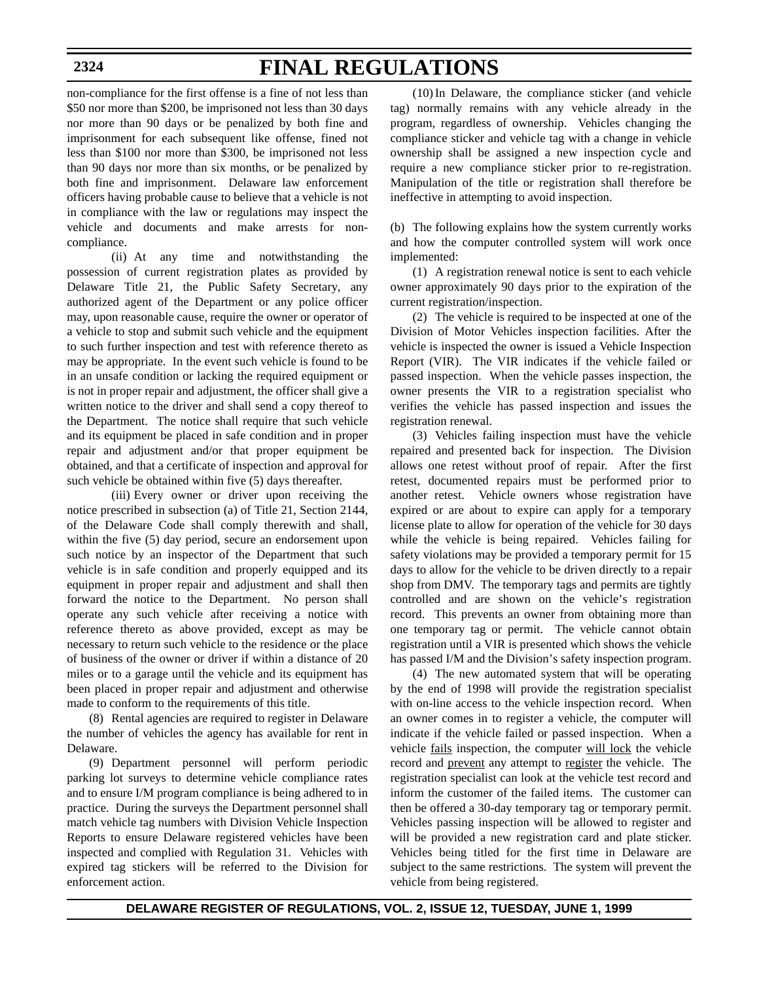non-compliance for the first offense is a fine of not less than \$50 nor more than \$200, be imprisoned not less than 30 days nor more than 90 days or be penalized by both fine and imprisonment for each subsequent like offense, fined not less than \$100 nor more than \$300, be imprisoned not less than 90 days nor more than six months, or be penalized by both fine and imprisonment. Delaware law enforcement officers having probable cause to believe that a vehicle is not in compliance with the law or regulations may inspect the vehicle and documents and make arrests for noncompliance.

(ii) At any time and notwithstanding the possession of current registration plates as provided by Delaware Title 21, the Public Safety Secretary, any authorized agent of the Department or any police officer may, upon reasonable cause, require the owner or operator of a vehicle to stop and submit such vehicle and the equipment to such further inspection and test with reference thereto as may be appropriate. In the event such vehicle is found to be in an unsafe condition or lacking the required equipment or is not in proper repair and adjustment, the officer shall give a written notice to the driver and shall send a copy thereof to the Department. The notice shall require that such vehicle and its equipment be placed in safe condition and in proper repair and adjustment and/or that proper equipment be obtained, and that a certificate of inspection and approval for such vehicle be obtained within five (5) days thereafter.

(iii) Every owner or driver upon receiving the notice prescribed in subsection (a) of Title 21, Section 2144, of the Delaware Code shall comply therewith and shall, within the five (5) day period, secure an endorsement upon such notice by an inspector of the Department that such vehicle is in safe condition and properly equipped and its equipment in proper repair and adjustment and shall then forward the notice to the Department. No person shall operate any such vehicle after receiving a notice with reference thereto as above provided, except as may be necessary to return such vehicle to the residence or the place of business of the owner or driver if within a distance of 20 miles or to a garage until the vehicle and its equipment has been placed in proper repair and adjustment and otherwise made to conform to the requirements of this title.

(8) Rental agencies are required to register in Delaware the number of vehicles the agency has available for rent in Delaware.

(9) Department personnel will perform periodic parking lot surveys to determine vehicle compliance rates and to ensure I/M program compliance is being adhered to in practice. During the surveys the Department personnel shall match vehicle tag numbers with Division Vehicle Inspection Reports to ensure Delaware registered vehicles have been inspected and complied with Regulation 31. Vehicles with expired tag stickers will be referred to the Division for enforcement action.

(10)In Delaware, the compliance sticker (and vehicle tag) normally remains with any vehicle already in the program, regardless of ownership. Vehicles changing the compliance sticker and vehicle tag with a change in vehicle ownership shall be assigned a new inspection cycle and require a new compliance sticker prior to re-registration. Manipulation of the title or registration shall therefore be ineffective in attempting to avoid inspection.

(b) The following explains how the system currently works and how the computer controlled system will work once implemented:

(1) A registration renewal notice is sent to each vehicle owner approximately 90 days prior to the expiration of the current registration/inspection.

(2) The vehicle is required to be inspected at one of the Division of Motor Vehicles inspection facilities. After the vehicle is inspected the owner is issued a Vehicle Inspection Report (VIR). The VIR indicates if the vehicle failed or passed inspection. When the vehicle passes inspection, the owner presents the VIR to a registration specialist who verifies the vehicle has passed inspection and issues the registration renewal.

(3) Vehicles failing inspection must have the vehicle repaired and presented back for inspection. The Division allows one retest without proof of repair. After the first retest, documented repairs must be performed prior to another retest. Vehicle owners whose registration have expired or are about to expire can apply for a temporary license plate to allow for operation of the vehicle for 30 days while the vehicle is being repaired. Vehicles failing for safety violations may be provided a temporary permit for 15 days to allow for the vehicle to be driven directly to a repair shop from DMV. The temporary tags and permits are tightly controlled and are shown on the vehicle's registration record. This prevents an owner from obtaining more than one temporary tag or permit. The vehicle cannot obtain registration until a VIR is presented which shows the vehicle has passed I/M and the Division's safety inspection program.

(4) The new automated system that will be operating by the end of 1998 will provide the registration specialist with on-line access to the vehicle inspection record. When an owner comes in to register a vehicle, the computer will indicate if the vehicle failed or passed inspection. When a vehicle fails inspection, the computer will lock the vehicle record and prevent any attempt to register the vehicle. The registration specialist can look at the vehicle test record and inform the customer of the failed items. The customer can then be offered a 30-day temporary tag or temporary permit. Vehicles passing inspection will be allowed to register and will be provided a new registration card and plate sticker. Vehicles being titled for the first time in Delaware are subject to the same restrictions. The system will prevent the vehicle from being registered.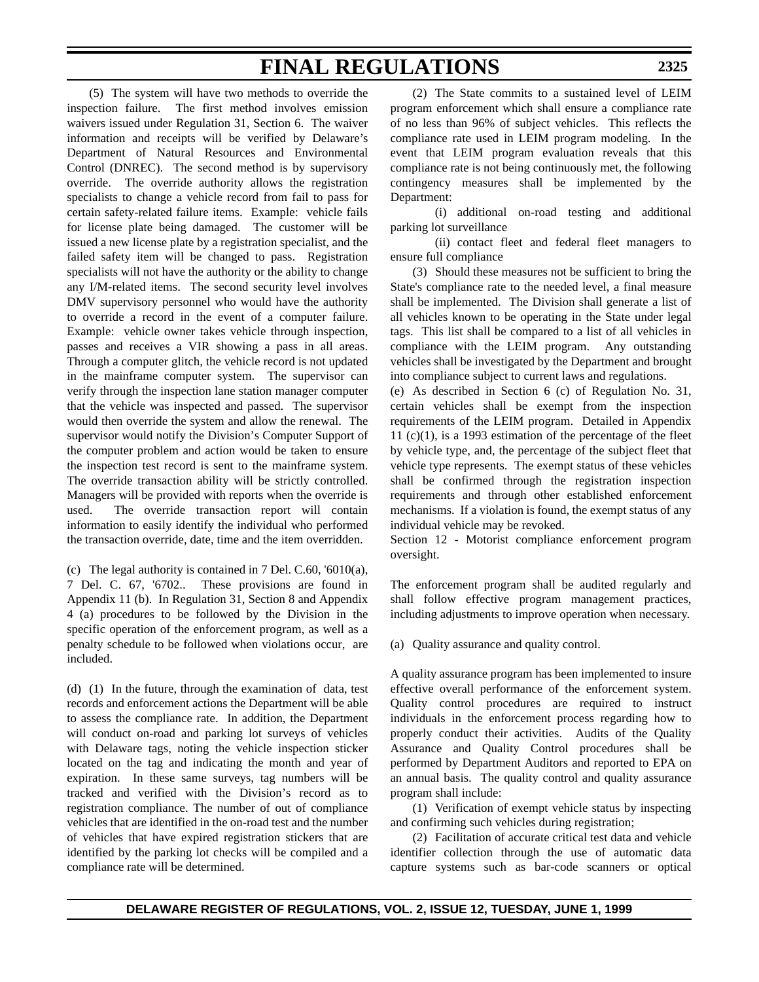## **FINAL REGULATIONS**

(5) The system will have two methods to override the inspection failure. The first method involves emission waivers issued under Regulation 31, Section 6. The waiver information and receipts will be verified by Delaware's Department of Natural Resources and Environmental Control (DNREC). The second method is by supervisory override. The override authority allows the registration specialists to change a vehicle record from fail to pass for certain safety-related failure items. Example: vehicle fails for license plate being damaged. The customer will be issued a new license plate by a registration specialist, and the failed safety item will be changed to pass. Registration specialists will not have the authority or the ability to change any I/M-related items. The second security level involves DMV supervisory personnel who would have the authority to override a record in the event of a computer failure. Example: vehicle owner takes vehicle through inspection, passes and receives a VIR showing a pass in all areas. Through a computer glitch, the vehicle record is not updated in the mainframe computer system. The supervisor can verify through the inspection lane station manager computer that the vehicle was inspected and passed. The supervisor would then override the system and allow the renewal. The supervisor would notify the Division's Computer Support of the computer problem and action would be taken to ensure the inspection test record is sent to the mainframe system. The override transaction ability will be strictly controlled. Managers will be provided with reports when the override is used. The override transaction report will contain information to easily identify the individual who performed the transaction override, date, time and the item overridden.

(c) The legal authority is contained in 7 Del. C.60, '6010(a), 7 Del. C. 67, '6702.. These provisions are found in Appendix 11 (b). In Regulation 31, Section 8 and Appendix 4 (a) procedures to be followed by the Division in the specific operation of the enforcement program, as well as a penalty schedule to be followed when violations occur, are included.

(d) (1) In the future, through the examination of data, test records and enforcement actions the Department will be able to assess the compliance rate. In addition, the Department will conduct on-road and parking lot surveys of vehicles with Delaware tags, noting the vehicle inspection sticker located on the tag and indicating the month and year of expiration. In these same surveys, tag numbers will be tracked and verified with the Division's record as to registration compliance. The number of out of compliance vehicles that are identified in the on-road test and the number of vehicles that have expired registration stickers that are identified by the parking lot checks will be compiled and a compliance rate will be determined.

(2) The State commits to a sustained level of LEIM program enforcement which shall ensure a compliance rate of no less than 96% of subject vehicles. This reflects the compliance rate used in LEIM program modeling. In the event that LEIM program evaluation reveals that this compliance rate is not being continuously met, the following contingency measures shall be implemented by the Department:

(i) additional on-road testing and additional parking lot surveillance

(ii) contact fleet and federal fleet managers to ensure full compliance

(3) Should these measures not be sufficient to bring the State's compliance rate to the needed level, a final measure shall be implemented. The Division shall generate a list of all vehicles known to be operating in the State under legal tags. This list shall be compared to a list of all vehicles in compliance with the LEIM program. Any outstanding vehicles shall be investigated by the Department and brought into compliance subject to current laws and regulations.

(e) As described in Section 6 (c) of Regulation No. 31, certain vehicles shall be exempt from the inspection requirements of the LEIM program. Detailed in Appendix 11  $(c)(1)$ , is a 1993 estimation of the percentage of the fleet by vehicle type, and, the percentage of the subject fleet that vehicle type represents. The exempt status of these vehicles shall be confirmed through the registration inspection requirements and through other established enforcement mechanisms. If a violation is found, the exempt status of any individual vehicle may be revoked.

Section 12 - Motorist compliance enforcement program oversight.

The enforcement program shall be audited regularly and shall follow effective program management practices, including adjustments to improve operation when necessary.

(a) Quality assurance and quality control.

A quality assurance program has been implemented to insure effective overall performance of the enforcement system. Quality control procedures are required to instruct individuals in the enforcement process regarding how to properly conduct their activities. Audits of the Quality Assurance and Quality Control procedures shall be performed by Department Auditors and reported to EPA on an annual basis. The quality control and quality assurance program shall include:

(1) Verification of exempt vehicle status by inspecting and confirming such vehicles during registration;

(2) Facilitation of accurate critical test data and vehicle identifier collection through the use of automatic data capture systems such as bar-code scanners or optical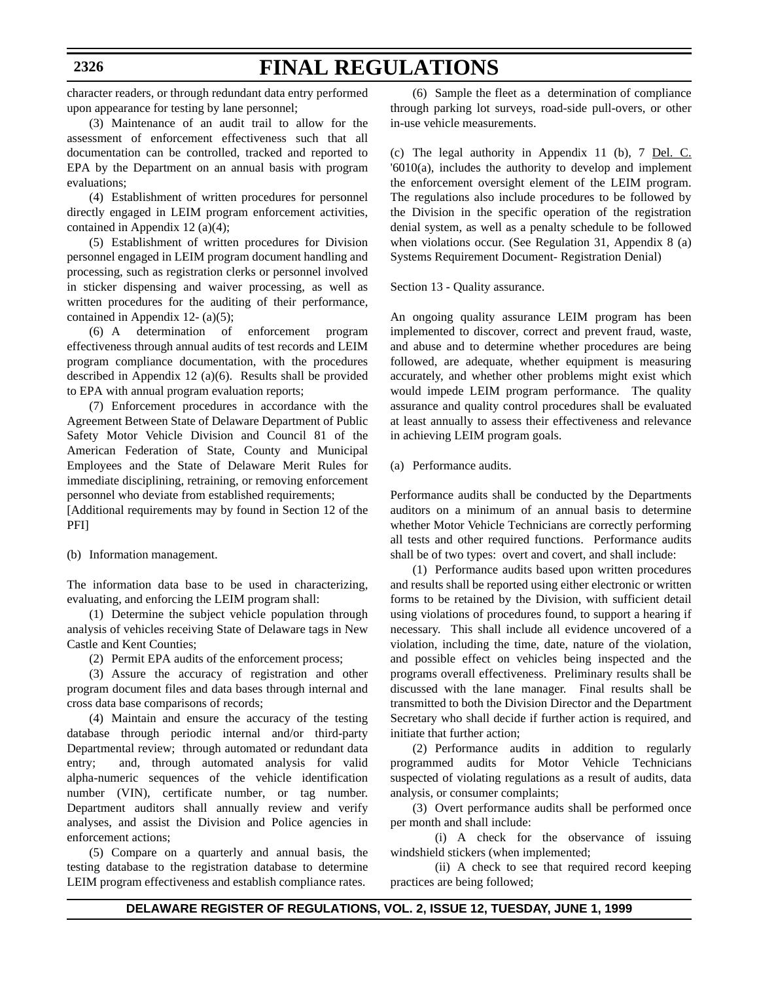# **FINAL REGULATIONS**

character readers, or through redundant data entry performed upon appearance for testing by lane personnel;

(3) Maintenance of an audit trail to allow for the assessment of enforcement effectiveness such that all documentation can be controlled, tracked and reported to EPA by the Department on an annual basis with program evaluations;

(4) Establishment of written procedures for personnel directly engaged in LEIM program enforcement activities, contained in Appendix 12 (a)(4);

(5) Establishment of written procedures for Division personnel engaged in LEIM program document handling and processing, such as registration clerks or personnel involved in sticker dispensing and waiver processing, as well as written procedures for the auditing of their performance, contained in Appendix 12- (a)(5);

(6) A determination of enforcement program effectiveness through annual audits of test records and LEIM program compliance documentation, with the procedures described in Appendix 12 (a)(6). Results shall be provided to EPA with annual program evaluation reports;

(7) Enforcement procedures in accordance with the Agreement Between State of Delaware Department of Public Safety Motor Vehicle Division and Council 81 of the American Federation of State, County and Municipal Employees and the State of Delaware Merit Rules for immediate disciplining, retraining, or removing enforcement personnel who deviate from established requirements;

[Additional requirements may by found in Section 12 of the PFI]

(b) Information management.

The information data base to be used in characterizing, evaluating, and enforcing the LEIM program shall:

(1) Determine the subject vehicle population through analysis of vehicles receiving State of Delaware tags in New Castle and Kent Counties;

(2) Permit EPA audits of the enforcement process;

(3) Assure the accuracy of registration and other program document files and data bases through internal and cross data base comparisons of records;

(4) Maintain and ensure the accuracy of the testing database through periodic internal and/or third-party Departmental review; through automated or redundant data entry; and, through automated analysis for valid alpha-numeric sequences of the vehicle identification number (VIN), certificate number, or tag number. Department auditors shall annually review and verify analyses, and assist the Division and Police agencies in enforcement actions;

(5) Compare on a quarterly and annual basis, the testing database to the registration database to determine LEIM program effectiveness and establish compliance rates.

(6) Sample the fleet as a determination of compliance through parking lot surveys, road-side pull-overs, or other in-use vehicle measurements.

(c) The legal authority in Appendix 11 (b), 7 Del. C. '6010(a), includes the authority to develop and implement the enforcement oversight element of the LEIM program. The regulations also include procedures to be followed by the Division in the specific operation of the registration denial system, as well as a penalty schedule to be followed when violations occur. (See Regulation 31, Appendix 8 (a) Systems Requirement Document- Registration Denial)

Section 13 - Quality assurance.

An ongoing quality assurance LEIM program has been implemented to discover, correct and prevent fraud, waste, and abuse and to determine whether procedures are being followed, are adequate, whether equipment is measuring accurately, and whether other problems might exist which would impede LEIM program performance. The quality assurance and quality control procedures shall be evaluated at least annually to assess their effectiveness and relevance in achieving LEIM program goals.

(a) Performance audits.

Performance audits shall be conducted by the Departments auditors on a minimum of an annual basis to determine whether Motor Vehicle Technicians are correctly performing all tests and other required functions. Performance audits shall be of two types: overt and covert, and shall include:

(1) Performance audits based upon written procedures and results shall be reported using either electronic or written forms to be retained by the Division, with sufficient detail using violations of procedures found, to support a hearing if necessary. This shall include all evidence uncovered of a violation, including the time, date, nature of the violation, and possible effect on vehicles being inspected and the programs overall effectiveness. Preliminary results shall be discussed with the lane manager. Final results shall be transmitted to both the Division Director and the Department Secretary who shall decide if further action is required, and initiate that further action;

(2) Performance audits in addition to regularly programmed audits for Motor Vehicle Technicians suspected of violating regulations as a result of audits, data analysis, or consumer complaints;

(3) Overt performance audits shall be performed once per month and shall include:

(i) A check for the observance of issuing windshield stickers (when implemented;

(ii) A check to see that required record keeping practices are being followed;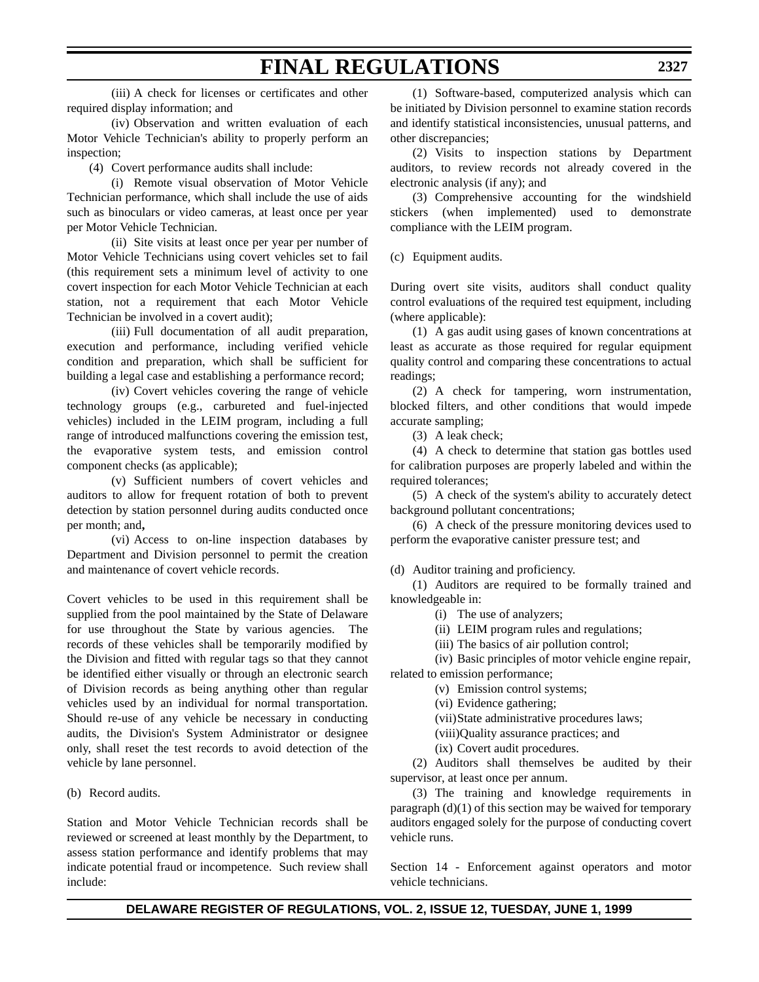## **FINAL REGULATIONS**

(iv) Observation and written evaluation of each Motor Vehicle Technician's ability to properly perform an inspection;

(4) Covert performance audits shall include:

(i) Remote visual observation of Motor Vehicle Technician performance, which shall include the use of aids such as binoculars or video cameras, at least once per year per Motor Vehicle Technician.

(ii) Site visits at least once per year per number of Motor Vehicle Technicians using covert vehicles set to fail (this requirement sets a minimum level of activity to one covert inspection for each Motor Vehicle Technician at each station, not a requirement that each Motor Vehicle Technician be involved in a covert audit);

(iii) Full documentation of all audit preparation, execution and performance, including verified vehicle condition and preparation, which shall be sufficient for building a legal case and establishing a performance record;

(iv) Covert vehicles covering the range of vehicle technology groups (e.g., carbureted and fuel-injected vehicles) included in the LEIM program, including a full range of introduced malfunctions covering the emission test, the evaporative system tests, and emission control component checks (as applicable);

(v) Sufficient numbers of covert vehicles and auditors to allow for frequent rotation of both to prevent detection by station personnel during audits conducted once per month; and**,**

(vi) Access to on-line inspection databases by Department and Division personnel to permit the creation and maintenance of covert vehicle records.

Covert vehicles to be used in this requirement shall be supplied from the pool maintained by the State of Delaware for use throughout the State by various agencies. The records of these vehicles shall be temporarily modified by the Division and fitted with regular tags so that they cannot be identified either visually or through an electronic search of Division records as being anything other than regular vehicles used by an individual for normal transportation. Should re-use of any vehicle be necessary in conducting audits, the Division's System Administrator or designee only, shall reset the test records to avoid detection of the vehicle by lane personnel.

(b) Record audits.

Station and Motor Vehicle Technician records shall be reviewed or screened at least monthly by the Department, to assess station performance and identify problems that may indicate potential fraud or incompetence. Such review shall include:

(1) Software-based, computerized analysis which can be initiated by Division personnel to examine station records and identify statistical inconsistencies, unusual patterns, and other discrepancies;

(2) Visits to inspection stations by Department auditors, to review records not already covered in the electronic analysis (if any); and

(3) Comprehensive accounting for the windshield stickers (when implemented) used to demonstrate compliance with the LEIM program.

(c) Equipment audits.

During overt site visits, auditors shall conduct quality control evaluations of the required test equipment, including (where applicable):

(1) A gas audit using gases of known concentrations at least as accurate as those required for regular equipment quality control and comparing these concentrations to actual readings;

(2) A check for tampering, worn instrumentation, blocked filters, and other conditions that would impede accurate sampling;

(3) A leak check;

(4) A check to determine that station gas bottles used for calibration purposes are properly labeled and within the required tolerances;

(5) A check of the system's ability to accurately detect background pollutant concentrations;

(6) A check of the pressure monitoring devices used to perform the evaporative canister pressure test; and

(d) Auditor training and proficiency.

(1) Auditors are required to be formally trained and knowledgeable in:

(i) The use of analyzers;

(ii) LEIM program rules and regulations;

(iii) The basics of air pollution control;

(iv) Basic principles of motor vehicle engine repair,

related to emission performance;

(v) Emission control systems;

(vi) Evidence gathering;

(vii)State administrative procedures laws;

(viii)Quality assurance practices; and

(ix) Covert audit procedures.

(2) Auditors shall themselves be audited by their supervisor, at least once per annum.

(3) The training and knowledge requirements in paragraph  $(d)(1)$  of this section may be waived for temporary auditors engaged solely for the purpose of conducting covert vehicle runs.

Section 14 - Enforcement against operators and motor vehicle technicians.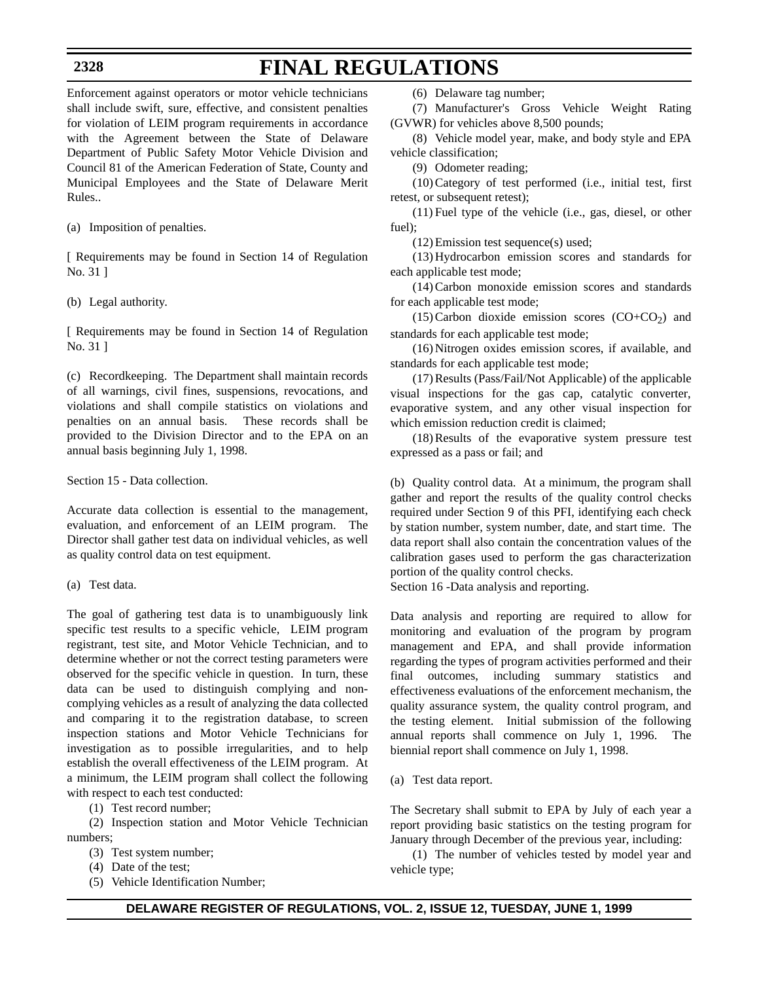# **FINAL REGULATIONS**

Enforcement against operators or motor vehicle technicians shall include swift, sure, effective, and consistent penalties for violation of LEIM program requirements in accordance with the Agreement between the State of Delaware Department of Public Safety Motor Vehicle Division and Council 81 of the American Federation of State, County and Municipal Employees and the State of Delaware Merit Rules..

(a) Imposition of penalties.

[ Requirements may be found in Section 14 of Regulation No. 31 ]

(b) Legal authority.

[ Requirements may be found in Section 14 of Regulation No. 31 ]

(c) Recordkeeping. The Department shall maintain records of all warnings, civil fines, suspensions, revocations, and violations and shall compile statistics on violations and penalties on an annual basis. These records shall be provided to the Division Director and to the EPA on an annual basis beginning July 1, 1998.

Section 15 - Data collection.

Accurate data collection is essential to the management, evaluation, and enforcement of an LEIM program. The Director shall gather test data on individual vehicles, as well as quality control data on test equipment.

(a) Test data.

The goal of gathering test data is to unambiguously link specific test results to a specific vehicle, LEIM program registrant, test site, and Motor Vehicle Technician, and to determine whether or not the correct testing parameters were observed for the specific vehicle in question. In turn, these data can be used to distinguish complying and noncomplying vehicles as a result of analyzing the data collected and comparing it to the registration database, to screen inspection stations and Motor Vehicle Technicians for investigation as to possible irregularities, and to help establish the overall effectiveness of the LEIM program. At a minimum, the LEIM program shall collect the following with respect to each test conducted:

(1) Test record number;

(2) Inspection station and Motor Vehicle Technician numbers;

- (3) Test system number;
- (4) Date of the test;
- (5) Vehicle Identification Number;

(6) Delaware tag number;

(7) Manufacturer's Gross Vehicle Weight Rating (GVWR) for vehicles above 8,500 pounds;

(8) Vehicle model year, make, and body style and EPA vehicle classification;

(9) Odometer reading;

(10)Category of test performed (i.e., initial test, first retest, or subsequent retest);

(11) Fuel type of the vehicle (i.e., gas, diesel, or other fuel);

(12)Emission test sequence(s) used;

(13)Hydrocarbon emission scores and standards for each applicable test mode;

(14)Carbon monoxide emission scores and standards for each applicable test mode;

 $(15)$  Carbon dioxide emission scores  $(CO + CO<sub>2</sub>)$  and standards for each applicable test mode;

(16)Nitrogen oxides emission scores, if available, and standards for each applicable test mode;

(17)Results (Pass/Fail/Not Applicable) of the applicable visual inspections for the gas cap, catalytic converter, evaporative system, and any other visual inspection for which emission reduction credit is claimed:

(18)Results of the evaporative system pressure test expressed as a pass or fail; and

(b) Quality control data. At a minimum, the program shall gather and report the results of the quality control checks required under Section 9 of this PFI, identifying each check by station number, system number, date, and start time. The data report shall also contain the concentration values of the calibration gases used to perform the gas characterization portion of the quality control checks.

Section 16 -Data analysis and reporting.

Data analysis and reporting are required to allow for monitoring and evaluation of the program by program management and EPA, and shall provide information regarding the types of program activities performed and their final outcomes, including summary statistics and effectiveness evaluations of the enforcement mechanism, the quality assurance system, the quality control program, and the testing element. Initial submission of the following annual reports shall commence on July 1, 1996. The biennial report shall commence on July 1, 1998.

(a) Test data report.

The Secretary shall submit to EPA by July of each year a report providing basic statistics on the testing program for January through December of the previous year, including:

(1) The number of vehicles tested by model year and vehicle type;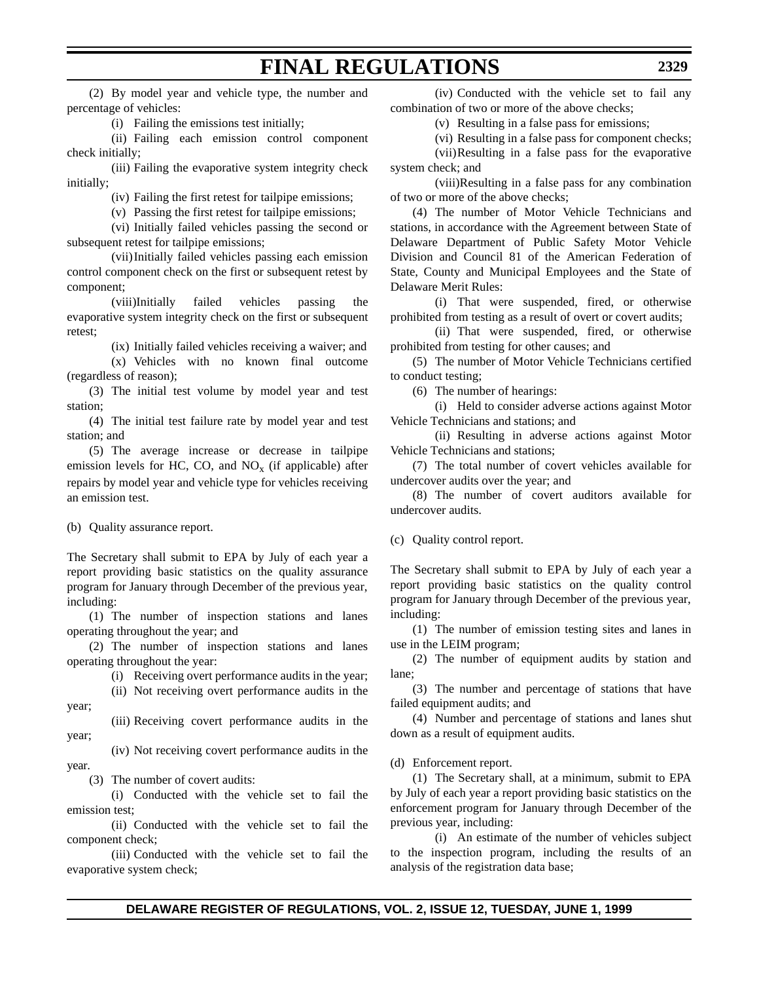(2) By model year and vehicle type, the number and percentage of vehicles:

(i) Failing the emissions test initially;

(ii) Failing each emission control component check initially;

(iii) Failing the evaporative system integrity check initially;

(iv) Failing the first retest for tailpipe emissions;

(v) Passing the first retest for tailpipe emissions;

(vi) Initially failed vehicles passing the second or subsequent retest for tailpipe emissions;

(vii)Initially failed vehicles passing each emission control component check on the first or subsequent retest by component;

(viii)Initially failed vehicles passing the evaporative system integrity check on the first or subsequent retest;

(ix) Initially failed vehicles receiving a waiver; and (x) Vehicles with no known final outcome (regardless of reason);

(3) The initial test volume by model year and test station;

(4) The initial test failure rate by model year and test station; and

(5) The average increase or decrease in tailpipe emission levels for HC, CO, and  $NO<sub>x</sub>$  (if applicable) after repairs by model year and vehicle type for vehicles receiving an emission test.

(b) Quality assurance report.

The Secretary shall submit to EPA by July of each year a report providing basic statistics on the quality assurance program for January through December of the previous year, including:

(1) The number of inspection stations and lanes operating throughout the year; and

(2) The number of inspection stations and lanes operating throughout the year:

(i) Receiving overt performance audits in the year;

(ii) Not receiving overt performance audits in the year;

(iii) Receiving covert performance audits in the year;

(iv) Not receiving covert performance audits in the year.

(3) The number of covert audits:

(i) Conducted with the vehicle set to fail the emission test;

(ii) Conducted with the vehicle set to fail the component check;

(iii) Conducted with the vehicle set to fail the evaporative system check;

(iv) Conducted with the vehicle set to fail any combination of two or more of the above checks;

(v) Resulting in a false pass for emissions;

(vi) Resulting in a false pass for component checks; (vii)Resulting in a false pass for the evaporative system check; and

(viii)Resulting in a false pass for any combination of two or more of the above checks;

(4) The number of Motor Vehicle Technicians and stations, in accordance with the Agreement between State of Delaware Department of Public Safety Motor Vehicle Division and Council 81 of the American Federation of State, County and Municipal Employees and the State of Delaware Merit Rules:

(i) That were suspended, fired, or otherwise prohibited from testing as a result of overt or covert audits;

(ii) That were suspended, fired, or otherwise prohibited from testing for other causes; and

(5) The number of Motor Vehicle Technicians certified to conduct testing;

(6) The number of hearings:

(i) Held to consider adverse actions against Motor Vehicle Technicians and stations; and

(ii) Resulting in adverse actions against Motor Vehicle Technicians and stations;

(7) The total number of covert vehicles available for undercover audits over the year; and

(8) The number of covert auditors available for undercover audits.

(c) Quality control report.

The Secretary shall submit to EPA by July of each year a report providing basic statistics on the quality control program for January through December of the previous year, including:

(1) The number of emission testing sites and lanes in use in the LEIM program;

(2) The number of equipment audits by station and lane;

(3) The number and percentage of stations that have failed equipment audits; and

(4) Number and percentage of stations and lanes shut down as a result of equipment audits.

(d) Enforcement report.

(1) The Secretary shall, at a minimum, submit to EPA by July of each year a report providing basic statistics on the enforcement program for January through December of the previous year, including:

(i) An estimate of the number of vehicles subject to the inspection program, including the results of an analysis of the registration data base;

## **FINAL REGULATIONS**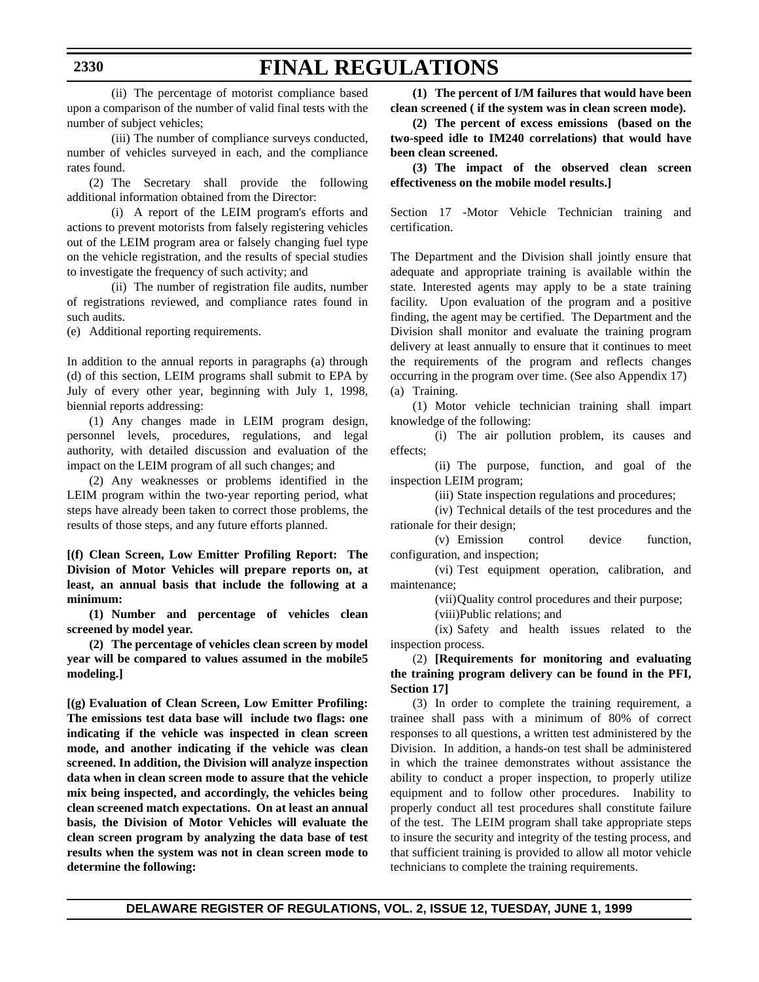# **FINAL REGULATIONS**

(ii) The percentage of motorist compliance based upon a comparison of the number of valid final tests with the number of subject vehicles;

(iii) The number of compliance surveys conducted, number of vehicles surveyed in each, and the compliance rates found.

(2) The Secretary shall provide the following additional information obtained from the Director:

(i) A report of the LEIM program's efforts and actions to prevent motorists from falsely registering vehicles out of the LEIM program area or falsely changing fuel type on the vehicle registration, and the results of special studies to investigate the frequency of such activity; and

(ii) The number of registration file audits, number of registrations reviewed, and compliance rates found in such audits.

(e) Additional reporting requirements.

In addition to the annual reports in paragraphs (a) through (d) of this section, LEIM programs shall submit to EPA by July of every other year, beginning with July 1, 1998, biennial reports addressing:

(1) Any changes made in LEIM program design, personnel levels, procedures, regulations, and legal authority, with detailed discussion and evaluation of the impact on the LEIM program of all such changes; and

(2) Any weaknesses or problems identified in the LEIM program within the two-year reporting period, what steps have already been taken to correct those problems, the results of those steps, and any future efforts planned.

**[(f) Clean Screen, Low Emitter Profiling Report: The Division of Motor Vehicles will prepare reports on, at least, an annual basis that include the following at a minimum:** 

**(1) Number and percentage of vehicles clean screened by model year.**

**(2) The percentage of vehicles clean screen by model year will be compared to values assumed in the mobile5 modeling.]** 

**[(g) Evaluation of Clean Screen, Low Emitter Profiling: The emissions test data base will include two flags: one indicating if the vehicle was inspected in clean screen mode, and another indicating if the vehicle was clean screened. In addition, the Division will analyze inspection data when in clean screen mode to assure that the vehicle mix being inspected, and accordingly, the vehicles being clean screened match expectations. On at least an annual basis, the Division of Motor Vehicles will evaluate the clean screen program by analyzing the data base of test results when the system was not in clean screen mode to determine the following:**

**(1) The percent of I/M failures that would have been clean screened ( if the system was in clean screen mode).**

**(2) The percent of excess emissions (based on the two-speed idle to IM240 correlations) that would have been clean screened.**

**(3) The impact of the observed clean screen effectiveness on the mobile model results.]**

Section 17 -Motor Vehicle Technician training and certification.

The Department and the Division shall jointly ensure that adequate and appropriate training is available within the state. Interested agents may apply to be a state training facility. Upon evaluation of the program and a positive finding, the agent may be certified. The Department and the Division shall monitor and evaluate the training program delivery at least annually to ensure that it continues to meet the requirements of the program and reflects changes occurring in the program over time. (See also Appendix 17) (a) Training.

(1) Motor vehicle technician training shall impart knowledge of the following:

(i) The air pollution problem, its causes and effects;

(ii) The purpose, function, and goal of the inspection LEIM program;

(iii) State inspection regulations and procedures;

(iv) Technical details of the test procedures and the rationale for their design;

(v) Emission control device function, configuration, and inspection;

(vi) Test equipment operation, calibration, and maintenance;

(vii)Quality control procedures and their purpose;

(viii)Public relations; and

(ix) Safety and health issues related to the inspection process.

#### (2) **[Requirements for monitoring and evaluating the training program delivery can be found in the PFI, Section 17]**

(3) In order to complete the training requirement, a trainee shall pass with a minimum of 80% of correct responses to all questions, a written test administered by the Division. In addition, a hands-on test shall be administered in which the trainee demonstrates without assistance the ability to conduct a proper inspection, to properly utilize equipment and to follow other procedures. Inability to properly conduct all test procedures shall constitute failure of the test. The LEIM program shall take appropriate steps to insure the security and integrity of the testing process, and that sufficient training is provided to allow all motor vehicle technicians to complete the training requirements.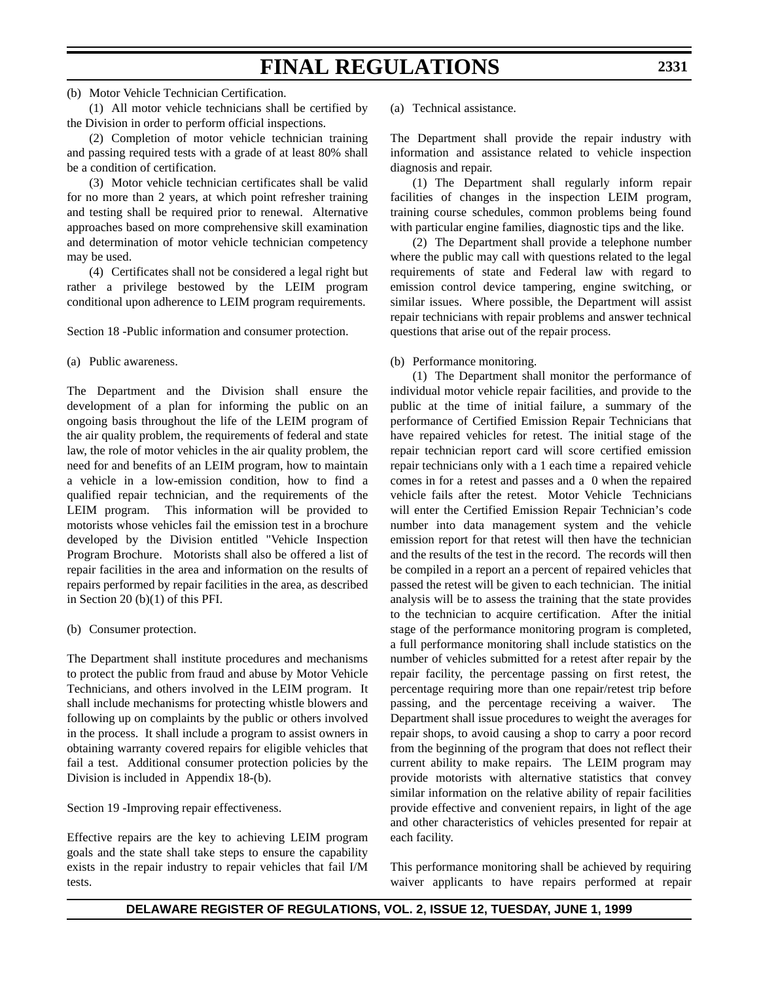# **FINAL REGULATIONS**

(b) Motor Vehicle Technician Certification.

(1) All motor vehicle technicians shall be certified by the Division in order to perform official inspections.

(2) Completion of motor vehicle technician training and passing required tests with a grade of at least 80% shall be a condition of certification.

(3) Motor vehicle technician certificates shall be valid for no more than 2 years, at which point refresher training and testing shall be required prior to renewal. Alternative approaches based on more comprehensive skill examination and determination of motor vehicle technician competency may be used.

(4) Certificates shall not be considered a legal right but rather a privilege bestowed by the LEIM program conditional upon adherence to LEIM program requirements.

Section 18 -Public information and consumer protection.

(a) Public awareness.

The Department and the Division shall ensure the development of a plan for informing the public on an ongoing basis throughout the life of the LEIM program of the air quality problem, the requirements of federal and state law, the role of motor vehicles in the air quality problem, the need for and benefits of an LEIM program, how to maintain a vehicle in a low-emission condition, how to find a qualified repair technician, and the requirements of the LEIM program. This information will be provided to motorists whose vehicles fail the emission test in a brochure developed by the Division entitled "Vehicle Inspection Program Brochure. Motorists shall also be offered a list of repair facilities in the area and information on the results of repairs performed by repair facilities in the area, as described in Section 20 (b)(1) of this PFI.

(b) Consumer protection.

The Department shall institute procedures and mechanisms to protect the public from fraud and abuse by Motor Vehicle Technicians, and others involved in the LEIM program. It shall include mechanisms for protecting whistle blowers and following up on complaints by the public or others involved in the process. It shall include a program to assist owners in obtaining warranty covered repairs for eligible vehicles that fail a test. Additional consumer protection policies by the Division is included in Appendix 18-(b).

Section 19 -Improving repair effectiveness.

Effective repairs are the key to achieving LEIM program goals and the state shall take steps to ensure the capability exists in the repair industry to repair vehicles that fail I/M tests.

(a) Technical assistance.

The Department shall provide the repair industry with information and assistance related to vehicle inspection diagnosis and repair.

(1) The Department shall regularly inform repair facilities of changes in the inspection LEIM program, training course schedules, common problems being found with particular engine families, diagnostic tips and the like.

(2) The Department shall provide a telephone number where the public may call with questions related to the legal requirements of state and Federal law with regard to emission control device tampering, engine switching, or similar issues. Where possible, the Department will assist repair technicians with repair problems and answer technical questions that arise out of the repair process.

(b) Performance monitoring.

(1) The Department shall monitor the performance of individual motor vehicle repair facilities, and provide to the public at the time of initial failure, a summary of the performance of Certified Emission Repair Technicians that have repaired vehicles for retest. The initial stage of the repair technician report card will score certified emission repair technicians only with a 1 each time a repaired vehicle comes in for a retest and passes and a 0 when the repaired vehicle fails after the retest. Motor Vehicle Technicians will enter the Certified Emission Repair Technician's code number into data management system and the vehicle emission report for that retest will then have the technician and the results of the test in the record. The records will then be compiled in a report an a percent of repaired vehicles that passed the retest will be given to each technician. The initial analysis will be to assess the training that the state provides to the technician to acquire certification. After the initial stage of the performance monitoring program is completed, a full performance monitoring shall include statistics on the number of vehicles submitted for a retest after repair by the repair facility, the percentage passing on first retest, the percentage requiring more than one repair/retest trip before passing, and the percentage receiving a waiver. The Department shall issue procedures to weight the averages for repair shops, to avoid causing a shop to carry a poor record from the beginning of the program that does not reflect their current ability to make repairs. The LEIM program may provide motorists with alternative statistics that convey similar information on the relative ability of repair facilities provide effective and convenient repairs, in light of the age and other characteristics of vehicles presented for repair at each facility.

This performance monitoring shall be achieved by requiring waiver applicants to have repairs performed at repair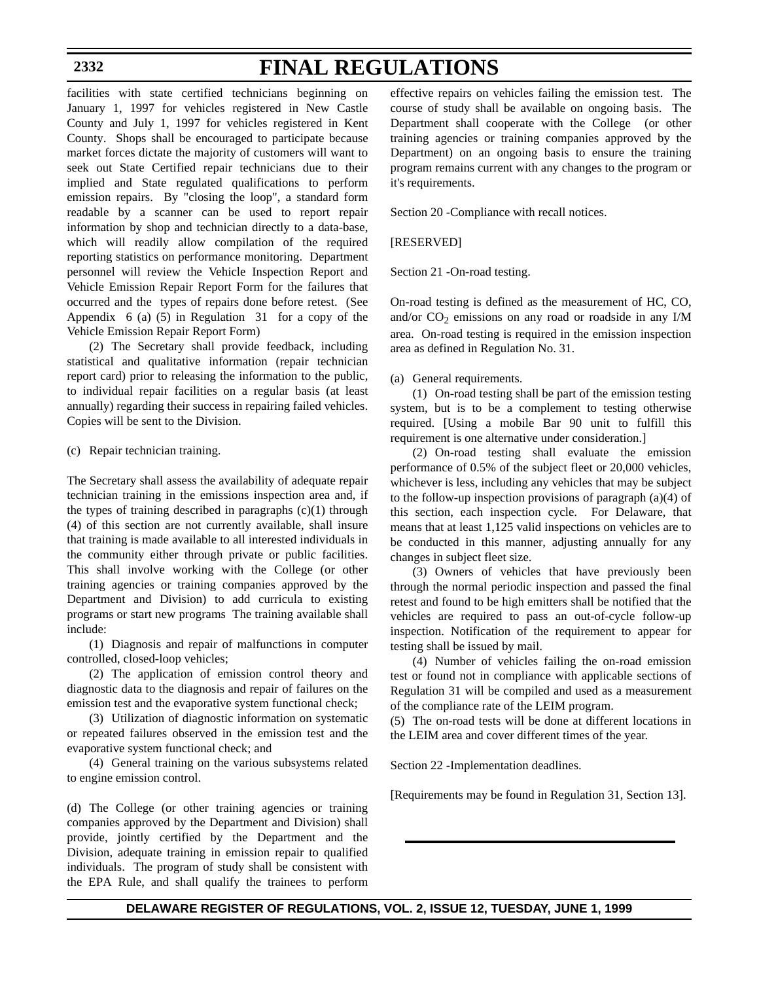# **FINAL REGULATIONS**

facilities with state certified technicians beginning on January 1, 1997 for vehicles registered in New Castle County and July 1, 1997 for vehicles registered in Kent County. Shops shall be encouraged to participate because market forces dictate the majority of customers will want to seek out State Certified repair technicians due to their implied and State regulated qualifications to perform emission repairs. By "closing the loop", a standard form readable by a scanner can be used to report repair information by shop and technician directly to a data-base, which will readily allow compilation of the required reporting statistics on performance monitoring. Department personnel will review the Vehicle Inspection Report and Vehicle Emission Repair Report Form for the failures that occurred and the types of repairs done before retest. (See Appendix 6 (a) (5) in Regulation 31 for a copy of the Vehicle Emission Repair Report Form)

(2) The Secretary shall provide feedback, including statistical and qualitative information (repair technician report card) prior to releasing the information to the public, to individual repair facilities on a regular basis (at least annually) regarding their success in repairing failed vehicles. Copies will be sent to the Division.

#### (c) Repair technician training.

The Secretary shall assess the availability of adequate repair technician training in the emissions inspection area and, if the types of training described in paragraphs  $(c)(1)$  through (4) of this section are not currently available, shall insure that training is made available to all interested individuals in the community either through private or public facilities. This shall involve working with the College (or other training agencies or training companies approved by the Department and Division) to add curricula to existing programs or start new programs The training available shall include:

(1) Diagnosis and repair of malfunctions in computer controlled, closed-loop vehicles;

(2) The application of emission control theory and diagnostic data to the diagnosis and repair of failures on the emission test and the evaporative system functional check;

(3) Utilization of diagnostic information on systematic or repeated failures observed in the emission test and the evaporative system functional check; and

(4) General training on the various subsystems related to engine emission control.

(d) The College (or other training agencies or training companies approved by the Department and Division) shall provide, jointly certified by the Department and the Division, adequate training in emission repair to qualified individuals. The program of study shall be consistent with the EPA Rule, and shall qualify the trainees to perform effective repairs on vehicles failing the emission test. The course of study shall be available on ongoing basis. The Department shall cooperate with the College (or other training agencies or training companies approved by the Department) on an ongoing basis to ensure the training program remains current with any changes to the program or it's requirements.

Section 20 -Compliance with recall notices.

[RESERVED]

Section 21 -On-road testing.

On-road testing is defined as the measurement of HC, CO, and/or  $CO_2$  emissions on any road or roadside in any I/M area. On-road testing is required in the emission inspection area as defined in Regulation No. 31.

#### (a) General requirements.

(1) On-road testing shall be part of the emission testing system, but is to be a complement to testing otherwise required. [Using a mobile Bar 90 unit to fulfill this requirement is one alternative under consideration.]

(2) On-road testing shall evaluate the emission performance of 0.5% of the subject fleet or 20,000 vehicles, whichever is less, including any vehicles that may be subject to the follow-up inspection provisions of paragraph (a)(4) of this section, each inspection cycle. For Delaware, that means that at least 1,125 valid inspections on vehicles are to be conducted in this manner, adjusting annually for any changes in subject fleet size.

(3) Owners of vehicles that have previously been through the normal periodic inspection and passed the final retest and found to be high emitters shall be notified that the vehicles are required to pass an out-of-cycle follow-up inspection. Notification of the requirement to appear for testing shall be issued by mail.

(4) Number of vehicles failing the on-road emission test or found not in compliance with applicable sections of Regulation 31 will be compiled and used as a measurement of the compliance rate of the LEIM program.

(5) The on-road tests will be done at different locations in the LEIM area and cover different times of the year.

Section 22 -Implementation deadlines.

[Requirements may be found in Regulation 31, Section 13].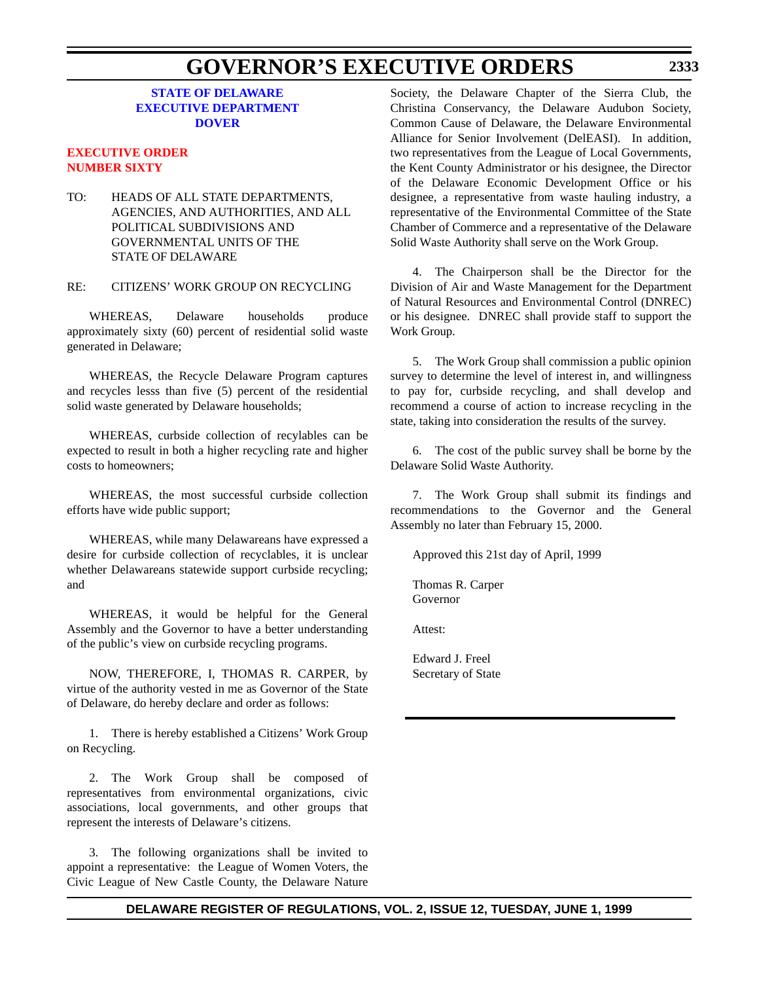## **GOVERNOR'S EXECUTIVE ORDERS**

#### **STATE OF DELAWARE [EXECUTIVE DEPARTMENT](http://www.state.de.us/governor/index.htm) DOVER**

#### **[EXECUTIVE ORDER](#page-4-0) NUMBER SIXTY**

TO: HEADS OF ALL STATE DEPARTMENTS, AGENCIES, AND AUTHORITIES, AND ALL POLITICAL SUBDIVISIONS AND GOVERNMENTAL UNITS OF THE STATE OF DELAWARE

#### RE: CITIZENS' WORK GROUP ON RECYCLING

WHEREAS, Delaware households produce approximately sixty (60) percent of residential solid waste generated in Delaware;

WHEREAS, the Recycle Delaware Program captures and recycles lesss than five (5) percent of the residential solid waste generated by Delaware households;

WHEREAS, curbside collection of recylables can be expected to result in both a higher recycling rate and higher costs to homeowners;

WHEREAS, the most successful curbside collection efforts have wide public support;

WHEREAS, while many Delawareans have expressed a desire for curbside collection of recyclables, it is unclear whether Delawareans statewide support curbside recycling; and

WHEREAS, it would be helpful for the General Assembly and the Governor to have a better understanding of the public's view on curbside recycling programs.

NOW, THEREFORE, I, THOMAS R. CARPER, by virtue of the authority vested in me as Governor of the State of Delaware, do hereby declare and order as follows:

1. There is hereby established a Citizens' Work Group on Recycling.

2. The Work Group shall be composed of representatives from environmental organizations, civic associations, local governments, and other groups that represent the interests of Delaware's citizens.

3. The following organizations shall be invited to appoint a representative: the League of Women Voters, the Civic League of New Castle County, the Delaware Nature Society, the Delaware Chapter of the Sierra Club, the Christina Conservancy, the Delaware Audubon Society, Common Cause of Delaware, the Delaware Environmental Alliance for Senior Involvement (DelEASI). In addition, two representatives from the League of Local Governments, the Kent County Administrator or his designee, the Director of the Delaware Economic Development Office or his designee, a representative from waste hauling industry, a representative of the Environmental Committee of the State Chamber of Commerce and a representative of the Delaware Solid Waste Authority shall serve on the Work Group.

4. The Chairperson shall be the Director for the Division of Air and Waste Management for the Department of Natural Resources and Environmental Control (DNREC) or his designee. DNREC shall provide staff to support the Work Group.

5. The Work Group shall commission a public opinion survey to determine the level of interest in, and willingness to pay for, curbside recycling, and shall develop and recommend a course of action to increase recycling in the state, taking into consideration the results of the survey.

6. The cost of the public survey shall be borne by the Delaware Solid Waste Authority.

7. The Work Group shall submit its findings and recommendations to the Governor and the General Assembly no later than February 15, 2000.

Approved this 21st day of April, 1999

Thomas R. Carper Governor

Attest:

Edward J. Freel Secretary of State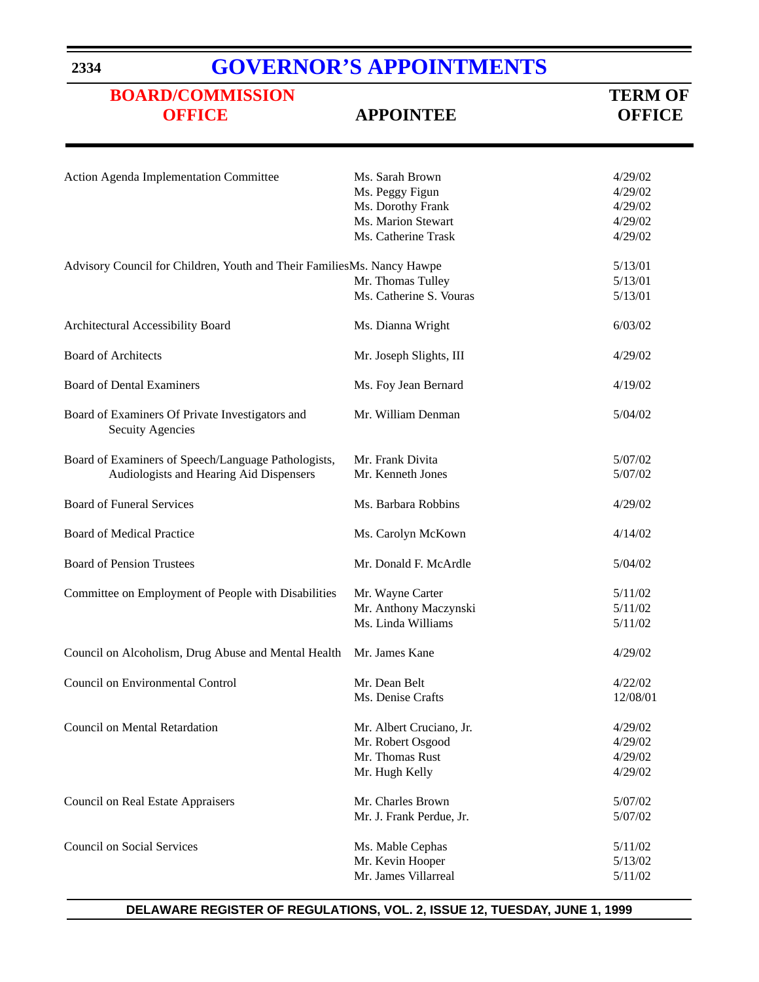# **[GOVERNOR'S APPOINTMENTS](http://www.state.de.us/governor/index.htm)**

# **[BOARD/COMMISSION](#page-4-0)**<br> **OFFICE**<br> **APPOINTEE**<br> **OFFICE**<br> **OFFICE**

# **OFFICE APPOINTEE OFFICE**

| Action Agenda Implementation Committee                                     | Ms. Sarah Brown          | 4/29/02  |
|----------------------------------------------------------------------------|--------------------------|----------|
|                                                                            | Ms. Peggy Figun          | 4/29/02  |
|                                                                            | Ms. Dorothy Frank        | 4/29/02  |
|                                                                            | Ms. Marion Stewart       | 4/29/02  |
|                                                                            | Ms. Catherine Trask      | 4/29/02  |
|                                                                            |                          |          |
| Advisory Council for Children, Youth and Their FamiliesMs. Nancy Hawpe     |                          | 5/13/01  |
|                                                                            | Mr. Thomas Tulley        | 5/13/01  |
|                                                                            | Ms. Catherine S. Vouras  | 5/13/01  |
| Architectural Accessibility Board                                          | Ms. Dianna Wright        | 6/03/02  |
|                                                                            |                          |          |
| <b>Board of Architects</b>                                                 | Mr. Joseph Slights, III  | 4/29/02  |
| <b>Board of Dental Examiners</b>                                           | Ms. Foy Jean Bernard     | 4/19/02  |
|                                                                            |                          |          |
| Board of Examiners Of Private Investigators and<br><b>Secuity Agencies</b> | Mr. William Denman       | 5/04/02  |
|                                                                            |                          |          |
| Board of Examiners of Speech/Language Pathologists,                        | Mr. Frank Divita         | 5/07/02  |
| Audiologists and Hearing Aid Dispensers                                    | Mr. Kenneth Jones        | 5/07/02  |
| <b>Board of Funeral Services</b>                                           | Ms. Barbara Robbins      | 4/29/02  |
|                                                                            |                          |          |
| Board of Medical Practice                                                  | Ms. Carolyn McKown       | 4/14/02  |
| <b>Board of Pension Trustees</b>                                           | Mr. Donald F. McArdle    | 5/04/02  |
| Committee on Employment of People with Disabilities                        | Mr. Wayne Carter         | 5/11/02  |
|                                                                            | Mr. Anthony Maczynski    | 5/11/02  |
|                                                                            | Ms. Linda Williams       | 5/11/02  |
| Council on Alcoholism, Drug Abuse and Mental Health                        | Mr. James Kane           | 4/29/02  |
| <b>Council on Environmental Control</b>                                    | Mr. Dean Belt            | 4/22/02  |
|                                                                            |                          |          |
|                                                                            | Ms. Denise Crafts        | 12/08/01 |
| Council on Mental Retardation                                              | Mr. Albert Cruciano, Jr. | 4/29/02  |
|                                                                            | Mr. Robert Osgood        | 4/29/02  |
|                                                                            | Mr. Thomas Rust          | 4/29/02  |
|                                                                            | Mr. Hugh Kelly           | 4/29/02  |
|                                                                            |                          |          |
| <b>Council on Real Estate Appraisers</b>                                   | Mr. Charles Brown        | 5/07/02  |
|                                                                            | Mr. J. Frank Perdue, Jr. | 5/07/02  |
| <b>Council on Social Services</b>                                          | Ms. Mable Cephas         | 5/11/02  |
|                                                                            | Mr. Kevin Hooper         | 5/13/02  |
|                                                                            | Mr. James Villarreal     | 5/11/02  |
|                                                                            |                          |          |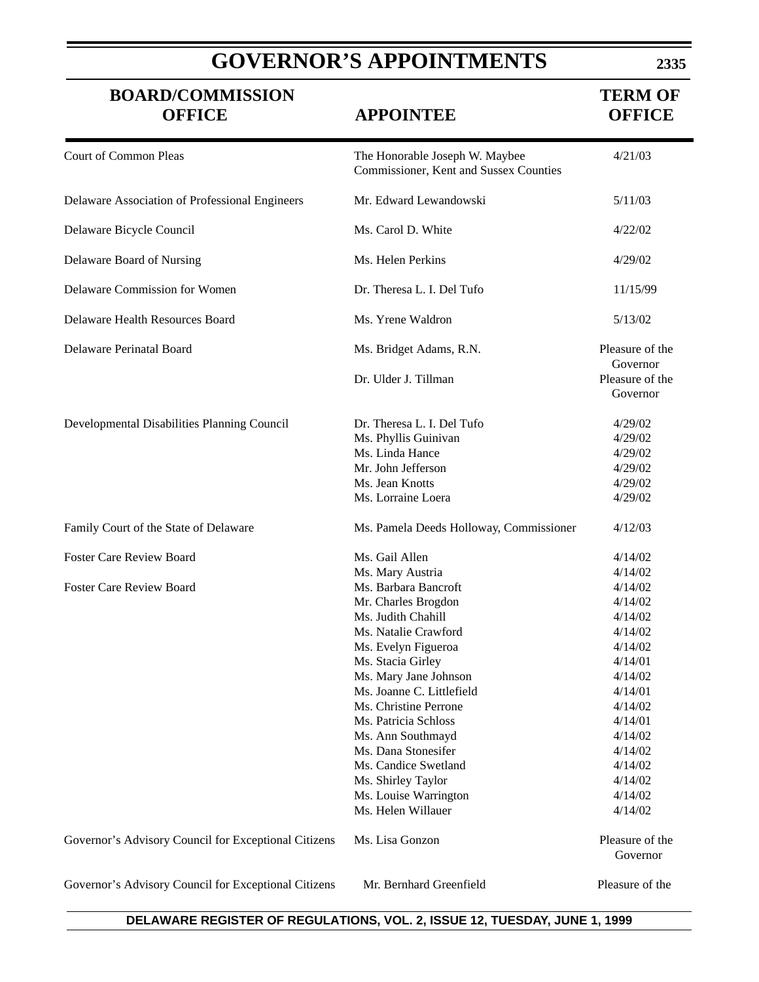# **GOVERNOR'S APPOINTMENTS**

**2335**

| <b>BOARD/COMMISSION</b><br><b>OFFICE</b>             | <b>APPOINTEE</b>                                                                                                                                                                                                                                                                                                                                                                                          | <b>TERM OF</b><br><b>OFFICE</b>                                                                                                                                                         |
|------------------------------------------------------|-----------------------------------------------------------------------------------------------------------------------------------------------------------------------------------------------------------------------------------------------------------------------------------------------------------------------------------------------------------------------------------------------------------|-----------------------------------------------------------------------------------------------------------------------------------------------------------------------------------------|
| <b>Court of Common Pleas</b>                         | The Honorable Joseph W. Maybee<br>Commissioner, Kent and Sussex Counties                                                                                                                                                                                                                                                                                                                                  | 4/21/03                                                                                                                                                                                 |
| Delaware Association of Professional Engineers       | Mr. Edward Lewandowski                                                                                                                                                                                                                                                                                                                                                                                    | 5/11/03                                                                                                                                                                                 |
| Delaware Bicycle Council                             | Ms. Carol D. White                                                                                                                                                                                                                                                                                                                                                                                        | 4/22/02                                                                                                                                                                                 |
| Delaware Board of Nursing                            | Ms. Helen Perkins                                                                                                                                                                                                                                                                                                                                                                                         | 4/29/02                                                                                                                                                                                 |
| Delaware Commission for Women                        | Dr. Theresa L. I. Del Tufo                                                                                                                                                                                                                                                                                                                                                                                | 11/15/99                                                                                                                                                                                |
| Delaware Health Resources Board                      | Ms. Yrene Waldron                                                                                                                                                                                                                                                                                                                                                                                         | 5/13/02                                                                                                                                                                                 |
| Delaware Perinatal Board                             | Ms. Bridget Adams, R.N.                                                                                                                                                                                                                                                                                                                                                                                   | Pleasure of the<br>Governor                                                                                                                                                             |
|                                                      | Dr. Ulder J. Tillman                                                                                                                                                                                                                                                                                                                                                                                      | Pleasure of the<br>Governor                                                                                                                                                             |
| Developmental Disabilities Planning Council          | Dr. Theresa L. I. Del Tufo<br>Ms. Phyllis Guinivan<br>Ms. Linda Hance<br>Mr. John Jefferson<br>Ms. Jean Knotts<br>Ms. Lorraine Loera                                                                                                                                                                                                                                                                      | 4/29/02<br>4/29/02<br>4/29/02<br>4/29/02<br>4/29/02<br>4/29/02                                                                                                                          |
| Family Court of the State of Delaware                | Ms. Pamela Deeds Holloway, Commissioner                                                                                                                                                                                                                                                                                                                                                                   | 4/12/03                                                                                                                                                                                 |
| <b>Foster Care Review Board</b>                      | Ms. Gail Allen                                                                                                                                                                                                                                                                                                                                                                                            | 4/14/02                                                                                                                                                                                 |
| <b>Foster Care Review Board</b>                      | Ms. Mary Austria<br>Ms. Barbara Bancroft<br>Mr. Charles Brogdon<br>Ms. Judith Chahill<br>Ms. Natalie Crawford<br>Ms. Evelyn Figueroa<br>Ms. Stacia Girley<br>Ms. Mary Jane Johnson<br>Ms. Joanne C. Littlefield<br>Ms. Christine Perrone<br>Ms. Patricia Schloss<br>Ms. Ann Southmayd<br>Ms. Dana Stonesifer<br>Ms. Candice Swetland<br>Ms. Shirley Taylor<br>Ms. Louise Warrington<br>Ms. Helen Willauer | 4/14/02<br>4/14/02<br>4/14/02<br>4/14/02<br>4/14/02<br>4/14/02<br>4/14/01<br>4/14/02<br>4/14/01<br>4/14/02<br>4/14/01<br>4/14/02<br>4/14/02<br>4/14/02<br>4/14/02<br>4/14/02<br>4/14/02 |
| Governor's Advisory Council for Exceptional Citizens | Ms. Lisa Gonzon                                                                                                                                                                                                                                                                                                                                                                                           | Pleasure of the<br>Governor                                                                                                                                                             |
| Governor's Advisory Council for Exceptional Citizens | Mr. Bernhard Greenfield                                                                                                                                                                                                                                                                                                                                                                                   | Pleasure of the                                                                                                                                                                         |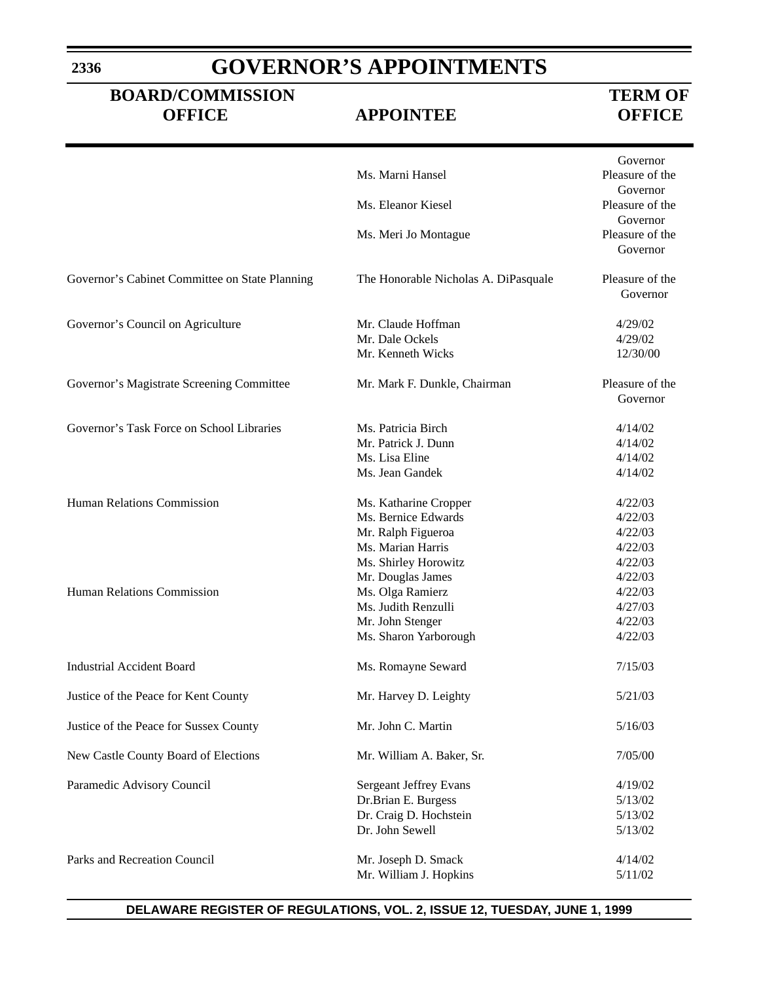# **GOVERNOR'S APPOINTMENTS**

### **BOARD/COMMISSION TERM OF OFFICE APPOINTEE OFFICE**

|                                                |                                      | Governor                    |
|------------------------------------------------|--------------------------------------|-----------------------------|
|                                                | Ms. Marni Hansel                     | Pleasure of the             |
|                                                |                                      | Governor                    |
|                                                | Ms. Eleanor Kiesel                   | Pleasure of the             |
|                                                |                                      | Governor                    |
|                                                | Ms. Meri Jo Montague                 | Pleasure of the             |
|                                                |                                      | Governor                    |
| Governor's Cabinet Committee on State Planning | The Honorable Nicholas A. DiPasquale | Pleasure of the<br>Governor |
| Governor's Council on Agriculture              | Mr. Claude Hoffman                   | 4/29/02                     |
|                                                | Mr. Dale Ockels                      | 4/29/02                     |
|                                                | Mr. Kenneth Wicks                    | 12/30/00                    |
| Governor's Magistrate Screening Committee      | Mr. Mark F. Dunkle, Chairman         | Pleasure of the<br>Governor |
| Governor's Task Force on School Libraries      | Ms. Patricia Birch                   |                             |
|                                                | Mr. Patrick J. Dunn                  | 4/14/02<br>4/14/02          |
|                                                | Ms. Lisa Eline                       | 4/14/02                     |
|                                                | Ms. Jean Gandek                      | 4/14/02                     |
|                                                |                                      |                             |
| <b>Human Relations Commission</b>              | Ms. Katharine Cropper                | 4/22/03                     |
|                                                | Ms. Bernice Edwards                  | 4/22/03                     |
|                                                | Mr. Ralph Figueroa                   | 4/22/03                     |
|                                                | Ms. Marian Harris                    | 4/22/03                     |
|                                                | Ms. Shirley Horowitz                 | 4/22/03                     |
|                                                | Mr. Douglas James                    | 4/22/03                     |
| Human Relations Commission                     | Ms. Olga Ramierz                     | 4/22/03                     |
|                                                | Ms. Judith Renzulli                  | 4/27/03                     |
|                                                | Mr. John Stenger                     | 4/22/03                     |
|                                                | Ms. Sharon Yarborough                | 4/22/03                     |
| <b>Industrial Accident Board</b>               | Ms. Romayne Seward                   | 7/15/03                     |
| Justice of the Peace for Kent County           | Mr. Harvey D. Leighty                | 5/21/03                     |
| Justice of the Peace for Sussex County         | Mr. John C. Martin                   | 5/16/03                     |
| New Castle County Board of Elections           | Mr. William A. Baker, Sr.            | 7/05/00                     |
| Paramedic Advisory Council                     | Sergeant Jeffrey Evans               | 4/19/02                     |
|                                                | Dr.Brian E. Burgess                  | 5/13/02                     |
|                                                | Dr. Craig D. Hochstein               | 5/13/02                     |
|                                                | Dr. John Sewell                      | 5/13/02                     |
| Parks and Recreation Council                   | Mr. Joseph D. Smack                  | 4/14/02                     |
|                                                | Mr. William J. Hopkins               | 5/11/02                     |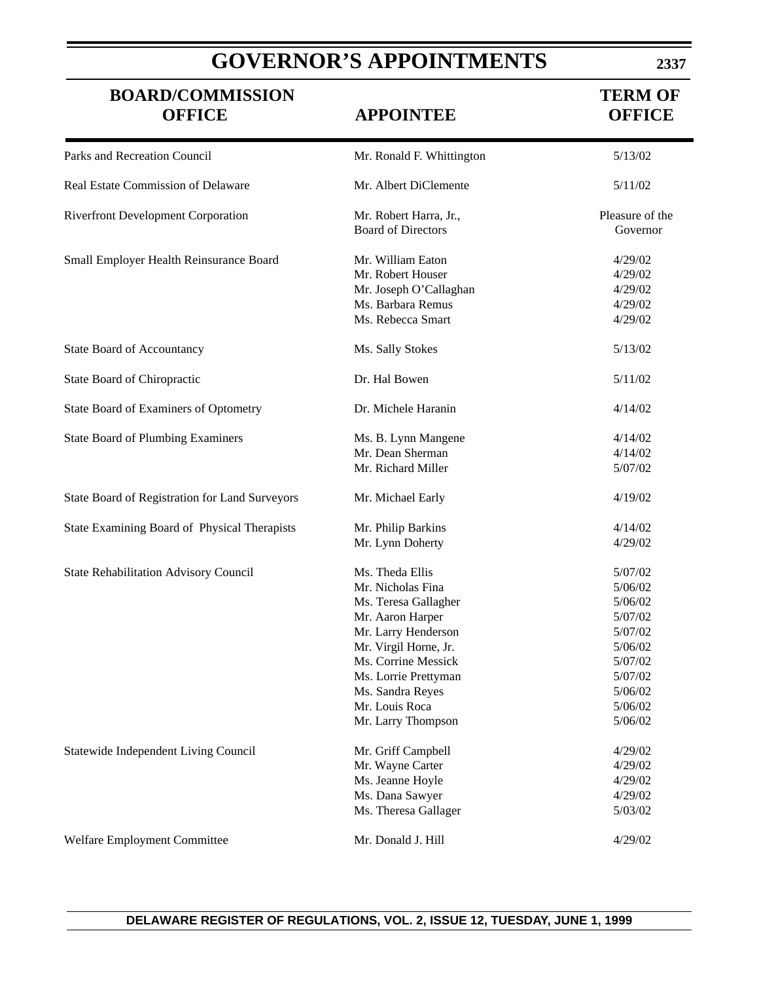# **GOVERNOR'S APPOINTMENTS**

### **BOARD/COMMISSION TERM OF OFFICE APPOINTEE OFFICE**

| Parks and Recreation Council                   | Mr. Ronald F. Whittington                           | 5/13/02                     |
|------------------------------------------------|-----------------------------------------------------|-----------------------------|
| Real Estate Commission of Delaware             | Mr. Albert DiClemente                               | 5/11/02                     |
| <b>Riverfront Development Corporation</b>      | Mr. Robert Harra, Jr.,<br><b>Board of Directors</b> | Pleasure of the<br>Governor |
| Small Employer Health Reinsurance Board        | Mr. William Eaton                                   | 4/29/02                     |
|                                                | Mr. Robert Houser                                   | 4/29/02                     |
|                                                | Mr. Joseph O'Callaghan                              | 4/29/02                     |
|                                                | Ms. Barbara Remus                                   | 4/29/02                     |
|                                                | Ms. Rebecca Smart                                   | 4/29/02                     |
| <b>State Board of Accountancy</b>              | Ms. Sally Stokes                                    | 5/13/02                     |
| State Board of Chiropractic                    | Dr. Hal Bowen                                       | 5/11/02                     |
| State Board of Examiners of Optometry          | Dr. Michele Haranin                                 | 4/14/02                     |
| <b>State Board of Plumbing Examiners</b>       | Ms. B. Lynn Mangene                                 | 4/14/02                     |
|                                                | Mr. Dean Sherman                                    | 4/14/02                     |
|                                                | Mr. Richard Miller                                  | 5/07/02                     |
| State Board of Registration for Land Surveyors | Mr. Michael Early                                   | 4/19/02                     |
| State Examining Board of Physical Therapists   | Mr. Philip Barkins                                  | 4/14/02                     |
|                                                | Mr. Lynn Doherty                                    | 4/29/02                     |
| State Rehabilitation Advisory Council          | Ms. Theda Ellis                                     | 5/07/02                     |
|                                                | Mr. Nicholas Fina                                   | 5/06/02                     |
|                                                | Ms. Teresa Gallagher                                | 5/06/02                     |
|                                                | Mr. Aaron Harper                                    | 5/07/02                     |
|                                                | Mr. Larry Henderson                                 | 5/07/02                     |
|                                                | Mr. Virgil Horne, Jr.                               | 5/06/02                     |
|                                                | Ms. Corrine Messick                                 | 5/07/02                     |
|                                                | Ms. Lorrie Prettyman                                | 5/07/02                     |
|                                                | Ms. Sandra Reyes                                    | 5/06/02                     |
|                                                | Mr. Louis Roca                                      | 5/06/02                     |
|                                                | Mr. Larry Thompson                                  | 5/06/02                     |
| Statewide Independent Living Council           | Mr. Griff Campbell                                  | 4/29/02                     |
|                                                | Mr. Wayne Carter                                    | 4/29/02                     |
|                                                | Ms. Jeanne Hoyle                                    | 4/29/02                     |
|                                                | Ms. Dana Sawyer                                     | 4/29/02                     |
|                                                | Ms. Theresa Gallager                                | 5/03/02                     |
| Welfare Employment Committee                   | Mr. Donald J. Hill                                  | 4/29/02                     |

**2337**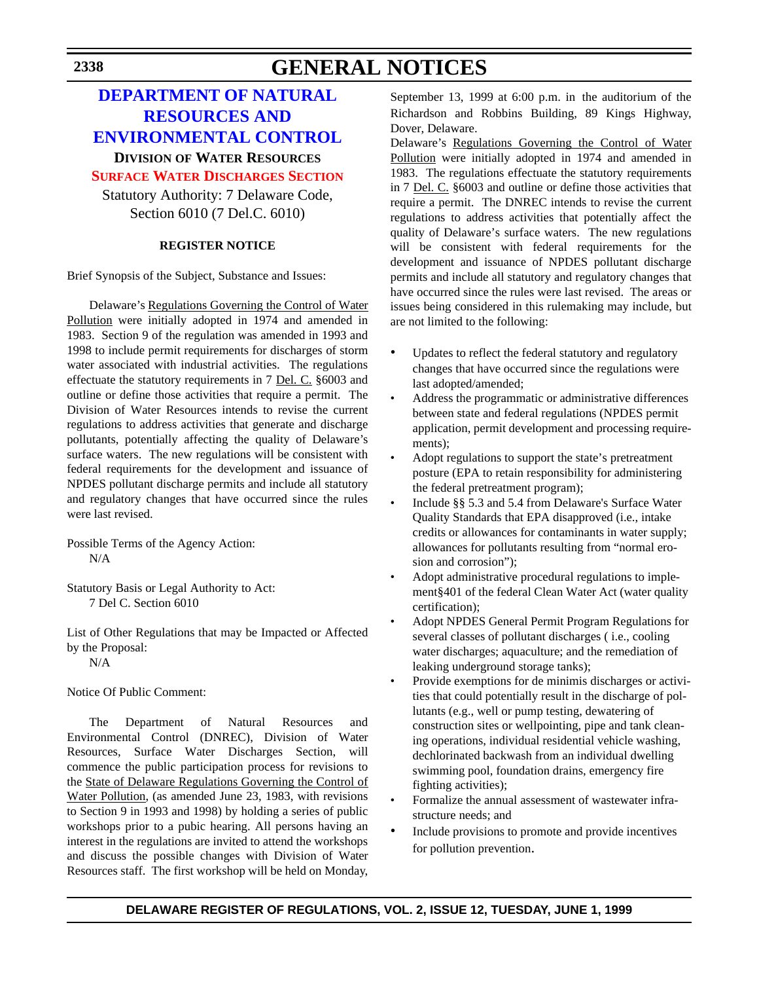# **GENERAL NOTICES**

### **DEPARTMENT OF NATURAL RESOURCES AND [ENVIRONMENTAL CONTROL](http://www.dnrec.state.de.us/)**

#### **DIVISION OF WATER RESOURCES**

**[SURFACE WATER DISCHARGES SECTION](#page-4-0)** Statutory Authority: 7 Delaware Code,

Section 6010 (7 Del.C. 6010)

#### **REGISTER NOTICE**

Brief Synopsis of the Subject, Substance and Issues:

Delaware's Regulations Governing the Control of Water Pollution were initially adopted in 1974 and amended in 1983. Section 9 of the regulation was amended in 1993 and 1998 to include permit requirements for discharges of storm water associated with industrial activities. The regulations effectuate the statutory requirements in 7 Del. C. §6003 and outline or define those activities that require a permit. The Division of Water Resources intends to revise the current regulations to address activities that generate and discharge pollutants, potentially affecting the quality of Delaware's surface waters. The new regulations will be consistent with federal requirements for the development and issuance of NPDES pollutant discharge permits and include all statutory and regulatory changes that have occurred since the rules were last revised.

Possible Terms of the Agency Action: N/A

Statutory Basis or Legal Authority to Act: 7 Del C. Section 6010

List of Other Regulations that may be Impacted or Affected by the Proposal:

N/A

Notice Of Public Comment:

The Department of Natural Resources and Environmental Control (DNREC), Division of Water Resources, Surface Water Discharges Section, will commence the public participation process for revisions to the State of Delaware Regulations Governing the Control of Water Pollution, (as amended June 23, 1983, with revisions to Section 9 in 1993 and 1998) by holding a series of public workshops prior to a pubic hearing. All persons having an interest in the regulations are invited to attend the workshops and discuss the possible changes with Division of Water Resources staff. The first workshop will be held on Monday,

September 13, 1999 at 6:00 p.m. in the auditorium of the Richardson and Robbins Building, 89 Kings Highway, Dover, Delaware.

Delaware's Regulations Governing the Control of Water Pollution were initially adopted in 1974 and amended in 1983. The regulations effectuate the statutory requirements in 7 Del. C. §6003 and outline or define those activities that require a permit. The DNREC intends to revise the current regulations to address activities that potentially affect the quality of Delaware's surface waters. The new regulations will be consistent with federal requirements for the development and issuance of NPDES pollutant discharge permits and include all statutory and regulatory changes that have occurred since the rules were last revised. The areas or issues being considered in this rulemaking may include, but are not limited to the following:

- Updates to reflect the federal statutory and regulatory changes that have occurred since the regulations were last adopted/amended;
- Address the programmatic or administrative differences between state and federal regulations (NPDES permit application, permit development and processing requirements);
- Adopt regulations to support the state's pretreatment posture (EPA to retain responsibility for administering the federal pretreatment program);
- Include §§ 5.3 and 5.4 from Delaware's Surface Water Quality Standards that EPA disapproved (i.e., intake credits or allowances for contaminants in water supply; allowances for pollutants resulting from "normal erosion and corrosion");
- Adopt administrative procedural regulations to implement§401 of the federal Clean Water Act (water quality certification);
- Adopt NPDES General Permit Program Regulations for several classes of pollutant discharges ( i.e., cooling water discharges; aquaculture; and the remediation of leaking underground storage tanks);
- Provide exemptions for de minimis discharges or activities that could potentially result in the discharge of pollutants (e.g., well or pump testing, dewatering of construction sites or wellpointing, pipe and tank cleaning operations, individual residential vehicle washing, dechlorinated backwash from an individual dwelling swimming pool, foundation drains, emergency fire fighting activities);
- Formalize the annual assessment of wastewater infrastructure needs; and
- Include provisions to promote and provide incentives for pollution prevention.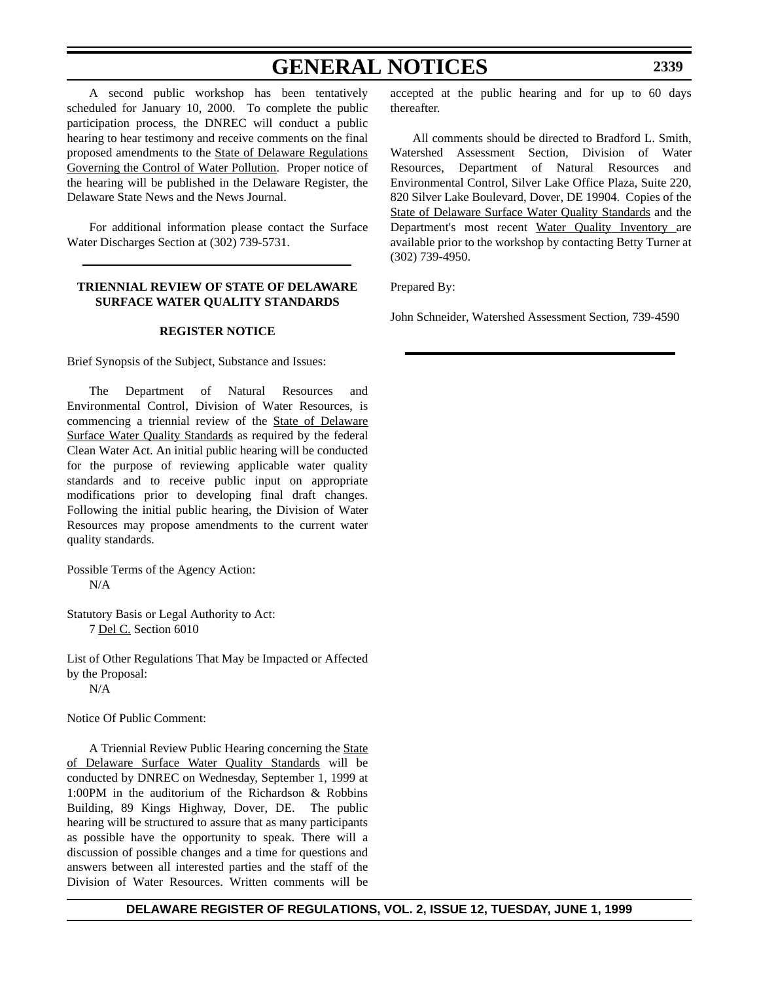## **GENERAL NOTICES**

A second public workshop has been tentatively scheduled for January 10, 2000. To complete the public participation process, the DNREC will conduct a public hearing to hear testimony and receive comments on the final proposed amendments to the State of Delaware Regulations Governing the Control of Water Pollution. Proper notice of the hearing will be published in the Delaware Register, the Delaware State News and the News Journal.

For additional information please contact the Surface Water Discharges Section at (302) 739-5731.

#### **TRIENNIAL REVIEW OF STATE OF DELAWARE SURFACE WATER QUALITY STANDARDS**

#### **REGISTER NOTICE**

Brief Synopsis of the Subject, Substance and Issues:

The Department of Natural Resources and Environmental Control, Division of Water Resources, is commencing a triennial review of the State of Delaware Surface Water Quality Standards as required by the federal Clean Water Act. An initial public hearing will be conducted for the purpose of reviewing applicable water quality standards and to receive public input on appropriate modifications prior to developing final draft changes. Following the initial public hearing, the Division of Water Resources may propose amendments to the current water quality standards.

Possible Terms of the Agency Action: N/A

Statutory Basis or Legal Authority to Act: 7 Del C. Section 6010

List of Other Regulations That May be Impacted or Affected by the Proposal: N/A

Notice Of Public Comment:

A Triennial Review Public Hearing concerning the State of Delaware Surface Water Quality Standards will be conducted by DNREC on Wednesday, September 1, 1999 at 1:00PM in the auditorium of the Richardson & Robbins Building, 89 Kings Highway, Dover, DE. The public hearing will be structured to assure that as many participants as possible have the opportunity to speak. There will a discussion of possible changes and a time for questions and answers between all interested parties and the staff of the Division of Water Resources. Written comments will be accepted at the public hearing and for up to 60 days thereafter.

All comments should be directed to Bradford L. Smith, Watershed Assessment Section, Division of Water Resources, Department of Natural Resources and Environmental Control, Silver Lake Office Plaza, Suite 220, 820 Silver Lake Boulevard, Dover, DE 19904. Copies of the State of Delaware Surface Water Quality Standards and the Department's most recent Water Quality Inventory are available prior to the workshop by contacting Betty Turner at (302) 739-4950.

Prepared By:

John Schneider, Watershed Assessment Section, 739-4590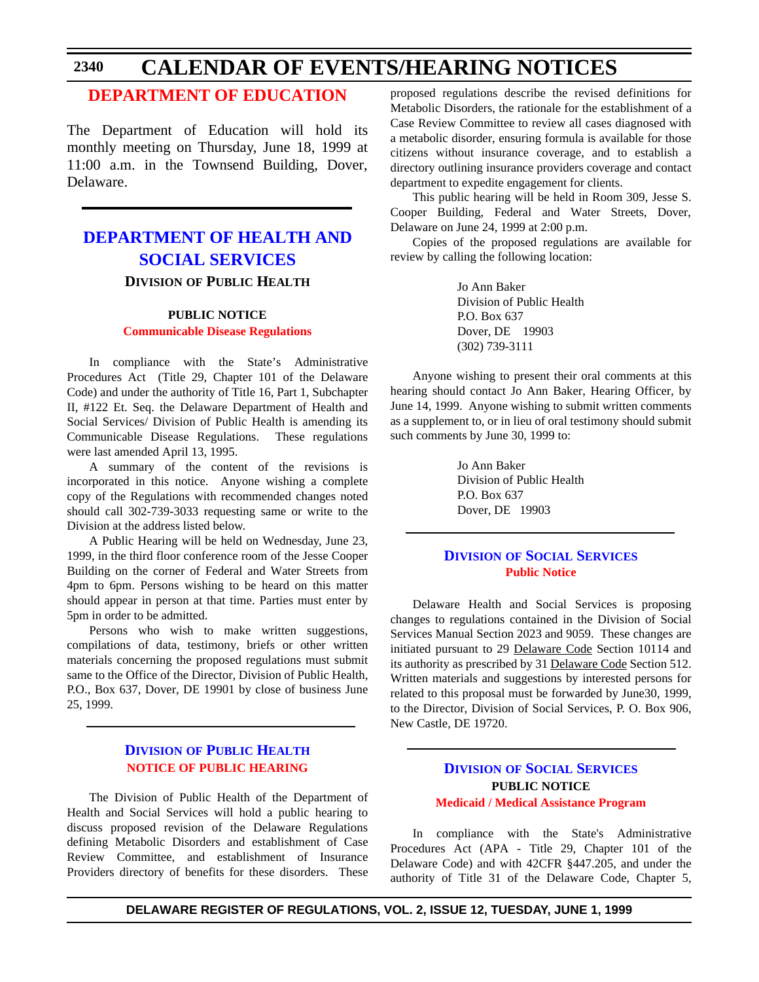#### **[DEPARTMENT OF EDUCATION](#page-4-0)**

The Department of Education will hold its monthly meeting on Thursday, June 18, 1999 at 11:00 a.m. in the Townsend Building, Dover, Delaware.

#### **[DEPARTMENT OF HEALTH AND](http://www.state.de.us/dhss/irm/dhss.htm) SOCIAL SERVICES DIVISION OF PUBLIC HEALTH**

#### **PUBLIC NOTICE**

#### **[Communicable Disease Regulations](#page-4-0)**

In compliance with the State's Administrative Procedures Act (Title 29, Chapter 101 of the Delaware Code) and under the authority of Title 16, Part 1, Subchapter II, #122 Et. Seq. the Delaware Department of Health and Social Services/ Division of Public Health is amending its Communicable Disease Regulations. These regulations were last amended April 13, 1995.

A summary of the content of the revisions is incorporated in this notice. Anyone wishing a complete copy of the Regulations with recommended changes noted should call 302-739-3033 requesting same or write to the Division at the address listed below.

A Public Hearing will be held on Wednesday, June 23, 1999, in the third floor conference room of the Jesse Cooper Building on the corner of Federal and Water Streets from 4pm to 6pm. Persons wishing to be heard on this matter should appear in person at that time. Parties must enter by 5pm in order to be admitted.

Persons who wish to make written suggestions, compilations of data, testimony, briefs or other written materials concerning the proposed regulations must submit same to the Office of the Director, Division of Public Health, P.O., Box 637, Dover, DE 19901 by close of business June 25, 1999.

#### **DIVISION [OF PUBLIC HEALTH](http://www.state.de.us/dhss/irm/dhss.htm) [NOTICE OF PUBLIC HEARING](#page-4-0)**

The Division of Public Health of the Department of Health and Social Services will hold a public hearing to discuss proposed revision of the Delaware Regulations defining Metabolic Disorders and establishment of Case Review Committee, and establishment of Insurance Providers directory of benefits for these disorders. These

proposed regulations describe the revised definitions for Metabolic Disorders, the rationale for the establishment of a Case Review Committee to review all cases diagnosed with a metabolic disorder, ensuring formula is available for those citizens without insurance coverage, and to establish a directory outlining insurance providers coverage and contact department to expedite engagement for clients.

This public hearing will be held in Room 309, Jesse S. Cooper Building, Federal and Water Streets, Dover, Delaware on June 24, 1999 at 2:00 p.m.

Copies of the proposed regulations are available for review by calling the following location:

> Jo Ann Baker Division of Public Health P.O. Box 637 Dover, DE 19903 (302) 739-3111

Anyone wishing to present their oral comments at this hearing should contact Jo Ann Baker, Hearing Officer, by June 14, 1999. Anyone wishing to submit written comments as a supplement to, or in lieu of oral testimony should submit such comments by June 30, 1999 to:

> Jo Ann Baker Division of Public Health P.O. Box 637 Dover, DE 19903

#### **DIVISION [OF SOCIAL SERVICES](http://www.state.de.us/dhss/irm/dhss.htm) [Public Notice](#page-4-0)**

Delaware Health and Social Services is proposing changes to regulations contained in the Division of Social Services Manual Section 2023 and 9059. These changes are initiated pursuant to 29 Delaware Code Section 10114 and its authority as prescribed by 31 Delaware Code Section 512. Written materials and suggestions by interested persons for related to this proposal must be forwarded by June30, 1999, to the Director, Division of Social Services, P. O. Box 906, New Castle, DE 19720.

#### **DIVISION [OF SOCIAL SERVICES](http://www.state.de.us/dhss/irm/dhss.htm) PUBLIC NOTICE [Medicaid / Medical Assistance Program](#page-4-0)**

In compliance with the State's Administrative Procedures Act (APA - Title 29, Chapter 101 of the Delaware Code) and with 42CFR §447.205, and under the authority of Title 31 of the Delaware Code, Chapter 5,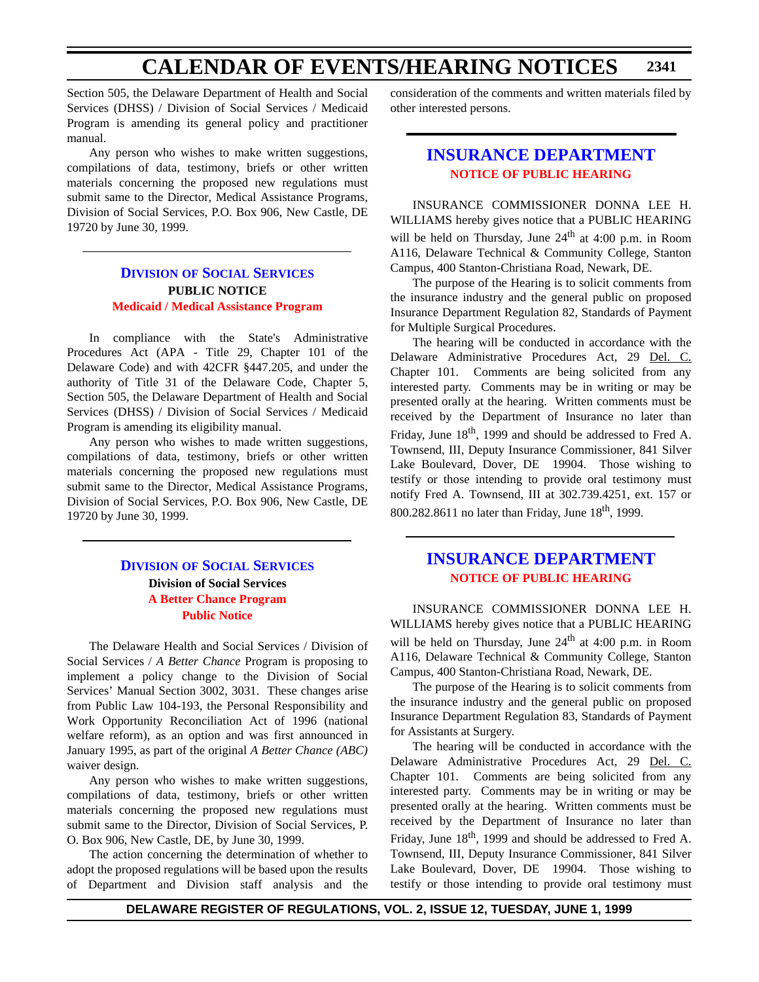Section 505, the Delaware Department of Health and Social Services (DHSS) / Division of Social Services / Medicaid Program is amending its general policy and practitioner manual.

Any person who wishes to make written suggestions, compilations of data, testimony, briefs or other written materials concerning the proposed new regulations must submit same to the Director, Medical Assistance Programs, Division of Social Services, P.O. Box 906, New Castle, DE 19720 by June 30, 1999.

#### **DIVISION [OF SOCIAL SERVICES](http://www.state.de.us/dhss/irm/dhss.htm) PUBLIC NOTICE [Medicaid / Medical Assistance Program](#page-4-0)**

In compliance with the State's Administrative Procedures Act (APA - Title 29, Chapter 101 of the Delaware Code) and with 42CFR §447.205, and under the authority of Title 31 of the Delaware Code, Chapter 5, Section 505, the Delaware Department of Health and Social Services (DHSS) / Division of Social Services / Medicaid Program is amending its eligibility manual.

Any person who wishes to made written suggestions, compilations of data, testimony, briefs or other written materials concerning the proposed new regulations must submit same to the Director, Medical Assistance Programs, Division of Social Services, P.O. Box 906, New Castle, DE 19720 by June 30, 1999.

#### **DIVISION [OF SOCIAL SERVICES](http://www.state.de.us/dhss/irm/dhss.htm) Division of Social Services [A Better Chance Program](#page-4-0) Public Notice**

The Delaware Health and Social Services / Division of Social Services / *A Better Chance* Program is proposing to implement a policy change to the Division of Social Services' Manual Section 3002, 3031. These changes arise from Public Law 104-193, the Personal Responsibility and Work Opportunity Reconciliation Act of 1996 (national welfare reform), as an option and was first announced in January 1995, as part of the original *A Better Chance (ABC)* waiver design.

Any person who wishes to make written suggestions, compilations of data, testimony, briefs or other written materials concerning the proposed new regulations must submit same to the Director, Division of Social Services, P. O. Box 906, New Castle, DE, by June 30, 1999.

The action concerning the determination of whether to adopt the proposed regulations will be based upon the results of Department and Division staff analysis and the consideration of the comments and written materials filed by other interested persons.

#### **[INSURANCE DEPARTMENT](http://www.state.de.us/inscom/) [NOTICE OF PUBLIC HEARING](#page-4-0)**

INSURANCE COMMISSIONER DONNA LEE H. WILLIAMS hereby gives notice that a PUBLIC HEARING will be held on Thursday, June  $24<sup>th</sup>$  at 4:00 p.m. in Room A116, Delaware Technical & Community College, Stanton Campus, 400 Stanton-Christiana Road, Newark, DE.

The purpose of the Hearing is to solicit comments from the insurance industry and the general public on proposed Insurance Department Regulation 82, Standards of Payment for Multiple Surgical Procedures.

The hearing will be conducted in accordance with the Delaware Administrative Procedures Act, 29 Del. C. Chapter 101. Comments are being solicited from any interested party. Comments may be in writing or may be presented orally at the hearing. Written comments must be received by the Department of Insurance no later than Friday, June  $18<sup>th</sup>$ , 1999 and should be addressed to Fred A. Townsend, III, Deputy Insurance Commissioner, 841 Silver Lake Boulevard, Dover, DE 19904. Those wishing to testify or those intending to provide oral testimony must notify Fred A. Townsend, III at 302.739.4251, ext. 157 or 800.282.8611 no later than Friday, June  $18<sup>th</sup>$ , 1999.

#### **[INSURANCE DEPARTMENT](http://www.state.de.us/inscom/) [NOTICE OF PUBLIC HEARING](#page-4-0)**

INSURANCE COMMISSIONER DONNA LEE H. WILLIAMS hereby gives notice that a PUBLIC HEARING will be held on Thursday, June  $24<sup>th</sup>$  at 4:00 p.m. in Room A116, Delaware Technical & Community College, Stanton Campus, 400 Stanton-Christiana Road, Newark, DE.

The purpose of the Hearing is to solicit comments from the insurance industry and the general public on proposed Insurance Department Regulation 83, Standards of Payment for Assistants at Surgery.

The hearing will be conducted in accordance with the Delaware Administrative Procedures Act, 29 Del. C. Chapter 101. Comments are being solicited from any interested party. Comments may be in writing or may be presented orally at the hearing. Written comments must be received by the Department of Insurance no later than Friday, June 18<sup>th</sup>, 1999 and should be addressed to Fred A. Townsend, III, Deputy Insurance Commissioner, 841 Silver Lake Boulevard, Dover, DE 19904. Those wishing to testify or those intending to provide oral testimony must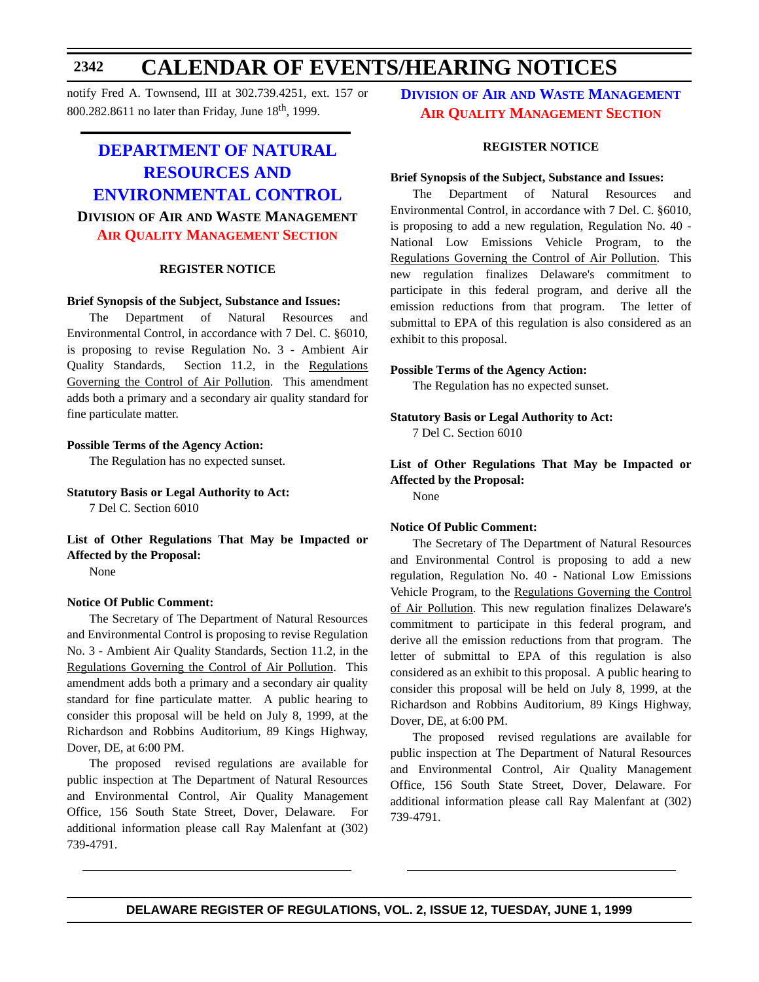notify Fred A. Townsend, III at 302.739.4251, ext. 157 or 800.282.8611 no later than Friday, June 18th, 1999.

### **DEPARTMENT OF NATURAL RESOURCES AND [ENVIRONMENTAL CONTROL](http://www.dnrec.state.de.us/) DIVISION OF AIR AND WASTE MANAGEMENT [AIR QUALITY MANAGEMENT SECTION](#page-4-0)**

#### **REGISTER NOTICE**

#### **Brief Synopsis of the Subject, Substance and Issues:**

The Department of Natural Resources and Environmental Control, in accordance with 7 Del. C. §6010, is proposing to revise Regulation No. 3 - Ambient Air Quality Standards, Section 11.2, in the Regulations Governing the Control of Air Pollution. This amendment adds both a primary and a secondary air quality standard for fine particulate matter.

#### **Possible Terms of the Agency Action:**

The Regulation has no expected sunset.

**Statutory Basis or Legal Authority to Act:**

7 Del C. Section 6010

**List of Other Regulations That May be Impacted or Affected by the Proposal:**

None

#### **Notice Of Public Comment:**

The Secretary of The Department of Natural Resources and Environmental Control is proposing to revise Regulation No. 3 - Ambient Air Quality Standards, Section 11.2, in the Regulations Governing the Control of Air Pollution. This amendment adds both a primary and a secondary air quality standard for fine particulate matter. A public hearing to consider this proposal will be held on July 8, 1999, at the Richardson and Robbins Auditorium, 89 Kings Highway, Dover, DE, at 6:00 PM.

The proposed revised regulations are available for public inspection at The Department of Natural Resources and Environmental Control, Air Quality Management Office, 156 South State Street, Dover, Delaware. For additional information please call Ray Malenfant at (302) 739-4791.

**DIVISION OF AIR [AND WASTE MANAGEMENT](http://www.dnrec.state.de.us/) [AIR QUALITY MANAGEMENT SECTION](#page-4-0)**

#### **REGISTER NOTICE**

#### **Brief Synopsis of the Subject, Substance and Issues:**

The Department of Natural Resources and Environmental Control, in accordance with 7 Del. C. §6010, is proposing to add a new regulation, Regulation No. 40 - National Low Emissions Vehicle Program, to the Regulations Governing the Control of Air Pollution. This new regulation finalizes Delaware's commitment to participate in this federal program, and derive all the emission reductions from that program. The letter of submittal to EPA of this regulation is also considered as an exhibit to this proposal.

#### **Possible Terms of the Agency Action:**

The Regulation has no expected sunset.

**Statutory Basis or Legal Authority to Act:** 7 Del C. Section 6010

**List of Other Regulations That May be Impacted or Affected by the Proposal:**  None

#### **Notice Of Public Comment:**

The Secretary of The Department of Natural Resources and Environmental Control is proposing to add a new regulation, Regulation No. 40 - National Low Emissions Vehicle Program, to the Regulations Governing the Control of Air Pollution. This new regulation finalizes Delaware's commitment to participate in this federal program, and derive all the emission reductions from that program. The letter of submittal to EPA of this regulation is also considered as an exhibit to this proposal. A public hearing to consider this proposal will be held on July 8, 1999, at the Richardson and Robbins Auditorium, 89 Kings Highway, Dover, DE, at 6:00 PM.

The proposed revised regulations are available for public inspection at The Department of Natural Resources and Environmental Control, Air Quality Management Office, 156 South State Street, Dover, Delaware. For additional information please call Ray Malenfant at (302) 739-4791.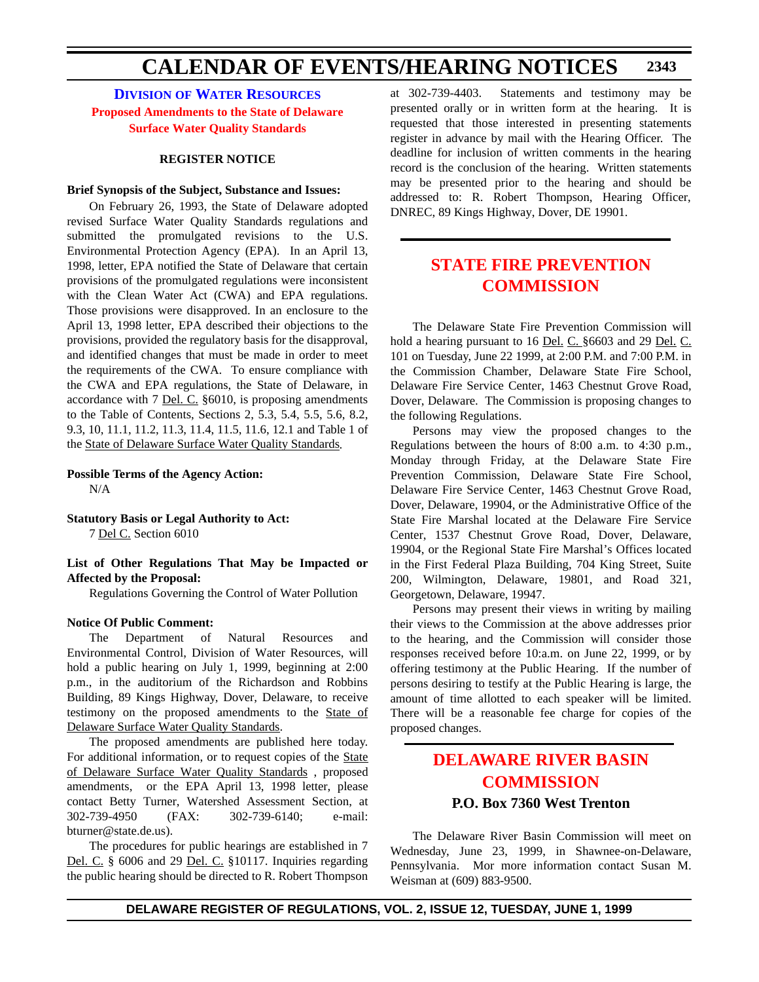**DIVISION [OF WATER RESOURCES](http://www.dnrec.state.de.us/) [Proposed Amendments to the State of Delaware](#page-4-0) Surface Water Quality Standards**

#### **REGISTER NOTICE**

#### **Brief Synopsis of the Subject, Substance and Issues:**

On February 26, 1993, the State of Delaware adopted revised Surface Water Quality Standards regulations and submitted the promulgated revisions to the U.S. Environmental Protection Agency (EPA). In an April 13, 1998, letter, EPA notified the State of Delaware that certain provisions of the promulgated regulations were inconsistent with the Clean Water Act (CWA) and EPA regulations. Those provisions were disapproved. In an enclosure to the April 13, 1998 letter, EPA described their objections to the provisions, provided the regulatory basis for the disapproval, and identified changes that must be made in order to meet the requirements of the CWA. To ensure compliance with the CWA and EPA regulations, the State of Delaware, in accordance with 7 Del. C. §6010, is proposing amendments to the Table of Contents, Sections 2, 5.3, 5.4, 5.5, 5.6, 8.2, 9.3, 10, 11.1, 11.2, 11.3, 11.4, 11.5, 11.6, 12.1 and Table 1 of the State of Delaware Surface Water Quality Standards.

**Possible Terms of the Agency Action:**  N/A

**Statutory Basis or Legal Authority to Act:** 7 Del C. Section 6010

**List of Other Regulations That May be Impacted or Affected by the Proposal:** 

Regulations Governing the Control of Water Pollution

#### **Notice Of Public Comment:**

The Department of Natural Resources and Environmental Control, Division of Water Resources, will hold a public hearing on July 1, 1999, beginning at 2:00 p.m., in the auditorium of the Richardson and Robbins Building, 89 Kings Highway, Dover, Delaware, to receive testimony on the proposed amendments to the State of Delaware Surface Water Quality Standards.

The proposed amendments are published here today. For additional information, or to request copies of the State of Delaware Surface Water Quality Standards , proposed amendments, or the EPA April 13, 1998 letter, please contact Betty Turner, Watershed Assessment Section, at 302-739-4950 (FAX: 302-739-6140; e-mail: bturner@state.de.us).

The procedures for public hearings are established in 7 Del. C. § 6006 and 29 Del. C. §10117. Inquiries regarding the public hearing should be directed to R. Robert Thompson at 302-739-4403. Statements and testimony may be presented orally or in written form at the hearing. It is requested that those interested in presenting statements register in advance by mail with the Hearing Officer. The deadline for inclusion of written comments in the hearing record is the conclusion of the hearing. Written statements may be presented prior to the hearing and should be addressed to: R. Robert Thompson, Hearing Officer, DNREC, 89 Kings Highway, Dover, DE 19901.

#### **[STATE FIRE PREVENTION](#page-4-0) COMMISSION**

The Delaware State Fire Prevention Commission will hold a hearing pursuant to 16 Del. C. §6603 and 29 Del. C. 101 on Tuesday, June 22 1999, at 2:00 P.M. and 7:00 P.M. in the Commission Chamber, Delaware State Fire School, Delaware Fire Service Center, 1463 Chestnut Grove Road, Dover, Delaware. The Commission is proposing changes to the following Regulations.

Persons may view the proposed changes to the Regulations between the hours of 8:00 a.m. to 4:30 p.m., Monday through Friday, at the Delaware State Fire Prevention Commission, Delaware State Fire School, Delaware Fire Service Center, 1463 Chestnut Grove Road, Dover, Delaware, 19904, or the Administrative Office of the State Fire Marshal located at the Delaware Fire Service Center, 1537 Chestnut Grove Road, Dover, Delaware, 19904, or the Regional State Fire Marshal's Offices located in the First Federal Plaza Building, 704 King Street, Suite 200, Wilmington, Delaware, 19801, and Road 321, Georgetown, Delaware, 19947.

Persons may present their views in writing by mailing their views to the Commission at the above addresses prior to the hearing, and the Commission will consider those responses received before 10:a.m. on June 22, 1999, or by offering testimony at the Public Hearing. If the number of persons desiring to testify at the Public Hearing is large, the amount of time allotted to each speaker will be limited. There will be a reasonable fee charge for copies of the proposed changes.

### **[DELAWARE RIVER BASIN](#page-4-0) COMMISSION P.O. Box 7360 West Trenton**

The Delaware River Basin Commission will meet on Wednesday, June 23, 1999, in Shawnee-on-Delaware, Pennsylvania. Mor more information contact Susan M. Weisman at (609) 883-9500.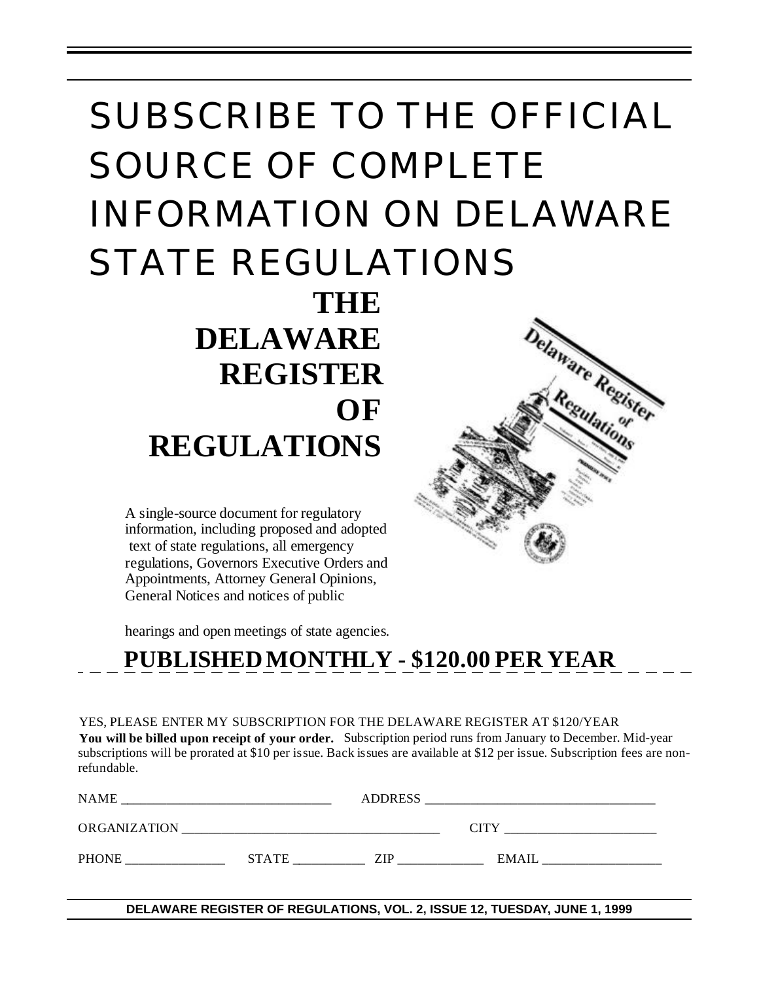# SUBSCRIBE TO THE OFFICIAL SOURCE OF COMPLETE INFORMATION ON DELAWARE STATE REGULATIONS **THE**

 **DELAWARE REGISTER OF REGULATIONS**

A single-source document for regulatory information, including proposed and adopted text of state regulations, all emergency regulations, Governors Executive Orders and Appointments, Attorney General Opinions, General Notices and notices of public

hearings and open meetings of state agencies.

# **PUBLISHED MONTHLY - \$120.00 PER YEAR**

YES, PLEASE ENTER MY SUBSCRIPTION FOR THE DELAWARE REGISTER AT \$120/YEAR **You will be billed upon receipt of your order.** Subscription period runs from January to December. Mid-year subscriptions will be prorated at \$10 per issue. Back issues are available at \$12 per issue. Subscription fees are nonrefundable.

| NAME                |              | <b>ADDRESS</b> |              |
|---------------------|--------------|----------------|--------------|
| <b>ORGANIZATION</b> |              |                | CITY         |
| <b>PHONE</b>        | <b>STATE</b> | ZIP            | <b>EMAIL</b> |

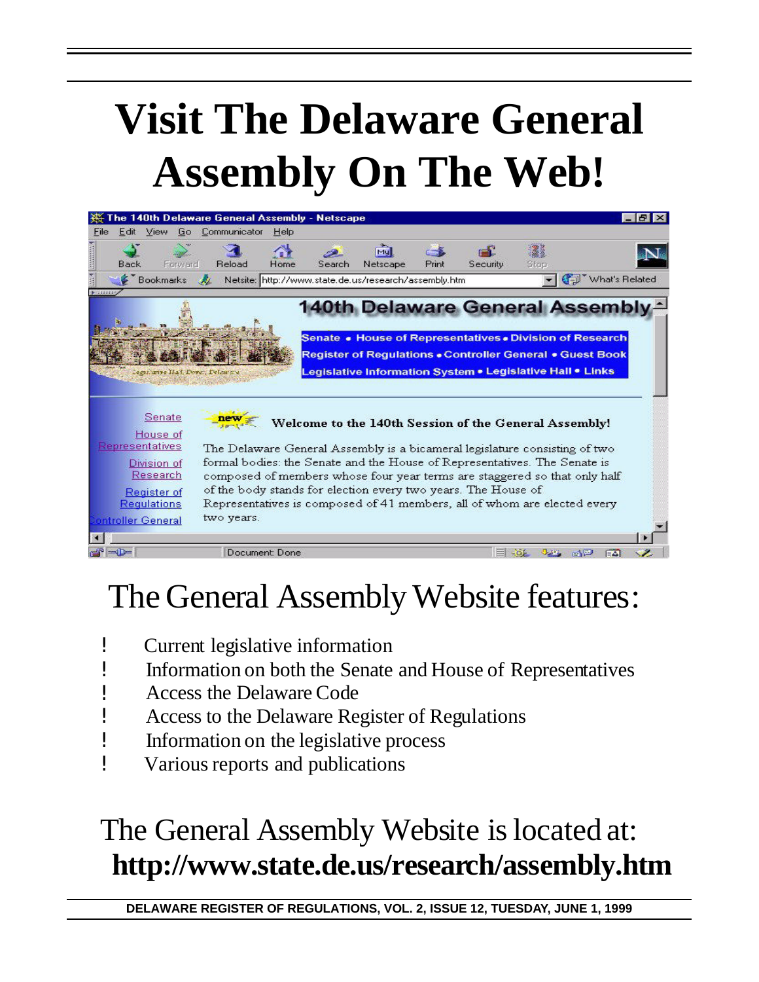# **Visit The Delaware General Assembly On The Web!**



# The General Assembly Website features:

- ! Current legislative information
- ! Information on both the Senate and House of Representatives
- ! Access the Delaware Code
- ! Access to the Delaware Register of Regulations
- ! Information on the legislative process
- ! Various reports and publications

# The General Assembly Website is located at: **http://www.state.de.us/research/assembly.htm**